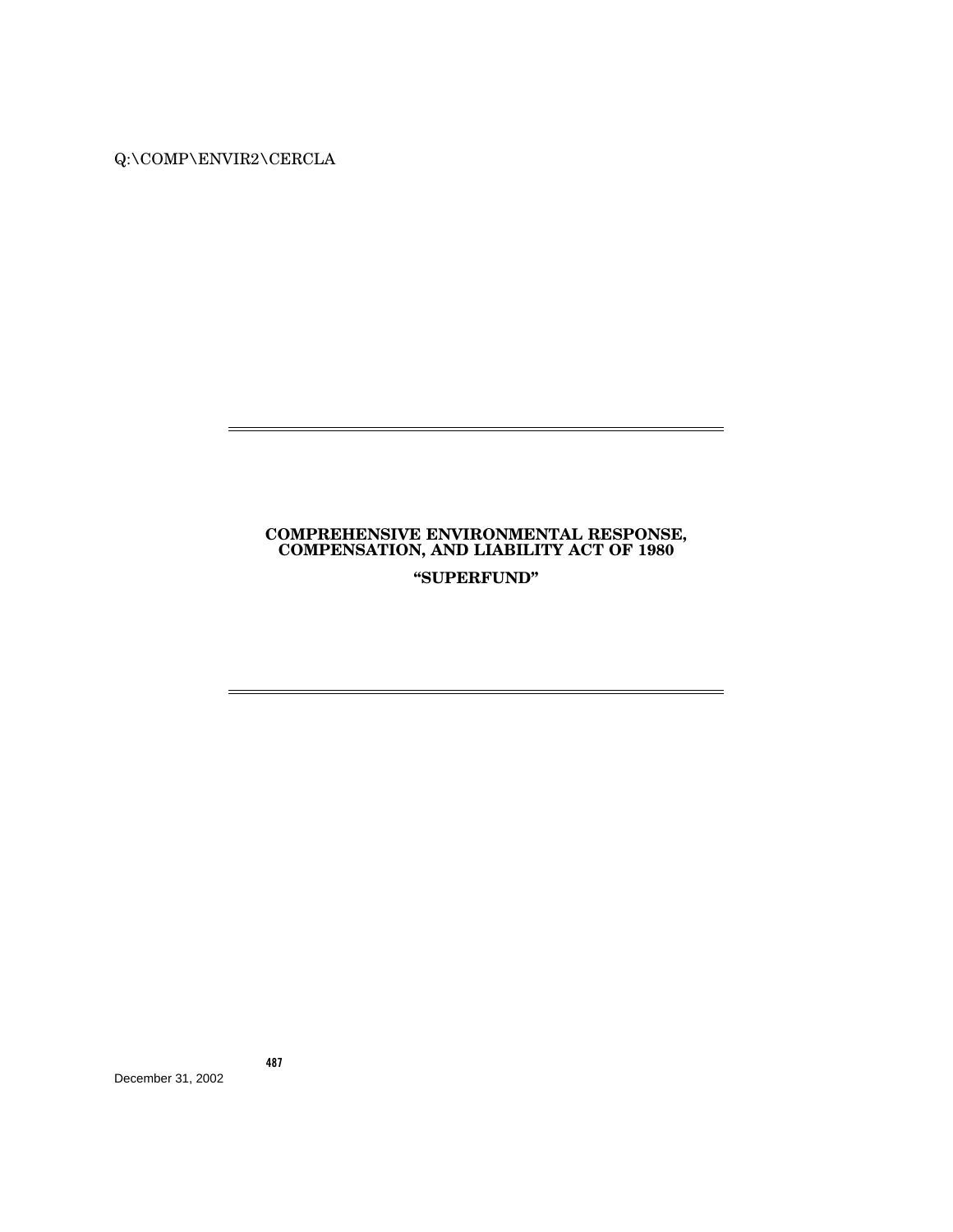Q:\COMP\ENVIR2\CERCLA

Ė

# **COMPREHENSIVE ENVIRONMENTAL RESPONSE, COMPENSATION, AND LIABILITY ACT OF 1980 ''SUPERFUND''**

÷

**487**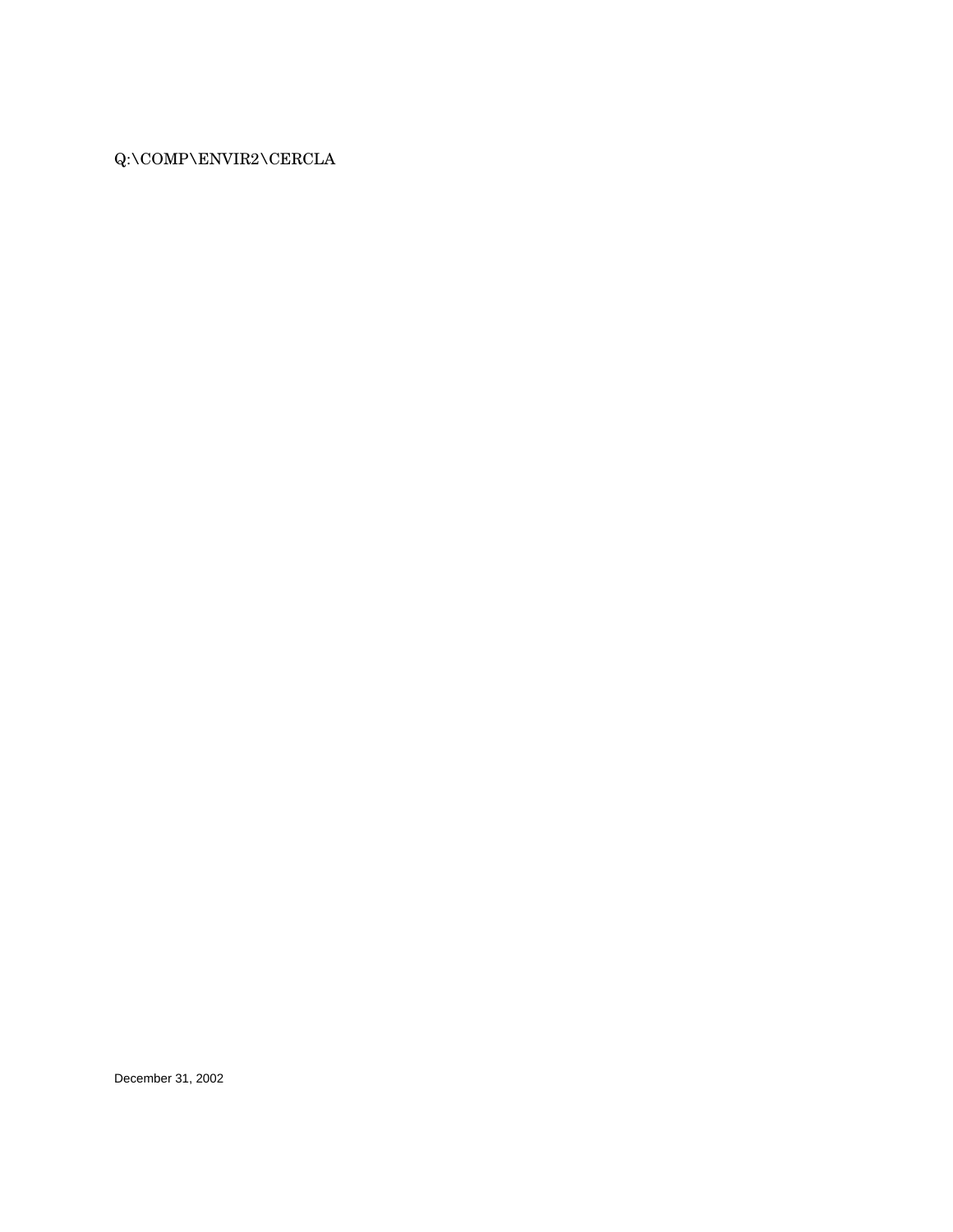Q:\COMP\ENVIR2\CERCLA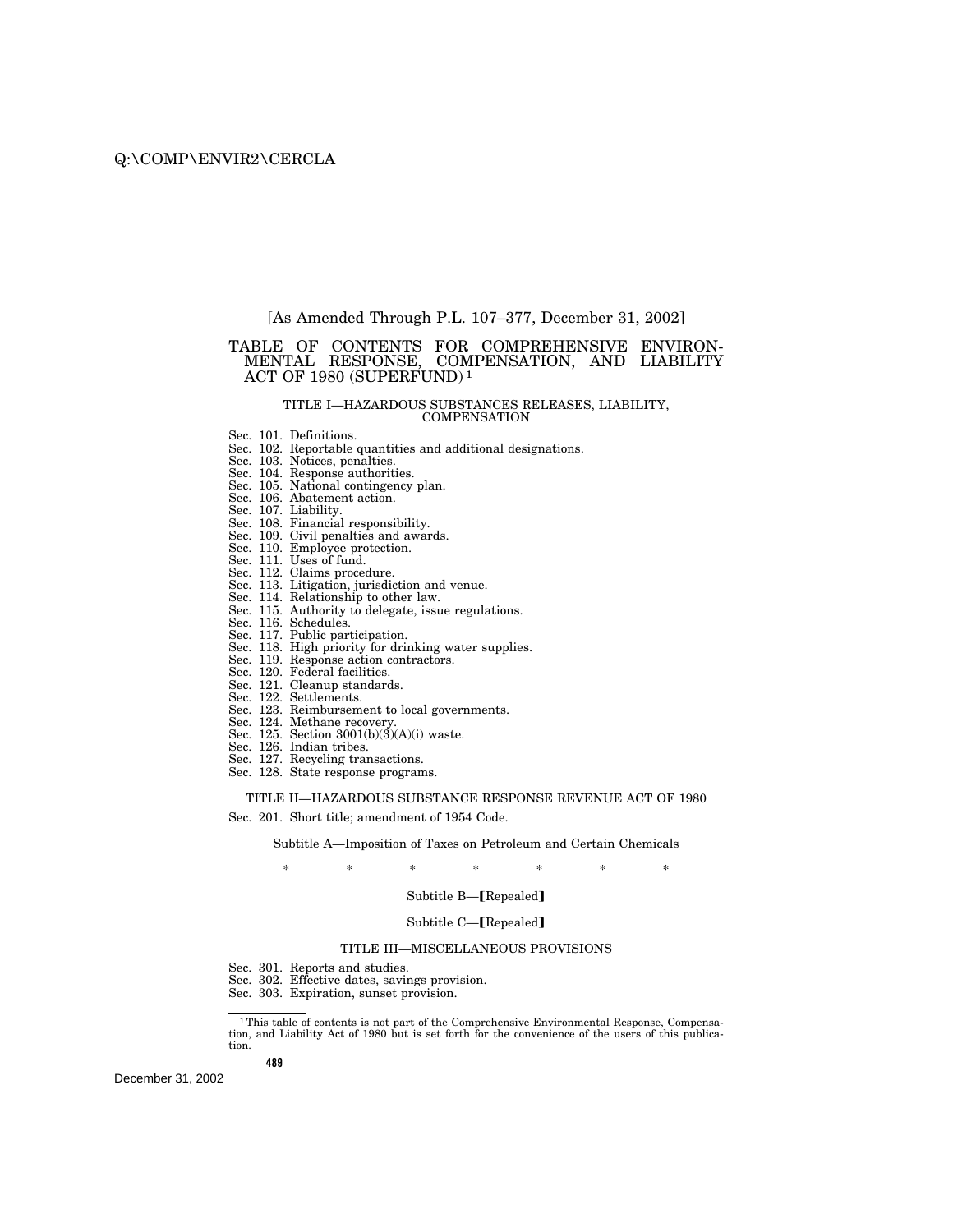# [As Amended Through P.L. 107–377, December 31, 2002]

## TABLE OF CONTENTS FOR COMPREHENSIVE ENVIRON-MENTAL RESPONSE, COMPENSATION, AND LIABILITY ACT OF 1980 (SUPERFUND) 1

#### TITLE I—HAZARDOUS SUBSTANCES RELEASES, LIABILITY, COMPENSATION

- Sec. 101. Definitions.
- Sec. 102. Reportable quantities and additional designations.
- Sec. 103. Notices, penalties.
- Sec. 104. Response authorities.
- Sec. 105. National contingency plan.
- Sec. 106. Abatement action.
- Sec. 107. Liability.
- Sec. 108. Financial responsibility.
- Sec. 109. Civil penalties and awards.
- Sec. 110. Employee protection.
- Sec. 111. Uses of fund.
- Sec. 112. Claims procedure.
- Sec. 113. Litigation, jurisdiction and venue.
- Sec. 114. Relationship to other law.
- Sec. 115. Authority to delegate, issue regulations.
- Sec. 116. Schedules.
- Sec. 117. Public participation.
- Sec. 118. High priority for drinking water supplies.
- Sec. 119. Response action contractors.
- Sec. 120. Federal facilities.
- Sec. 121. Cleanup standards.<br>Sec. 122. Settlements.
- Settlements.
- Sec. 123. Reimbursement to local governments.
- Sec. 124. Methane recovery.
- Sec. 125. Section 3001(b)(3)(A)(i) waste.
- Sec. 126. Indian tribes.
- Sec. 127. Recycling transactions.
- Sec. 128. State response programs.

## TITLE II—HAZARDOUS SUBSTANCE RESPONSE REVENUE ACT OF 1980

Sec. 201. Short title; amendment of 1954 Code.

Subtitle A—Imposition of Taxes on Petroleum and Certain Chemicals

\* \* \* \* \* \* \*

## Subtitle B-[Repealed]

#### Subtitle C-[Repealed]

#### TITLE III—MISCELLANEOUS PROVISIONS

- Sec. 301. Reports and studies.
- Sec. 302. Effective dates, savings provision.
- Sec. 303. Expiration, sunset provision.

1This table of contents is not part of the Comprehensive Environmental Response, Compensation, and Liability Act of 1980 but is set forth for the convenience of the users of this publication.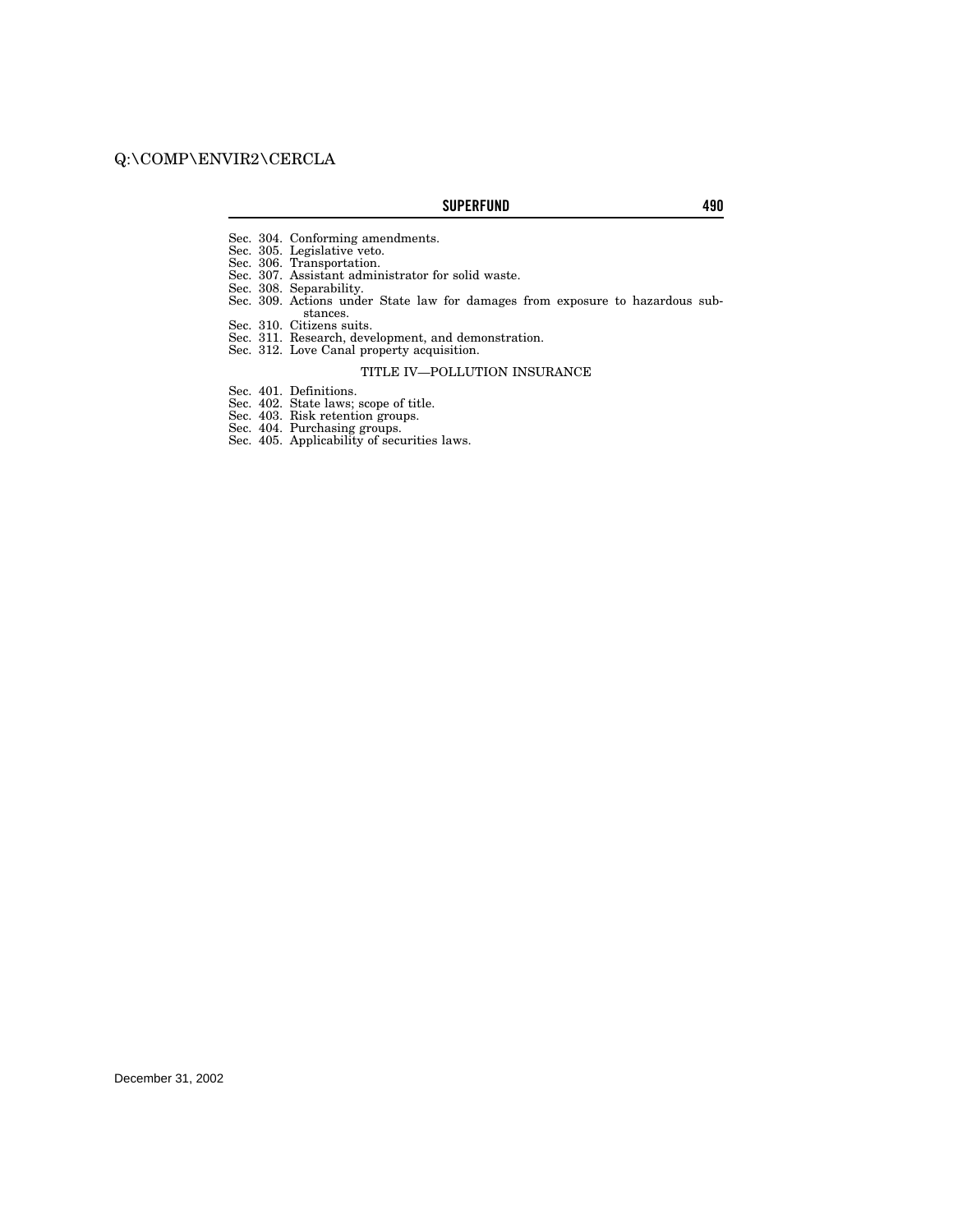# Q:\COMP\ENVIR2\CERCLA

## **SUPERFUND 490**

- Sec. 304. Conforming amendments.
- Sec. 305. Legislative veto. Sec. 306. Transportation.
- Sec. 307. Assistant administrator for solid waste.
- Sec. 308. Separability.
- Sec. 309. Actions under State law for damages from exposure to hazardous substances.
- Sec. 310. Citizens suits.
- Sec. 311. Research, development, and demonstration.
- Sec. 312. Love Canal property acquisition.

### TITLE IV—POLLUTION INSURANCE

- Sec. 401. Definitions.
- Sec. 402. State laws; scope of title.
- Sec. 403. Risk retention groups. Sec. 404. Purchasing groups.
- Sec. 405. Applicability of securities laws.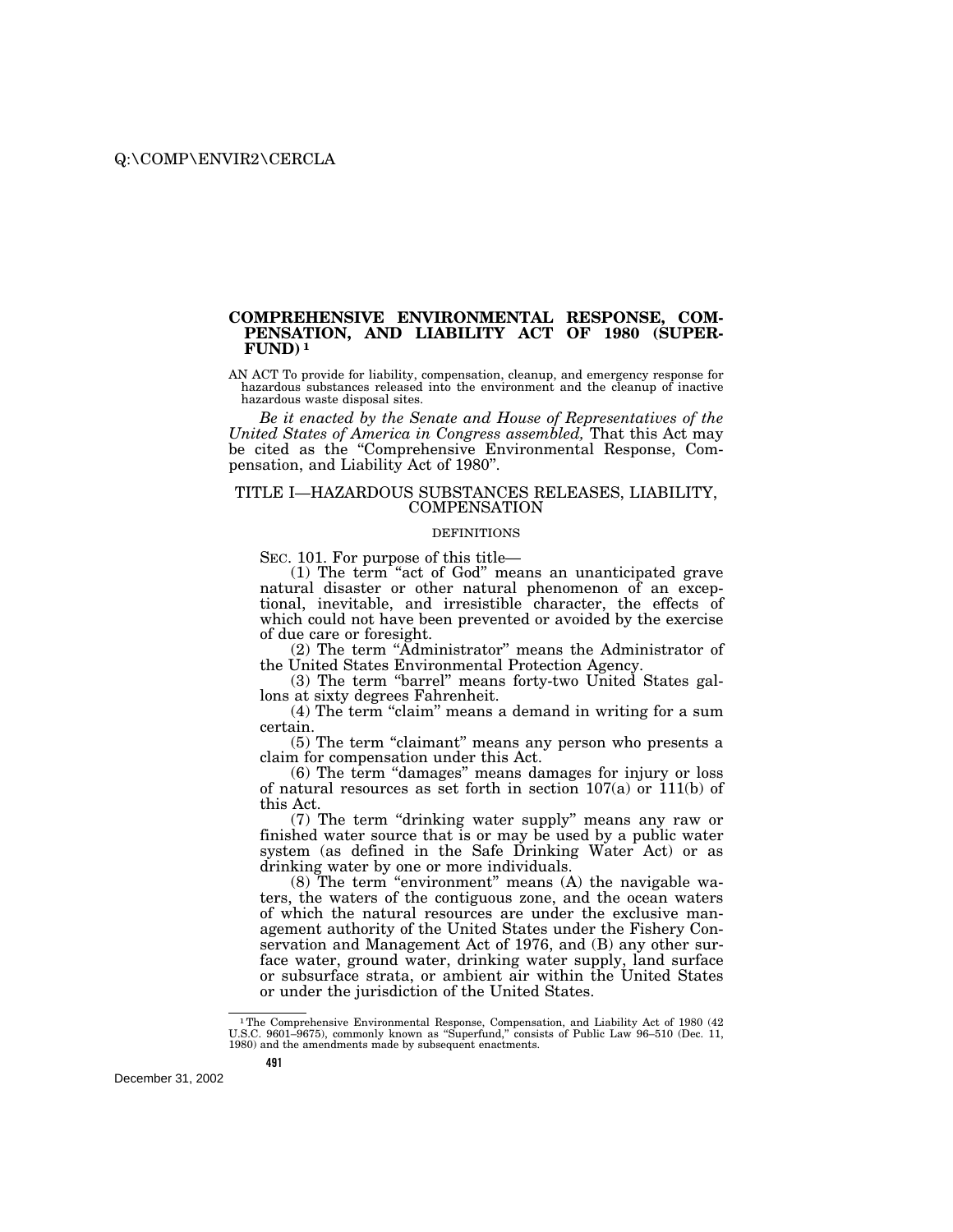## **COMPREHENSIVE ENVIRONMENTAL RESPONSE, COM-PENSATION, AND LIABILITY ACT OF 1980 (SUPER-FUND) 1**

AN ACT To provide for liability, compensation, cleanup, and emergency response for hazardous substances released into the environment and the cleanup of inactive hazardous waste disposal sites.

*Be it enacted by the Senate and House of Representatives of the United States of America in Congress assembled,* That this Act may be cited as the ''Comprehensive Environmental Response, Compensation, and Liability Act of 1980''.

## TITLE I—HAZARDOUS SUBSTANCES RELEASES, LIABILITY, **COMPENSATION**

#### DEFINITIONS

SEC. 101. For purpose of this title—

(1) The term ''act of God'' means an unanticipated grave natural disaster or other natural phenomenon of an exceptional, inevitable, and irresistible character, the effects of which could not have been prevented or avoided by the exercise of due care or foresight.

(2) The term ''Administrator'' means the Administrator of the United States Environmental Protection Agency.

(3) The term "barrel" means forty-two United States gallons at sixty degrees Fahrenheit.

(4) The term "claim" means a demand in writing for a sum certain.

(5) The term "claimant" means any person who presents a claim for compensation under this Act.

(6) The term ''damages'' means damages for injury or loss of natural resources as set forth in section  $107(a)$  or  $111(b)$  of this Act.

(7) The term ''drinking water supply'' means any raw or finished water source that is or may be used by a public water system (as defined in the Safe Drinking Water Act) or as drinking water by one or more individuals.

 $(8)$  The term "environment" means  $(A)$  the navigable waters, the waters of the contiguous zone, and the ocean waters of which the natural resources are under the exclusive management authority of the United States under the Fishery Conservation and Management Act of 1976, and (B) any other surface water, ground water, drinking water supply, land surface or subsurface strata, or ambient air within the United States or under the jurisdiction of the United States.

<sup>1</sup>The Comprehensive Environmental Response, Compensation, and Liability Act of 1980 (42 U.S.C. 9601–9675), commonly known as ''Superfund,'' consists of Public Law 96–510 (Dec. 11, 1980) and the amendments made by subsequent enactments.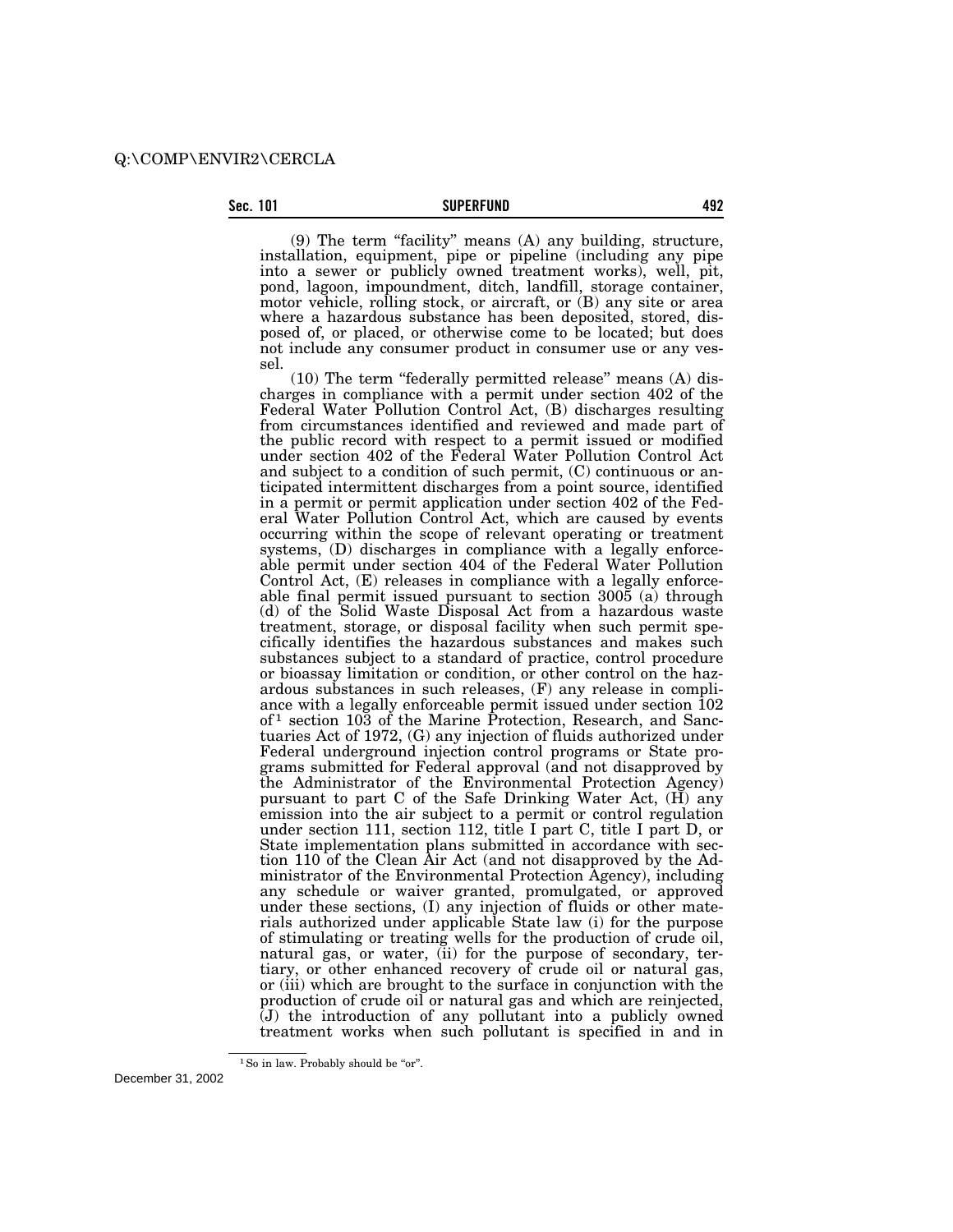$(9)$  The term "facility" means  $(A)$  any building, structure, installation, equipment, pipe or pipeline (including any pipe into a sewer or publicly owned treatment works), well, pit, pond, lagoon, impoundment, ditch, landfill, storage container, motor vehicle, rolling stock, or aircraft, or  $(B)$  any site or area where a hazardous substance has been deposited, stored, disposed of, or placed, or otherwise come to be located; but does not include any consumer product in consumer use or any vessel.

(10) The term ''federally permitted release'' means (A) discharges in compliance with a permit under section 402 of the Federal Water Pollution Control Act, (B) discharges resulting from circumstances identified and reviewed and made part of the public record with respect to a permit issued or modified under section 402 of the Federal Water Pollution Control Act and subject to a condition of such permit, (C) continuous or anticipated intermittent discharges from a point source, identified in a permit or permit application under section 402 of the Federal Water Pollution Control Act, which are caused by events occurring within the scope of relevant operating or treatment systems, (D) discharges in compliance with a legally enforceable permit under section 404 of the Federal Water Pollution Control Act, (E) releases in compliance with a legally enforceable final permit issued pursuant to section 3005 (a) through (d) of the Solid Waste Disposal Act from a hazardous waste treatment, storage, or disposal facility when such permit specifically identifies the hazardous substances and makes such substances subject to a standard of practice, control procedure or bioassay limitation or condition, or other control on the hazardous substances in such releases, (F) any release in compliance with a legally enforceable permit issued under section 102 of<sup>1</sup> section  $10\overline{3}$  of the Marine Protection, Research, and Sanctuaries Act of 1972, (G) any injection of fluids authorized under Federal underground injection control programs or State programs submitted for Federal approval (and not disapproved by the Administrator of the Environmental Protection Agency) pursuant to part C of the Safe Drinking Water Act, (H) any emission into the air subject to a permit or control regulation under section 111, section 112, title I part C, title I part D, or State implementation plans submitted in accordance with section 110 of the Clean Air Act (and not disapproved by the Administrator of the Environmental Protection Agency), including any schedule or waiver granted, promulgated, or approved under these sections, (I) any injection of fluids or other materials authorized under applicable State law (i) for the purpose of stimulating or treating wells for the production of crude oil, natural gas, or water, (ii) for the purpose of secondary, tertiary, or other enhanced recovery of crude oil or natural gas, or (iii) which are brought to the surface in conjunction with the production of crude oil or natural gas and which are reinjected, (J) the introduction of any pollutant into a publicly owned treatment works when such pollutant is specified in and in

<sup>&</sup>lt;sup>1</sup>So in law. Probably should be "or".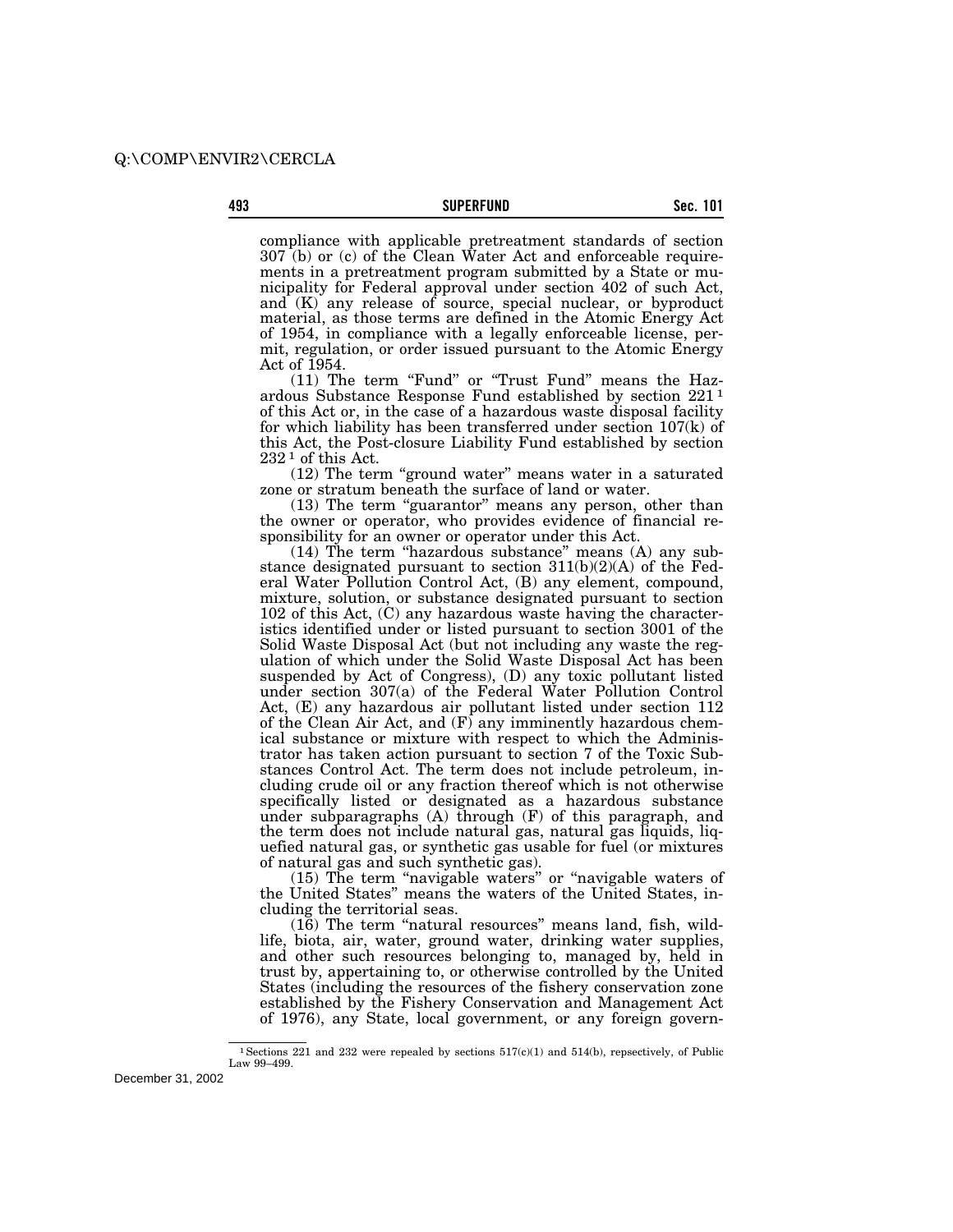compliance with applicable pretreatment standards of section 307 (b) or (c) of the Clean Water Act and enforceable requirements in a pretreatment program submitted by a State or mu-

nicipality for Federal approval under section 402 of such Act, and (K) any release of source, special nuclear, or byproduct material, as those terms are defined in the Atomic Energy Act of 1954, in compliance with a legally enforceable license, permit, regulation, or order issued pursuant to the Atomic Energy Act of 1954.

 $(11)$  The term "Fund" or "Trust Fund" means the Hazardous Substance Response Fund established by section 221 1 of this Act or, in the case of a hazardous waste disposal facility for which liability has been transferred under section 107(k) of this Act, the Post-closure Liability Fund established by section  $232<sup>1</sup>$  of this Act.

(12) The term ''ground water'' means water in a saturated zone or stratum beneath the surface of land or water.

(13) The term "guarantor" means any person, other than the owner or operator, who provides evidence of financial responsibility for an owner or operator under this Act.

 $(14)$  The term "hazardous substance" means  $(A)$  any substance designated pursuant to section 311(b)(2)(A) of the Federal Water Pollution Control Act, (B) any element, compound, mixture, solution, or substance designated pursuant to section 102 of this Act, (C) any hazardous waste having the characteristics identified under or listed pursuant to section 3001 of the Solid Waste Disposal Act (but not including any waste the regulation of which under the Solid Waste Disposal Act has been suspended by Act of Congress), (D) any toxic pollutant listed under section 307(a) of the Federal Water Pollution Control Act, (E) any hazardous air pollutant listed under section 112 of the Clean Air Act, and  $(F)$  any imminently hazardous chemical substance or mixture with respect to which the Administrator has taken action pursuant to section 7 of the Toxic Substances Control Act. The term does not include petroleum, including crude oil or any fraction thereof which is not otherwise specifically listed or designated as a hazardous substance under subparagraphs (A) through (F) of this paragraph, and the term does not include natural gas, natural gas liquids, liquefied natural gas, or synthetic gas usable for fuel (or mixtures of natural gas and such synthetic gas).

(15) The term ''navigable waters'' or ''navigable waters of the United States'' means the waters of the United States, including the territorial seas.

 $(16)$  The term "natural resources" means land, fish, wildlife, biota, air, water, ground water, drinking water supplies, and other such resources belonging to, managed by, held in trust by, appertaining to, or otherwise controlled by the United States (including the resources of the fishery conservation zone established by the Fishery Conservation and Management Act of 1976), any State, local government, or any foreign govern-

<sup>&</sup>lt;sup>1</sup> Sections 221 and 232 were repealed by sections  $517(c)(1)$  and  $514(b)$ , repsectively, of Public Law 99–499.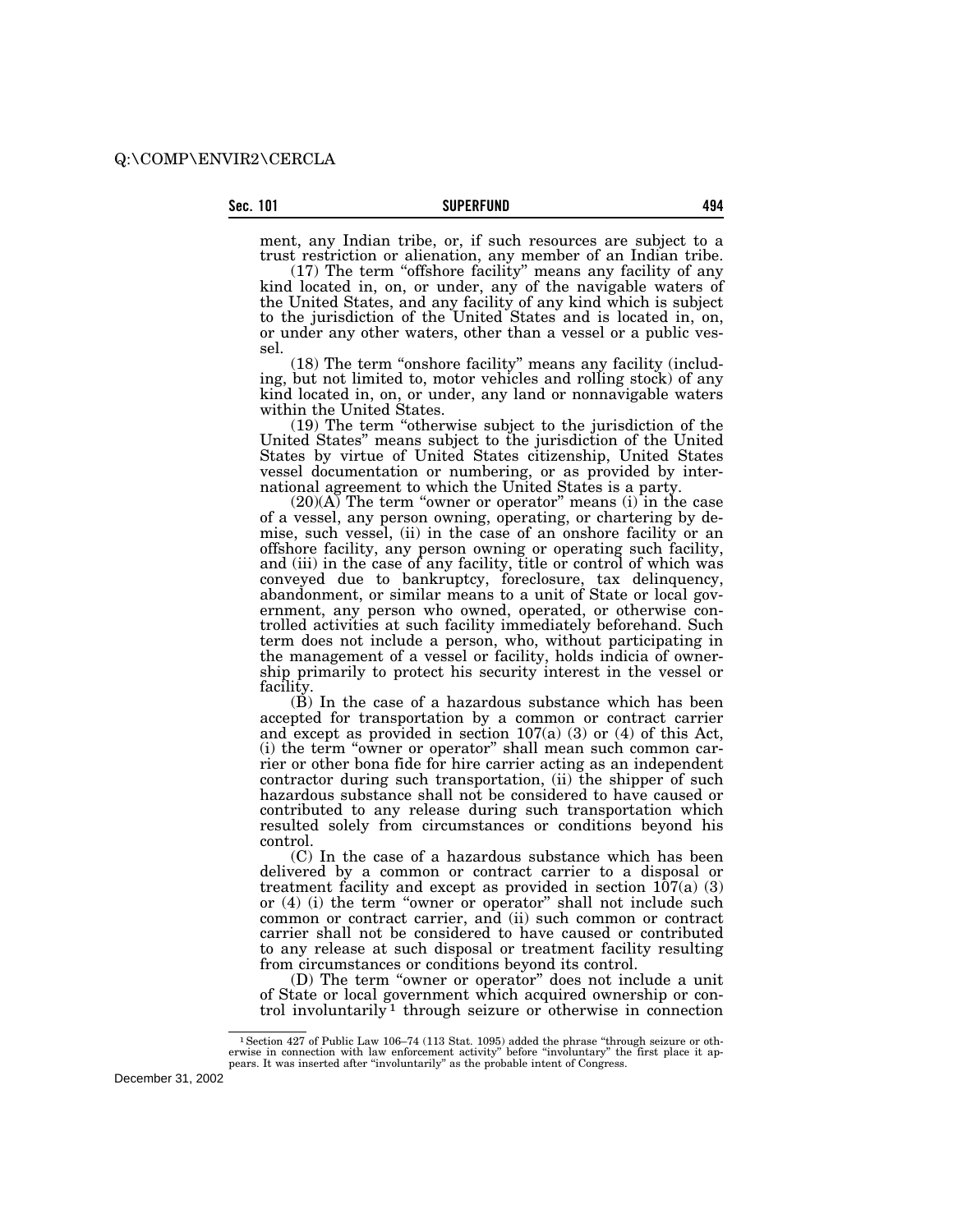ment, any Indian tribe, or, if such resources are subject to a trust restriction or alienation, any member of an Indian tribe.

(17) The term ''offshore facility'' means any facility of any kind located in, on, or under, any of the navigable waters of the United States, and any facility of any kind which is subject to the jurisdiction of the United States and is located in, on, or under any other waters, other than a vessel or a public vessel.

(18) The term ''onshore facility'' means any facility (including, but not limited to, motor vehicles and rolling stock) of any kind located in, on, or under, any land or nonnavigable waters within the United States.

(19) The term ''otherwise subject to the jurisdiction of the United States'' means subject to the jurisdiction of the United States by virtue of United States citizenship, United States vessel documentation or numbering, or as provided by international agreement to which the United States is a party.

 $(20)(\overrightarrow{A})$  The term "owner or operator" means (i) in the case of a vessel, any person owning, operating, or chartering by demise, such vessel, (ii) in the case of an onshore facility or an offshore facility, any person owning or operating such facility, and (iii) in the case of any facility, title or control of which was conveyed due to bankruptcy, foreclosure, tax delinquency, abandonment, or similar means to a unit of State or local government, any person who owned, operated, or otherwise controlled activities at such facility immediately beforehand. Such term does not include a person, who, without participating in the management of a vessel or facility, holds indicia of ownership primarily to protect his security interest in the vessel or facility.

(B) In the case of a hazardous substance which has been accepted for transportation by a common or contract carrier and except as provided in section  $107(a)$  (3) or (4) of this Act, (i) the term "owner or operator" shall mean such common carrier or other bona fide for hire carrier acting as an independent contractor during such transportation, (ii) the shipper of such hazardous substance shall not be considered to have caused or contributed to any release during such transportation which resulted solely from circumstances or conditions beyond his control.

(C) In the case of a hazardous substance which has been delivered by a common or contract carrier to a disposal or treatment facility and except as provided in section  $107(a)$  (3) or (4) (i) the term ''owner or operator'' shall not include such common or contract carrier, and (ii) such common or contract carrier shall not be considered to have caused or contributed to any release at such disposal or treatment facility resulting from circumstances or conditions beyond its control.

(D) The term ''owner or operator'' does not include a unit of State or local government which acquired ownership or control involuntarily<sup>1</sup> through seizure or otherwise in connection

 $1$  Section 427 of Public Law 106-74 (113 Stat. 1095) added the phrase "through seizure or otherwise in connection with law enforcement activity" before "involuntary" the first place it appears. It was inserted after "inv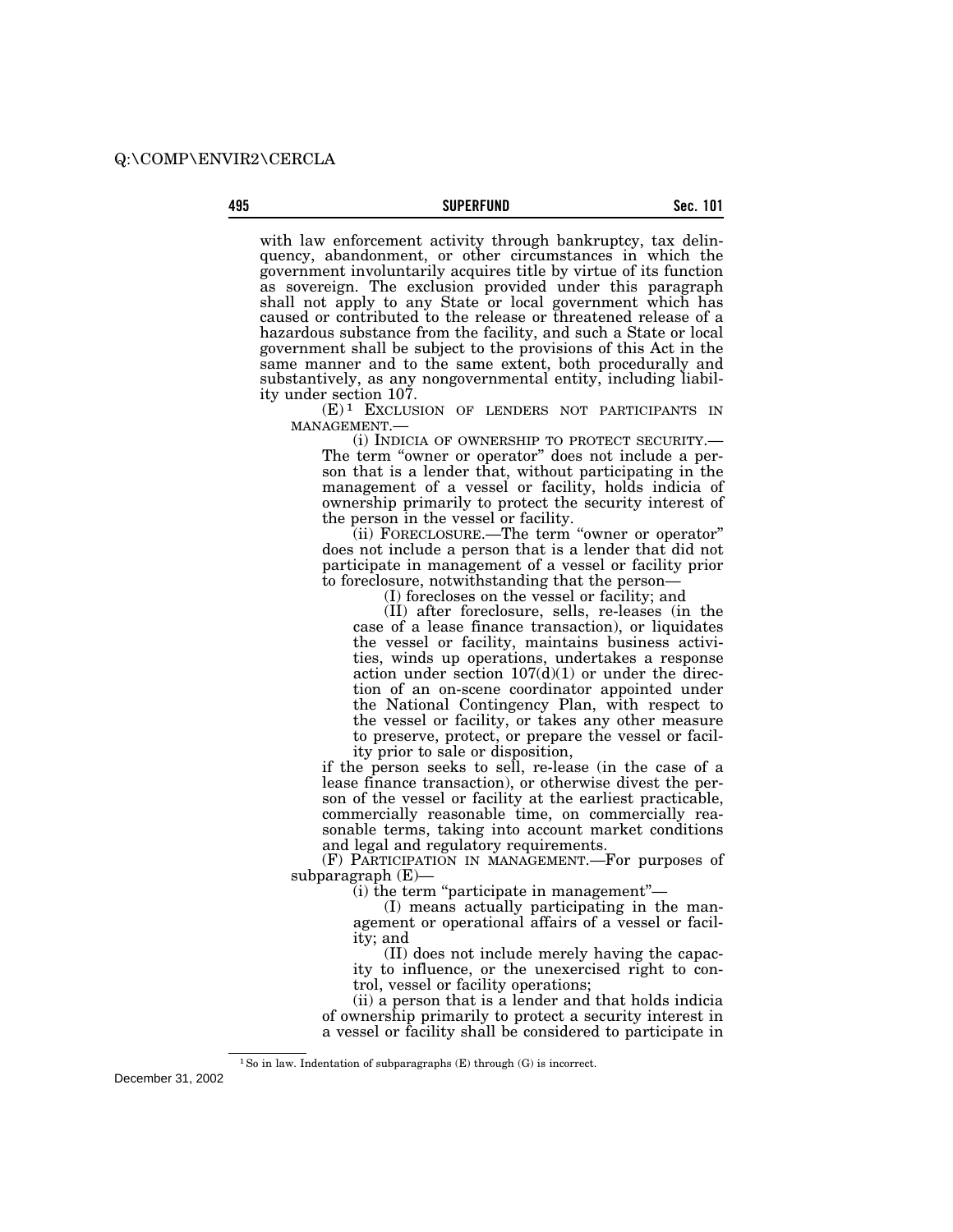with law enforcement activity through bankruptcy, tax delinquency, abandonment, or other circumstances in which the government involuntarily acquires title by virtue of its function as sovereign. The exclusion provided under this paragraph shall not apply to any State or local government which has caused or contributed to the release or threatened release of a hazardous substance from the facility, and such a State or local government shall be subject to the provisions of this Act in the same manner and to the same extent, both procedurally and substantively, as any nongovernmental entity, including liability under section 107.

(E) 1 EXCLUSION OF LENDERS NOT PARTICIPANTS IN

MANAGEMENT.— (i) INDICIA OF OWNERSHIP TO PROTECT SECURITY.— The term ''owner or operator'' does not include a person that is a lender that, without participating in the management of a vessel or facility, holds indicia of ownership primarily to protect the security interest of the person in the vessel or facility.

(ii) FORECLOSURE.—The term ''owner or operator'' does not include a person that is a lender that did not participate in management of a vessel or facility prior to foreclosure, notwithstanding that the person—

(I) forecloses on the vessel or facility; and

(II) after foreclosure, sells, re-leases (in the case of a lease finance transaction), or liquidates the vessel or facility, maintains business activities, winds up operations, undertakes a response action under section 107(d)(1) or under the direction of an on-scene coordinator appointed under the National Contingency Plan, with respect to the vessel or facility, or takes any other measure to preserve, protect, or prepare the vessel or facility prior to sale or disposition,

if the person seeks to sell, re-lease (in the case of a lease finance transaction), or otherwise divest the person of the vessel or facility at the earliest practicable, commercially reasonable time, on commercially reasonable terms, taking into account market conditions and legal and regulatory requirements.

(F) PARTICIPATION IN MANAGEMENT.—For purposes of subparagraph  $(E)$ —

(i) the term ''participate in management''—

(I) means actually participating in the management or operational affairs of a vessel or facility; and

(II) does not include merely having the capacity to influence, or the unexercised right to control, vessel or facility operations;

(ii) a person that is a lender and that holds indicia of ownership primarily to protect a security interest in a vessel or facility shall be considered to participate in

<sup>1</sup>So in law. Indentation of subparagraphs (E) through (G) is incorrect.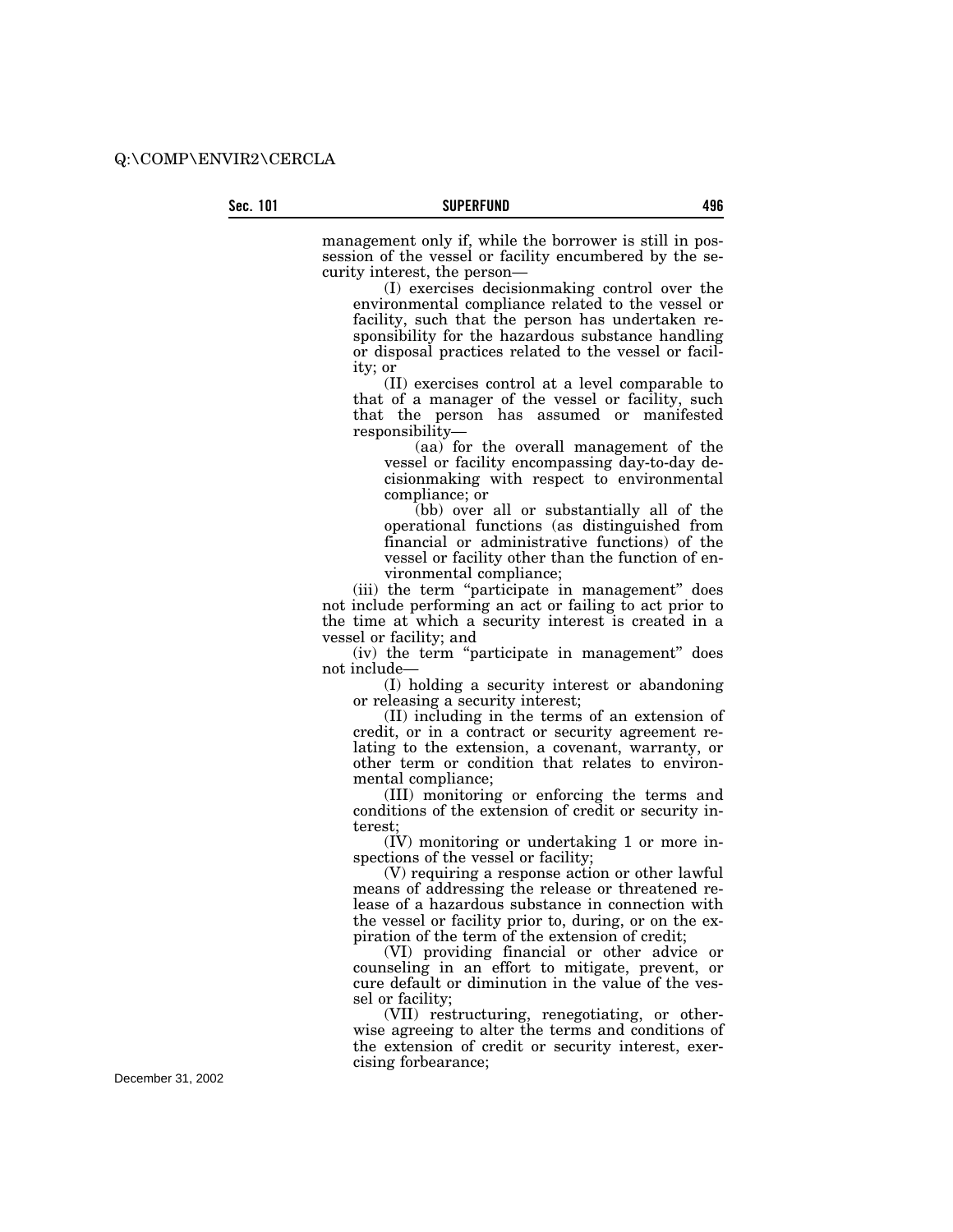management only if, while the borrower is still in possession of the vessel or facility encumbered by the security interest, the person—

(I) exercises decisionmaking control over the environmental compliance related to the vessel or facility, such that the person has undertaken responsibility for the hazardous substance handling or disposal practices related to the vessel or facility; or

(II) exercises control at a level comparable to that of a manager of the vessel or facility, such that the person has assumed or manifested responsibility—

(aa) for the overall management of the vessel or facility encompassing day-to-day decisionmaking with respect to environmental compliance; or

(bb) over all or substantially all of the operational functions (as distinguished from financial or administrative functions) of the vessel or facility other than the function of environmental compliance;

(iii) the term "participate in management" does not include performing an act or failing to act prior to the time at which a security interest is created in a vessel or facility; and

(iv) the term ''participate in management'' does not include—

(I) holding a security interest or abandoning or releasing a security interest;

(II) including in the terms of an extension of credit, or in a contract or security agreement relating to the extension, a covenant, warranty, or other term or condition that relates to environmental compliance;

(III) monitoring or enforcing the terms and conditions of the extension of credit or security interest;

(IV) monitoring or undertaking 1 or more inspections of the vessel or facility;

(V) requiring a response action or other lawful means of addressing the release or threatened release of a hazardous substance in connection with the vessel or facility prior to, during, or on the expiration of the term of the extension of credit;

(VI) providing financial or other advice or counseling in an effort to mitigate, prevent, or cure default or diminution in the value of the vessel or facility;

(VII) restructuring, renegotiating, or otherwise agreeing to alter the terms and conditions of the extension of credit or security interest, exercising forbearance;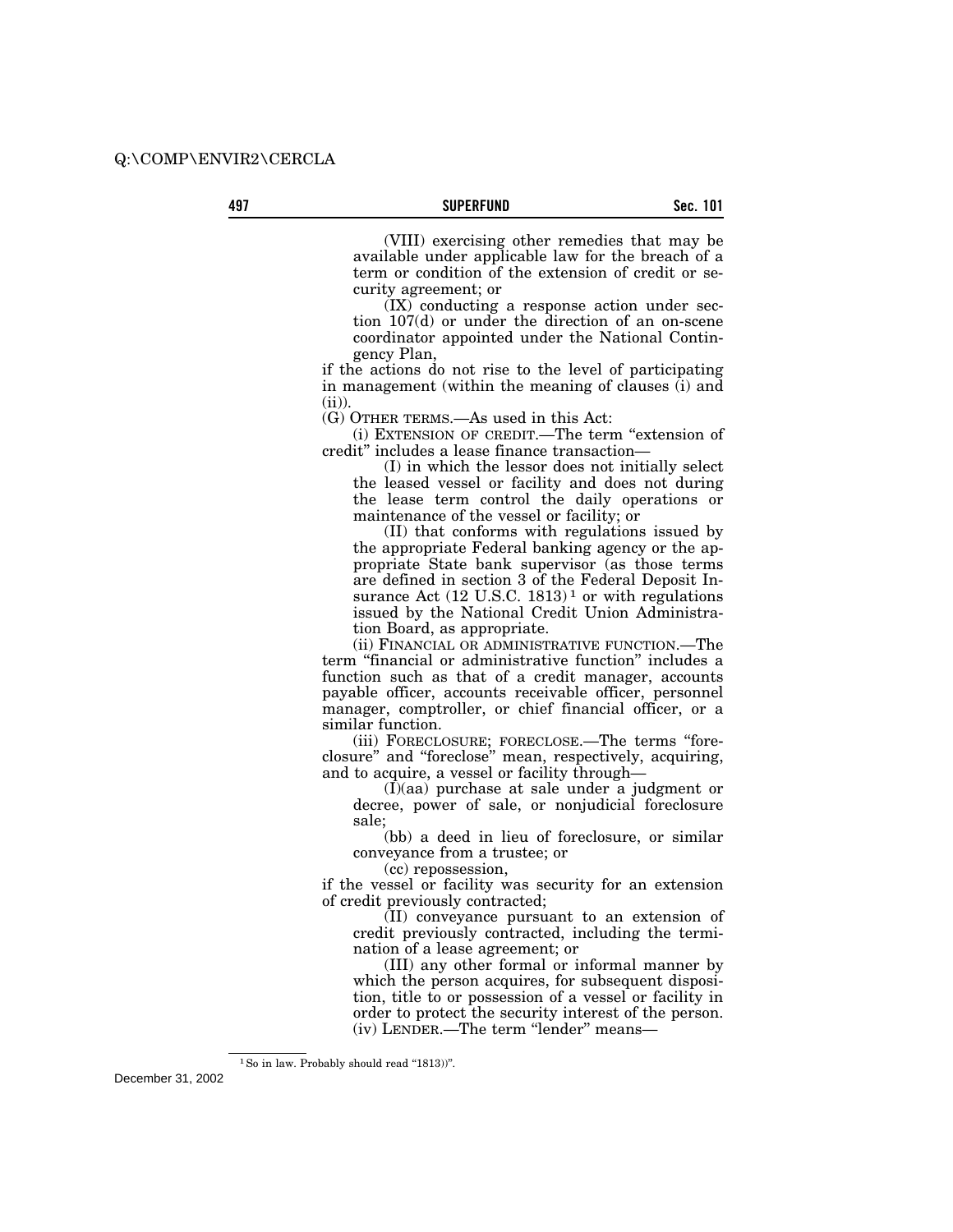(VIII) exercising other remedies that may be available under applicable law for the breach of a term or condition of the extension of credit or security agreement; or

(IX) conducting a response action under section 107(d) or under the direction of an on-scene coordinator appointed under the National Contingency Plan,

if the actions do not rise to the level of participating in management (within the meaning of clauses (i) and (ii)).

(G) OTHER TERMS.—As used in this Act:

(i) EXTENSION OF CREDIT.—The term ''extension of credit'' includes a lease finance transaction—

(I) in which the lessor does not initially select the leased vessel or facility and does not during the lease term control the daily operations or maintenance of the vessel or facility; or

(II) that conforms with regulations issued by the appropriate Federal banking agency or the appropriate State bank supervisor (as those terms are defined in section 3 of the Federal Deposit Insurance Act  $(12 \text{ U.S.C. } 1813)^1$  or with regulations issued by the National Credit Union Administration Board, as appropriate.

(ii) FINANCIAL OR ADMINISTRATIVE FUNCTION.—The term ''financial or administrative function'' includes a function such as that of a credit manager, accounts payable officer, accounts receivable officer, personnel manager, comptroller, or chief financial officer, or a similar function.

(iii) FORECLOSURE; FORECLOSE.—The terms ''foreclosure'' and ''foreclose'' mean, respectively, acquiring, and to acquire, a vessel or facility through—

(I)(aa) purchase at sale under a judgment or decree, power of sale, or nonjudicial foreclosure sale;

(bb) a deed in lieu of foreclosure, or similar conveyance from a trustee; or

(cc) repossession,

if the vessel or facility was security for an extension of credit previously contracted;

(II) conveyance pursuant to an extension of credit previously contracted, including the termination of a lease agreement; or

(III) any other formal or informal manner by which the person acquires, for subsequent disposition, title to or possession of a vessel or facility in order to protect the security interest of the person. (iv) LENDER.—The term ''lender'' means—

<sup>&</sup>lt;sup>1</sup>So in law. Probably should read "1813))".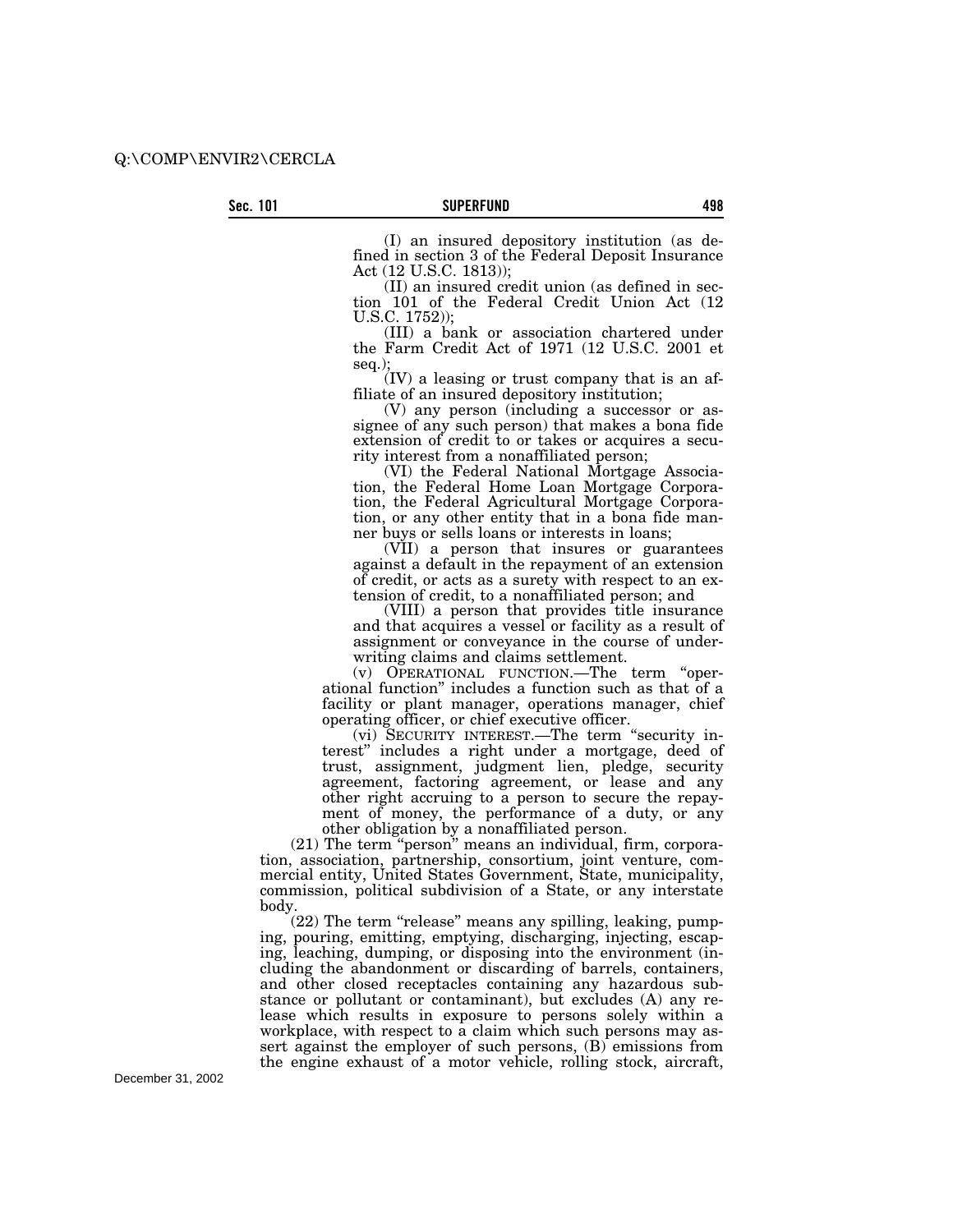(I) an insured depository institution (as defined in section 3 of the Federal Deposit Insurance Act (12 U.S.C. 1813));

II) an insured credit union (as defined in section 101 of the Federal Credit Union Act (12 U.S.C. 1752));

(III) a bank or association chartered under the Farm Credit Act of 1971 (12 U.S.C. 2001 et seq.);

(IV) a leasing or trust company that is an affiliate of an insured depository institution;

(V) any person (including a successor or assignee of any such person) that makes a bona fide extension of credit to or takes or acquires a security interest from a nonaffiliated person;

(VI) the Federal National Mortgage Association, the Federal Home Loan Mortgage Corporation, the Federal Agricultural Mortgage Corporation, or any other entity that in a bona fide manner buys or sells loans or interests in loans;

(VII) a person that insures or guarantees against a default in the repayment of an extension of credit, or acts as a surety with respect to an extension of credit, to a nonaffiliated person; and

(VIII) a person that provides title insurance and that acquires a vessel or facility as a result of assignment or conveyance in the course of underwriting claims and claims settlement.

(v) OPERATIONAL FUNCTION.—The term ''operational function'' includes a function such as that of a facility or plant manager, operations manager, chief operating officer, or chief executive officer.

(vi) SECURITY INTEREST.—The term ''security interest'' includes a right under a mortgage, deed of trust, assignment, judgment lien, pledge, security agreement, factoring agreement, or lease and any other right accruing to a person to secure the repayment of money, the performance of a duty, or any other obligation by a nonaffiliated person.

(21) The term "person" means an individual, firm, corporation, association, partnership, consortium, joint venture, commercial entity, United States Government, State, municipality, commission, political subdivision of a State, or any interstate body.

(22) The term ''release'' means any spilling, leaking, pumping, pouring, emitting, emptying, discharging, injecting, escaping, leaching, dumping, or disposing into the environment (including the abandonment or discarding of barrels, containers, and other closed receptacles containing any hazardous substance or pollutant or contaminant), but excludes (A) any release which results in exposure to persons solely within a workplace, with respect to a claim which such persons may assert against the employer of such persons, (B) emissions from the engine exhaust of a motor vehicle, rolling stock, aircraft,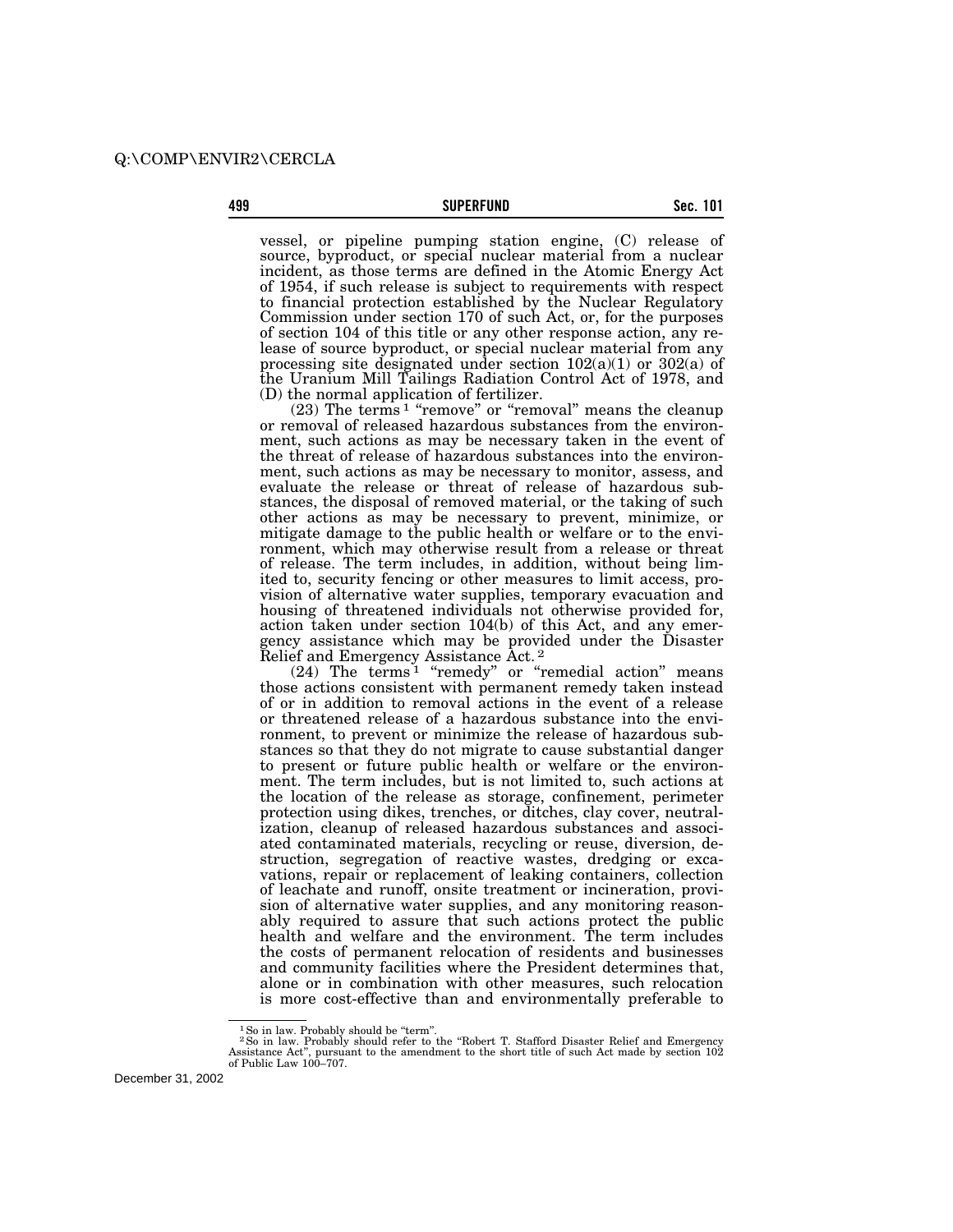vessel, or pipeline pumping station engine, (C) release of source, byproduct, or special nuclear material from a nuclear incident, as those terms are defined in the Atomic Energy Act of 1954, if such release is subject to requirements with respect to financial protection established by the Nuclear Regulatory Commission under section 170 of such Act, or, for the purposes of section 104 of this title or any other response action, any release of source byproduct, or special nuclear material from any processing site designated under section  $102(a)(1)$  or  $302(a)$  of the Uranium Mill Tailings Radiation Control Act of 1978, and (D) the normal application of fertilizer.

(23) The terms 1 ''remove'' or ''removal'' means the cleanup or removal of released hazardous substances from the environment, such actions as may be necessary taken in the event of the threat of release of hazardous substances into the environment, such actions as may be necessary to monitor, assess, and evaluate the release or threat of release of hazardous substances, the disposal of removed material, or the taking of such other actions as may be necessary to prevent, minimize, or mitigate damage to the public health or welfare or to the environment, which may otherwise result from a release or threat of release. The term includes, in addition, without being limited to, security fencing or other measures to limit access, provision of alternative water supplies, temporary evacuation and housing of threatened individuals not otherwise provided for, action taken under section 104(b) of this Act, and any emergency assistance which may be provided under the Disaster Relief and Emergency Assistance Act.<sup>2</sup>

(24) The terms<sup>1</sup> "remedy" or "remedial action" means those actions consistent with permanent remedy taken instead of or in addition to removal actions in the event of a release or threatened release of a hazardous substance into the environment, to prevent or minimize the release of hazardous substances so that they do not migrate to cause substantial danger to present or future public health or welfare or the environment. The term includes, but is not limited to, such actions at the location of the release as storage, confinement, perimeter protection using dikes, trenches, or ditches, clay cover, neutralization, cleanup of released hazardous substances and associated contaminated materials, recycling or reuse, diversion, destruction, segregation of reactive wastes, dredging or excavations, repair or replacement of leaking containers, collection of leachate and runoff, onsite treatment or incineration, provision of alternative water supplies, and any monitoring reasonably required to assure that such actions protect the public health and welfare and the environment. The term includes the costs of permanent relocation of residents and businesses and community facilities where the President determines that, alone or in combination with other measures, such relocation is more cost-effective than and environmentally preferable to

<sup>&</sup>lt;sup>1</sup>So in law. Probably should be "term".

<sup>2</sup>So in law. Probably should refer to the ''Robert T. Stafford Disaster Relief and Emergency Assistance Act'', pursuant to the amendment to the short title of such Act made by section 102 of Public Law 100–707.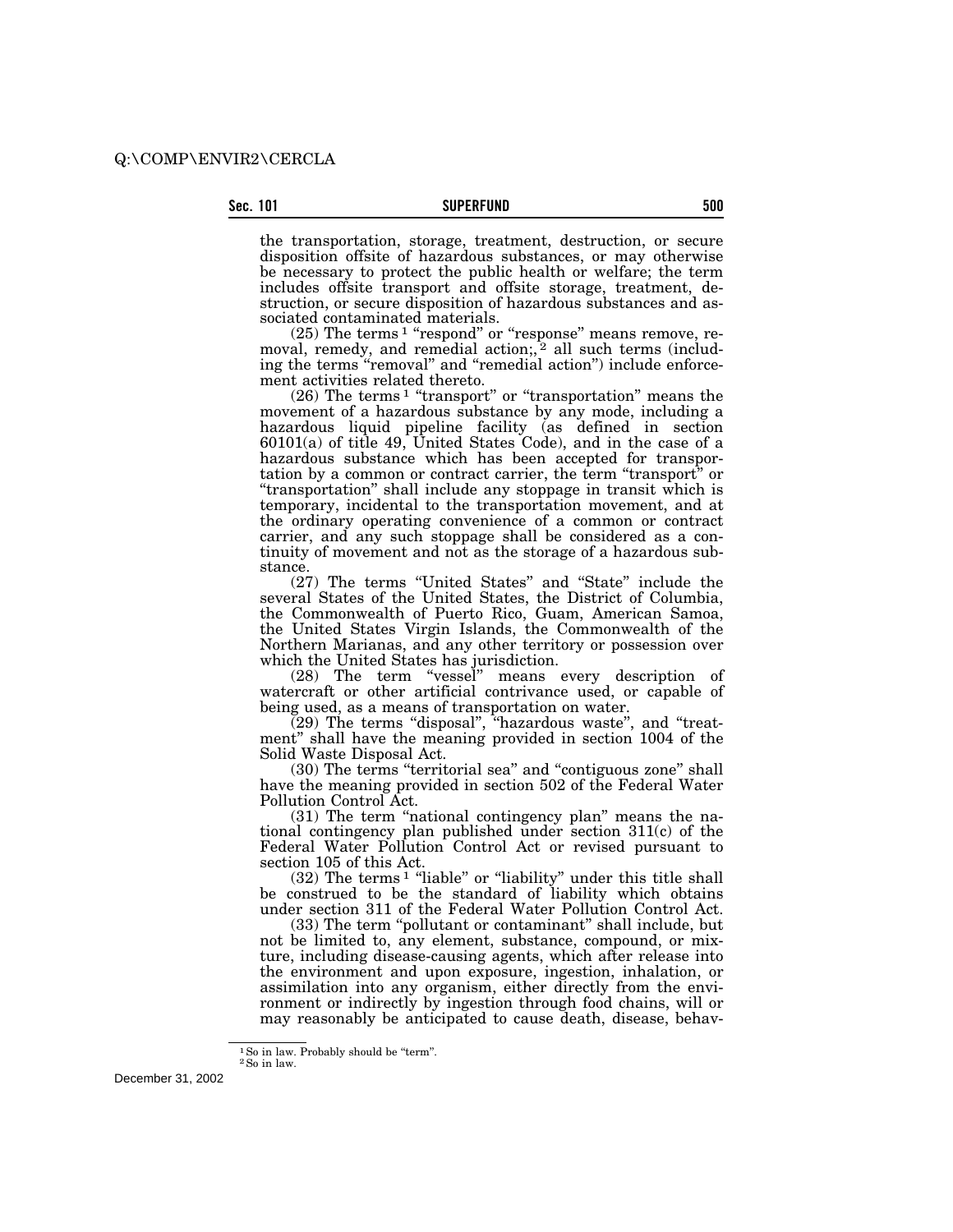the transportation, storage, treatment, destruction, or secure disposition offsite of hazardous substances, or may otherwise be necessary to protect the public health or welfare; the term includes offsite transport and offsite storage, treatment, destruction, or secure disposition of hazardous substances and associated contaminated materials.

(25) The terms <sup>1</sup> "respond" or "response" means remove, removal, remedy, and remedial action;,<sup>2</sup> all such terms (including the terms "removal" and "remedial action") include enforcement activities related thereto.

 $(26)$  The terms<sup>1</sup> "transport" or "transportation" means the movement of a hazardous substance by any mode, including a hazardous liquid pipeline facility (as defined in section 60101(a) of title 49, United States Code), and in the case of a hazardous substance which has been accepted for transportation by a common or contract carrier, the term ''transport'' or ''transportation'' shall include any stoppage in transit which is temporary, incidental to the transportation movement, and at the ordinary operating convenience of a common or contract carrier, and any such stoppage shall be considered as a continuity of movement and not as the storage of a hazardous substance.

(27) The terms ''United States'' and ''State'' include the several States of the United States, the District of Columbia, the Commonwealth of Puerto Rico, Guam, American Samoa, the United States Virgin Islands, the Commonwealth of the Northern Marianas, and any other territory or possession over which the United States has jurisdiction.

(28) The term ''vessel'' means every description of watercraft or other artificial contrivance used, or capable of being used, as a means of transportation on water.

(29) The terms ''disposal'', ''hazardous waste'', and ''treatment'' shall have the meaning provided in section 1004 of the Solid Waste Disposal Act.

(30) The terms ''territorial sea'' and ''contiguous zone'' shall have the meaning provided in section 502 of the Federal Water Pollution Control Act.

(31) The term "national contingency plan" means the national contingency plan published under section 311(c) of the Federal Water Pollution Control Act or revised pursuant to section 105 of this Act.

 $(32)$  The terms <sup>1</sup> "liable" or "liability" under this title shall be construed to be the standard of liability which obtains under section 311 of the Federal Water Pollution Control Act.

(33) The term ''pollutant or contaminant'' shall include, but not be limited to, any element, substance, compound, or mixture, including disease-causing agents, which after release into the environment and upon exposure, ingestion, inhalation, or assimilation into any organism, either directly from the environment or indirectly by ingestion through food chains, will or may reasonably be anticipated to cause death, disease, behav-

<sup>&</sup>lt;sup>1</sup>So in law. Probably should be "term".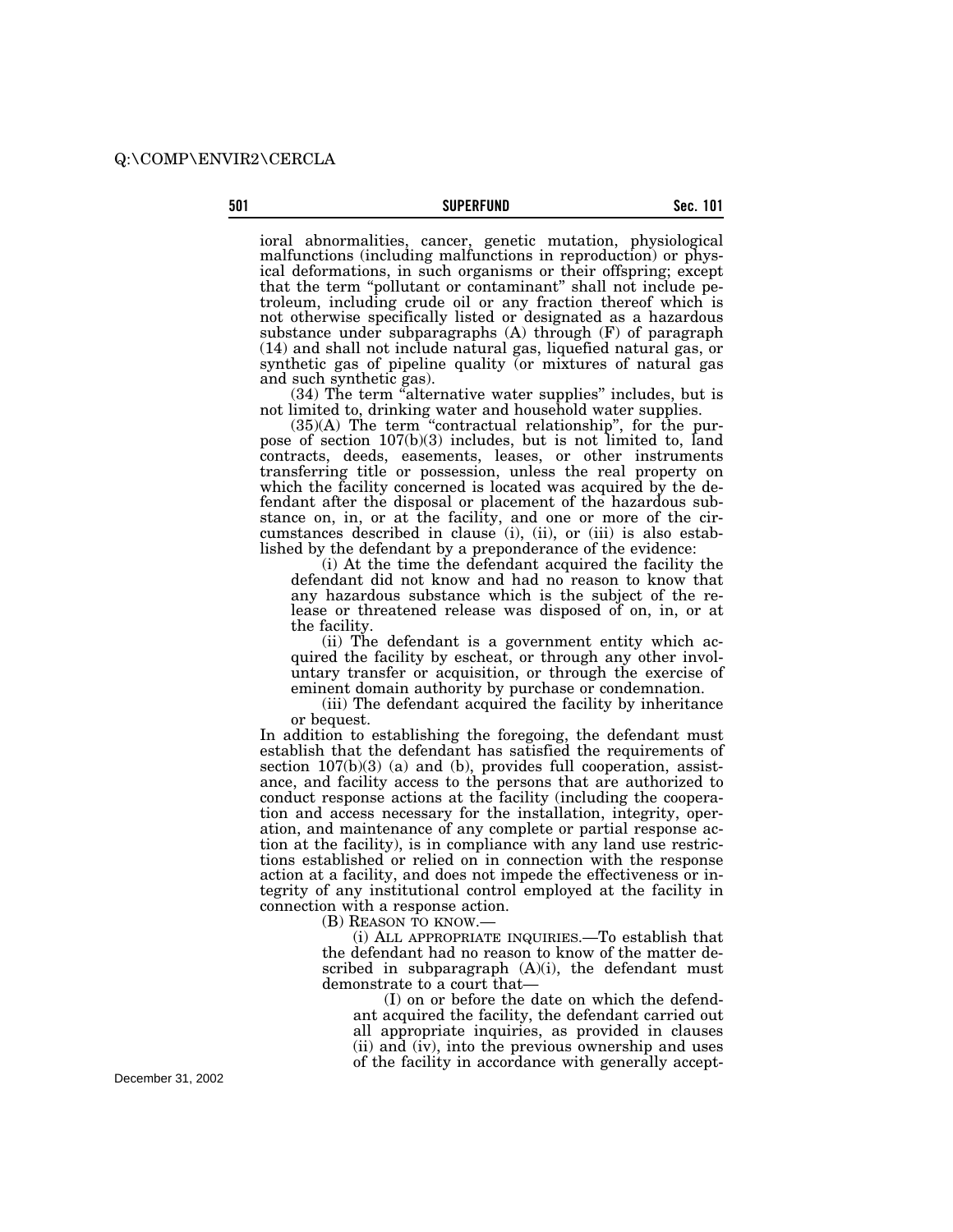ioral abnormalities, cancer, genetic mutation, physiological malfunctions (including malfunctions in reproduction) or physical deformations, in such organisms or their offspring; except that the term "pollutant or contaminant" shall not include petroleum, including crude oil or any fraction thereof which is not otherwise specifically listed or designated as a hazardous substance under subparagraphs (A) through (F) of paragraph (14) and shall not include natural gas, liquefied natural gas, or synthetic gas of pipeline quality (or mixtures of natural gas and such synthetic gas).

(34) The term ''alternative water supplies'' includes, but is not limited to, drinking water and household water supplies.

 $(35)(A)$  The term "contractual relationship", for the purpose of section 107(b)(3) includes, but is not limited to, land contracts, deeds, easements, leases, or other instruments transferring title or possession, unless the real property on which the facility concerned is located was acquired by the defendant after the disposal or placement of the hazardous substance on, in, or at the facility, and one or more of the circumstances described in clause (i), (ii), or (iii) is also established by the defendant by a preponderance of the evidence:

(i) At the time the defendant acquired the facility the defendant did not know and had no reason to know that any hazardous substance which is the subject of the release or threatened release was disposed of on, in, or at the facility.

(ii) The defendant is a government entity which acquired the facility by escheat, or through any other involuntary transfer or acquisition, or through the exercise of eminent domain authority by purchase or condemnation.

(iii) The defendant acquired the facility by inheritance or bequest.

In addition to establishing the foregoing, the defendant must establish that the defendant has satisfied the requirements of section  $107(b)(3)$  (a) and (b), provides full cooperation, assistance, and facility access to the persons that are authorized to conduct response actions at the facility (including the cooperation and access necessary for the installation, integrity, operation, and maintenance of any complete or partial response action at the facility), is in compliance with any land use restrictions established or relied on in connection with the response action at a facility, and does not impede the effectiveness or integrity of any institutional control employed at the facility in connection with a response action.

(B) REASON TO KNOW.—

(i) ALL APPROPRIATE INQUIRIES.—To establish that the defendant had no reason to know of the matter described in subparagraph  $(A)(i)$ , the defendant must demonstrate to a court that-

(I) on or before the date on which the defendant acquired the facility, the defendant carried out all appropriate inquiries, as provided in clauses (ii) and (iv), into the previous ownership and uses of the facility in accordance with generally accept-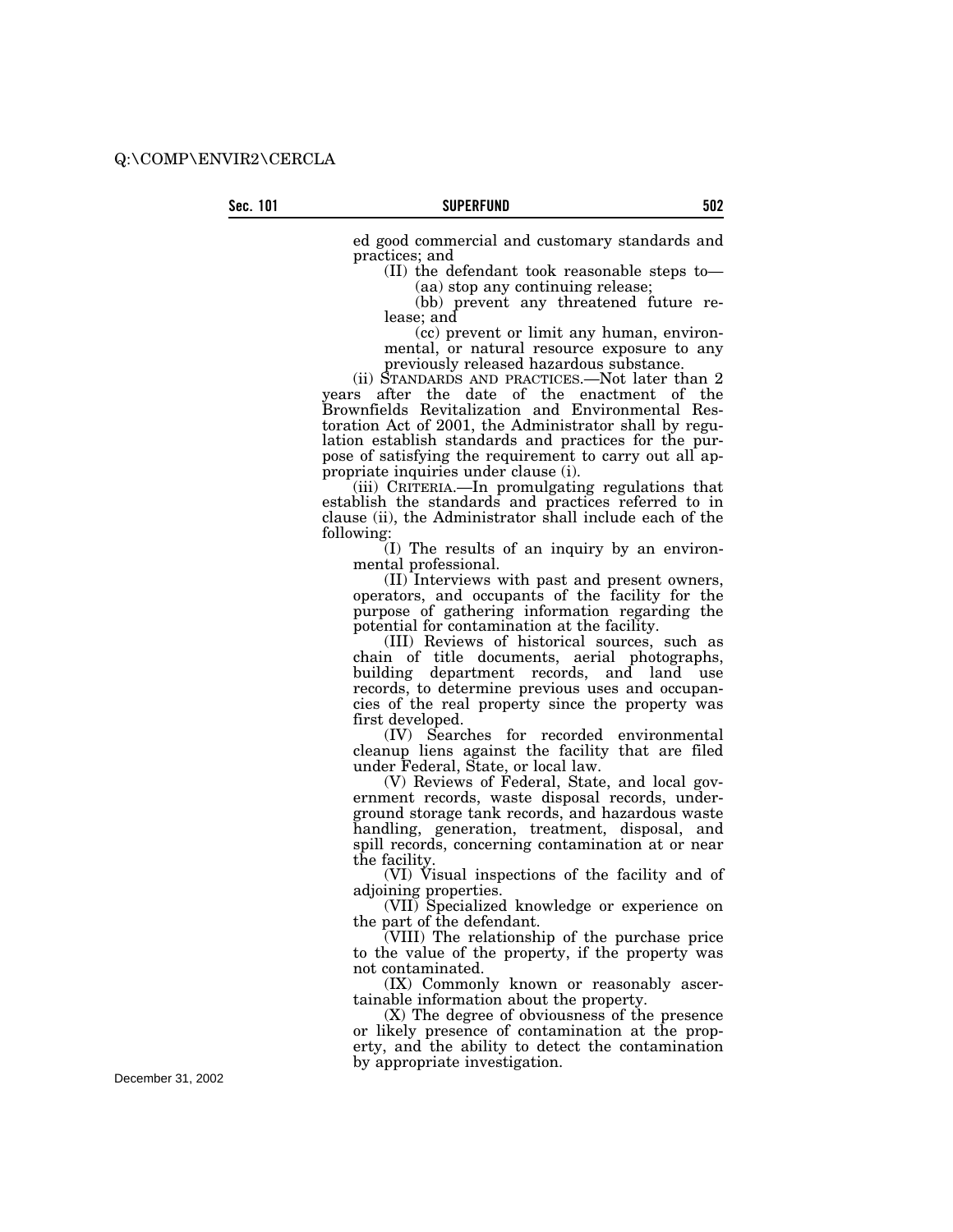ed good commercial and customary standards and practices; and

(II) the defendant took reasonable steps to— (aa) stop any continuing release;

(bb) prevent any threatened future release; and

(cc) prevent or limit any human, environmental, or natural resource exposure to any previously released hazardous substance.

(ii) STANDARDS AND PRACTICES.—Not later than 2 years after the date of the enactment of the Brownfields Revitalization and Environmental Restoration Act of 2001, the Administrator shall by regulation establish standards and practices for the purpose of satisfying the requirement to carry out all appropriate inquiries under clause (i).

(iii) CRITERIA.—In promulgating regulations that establish the standards and practices referred to in clause (ii), the Administrator shall include each of the following:

(I) The results of an inquiry by an environmental professional.

(II) Interviews with past and present owners, operators, and occupants of the facility for the purpose of gathering information regarding the potential for contamination at the facility.

(III) Reviews of historical sources, such as chain of title documents, aerial photographs, building department records, and land use records, to determine previous uses and occupancies of the real property since the property was first developed.

(IV) Searches for recorded environmental cleanup liens against the facility that are filed under Federal, State, or local law.

(V) Reviews of Federal, State, and local government records, waste disposal records, underground storage tank records, and hazardous waste handling, generation, treatment, disposal, and spill records, concerning contamination at or near the facility.

(VI) Visual inspections of the facility and of adjoining properties.

(VII) Specialized knowledge or experience on the part of the defendant.

(VIII) The relationship of the purchase price to the value of the property, if the property was not contaminated.

(IX) Commonly known or reasonably ascertainable information about the property.

(X) The degree of obviousness of the presence or likely presence of contamination at the property, and the ability to detect the contamination by appropriate investigation.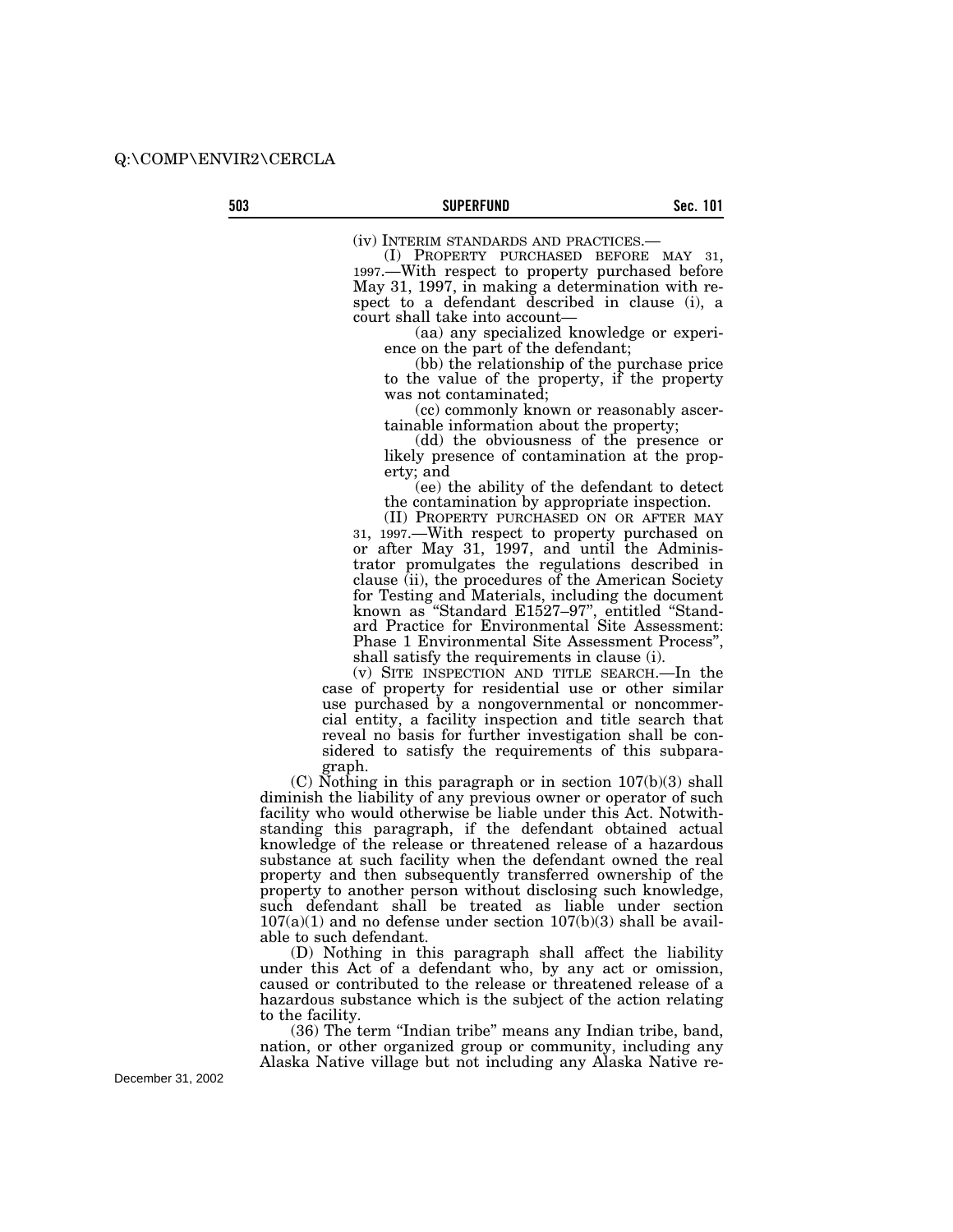(iv) INTERIM STANDARDS AND PRACTICES.— (I) PROPERTY PURCHASED BEFORE MAY 31, 1997.—With respect to property purchased before May 31, 1997, in making a determination with respect to a defendant described in clause (i), a court shall take into account—

(aa) any specialized knowledge or experience on the part of the defendant;

(bb) the relationship of the purchase price to the value of the property, if the property was not contaminated;

(cc) commonly known or reasonably ascertainable information about the property;

(dd) the obviousness of the presence or likely presence of contamination at the property; and

(ee) the ability of the defendant to detect the contamination by appropriate inspection.

(II) PROPERTY PURCHASED ON OR AFTER MAY 31, 1997.—With respect to property purchased on or after May 31, 1997, and until the Administrator promulgates the regulations described in clause (ii), the procedures of the American Society for Testing and Materials, including the document known as ''Standard E1527–97'', entitled ''Standard Practice for Environmental Site Assessment: Phase 1 Environmental Site Assessment Process'', shall satisfy the requirements in clause (i).

(v) SITE INSPECTION AND TITLE SEARCH.—In the case of property for residential use or other similar use purchased by a nongovernmental or noncommercial entity, a facility inspection and title search that reveal no basis for further investigation shall be considered to satisfy the requirements of this subparagraph.

(C) Nothing in this paragraph or in section 107(b)(3) shall diminish the liability of any previous owner or operator of such facility who would otherwise be liable under this Act. Notwithstanding this paragraph, if the defendant obtained actual knowledge of the release or threatened release of a hazardous substance at such facility when the defendant owned the real property and then subsequently transferred ownership of the property to another person without disclosing such knowledge, such defendant shall be treated as liable under section  $107(a)(1)$  and no defense under section  $107(b)(3)$  shall be available to such defendant.

(D) Nothing in this paragraph shall affect the liability under this Act of a defendant who, by any act or omission, caused or contributed to the release or threatened release of a hazardous substance which is the subject of the action relating to the facility.

(36) The term ''Indian tribe'' means any Indian tribe, band, nation, or other organized group or community, including any Alaska Native village but not including any Alaska Native re-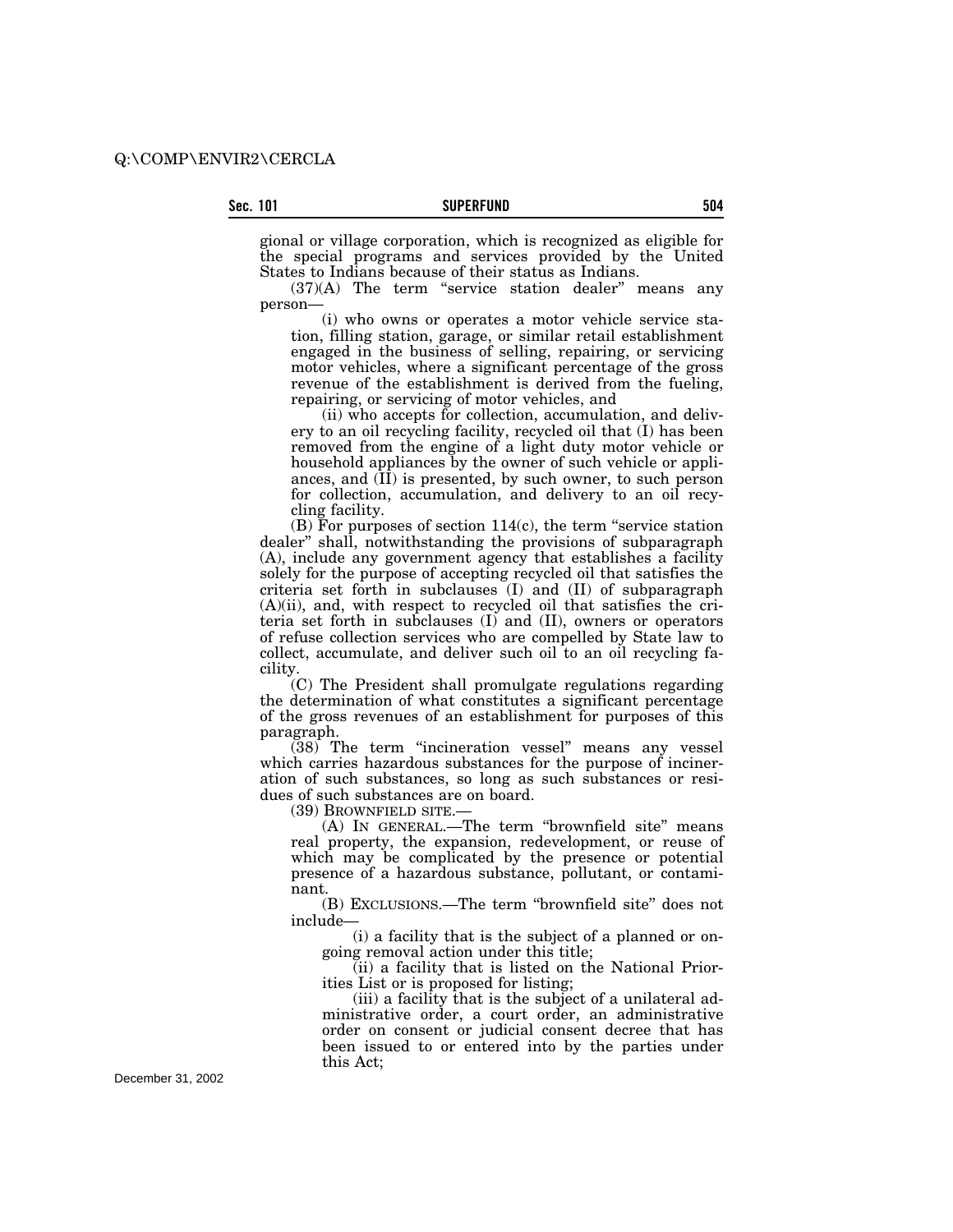gional or village corporation, which is recognized as eligible for the special programs and services provided by the United States to Indians because of their status as Indians.

(37)(A) The term ''service station dealer'' means any person—

(i) who owns or operates a motor vehicle service station, filling station, garage, or similar retail establishment engaged in the business of selling, repairing, or servicing motor vehicles, where a significant percentage of the gross revenue of the establishment is derived from the fueling, repairing, or servicing of motor vehicles, and

(ii) who accepts for collection, accumulation, and delivery to an oil recycling facility, recycled oil that (I) has been removed from the engine of a light duty motor vehicle or household appliances by the owner of such vehicle or appliances, and (II) is presented, by such owner, to such person for collection, accumulation, and delivery to an oil recycling facility.

 $(B)$  For purposes of section 114 $(c)$ , the term "service station" dealer'' shall, notwithstanding the provisions of subparagraph (A), include any government agency that establishes a facility solely for the purpose of accepting recycled oil that satisfies the criteria set forth in subclauses (I) and (II) of subparagraph (A)(ii), and, with respect to recycled oil that satisfies the criteria set forth in subclauses (I) and (II), owners or operators of refuse collection services who are compelled by State law to collect, accumulate, and deliver such oil to an oil recycling facility.

(C) The President shall promulgate regulations regarding the determination of what constitutes a significant percentage of the gross revenues of an establishment for purposes of this paragraph.

 $(38)$  The term "incineration vessel" means any vessel which carries hazardous substances for the purpose of incineration of such substances, so long as such substances or residues of such substances are on board.

(39) BROWNFIELD SITE.—

(A) IN GENERAL.—The term ''brownfield site'' means real property, the expansion, redevelopment, or reuse of which may be complicated by the presence or potential presence of a hazardous substance, pollutant, or contaminant.

(B) EXCLUSIONS.—The term ''brownfield site'' does not include—

(i) a facility that is the subject of a planned or ongoing removal action under this title;

(ii) a facility that is listed on the National Priorities List or is proposed for listing;

(iii) a facility that is the subject of a unilateral administrative order, a court order, an administrative order on consent or judicial consent decree that has been issued to or entered into by the parties under this Act;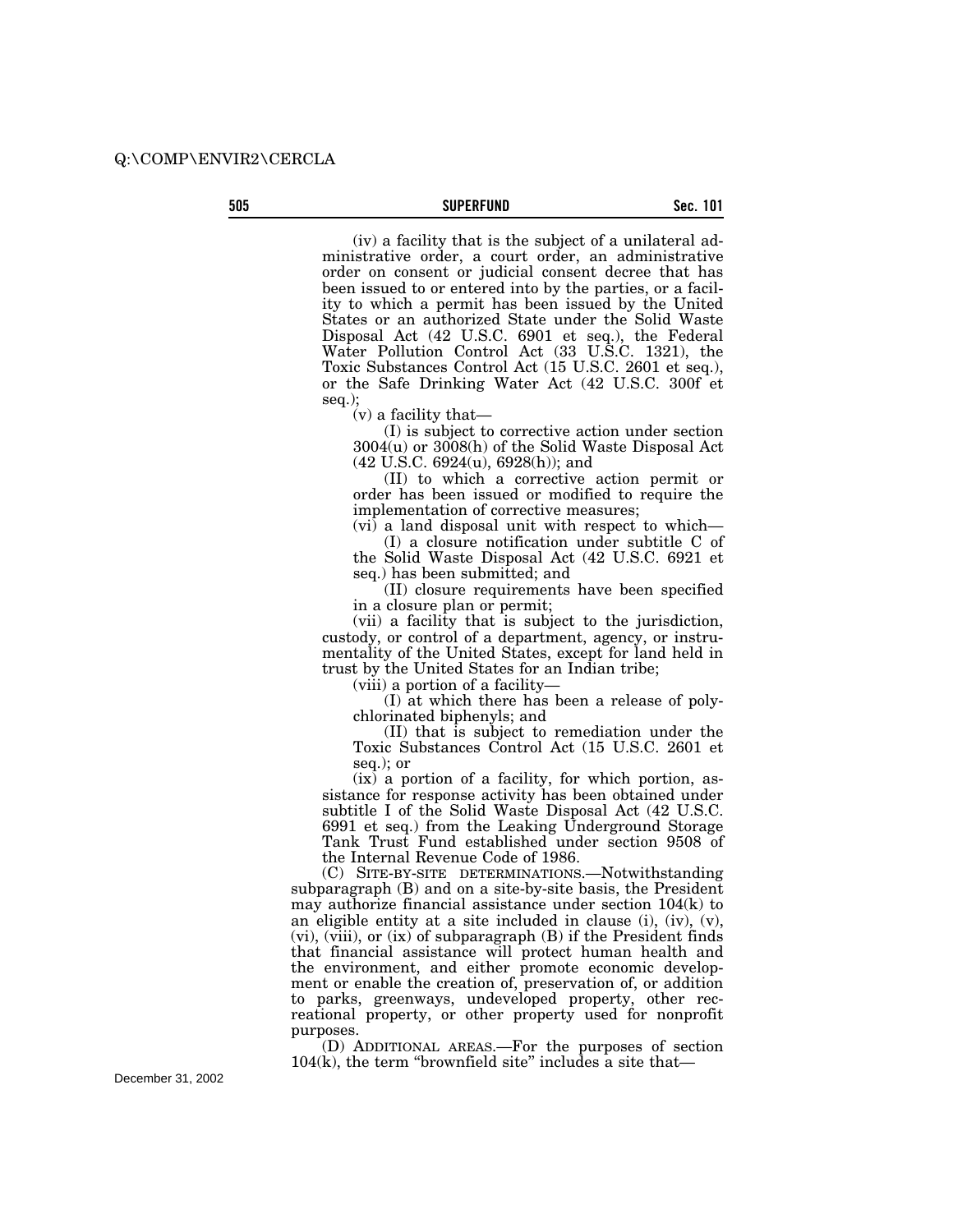### **505 Sec. 101 SUPERFUND**

(iv) a facility that is the subject of a unilateral administrative order, a court order, an administrative order on consent or judicial consent decree that has been issued to or entered into by the parties, or a facility to which a permit has been issued by the United States or an authorized State under the Solid Waste Disposal Act (42 U.S.C. 6901 et seq.), the Federal Water Pollution Control Act (33 U.S.C. 1321), the Toxic Substances Control Act (15 U.S.C. 2601 et seq.), or the Safe Drinking Water Act (42 U.S.C. 300f et seq.);

(v) a facility that—

(I) is subject to corrective action under section 3004(u) or 3008(h) of the Solid Waste Disposal Act (42 U.S.C. 6924(u), 6928(h)); and

(II) to which a corrective action permit or order has been issued or modified to require the implementation of corrective measures;

(vi) a land disposal unit with respect to which—

(I) a closure notification under subtitle C of the Solid Waste Disposal Act (42 U.S.C. 6921 et seq.) has been submitted; and

(II) closure requirements have been specified in a closure plan or permit;

(vii) a facility that is subject to the jurisdiction, custody, or control of a department, agency, or instrumentality of the United States, except for land held in trust by the United States for an Indian tribe;

(viii) a portion of a facility—

(I) at which there has been a release of polychlorinated biphenyls; and

(II) that is subject to remediation under the Toxic Substances Control Act (15 U.S.C. 2601 et seq.); or

 $(ix)$  a portion of a facility, for which portion, assistance for response activity has been obtained under subtitle I of the Solid Waste Disposal Act (42 U.S.C. 6991 et seq.) from the Leaking Underground Storage Tank Trust Fund established under section 9508 of the Internal Revenue Code of 1986.

(C) SITE-BY-SITE DETERMINATIONS.—Notwithstanding subparagraph (B) and on a site-by-site basis, the President may authorize financial assistance under section 104(k) to an eligible entity at a site included in clause  $(i)$ ,  $(iv)$ ,  $(v)$ , (vi), (viii), or (ix) of subparagraph (B) if the President finds that financial assistance will protect human health and the environment, and either promote economic development or enable the creation of, preservation of, or addition to parks, greenways, undeveloped property, other recreational property, or other property used for nonprofit purposes.

(D) ADDITIONAL AREAS.—For the purposes of section 104(k), the term ''brownfield site'' includes a site that—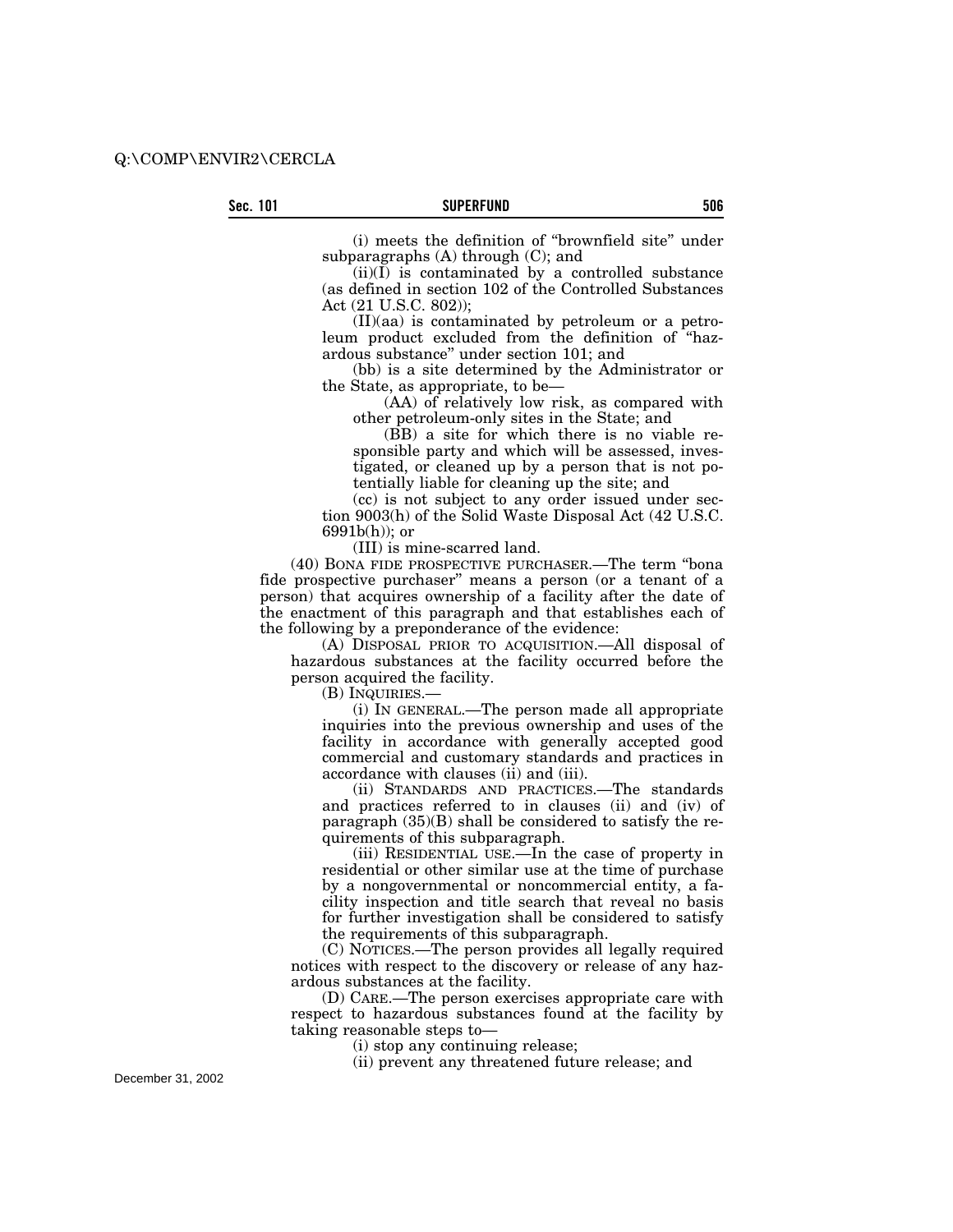(i) meets the definition of ''brownfield site'' under subparagraphs (A) through (C); and

 $(ii)(I)$  is contaminated by a controlled substance (as defined in section 102 of the Controlled Substances Act (21 U.S.C. 802));

(II)(aa) is contaminated by petroleum or a petroleum product excluded from the definition of ''hazardous substance'' under section 101; and

(bb) is a site determined by the Administrator or the State, as appropriate, to be—

(AA) of relatively low risk, as compared with other petroleum-only sites in the State; and

(BB) a site for which there is no viable responsible party and which will be assessed, investigated, or cleaned up by a person that is not potentially liable for cleaning up the site; and

(cc) is not subject to any order issued under section 9003(h) of the Solid Waste Disposal Act (42 U.S.C. 6991b(h)); or

(III) is mine-scarred land.

(40) BONA FIDE PROSPECTIVE PURCHASER.—The term ''bona fide prospective purchaser'' means a person (or a tenant of a person) that acquires ownership of a facility after the date of the enactment of this paragraph and that establishes each of the following by a preponderance of the evidence:

(A) DISPOSAL PRIOR TO ACQUISITION.—All disposal of hazardous substances at the facility occurred before the person acquired the facility.

(B) INQUIRIES.—

(i) IN GENERAL.—The person made all appropriate inquiries into the previous ownership and uses of the facility in accordance with generally accepted good commercial and customary standards and practices in accordance with clauses (ii) and (iii).

(ii) STANDARDS AND PRACTICES.—The standards and practices referred to in clauses (ii) and (iv) of paragraph (35)(B) shall be considered to satisfy the requirements of this subparagraph.

(iii) RESIDENTIAL USE.—In the case of property in residential or other similar use at the time of purchase by a nongovernmental or noncommercial entity, a facility inspection and title search that reveal no basis for further investigation shall be considered to satisfy the requirements of this subparagraph.

(C) NOTICES.—The person provides all legally required notices with respect to the discovery or release of any hazardous substances at the facility.

(D) CARE.—The person exercises appropriate care with respect to hazardous substances found at the facility by taking reasonable steps to—

(i) stop any continuing release;

(ii) prevent any threatened future release; and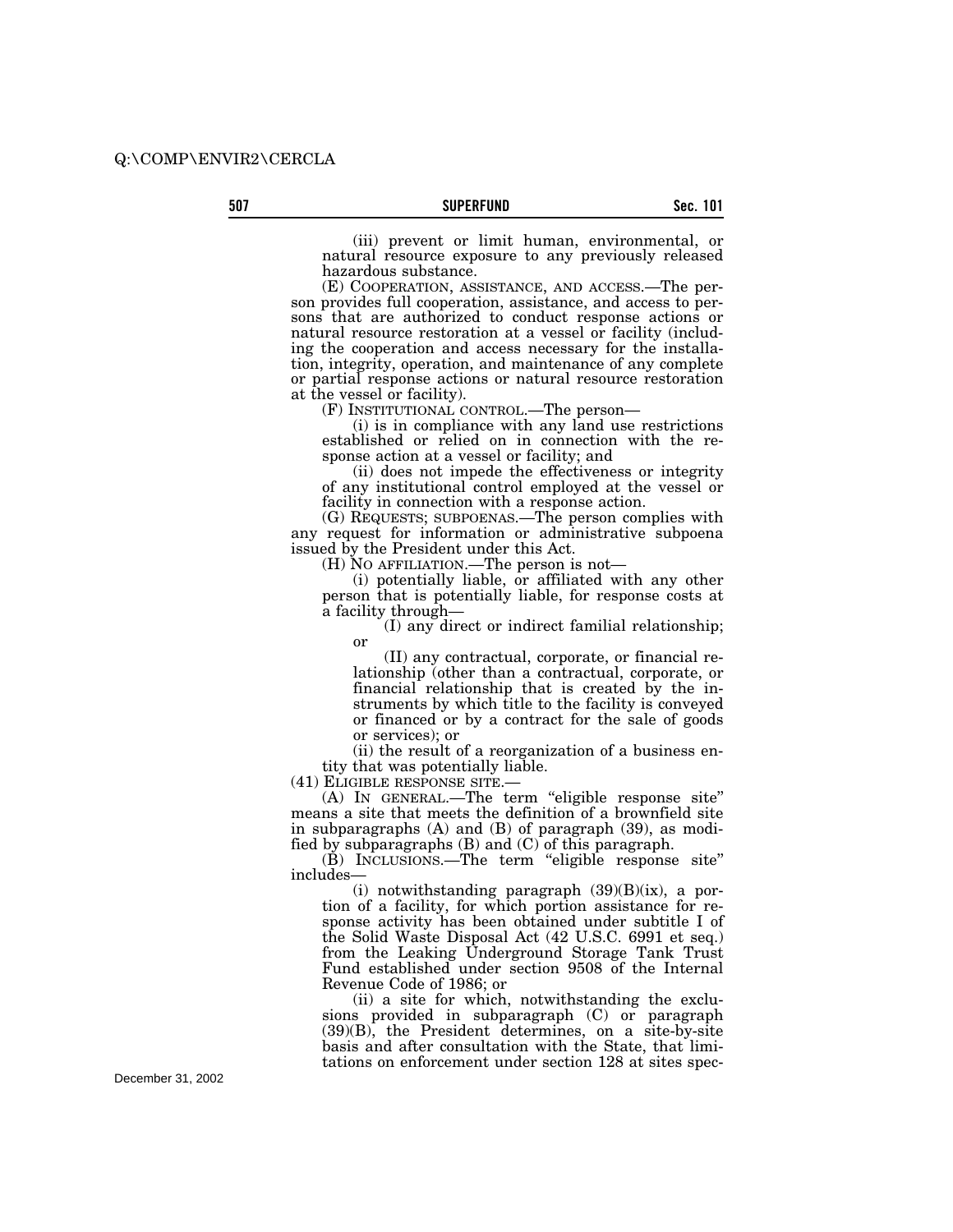(iii) prevent or limit human, environmental, or natural resource exposure to any previously released hazardous substance.

(E) COOPERATION, ASSISTANCE, AND ACCESS.—The person provides full cooperation, assistance, and access to persons that are authorized to conduct response actions or natural resource restoration at a vessel or facility (including the cooperation and access necessary for the installation, integrity, operation, and maintenance of any complete or partial response actions or natural resource restoration at the vessel or facility).

(F) INSTITUTIONAL CONTROL.—The person—

(i) is in compliance with any land use restrictions established or relied on in connection with the response action at a vessel or facility; and

(ii) does not impede the effectiveness or integrity of any institutional control employed at the vessel or facility in connection with a response action.

(G) REQUESTS; SUBPOENAS.—The person complies with any request for information or administrative subpoena issued by the President under this Act.

(H) NO AFFILIATION.—The person is not—

(i) potentially liable, or affiliated with any other person that is potentially liable, for response costs at a facility through—

(I) any direct or indirect familial relationship; or

(II) any contractual, corporate, or financial relationship (other than a contractual, corporate, or financial relationship that is created by the instruments by which title to the facility is conveyed or financed or by a contract for the sale of goods or services); or

(ii) the result of a reorganization of a business entity that was potentially liable.

(41) ELIGIBLE RESPONSE SITE.—

(A) IN GENERAL.—The term ''eligible response site'' means a site that meets the definition of a brownfield site in subparagraphs (A) and (B) of paragraph (39), as modified by subparagraphs (B) and (C) of this paragraph.

(B) INCLUSIONS.—The term ''eligible response site'' includes—

(i) notwithstanding paragraph  $(39)(B)(ix)$ , a portion of a facility, for which portion assistance for response activity has been obtained under subtitle I of the Solid Waste Disposal Act (42 U.S.C. 6991 et seq.) from the Leaking Underground Storage Tank Trust Fund established under section 9508 of the Internal Revenue Code of 1986; or

(ii) a site for which, notwithstanding the exclusions provided in subparagraph (C) or paragraph (39)(B), the President determines, on a site-by-site basis and after consultation with the State, that limitations on enforcement under section 128 at sites spec-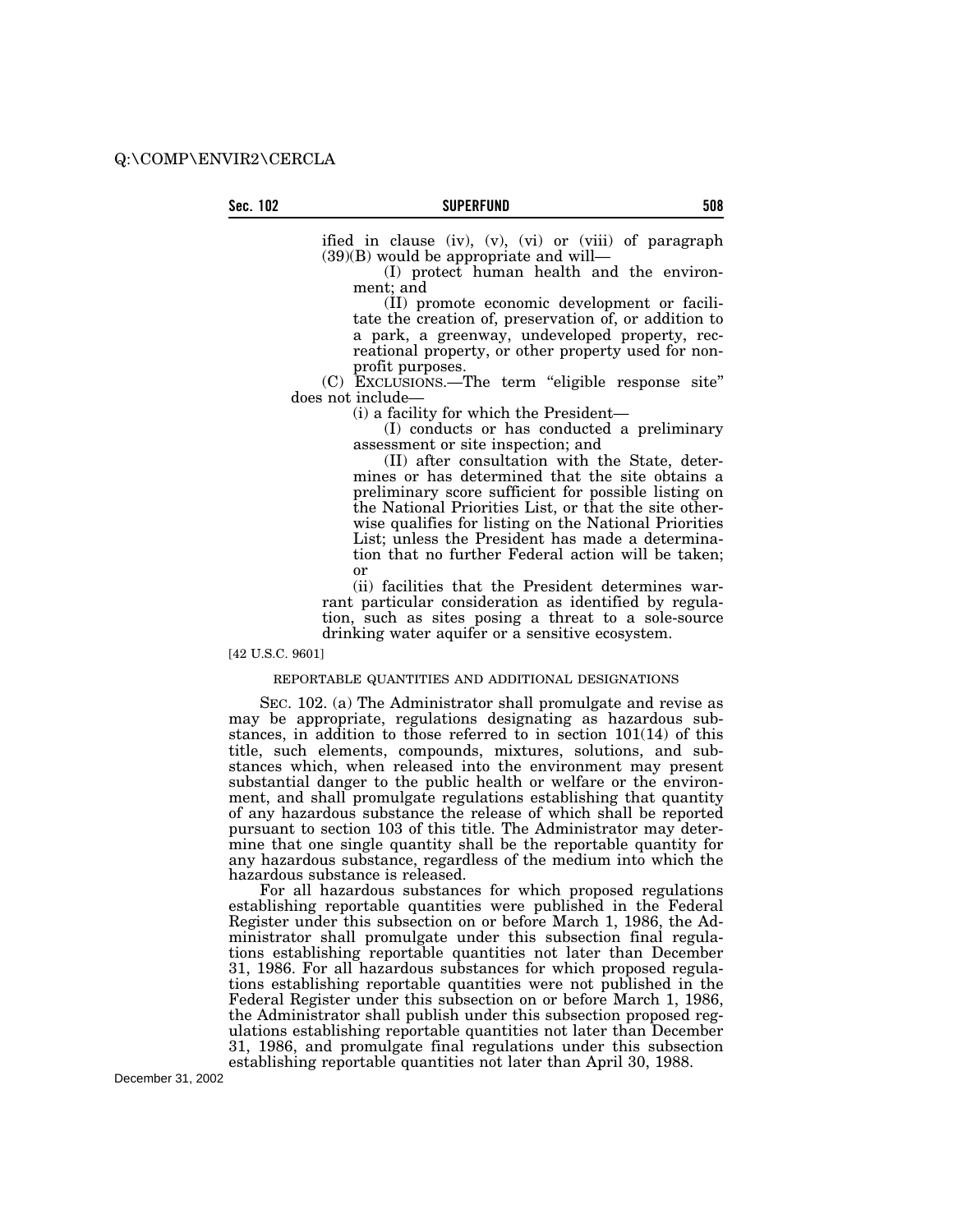ified in clause (iv), (v), (vi) or (viii) of paragraph (39)(B) would be appropriate and will—

(I) protect human health and the environment; and

(II) promote economic development or facilitate the creation of, preservation of, or addition to a park, a greenway, undeveloped property, recreational property, or other property used for nonprofit purposes.

(C) EXCLUSIONS.—The term ''eligible response site'' does not include—

(i) a facility for which the President—

(I) conducts or has conducted a preliminary assessment or site inspection; and

(II) after consultation with the State, determines or has determined that the site obtains a preliminary score sufficient for possible listing on the National Priorities List, or that the site otherwise qualifies for listing on the National Priorities List; unless the President has made a determination that no further Federal action will be taken; or

(ii) facilities that the President determines warrant particular consideration as identified by regulation, such as sites posing a threat to a sole-source drinking water aquifer or a sensitive ecosystem.

[42 U.S.C. 9601]

## REPORTABLE QUANTITIES AND ADDITIONAL DESIGNATIONS

SEC. 102. (a) The Administrator shall promulgate and revise as may be appropriate, regulations designating as hazardous substances, in addition to those referred to in section 101(14) of this title, such elements, compounds, mixtures, solutions, and substances which, when released into the environment may present substantial danger to the public health or welfare or the environment, and shall promulgate regulations establishing that quantity of any hazardous substance the release of which shall be reported pursuant to section 103 of this title. The Administrator may determine that one single quantity shall be the reportable quantity for any hazardous substance, regardless of the medium into which the hazardous substance is released.

For all hazardous substances for which proposed regulations establishing reportable quantities were published in the Federal Register under this subsection on or before March 1, 1986, the Administrator shall promulgate under this subsection final regulations establishing reportable quantities not later than December 31, 1986. For all hazardous substances for which proposed regulations establishing reportable quantities were not published in the Federal Register under this subsection on or before March 1, 1986, the Administrator shall publish under this subsection proposed regulations establishing reportable quantities not later than December 31, 1986, and promulgate final regulations under this subsection establishing reportable quantities not later than April 30, 1988.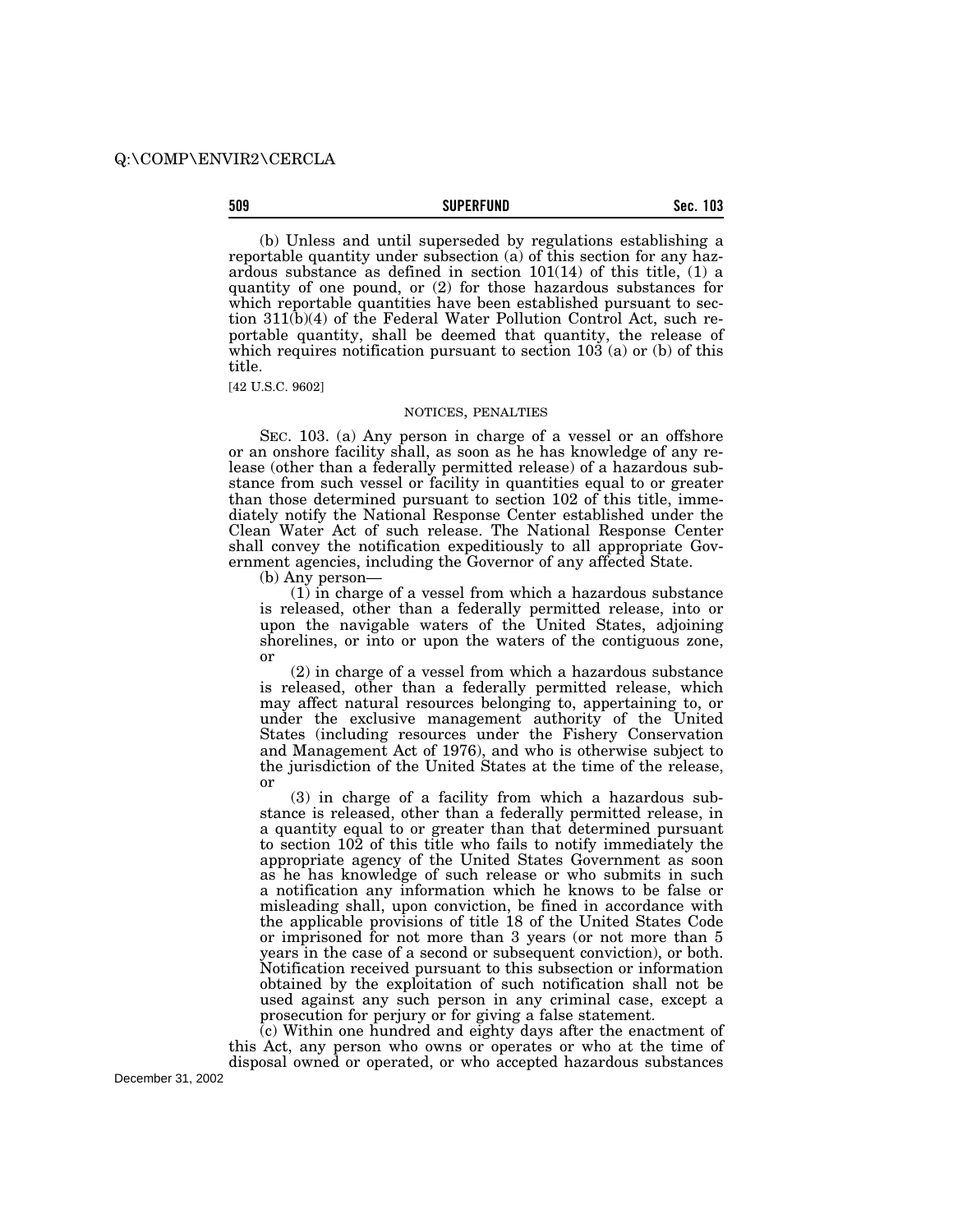## **509 Sec. 103 SUPERFUND**

(b) Unless and until superseded by regulations establishing a reportable quantity under subsection (a) of this section for any hazardous substance as defined in section 101(14) of this title, (1) a quantity of one pound, or (2) for those hazardous substances for which reportable quantities have been established pursuant to section 311(b)(4) of the Federal Water Pollution Control Act, such reportable quantity, shall be deemed that quantity, the release of which requires notification pursuant to section 103 (a) or (b) of this title.

[42 U.S.C. 9602]

### NOTICES, PENALTIES

SEC. 103. (a) Any person in charge of a vessel or an offshore or an onshore facility shall, as soon as he has knowledge of any release (other than a federally permitted release) of a hazardous substance from such vessel or facility in quantities equal to or greater than those determined pursuant to section 102 of this title, immediately notify the National Response Center established under the Clean Water Act of such release. The National Response Center shall convey the notification expeditiously to all appropriate Government agencies, including the Governor of any affected State.

(b) Any person—

(1) in charge of a vessel from which a hazardous substance is released, other than a federally permitted release, into or upon the navigable waters of the United States, adjoining shorelines, or into or upon the waters of the contiguous zone, or

(2) in charge of a vessel from which a hazardous substance is released, other than a federally permitted release, which may affect natural resources belonging to, appertaining to, or under the exclusive management authority of the United States (including resources under the Fishery Conservation and Management Act of 1976), and who is otherwise subject to the jurisdiction of the United States at the time of the release, or

(3) in charge of a facility from which a hazardous substance is released, other than a federally permitted release, in a quantity equal to or greater than that determined pursuant to section 102 of this title who fails to notify immediately the appropriate agency of the United States Government as soon as he has knowledge of such release or who submits in such a notification any information which he knows to be false or misleading shall, upon conviction, be fined in accordance with the applicable provisions of title 18 of the United States Code or imprisoned for not more than 3 years (or not more than 5 years in the case of a second or subsequent conviction), or both. Notification received pursuant to this subsection or information obtained by the exploitation of such notification shall not be used against any such person in any criminal case, except a prosecution for perjury or for giving a false statement.

 $(c)$  Within one hundred and eighty days after the enactment of this Act, any person who owns or operates or who at the time of disposal owned or operated, or who accepted hazardous substances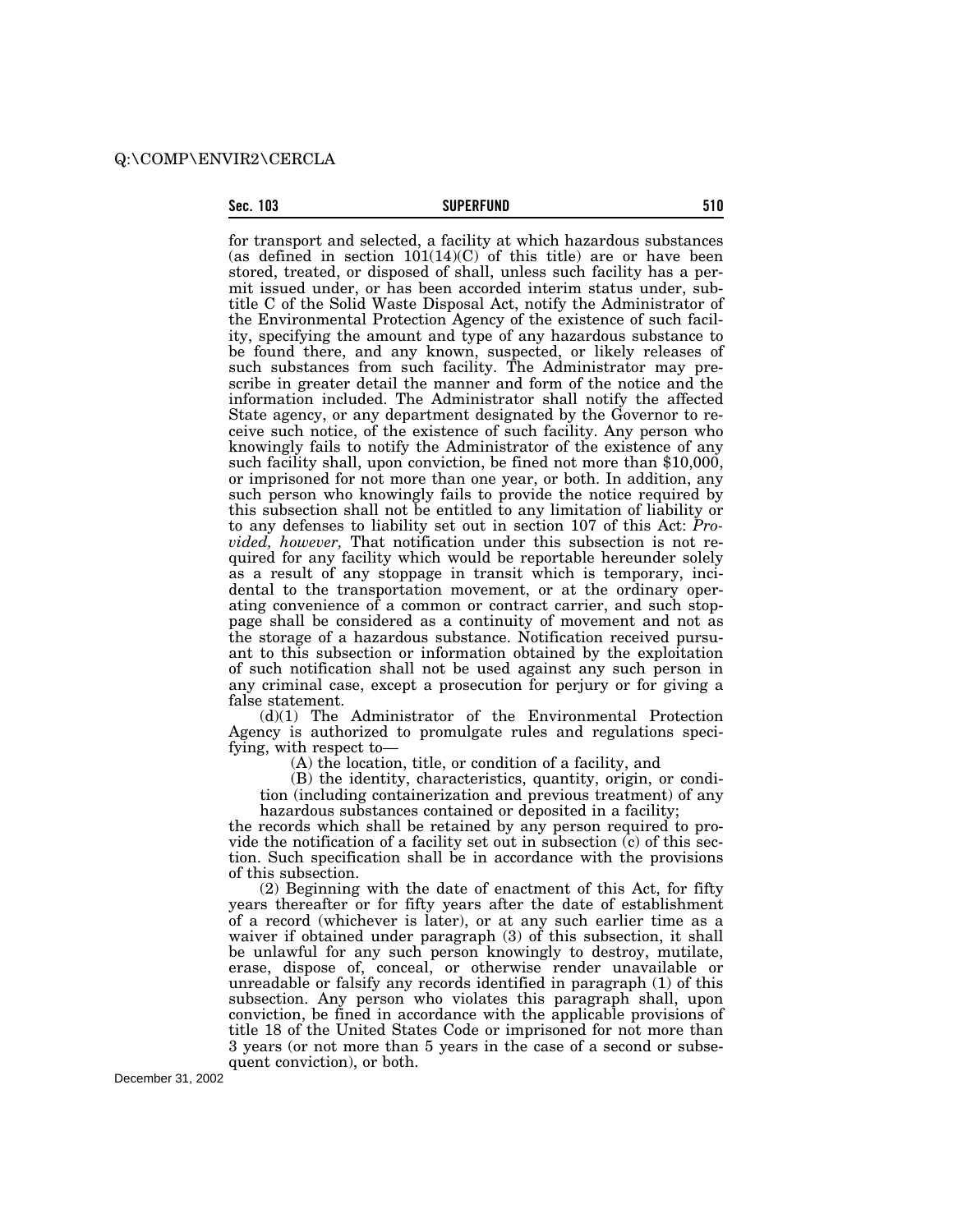## **Sec. 103 SUPERFUND 510**

for transport and selected, a facility at which hazardous substances (as defined in section  $101(14)(C)$  of this title) are or have been stored, treated, or disposed of shall, unless such facility has a permit issued under, or has been accorded interim status under, subtitle C of the Solid Waste Disposal Act, notify the Administrator of the Environmental Protection Agency of the existence of such facility, specifying the amount and type of any hazardous substance to be found there, and any known, suspected, or likely releases of such substances from such facility. The Administrator may prescribe in greater detail the manner and form of the notice and the information included. The Administrator shall notify the affected State agency, or any department designated by the Governor to receive such notice, of the existence of such facility. Any person who knowingly fails to notify the Administrator of the existence of any such facility shall, upon conviction, be fined not more than \$10,000, or imprisoned for not more than one year, or both. In addition, any such person who knowingly fails to provide the notice required by this subsection shall not be entitled to any limitation of liability or to any defenses to liability set out in section 107 of this Act: *Provided, however,* That notification under this subsection is not required for any facility which would be reportable hereunder solely as a result of any stoppage in transit which is temporary, incidental to the transportation movement, or at the ordinary operating convenience of a common or contract carrier, and such stoppage shall be considered as a continuity of movement and not as the storage of a hazardous substance. Notification received pursuant to this subsection or information obtained by the exploitation of such notification shall not be used against any such person in any criminal case, except a prosecution for perjury or for giving a false statement.

(d)(1) The Administrator of the Environmental Protection Agency is authorized to promulgate rules and regulations specifying, with respect to—

(A) the location, title, or condition of a facility, and

(B) the identity, characteristics, quantity, origin, or condition (including containerization and previous treatment) of any hazardous substances contained or deposited in a facility;

the records which shall be retained by any person required to provide the notification of a facility set out in subsection  $(c)$  of this section. Such specification shall be in accordance with the provisions of this subsection.

(2) Beginning with the date of enactment of this Act, for fifty years thereafter or for fifty years after the date of establishment of a record (whichever is later), or at any such earlier time as a waiver if obtained under paragraph (3) of this subsection, it shall be unlawful for any such person knowingly to destroy, mutilate, erase, dispose of, conceal, or otherwise render unavailable or unreadable or falsify any records identified in paragraph (1) of this subsection. Any person who violates this paragraph shall, upon conviction, be fined in accordance with the applicable provisions of title 18 of the United States Code or imprisoned for not more than 3 years (or not more than 5 years in the case of a second or subsequent conviction), or both.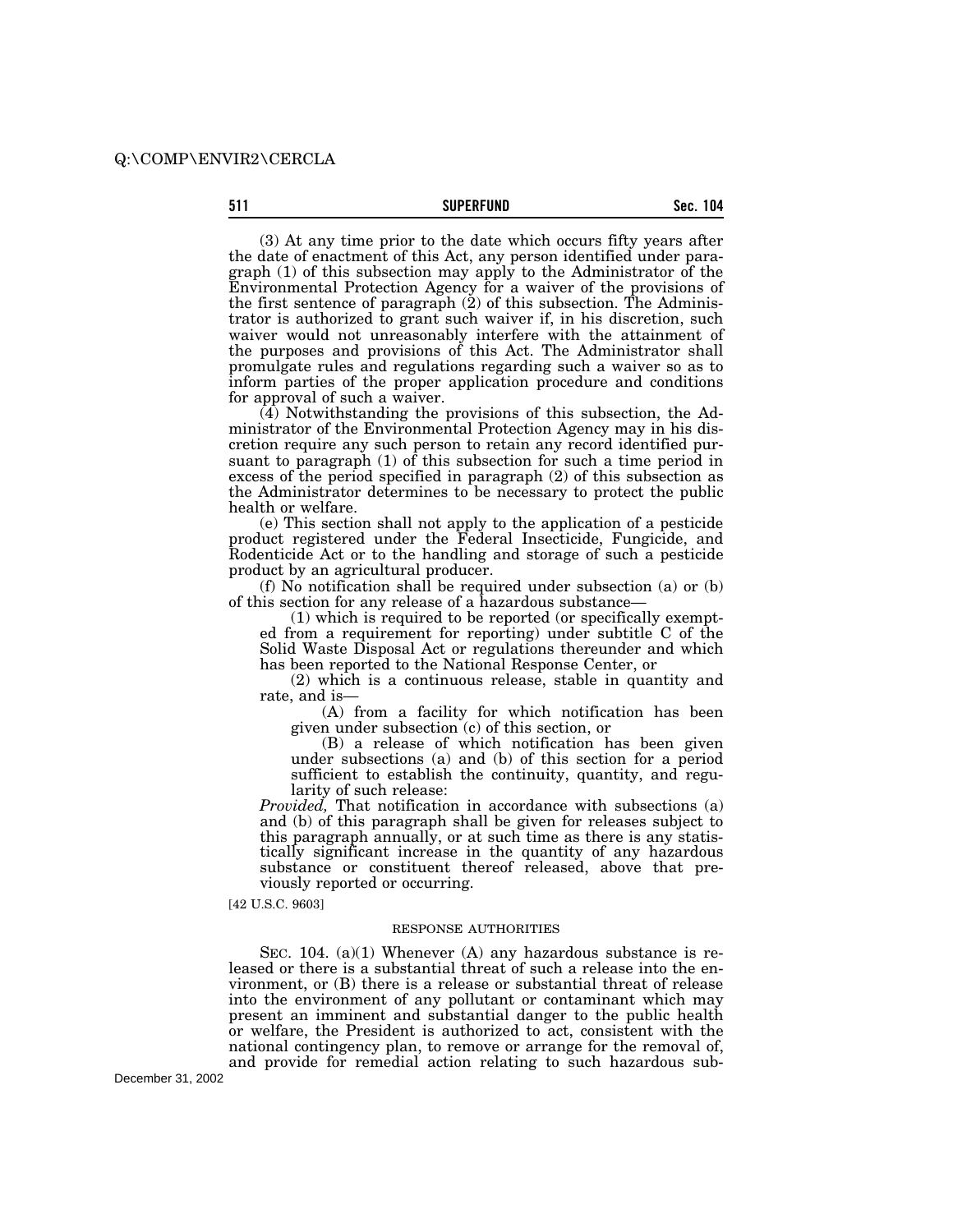## **511 Sec. 104 SUPERFUND**

(3) At any time prior to the date which occurs fifty years after the date of enactment of this Act, any person identified under paragraph (1) of this subsection may apply to the Administrator of the Environmental Protection Agency for a waiver of the provisions of the first sentence of paragraph (2) of this subsection. The Administrator is authorized to grant such waiver if, in his discretion, such waiver would not unreasonably interfere with the attainment of the purposes and provisions of this Act. The Administrator shall promulgate rules and regulations regarding such a waiver so as to inform parties of the proper application procedure and conditions for approval of such a waiver.

 $\overline{(4)}$  Notwithstanding the provisions of this subsection, the Administrator of the Environmental Protection Agency may in his discretion require any such person to retain any record identified pursuant to paragraph (1) of this subsection for such a time period in excess of the period specified in paragraph (2) of this subsection as the Administrator determines to be necessary to protect the public health or welfare.

(e) This section shall not apply to the application of a pesticide product registered under the Federal Insecticide, Fungicide, and Rodenticide Act or to the handling and storage of such a pesticide product by an agricultural producer.

(f) No notification shall be required under subsection (a) or (b) of this section for any release of a hazardous substance—

(1) which is required to be reported (or specifically exempted from a requirement for reporting) under subtitle C of the Solid Waste Disposal Act or regulations thereunder and which has been reported to the National Response Center, or

(2) which is a continuous release, stable in quantity and rate, and is—

(A) from a facility for which notification has been given under subsection (c) of this section, or

(B) a release of which notification has been given under subsections (a) and (b) of this section for a period sufficient to establish the continuity, quantity, and regularity of such release:

*Provided,* That notification in accordance with subsections (a) and (b) of this paragraph shall be given for releases subject to this paragraph annually, or at such time as there is any statistically significant increase in the quantity of any hazardous substance or constituent thereof released, above that previously reported or occurring.

[42 U.S.C. 9603]

#### RESPONSE AUTHORITIES

SEC. 104.  $(a)(1)$  Whenever  $(A)$  any hazardous substance is released or there is a substantial threat of such a release into the environment, or (B) there is a release or substantial threat of release into the environment of any pollutant or contaminant which may present an imminent and substantial danger to the public health or welfare, the President is authorized to act, consistent with the national contingency plan, to remove or arrange for the removal of, and provide for remedial action relating to such hazardous sub-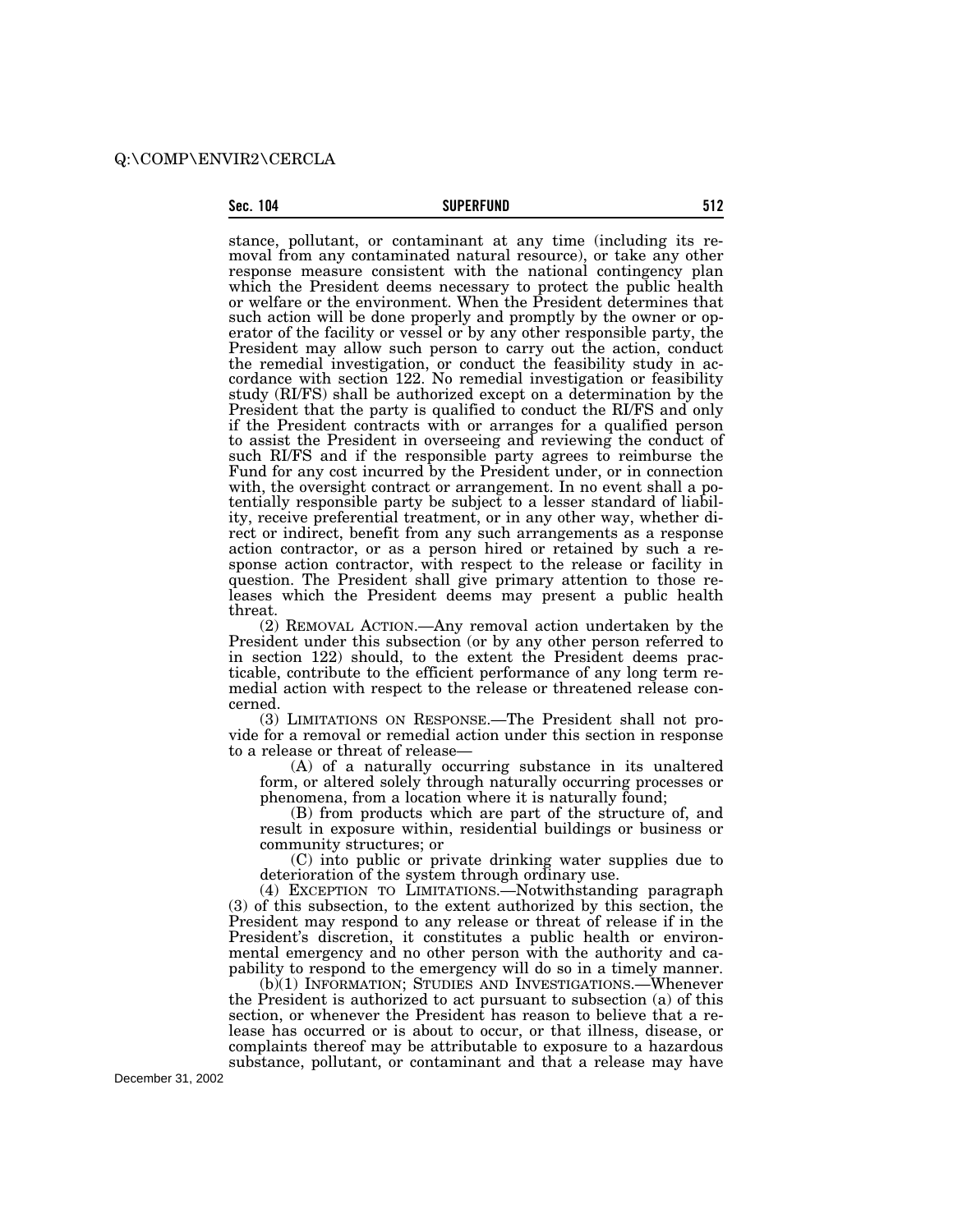## **Sec. 104 SUPERFUND 512**

stance, pollutant, or contaminant at any time (including its removal from any contaminated natural resource), or take any other response measure consistent with the national contingency plan which the President deems necessary to protect the public health or welfare or the environment. When the President determines that such action will be done properly and promptly by the owner or operator of the facility or vessel or by any other responsible party, the President may allow such person to carry out the action, conduct the remedial investigation, or conduct the feasibility study in accordance with section 122. No remedial investigation or feasibility study (RI/FS) shall be authorized except on a determination by the President that the party is qualified to conduct the RI/FS and only if the President contracts with or arranges for a qualified person to assist the President in overseeing and reviewing the conduct of such RI/FS and if the responsible party agrees to reimburse the Fund for any cost incurred by the President under, or in connection with, the oversight contract or arrangement. In no event shall a potentially responsible party be subject to a lesser standard of liability, receive preferential treatment, or in any other way, whether direct or indirect, benefit from any such arrangements as a response action contractor, or as a person hired or retained by such a response action contractor, with respect to the release or facility in question. The President shall give primary attention to those releases which the President deems may present a public health threat.

(2) REMOVAL ACTION.—Any removal action undertaken by the President under this subsection (or by any other person referred to in section 122) should, to the extent the President deems practicable, contribute to the efficient performance of any long term remedial action with respect to the release or threatened release concerned.

(3) LIMITATIONS ON RESPONSE.—The President shall not provide for a removal or remedial action under this section in response to a release or threat of release—

(A) of a naturally occurring substance in its unaltered form, or altered solely through naturally occurring processes or phenomena, from a location where it is naturally found;

(B) from products which are part of the structure of, and result in exposure within, residential buildings or business or community structures; or

(C) into public or private drinking water supplies due to deterioration of the system through ordinary use.

(4) EXCEPTION TO LIMITATIONS.—Notwithstanding paragraph (3) of this subsection, to the extent authorized by this section, the President may respond to any release or threat of release if in the President's discretion, it constitutes a public health or environmental emergency and no other person with the authority and capability to respond to the emergency will do so in a timely manner.

(b)(1) INFORMATION; STUDIES AND INVESTIGATIONS.—Whenever the President is authorized to act pursuant to subsection (a) of this section, or whenever the President has reason to believe that a release has occurred or is about to occur, or that illness, disease, or complaints thereof may be attributable to exposure to a hazardous substance, pollutant, or contaminant and that a release may have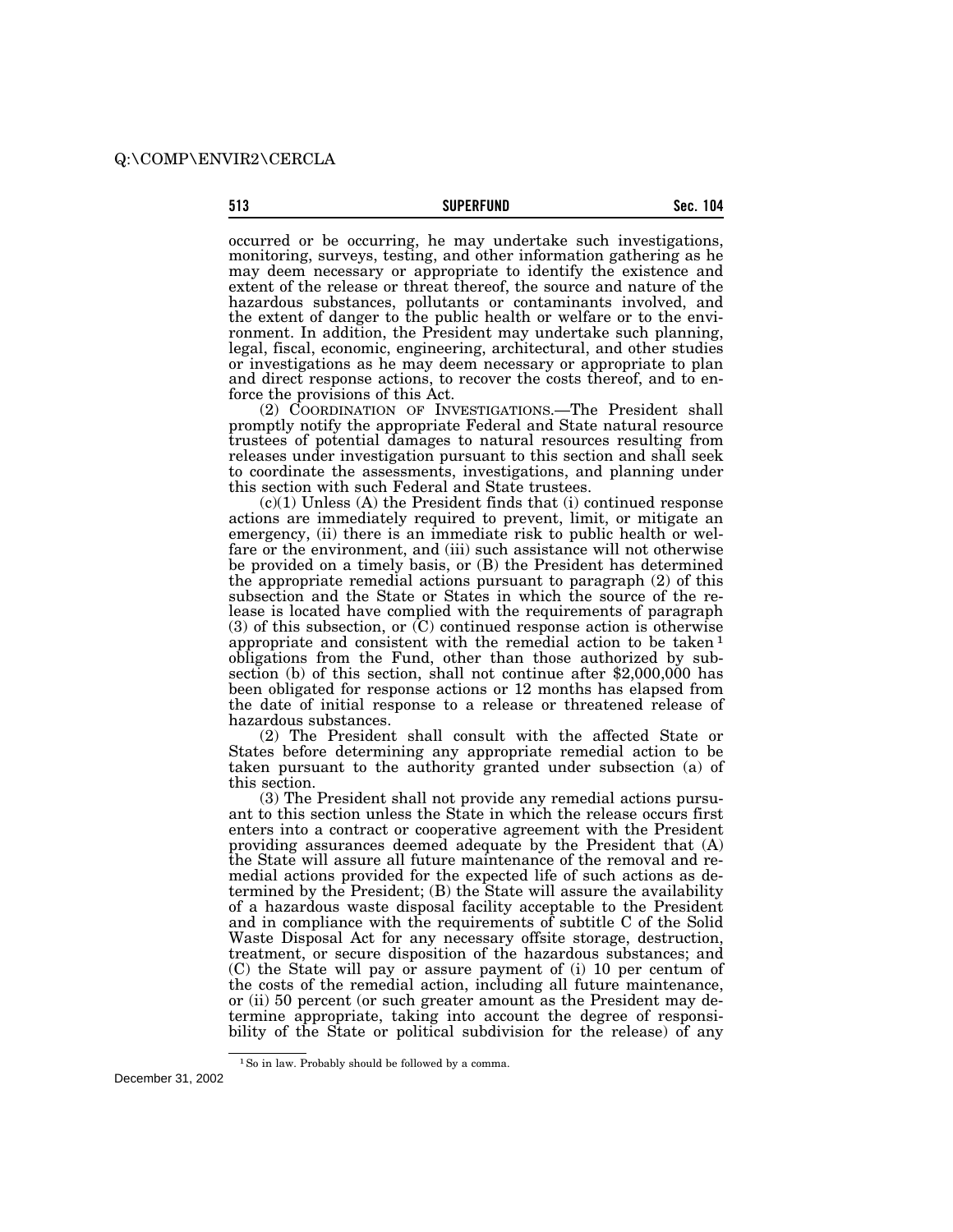occurred or be occurring, he may undertake such investigations, monitoring, surveys, testing, and other information gathering as he may deem necessary or appropriate to identify the existence and extent of the release or threat thereof, the source and nature of the hazardous substances, pollutants or contaminants involved, and the extent of danger to the public health or welfare or to the environment. In addition, the President may undertake such planning, legal, fiscal, economic, engineering, architectural, and other studies or investigations as he may deem necessary or appropriate to plan and direct response actions, to recover the costs thereof, and to enforce the provisions of this Act.

(2) COORDINATION OF INVESTIGATIONS.—The President shall promptly notify the appropriate Federal and State natural resource trustees of potential damages to natural resources resulting from releases under investigation pursuant to this section and shall seek to coordinate the assessments, investigations, and planning under this section with such Federal and State trustees.

 $(c)(1)$  Unless  $(A)$  the President finds that  $(i)$  continued response actions are immediately required to prevent, limit, or mitigate an emergency, (ii) there is an immediate risk to public health or welfare or the environment, and (iii) such assistance will not otherwise be provided on a timely basis, or (B) the President has determined the appropriate remedial actions pursuant to paragraph (2) of this subsection and the State or States in which the source of the release is located have complied with the requirements of paragraph (3) of this subsection, or (C) continued response action is otherwise appropriate and consistent with the remedial action to be taken 1 obligations from the Fund, other than those authorized by subsection (b) of this section, shall not continue after \$2,000,000 has been obligated for response actions or 12 months has elapsed from the date of initial response to a release or threatened release of hazardous substances.

(2) The President shall consult with the affected State or States before determining any appropriate remedial action to be taken pursuant to the authority granted under subsection (a) of this section.

(3) The President shall not provide any remedial actions pursuant to this section unless the State in which the release occurs first enters into a contract or cooperative agreement with the President providing assurances deemed adequate by the President that (A) the State will assure all future maintenance of the removal and remedial actions provided for the expected life of such actions as determined by the President; (B) the State will assure the availability of a hazardous waste disposal facility acceptable to the President and in compliance with the requirements of subtitle C of the Solid Waste Disposal Act for any necessary offsite storage, destruction, treatment, or secure disposition of the hazardous substances; and (C) the State will pay or assure payment of (i) 10 per centum of the costs of the remedial action, including all future maintenance, or (ii) 50 percent (or such greater amount as the President may determine appropriate, taking into account the degree of responsibility of the State or political subdivision for the release) of any

<sup>1</sup>So in law. Probably should be followed by a comma.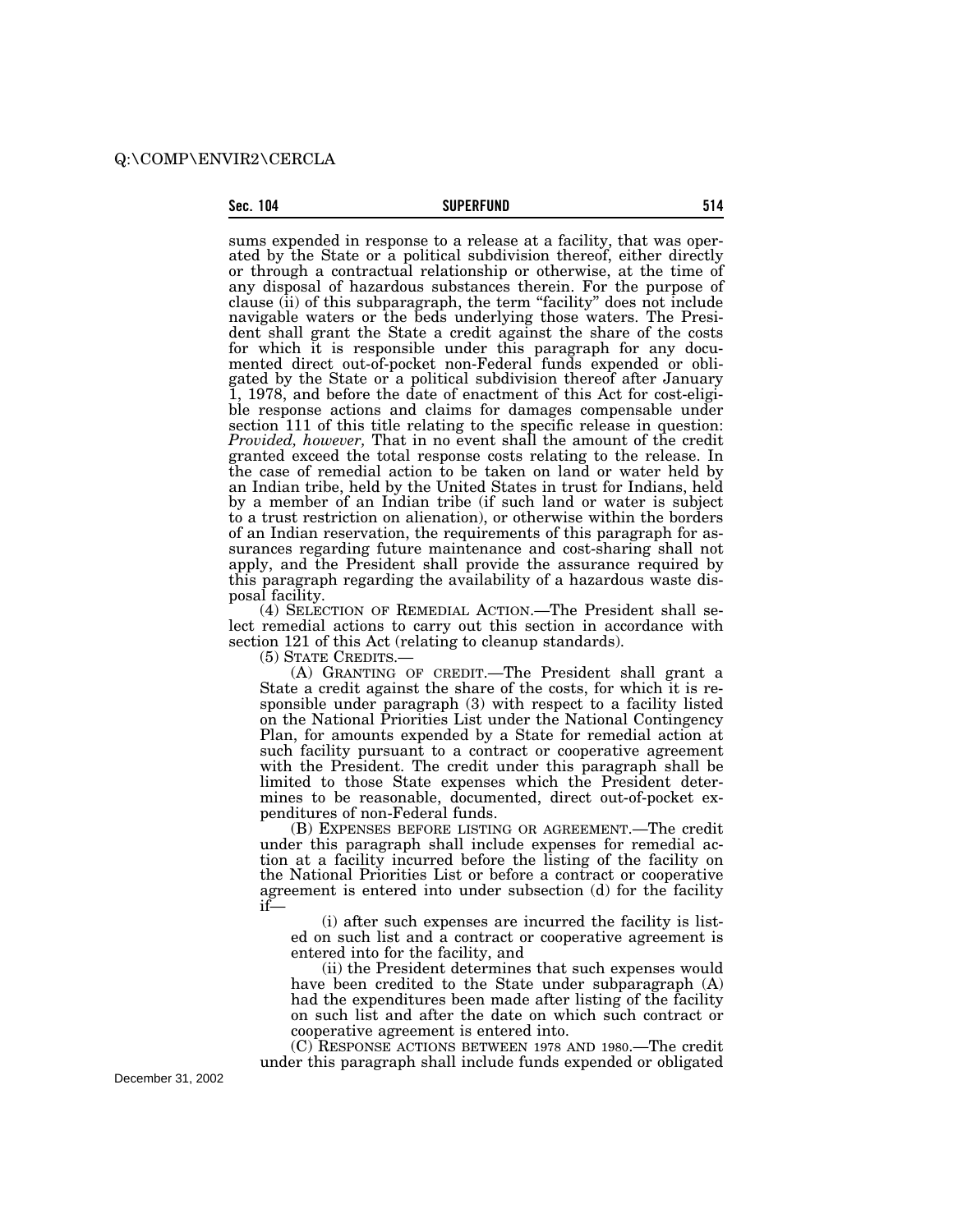## **Sec. 104 SUPERFUND 514**

sums expended in response to a release at a facility, that was operated by the State or a political subdivision thereof, either directly or through a contractual relationship or otherwise, at the time of any disposal of hazardous substances therein. For the purpose of clause (ii) of this subparagraph, the term ''facility'' does not include navigable waters or the beds underlying those waters. The President shall grant the State a credit against the share of the costs for which it is responsible under this paragraph for any documented direct out-of-pocket non-Federal funds expended or obligated by the State or a political subdivision thereof after January 1, 1978, and before the date of enactment of this Act for cost-eligible response actions and claims for damages compensable under section 111 of this title relating to the specific release in question: *Provided, however,* That in no event shall the amount of the credit granted exceed the total response costs relating to the release. In the case of remedial action to be taken on land or water held by an Indian tribe, held by the United States in trust for Indians, held by a member of an Indian tribe (if such land or water is subject to a trust restriction on alienation), or otherwise within the borders of an Indian reservation, the requirements of this paragraph for assurances regarding future maintenance and cost-sharing shall not apply, and the President shall provide the assurance required by this paragraph regarding the availability of a hazardous waste disposal facility.

(4) SELECTION OF REMEDIAL ACTION.—The President shall select remedial actions to carry out this section in accordance with section 121 of this Act (relating to cleanup standards).

(5) STATE CREDITS.—

(A) GRANTING OF CREDIT.—The President shall grant a State a credit against the share of the costs, for which it is responsible under paragraph (3) with respect to a facility listed on the National Priorities List under the National Contingency Plan, for amounts expended by a State for remedial action at such facility pursuant to a contract or cooperative agreement with the President. The credit under this paragraph shall be limited to those State expenses which the President determines to be reasonable, documented, direct out-of-pocket expenditures of non-Federal funds.

(B) EXPENSES BEFORE LISTING OR AGREEMENT.—The credit under this paragraph shall include expenses for remedial action at a facility incurred before the listing of the facility on the National Priorities List or before a contract or cooperative agreement is entered into under subsection (d) for the facility if—

(i) after such expenses are incurred the facility is listed on such list and a contract or cooperative agreement is entered into for the facility, and

(ii) the President determines that such expenses would have been credited to the State under subparagraph (A) had the expenditures been made after listing of the facility on such list and after the date on which such contract or cooperative agreement is entered into.

(C) RESPONSE ACTIONS BETWEEN 1978 AND 1980.—The credit under this paragraph shall include funds expended or obligated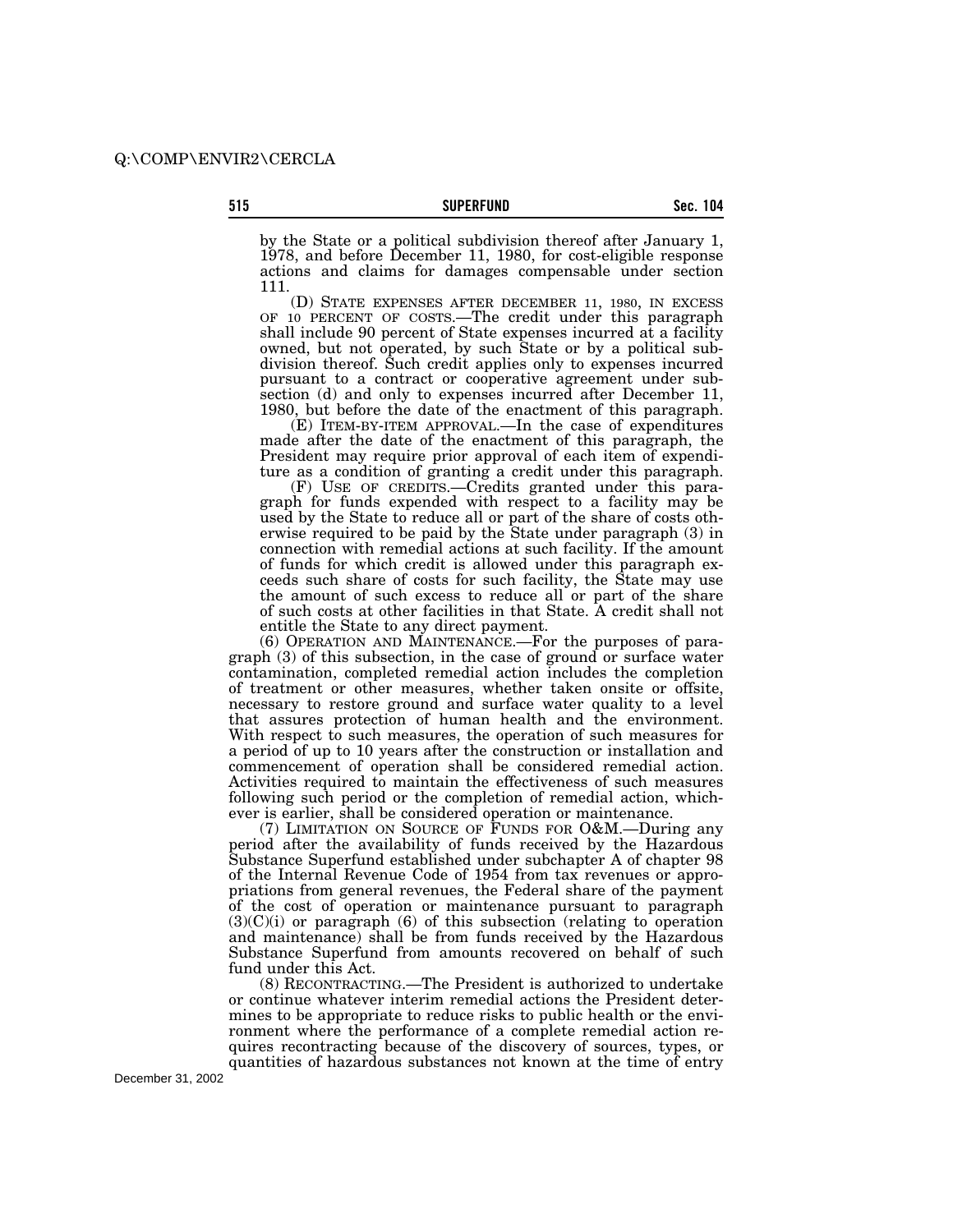by the State or a political subdivision thereof after January 1, 1978, and before December 11, 1980, for cost-eligible response actions and claims for damages compensable under section 111.

(D) STATE EXPENSES AFTER DECEMBER 11, 1980, IN EXCESS OF 10 PERCENT OF COSTS.—The credit under this paragraph shall include 90 percent of State expenses incurred at a facility owned, but not operated, by such State or by a political subdivision thereof. Such credit applies only to expenses incurred pursuant to a contract or cooperative agreement under subsection (d) and only to expenses incurred after December 11, 1980, but before the date of the enactment of this paragraph.

(E) ITEM-BY-ITEM APPROVAL.—In the case of expenditures made after the date of the enactment of this paragraph, the President may require prior approval of each item of expenditure as a condition of granting a credit under this paragraph.

(F) USE OF CREDITS.—Credits granted under this paragraph for funds expended with respect to a facility may be used by the State to reduce all or part of the share of costs otherwise required to be paid by the State under paragraph (3) in connection with remedial actions at such facility. If the amount of funds for which credit is allowed under this paragraph exceeds such share of costs for such facility, the State may use the amount of such excess to reduce all or part of the share of such costs at other facilities in that State. A credit shall not entitle the State to any direct payment.

(6) OPERATION AND MAINTENANCE.—For the purposes of paragraph (3) of this subsection, in the case of ground or surface water contamination, completed remedial action includes the completion of treatment or other measures, whether taken onsite or offsite, necessary to restore ground and surface water quality to a level that assures protection of human health and the environment. With respect to such measures, the operation of such measures for a period of up to 10 years after the construction or installation and commencement of operation shall be considered remedial action. Activities required to maintain the effectiveness of such measures following such period or the completion of remedial action, whichever is earlier, shall be considered operation or maintenance.

(7) LIMITATION ON SOURCE OF FUNDS FOR O&M.—During any period after the availability of funds received by the Hazardous Substance Superfund established under subchapter A of chapter 98 of the Internal Revenue Code of 1954 from tax revenues or appropriations from general revenues, the Federal share of the payment of the cost of operation or maintenance pursuant to paragraph  $(3)(C)(i)$  or paragraph  $(6)$  of this subsection (relating to operation and maintenance) shall be from funds received by the Hazardous Substance Superfund from amounts recovered on behalf of such fund under this Act.

(8) RECONTRACTING.—The President is authorized to undertake or continue whatever interim remedial actions the President determines to be appropriate to reduce risks to public health or the environment where the performance of a complete remedial action requires recontracting because of the discovery of sources, types, or quantities of hazardous substances not known at the time of entry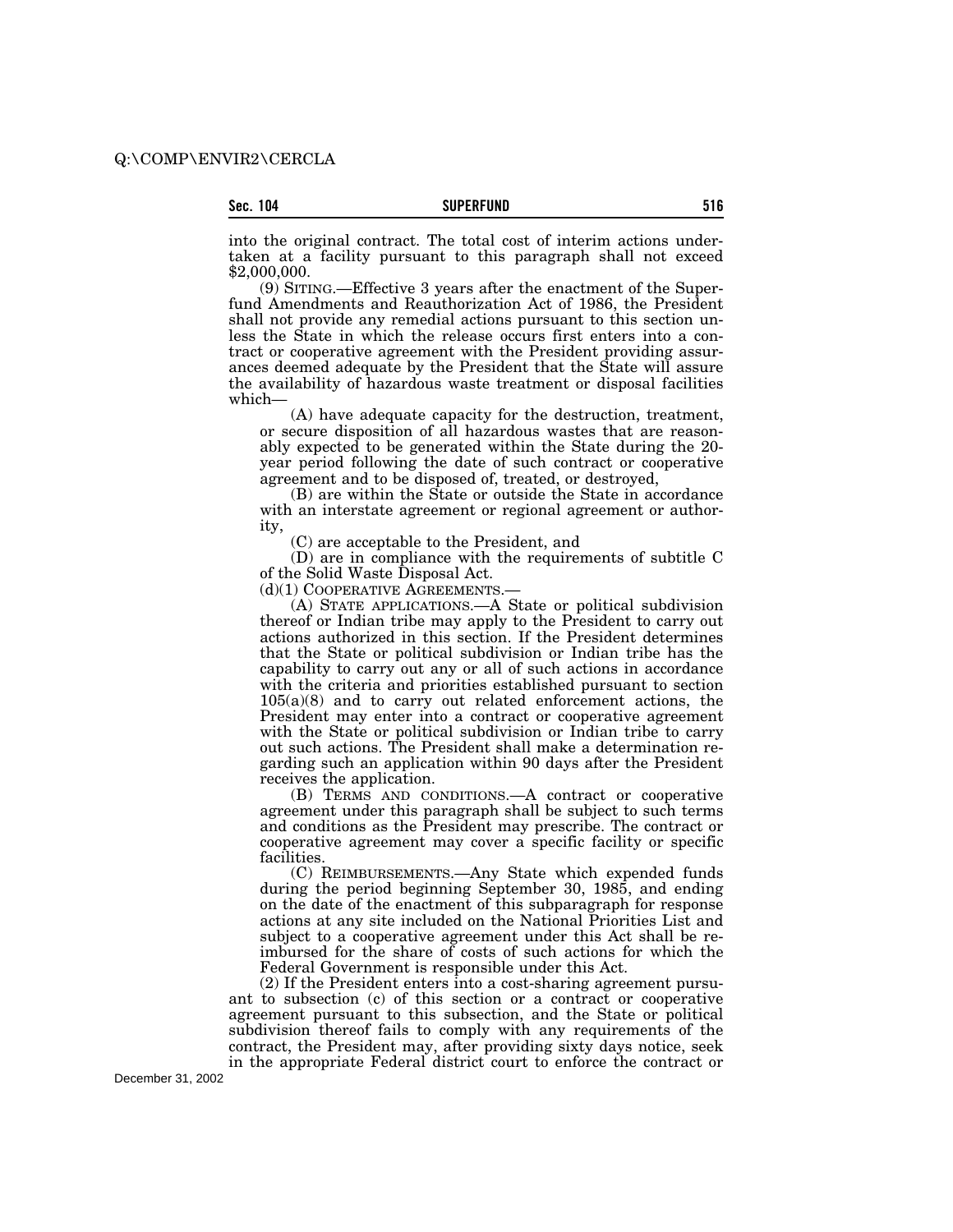into the original contract. The total cost of interim actions undertaken at a facility pursuant to this paragraph shall not exceed \$2,000,000.

(9) SITING.—Effective 3 years after the enactment of the Superfund Amendments and Reauthorization Act of 1986, the President shall not provide any remedial actions pursuant to this section unless the State in which the release occurs first enters into a contract or cooperative agreement with the President providing assurances deemed adequate by the President that the State will assure the availability of hazardous waste treatment or disposal facilities which—

(A) have adequate capacity for the destruction, treatment, or secure disposition of all hazardous wastes that are reasonably expected to be generated within the State during the 20 year period following the date of such contract or cooperative agreement and to be disposed of, treated, or destroyed,

(B) are within the State or outside the State in accordance with an interstate agreement or regional agreement or authority,

(C) are acceptable to the President, and

(D) are in compliance with the requirements of subtitle C of the Solid Waste Disposal Act.

 $(d)(1)$  COOPERATIVE AGREEMENTS.

(A) STATE APPLICATIONS.—A State or political subdivision thereof or Indian tribe may apply to the President to carry out actions authorized in this section. If the President determines that the State or political subdivision or Indian tribe has the capability to carry out any or all of such actions in accordance with the criteria and priorities established pursuant to section 105(a)(8) and to carry out related enforcement actions, the President may enter into a contract or cooperative agreement with the State or political subdivision or Indian tribe to carry out such actions. The President shall make a determination regarding such an application within 90 days after the President receives the application.

(B) TERMS AND CONDITIONS.—A contract or cooperative agreement under this paragraph shall be subject to such terms and conditions as the President may prescribe. The contract or cooperative agreement may cover a specific facility or specific facilities.

(C) REIMBURSEMENTS.—Any State which expended funds during the period beginning September 30, 1985, and ending on the date of the enactment of this subparagraph for response actions at any site included on the National Priorities List and subject to a cooperative agreement under this Act shall be reimbursed for the share of costs of such actions for which the Federal Government is responsible under this Act.

(2) If the President enters into a cost-sharing agreement pursuant to subsection (c) of this section or a contract or cooperative agreement pursuant to this subsection, and the State or political subdivision thereof fails to comply with any requirements of the contract, the President may, after providing sixty days notice, seek in the appropriate Federal district court to enforce the contract or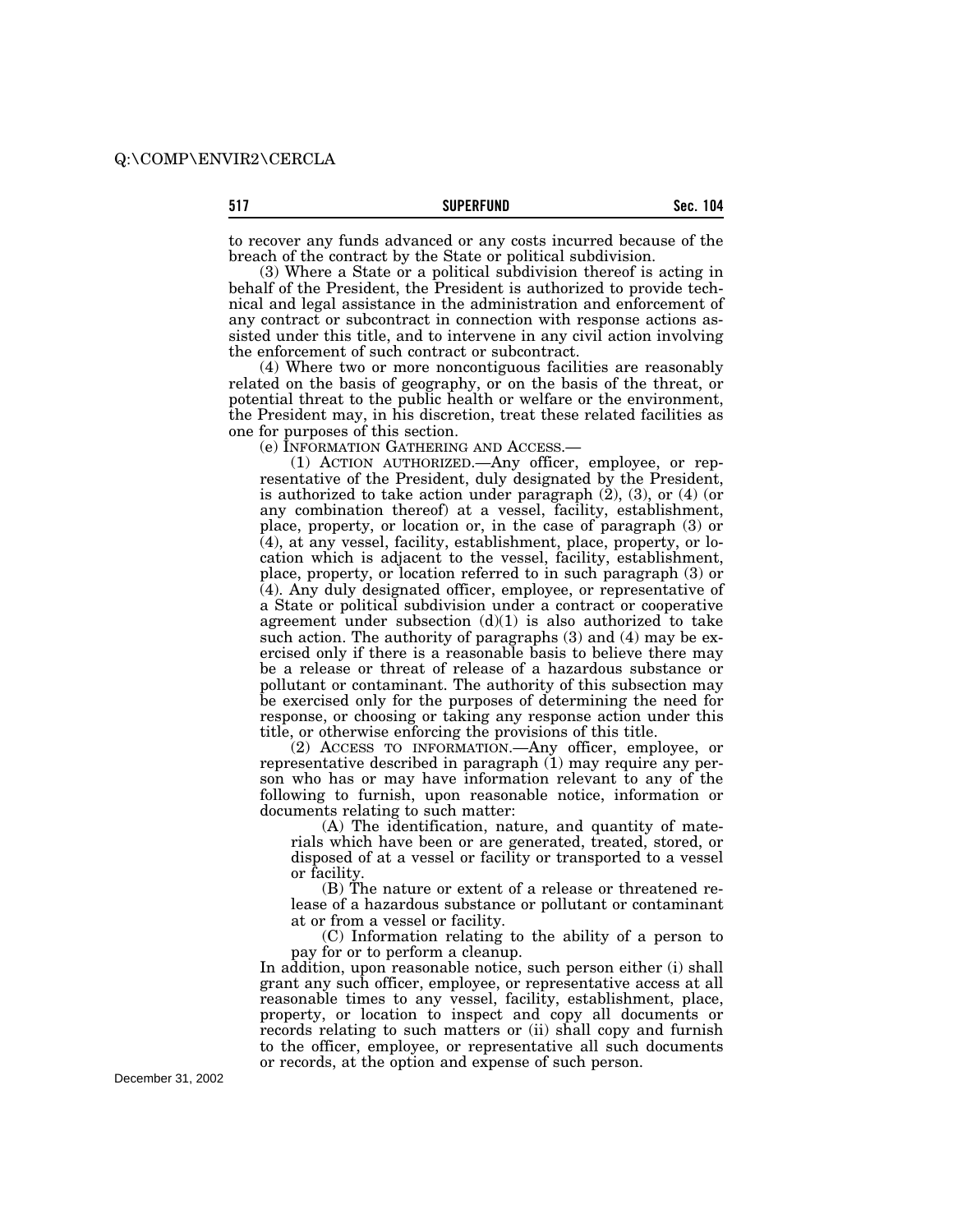to recover any funds advanced or any costs incurred because of the breach of the contract by the State or political subdivision.

(3) Where a State or a political subdivision thereof is acting in behalf of the President, the President is authorized to provide technical and legal assistance in the administration and enforcement of any contract or subcontract in connection with response actions assisted under this title, and to intervene in any civil action involving the enforcement of such contract or subcontract.

(4) Where two or more noncontiguous facilities are reasonably related on the basis of geography, or on the basis of the threat, or potential threat to the public health or welfare or the environment, the President may, in his discretion, treat these related facilities as one for purposes of this section.

(e) INFORMATION GATHERING AND ACCESS.—

(1) ACTION AUTHORIZED.—Any officer, employee, or representative of the President, duly designated by the President, is authorized to take action under paragraph  $(2)$ ,  $(3)$ , or  $(4)$  (or any combination thereof) at a vessel, facility, establishment, place, property, or location or, in the case of paragraph (3) or (4), at any vessel, facility, establishment, place, property, or location which is adjacent to the vessel, facility, establishment, place, property, or location referred to in such paragraph (3) or (4). Any duly designated officer, employee, or representative of a State or political subdivision under a contract or cooperative agreement under subsection  $(d)(1)$  is also authorized to take such action. The authority of paragraphs (3) and (4) may be exercised only if there is a reasonable basis to believe there may be a release or threat of release of a hazardous substance or pollutant or contaminant. The authority of this subsection may be exercised only for the purposes of determining the need for response, or choosing or taking any response action under this title, or otherwise enforcing the provisions of this title.

(2) ACCESS TO INFORMATION.—Any officer, employee, or representative described in paragraph (1) may require any person who has or may have information relevant to any of the following to furnish, upon reasonable notice, information or documents relating to such matter:

(A) The identification, nature, and quantity of materials which have been or are generated, treated, stored, or disposed of at a vessel or facility or transported to a vessel or facility.

(B) The nature or extent of a release or threatened release of a hazardous substance or pollutant or contaminant at or from a vessel or facility.

(C) Information relating to the ability of a person to pay for or to perform a cleanup.

In addition, upon reasonable notice, such person either (i) shall grant any such officer, employee, or representative access at all reasonable times to any vessel, facility, establishment, place, property, or location to inspect and copy all documents or records relating to such matters or (ii) shall copy and furnish to the officer, employee, or representative all such documents or records, at the option and expense of such person.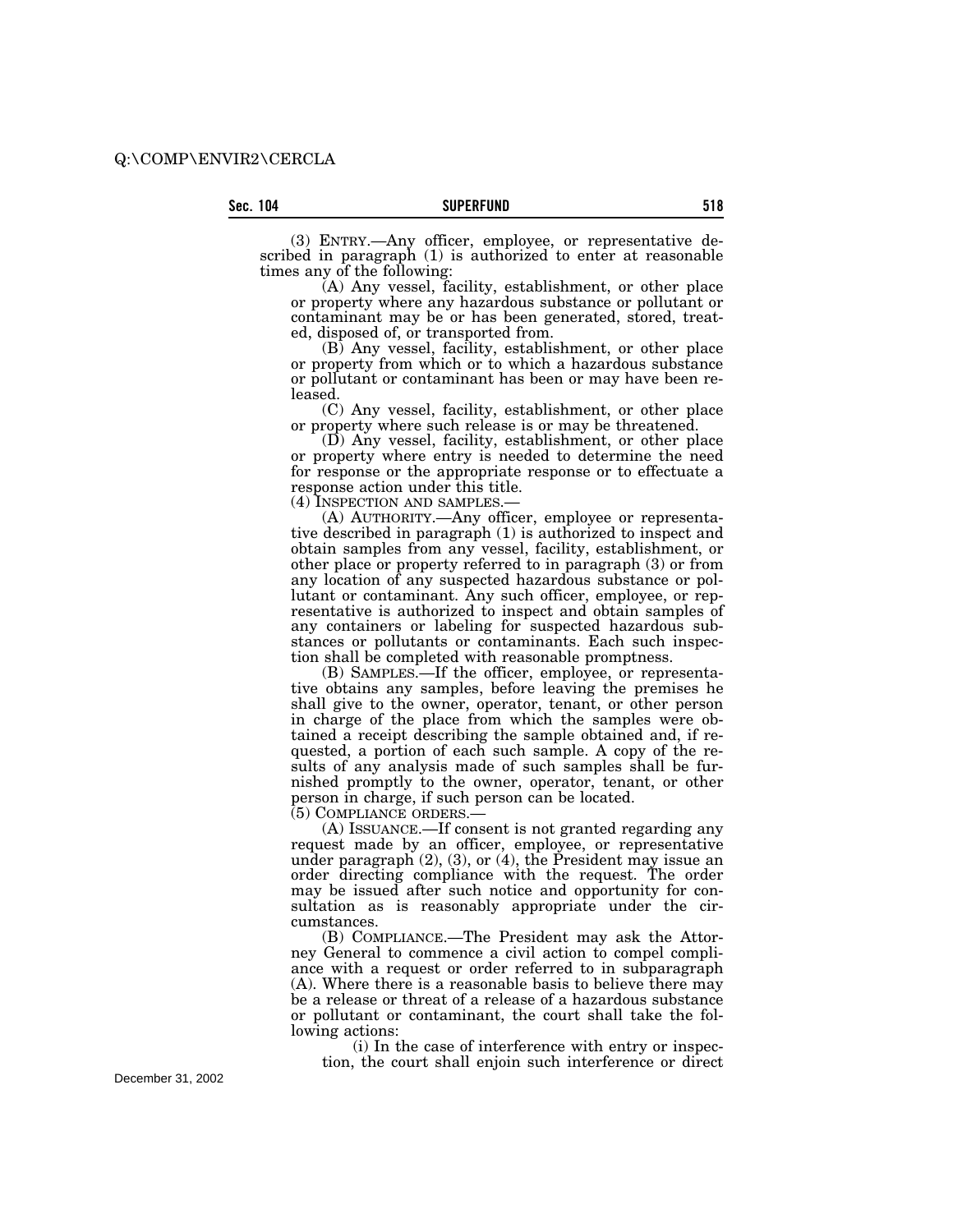(3) ENTRY.—Any officer, employee, or representative described in paragraph (1) is authorized to enter at reasonable times any of the following:

(A) Any vessel, facility, establishment, or other place or property where any hazardous substance or pollutant or contaminant may be or has been generated, stored, treated, disposed of, or transported from.

(B) Any vessel, facility, establishment, or other place or property from which or to which a hazardous substance or pollutant or contaminant has been or may have been released.

(C) Any vessel, facility, establishment, or other place or property where such release is or may be threatened.

(D) Any vessel, facility, establishment, or other place or property where entry is needed to determine the need for response or the appropriate response or to effectuate a response action under this title.<br>(4) INSPECTION AND SAMPLES.—

 $(A)$  AUTHORITY.—Any officer, employee or representative described in paragraph (1) is authorized to inspect and obtain samples from any vessel, facility, establishment, or other place or property referred to in paragraph (3) or from any location of any suspected hazardous substance or pollutant or contaminant. Any such officer, employee, or representative is authorized to inspect and obtain samples of any containers or labeling for suspected hazardous substances or pollutants or contaminants. Each such inspection shall be completed with reasonable promptness.

(B) SAMPLES.—If the officer, employee, or representative obtains any samples, before leaving the premises he shall give to the owner, operator, tenant, or other person in charge of the place from which the samples were obtained a receipt describing the sample obtained and, if requested, a portion of each such sample. A copy of the results of any analysis made of such samples shall be furnished promptly to the owner, operator, tenant, or other person in charge, if such person can be located.

(5) COMPLIANCE ORDERS.—

(A) ISSUANCE.—If consent is not granted regarding any request made by an officer, employee, or representative under paragraph (2), (3), or (4), the President may issue an order directing compliance with the request. The order may be issued after such notice and opportunity for consultation as is reasonably appropriate under the circumstances.

(B) COMPLIANCE.—The President may ask the Attorney General to commence a civil action to compel compliance with a request or order referred to in subparagraph (A). Where there is a reasonable basis to believe there may be a release or threat of a release of a hazardous substance or pollutant or contaminant, the court shall take the following actions:

(i) In the case of interference with entry or inspection, the court shall enjoin such interference or direct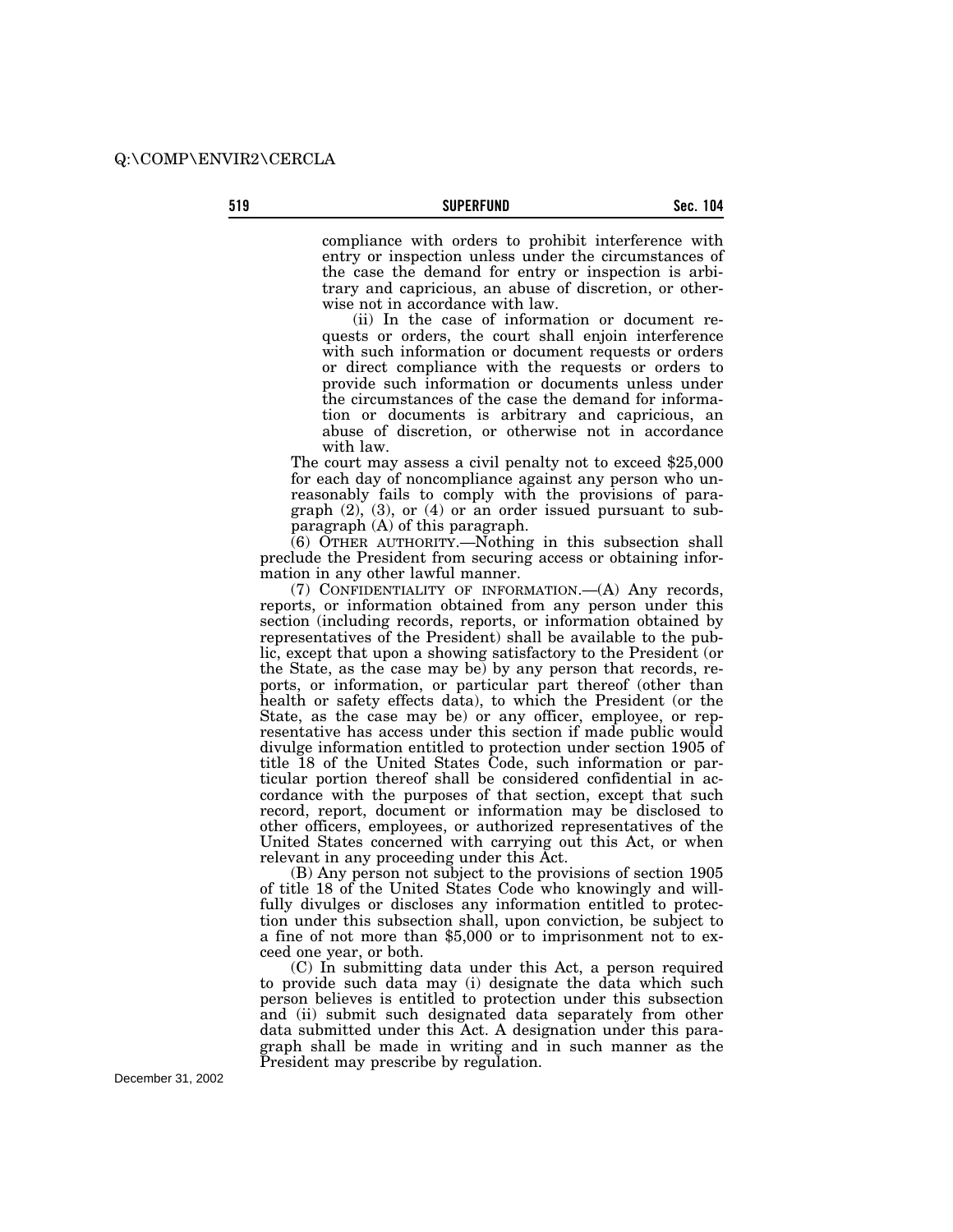compliance with orders to prohibit interference with entry or inspection unless under the circumstances of the case the demand for entry or inspection is arbitrary and capricious, an abuse of discretion, or other-

wise not in accordance with law. (ii) In the case of information or document requests or orders, the court shall enjoin interference with such information or document requests or orders or direct compliance with the requests or orders to provide such information or documents unless under the circumstances of the case the demand for information or documents is arbitrary and capricious, an abuse of discretion, or otherwise not in accordance with law.

The court may assess a civil penalty not to exceed \$25,000 for each day of noncompliance against any person who unreasonably fails to comply with the provisions of paragraph  $(2)$ ,  $(3)$ , or  $(4)$  or an order issued pursuant to subparagraph (A) of this paragraph.

(6) OTHER AUTHORITY.—Nothing in this subsection shall preclude the President from securing access or obtaining information in any other lawful manner.

(7) CONFIDENTIALITY OF INFORMATION.—(A) Any records, reports, or information obtained from any person under this section (including records, reports, or information obtained by representatives of the President) shall be available to the public, except that upon a showing satisfactory to the President (or the State, as the case may be) by any person that records, reports, or information, or particular part thereof (other than health or safety effects data), to which the President (or the State, as the case may be) or any officer, employee, or representative has access under this section if made public would divulge information entitled to protection under section 1905 of title 18 of the United States Code, such information or particular portion thereof shall be considered confidential in accordance with the purposes of that section, except that such record, report, document or information may be disclosed to other officers, employees, or authorized representatives of the United States concerned with carrying out this Act, or when relevant in any proceeding under this Act.

(B) Any person not subject to the provisions of section 1905 of title 18 of the United States Code who knowingly and willfully divulges or discloses any information entitled to protection under this subsection shall, upon conviction, be subject to a fine of not more than \$5,000 or to imprisonment not to exceed one year, or both.

(C) In submitting data under this Act, a person required to provide such data may (i) designate the data which such person believes is entitled to protection under this subsection and (ii) submit such designated data separately from other data submitted under this Act. A designation under this paragraph shall be made in writing and in such manner as the President may prescribe by regulation.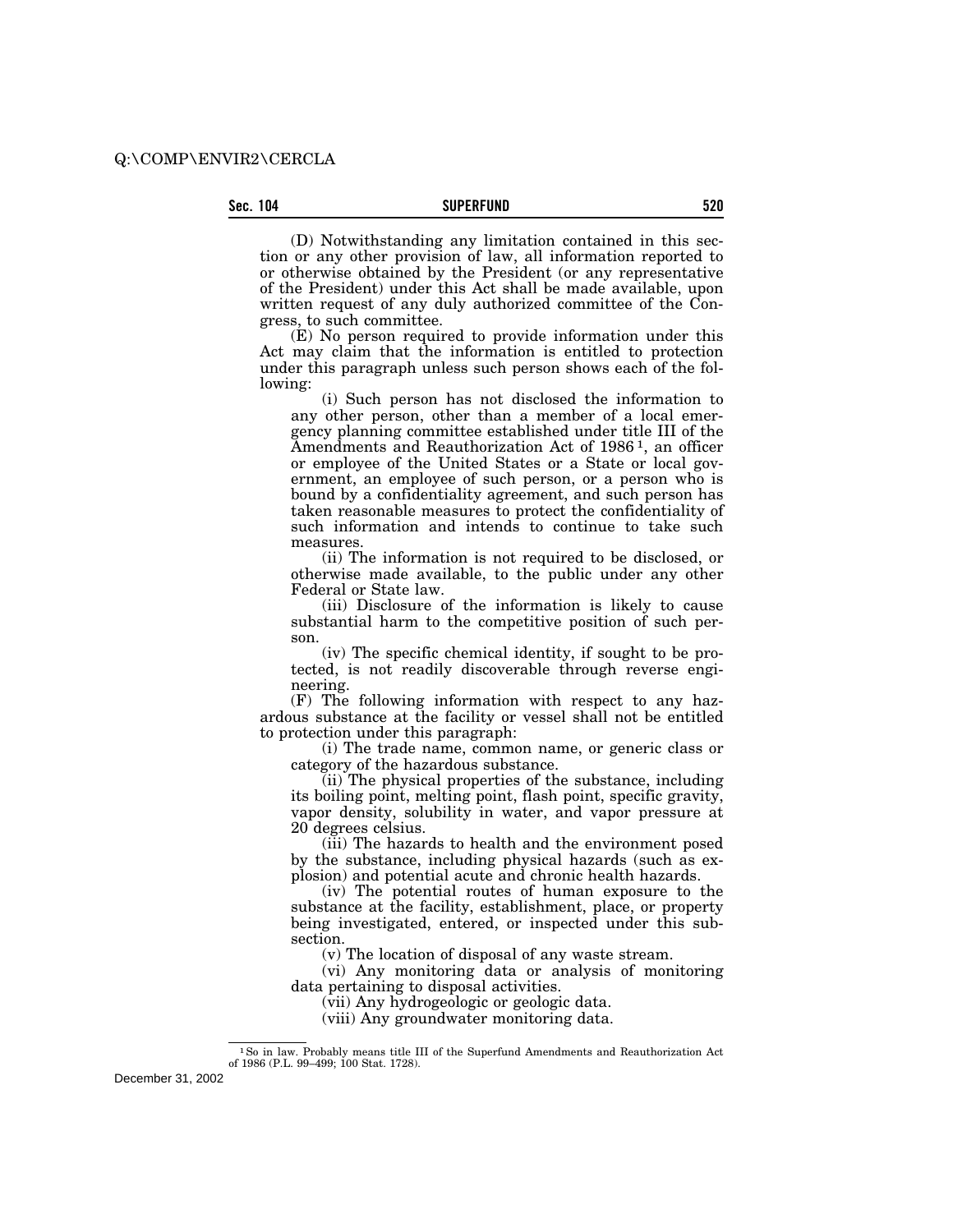(D) Notwithstanding any limitation contained in this section or any other provision of law, all information reported to or otherwise obtained by the President (or any representative of the President) under this Act shall be made available, upon written request of any duly authorized committee of the Congress, to such committee.

(E) No person required to provide information under this Act may claim that the information is entitled to protection under this paragraph unless such person shows each of the following:

(i) Such person has not disclosed the information to any other person, other than a member of a local emergency planning committee established under title III of the Amendments and Reauthorization Act of 1986<sup>1</sup>, an officer or employee of the United States or a State or local government, an employee of such person, or a person who is bound by a confidentiality agreement, and such person has taken reasonable measures to protect the confidentiality of such information and intends to continue to take such measures.

(ii) The information is not required to be disclosed, or otherwise made available, to the public under any other Federal or State law.

(iii) Disclosure of the information is likely to cause substantial harm to the competitive position of such person.

(iv) The specific chemical identity, if sought to be protected, is not readily discoverable through reverse engineering.

(F) The following information with respect to any hazardous substance at the facility or vessel shall not be entitled to protection under this paragraph:

(i) The trade name, common name, or generic class or category of the hazardous substance.

(ii) The physical properties of the substance, including its boiling point, melting point, flash point, specific gravity, vapor density, solubility in water, and vapor pressure at 20 degrees celsius.

(iii) The hazards to health and the environment posed by the substance, including physical hazards (such as explosion) and potential acute and chronic health hazards.

(iv) The potential routes of human exposure to the substance at the facility, establishment, place, or property being investigated, entered, or inspected under this subsection.

(v) The location of disposal of any waste stream.

(vi) Any monitoring data or analysis of monitoring data pertaining to disposal activities.

(vii) Any hydrogeologic or geologic data.

(viii) Any groundwater monitoring data.

<sup>1</sup>So in law. Probably means title III of the Superfund Amendments and Reauthorization Act of 1986 (P.L. 99–499; 100 Stat. 1728).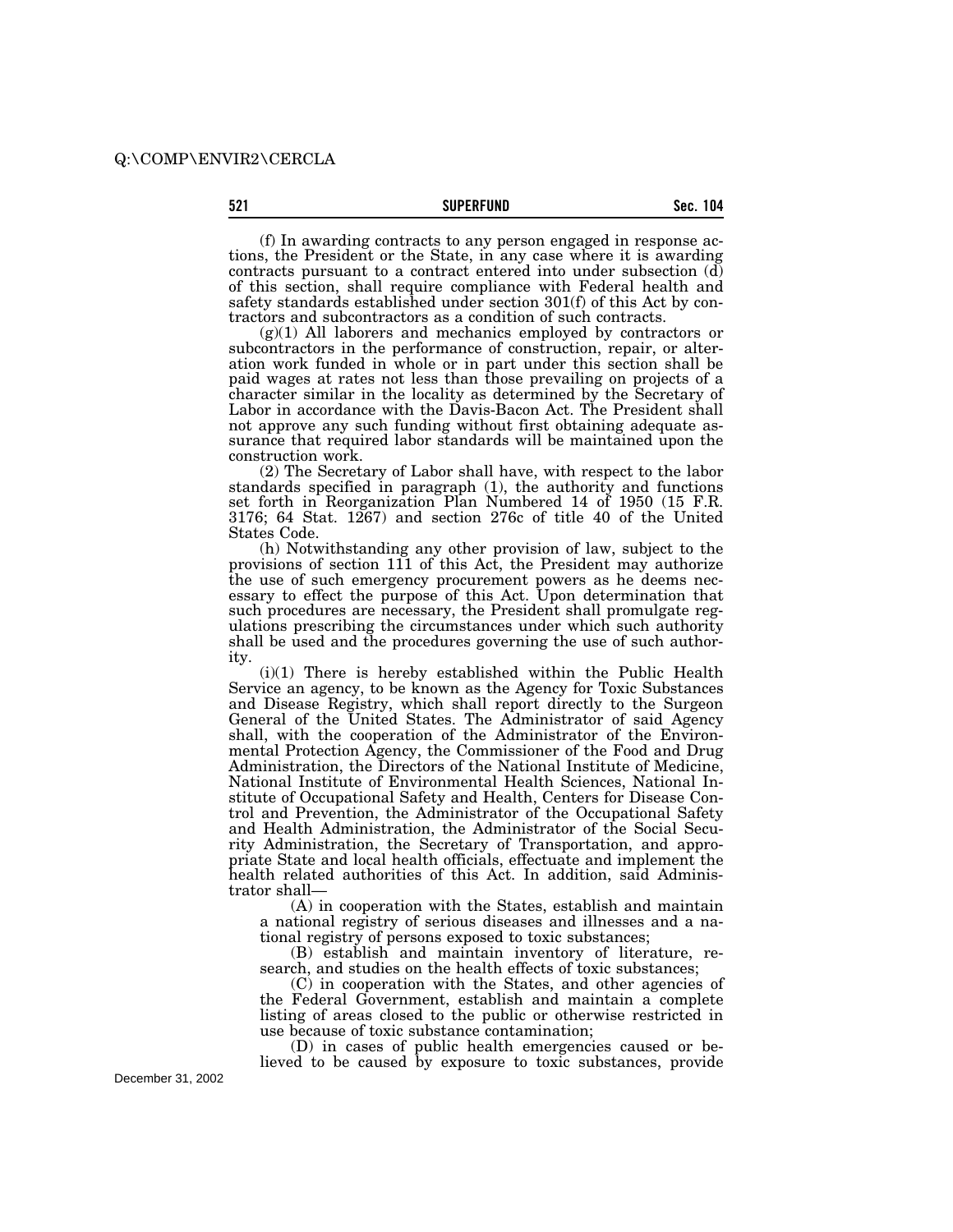## **521 Sec. 104 SUPERFUND**

(f) In awarding contracts to any person engaged in response actions, the President or the State, in any case where it is awarding contracts pursuant to a contract entered into under subsection (d) of this section, shall require compliance with Federal health and safety standards established under section 301(f) of this Act by contractors and subcontractors as a condition of such contracts.

 $(g)(1)$  All laborers and mechanics employed by contractors or subcontractors in the performance of construction, repair, or alteration work funded in whole or in part under this section shall be paid wages at rates not less than those prevailing on projects of a character similar in the locality as determined by the Secretary of Labor in accordance with the Davis-Bacon Act. The President shall not approve any such funding without first obtaining adequate assurance that required labor standards will be maintained upon the construction work.

(2) The Secretary of Labor shall have, with respect to the labor standards specified in paragraph (1), the authority and functions set forth in Reorganization Plan Numbered 14 of 1950 (15 F.R. 3176; 64 Stat. 1267) and section 276c of title 40 of the United States Code.

(h) Notwithstanding any other provision of law, subject to the provisions of section 111 of this Act, the President may authorize the use of such emergency procurement powers as he deems necessary to effect the purpose of this Act. Upon determination that such procedures are necessary, the President shall promulgate regulations prescribing the circumstances under which such authority shall be used and the procedures governing the use of such authority.

(i)(1) There is hereby established within the Public Health Service an agency, to be known as the Agency for Toxic Substances and Disease Registry, which shall report directly to the Surgeon General of the United States. The Administrator of said Agency shall, with the cooperation of the Administrator of the Environmental Protection Agency, the Commissioner of the Food and Drug Administration, the Directors of the National Institute of Medicine, National Institute of Environmental Health Sciences, National Institute of Occupational Safety and Health, Centers for Disease Control and Prevention, the Administrator of the Occupational Safety and Health Administration, the Administrator of the Social Security Administration, the Secretary of Transportation, and appropriate State and local health officials, effectuate and implement the health related authorities of this Act. In addition, said Administrator shall—

(A) in cooperation with the States, establish and maintain a national registry of serious diseases and illnesses and a national registry of persons exposed to toxic substances;

(B) establish and maintain inventory of literature, research, and studies on the health effects of toxic substances;

(C) in cooperation with the States, and other agencies of the Federal Government, establish and maintain a complete listing of areas closed to the public or otherwise restricted in use because of toxic substance contamination;

(D) in cases of public health emergencies caused or believed to be caused by exposure to toxic substances, provide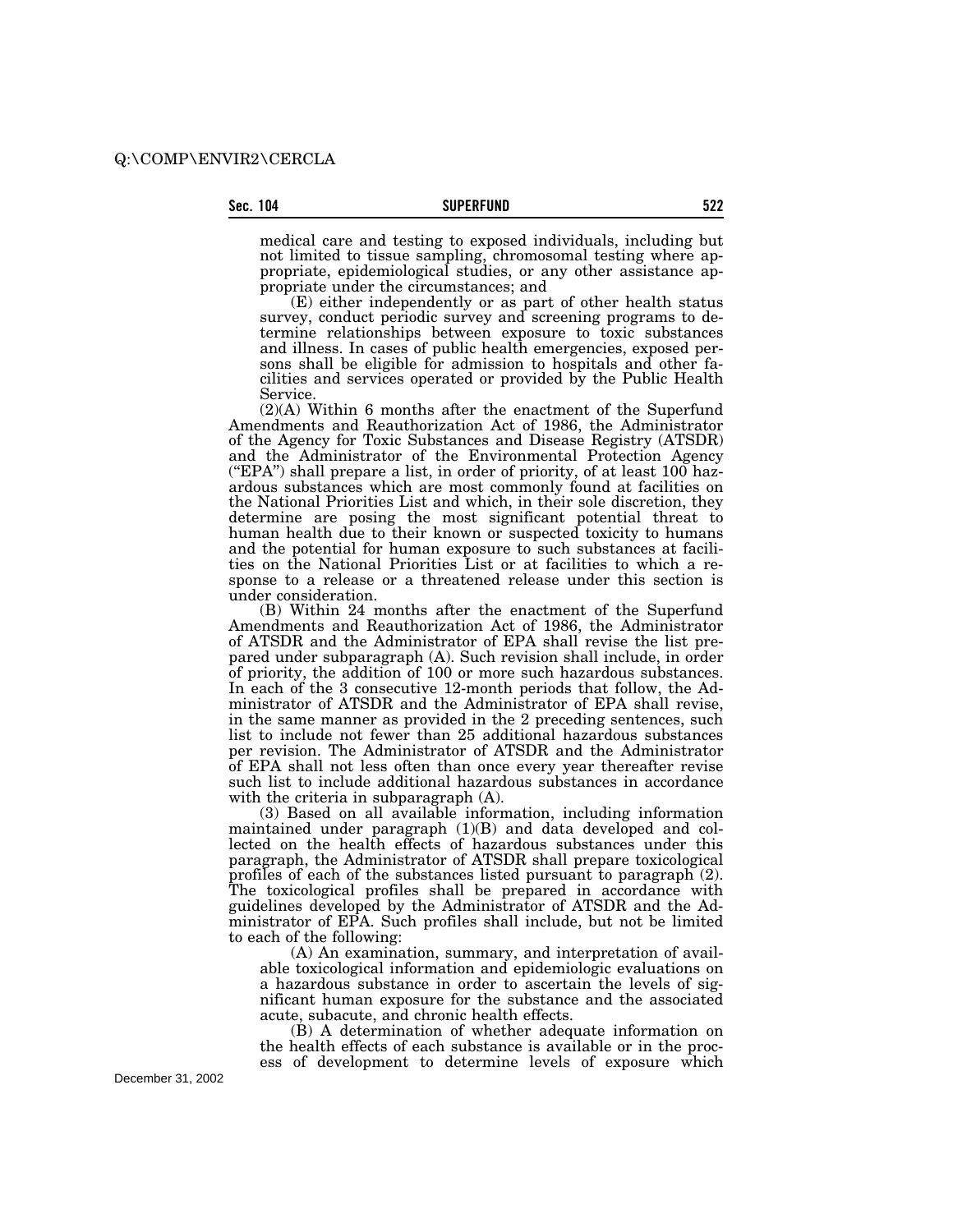medical care and testing to exposed individuals, including but not limited to tissue sampling, chromosomal testing where appropriate, epidemiological studies, or any other assistance appropriate under the circumstances; and

(E) either independently or as part of other health status survey, conduct periodic survey and screening programs to determine relationships between exposure to toxic substances and illness. In cases of public health emergencies, exposed persons shall be eligible for admission to hospitals and other facilities and services operated or provided by the Public Health Service.

(2)(A) Within 6 months after the enactment of the Superfund Amendments and Reauthorization Act of 1986, the Administrator of the Agency for Toxic Substances and Disease Registry (ATSDR) and the Administrator of the Environmental Protection Agency (''EPA'') shall prepare a list, in order of priority, of at least 100 hazardous substances which are most commonly found at facilities on the National Priorities List and which, in their sole discretion, they determine are posing the most significant potential threat to human health due to their known or suspected toxicity to humans and the potential for human exposure to such substances at facilities on the National Priorities List or at facilities to which a response to a release or a threatened release under this section is under consideration.

(B) Within 24 months after the enactment of the Superfund Amendments and Reauthorization Act of 1986, the Administrator of ATSDR and the Administrator of EPA shall revise the list prepared under subparagraph (A). Such revision shall include, in order of priority, the addition of 100 or more such hazardous substances. In each of the 3 consecutive 12-month periods that follow, the Administrator of ATSDR and the Administrator of EPA shall revise, in the same manner as provided in the 2 preceding sentences, such list to include not fewer than 25 additional hazardous substances per revision. The Administrator of ATSDR and the Administrator of EPA shall not less often than once every year thereafter revise such list to include additional hazardous substances in accordance with the criteria in subparagraph  $(A)$ .

(3) Based on all available information, including information maintained under paragraph (1)(B) and data developed and collected on the health effects of hazardous substances under this paragraph, the Administrator of ATSDR shall prepare toxicological profiles of each of the substances listed pursuant to paragraph (2). The toxicological profiles shall be prepared in accordance with guidelines developed by the Administrator of ATSDR and the Administrator of EPA. Such profiles shall include, but not be limited to each of the following:

(A) An examination, summary, and interpretation of available toxicological information and epidemiologic evaluations on a hazardous substance in order to ascertain the levels of significant human exposure for the substance and the associated acute, subacute, and chronic health effects.

(B) A determination of whether adequate information on the health effects of each substance is available or in the process of development to determine levels of exposure which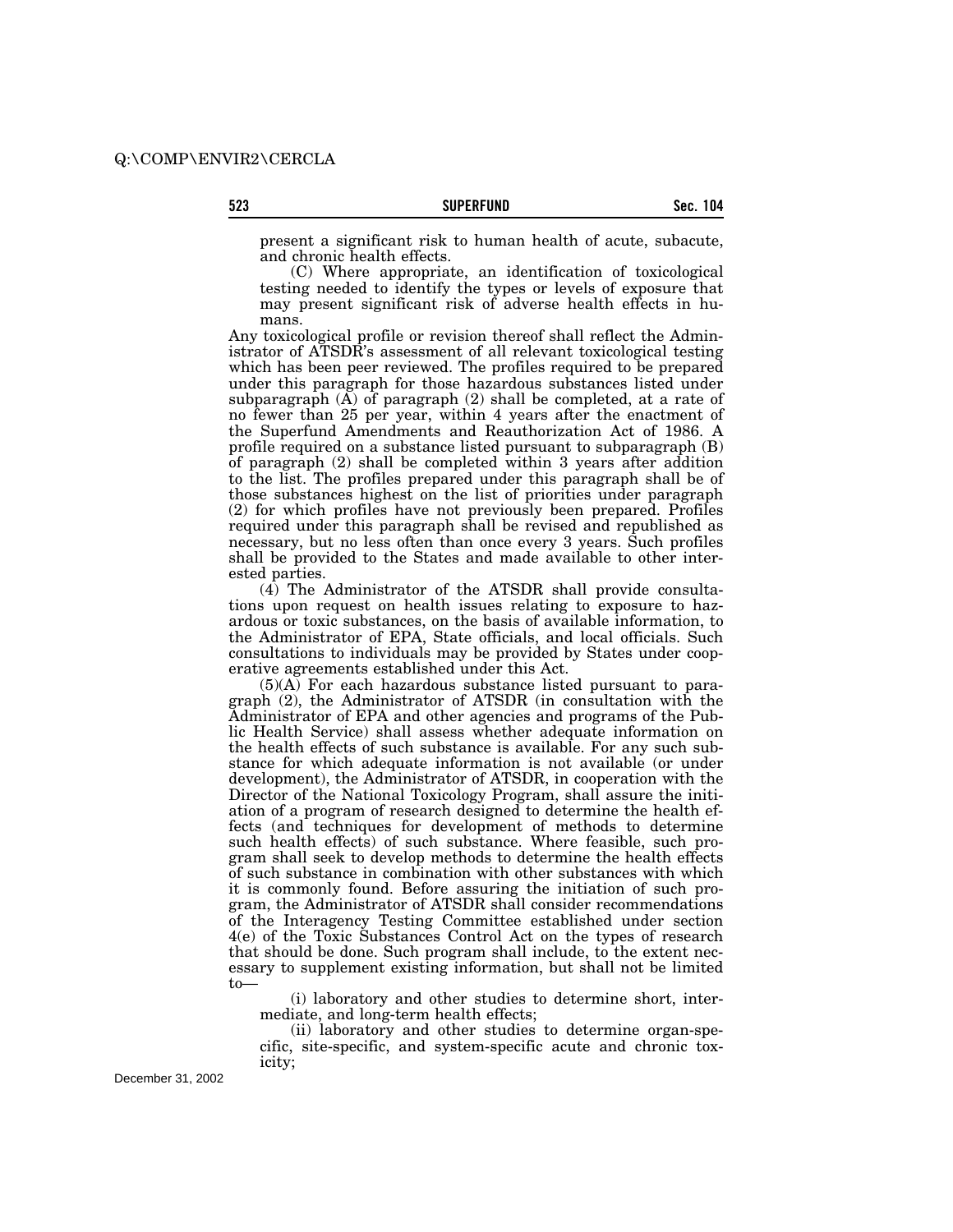present a significant risk to human health of acute, subacute, and chronic health effects.

(C) Where appropriate, an identification of toxicological testing needed to identify the types or levels of exposure that may present significant risk of adverse health effects in humans.

Any toxicological profile or revision thereof shall reflect the Administrator of ATSDR's assessment of all relevant toxicological testing which has been peer reviewed. The profiles required to be prepared under this paragraph for those hazardous substances listed under subparagraph (A) of paragraph (2) shall be completed, at a rate of no fewer than 25 per year, within 4 years after the enactment of the Superfund Amendments and Reauthorization Act of 1986. A profile required on a substance listed pursuant to subparagraph (B) of paragraph (2) shall be completed within 3 years after addition to the list. The profiles prepared under this paragraph shall be of those substances highest on the list of priorities under paragraph (2) for which profiles have not previously been prepared. Profiles required under this paragraph shall be revised and republished as necessary, but no less often than once every 3 years. Such profiles shall be provided to the States and made available to other interested parties.

(4) The Administrator of the ATSDR shall provide consultations upon request on health issues relating to exposure to hazardous or toxic substances, on the basis of available information, to the Administrator of EPA, State officials, and local officials. Such consultations to individuals may be provided by States under cooperative agreements established under this Act.

(5)(A) For each hazardous substance listed pursuant to paragraph (2), the Administrator of ATSDR (in consultation with the Administrator of EPA and other agencies and programs of the Public Health Service) shall assess whether adequate information on the health effects of such substance is available. For any such substance for which adequate information is not available (or under development), the Administrator of ATSDR, in cooperation with the Director of the National Toxicology Program, shall assure the initiation of a program of research designed to determine the health effects (and techniques for development of methods to determine such health effects) of such substance. Where feasible, such program shall seek to develop methods to determine the health effects of such substance in combination with other substances with which it is commonly found. Before assuring the initiation of such program, the Administrator of ATSDR shall consider recommendations of the Interagency Testing Committee established under section 4(e) of the Toxic Substances Control Act on the types of research that should be done. Such program shall include, to the extent necessary to supplement existing information, but shall not be limited to—

(i) laboratory and other studies to determine short, intermediate, and long-term health effects;

(ii) laboratory and other studies to determine organ-specific, site-specific, and system-specific acute and chronic toxicity;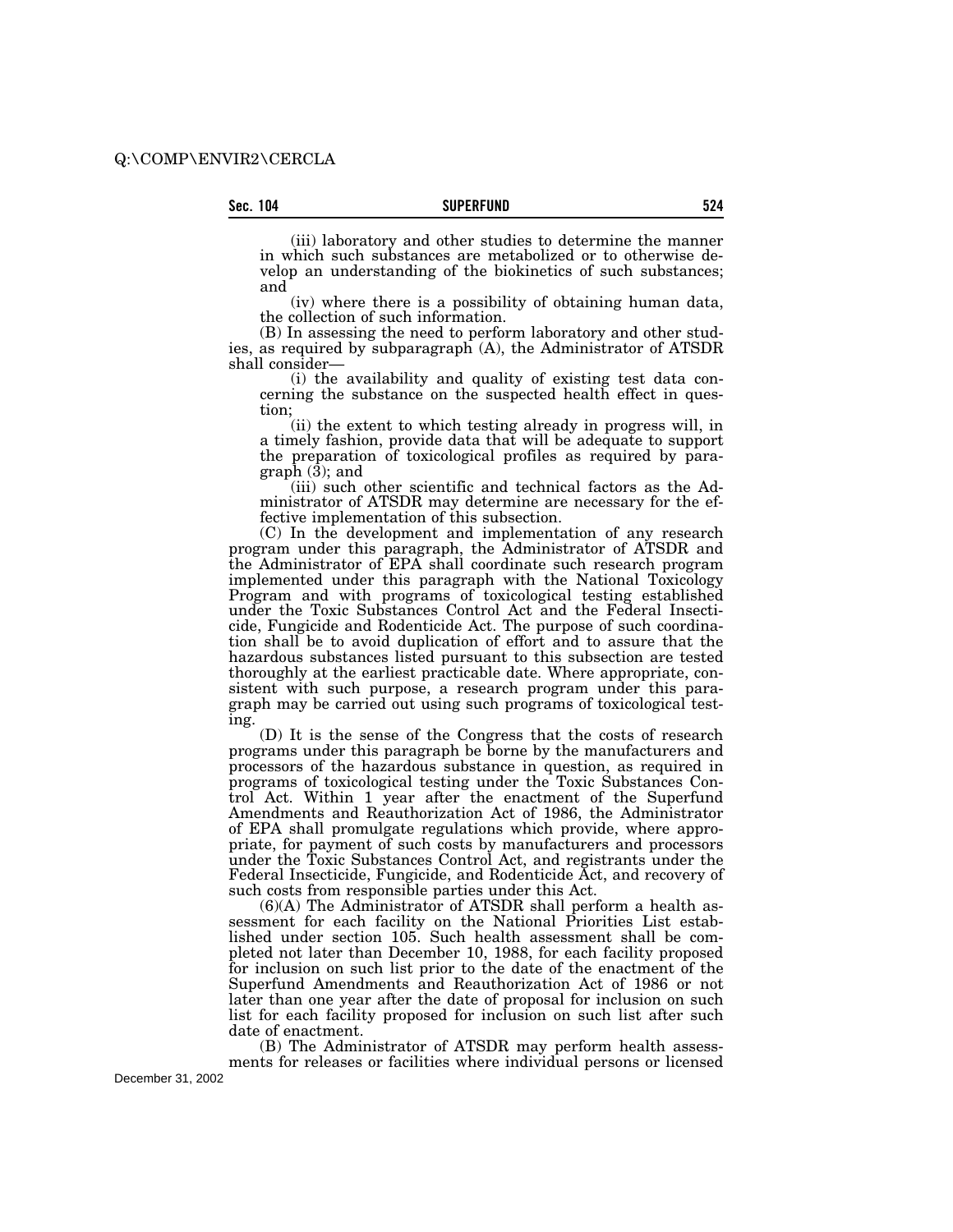(iii) laboratory and other studies to determine the manner in which such substances are metabolized or to otherwise develop an understanding of the biokinetics of such substances; and

(iv) where there is a possibility of obtaining human data, the collection of such information.

(B) In assessing the need to perform laboratory and other studies, as required by subparagraph (A), the Administrator of ATSDR shall consider—

(i) the availability and quality of existing test data concerning the substance on the suspected health effect in question;

(ii) the extent to which testing already in progress will, in a timely fashion, provide data that will be adequate to support the preparation of toxicological profiles as required by paragraph  $(3)$ ; and

(iii) such other scientific and technical factors as the Administrator of ATSDR may determine are necessary for the effective implementation of this subsection.

(C) In the development and implementation of any research program under this paragraph, the Administrator of ATSDR and the Administrator of EPA shall coordinate such research program implemented under this paragraph with the National Toxicology Program and with programs of toxicological testing established under the Toxic Substances Control Act and the Federal Insecticide, Fungicide and Rodenticide Act. The purpose of such coordination shall be to avoid duplication of effort and to assure that the hazardous substances listed pursuant to this subsection are tested thoroughly at the earliest practicable date. Where appropriate, consistent with such purpose, a research program under this paragraph may be carried out using such programs of toxicological testing.

(D) It is the sense of the Congress that the costs of research programs under this paragraph be borne by the manufacturers and processors of the hazardous substance in question, as required in programs of toxicological testing under the Toxic Substances Control Act. Within 1 year after the enactment of the Superfund Amendments and Reauthorization Act of 1986, the Administrator of EPA shall promulgate regulations which provide, where appropriate, for payment of such costs by manufacturers and processors under the Toxic Substances Control Act, and registrants under the Federal Insecticide, Fungicide, and Rodenticide Act, and recovery of such costs from responsible parties under this Act.

(6)(A) The Administrator of ATSDR shall perform a health assessment for each facility on the National Priorities List established under section 105. Such health assessment shall be completed not later than December 10, 1988, for each facility proposed for inclusion on such list prior to the date of the enactment of the Superfund Amendments and Reauthorization Act of 1986 or not later than one year after the date of proposal for inclusion on such list for each facility proposed for inclusion on such list after such date of enactment.

(B) The Administrator of ATSDR may perform health assessments for releases or facilities where individual persons or licensed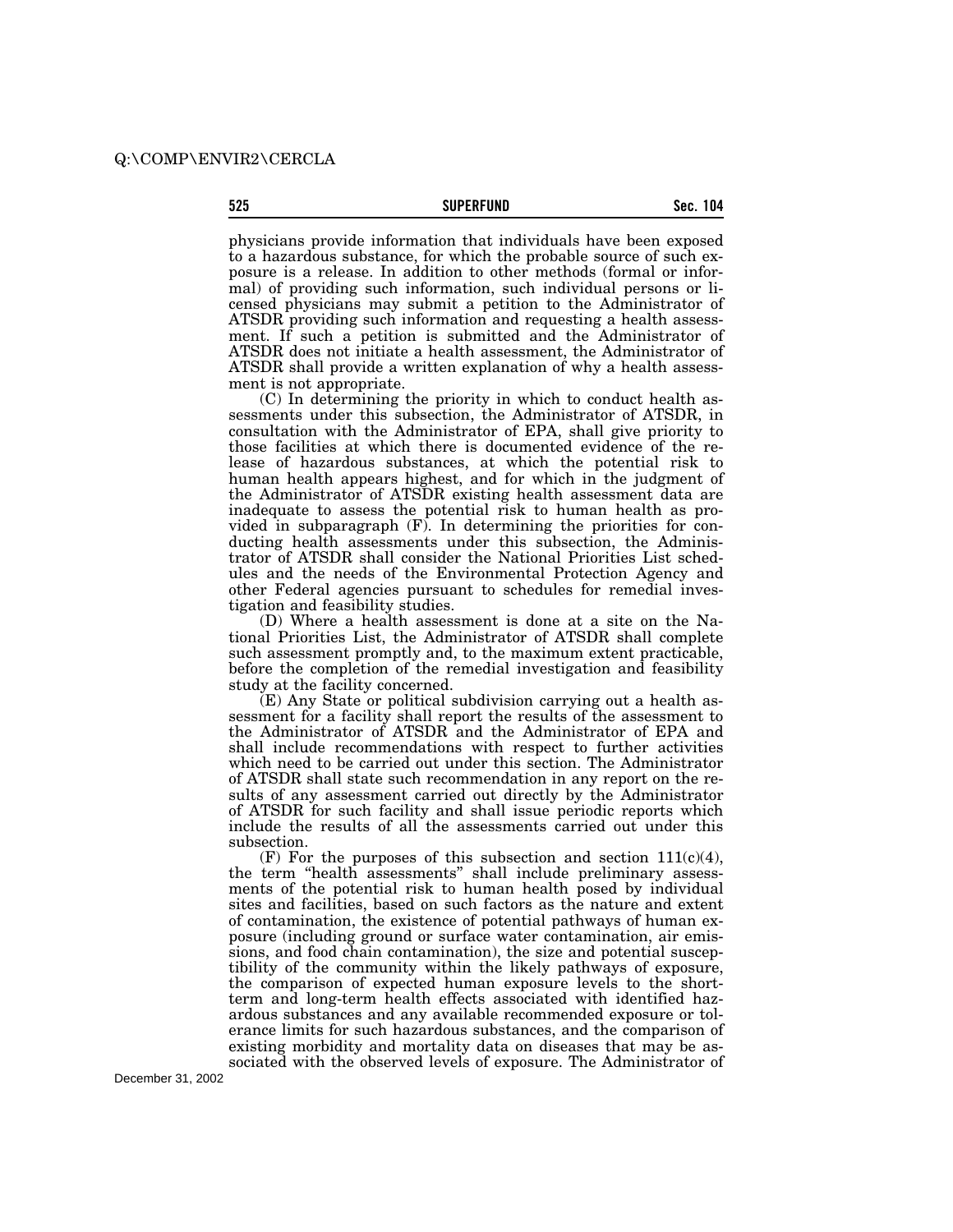physicians provide information that individuals have been exposed to a hazardous substance, for which the probable source of such exposure is a release. In addition to other methods (formal or informal) of providing such information, such individual persons or licensed physicians may submit a petition to the Administrator of ATSDR providing such information and requesting a health assessment. If such a petition is submitted and the Administrator of ATSDR does not initiate a health assessment, the Administrator of ATSDR shall provide a written explanation of why a health assessment is not appropriate.

(C) In determining the priority in which to conduct health assessments under this subsection, the Administrator of ATSDR, in consultation with the Administrator of EPA, shall give priority to those facilities at which there is documented evidence of the release of hazardous substances, at which the potential risk to human health appears highest, and for which in the judgment of the Administrator of ATSDR existing health assessment data are inadequate to assess the potential risk to human health as provided in subparagraph (F). In determining the priorities for conducting health assessments under this subsection, the Administrator of ATSDR shall consider the National Priorities List schedules and the needs of the Environmental Protection Agency and other Federal agencies pursuant to schedules for remedial investigation and feasibility studies.

(D) Where a health assessment is done at a site on the National Priorities List, the Administrator of ATSDR shall complete such assessment promptly and, to the maximum extent practicable, before the completion of the remedial investigation and feasibility study at the facility concerned.

(E) Any State or political subdivision carrying out a health assessment for a facility shall report the results of the assessment to the Administrator of ATSDR and the Administrator of EPA and shall include recommendations with respect to further activities which need to be carried out under this section. The Administrator of ATSDR shall state such recommendation in any report on the results of any assessment carried out directly by the Administrator of ATSDR for such facility and shall issue periodic reports which include the results of all the assessments carried out under this subsection.

(F) For the purposes of this subsection and section  $111(c)(4)$ , the term ''health assessments'' shall include preliminary assessments of the potential risk to human health posed by individual sites and facilities, based on such factors as the nature and extent of contamination, the existence of potential pathways of human exposure (including ground or surface water contamination, air emissions, and food chain contamination), the size and potential susceptibility of the community within the likely pathways of exposure, the comparison of expected human exposure levels to the shortterm and long-term health effects associated with identified hazardous substances and any available recommended exposure or tolerance limits for such hazardous substances, and the comparison of existing morbidity and mortality data on diseases that may be associated with the observed levels of exposure. The Administrator of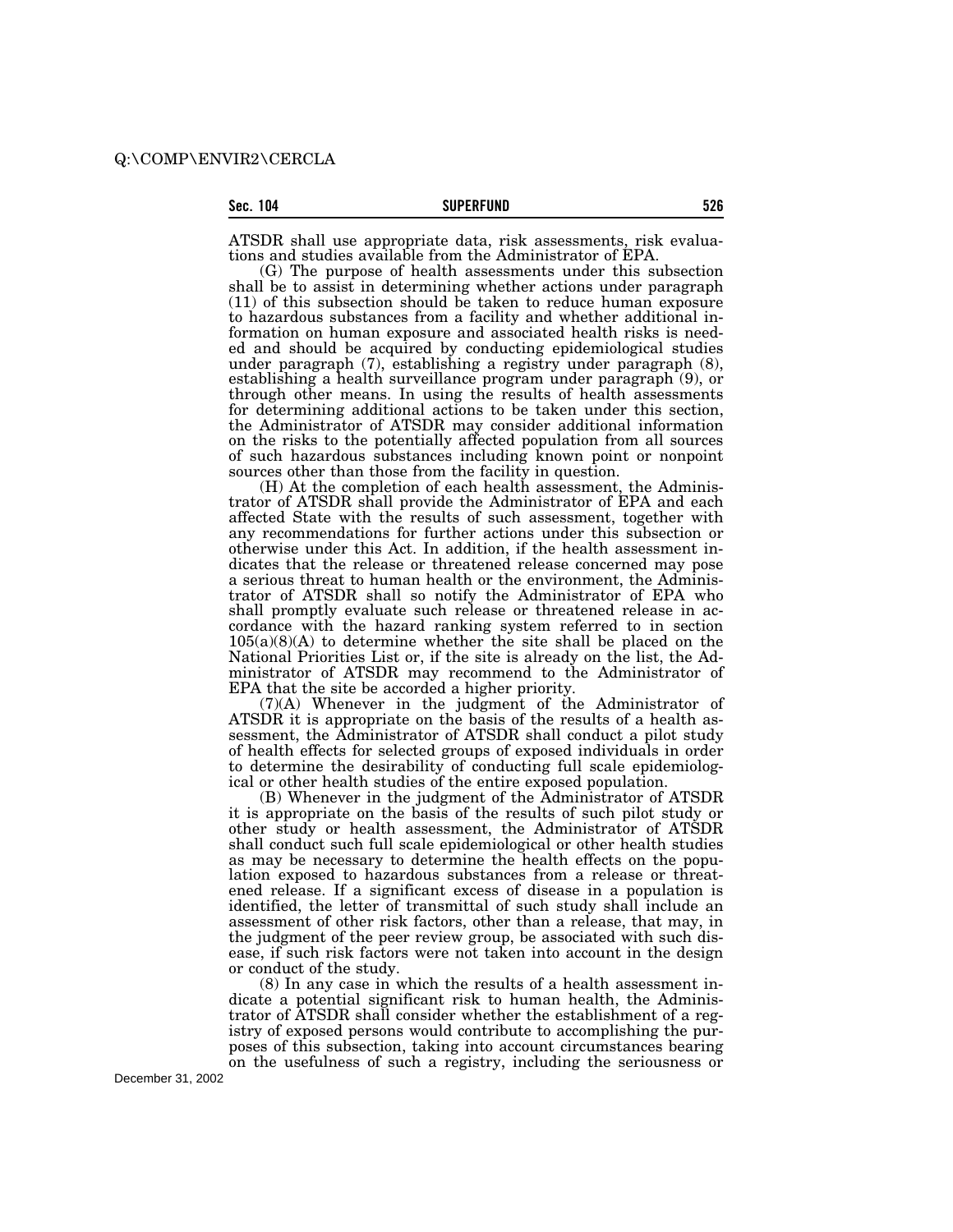ATSDR shall use appropriate data, risk assessments, risk evaluations and studies available from the Administrator of EPA.

(G) The purpose of health assessments under this subsection shall be to assist in determining whether actions under paragraph (11) of this subsection should be taken to reduce human exposure to hazardous substances from a facility and whether additional information on human exposure and associated health risks is needed and should be acquired by conducting epidemiological studies under paragraph (7), establishing a registry under paragraph (8), establishing a health surveillance program under paragraph (9), or through other means. In using the results of health assessments for determining additional actions to be taken under this section, the Administrator of ATSDR may consider additional information on the risks to the potentially affected population from all sources of such hazardous substances including known point or nonpoint sources other than those from the facility in question.

(H) At the completion of each health assessment, the Administrator of ATSDR shall provide the Administrator of EPA and each affected State with the results of such assessment, together with any recommendations for further actions under this subsection or otherwise under this Act. In addition, if the health assessment indicates that the release or threatened release concerned may pose a serious threat to human health or the environment, the Administrator of ATSDR shall so notify the Administrator of EPA who shall promptly evaluate such release or threatened release in accordance with the hazard ranking system referred to in section  $105(a)(8)(A)$  to determine whether the site shall be placed on the National Priorities List or, if the site is already on the list, the Administrator of ATSDR may recommend to the Administrator of EPA that the site be accorded a higher priority.

(7)(A) Whenever in the judgment of the Administrator of ATSDR it is appropriate on the basis of the results of a health assessment, the Administrator of ATSDR shall conduct a pilot study of health effects for selected groups of exposed individuals in order to determine the desirability of conducting full scale epidemiological or other health studies of the entire exposed population.

(B) Whenever in the judgment of the Administrator of ATSDR it is appropriate on the basis of the results of such pilot study or other study or health assessment, the Administrator of ATSDR shall conduct such full scale epidemiological or other health studies as may be necessary to determine the health effects on the population exposed to hazardous substances from a release or threatened release. If a significant excess of disease in a population is identified, the letter of transmittal of such study shall include an assessment of other risk factors, other than a release, that may, in the judgment of the peer review group, be associated with such disease, if such risk factors were not taken into account in the design or conduct of the study.

(8) In any case in which the results of a health assessment indicate a potential significant risk to human health, the Administrator of ATSDR shall consider whether the establishment of a registry of exposed persons would contribute to accomplishing the purposes of this subsection, taking into account circumstances bearing on the usefulness of such a registry, including the seriousness or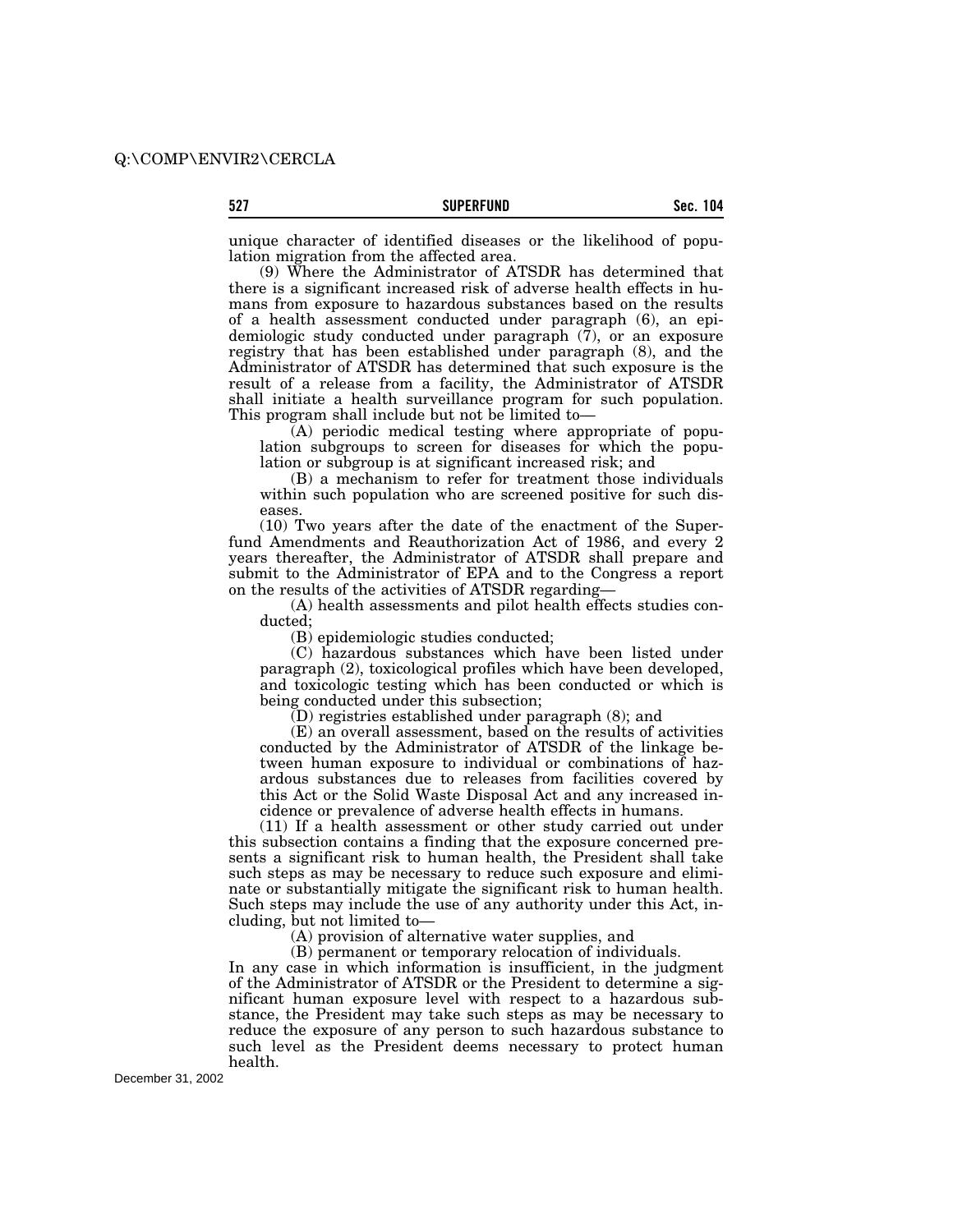unique character of identified diseases or the likelihood of population migration from the affected area.

(9) Where the Administrator of ATSDR has determined that there is a significant increased risk of adverse health effects in humans from exposure to hazardous substances based on the results of a health assessment conducted under paragraph (6), an epidemiologic study conducted under paragraph (7), or an exposure registry that has been established under paragraph (8), and the Administrator of ATSDR has determined that such exposure is the result of a release from a facility, the Administrator of ATSDR shall initiate a health surveillance program for such population. This program shall include but not be limited to—

(A) periodic medical testing where appropriate of population subgroups to screen for diseases for which the population or subgroup is at significant increased risk; and

(B) a mechanism to refer for treatment those individuals within such population who are screened positive for such diseases.

(10) Two years after the date of the enactment of the Superfund Amendments and Reauthorization Act of 1986, and every 2 years thereafter, the Administrator of ATSDR shall prepare and submit to the Administrator of EPA and to the Congress a report on the results of the activities of ATSDR regarding—

(A) health assessments and pilot health effects studies conducted;

(B) epidemiologic studies conducted;

(C) hazardous substances which have been listed under paragraph (2), toxicological profiles which have been developed, and toxicologic testing which has been conducted or which is being conducted under this subsection;

 $(D)$  registries established under paragraph  $(8)$ ; and

(E) an overall assessment, based on the results of activities conducted by the Administrator of ATSDR of the linkage between human exposure to individual or combinations of hazardous substances due to releases from facilities covered by this Act or the Solid Waste Disposal Act and any increased incidence or prevalence of adverse health effects in humans.

(11) If a health assessment or other study carried out under this subsection contains a finding that the exposure concerned presents a significant risk to human health, the President shall take such steps as may be necessary to reduce such exposure and eliminate or substantially mitigate the significant risk to human health. Such steps may include the use of any authority under this Act, including, but not limited to—

(A) provision of alternative water supplies, and

(B) permanent or temporary relocation of individuals.

In any case in which information is insufficient, in the judgment of the Administrator of ATSDR or the President to determine a significant human exposure level with respect to a hazardous substance, the President may take such steps as may be necessary to reduce the exposure of any person to such hazardous substance to such level as the President deems necessary to protect human health.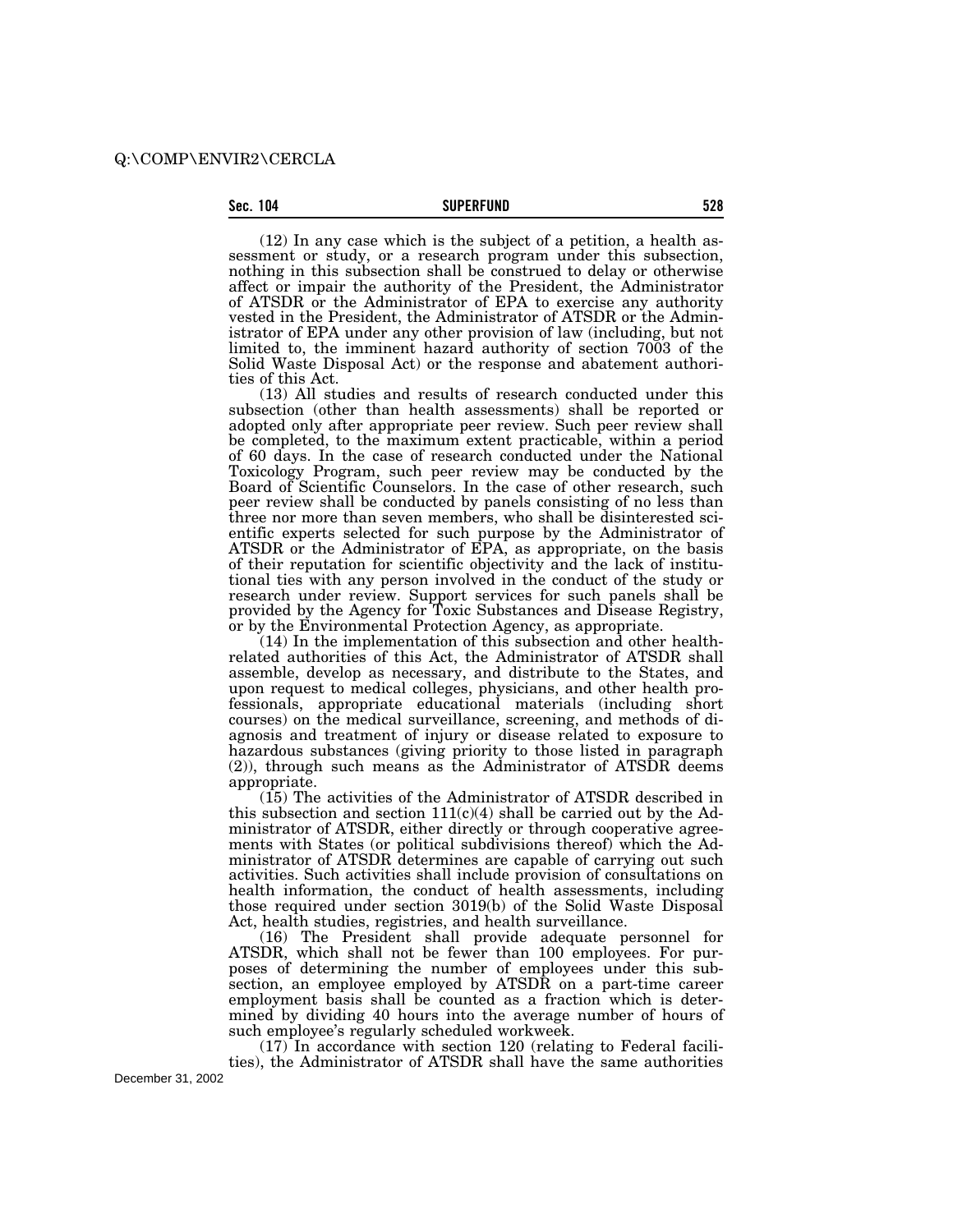# **Sec. 104 SUPERFUND 528**

(12) In any case which is the subject of a petition, a health assessment or study, or a research program under this subsection, nothing in this subsection shall be construed to delay or otherwise affect or impair the authority of the President, the Administrator of ATSDR or the Administrator of EPA to exercise any authority vested in the President, the Administrator of ATSDR or the Administrator of EPA under any other provision of law (including, but not limited to, the imminent hazard authority of section 7003 of the Solid Waste Disposal Act) or the response and abatement authorities of this Act.

(13) All studies and results of research conducted under this subsection (other than health assessments) shall be reported or adopted only after appropriate peer review. Such peer review shall be completed, to the maximum extent practicable, within a period of 60 days. In the case of research conducted under the National Toxicology Program, such peer review may be conducted by the Board of Scientific Counselors. In the case of other research, such peer review shall be conducted by panels consisting of no less than three nor more than seven members, who shall be disinterested scientific experts selected for such purpose by the Administrator of ATSDR or the Administrator of EPA, as appropriate, on the basis of their reputation for scientific objectivity and the lack of institutional ties with any person involved in the conduct of the study or research under review. Support services for such panels shall be provided by the Agency for Toxic Substances and Disease Registry, or by the Environmental Protection Agency, as appropriate.

(14) In the implementation of this subsection and other healthrelated authorities of this Act, the Administrator of ATSDR shall assemble, develop as necessary, and distribute to the States, and upon request to medical colleges, physicians, and other health professionals, appropriate educational materials (including short courses) on the medical surveillance, screening, and methods of diagnosis and treatment of injury or disease related to exposure to hazardous substances (giving priority to those listed in paragraph (2)), through such means as the Administrator of ATSDR deems appropriate.

(15) The activities of the Administrator of ATSDR described in this subsection and section  $111(c)(4)$  shall be carried out by the Administrator of ATSDR, either directly or through cooperative agreements with States (or political subdivisions thereof) which the Administrator of ATSDR determines are capable of carrying out such activities. Such activities shall include provision of consultations on health information, the conduct of health assessments, including those required under section 3019(b) of the Solid Waste Disposal Act, health studies, registries, and health surveillance.

(16) The President shall provide adequate personnel for ATSDR, which shall not be fewer than 100 employees. For purposes of determining the number of employees under this subsection, an employee employed by ATSDR on a part-time career employment basis shall be counted as a fraction which is determined by dividing 40 hours into the average number of hours of such employee's regularly scheduled workweek.

(17) In accordance with section 120 (relating to Federal facilities), the Administrator of ATSDR shall have the same authorities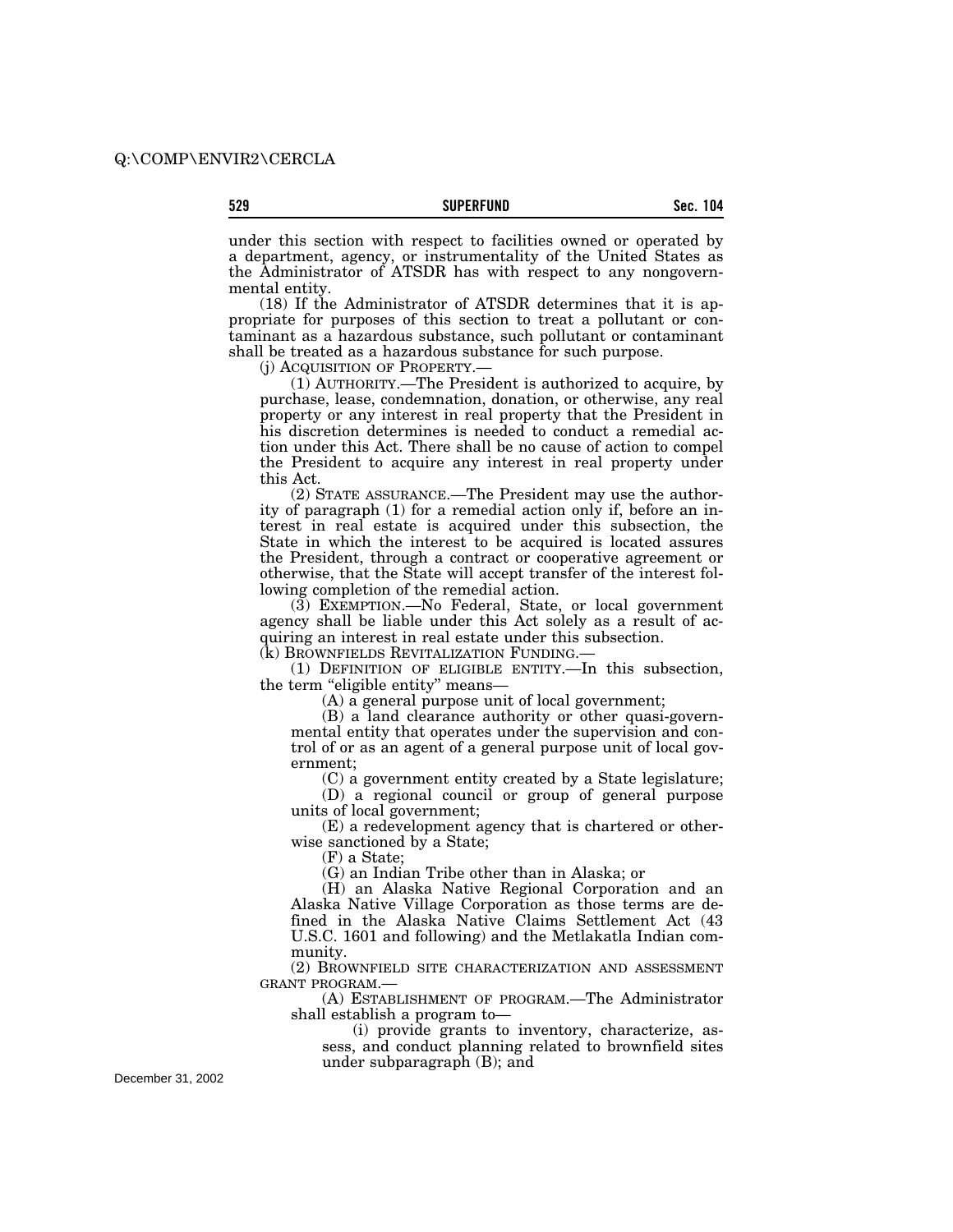#### **529 Sec. 104 SUPERFUND**

under this section with respect to facilities owned or operated by a department, agency, or instrumentality of the United States as the Administrator of ATSDR has with respect to any nongovernmental entity.

(18) If the Administrator of ATSDR determines that it is appropriate for purposes of this section to treat a pollutant or contaminant as a hazardous substance, such pollutant or contaminant shall be treated as a hazardous substance for such purpose.

(j) ACQUISITION OF PROPERTY.—

(1) AUTHORITY.—The President is authorized to acquire, by purchase, lease, condemnation, donation, or otherwise, any real property or any interest in real property that the President in his discretion determines is needed to conduct a remedial action under this Act. There shall be no cause of action to compel the President to acquire any interest in real property under this Act.

(2) STATE ASSURANCE.—The President may use the authority of paragraph (1) for a remedial action only if, before an interest in real estate is acquired under this subsection, the State in which the interest to be acquired is located assures the President, through a contract or cooperative agreement or otherwise, that the State will accept transfer of the interest following completion of the remedial action.

(3) EXEMPTION.—No Federal, State, or local government agency shall be liable under this Act solely as a result of acquiring an interest in real estate under this subsection.

(k) BROWNFIELDS REVITALIZATION FUNDING.

(1) DEFINITION OF ELIGIBLE ENTITY.—In this subsection, the term "eligible entity" means-

(A) a general purpose unit of local government;

(B) a land clearance authority or other quasi-governmental entity that operates under the supervision and control of or as an agent of a general purpose unit of local government;

(C) a government entity created by a State legislature; (D) a regional council or group of general purpose units of local government;

(E) a redevelopment agency that is chartered or otherwise sanctioned by a State;

(F) a State;

(G) an Indian Tribe other than in Alaska; or

(H) an Alaska Native Regional Corporation and an Alaska Native Village Corporation as those terms are defined in the Alaska Native Claims Settlement Act (43 U.S.C. 1601 and following) and the Metlakatla Indian community.

(2) BROWNFIELD SITE CHARACTERIZATION AND ASSESSMENT GRANT PROGRAM.—

(A) ESTABLISHMENT OF PROGRAM.—The Administrator shall establish a program to—

(i) provide grants to inventory, characterize, assess, and conduct planning related to brownfield sites under subparagraph (B); and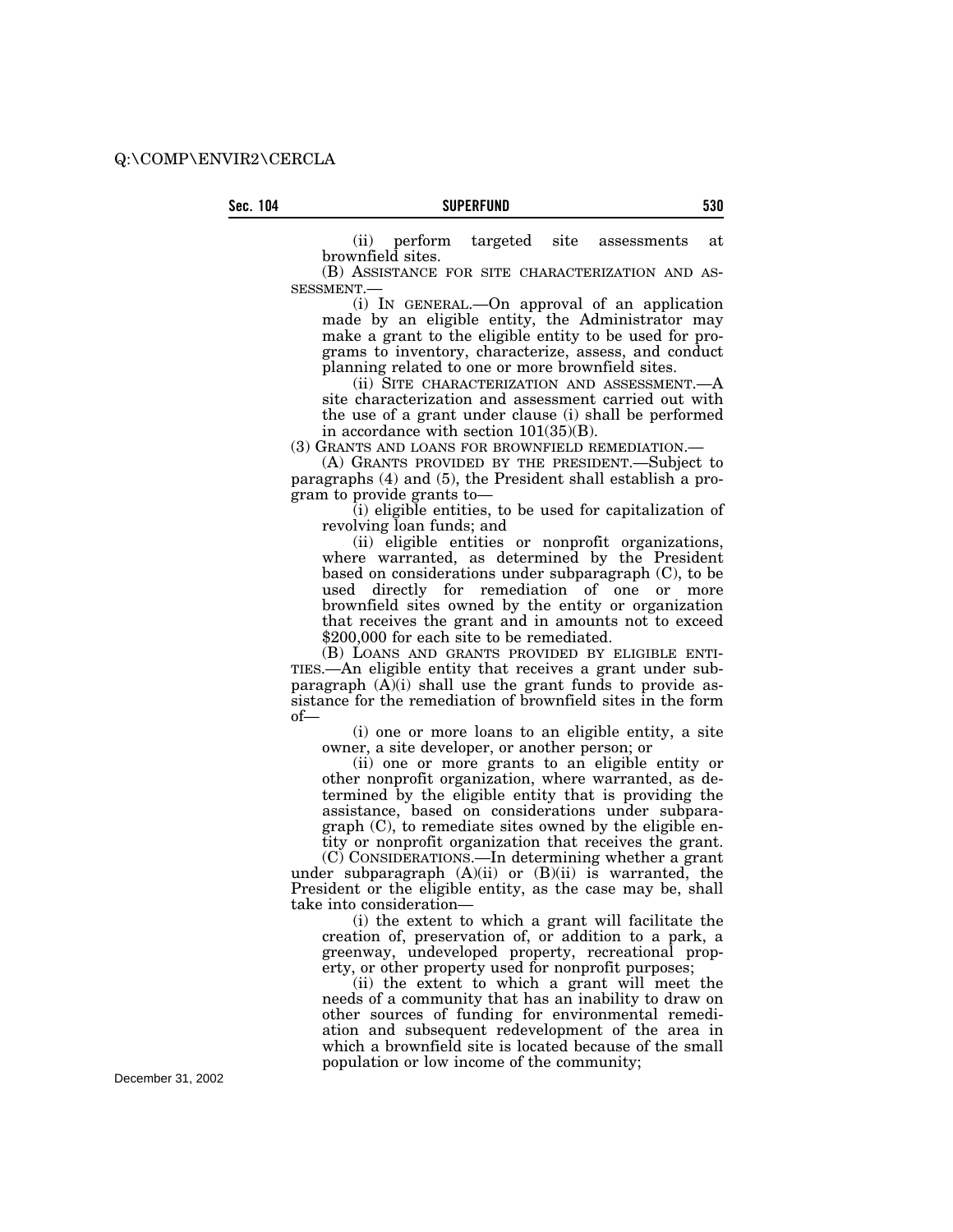(ii) perform targeted site assessments at brownfield sites.

(B) ASSISTANCE FOR SITE CHARACTERIZATION AND AS-SESSMENT.—

(i) IN GENERAL.—On approval of an application made by an eligible entity, the Administrator may make a grant to the eligible entity to be used for programs to inventory, characterize, assess, and conduct planning related to one or more brownfield sites.

(ii) SITE CHARACTERIZATION AND ASSESSMENT.—A site characterization and assessment carried out with the use of a grant under clause (i) shall be performed in accordance with section 101(35)(B).

(3) GRANTS AND LOANS FOR BROWNFIELD REMEDIATION.—

(A) GRANTS PROVIDED BY THE PRESIDENT.—Subject to paragraphs (4) and (5), the President shall establish a program to provide grants to—

(i) eligible entities, to be used for capitalization of revolving loan funds; and

(ii) eligible entities or nonprofit organizations, where warranted, as determined by the President based on considerations under subparagraph (C), to be used directly for remediation of one or more brownfield sites owned by the entity or organization that receives the grant and in amounts not to exceed \$200,000 for each site to be remediated.

(B) LOANS AND GRANTS PROVIDED BY ELIGIBLE ENTI-TIES.—An eligible entity that receives a grant under subparagraph  $(A)(i)$  shall use the grant funds to provide assistance for the remediation of brownfield sites in the form  $of$ 

(i) one or more loans to an eligible entity, a site owner, a site developer, or another person; or

(ii) one or more grants to an eligible entity or other nonprofit organization, where warranted, as determined by the eligible entity that is providing the assistance, based on considerations under subparagraph (C), to remediate sites owned by the eligible entity or nonprofit organization that receives the grant.

(C) CONSIDERATIONS.—In determining whether a grant under subparagraph  $(A)(ii)$  or  $(B)(ii)$  is warranted, the President or the eligible entity, as the case may be, shall take into consideration—

(i) the extent to which a grant will facilitate the creation of, preservation of, or addition to a park, a greenway, undeveloped property, recreational property, or other property used for nonprofit purposes;

(ii) the extent to which a grant will meet the needs of a community that has an inability to draw on other sources of funding for environmental remediation and subsequent redevelopment of the area in which a brownfield site is located because of the small population or low income of the community;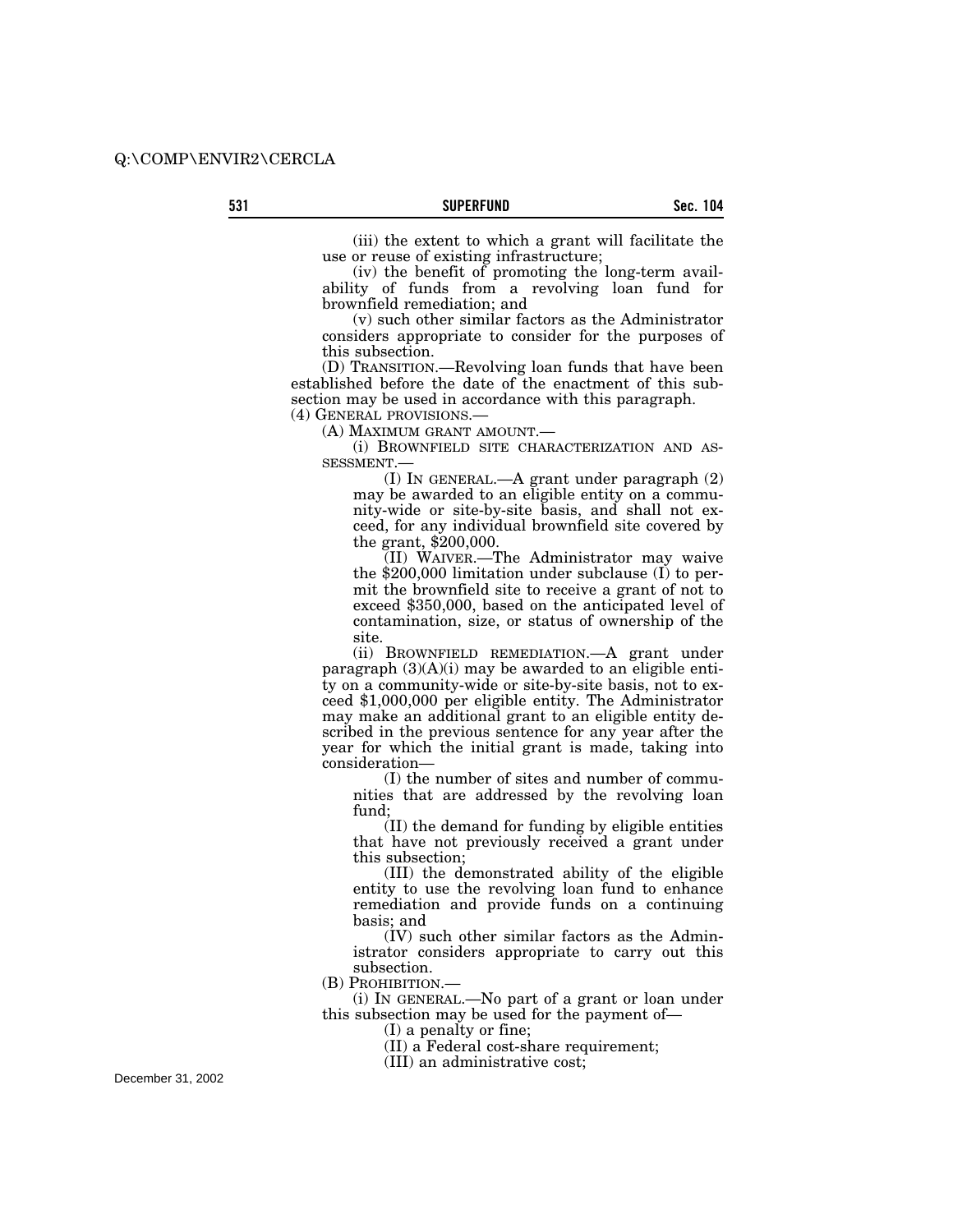(iii) the extent to which a grant will facilitate the use or reuse of existing infrastructure;

(iv) the benefit of promoting the long-term availability of funds from a revolving loan fund for brownfield remediation; and

(v) such other similar factors as the Administrator considers appropriate to consider for the purposes of this subsection.

(D) TRANSITION.—Revolving loan funds that have been established before the date of the enactment of this subsection may be used in accordance with this paragraph.

(4) GENERAL PROVISIONS.—

(A) MAXIMUM GRANT AMOUNT.—

(i) BROWNFIELD SITE CHARACTERIZATION AND AS-SESSMENT.—

(I) IN GENERAL.—A grant under paragraph (2) may be awarded to an eligible entity on a community-wide or site-by-site basis, and shall not exceed, for any individual brownfield site covered by the grant, \$200,000.

(II) WAIVER.—The Administrator may waive the \$200,000 limitation under subclause (I) to permit the brownfield site to receive a grant of not to exceed \$350,000, based on the anticipated level of contamination, size, or status of ownership of the site.

(ii) BROWNFIELD REMEDIATION.—A grant under paragraph  $(3)(A)(i)$  may be awarded to an eligible entity on a community-wide or site-by-site basis, not to exceed \$1,000,000 per eligible entity. The Administrator may make an additional grant to an eligible entity described in the previous sentence for any year after the year for which the initial grant is made, taking into consideration—

(I) the number of sites and number of communities that are addressed by the revolving loan fund;

(II) the demand for funding by eligible entities that have not previously received a grant under this subsection;

(III) the demonstrated ability of the eligible entity to use the revolving loan fund to enhance remediation and provide funds on a continuing basis; and

(IV) such other similar factors as the Administrator considers appropriate to carry out this subsection.

(B) PROHIBITION.—

(i) IN GENERAL.—No part of a grant or loan under this subsection may be used for the payment of—

(I) a penalty or fine;

(II) a Federal cost-share requirement;

(III) an administrative cost;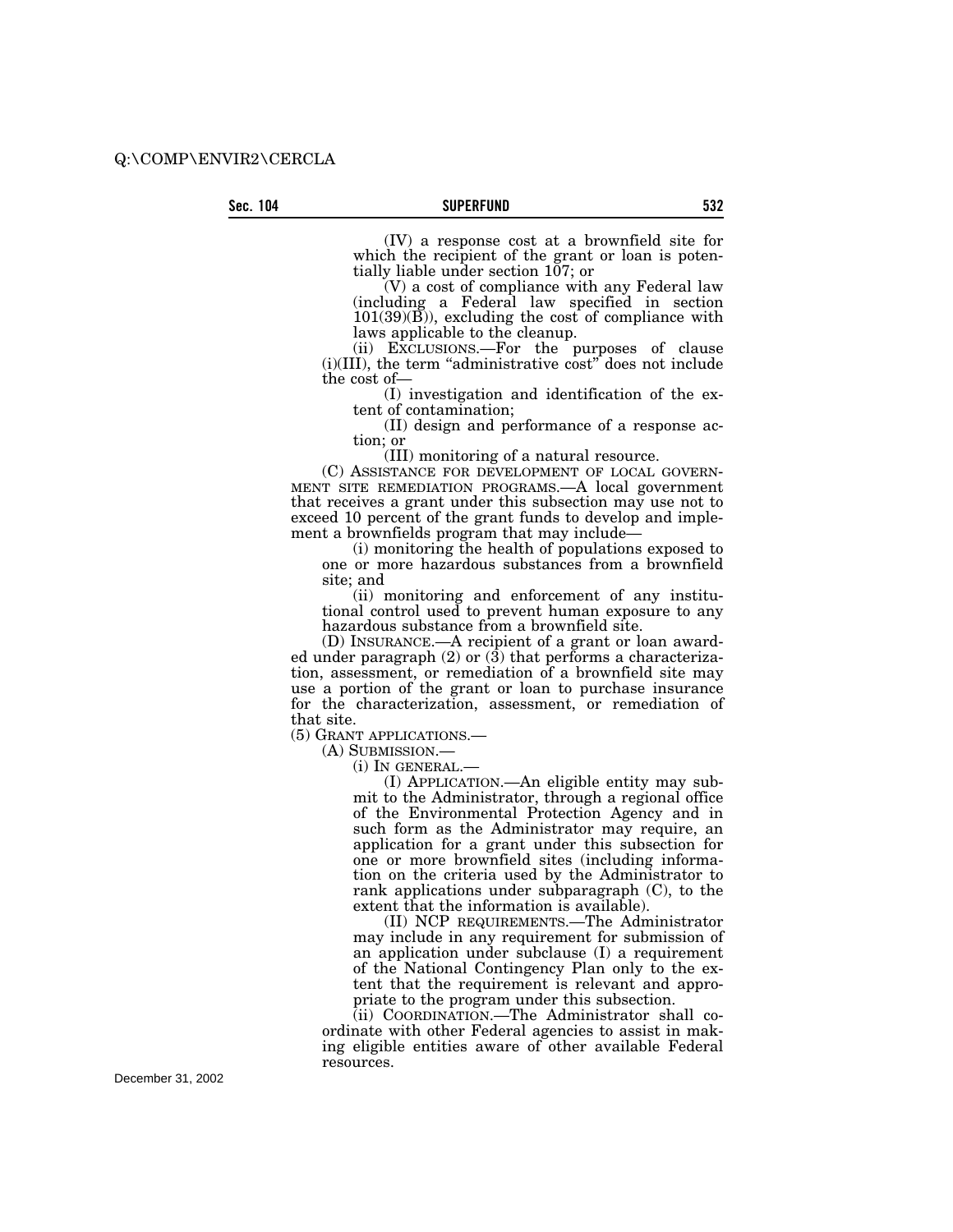(IV) a response cost at a brownfield site for which the recipient of the grant or loan is potentially liable under section 107; or

(V) a cost of compliance with any Federal law (including a Federal law specified in section  $101(39)(\tilde{B})$ , excluding the cost of compliance with laws applicable to the cleanup.

(ii) EXCLUSIONS.—For the purposes of clause (i)(III), the term ''administrative cost'' does not include the cost of—

(I) investigation and identification of the extent of contamination;

(II) design and performance of a response action; or

(III) monitoring of a natural resource.<br>(C) ASSISTANCE FOR DEVELOPMENT OF LOCAL GOVERN-MENT SITE REMEDIATION PROGRAMS.—A local government that receives a grant under this subsection may use not to exceed 10 percent of the grant funds to develop and implement a brownfields program that may include—

(i) monitoring the health of populations exposed to one or more hazardous substances from a brownfield site; and

(ii) monitoring and enforcement of any institutional control used to prevent human exposure to any hazardous substance from a brownfield site.

(D) INSURANCE.—A recipient of a grant or loan awarded under paragraph  $(2)$  or  $(3)$  that performs a characterization, assessment, or remediation of a brownfield site may use a portion of the grant or loan to purchase insurance for the characterization, assessment, or remediation of that site.

(5) GRANT APPLICATIONS.—

(A) SUBMISSION.—

(i) IN GENERAL.—

(I) APPLICATION.—An eligible entity may submit to the Administrator, through a regional office of the Environmental Protection Agency and in such form as the Administrator may require, an application for a grant under this subsection for one or more brownfield sites (including information on the criteria used by the Administrator to rank applications under subparagraph (C), to the extent that the information is available).

(II) NCP REQUIREMENTS.—The Administrator may include in any requirement for submission of an application under subclause (I) a requirement of the National Contingency Plan only to the extent that the requirement is relevant and appropriate to the program under this subsection.

(ii) COORDINATION.—The Administrator shall coordinate with other Federal agencies to assist in making eligible entities aware of other available Federal resources.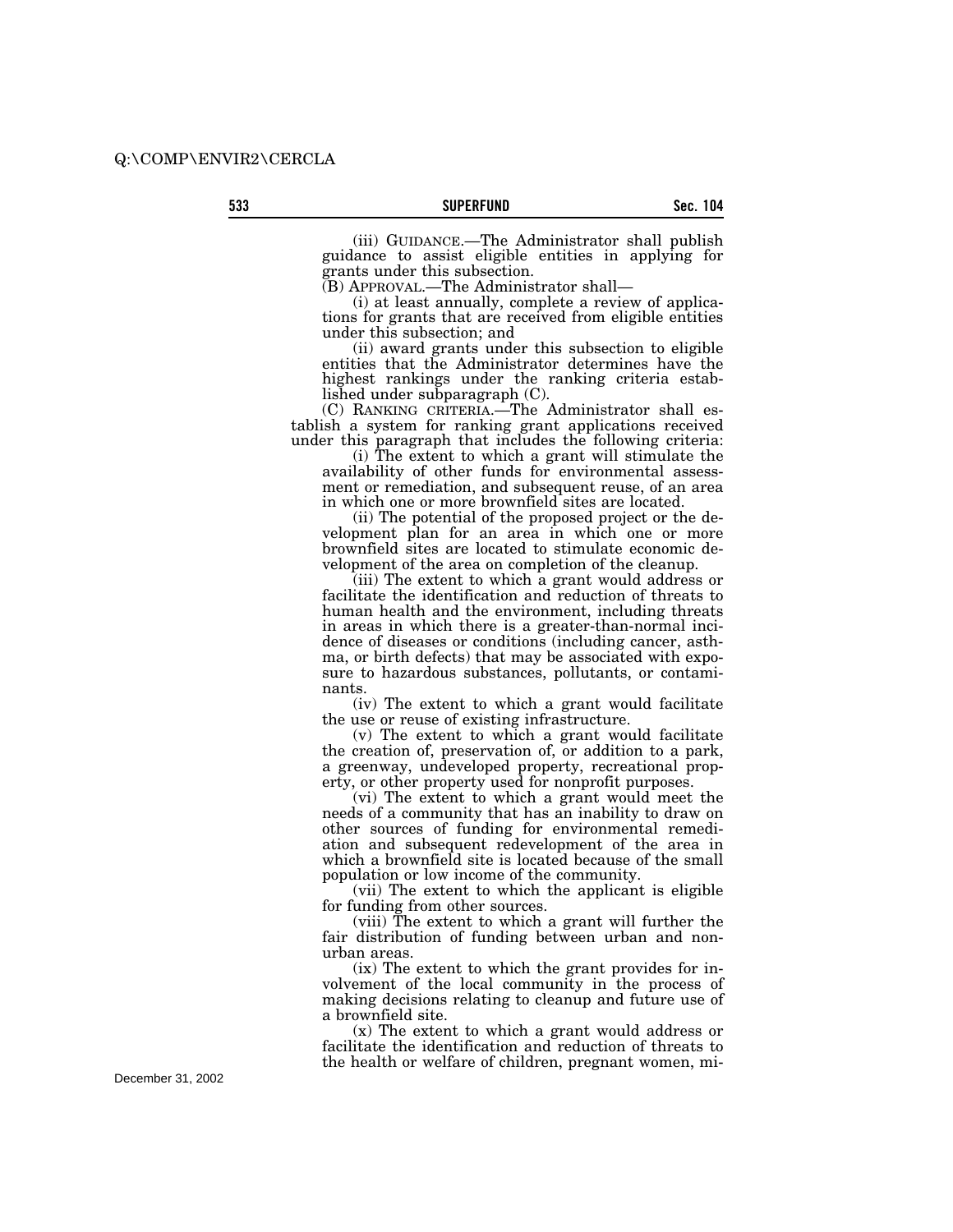(iii) GUIDANCE.—The Administrator shall publish guidance to assist eligible entities in applying for grants under this subsection.

(B) APPROVAL.—The Administrator shall—

(i) at least annually, complete a review of applications for grants that are received from eligible entities under this subsection; and

(ii) award grants under this subsection to eligible entities that the Administrator determines have the highest rankings under the ranking criteria established under subparagraph (C).

(C) RANKING CRITERIA.—The Administrator shall establish a system for ranking grant applications received under this paragraph that includes the following criteria:

(i) The extent to which a grant will stimulate the availability of other funds for environmental assessment or remediation, and subsequent reuse, of an area in which one or more brownfield sites are located.

(ii) The potential of the proposed project or the development plan for an area in which one or more brownfield sites are located to stimulate economic development of the area on completion of the cleanup.

(iii) The extent to which a grant would address or facilitate the identification and reduction of threats to human health and the environment, including threats in areas in which there is a greater-than-normal incidence of diseases or conditions (including cancer, asthma, or birth defects) that may be associated with exposure to hazardous substances, pollutants, or contaminants.

(iv) The extent to which a grant would facilitate the use or reuse of existing infrastructure.

(v) The extent to which a grant would facilitate the creation of, preservation of, or addition to a park, a greenway, undeveloped property, recreational property, or other property used for nonprofit purposes.

(vi) The extent to which a grant would meet the needs of a community that has an inability to draw on other sources of funding for environmental remediation and subsequent redevelopment of the area in which a brownfield site is located because of the small population or low income of the community.

(vii) The extent to which the applicant is eligible for funding from other sources.

(viii) The extent to which a grant will further the fair distribution of funding between urban and nonurban areas.

(ix) The extent to which the grant provides for involvement of the local community in the process of making decisions relating to cleanup and future use of a brownfield site.

(x) The extent to which a grant would address or facilitate the identification and reduction of threats to the health or welfare of children, pregnant women, mi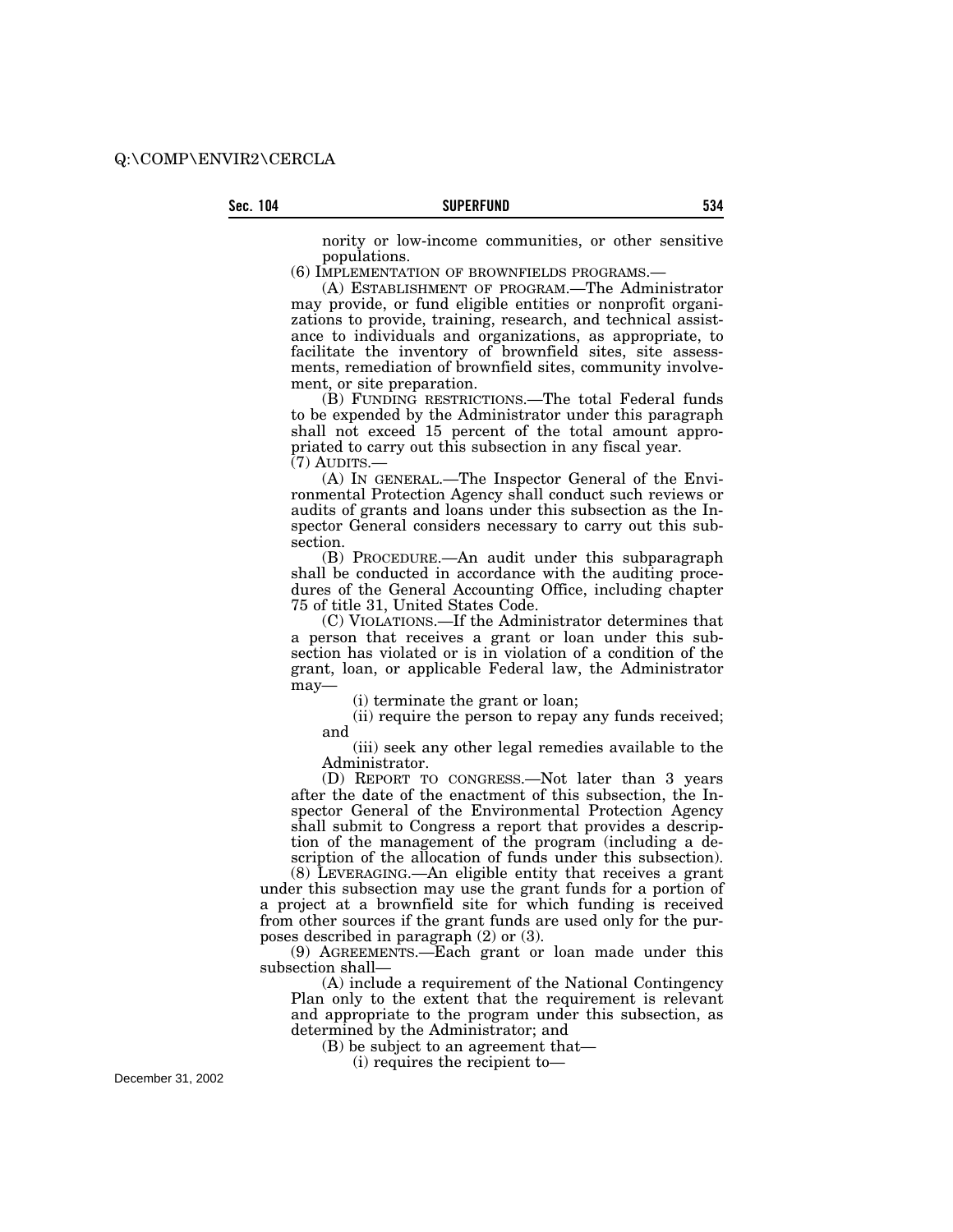nority or low-income communities, or other sensitive populations.

(6) IMPLEMENTATION OF BROWNFIELDS PROGRAMS.—

(A) ESTABLISHMENT OF PROGRAM.—The Administrator may provide, or fund eligible entities or nonprofit organizations to provide, training, research, and technical assistance to individuals and organizations, as appropriate, to facilitate the inventory of brownfield sites, site assessments, remediation of brownfield sites, community involvement, or site preparation.

(B) FUNDING RESTRICTIONS.—The total Federal funds to be expended by the Administrator under this paragraph shall not exceed 15 percent of the total amount appropriated to carry out this subsection in any fiscal year. (7) AUDITS.—

(A) IN GENERAL.—The Inspector General of the Environmental Protection Agency shall conduct such reviews or audits of grants and loans under this subsection as the Inspector General considers necessary to carry out this subsection.

(B) PROCEDURE.—An audit under this subparagraph shall be conducted in accordance with the auditing procedures of the General Accounting Office, including chapter 75 of title 31, United States Code.

(C) VIOLATIONS.—If the Administrator determines that a person that receives a grant or loan under this subsection has violated or is in violation of a condition of the grant, loan, or applicable Federal law, the Administrator may—

(i) terminate the grant or loan;

(ii) require the person to repay any funds received; and

(iii) seek any other legal remedies available to the Administrator.

(D) REPORT TO CONGRESS.—Not later than 3 years after the date of the enactment of this subsection, the Inspector General of the Environmental Protection Agency shall submit to Congress a report that provides a description of the management of the program (including a description of the allocation of funds under this subsection).

(8) LEVERAGING.—An eligible entity that receives a grant under this subsection may use the grant funds for a portion of a project at a brownfield site for which funding is received from other sources if the grant funds are used only for the purposes described in paragraph (2) or (3).

(9) AGREEMENTS.—Each grant or loan made under this subsection shall—

(A) include a requirement of the National Contingency Plan only to the extent that the requirement is relevant and appropriate to the program under this subsection, as determined by the Administrator; and

(B) be subject to an agreement that—

(i) requires the recipient to—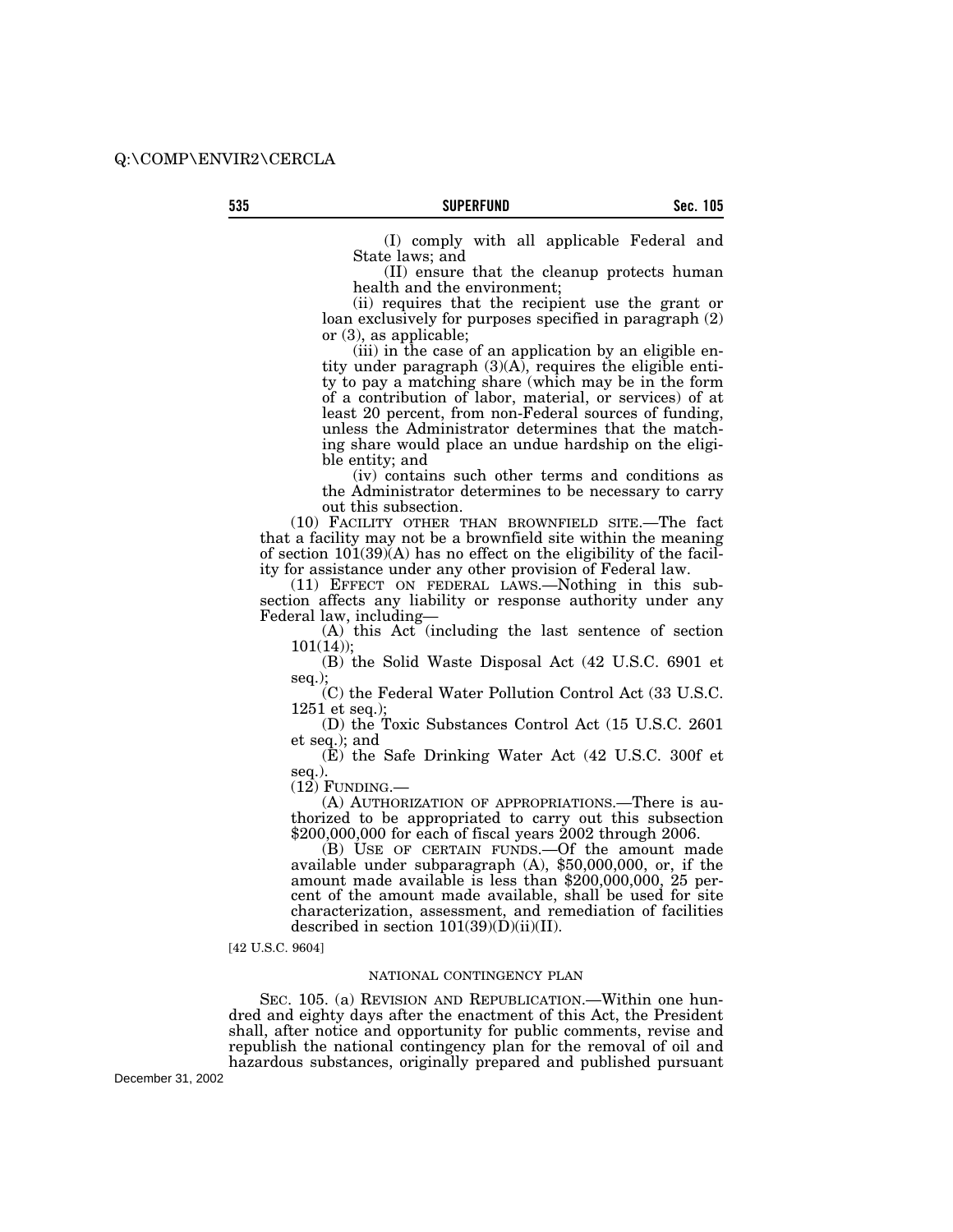(I) comply with all applicable Federal and State laws; and

(II) ensure that the cleanup protects human health and the environment;

(ii) requires that the recipient use the grant or loan exclusively for purposes specified in paragraph (2) or (3), as applicable;

(iii) in the case of an application by an eligible entity under paragraph  $(3)(A)$ , requires the eligible entity to pay a matching share (which may be in the form of a contribution of labor, material, or services) of at least 20 percent, from non-Federal sources of funding, unless the Administrator determines that the matching share would place an undue hardship on the eligible entity; and

(iv) contains such other terms and conditions as the Administrator determines to be necessary to carry out this subsection.

(10) FACILITY OTHER THAN BROWNFIELD SITE.—The fact that a facility may not be a brownfield site within the meaning of section  $101(39)(A)$  has no effect on the eligibility of the facility for assistance under any other provision of Federal law.

(11) EFFECT ON FEDERAL LAWS.—Nothing in this subsection affects any liability or response authority under any Federal law, including—

(A) this Act (including the last sentence of section  $101(14)$ ;

(B) the Solid Waste Disposal Act (42 U.S.C. 6901 et seq.)

(C) the Federal Water Pollution Control Act (33 U.S.C. 1251 et seq.);

(D) the Toxic Substances Control Act (15 U.S.C. 2601 et seq.); and

(E) the Safe Drinking Water Act (42 U.S.C. 300f et seq.).<br>(12) FUNDING.–

(A) AUTHORIZATION OF APPROPRIATIONS.—There is authorized to be appropriated to carry out this subsection \$200,000,000 for each of fiscal years 2002 through 2006.

(B) USE OF CERTAIN FUNDS.—Of the amount made available under subparagraph (A), \$50,000,000, or, if the amount made available is less than \$200,000,000, 25 percent of the amount made available, shall be used for site characterization, assessment, and remediation of facilities described in section  $101(39)(D)(ii)(II)$ .

[42 U.S.C. 9604]

# NATIONAL CONTINGENCY PLAN

SEC. 105. (a) REVISION AND REPUBLICATION.—Within one hundred and eighty days after the enactment of this Act, the President shall, after notice and opportunity for public comments, revise and republish the national contingency plan for the removal of oil and hazardous substances, originally prepared and published pursuant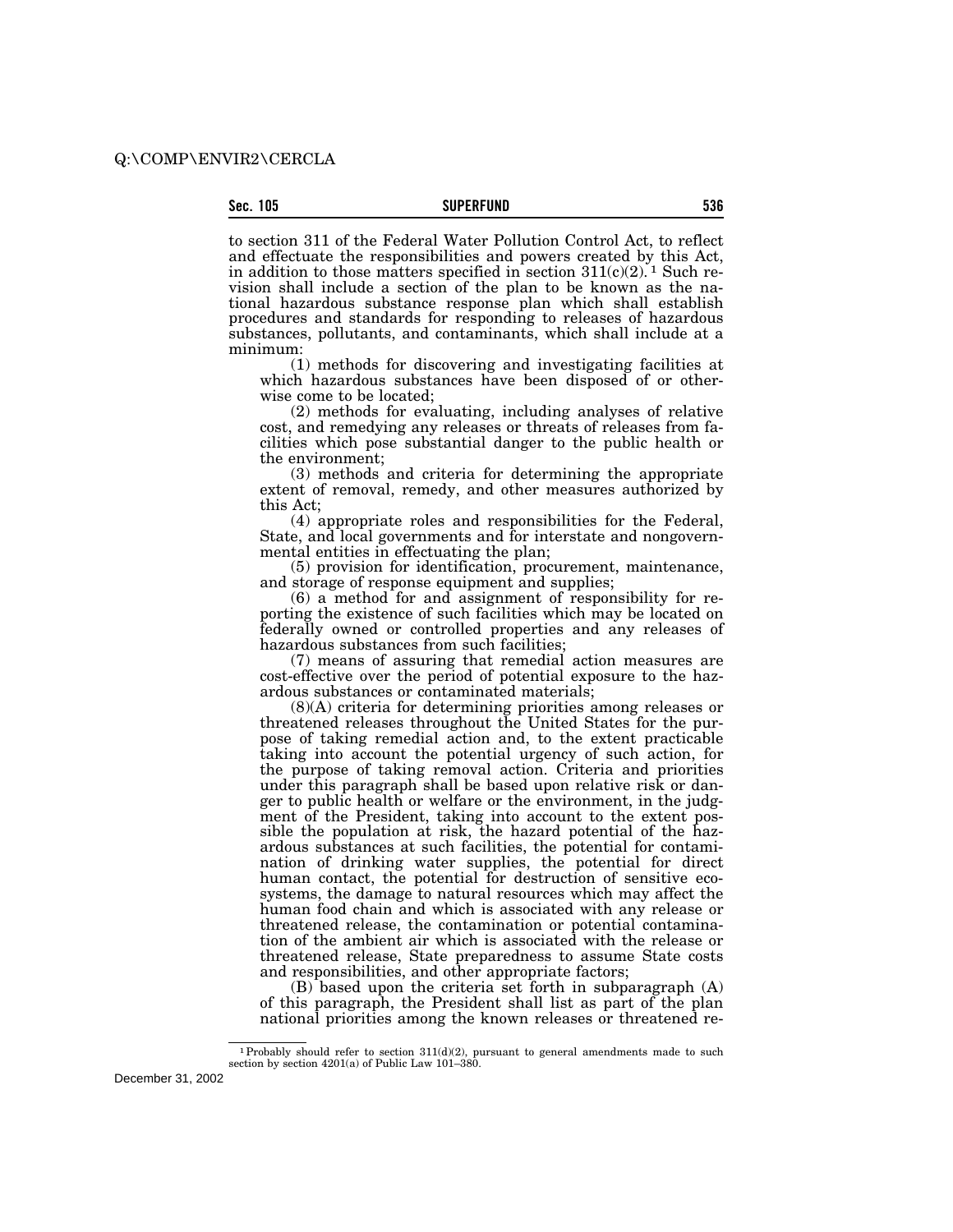to section 311 of the Federal Water Pollution Control Act, to reflect and effectuate the responsibilities and powers created by this Act, in addition to those matters specified in section  $311(c)(2)$ . <sup>1</sup> Such revision shall include a section of the plan to be known as the national hazardous substance response plan which shall establish procedures and standards for responding to releases of hazardous substances, pollutants, and contaminants, which shall include at a minimum:

(1) methods for discovering and investigating facilities at which hazardous substances have been disposed of or otherwise come to be located;

(2) methods for evaluating, including analyses of relative cost, and remedying any releases or threats of releases from facilities which pose substantial danger to the public health or the environment;

(3) methods and criteria for determining the appropriate extent of removal, remedy, and other measures authorized by this Act;

(4) appropriate roles and responsibilities for the Federal, State, and local governments and for interstate and nongovernmental entities in effectuating the plan;

(5) provision for identification, procurement, maintenance, and storage of response equipment and supplies;

(6) a method for and assignment of responsibility for reporting the existence of such facilities which may be located on federally owned or controlled properties and any releases of hazardous substances from such facilities;

(7) means of assuring that remedial action measures are cost-effective over the period of potential exposure to the hazardous substances or contaminated materials;

(8)(A) criteria for determining priorities among releases or threatened releases throughout the United States for the purpose of taking remedial action and, to the extent practicable taking into account the potential urgency of such action, for the purpose of taking removal action. Criteria and priorities under this paragraph shall be based upon relative risk or danger to public health or welfare or the environment, in the judgment of the President, taking into account to the extent possible the population at risk, the hazard potential of the hazardous substances at such facilities, the potential for contamination of drinking water supplies, the potential for direct human contact, the potential for destruction of sensitive ecosystems, the damage to natural resources which may affect the human food chain and which is associated with any release or threatened release, the contamination or potential contamination of the ambient air which is associated with the release or threatened release, State preparedness to assume State costs and responsibilities, and other appropriate factors;

(B) based upon the criteria set forth in subparagraph (A) of this paragraph, the President shall list as part of the plan national priorities among the known releases or threatened re-

<sup>&</sup>lt;sup>1</sup>Probably should refer to section  $311(d)(2)$ , pursuant to general amendments made to such section by section 4201(a) of Public Law 101–380.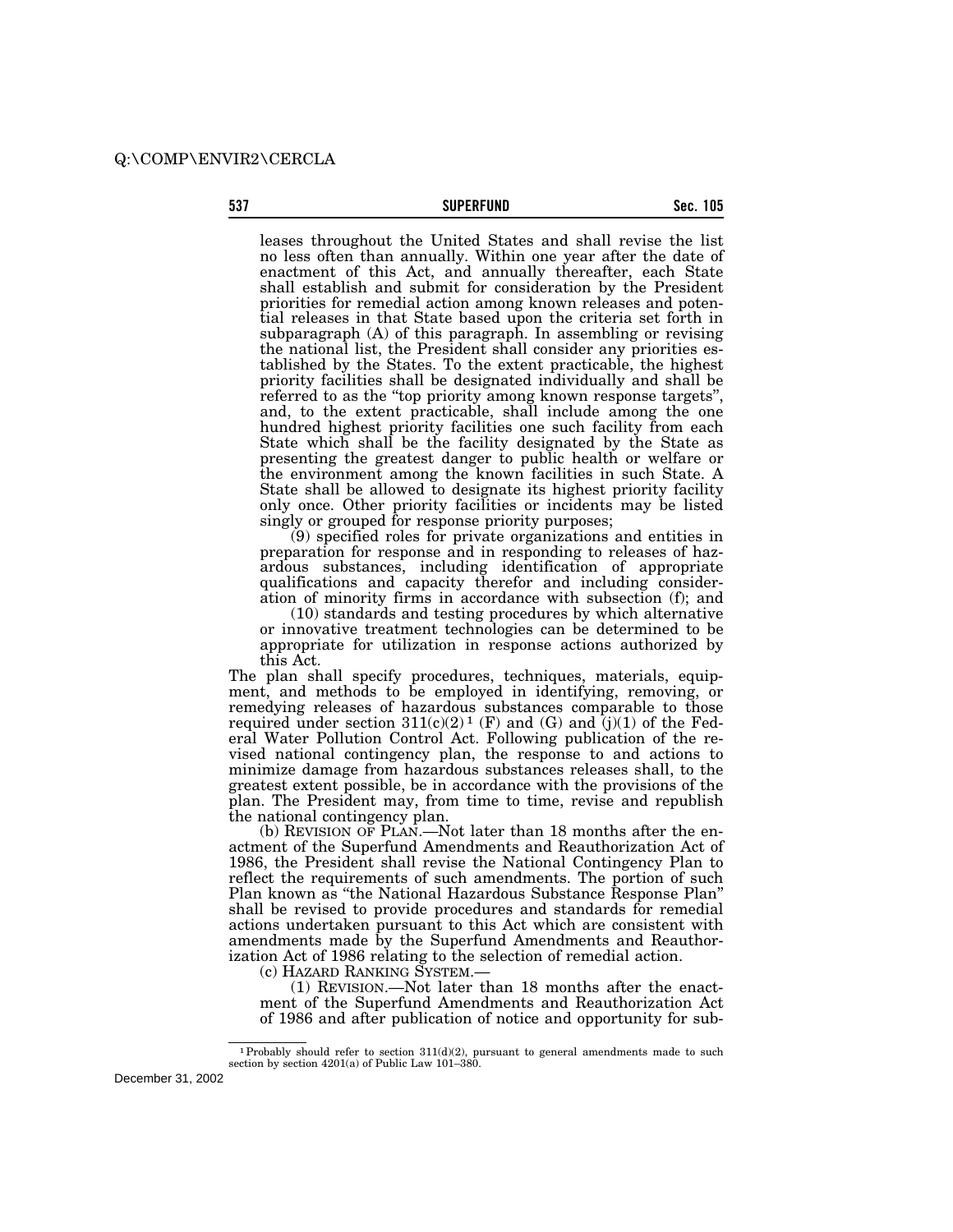# **537 Sec. 105 SUPERFUND**

leases throughout the United States and shall revise the list no less often than annually. Within one year after the date of enactment of this Act, and annually thereafter, each State shall establish and submit for consideration by the President priorities for remedial action among known releases and potential releases in that State based upon the criteria set forth in subparagraph (A) of this paragraph. In assembling or revising the national list, the President shall consider any priorities established by the States. To the extent practicable, the highest priority facilities shall be designated individually and shall be referred to as the "top priority among known response targets", and, to the extent practicable, shall include among the one hundred highest priority facilities one such facility from each State which shall be the facility designated by the State as presenting the greatest danger to public health or welfare or the environment among the known facilities in such State. A State shall be allowed to designate its highest priority facility only once. Other priority facilities or incidents may be listed singly or grouped for response priority purposes;

(9) specified roles for private organizations and entities in preparation for response and in responding to releases of hazardous substances, including identification of appropriate qualifications and capacity therefor and including consideration of minority firms in accordance with subsection (f); and

(10) standards and testing procedures by which alternative or innovative treatment technologies can be determined to be appropriate for utilization in response actions authorized by this Act.

The plan shall specify procedures, techniques, materials, equipment, and methods to be employed in identifying, removing, or remedying releases of hazardous substances comparable to those required under section  $311(c)(2)^1$  (F) and (G) and (j)(1) of the Federal Water Pollution Control Act. Following publication of the revised national contingency plan, the response to and actions to minimize damage from hazardous substances releases shall, to the greatest extent possible, be in accordance with the provisions of the plan. The President may, from time to time, revise and republish the national contingency plan.

(b) REVISION OF PLAN.—Not later than 18 months after the enactment of the Superfund Amendments and Reauthorization Act of 1986, the President shall revise the National Contingency Plan to reflect the requirements of such amendments. The portion of such Plan known as ''the National Hazardous Substance Response Plan'' shall be revised to provide procedures and standards for remedial actions undertaken pursuant to this Act which are consistent with amendments made by the Superfund Amendments and Reauthorization Act of 1986 relating to the selection of remedial action.

(c) HAZARD RANKING SYSTEM.— (1) REVISION.—Not later than 18 months after the enactment of the Superfund Amendments and Reauthorization Act of 1986 and after publication of notice and opportunity for sub-

<sup>&</sup>lt;sup>1</sup>Probably should refer to section  $311(d)(2)$ , pursuant to general amendments made to such section by section 4201(a) of Public Law 101–380.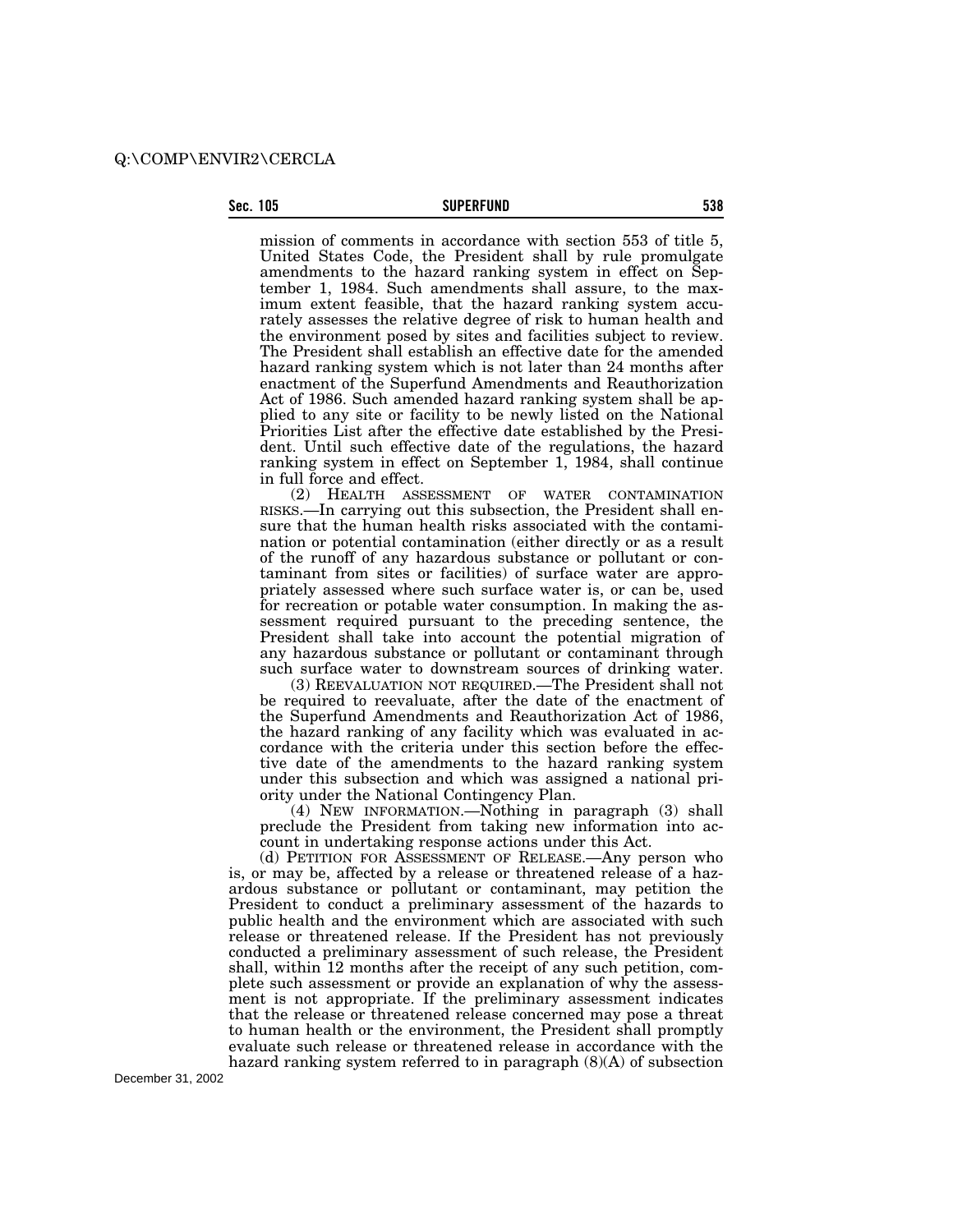### **Sec. 105** SUPERFUND 538

mission of comments in accordance with section 553 of title 5, United States Code, the President shall by rule promulgate amendments to the hazard ranking system in effect on September 1, 1984. Such amendments shall assure, to the maximum extent feasible, that the hazard ranking system accurately assesses the relative degree of risk to human health and the environment posed by sites and facilities subject to review. The President shall establish an effective date for the amended hazard ranking system which is not later than 24 months after enactment of the Superfund Amendments and Reauthorization Act of 1986. Such amended hazard ranking system shall be applied to any site or facility to be newly listed on the National Priorities List after the effective date established by the President. Until such effective date of the regulations, the hazard ranking system in effect on September 1, 1984, shall continue in full force and effect.

(2) HEALTH ASSESSMENT OF WATER CONTAMINATION RISKS.—In carrying out this subsection, the President shall ensure that the human health risks associated with the contamination or potential contamination (either directly or as a result of the runoff of any hazardous substance or pollutant or contaminant from sites or facilities) of surface water are appropriately assessed where such surface water is, or can be, used for recreation or potable water consumption. In making the assessment required pursuant to the preceding sentence, the President shall take into account the potential migration of any hazardous substance or pollutant or contaminant through such surface water to downstream sources of drinking water.

(3) REEVALUATION NOT REQUIRED.—The President shall not be required to reevaluate, after the date of the enactment of the Superfund Amendments and Reauthorization Act of 1986, the hazard ranking of any facility which was evaluated in accordance with the criteria under this section before the effective date of the amendments to the hazard ranking system under this subsection and which was assigned a national priority under the National Contingency Plan.

(4) NEW INFORMATION.—Nothing in paragraph (3) shall preclude the President from taking new information into account in undertaking response actions under this Act.

(d) PETITION FOR ASSESSMENT OF RELEASE.—Any person who is, or may be, affected by a release or threatened release of a hazardous substance or pollutant or contaminant, may petition the President to conduct a preliminary assessment of the hazards to public health and the environment which are associated with such release or threatened release. If the President has not previously conducted a preliminary assessment of such release, the President shall, within 12 months after the receipt of any such petition, complete such assessment or provide an explanation of why the assessment is not appropriate. If the preliminary assessment indicates that the release or threatened release concerned may pose a threat to human health or the environment, the President shall promptly evaluate such release or threatened release in accordance with the hazard ranking system referred to in paragraph  $(8)(A)$  of subsection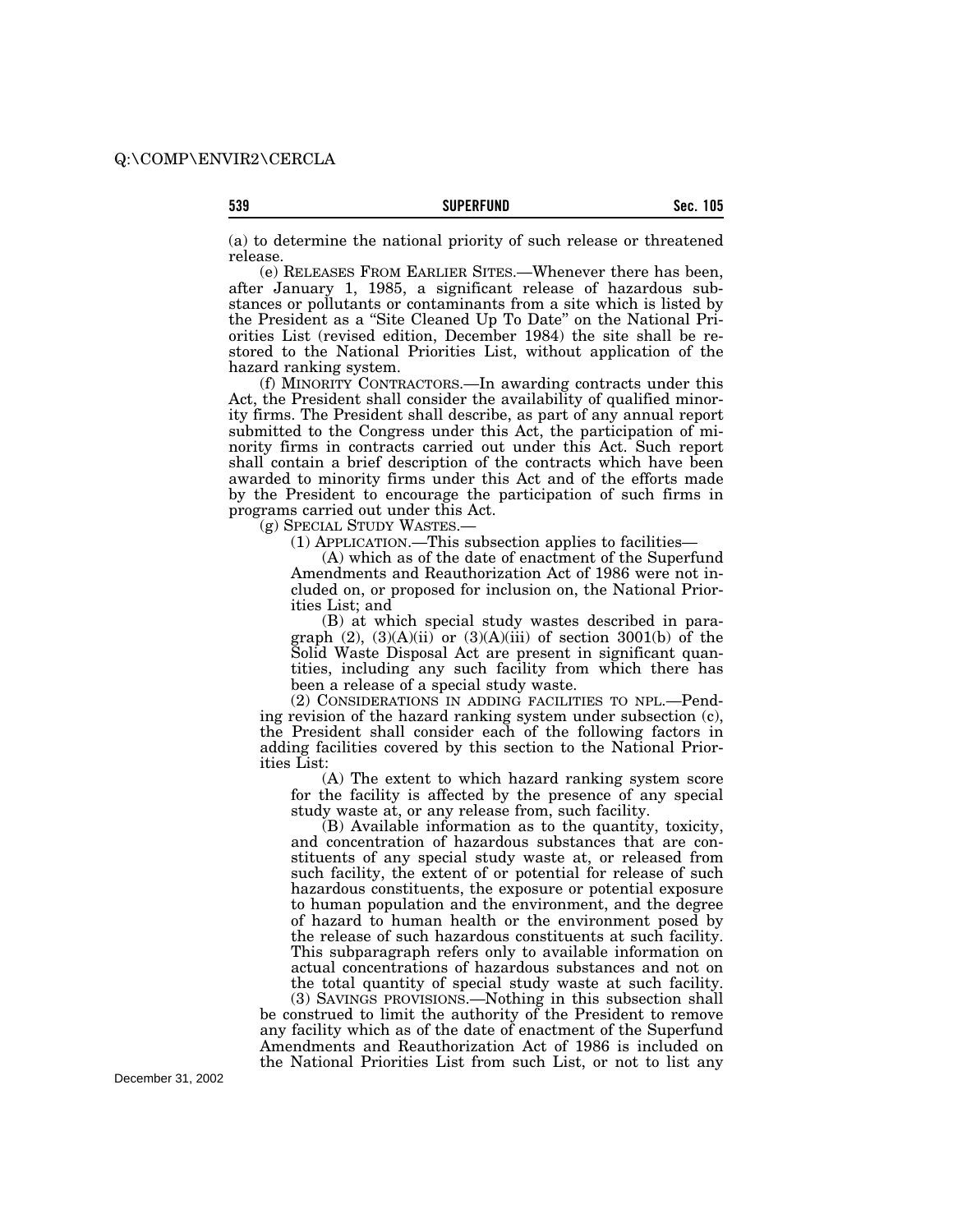(a) to determine the national priority of such release or threatened release.

(e) RELEASES FROM EARLIER SITES.—Whenever there has been, after January 1, 1985, a significant release of hazardous substances or pollutants or contaminants from a site which is listed by the President as a ''Site Cleaned Up To Date'' on the National Priorities List (revised edition, December 1984) the site shall be restored to the National Priorities List, without application of the hazard ranking system.

(f) MINORITY CONTRACTORS.—In awarding contracts under this Act, the President shall consider the availability of qualified minority firms. The President shall describe, as part of any annual report submitted to the Congress under this Act, the participation of minority firms in contracts carried out under this Act. Such report shall contain a brief description of the contracts which have been awarded to minority firms under this Act and of the efforts made by the President to encourage the participation of such firms in programs carried out under this Act.

(g) SPECIAL STUDY WASTES.—

(1) APPLICATION.—This subsection applies to facilities—

(A) which as of the date of enactment of the Superfund Amendments and Reauthorization Act of 1986 were not included on, or proposed for inclusion on, the National Priorities List; and

(B) at which special study wastes described in paragraph  $(2)$ ,  $(3)(A)(ii)$  or  $(3)(A)(iii)$  of section 3001(b) of the Solid Waste Disposal Act are present in significant quantities, including any such facility from which there has been a release of a special study waste.

(2) CONSIDERATIONS IN ADDING FACILITIES TO NPL.—Pending revision of the hazard ranking system under subsection (c), the President shall consider each of the following factors in adding facilities covered by this section to the National Priorities List:

(A) The extent to which hazard ranking system score for the facility is affected by the presence of any special study waste at, or any release from, such facility.

(B) Available information as to the quantity, toxicity, and concentration of hazardous substances that are constituents of any special study waste at, or released from such facility, the extent of or potential for release of such hazardous constituents, the exposure or potential exposure to human population and the environment, and the degree of hazard to human health or the environment posed by the release of such hazardous constituents at such facility. This subparagraph refers only to available information on actual concentrations of hazardous substances and not on the total quantity of special study waste at such facility.

(3) SAVINGS PROVISIONS.—Nothing in this subsection shall be construed to limit the authority of the President to remove any facility which as of the date of enactment of the Superfund Amendments and Reauthorization Act of 1986 is included on the National Priorities List from such List, or not to list any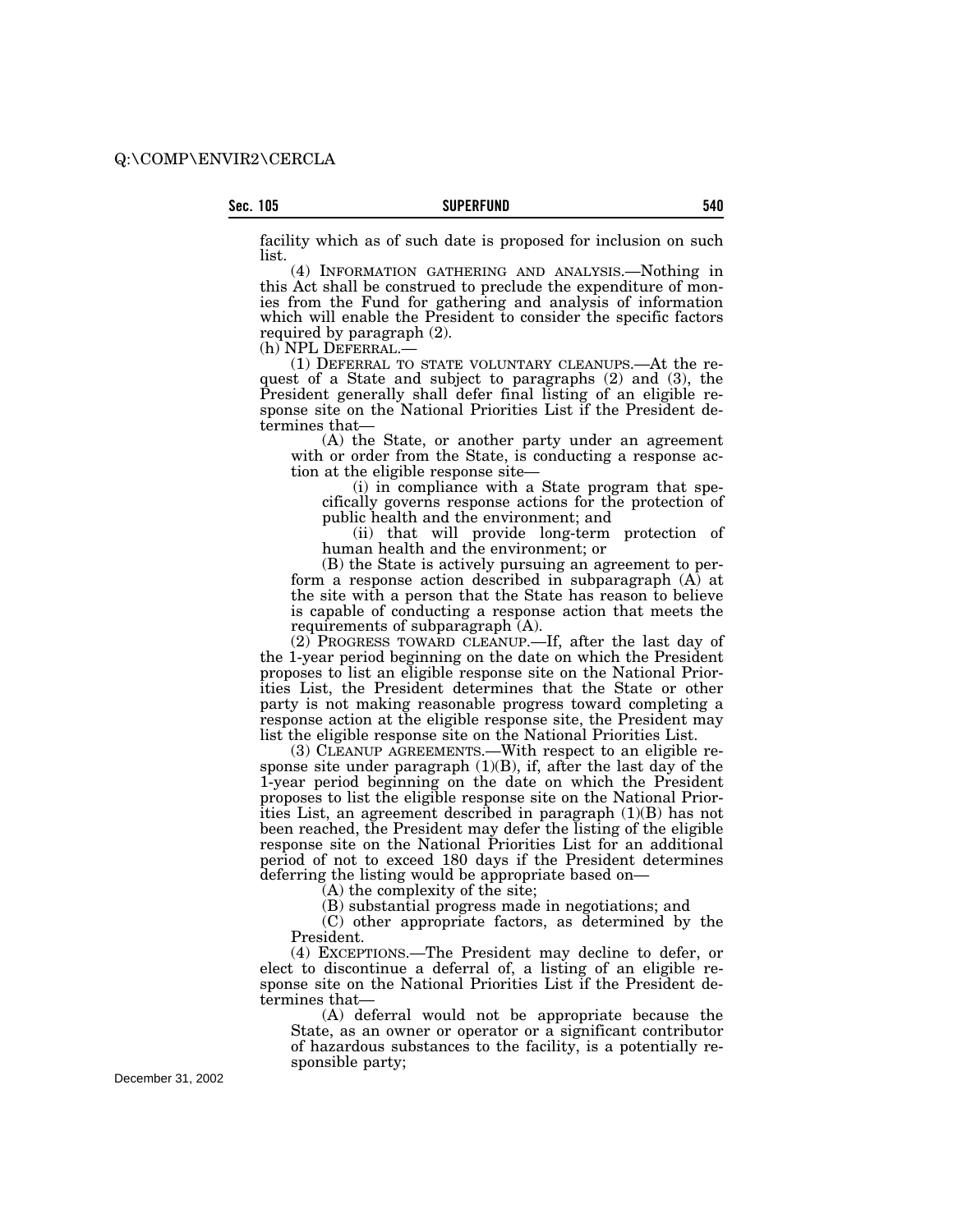facility which as of such date is proposed for inclusion on such list.

(4) INFORMATION GATHERING AND ANALYSIS.—Nothing in this Act shall be construed to preclude the expenditure of monies from the Fund for gathering and analysis of information which will enable the President to consider the specific factors required by paragraph (2).<br>(h) NPL DEFERRAL.—

 $(1)$  DEFERRAL TO STATE VOLUNTARY CLEANUPS.—At the request of a State and subject to paragraphs (2) and (3), the President generally shall defer final listing of an eligible response site on the National Priorities List if the President determines that—

(A) the State, or another party under an agreement with or order from the State, is conducting a response action at the eligible response site—

(i) in compliance with a State program that specifically governs response actions for the protection of public health and the environment; and

(ii) that will provide long-term protection of human health and the environment; or

(B) the State is actively pursuing an agreement to perform a response action described in subparagraph (A) at the site with a person that the State has reason to believe is capable of conducting a response action that meets the requirements of subparagraph (A).

(2) PROGRESS TOWARD CLEANUP.—If, after the last day of the 1-year period beginning on the date on which the President proposes to list an eligible response site on the National Priorities List, the President determines that the State or other party is not making reasonable progress toward completing a response action at the eligible response site, the President may list the eligible response site on the National Priorities List.

(3) CLEANUP AGREEMENTS.—With respect to an eligible response site under paragraph  $(1)(B)$ , if, after the last day of the 1-year period beginning on the date on which the President proposes to list the eligible response site on the National Priorities List, an agreement described in paragraph (1)(B) has not been reached, the President may defer the listing of the eligible response site on the National Priorities List for an additional period of not to exceed 180 days if the President determines deferring the listing would be appropriate based on—

(A) the complexity of the site;

(B) substantial progress made in negotiations; and

(C) other appropriate factors, as determined by the President.

(4) EXCEPTIONS.—The President may decline to defer, or elect to discontinue a deferral of, a listing of an eligible response site on the National Priorities List if the President determines that—

(A) deferral would not be appropriate because the State, as an owner or operator or a significant contributor of hazardous substances to the facility, is a potentially responsible party;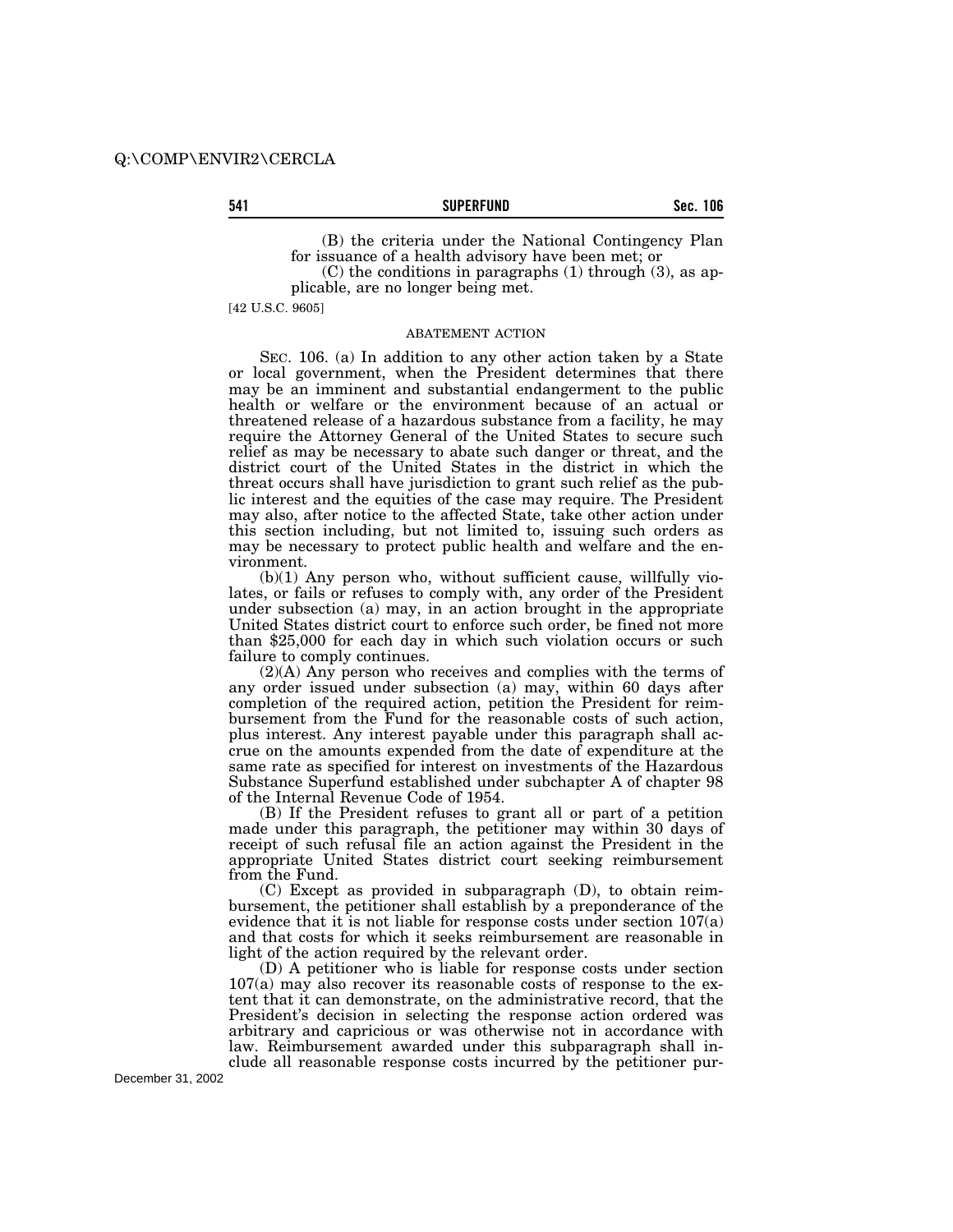# **541 Sec. 106 SUPERFUND**

(B) the criteria under the National Contingency Plan for issuance of a health advisory have been met; or

(C) the conditions in paragraphs (1) through (3), as applicable, are no longer being met.

[42 U.S.C. 9605]

### ABATEMENT ACTION

SEC. 106. (a) In addition to any other action taken by a State or local government, when the President determines that there may be an imminent and substantial endangerment to the public health or welfare or the environment because of an actual or threatened release of a hazardous substance from a facility, he may require the Attorney General of the United States to secure such relief as may be necessary to abate such danger or threat, and the district court of the United States in the district in which the threat occurs shall have jurisdiction to grant such relief as the public interest and the equities of the case may require. The President may also, after notice to the affected State, take other action under this section including, but not limited to, issuing such orders as may be necessary to protect public health and welfare and the environment.

(b)(1) Any person who, without sufficient cause, willfully violates, or fails or refuses to comply with, any order of the President under subsection (a) may, in an action brought in the appropriate United States district court to enforce such order, be fined not more than \$25,000 for each day in which such violation occurs or such failure to comply continues.

(2)(A) Any person who receives and complies with the terms of any order issued under subsection (a) may, within 60 days after completion of the required action, petition the President for reimbursement from the Fund for the reasonable costs of such action, plus interest. Any interest payable under this paragraph shall accrue on the amounts expended from the date of expenditure at the same rate as specified for interest on investments of the Hazardous Substance Superfund established under subchapter A of chapter 98 of the Internal Revenue Code of 1954.

(B) If the President refuses to grant all or part of a petition made under this paragraph, the petitioner may within 30 days of receipt of such refusal file an action against the President in the appropriate United States district court seeking reimbursement from the Fund.

(C) Except as provided in subparagraph (D), to obtain reimbursement, the petitioner shall establish by a preponderance of the evidence that it is not liable for response costs under section  $107(a)$ and that costs for which it seeks reimbursement are reasonable in light of the action required by the relevant order.

(D) A petitioner who is liable for response costs under section 107(a) may also recover its reasonable costs of response to the extent that it can demonstrate, on the administrative record, that the President's decision in selecting the response action ordered was arbitrary and capricious or was otherwise not in accordance with law. Reimbursement awarded under this subparagraph shall include all reasonable response costs incurred by the petitioner pur-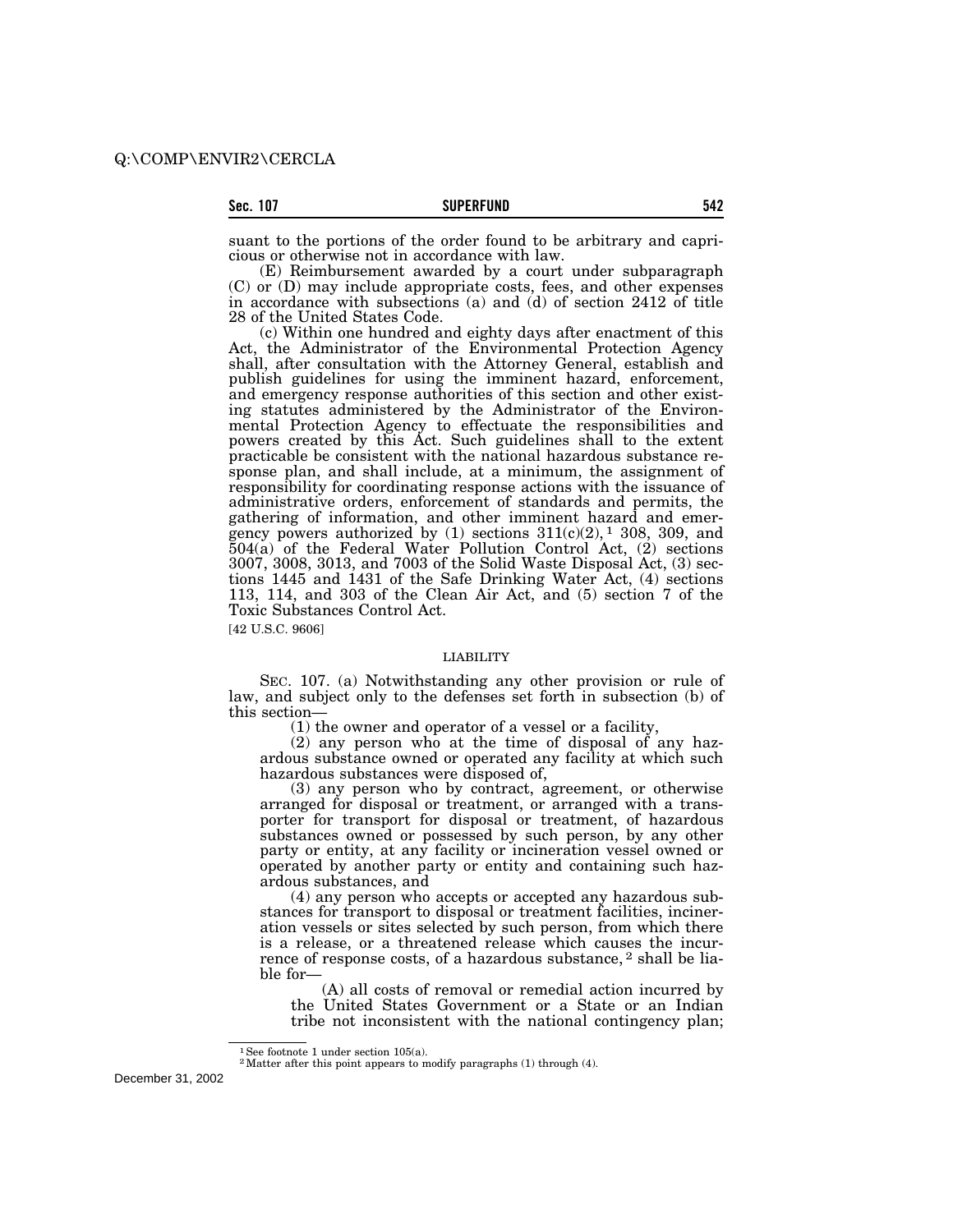suant to the portions of the order found to be arbitrary and capricious or otherwise not in accordance with law.

(E) Reimbursement awarded by a court under subparagraph (C) or (D) may include appropriate costs, fees, and other expenses in accordance with subsections (a) and (d) of section 2412 of title 28 of the United States Code.

(c) Within one hundred and eighty days after enactment of this Act, the Administrator of the Environmental Protection Agency shall, after consultation with the Attorney General, establish and publish guidelines for using the imminent hazard, enforcement, and emergency response authorities of this section and other existing statutes administered by the Administrator of the Environmental Protection Agency to effectuate the responsibilities and powers created by this Act. Such guidelines shall to the extent practicable be consistent with the national hazardous substance response plan, and shall include, at a minimum, the assignment of responsibility for coordinating response actions with the issuance of administrative orders, enforcement of standards and permits, the gathering of information, and other imminent hazard and emergency powers authorized by (1) sections  $311(c)(2)$ ,  $1308$ ,  $309$ , and  $504(a)$  of the Federal Water Pollution Control Act,  $(2)$  sections 3007, 3008, 3013, and 7003 of the Solid Waste Disposal Act, (3) sections 1445 and 1431 of the Safe Drinking Water Act, (4) sections 113, 114, and 303 of the Clean Air Act, and (5) section 7 of the Toxic Substances Control Act.

[42 U.S.C. 9606]

### LIABILITY

SEC. 107. (a) Notwithstanding any other provision or rule of law, and subject only to the defenses set forth in subsection (b) of this section—

(1) the owner and operator of a vessel or a facility,

(2) any person who at the time of disposal of any hazardous substance owned or operated any facility at which such hazardous substances were disposed of,

(3) any person who by contract, agreement, or otherwise arranged for disposal or treatment, or arranged with a transporter for transport for disposal or treatment, of hazardous substances owned or possessed by such person, by any other party or entity, at any facility or incineration vessel owned or operated by another party or entity and containing such hazardous substances, and

(4) any person who accepts or accepted any hazardous substances for transport to disposal or treatment facilities, incineration vessels or sites selected by such person, from which there is a release, or a threatened release which causes the incurrence of response costs, of a hazardous substance, 2 shall be liable for-

(A) all costs of removal or remedial action incurred by the United States Government or a State or an Indian tribe not inconsistent with the national contingency plan;

<sup>&</sup>lt;sup>1</sup>See footnote 1 under section 105(a).

<sup>2</sup>Matter after this point appears to modify paragraphs (1) through (4).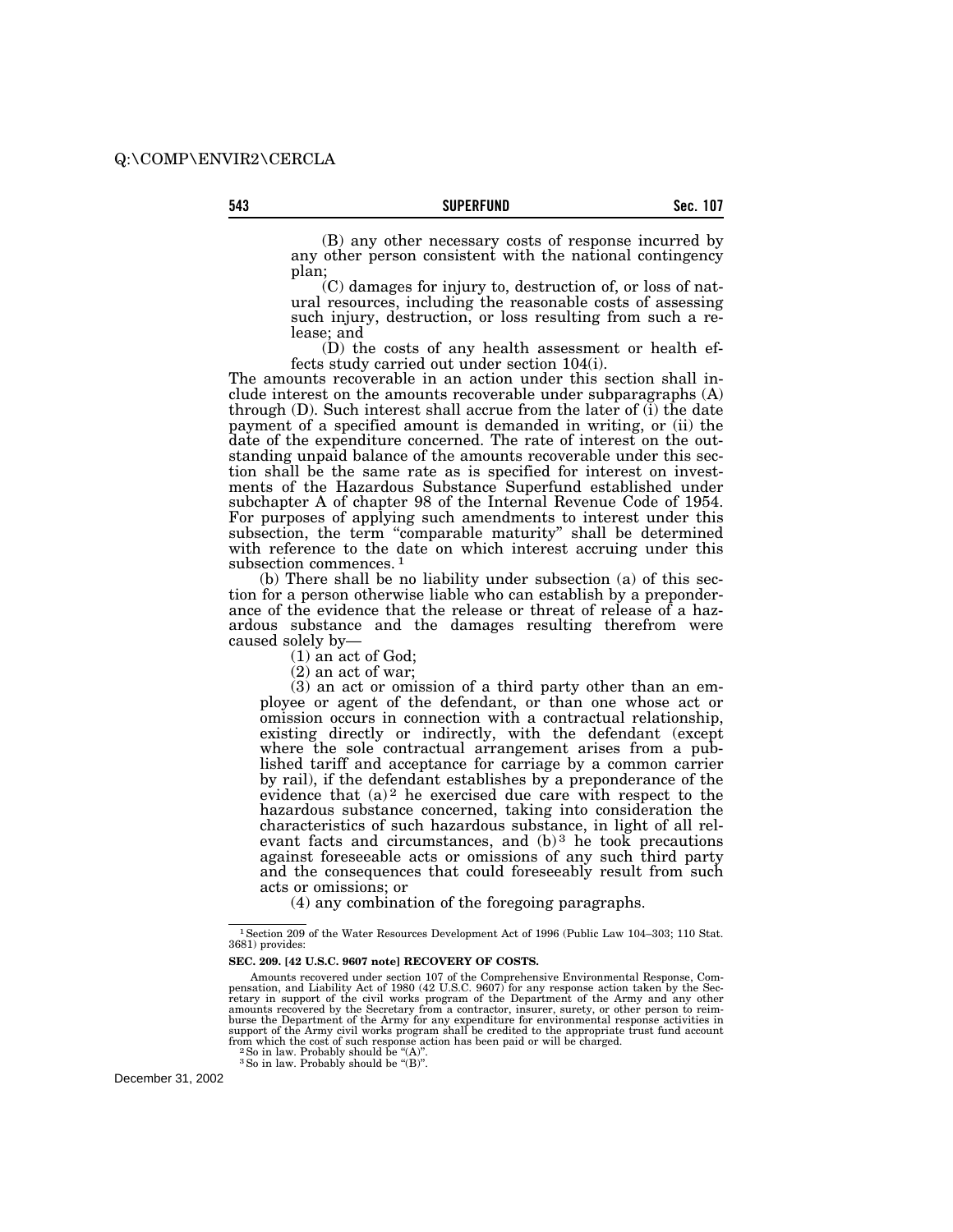(B) any other necessary costs of response incurred by any other person consistent with the national contingency plan;

(C) damages for injury to, destruction of, or loss of natural resources, including the reasonable costs of assessing such injury, destruction, or loss resulting from such a release; and

(D) the costs of any health assessment or health effects study carried out under section 104(i).

The amounts recoverable in an action under this section shall include interest on the amounts recoverable under subparagraphs (A) through (D). Such interest shall accrue from the later of (i) the date payment of a specified amount is demanded in writing, or (ii) the date of the expenditure concerned. The rate of interest on the outstanding unpaid balance of the amounts recoverable under this section shall be the same rate as is specified for interest on investments of the Hazardous Substance Superfund established under subchapter A of chapter 98 of the Internal Revenue Code of 1954. For purposes of applying such amendments to interest under this subsection, the term ''comparable maturity'' shall be determined with reference to the date on which interest accruing under this subsection commences.<sup>1</sup>

(b) There shall be no liability under subsection (a) of this section for a person otherwise liable who can establish by a preponderance of the evidence that the release or threat of release of a hazardous substance and the damages resulting therefrom were caused solely by—

(1) an act of God;

(2) an act of war;

(3) an act or omission of a third party other than an employee or agent of the defendant, or than one whose act or omission occurs in connection with a contractual relationship, existing directly or indirectly, with the defendant (except where the sole contractual arrangement arises from a published tariff and acceptance for carriage by a common carrier by rail), if the defendant establishes by a preponderance of the evidence that  $(a)^2$  he exercised due care with respect to the hazardous substance concerned, taking into consideration the characteristics of such hazardous substance, in light of all relevant facts and circumstances, and  $(b)^3$  he took precautions against foreseeable acts or omissions of any such third party and the consequences that could foreseeably result from such acts or omissions; or

(4) any combination of the foregoing paragraphs.

#### **SEC. 209. [42 U.S.C. 9607 note] RECOVERY OF COSTS.**

Amounts recovered under section 107 of the Comprehensive Environmental Response, Compensation, and Liability Act of 1980 (42 U.S.C. 9607) for any response action taken by the Sec-retary in support of the civil works program of the Department of the Army and any other amounts recovered by the Secretary from a contractor, insurer, surety, or other person to reimburse the Department of the Army for any expenditure for environmental response activities in support of the Army civil works program shall be credited to the appropriate trust fund account from which the cost of such response action has been paid or will be charged. 2So in law. Probably should be ''(A)''.

 $3$  So in law. Probably should be " $(B)$ ".

<sup>1</sup>Section 209 of the Water Resources Development Act of 1996 (Public Law 104–303; 110 Stat. 3681) provides: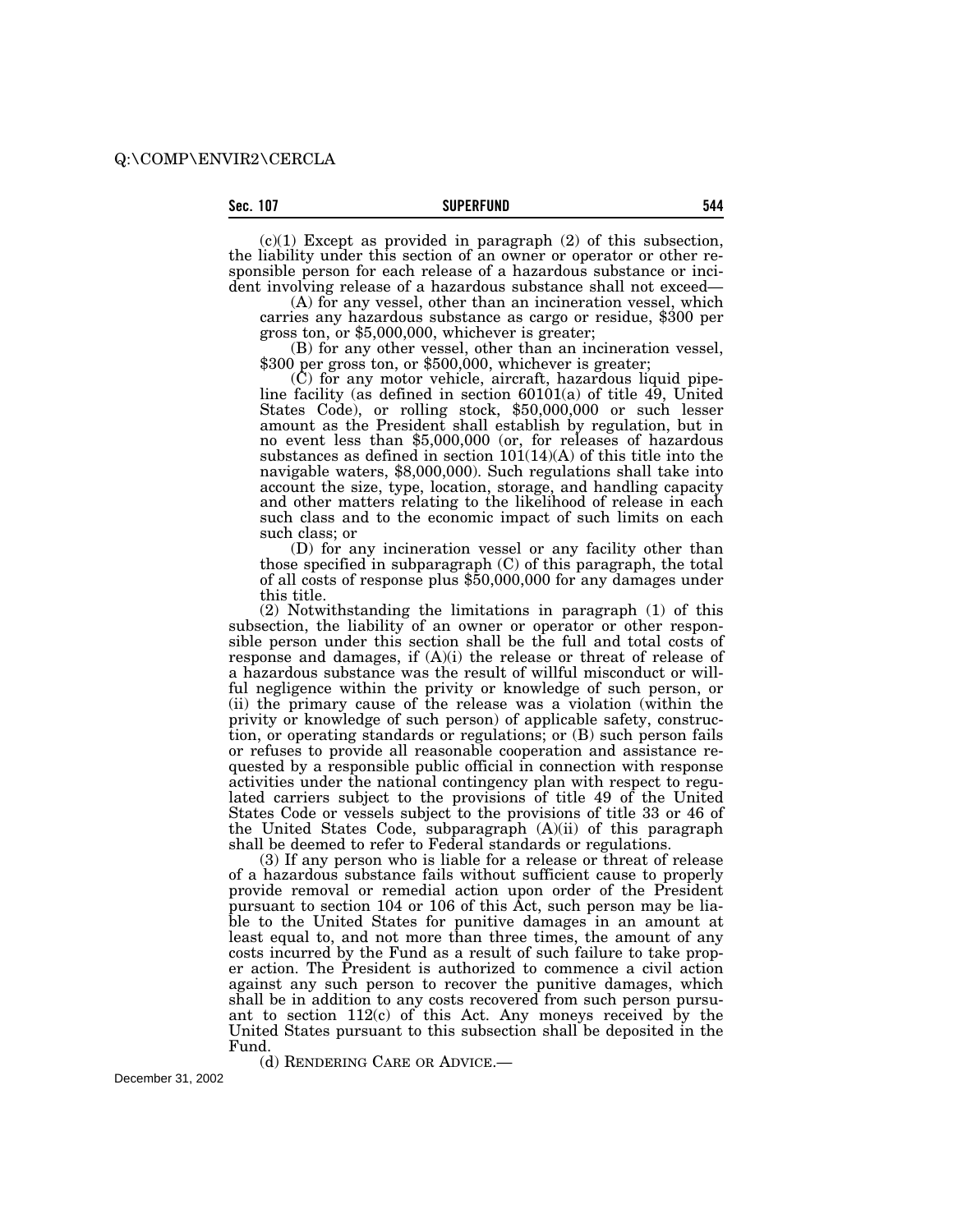$(c)(1)$  Except as provided in paragraph  $(2)$  of this subsection, the liability under this section of an owner or operator or other responsible person for each release of a hazardous substance or incident involving release of a hazardous substance shall not exceed—<br>(A) for any vessel, other than an incineration vessel, which

carries any hazardous substance as cargo or residue, \$300 per gross ton, or \$5,000,000, whichever is greater;<br>(B) for any other vessel, other than an incineration vessel,

 $$300$  per gross ton, or  $$500,000$ , whichever is greater;

(C) for any motor vehicle, aircraft, hazardous liquid pipeline facility (as defined in section 60101(a) of title 49, United States Code), or rolling stock, \$50,000,000 or such lesser amount as the President shall establish by regulation, but in no event less than \$5,000,000 (or, for releases of hazardous substances as defined in section  $101(14)(A)$  of this title into the navigable waters, \$8,000,000). Such regulations shall take into account the size, type, location, storage, and handling capacity and other matters relating to the likelihood of release in each such class and to the economic impact of such limits on each such class; or

(D) for any incineration vessel or any facility other than those specified in subparagraph (C) of this paragraph, the total of all costs of response plus \$50,000,000 for any damages under this title.

(2) Notwithstanding the limitations in paragraph (1) of this subsection, the liability of an owner or operator or other responsible person under this section shall be the full and total costs of response and damages, if (A)(i) the release or threat of release of a hazardous substance was the result of willful misconduct or willful negligence within the privity or knowledge of such person, or (ii) the primary cause of the release was a violation (within the privity or knowledge of such person) of applicable safety, construction, or operating standards or regulations; or (B) such person fails or refuses to provide all reasonable cooperation and assistance requested by a responsible public official in connection with response activities under the national contingency plan with respect to regulated carriers subject to the provisions of title 49 of the United States Code or vessels subject to the provisions of title 33 or 46 of the United States Code, subparagraph (A)(ii) of this paragraph shall be deemed to refer to Federal standards or regulations.

(3) If any person who is liable for a release or threat of release of a hazardous substance fails without sufficient cause to properly provide removal or remedial action upon order of the President pursuant to section 104 or 106 of this Act, such person may be liable to the United States for punitive damages in an amount at least equal to, and not more than three times, the amount of any costs incurred by the Fund as a result of such failure to take proper action. The President is authorized to commence a civil action against any such person to recover the punitive damages, which shall be in addition to any costs recovered from such person pursuant to section 112(c) of this Act. Any moneys received by the United States pursuant to this subsection shall be deposited in the Fund.

(d) RENDERING CARE OR ADVICE.—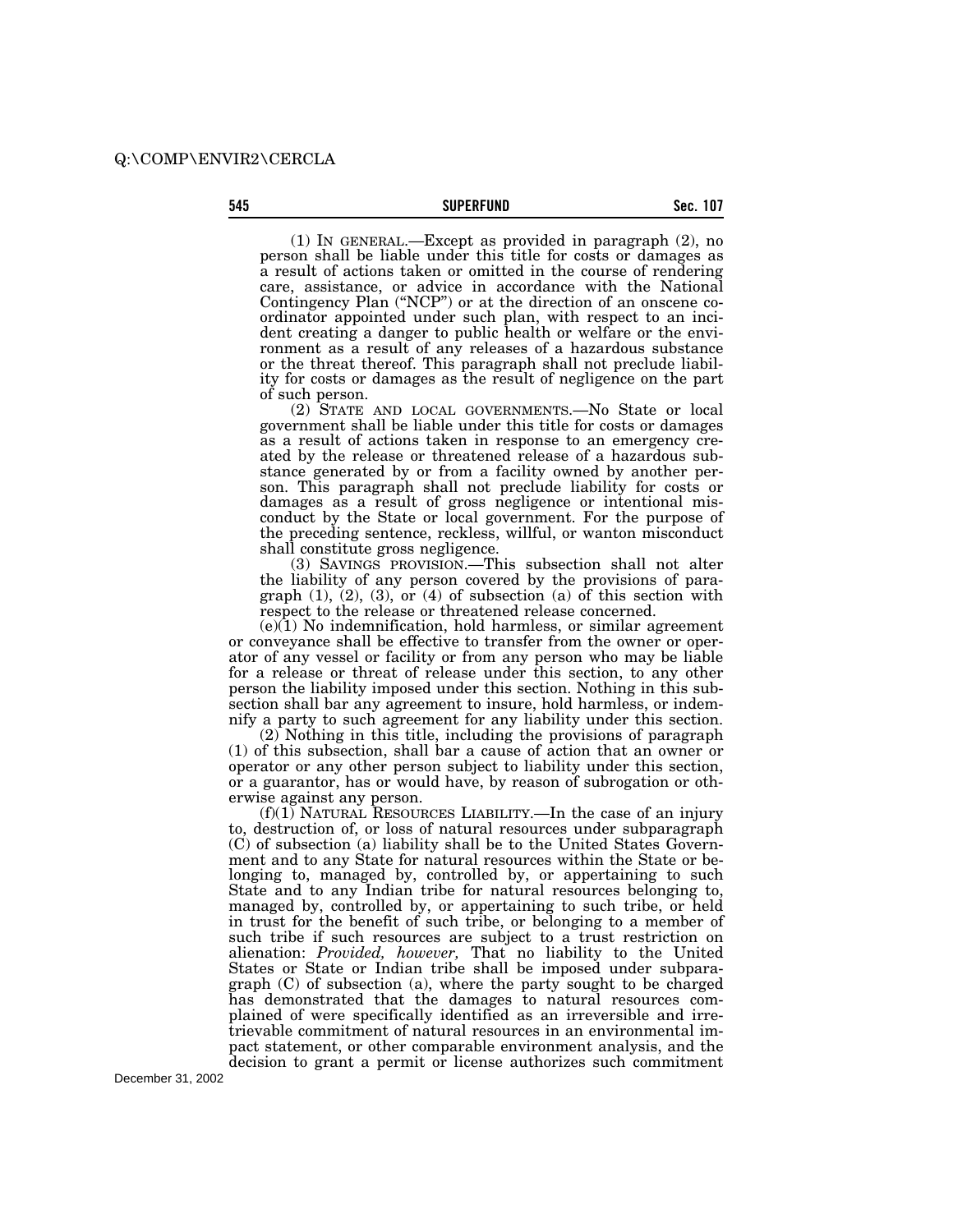(1) IN GENERAL.—Except as provided in paragraph (2), no person shall be liable under this title for costs or damages as a result of actions taken or omitted in the course of rendering care, assistance, or advice in accordance with the National Contingency Plan (''NCP'') or at the direction of an onscene coordinator appointed under such plan, with respect to an incident creating a danger to public health or welfare or the environment as a result of any releases of a hazardous substance or the threat thereof. This paragraph shall not preclude liability for costs or damages as the result of negligence on the part of such person.

(2) STATE AND LOCAL GOVERNMENTS.—No State or local government shall be liable under this title for costs or damages as a result of actions taken in response to an emergency created by the release or threatened release of a hazardous substance generated by or from a facility owned by another person. This paragraph shall not preclude liability for costs or damages as a result of gross negligence or intentional misconduct by the State or local government. For the purpose of the preceding sentence, reckless, willful, or wanton misconduct shall constitute gross negligence.

(3) SAVINGS PROVISION.—This subsection shall not alter the liability of any person covered by the provisions of paragraph  $(1)$ ,  $(2)$ ,  $(3)$ , or  $(4)$  of subsection  $(a)$  of this section with respect to the release or threatened release concerned.

 $(e)(1)$  No indemnification, hold harmless, or similar agreement or conveyance shall be effective to transfer from the owner or operator of any vessel or facility or from any person who may be liable for a release or threat of release under this section, to any other person the liability imposed under this section. Nothing in this subsection shall bar any agreement to insure, hold harmless, or indemnify a party to such agreement for any liability under this section.

(2) Nothing in this title, including the provisions of paragraph (1) of this subsection, shall bar a cause of action that an owner or operator or any other person subject to liability under this section, or a guarantor, has or would have, by reason of subrogation or otherwise against any person.

(f)(1) NATURAL RESOURCES LIABILITY.—In the case of an injury to, destruction of, or loss of natural resources under subparagraph (C) of subsection (a) liability shall be to the United States Government and to any State for natural resources within the State or belonging to, managed by, controlled by, or appertaining to such State and to any Indian tribe for natural resources belonging to, managed by, controlled by, or appertaining to such tribe, or held in trust for the benefit of such tribe, or belonging to a member of such tribe if such resources are subject to a trust restriction on alienation: *Provided, however,* That no liability to the United States or State or Indian tribe shall be imposed under subparagraph (C) of subsection (a), where the party sought to be charged has demonstrated that the damages to natural resources complained of were specifically identified as an irreversible and irretrievable commitment of natural resources in an environmental impact statement, or other comparable environment analysis, and the decision to grant a permit or license authorizes such commitment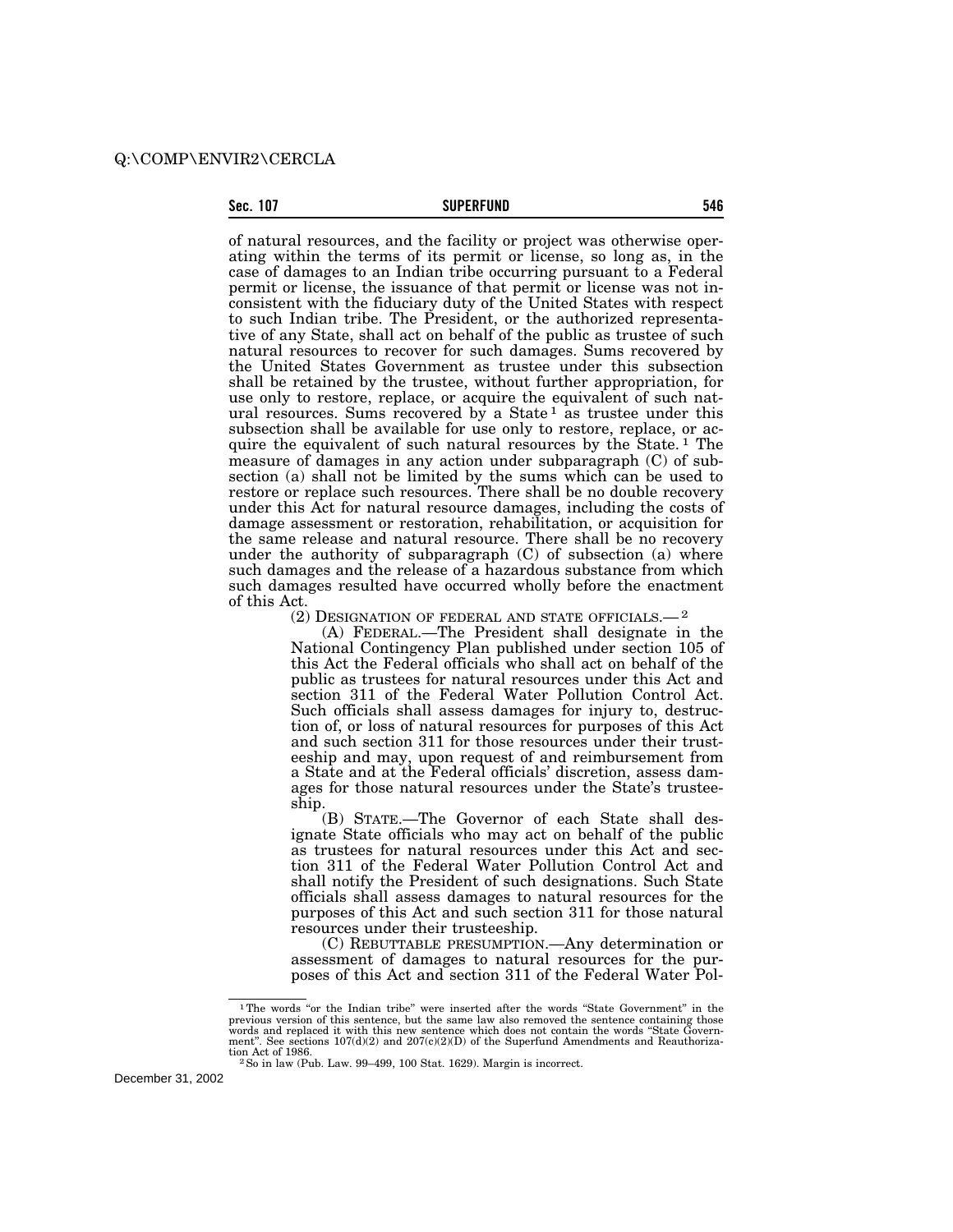# **Sec. 107 SUPERFUND 546**

of natural resources, and the facility or project was otherwise operating within the terms of its permit or license, so long as, in the case of damages to an Indian tribe occurring pursuant to a Federal permit or license, the issuance of that permit or license was not inconsistent with the fiduciary duty of the United States with respect to such Indian tribe. The President, or the authorized representative of any State, shall act on behalf of the public as trustee of such natural resources to recover for such damages. Sums recovered by the United States Government as trustee under this subsection shall be retained by the trustee, without further appropriation, for use only to restore, replace, or acquire the equivalent of such natural resources. Sums recovered by a State  $<sup>1</sup>$  as trustee under this</sup> subsection shall be available for use only to restore, replace, or acquire the equivalent of such natural resources by the State. 1 The measure of damages in any action under subparagraph (C) of subsection (a) shall not be limited by the sums which can be used to restore or replace such resources. There shall be no double recovery under this Act for natural resource damages, including the costs of damage assessment or restoration, rehabilitation, or acquisition for the same release and natural resource. There shall be no recovery under the authority of subparagraph (C) of subsection (a) where such damages and the release of a hazardous substance from which such damages resulted have occurred wholly before the enactment of this Act.

(2) DESIGNATION OF FEDERAL AND STATE OFFICIALS. $-$ <sup>2</sup>

(A) FEDERAL.—The President shall designate in the National Contingency Plan published under section 105 of this Act the Federal officials who shall act on behalf of the public as trustees for natural resources under this Act and section 311 of the Federal Water Pollution Control Act. Such officials shall assess damages for injury to, destruction of, or loss of natural resources for purposes of this Act and such section 311 for those resources under their trusteeship and may, upon request of and reimbursement from a State and at the Federal officials' discretion, assess damages for those natural resources under the State's trusteeship.

(B) STATE.—The Governor of each State shall designate State officials who may act on behalf of the public as trustees for natural resources under this Act and section 311 of the Federal Water Pollution Control Act and shall notify the President of such designations. Such State officials shall assess damages to natural resources for the purposes of this Act and such section 311 for those natural resources under their trusteeship.

(C) REBUTTABLE PRESUMPTION.—Any determination or assessment of damages to natural resources for the purposes of this Act and section 311 of the Federal Water Pol-

<sup>&</sup>lt;sup>1</sup>The words "or the Indian tribe" were inserted after the words "State Government" in the previous version of this sentence, but the same law also removed the sentence containing those words and replaced it with this new sentence which does not contain the words "State Govern-<br>ment". See sections  $107(d)(2)$  and  $207(c)(2)(D)$  of the Superfund Amendments and Reauthorizament". See sections  $107(d)(2)$  and  $207(c)(2)(D)$  of the Superfund Amendments and Reauthorization Act of 1986.

 $2$  So in law (Pub. Law. 99–499, 100 Stat. 1629). Margin is incorrect.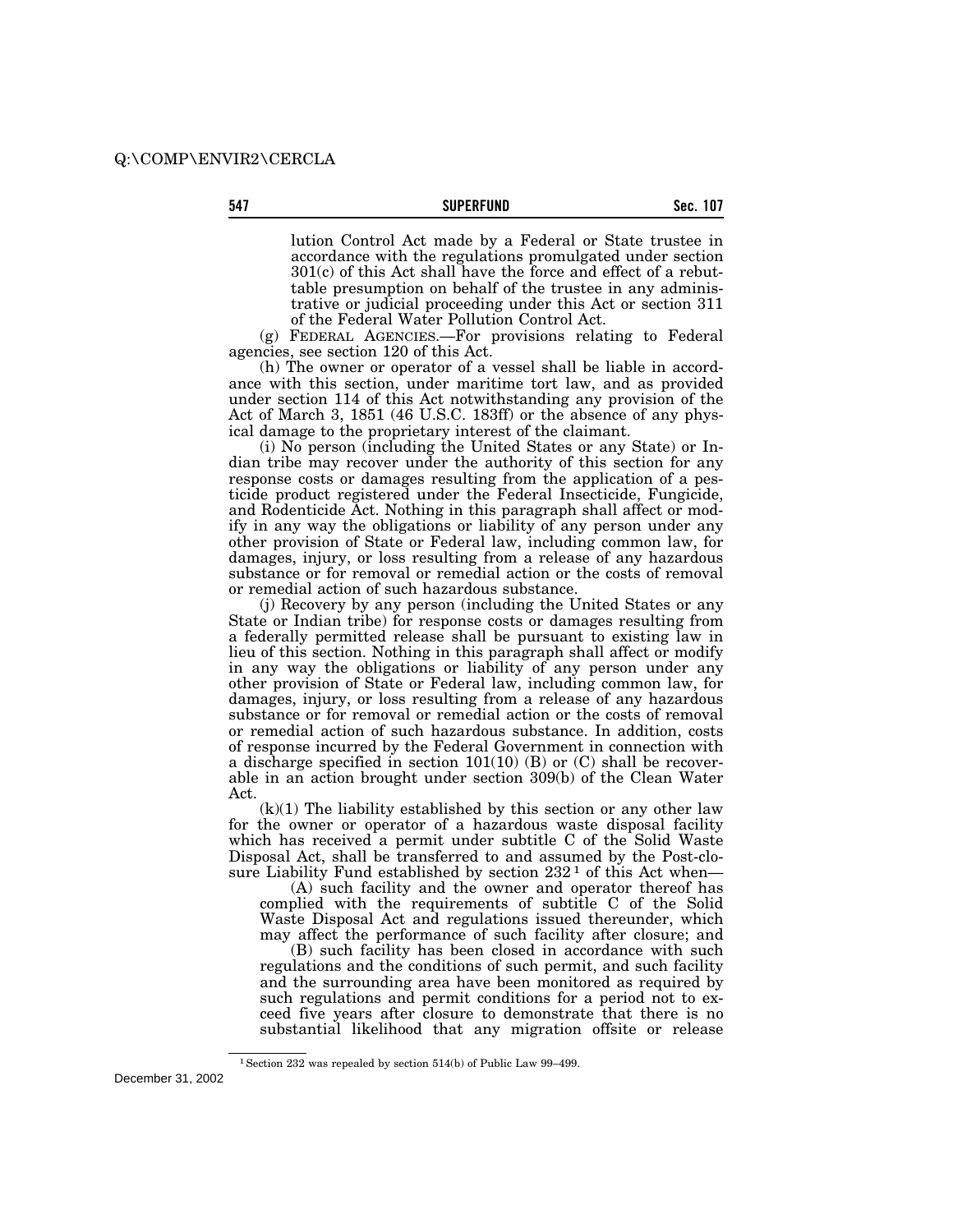lution Control Act made by a Federal or State trustee in accordance with the regulations promulgated under section 301(c) of this Act shall have the force and effect of a rebuttable presumption on behalf of the trustee in any administrative or judicial proceeding under this Act or section 311 of the Federal Water Pollution Control Act.

(g) FEDERAL AGENCIES.—For provisions relating to Federal agencies, see section 120 of this Act.

(h) The owner or operator of a vessel shall be liable in accordance with this section, under maritime tort law, and as provided under section 114 of this Act notwithstanding any provision of the Act of March 3, 1851 (46 U.S.C. 183ff) or the absence of any physical damage to the proprietary interest of the claimant.

(i) No person (including the United States or any State) or Indian tribe may recover under the authority of this section for any response costs or damages resulting from the application of a pesticide product registered under the Federal Insecticide, Fungicide, and Rodenticide Act. Nothing in this paragraph shall affect or modify in any way the obligations or liability of any person under any other provision of State or Federal law, including common law, for damages, injury, or loss resulting from a release of any hazardous substance or for removal or remedial action or the costs of removal or remedial action of such hazardous substance.

(j) Recovery by any person (including the United States or any State or Indian tribe) for response costs or damages resulting from a federally permitted release shall be pursuant to existing law in lieu of this section. Nothing in this paragraph shall affect or modify in any way the obligations or liability of any person under any other provision of State or Federal law, including common law, for damages, injury, or loss resulting from a release of any hazardous substance or for removal or remedial action or the costs of removal or remedial action of such hazardous substance. In addition, costs of response incurred by the Federal Government in connection with a discharge specified in section 101(10) (B) or (C) shall be recoverable in an action brought under section 309(b) of the Clean Water Act.

 $(k)(1)$  The liability established by this section or any other law for the owner or operator of a hazardous waste disposal facility which has received a permit under subtitle C of the Solid Waste Disposal Act, shall be transferred to and assumed by the Post-closure Liability Fund established by section 232<sup>1</sup> of this Act when—

(A) such facility and the owner and operator thereof has complied with the requirements of subtitle C of the Solid Waste Disposal Act and regulations issued thereunder, which may affect the performance of such facility after closure; and

(B) such facility has been closed in accordance with such regulations and the conditions of such permit, and such facility and the surrounding area have been monitored as required by such regulations and permit conditions for a period not to exceed five years after closure to demonstrate that there is no substantial likelihood that any migration offsite or release

<sup>1</sup>Section 232 was repealed by section 514(b) of Public Law 99–499.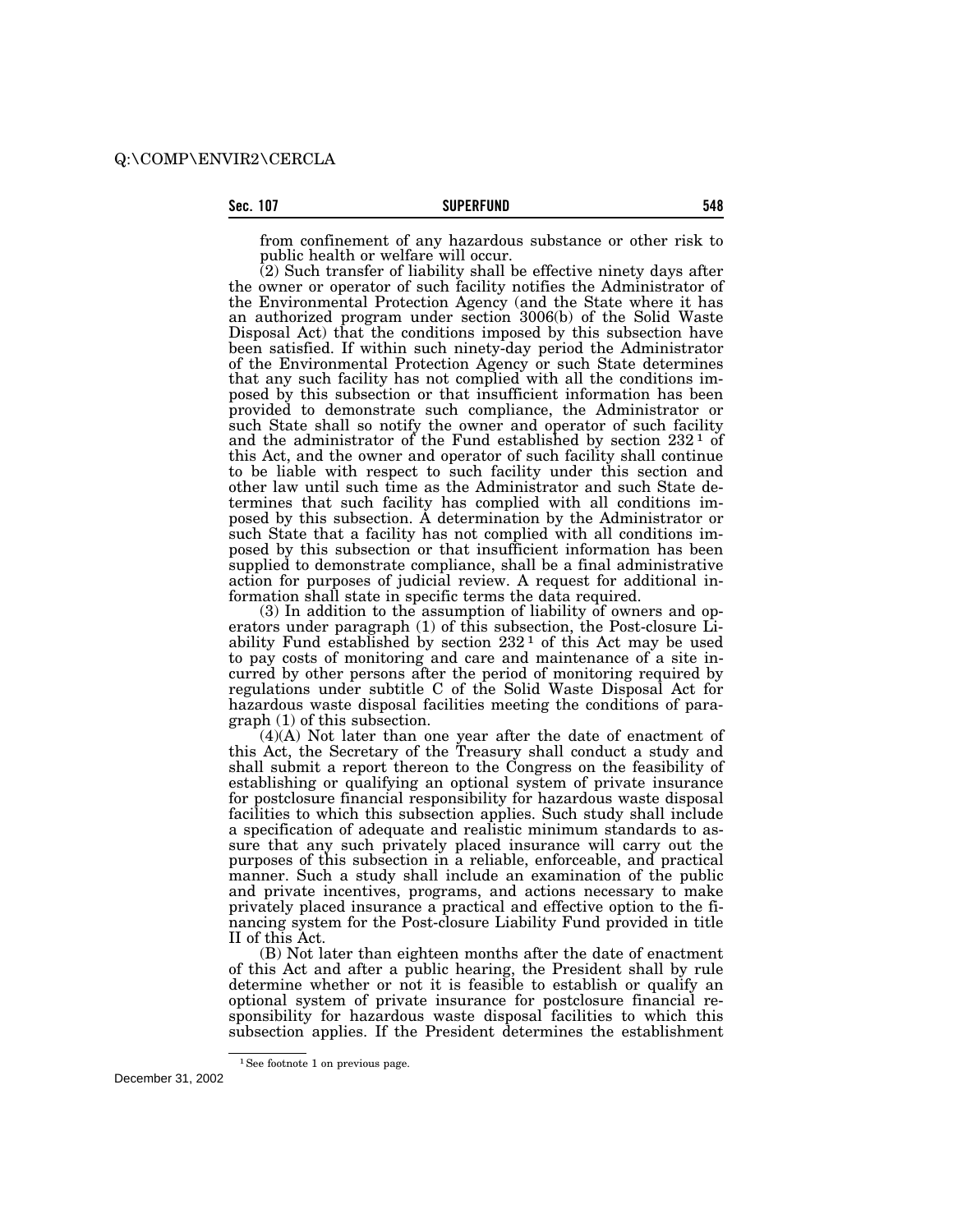from confinement of any hazardous substance or other risk to public health or welfare will occur.

(2) Such transfer of liability shall be effective ninety days after the owner or operator of such facility notifies the Administrator of the Environmental Protection Agency (and the State where it has an authorized program under section 3006(b) of the Solid Waste Disposal Act) that the conditions imposed by this subsection have been satisfied. If within such ninety-day period the Administrator of the Environmental Protection Agency or such State determines that any such facility has not complied with all the conditions imposed by this subsection or that insufficient information has been provided to demonstrate such compliance, the Administrator or such State shall so notify the owner and operator of such facility and the administrator of the Fund established by section  $232<sup>1</sup>$  of this Act, and the owner and operator of such facility shall continue to be liable with respect to such facility under this section and other law until such time as the Administrator and such State determines that such facility has complied with all conditions imposed by this subsection. A determination by the Administrator or such State that a facility has not complied with all conditions imposed by this subsection or that insufficient information has been supplied to demonstrate compliance, shall be a final administrative action for purposes of judicial review. A request for additional information shall state in specific terms the data required.

(3) In addition to the assumption of liability of owners and operators under paragraph (1) of this subsection, the Post-closure Liability Fund established by section  $232<sup>1</sup>$  of this Act may be used to pay costs of monitoring and care and maintenance of a site incurred by other persons after the period of monitoring required by regulations under subtitle C of the Solid Waste Disposal Act for hazardous waste disposal facilities meeting the conditions of paragraph (1) of this subsection.

(4)(A) Not later than one year after the date of enactment of this Act, the Secretary of the Treasury shall conduct a study and shall submit a report thereon to the Congress on the feasibility of establishing or qualifying an optional system of private insurance for postclosure financial responsibility for hazardous waste disposal facilities to which this subsection applies. Such study shall include a specification of adequate and realistic minimum standards to assure that any such privately placed insurance will carry out the purposes of this subsection in a reliable, enforceable, and practical manner. Such a study shall include an examination of the public and private incentives, programs, and actions necessary to make privately placed insurance a practical and effective option to the financing system for the Post-closure Liability Fund provided in title II of this Act.

(B) Not later than eighteen months after the date of enactment of this Act and after a public hearing, the President shall by rule determine whether or not it is feasible to establish or qualify an optional system of private insurance for postclosure financial responsibility for hazardous waste disposal facilities to which this subsection applies. If the President determines the establishment

<sup>&</sup>lt;sup>1</sup>See footnote 1 on previous page.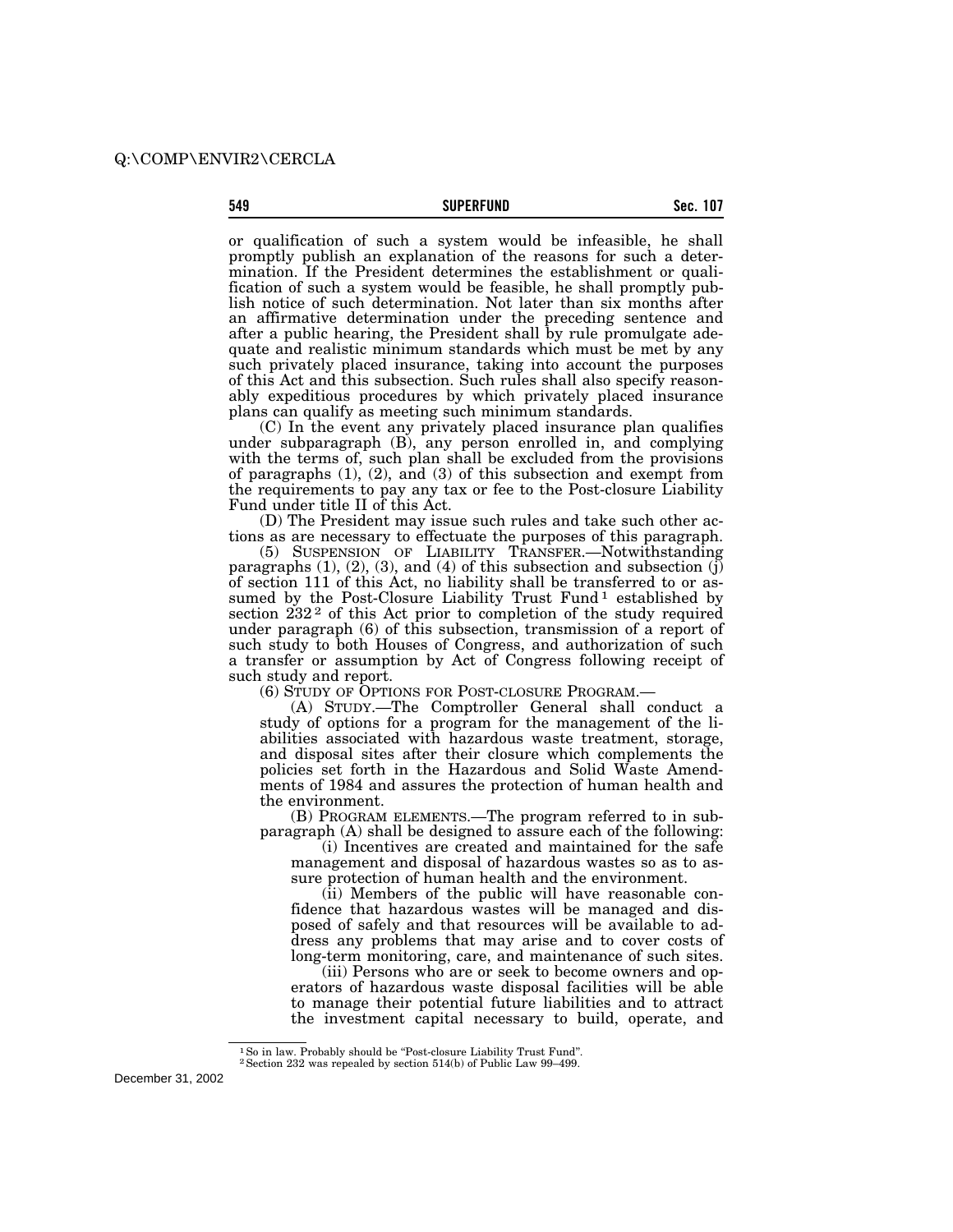# **549 Sec. 107 SUPERFUND**

or qualification of such a system would be infeasible, he shall promptly publish an explanation of the reasons for such a determination. If the President determines the establishment or qualification of such a system would be feasible, he shall promptly publish notice of such determination. Not later than six months after an affirmative determination under the preceding sentence and after a public hearing, the President shall by rule promulgate adequate and realistic minimum standards which must be met by any such privately placed insurance, taking into account the purposes of this Act and this subsection. Such rules shall also specify reasonably expeditious procedures by which privately placed insurance plans can qualify as meeting such minimum standards.

(C) In the event any privately placed insurance plan qualifies under subparagraph (B), any person enrolled in, and complying with the terms of, such plan shall be excluded from the provisions of paragraphs (1), (2), and (3) of this subsection and exempt from the requirements to pay any tax or fee to the Post-closure Liability Fund under title II of this Act.

(D) The President may issue such rules and take such other actions as are necessary to effectuate the purposes of this paragraph.

(5) SUSPENSION OF LIABILITY TRANSFER.—Notwithstanding paragraphs  $(1)$ ,  $(2)$ ,  $(3)$ , and  $(4)$  of this subsection and subsection  $(j)$ of section 111 of this Act, no liability shall be transferred to or assumed by the Post-Closure Liability Trust Fund<sup>1</sup> established by section 232<sup>2</sup> of this Act prior to completion of the study required under paragraph (6) of this subsection, transmission of a report of such study to both Houses of Congress, and authorization of such a transfer or assumption by Act of Congress following receipt of such study and report.

(6) STUDY OF OPTIONS FOR POST-CLOSURE PROGRAM.—

(A) STUDY.—The Comptroller General shall conduct a study of options for a program for the management of the liabilities associated with hazardous waste treatment, storage, and disposal sites after their closure which complements the policies set forth in the Hazardous and Solid Waste Amendments of 1984 and assures the protection of human health and the environment.

(B) PROGRAM ELEMENTS.—The program referred to in subparagraph (A) shall be designed to assure each of the following:

(i) Incentives are created and maintained for the safe management and disposal of hazardous wastes so as to assure protection of human health and the environment.

(ii) Members of the public will have reasonable confidence that hazardous wastes will be managed and disposed of safely and that resources will be available to address any problems that may arise and to cover costs of long-term monitoring, care, and maintenance of such sites.

(iii) Persons who are or seek to become owners and operators of hazardous waste disposal facilities will be able to manage their potential future liabilities and to attract the investment capital necessary to build, operate, and

2Section 232 was repealed by section 514(b) of Public Law 99–499.

<sup>&</sup>lt;sup>1</sup>So in law. Probably should be "Post-closure Liability Trust Fund".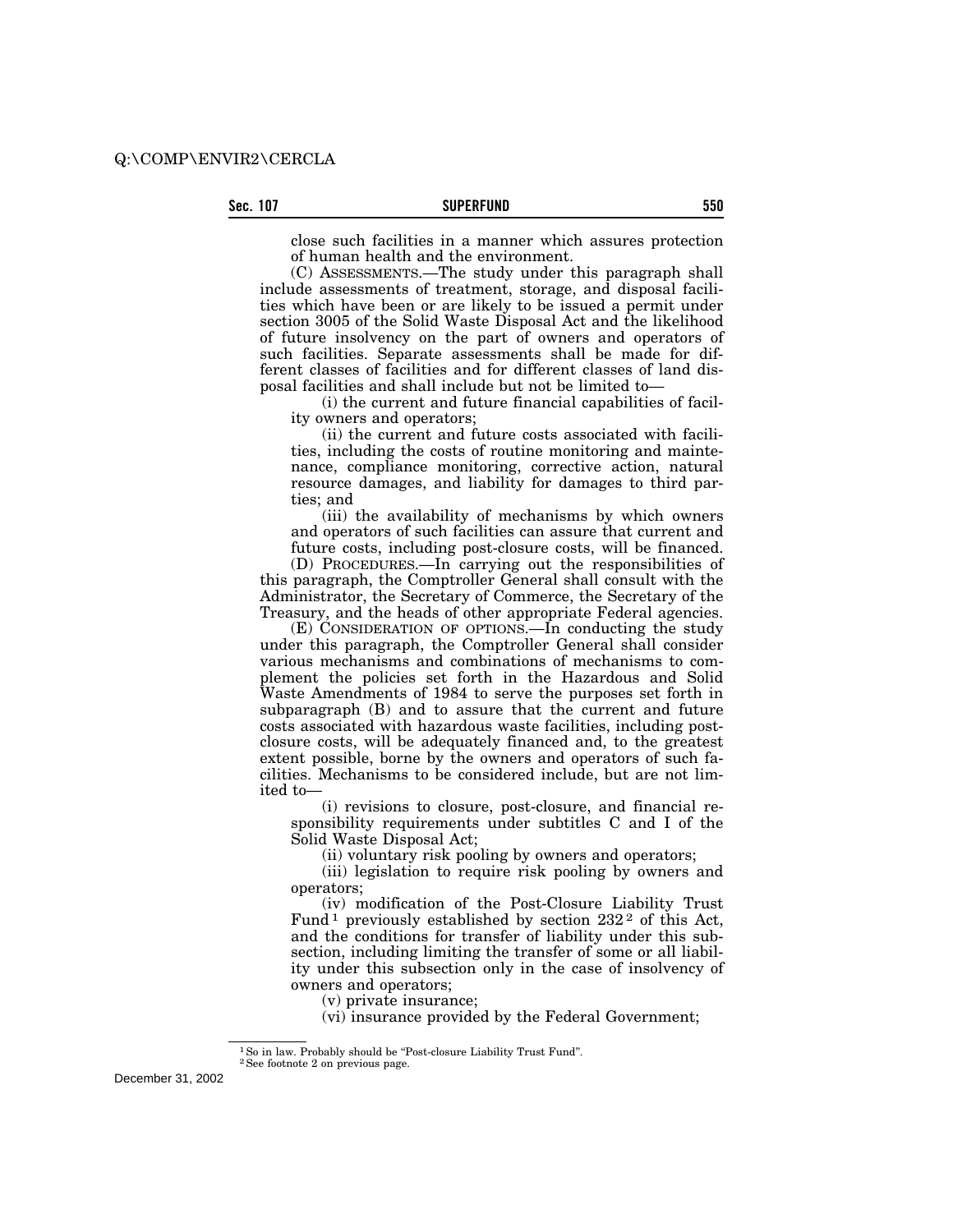close such facilities in a manner which assures protection of human health and the environment.

(C) ASSESSMENTS.—The study under this paragraph shall include assessments of treatment, storage, and disposal facilities which have been or are likely to be issued a permit under section 3005 of the Solid Waste Disposal Act and the likelihood of future insolvency on the part of owners and operators of such facilities. Separate assessments shall be made for different classes of facilities and for different classes of land disposal facilities and shall include but not be limited to—

(i) the current and future financial capabilities of facility owners and operators;

(ii) the current and future costs associated with facilities, including the costs of routine monitoring and maintenance, compliance monitoring, corrective action, natural resource damages, and liability for damages to third parties; and

(iii) the availability of mechanisms by which owners and operators of such facilities can assure that current and future costs, including post-closure costs, will be financed.

(D) PROCEDURES.—In carrying out the responsibilities of this paragraph, the Comptroller General shall consult with the Administrator, the Secretary of Commerce, the Secretary of the Treasury, and the heads of other appropriate Federal agencies.

(E) CONSIDERATION OF OPTIONS.—In conducting the study under this paragraph, the Comptroller General shall consider various mechanisms and combinations of mechanisms to complement the policies set forth in the Hazardous and Solid Waste Amendments of 1984 to serve the purposes set forth in subparagraph (B) and to assure that the current and future costs associated with hazardous waste facilities, including postclosure costs, will be adequately financed and, to the greatest extent possible, borne by the owners and operators of such facilities. Mechanisms to be considered include, but are not limited to—

(i) revisions to closure, post-closure, and financial responsibility requirements under subtitles C and I of the Solid Waste Disposal Act;

(ii) voluntary risk pooling by owners and operators;

(iii) legislation to require risk pooling by owners and operators;

(iv) modification of the Post-Closure Liability Trust Fund<sup>1</sup> previously established by section 232<sup>2</sup> of this Act, and the conditions for transfer of liability under this subsection, including limiting the transfer of some or all liability under this subsection only in the case of insolvency of owners and operators;

(v) private insurance;

(vi) insurance provided by the Federal Government;

2See footnote 2 on previous page.

<sup>&</sup>lt;sup>1</sup>So in law. Probably should be "Post-closure Liability Trust Fund".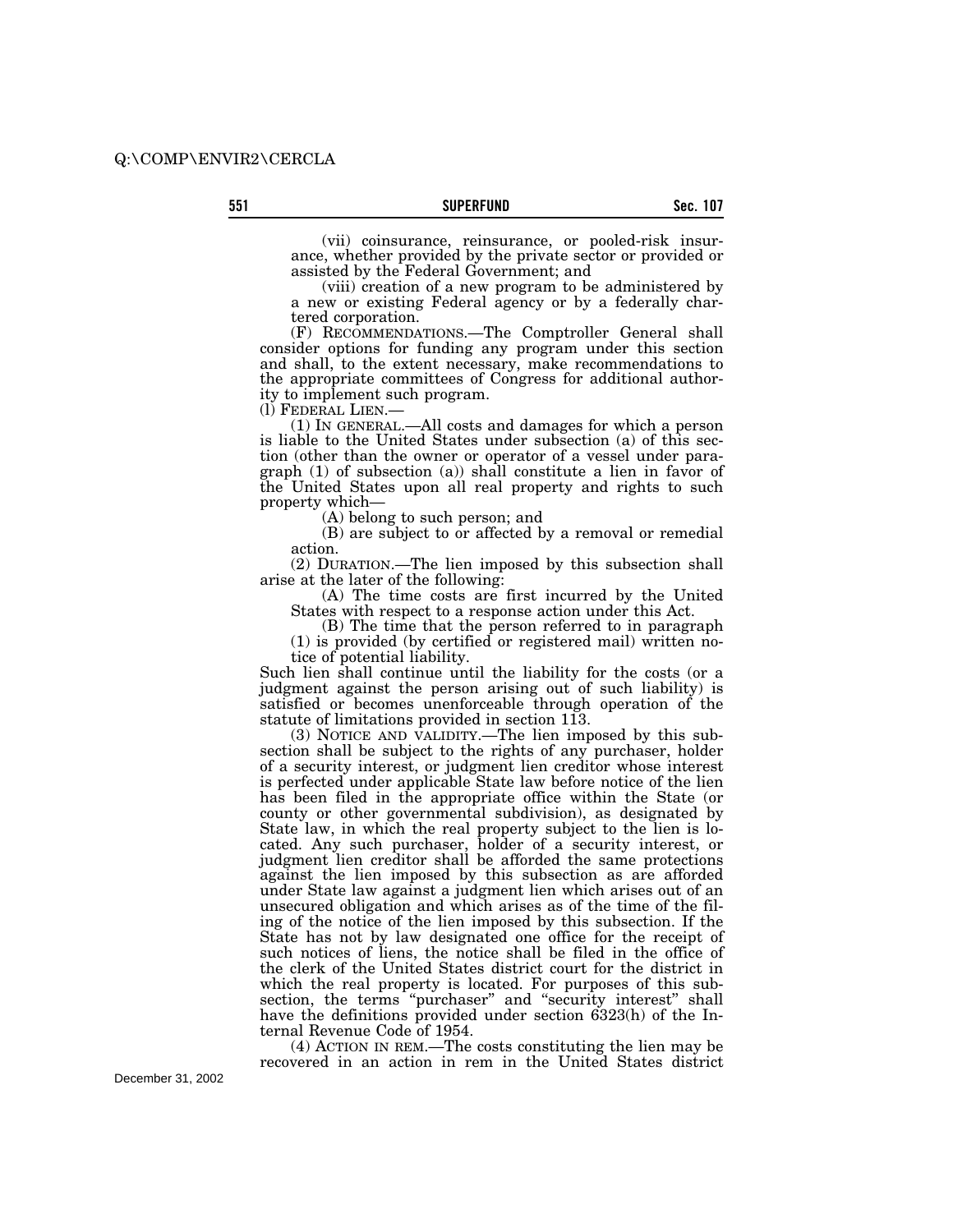(vii) coinsurance, reinsurance, or pooled-risk insurance, whether provided by the private sector or provided or assisted by the Federal Government; and

(viii) creation of a new program to be administered by a new or existing Federal agency or by a federally chartered corporation.

(F) RECOMMENDATIONS.—The Comptroller General shall consider options for funding any program under this section and shall, to the extent necessary, make recommendations to the appropriate committees of Congress for additional authority to implement such program.<br>(1) FEDERAL LIEN.—

(1) IN GENERAL.—All costs and damages for which a person is liable to the United States under subsection (a) of this section (other than the owner or operator of a vessel under paragraph (1) of subsection (a)) shall constitute a lien in favor of the United States upon all real property and rights to such property which—

(A) belong to such person; and

(B) are subject to or affected by a removal or remedial action.

(2) DURATION.—The lien imposed by this subsection shall arise at the later of the following:

(A) The time costs are first incurred by the United States with respect to a response action under this Act.

(B) The time that the person referred to in paragraph (1) is provided (by certified or registered mail) written notice of potential liability.

Such lien shall continue until the liability for the costs (or a judgment against the person arising out of such liability) is satisfied or becomes unenforceable through operation of the statute of limitations provided in section 113.

(3) NOTICE AND VALIDITY.—The lien imposed by this subsection shall be subject to the rights of any purchaser, holder of a security interest, or judgment lien creditor whose interest is perfected under applicable State law before notice of the lien has been filed in the appropriate office within the State (or county or other governmental subdivision), as designated by State law, in which the real property subject to the lien is located. Any such purchaser, holder of a security interest, or judgment lien creditor shall be afforded the same protections against the lien imposed by this subsection as are afforded under State law against a judgment lien which arises out of an unsecured obligation and which arises as of the time of the filing of the notice of the lien imposed by this subsection. If the State has not by law designated one office for the receipt of such notices of liens, the notice shall be filed in the office of the clerk of the United States district court for the district in which the real property is located. For purposes of this subsection, the terms "purchaser" and "security interest" shall have the definitions provided under section 6323(h) of the Internal Revenue Code of 1954.

(4) ACTION IN REM.—The costs constituting the lien may be recovered in an action in rem in the United States district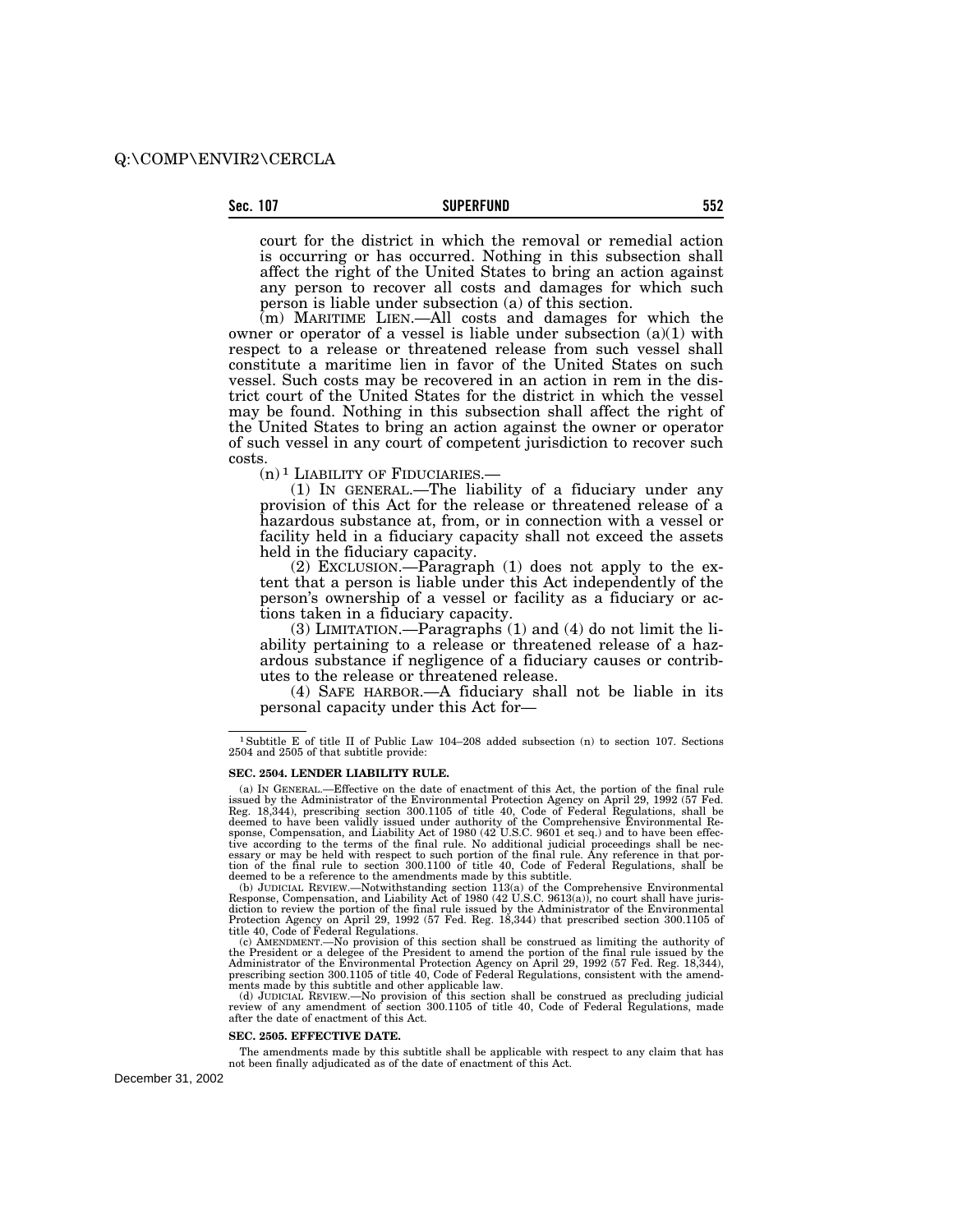# **Sec. 107 SUPERFUND 552**

court for the district in which the removal or remedial action is occurring or has occurred. Nothing in this subsection shall affect the right of the United States to bring an action against any person to recover all costs and damages for which such person is liable under subsection (a) of this section.

(m) MARITIME LIEN.—All costs and damages for which the owner or operator of a vessel is liable under subsection  $(a)(1)$  with respect to a release or threatened release from such vessel shall constitute a maritime lien in favor of the United States on such vessel. Such costs may be recovered in an action in rem in the district court of the United States for the district in which the vessel may be found. Nothing in this subsection shall affect the right of the United States to bring an action against the owner or operator of such vessel in any court of competent jurisdiction to recover such costs.

 $(n)$ <sup>1</sup> LIABILITY OF FIDUCIARIES.

(1) IN GENERAL.—The liability of a fiduciary under any provision of this Act for the release or threatened release of a hazardous substance at, from, or in connection with a vessel or facility held in a fiduciary capacity shall not exceed the assets held in the fiduciary capacity.

(2) EXCLUSION.—Paragraph (1) does not apply to the extent that a person is liable under this Act independently of the person's ownership of a vessel or facility as a fiduciary or actions taken in a fiduciary capacity.

(3) LIMITATION.—Paragraphs (1) and (4) do not limit the liability pertaining to a release or threatened release of a hazardous substance if negligence of a fiduciary causes or contributes to the release or threatened release.

(4) SAFE HARBOR.—A fiduciary shall not be liable in its personal capacity under this Act for—

#### **SEC. 2504. LENDER LIABILITY RULE.**

(a) IN GENERAL.—Effective on the date of enactment of this Act, the portion of the final rule issued by the Administrator of the Environmental Protection Agency on April 29, 1992 (57 Fed. Reg. 18,344), prescribing section 300.1105 of title 40, Code of Federal Regulations, shall be<br>deemed to have been validly issued under authority of the Comprehensive Environmental Re-<br>sponse, Compensation, and Liability Ac tive according to the terms of the final rule. No additional judicial proceedings shall be nec-<br>essary or may be held with respect to such portion of the final rule. Any reference in that por-<br>tion of the final rule to sec

deemed to be a reference to the amendments made by this subtitle.<br>(b) JUDICIAL REVIEW.—Notwithstanding section 113(a) of the Comprehensive Environmental<br>Response, Compensation, and Liability Act of 1980 (42 U.S.C. 9613(a)) diction to review the portion of the final rule issued by the Administrator of the Environmental<br>Protection Agency on April 29, 1992 (57 Fed. Reg. 18,344) that prescribed section 300.1105 of<br>title 40, Code of Federal Regul

(c) AMENDMENT.—No provision of this section shall be construed as limiting the authority of<br>the President or a delegee of the President to amend the portion of the final rule issued by the<br>Administrator of the Environment

#### **SEC. 2505. EFFECTIVE DATE.**

The amendments made by this subtitle shall be applicable with respect to any claim that has not been finally adjudicated as of the date of enactment of this Act.

<sup>1</sup>Subtitle E of title II of Public Law 104–208 added subsection (n) to section 107. Sections 2504 and 2505 of that subtitle provide: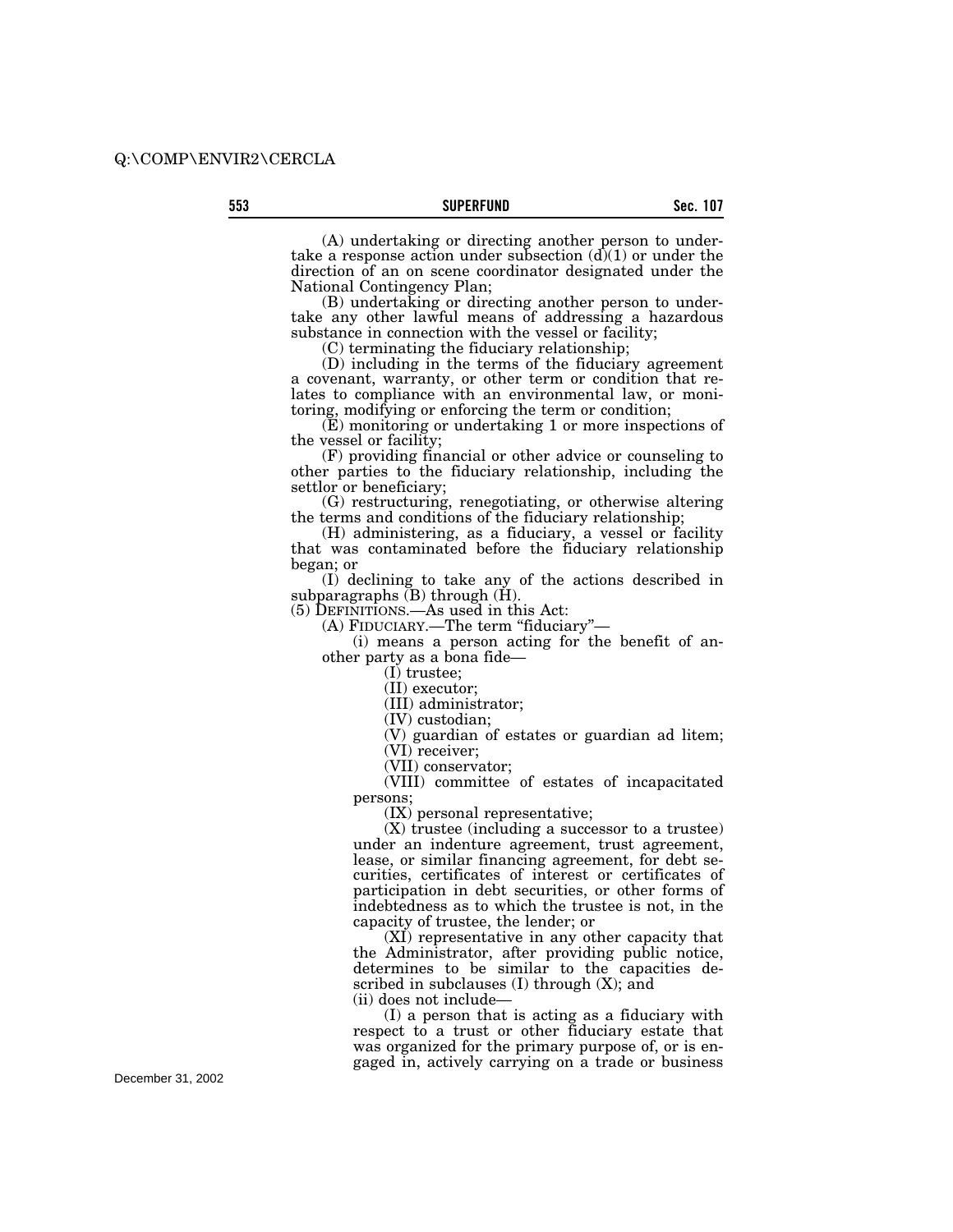(A) undertaking or directing another person to undertake a response action under subsection  $(d)(1)$  or under the direction of an on scene coordinator designated under the National Contingency Plan;

(B) undertaking or directing another person to undertake any other lawful means of addressing a hazardous substance in connection with the vessel or facility;

(C) terminating the fiduciary relationship;

(D) including in the terms of the fiduciary agreement a covenant, warranty, or other term or condition that relates to compliance with an environmental law, or monitoring, modifying or enforcing the term or condition;

(E) monitoring or undertaking 1 or more inspections of the vessel or facility;

(F) providing financial or other advice or counseling to other parties to the fiduciary relationship, including the settlor or beneficiary;

(G) restructuring, renegotiating, or otherwise altering the terms and conditions of the fiduciary relationship;

(H) administering, as a fiduciary, a vessel or facility that was contaminated before the fiduciary relationship began; or

(I) declining to take any of the actions described in subparagraphs (B) through (H).

(5) DEFINITIONS.—As used in this Act:

(A) FIDUCIARY.—The term "fiduciary"—

(i) means a person acting for the benefit of another party as a bona fide—

(I) trustee;

(II) executor;

(III) administrator;

(IV) custodian;

(V) guardian of estates or guardian ad litem;

(VI) receiver;

(VII) conservator;

(VIII) committee of estates of incapacitated persons;

(IX) personal representative;

(X) trustee (including a successor to a trustee) under an indenture agreement, trust agreement, lease, or similar financing agreement, for debt securities, certificates of interest or certificates of participation in debt securities, or other forms of indebtedness as to which the trustee is not, in the capacity of trustee, the lender; or

(XI) representative in any other capacity that the Administrator, after providing public notice, determines to be similar to the capacities described in subclauses (I) through (X); and (ii) does not include—

(I) a person that is acting as a fiduciary with respect to a trust or other fiduciary estate that was organized for the primary purpose of, or is engaged in, actively carrying on a trade or business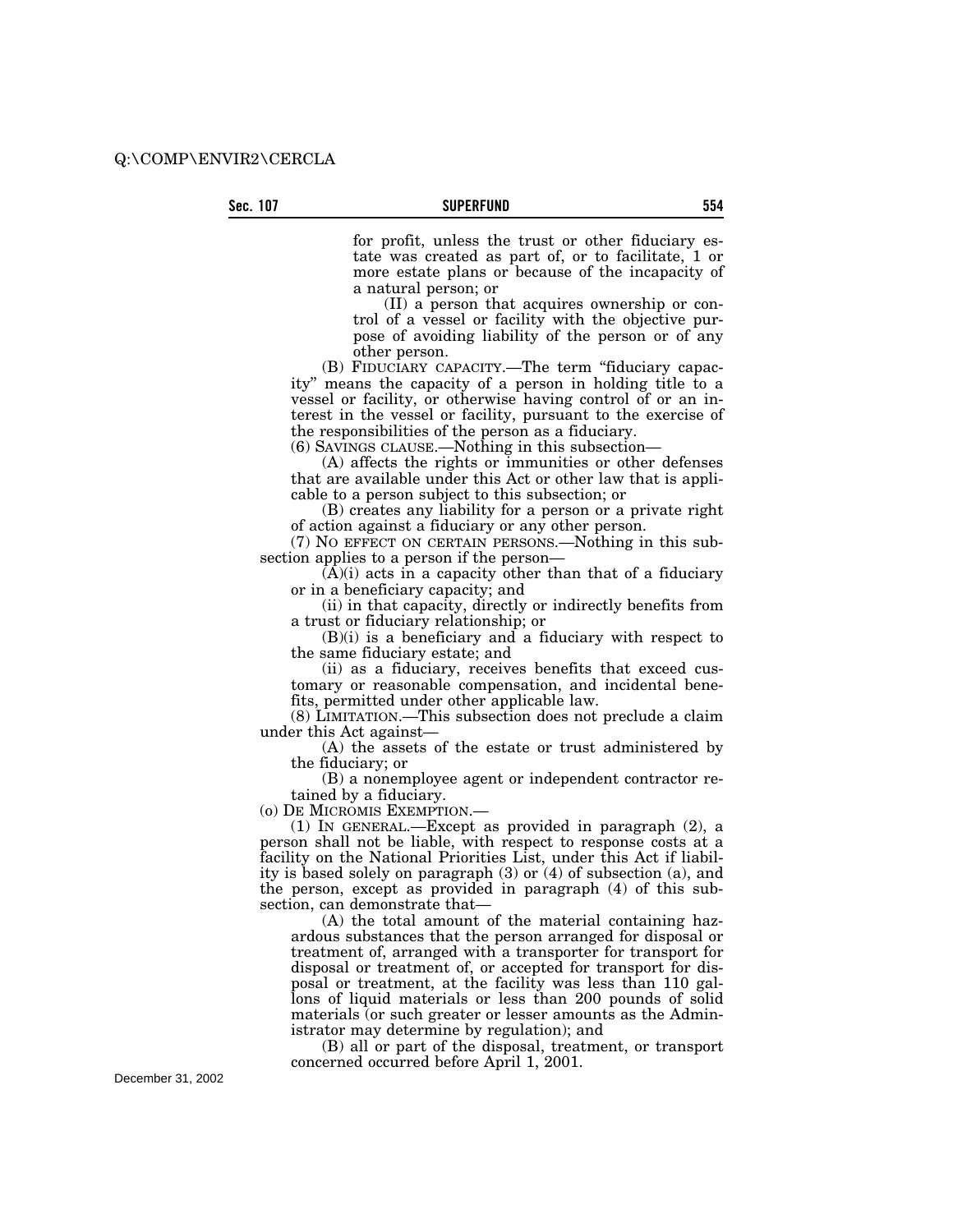for profit, unless the trust or other fiduciary estate was created as part of, or to facilitate, 1 or more estate plans or because of the incapacity of a natural person; or

(II) a person that acquires ownership or control of a vessel or facility with the objective purpose of avoiding liability of the person or of any other person.

(B) FIDUCIARY CAPACITY.—The term ''fiduciary capacity" means the capacity of a person in holding title to a vessel or facility, or otherwise having control of or an interest in the vessel or facility, pursuant to the exercise of the responsibilities of the person as a fiduciary.

(6) SAVINGS CLAUSE.—Nothing in this subsection—

(A) affects the rights or immunities or other defenses that are available under this Act or other law that is applicable to a person subject to this subsection; or

(B) creates any liability for a person or a private right of action against a fiduciary or any other person.

(7) NO EFFECT ON CERTAIN PERSONS.—Nothing in this subsection applies to a person if the person—

 $(\overline{A})(i)$  acts in a capacity other than that of a fiduciary or in a beneficiary capacity; and

(ii) in that capacity, directly or indirectly benefits from a trust or fiduciary relationship; or

 $(B)(i)$  is a beneficiary and a fiduciary with respect to the same fiduciary estate; and

(ii) as a fiduciary, receives benefits that exceed customary or reasonable compensation, and incidental benefits, permitted under other applicable law.

(8) LIMITATION.—This subsection does not preclude a claim under this Act against—

(A) the assets of the estate or trust administered by the fiduciary; or

(B) a nonemployee agent or independent contractor retained by a fiduciary.

(o) DE MICROMIS EXEMPTION.—

(1) IN GENERAL.—Except as provided in paragraph (2), a person shall not be liable, with respect to response costs at a facility on the National Priorities List, under this Act if liability is based solely on paragraph (3) or (4) of subsection (a), and the person, except as provided in paragraph (4) of this subsection, can demonstrate that—

(A) the total amount of the material containing hazardous substances that the person arranged for disposal or treatment of, arranged with a transporter for transport for disposal or treatment of, or accepted for transport for disposal or treatment, at the facility was less than 110 gallons of liquid materials or less than 200 pounds of solid materials (or such greater or lesser amounts as the Administrator may determine by regulation); and

(B) all or part of the disposal, treatment, or transport concerned occurred before April 1, 2001.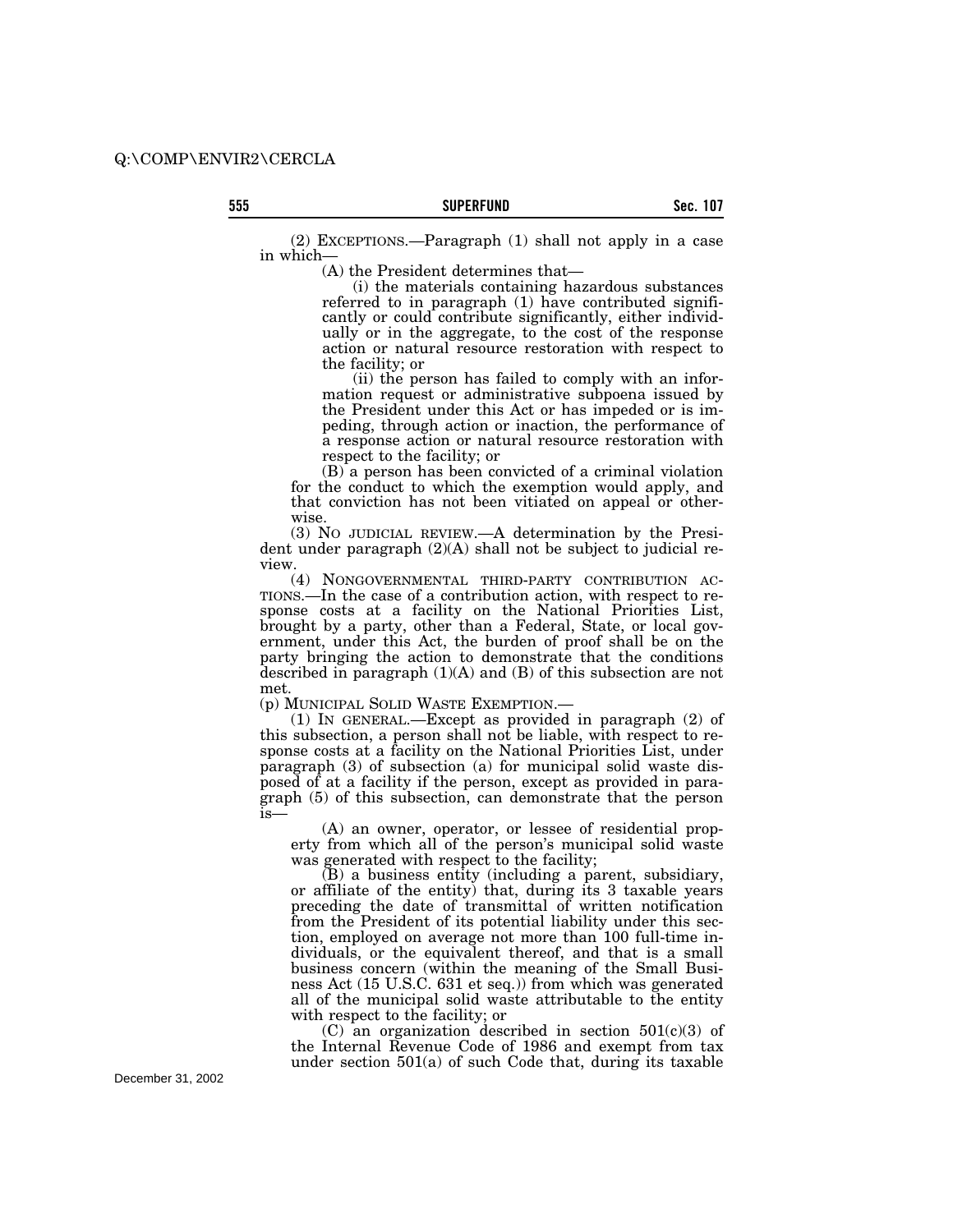(2) EXCEPTIONS.—Paragraph (1) shall not apply in a case in which—

(A) the President determines that—

(i) the materials containing hazardous substances referred to in paragraph (1) have contributed significantly or could contribute significantly, either individually or in the aggregate, to the cost of the response action or natural resource restoration with respect to the facility; or

(ii) the person has failed to comply with an information request or administrative subpoena issued by the President under this Act or has impeded or is impeding, through action or inaction, the performance of a response action or natural resource restoration with respect to the facility; or

(B) a person has been convicted of a criminal violation for the conduct to which the exemption would apply, and that conviction has not been vitiated on appeal or otherwise.

(3) NO JUDICIAL REVIEW.—A determination by the President under paragraph (2)(A) shall not be subject to judicial review.<br>(4) NONGOVERNMENTAL THIRD-PARTY CONTRIBUTION AC-

TIONS.—In the case of a contribution action, with respect to response costs at a facility on the National Priorities List, brought by a party, other than a Federal, State, or local government, under this Act, the burden of proof shall be on the party bringing the action to demonstrate that the conditions described in paragraph (1)(A) and (B) of this subsection are not met.

(p) MUNICIPAL SOLID WASTE EXEMPTION.—

(1) IN GENERAL.—Except as provided in paragraph (2) of this subsection, a person shall not be liable, with respect to response costs at a facility on the National Priorities List, under paragraph (3) of subsection (a) for municipal solid waste disposed of at a facility if the person, except as provided in paragraph (5) of this subsection, can demonstrate that the person is—

(A) an owner, operator, or lessee of residential property from which all of the person's municipal solid waste was generated with respect to the facility;

(B) a business entity (including a parent, subsidiary, or affiliate of the entity) that, during its 3 taxable years preceding the date of transmittal of written notification from the President of its potential liability under this section, employed on average not more than 100 full-time individuals, or the equivalent thereof, and that is a small business concern (within the meaning of the Small Business Act (15 U.S.C. 631 et seq.)) from which was generated all of the municipal solid waste attributable to the entity with respect to the facility; or

(C) an organization described in section 501(c)(3) of the Internal Revenue Code of 1986 and exempt from tax under section 501(a) of such Code that, during its taxable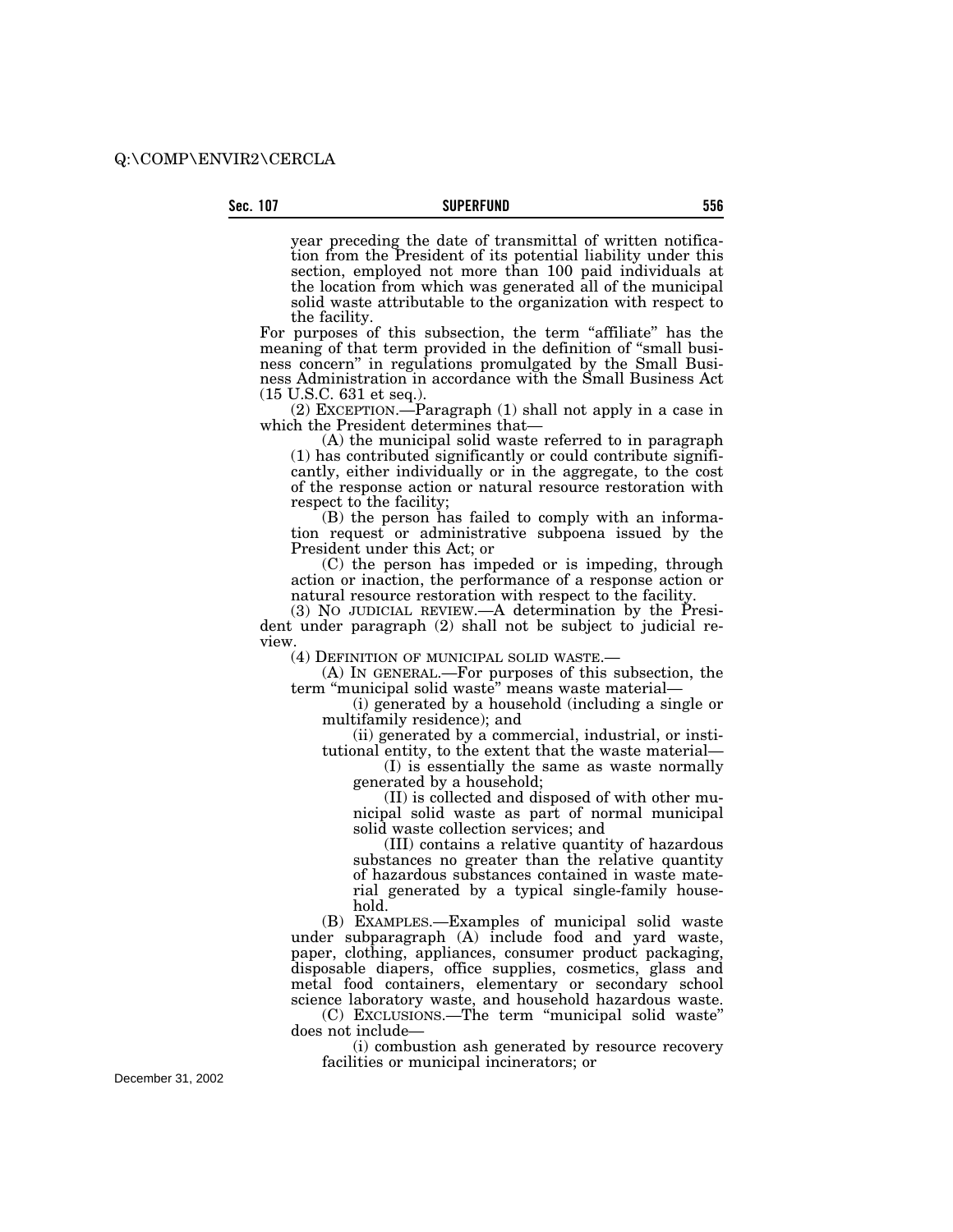year preceding the date of transmittal of written notification from the President of its potential liability under this section, employed not more than 100 paid individuals at the location from which was generated all of the municipal solid waste attributable to the organization with respect to the facility.

For purposes of this subsection, the term "affiliate" has the meaning of that term provided in the definition of ''small business concern'' in regulations promulgated by the Small Business Administration in accordance with the Small Business Act (15 U.S.C. 631 et seq.).

(2) EXCEPTION.—Paragraph (1) shall not apply in a case in which the President determines that—

(A) the municipal solid waste referred to in paragraph (1) has contributed significantly or could contribute significantly, either individually or in the aggregate, to the cost of the response action or natural resource restoration with respect to the facility;

(B) the person has failed to comply with an information request or administrative subpoena issued by the President under this Act; or

(C) the person has impeded or is impeding, through action or inaction, the performance of a response action or natural resource restoration with respect to the facility.

(3) NO JUDICIAL REVIEW.—A determination by the President under paragraph (2) shall not be subject to judicial review.

(4) DEFINITION OF MUNICIPAL SOLID WASTE.—

(A) IN GENERAL.—For purposes of this subsection, the term ''municipal solid waste'' means waste material—

(i) generated by a household (including a single or multifamily residence); and

(ii) generated by a commercial, industrial, or institutional entity, to the extent that the waste material—

(I) is essentially the same as waste normally generated by a household;

(II) is collected and disposed of with other municipal solid waste as part of normal municipal solid waste collection services; and

(III) contains a relative quantity of hazardous substances no greater than the relative quantity of hazardous substances contained in waste material generated by a typical single-family household.

(B) EXAMPLES.—Examples of municipal solid waste under subparagraph (A) include food and yard waste, paper, clothing, appliances, consumer product packaging, disposable diapers, office supplies, cosmetics, glass and metal food containers, elementary or secondary school science laboratory waste, and household hazardous waste.

(C) EXCLUSIONS.—The term ''municipal solid waste'' does not include—

(i) combustion ash generated by resource recovery facilities or municipal incinerators; or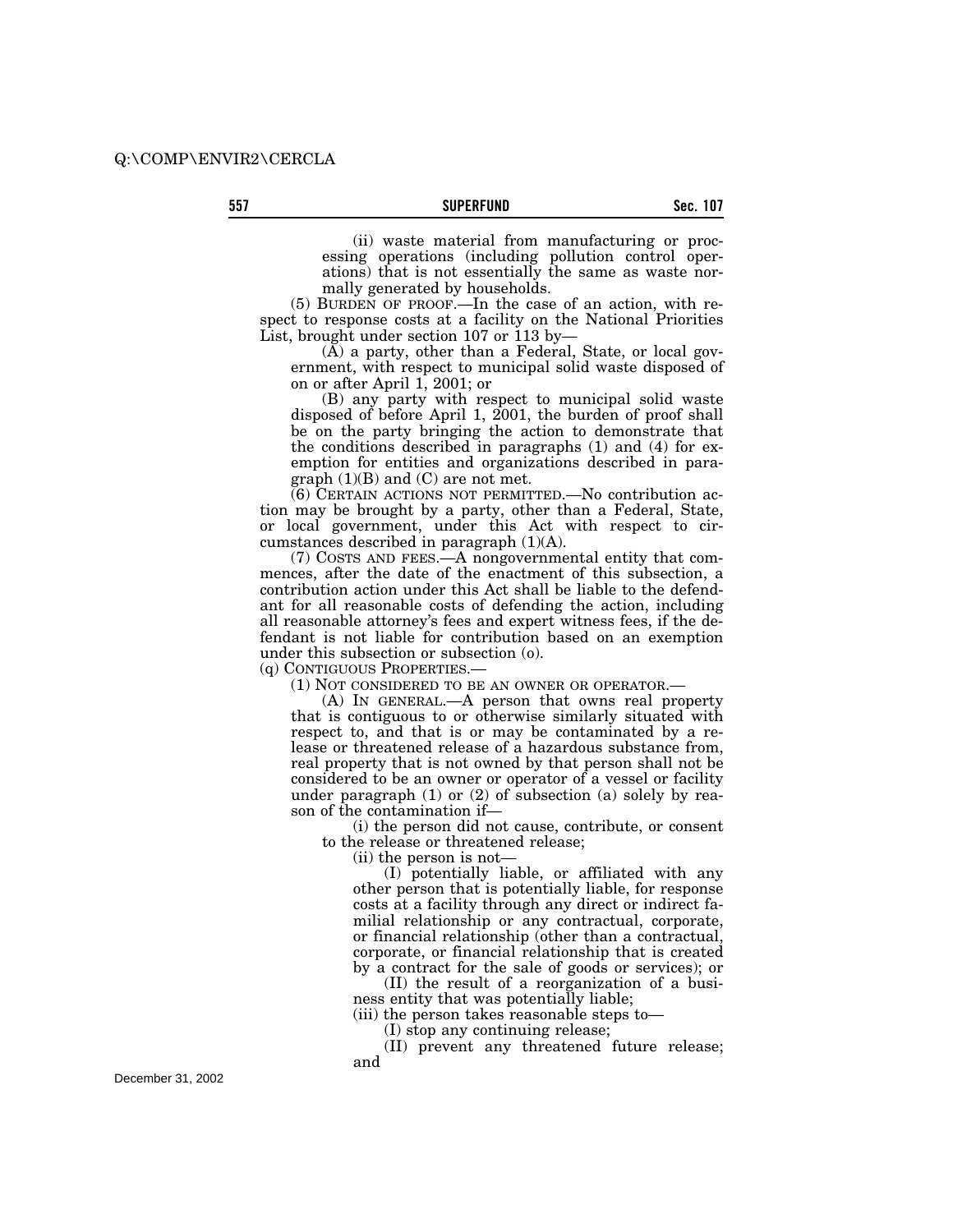(ii) waste material from manufacturing or processing operations (including pollution control operations) that is not essentially the same as waste normally generated by households.

(5) BURDEN OF PROOF.—In the case of an action, with respect to response costs at a facility on the National Priorities List, brought under section 107 or 113 by—

 $(\tilde{A})$  a party, other than a Federal, State, or local government, with respect to municipal solid waste disposed of on or after April 1, 2001; or

(B) any party with respect to municipal solid waste disposed of before April 1, 2001, the burden of proof shall be on the party bringing the action to demonstrate that the conditions described in paragraphs (1) and (4) for exemption for entities and organizations described in paragraph  $(1)(B)$  and  $(C)$  are not met.

(6) CERTAIN ACTIONS NOT PERMITTED.—No contribution action may be brought by a party, other than a Federal, State, or local government, under this Act with respect to circumstances described in paragraph (1)(A).

(7) COSTS AND FEES.—A nongovernmental entity that commences, after the date of the enactment of this subsection, a contribution action under this Act shall be liable to the defendant for all reasonable costs of defending the action, including all reasonable attorney's fees and expert witness fees, if the defendant is not liable for contribution based on an exemption under this subsection or subsection (o).

(q) CONTIGUOUS PROPERTIES.—

(1) NOT CONSIDERED TO BE AN OWNER OR OPERATOR.—

(A) IN GENERAL.—A person that owns real property that is contiguous to or otherwise similarly situated with respect to, and that is or may be contaminated by a release or threatened release of a hazardous substance from, real property that is not owned by that person shall not be considered to be an owner or operator of a vessel or facility under paragraph (1) or (2) of subsection (a) solely by reason of the contamination if—

(i) the person did not cause, contribute, or consent to the release or threatened release;

(ii) the person is not—

(I) potentially liable, or affiliated with any other person that is potentially liable, for response costs at a facility through any direct or indirect familial relationship or any contractual, corporate, or financial relationship (other than a contractual, corporate, or financial relationship that is created by a contract for the sale of goods or services); or

(II) the result of a reorganization of a business entity that was potentially liable;

(iii) the person takes reasonable steps to—

(I) stop any continuing release;

(II) prevent any threatened future release; and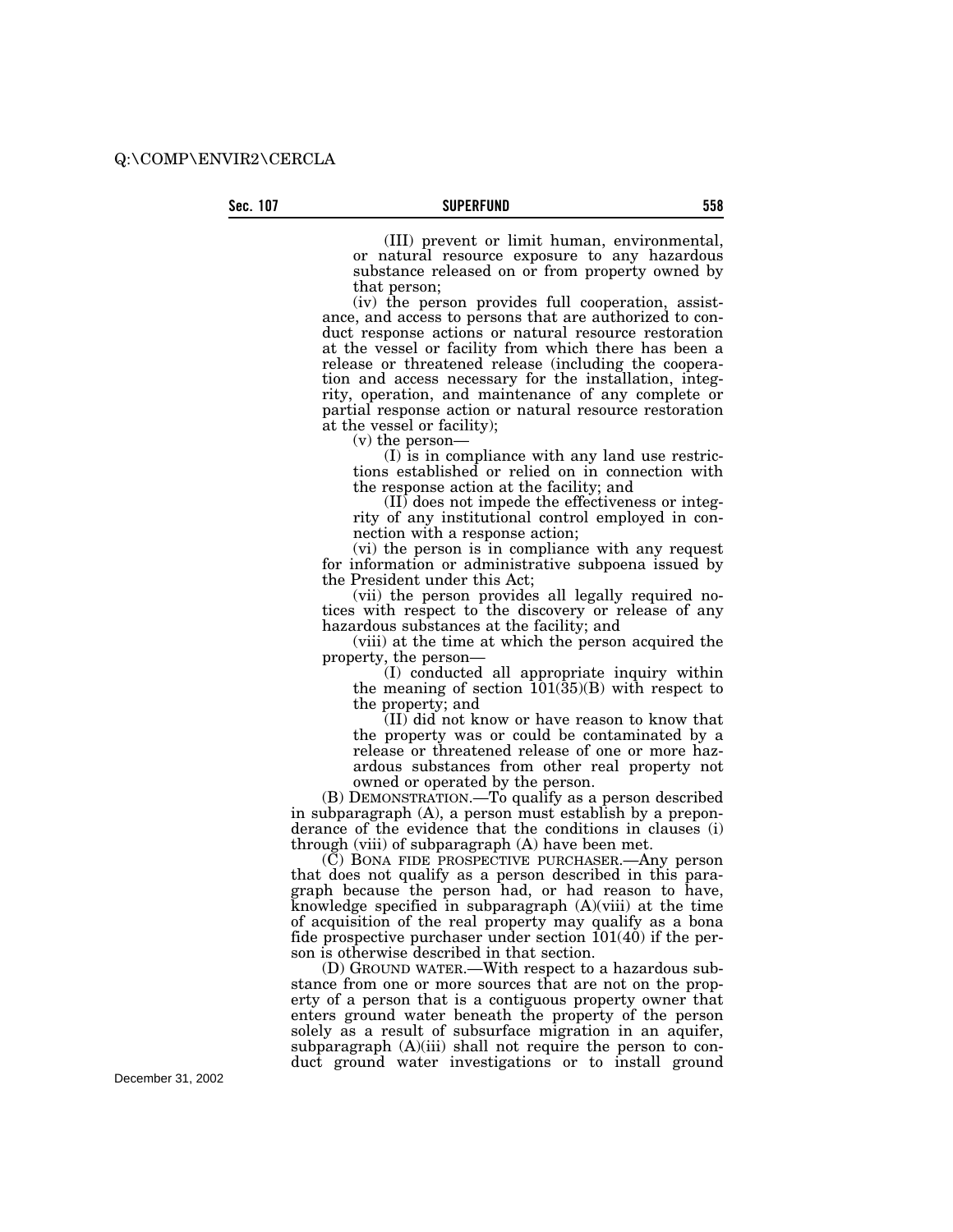(III) prevent or limit human, environmental, or natural resource exposure to any hazardous substance released on or from property owned by that person;

(iv) the person provides full cooperation, assistance, and access to persons that are authorized to conduct response actions or natural resource restoration at the vessel or facility from which there has been a release or threatened release (including the cooperation and access necessary for the installation, integrity, operation, and maintenance of any complete or partial response action or natural resource restoration at the vessel or facility);

(v) the person—

(I) is in compliance with any land use restrictions established or relied on in connection with the response action at the facility; and

(II) does not impede the effectiveness or integrity of any institutional control employed in connection with a response action;

(vi) the person is in compliance with any request for information or administrative subpoena issued by the President under this Act;

(vii) the person provides all legally required notices with respect to the discovery or release of any hazardous substances at the facility; and

(viii) at the time at which the person acquired the property, the person—

(I) conducted all appropriate inquiry within the meaning of section 101(35)(B) with respect to the property; and

(II) did not know or have reason to know that the property was or could be contaminated by a release or threatened release of one or more hazardous substances from other real property not owned or operated by the person.

(B) DEMONSTRATION.—To qualify as a person described in subparagraph (A), a person must establish by a preponderance of the evidence that the conditions in clauses (i) through (viii) of subparagraph (A) have been met.

(C) BONA FIDE PROSPECTIVE PURCHASER.—Any person that does not qualify as a person described in this paragraph because the person had, or had reason to have,  $\overline{k}$ nowledge specified in subparagraph  $(A)(\overline{v}iii)$  at the time of acquisition of the real property may qualify as a bona fide prospective purchaser under section 101(40) if the person is otherwise described in that section.

(D) GROUND WATER.—With respect to a hazardous substance from one or more sources that are not on the property of a person that is a contiguous property owner that enters ground water beneath the property of the person solely as a result of subsurface migration in an aquifer, subparagraph  $(A)(iii)$  shall not require the person to conduct ground water investigations or to install ground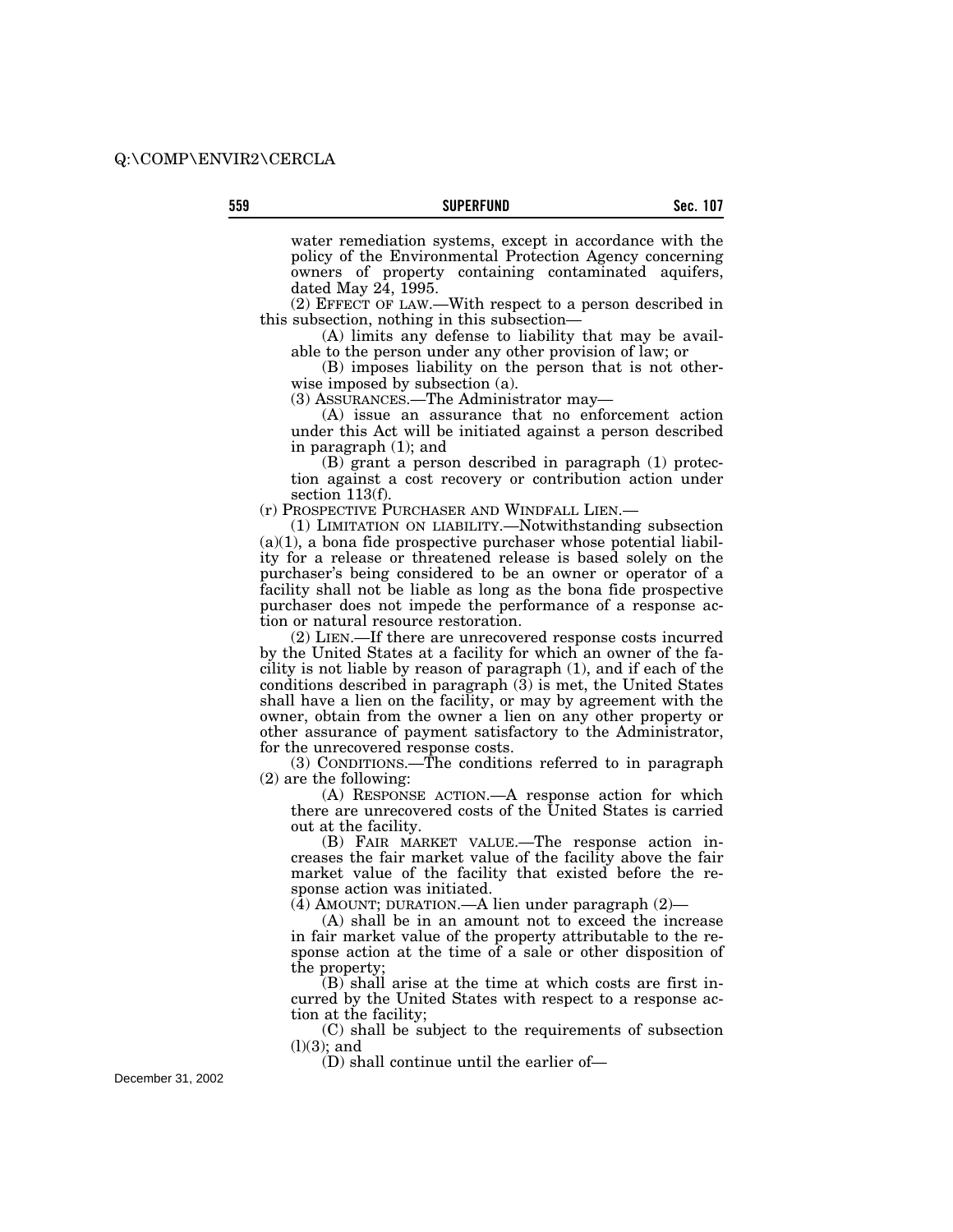water remediation systems, except in accordance with the policy of the Environmental Protection Agency concerning owners of property containing contaminated aquifers, dated May 24, 1995.

(2) EFFECT OF LAW.—With respect to a person described in this subsection, nothing in this subsection—

(A) limits any defense to liability that may be available to the person under any other provision of law; or

(B) imposes liability on the person that is not otherwise imposed by subsection (a).

(3) ASSURANCES.—The Administrator may—

(A) issue an assurance that no enforcement action under this Act will be initiated against a person described in paragraph (1); and

(B) grant a person described in paragraph (1) protection against a cost recovery or contribution action under section 113(f).

(r) PROSPECTIVE PURCHASER AND WINDFALL LIEN.—

(1) LIMITATION ON LIABILITY.—Notwithstanding subsection  $(a)(1)$ , a bona fide prospective purchaser whose potential liability for a release or threatened release is based solely on the purchaser's being considered to be an owner or operator of a facility shall not be liable as long as the bona fide prospective purchaser does not impede the performance of a response action or natural resource restoration.

(2) LIEN.—If there are unrecovered response costs incurred by the United States at a facility for which an owner of the facility is not liable by reason of paragraph (1), and if each of the conditions described in paragraph (3) is met, the United States shall have a lien on the facility, or may by agreement with the owner, obtain from the owner a lien on any other property or other assurance of payment satisfactory to the Administrator, for the unrecovered response costs.

(3) CONDITIONS.—The conditions referred to in paragraph (2) are the following:

(A) RESPONSE ACTION.—A response action for which there are unrecovered costs of the United States is carried out at the facility.

(B) FAIR MARKET VALUE.—The response action increases the fair market value of the facility above the fair market value of the facility that existed before the response action was initiated.

(4) AMOUNT; DURATION.—A lien under paragraph (2)—

(A) shall be in an amount not to exceed the increase in fair market value of the property attributable to the response action at the time of a sale or other disposition of the property;

(B) shall arise at the time at which costs are first incurred by the United States with respect to a response action at the facility;

(C) shall be subject to the requirements of subsection  $(l)(3)$ ; and

(D) shall continue until the earlier of—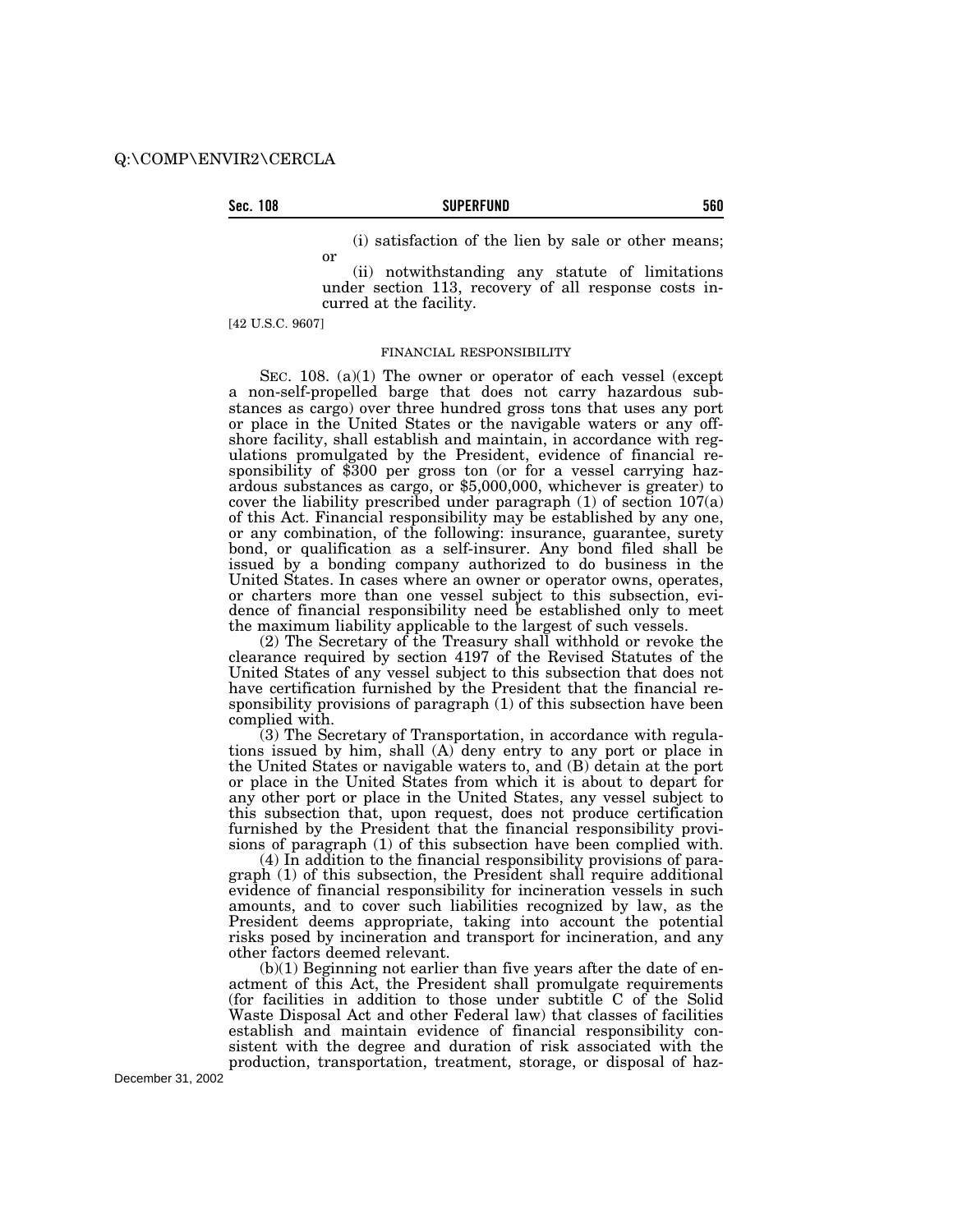(i) satisfaction of the lien by sale or other means;

(ii) notwithstanding any statute of limitations under section 113, recovery of all response costs incurred at the facility.

[42 U.S.C. 9607]

or

### FINANCIAL RESPONSIBILITY

SEC. 108. (a)(1) The owner or operator of each vessel (except a non-self-propelled barge that does not carry hazardous substances as cargo) over three hundred gross tons that uses any port or place in the United States or the navigable waters or any offshore facility, shall establish and maintain, in accordance with regulations promulgated by the President, evidence of financial responsibility of \$300 per gross ton (or for a vessel carrying hazardous substances as cargo, or \$5,000,000, whichever is greater) to cover the liability prescribed under paragraph (1) of section 107(a) of this Act. Financial responsibility may be established by any one, or any combination, of the following: insurance, guarantee, surety bond, or qualification as a self-insurer. Any bond filed shall be issued by a bonding company authorized to do business in the United States. In cases where an owner or operator owns, operates, or charters more than one vessel subject to this subsection, evidence of financial responsibility need be established only to meet the maximum liability applicable to the largest of such vessels.

(2) The Secretary of the Treasury shall withhold or revoke the clearance required by section 4197 of the Revised Statutes of the United States of any vessel subject to this subsection that does not have certification furnished by the President that the financial responsibility provisions of paragraph (1) of this subsection have been complied with.

(3) The Secretary of Transportation, in accordance with regulations issued by him, shall (A) deny entry to any port or place in the United States or navigable waters to, and (B) detain at the port or place in the United States from which it is about to depart for any other port or place in the United States, any vessel subject to this subsection that, upon request, does not produce certification furnished by the President that the financial responsibility provisions of paragraph (1) of this subsection have been complied with.

(4) In addition to the financial responsibility provisions of paragraph (1) of this subsection, the President shall require additional evidence of financial responsibility for incineration vessels in such amounts, and to cover such liabilities recognized by law, as the President deems appropriate, taking into account the potential risks posed by incineration and transport for incineration, and any other factors deemed relevant.

(b)(1) Beginning not earlier than five years after the date of enactment of this Act, the President shall promulgate requirements (for facilities in addition to those under subtitle C of the Solid Waste Disposal Act and other Federal law) that classes of facilities establish and maintain evidence of financial responsibility consistent with the degree and duration of risk associated with the production, transportation, treatment, storage, or disposal of haz-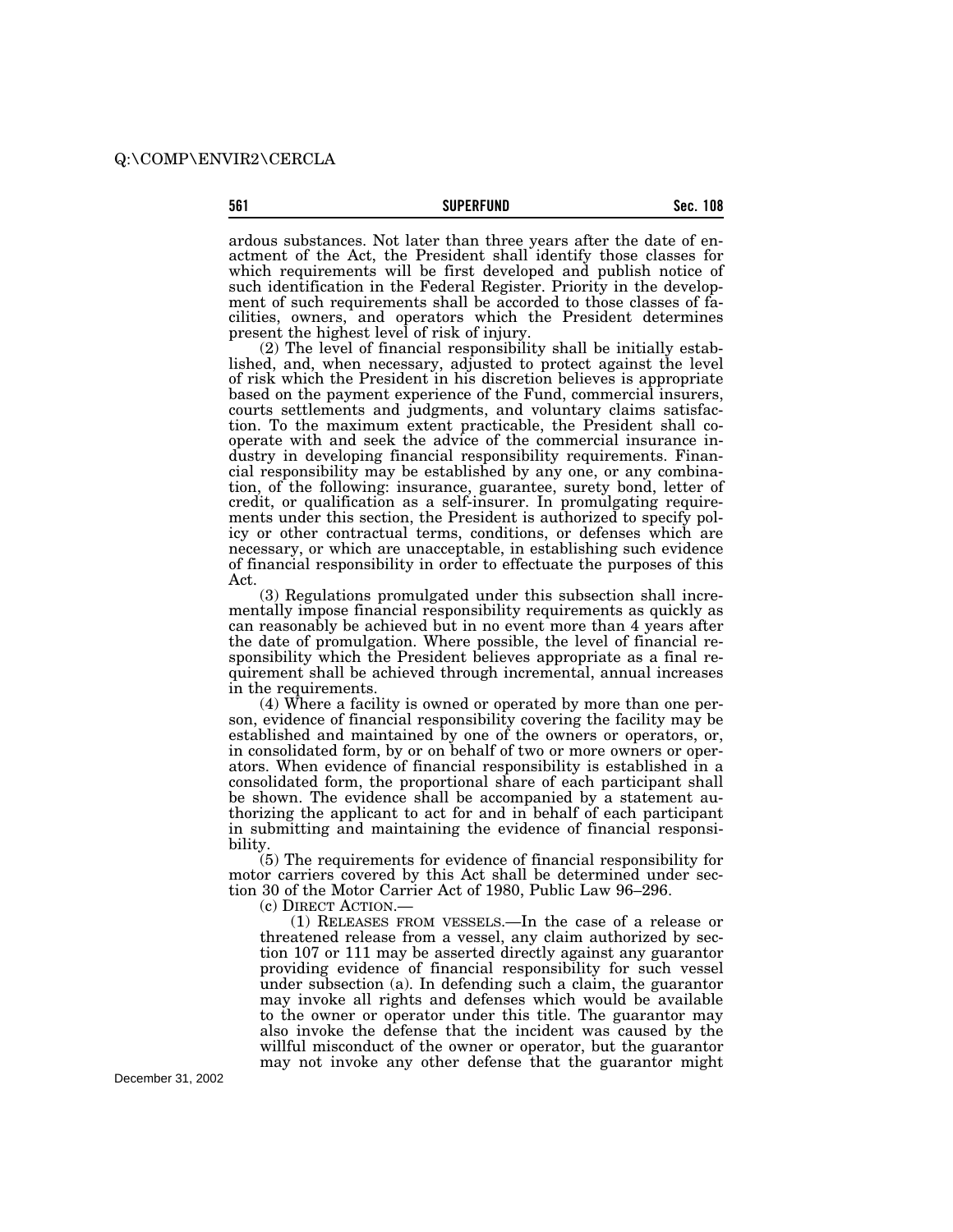ardous substances. Not later than three years after the date of enactment of the Act, the President shall identify those classes for which requirements will be first developed and publish notice of such identification in the Federal Register. Priority in the development of such requirements shall be accorded to those classes of facilities, owners, and operators which the President determines present the highest level of risk of injury.

(2) The level of financial responsibility shall be initially established, and, when necessary, adjusted to protect against the level of risk which the President in his discretion believes is appropriate based on the payment experience of the Fund, commercial insurers, courts settlements and judgments, and voluntary claims satisfaction. To the maximum extent practicable, the President shall cooperate with and seek the advice of the commercial insurance industry in developing financial responsibility requirements. Financial responsibility may be established by any one, or any combination, of the following: insurance, guarantee, surety bond, letter of credit, or qualification as a self-insurer. In promulgating requirements under this section, the President is authorized to specify policy or other contractual terms, conditions, or defenses which are necessary, or which are unacceptable, in establishing such evidence of financial responsibility in order to effectuate the purposes of this Act.

(3) Regulations promulgated under this subsection shall incrementally impose financial responsibility requirements as quickly as can reasonably be achieved but in no event more than 4 years after the date of promulgation. Where possible, the level of financial responsibility which the President believes appropriate as a final requirement shall be achieved through incremental, annual increases in the requirements.

(4) Where a facility is owned or operated by more than one person, evidence of financial responsibility covering the facility may be established and maintained by one of the owners or operators, or, in consolidated form, by or on behalf of two or more owners or operators. When evidence of financial responsibility is established in a consolidated form, the proportional share of each participant shall be shown. The evidence shall be accompanied by a statement authorizing the applicant to act for and in behalf of each participant in submitting and maintaining the evidence of financial responsibility.

(5) The requirements for evidence of financial responsibility for motor carriers covered by this Act shall be determined under section 30 of the Motor Carrier Act of 1980, Public Law 96–296.

(c) DIRECT ACTION.—

(1) RELEASES FROM VESSELS.—In the case of a release or threatened release from a vessel, any claim authorized by section 107 or 111 may be asserted directly against any guarantor providing evidence of financial responsibility for such vessel under subsection (a). In defending such a claim, the guarantor may invoke all rights and defenses which would be available to the owner or operator under this title. The guarantor may also invoke the defense that the incident was caused by the willful misconduct of the owner or operator, but the guarantor may not invoke any other defense that the guarantor might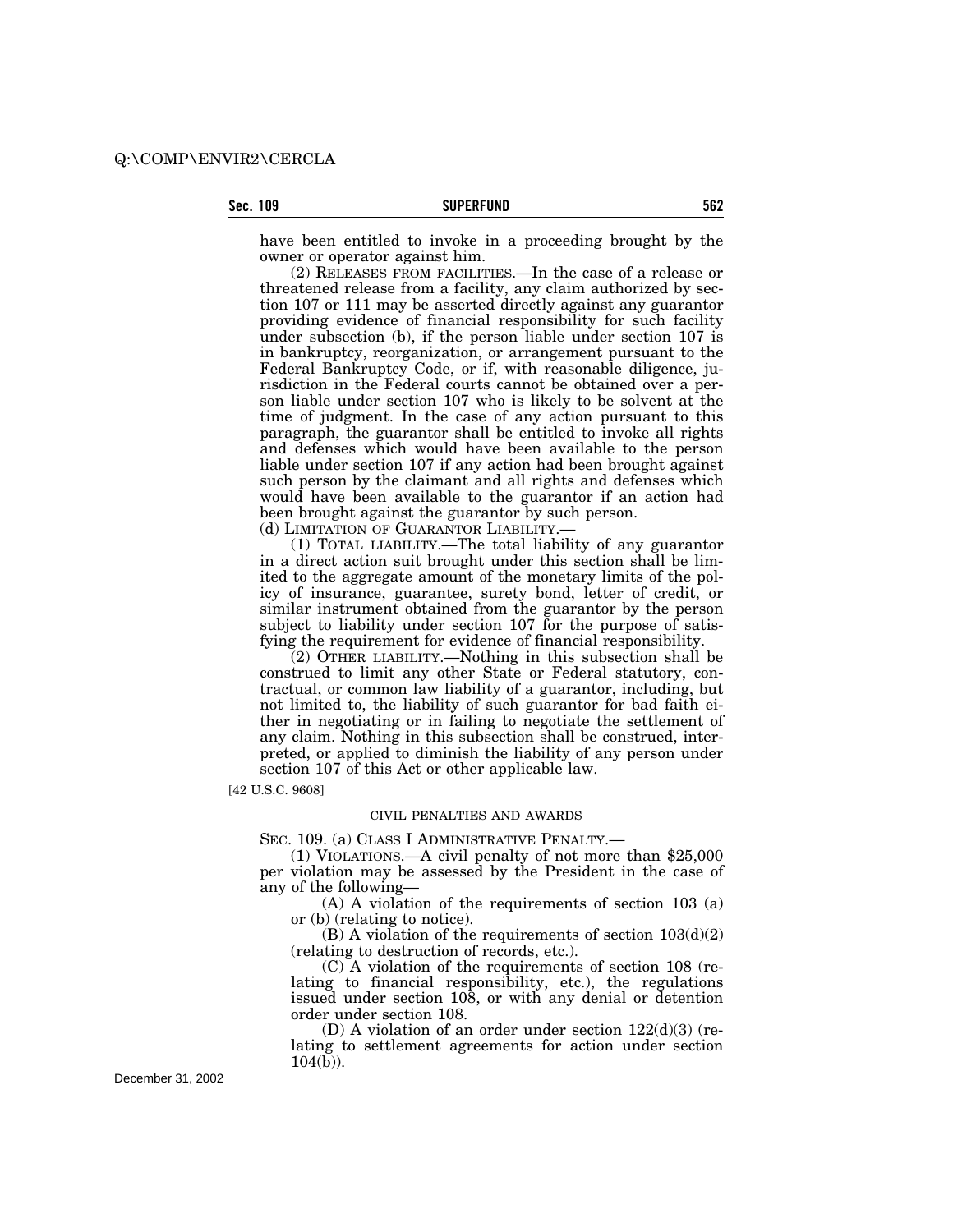have been entitled to invoke in a proceeding brought by the owner or operator against him.

(2) RELEASES FROM FACILITIES.—In the case of a release or threatened release from a facility, any claim authorized by section 107 or 111 may be asserted directly against any guarantor providing evidence of financial responsibility for such facility under subsection (b), if the person liable under section 107 is in bankruptcy, reorganization, or arrangement pursuant to the Federal Bankruptcy Code, or if, with reasonable diligence, jurisdiction in the Federal courts cannot be obtained over a person liable under section 107 who is likely to be solvent at the time of judgment. In the case of any action pursuant to this paragraph, the guarantor shall be entitled to invoke all rights and defenses which would have been available to the person liable under section 107 if any action had been brought against such person by the claimant and all rights and defenses which would have been available to the guarantor if an action had been brought against the guarantor by such person.

(d) LIMITATION OF GUARANTOR LIABILITY.—

(1) TOTAL LIABILITY.—The total liability of any guarantor in a direct action suit brought under this section shall be limited to the aggregate amount of the monetary limits of the policy of insurance, guarantee, surety bond, letter of credit, or similar instrument obtained from the guarantor by the person subject to liability under section 107 for the purpose of satisfying the requirement for evidence of financial responsibility.

(2) OTHER LIABILITY.—Nothing in this subsection shall be construed to limit any other State or Federal statutory, contractual, or common law liability of a guarantor, including, but not limited to, the liability of such guarantor for bad faith either in negotiating or in failing to negotiate the settlement of any claim. Nothing in this subsection shall be construed, interpreted, or applied to diminish the liability of any person under section 107 of this Act or other applicable law.

[42 U.S.C. 9608]

#### CIVIL PENALTIES AND AWARDS

SEC. 109. (a) CLASS I ADMINISTRATIVE PENALTY.—

(1) VIOLATIONS.—A civil penalty of not more than \$25,000 per violation may be assessed by the President in the case of any of the following—

(A) A violation of the requirements of section 103 (a) or (b) (relating to notice).

(B) A violation of the requirements of section  $103(d)(2)$ (relating to destruction of records, etc.).

(C) A violation of the requirements of section 108 (relating to financial responsibility, etc.), the regulations issued under section 108, or with any denial or detention order under section 108.

(D) A violation of an order under section  $122(d)(3)$  (relating to settlement agreements for action under section  $104(b)$ ).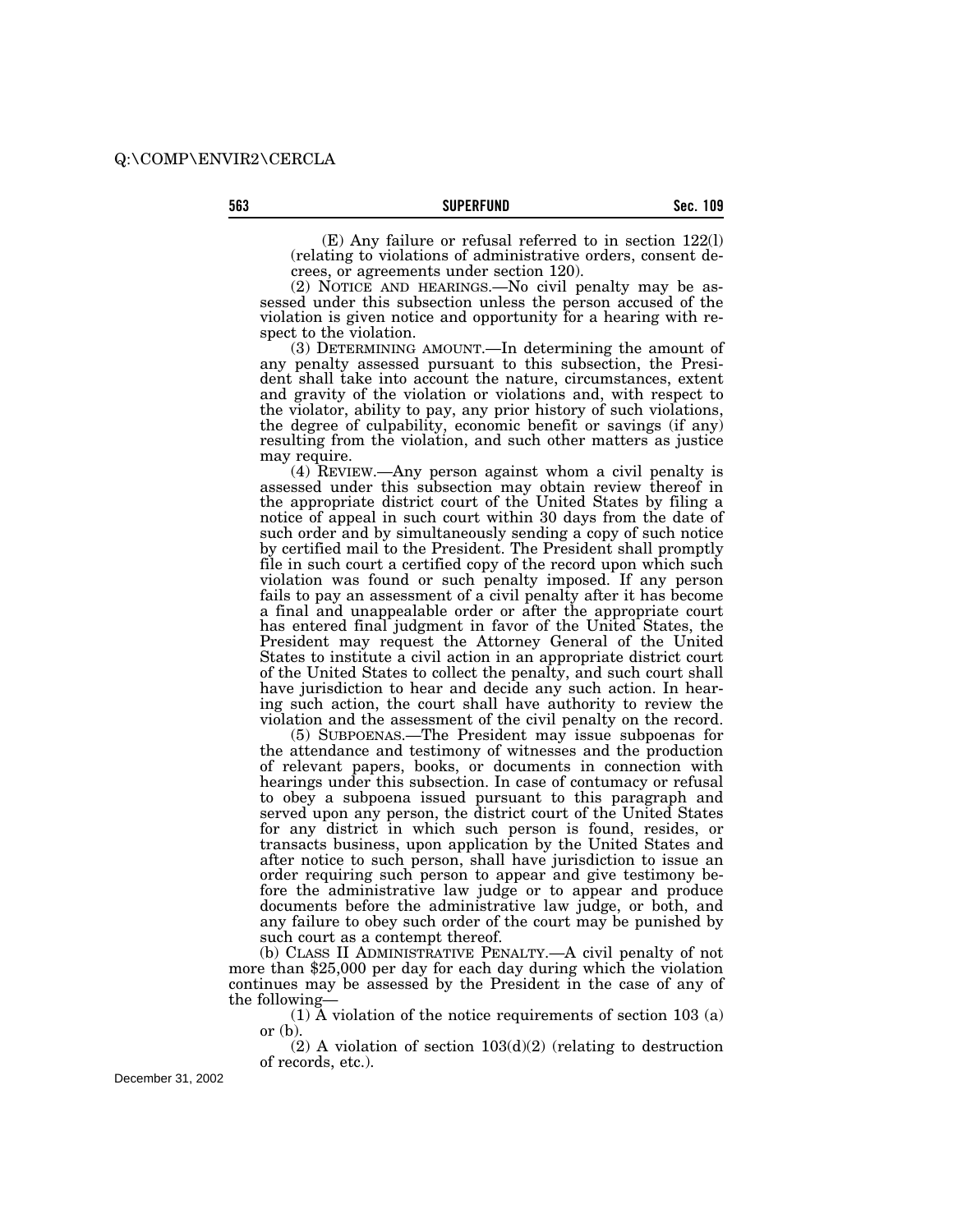(E) Any failure or refusal referred to in section 122(l) (relating to violations of administrative orders, consent decrees, or agreements under section 120).

(2) NOTICE AND HEARINGS.—No civil penalty may be assessed under this subsection unless the person accused of the violation is given notice and opportunity for a hearing with respect to the violation.

(3) DETERMINING AMOUNT.—In determining the amount of any penalty assessed pursuant to this subsection, the President shall take into account the nature, circumstances, extent and gravity of the violation or violations and, with respect to the violator, ability to pay, any prior history of such violations, the degree of culpability, economic benefit or savings (if any) resulting from the violation, and such other matters as justice may require.

(4) REVIEW.—Any person against whom a civil penalty is assessed under this subsection may obtain review thereof in the appropriate district court of the United States by filing a notice of appeal in such court within 30 days from the date of such order and by simultaneously sending a copy of such notice by certified mail to the President. The President shall promptly file in such court a certified copy of the record upon which such violation was found or such penalty imposed. If any person fails to pay an assessment of a civil penalty after it has become a final and unappealable order or after the appropriate court has entered final judgment in favor of the United States, the President may request the Attorney General of the United States to institute a civil action in an appropriate district court of the United States to collect the penalty, and such court shall have jurisdiction to hear and decide any such action. In hearing such action, the court shall have authority to review the violation and the assessment of the civil penalty on the record.

(5) SUBPOENAS.—The President may issue subpoenas for the attendance and testimony of witnesses and the production of relevant papers, books, or documents in connection with hearings under this subsection. In case of contumacy or refusal to obey a subpoena issued pursuant to this paragraph and served upon any person, the district court of the United States for any district in which such person is found, resides, or transacts business, upon application by the United States and after notice to such person, shall have jurisdiction to issue an order requiring such person to appear and give testimony before the administrative law judge or to appear and produce documents before the administrative law judge, or both, and any failure to obey such order of the court may be punished by such court as a contempt thereof.

(b) CLASS II ADMINISTRATIVE PENALTY.—A civil penalty of not more than \$25,000 per day for each day during which the violation continues may be assessed by the President in the case of any of the following—

(1) A violation of the notice requirements of section 103 (a) or  $(b)$ .

 $(2)$  A violation of section  $103(d)(2)$  (relating to destruction of records, etc.).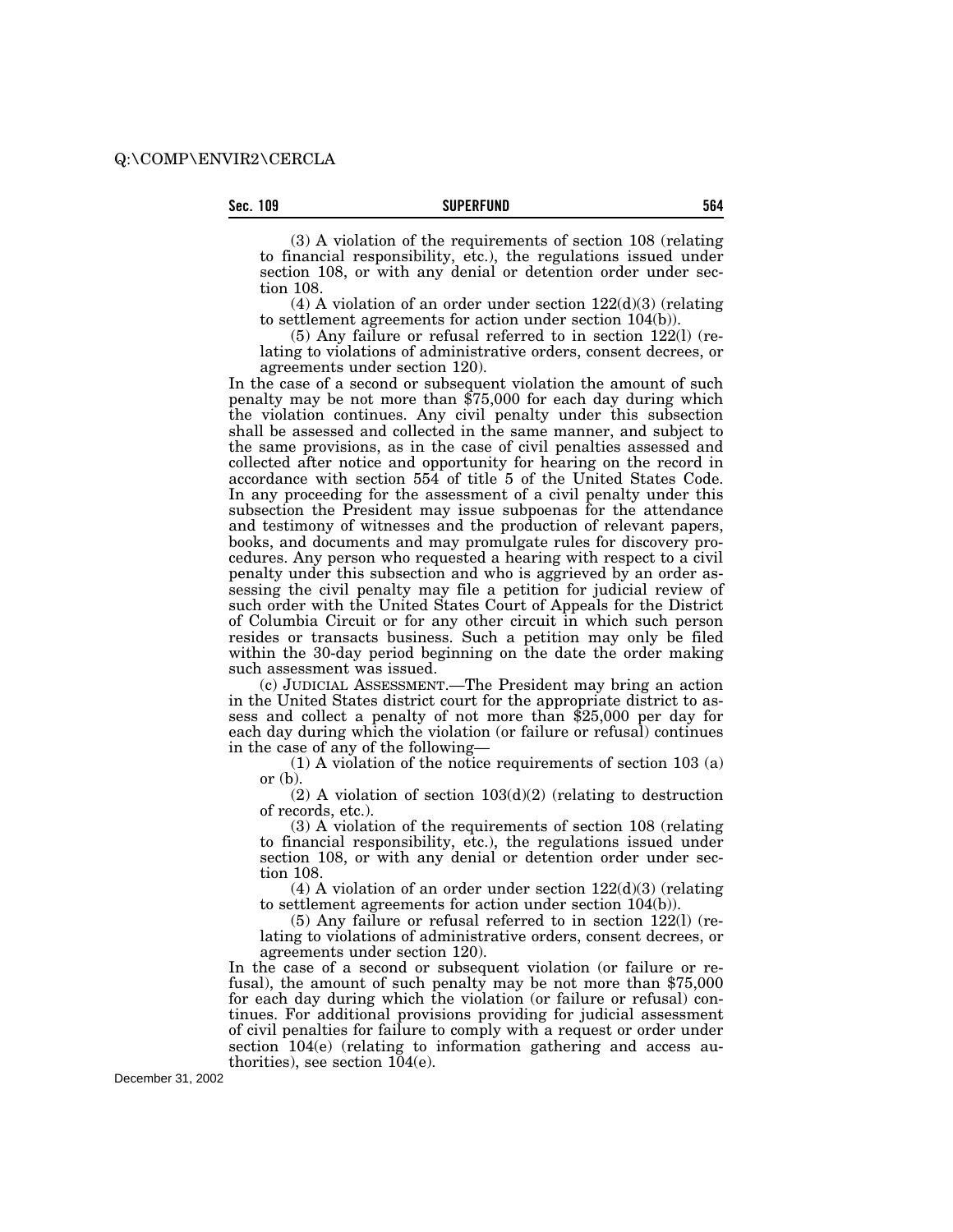(3) A violation of the requirements of section 108 (relating to financial responsibility, etc.), the regulations issued under section 108, or with any denial or detention order under section 108.

 $(4)$  A violation of an order under section  $122(d)(3)$  (relating to settlement agreements for action under section 104(b)).

(5) Any failure or refusal referred to in section 122(l) (relating to violations of administrative orders, consent decrees, or agreements under section 120).

In the case of a second or subsequent violation the amount of such penalty may be not more than \$75,000 for each day during which the violation continues. Any civil penalty under this subsection shall be assessed and collected in the same manner, and subject to the same provisions, as in the case of civil penalties assessed and collected after notice and opportunity for hearing on the record in accordance with section 554 of title 5 of the United States Code. In any proceeding for the assessment of a civil penalty under this subsection the President may issue subpoenas for the attendance and testimony of witnesses and the production of relevant papers, books, and documents and may promulgate rules for discovery procedures. Any person who requested a hearing with respect to a civil penalty under this subsection and who is aggrieved by an order assessing the civil penalty may file a petition for judicial review of such order with the United States Court of Appeals for the District of Columbia Circuit or for any other circuit in which such person resides or transacts business. Such a petition may only be filed within the 30-day period beginning on the date the order making such assessment was issued.

(c) JUDICIAL ASSESSMENT.—The President may bring an action in the United States district court for the appropriate district to assess and collect a penalty of not more than \$25,000 per day for each day during which the violation (or failure or refusal) continues in the case of any of the following—

(1) A violation of the notice requirements of section 103 (a) or  $(b)$ .

 $(2)$  A violation of section  $103(d)(2)$  (relating to destruction of records, etc.).

(3) A violation of the requirements of section 108 (relating to financial responsibility, etc.), the regulations issued under section 108, or with any denial or detention order under section 108.

(4) A violation of an order under section  $122(d)(3)$  (relating to settlement agreements for action under section 104(b)).

(5) Any failure or refusal referred to in section 122(l) (relating to violations of administrative orders, consent decrees, or agreements under section 120).

In the case of a second or subsequent violation (or failure or refusal), the amount of such penalty may be not more than \$75,000 for each day during which the violation (or failure or refusal) continues. For additional provisions providing for judicial assessment of civil penalties for failure to comply with a request or order under section 104(e) (relating to information gathering and access authorities), see section 104(e).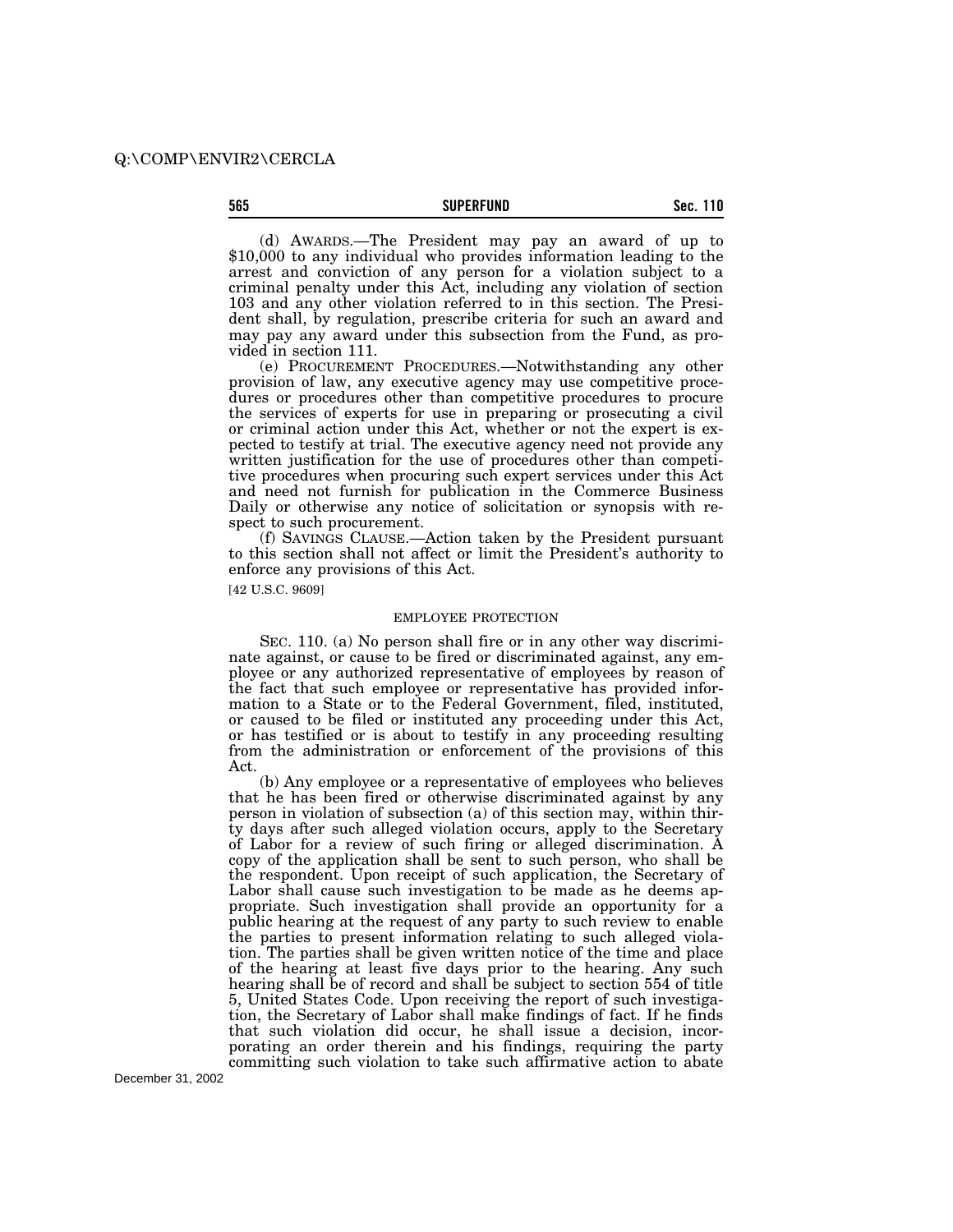(d) AWARDS.—The President may pay an award of up to

\$10,000 to any individual who provides information leading to the arrest and conviction of any person for a violation subject to a criminal penalty under this Act, including any violation of section 103 and any other violation referred to in this section. The President shall, by regulation, prescribe criteria for such an award and may pay any award under this subsection from the Fund, as provided in section 111.

(e) PROCUREMENT PROCEDURES.—Notwithstanding any other provision of law, any executive agency may use competitive procedures or procedures other than competitive procedures to procure the services of experts for use in preparing or prosecuting a civil or criminal action under this Act, whether or not the expert is expected to testify at trial. The executive agency need not provide any written justification for the use of procedures other than competitive procedures when procuring such expert services under this Act and need not furnish for publication in the Commerce Business Daily or otherwise any notice of solicitation or synopsis with respect to such procurement.

(f) SAVINGS CLAUSE.—Action taken by the President pursuant to this section shall not affect or limit the President's authority to enforce any provisions of this Act.

[42 U.S.C. 9609]

# EMPLOYEE PROTECTION

SEC. 110. (a) No person shall fire or in any other way discriminate against, or cause to be fired or discriminated against, any employee or any authorized representative of employees by reason of the fact that such employee or representative has provided information to a State or to the Federal Government, filed, instituted, or caused to be filed or instituted any proceeding under this Act, or has testified or is about to testify in any proceeding resulting from the administration or enforcement of the provisions of this Act.

(b) Any employee or a representative of employees who believes that he has been fired or otherwise discriminated against by any person in violation of subsection (a) of this section may, within thirty days after such alleged violation occurs, apply to the Secretary of Labor for a review of such firing or alleged discrimination. A copy of the application shall be sent to such person, who shall be the respondent. Upon receipt of such application, the Secretary of Labor shall cause such investigation to be made as he deems appropriate. Such investigation shall provide an opportunity for a public hearing at the request of any party to such review to enable the parties to present information relating to such alleged violation. The parties shall be given written notice of the time and place of the hearing at least five days prior to the hearing. Any such hearing shall be of record and shall be subject to section 554 of title 5, United States Code. Upon receiving the report of such investigation, the Secretary of Labor shall make findings of fact. If he finds that such violation did occur, he shall issue a decision, incorporating an order therein and his findings, requiring the party committing such violation to take such affirmative action to abate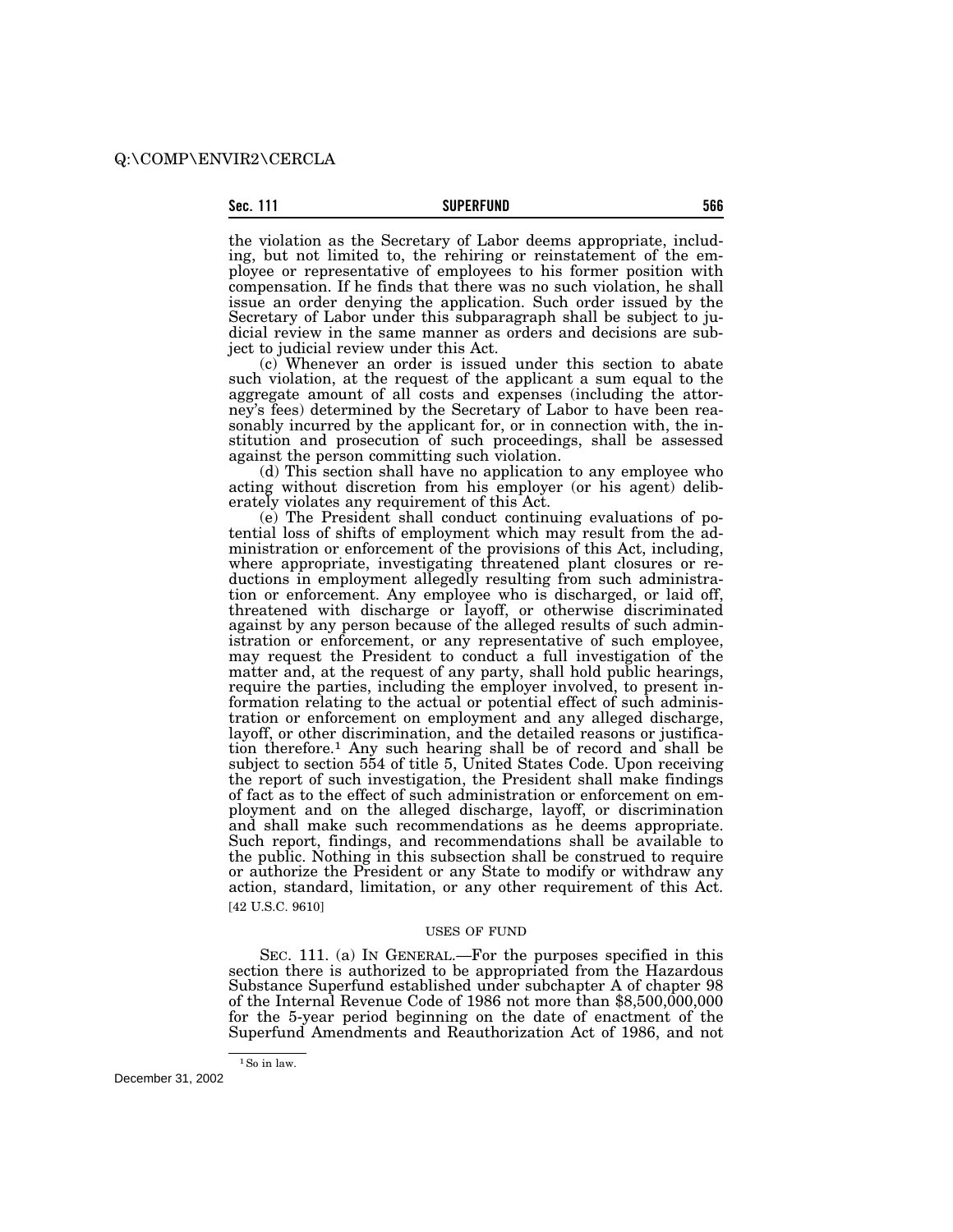the violation as the Secretary of Labor deems appropriate, including, but not limited to, the rehiring or reinstatement of the employee or representative of employees to his former position with compensation. If he finds that there was no such violation, he shall issue an order denying the application. Such order issued by the Secretary of Labor under this subparagraph shall be subject to judicial review in the same manner as orders and decisions are subject to judicial review under this Act.

(c) Whenever an order is issued under this section to abate such violation, at the request of the applicant a sum equal to the aggregate amount of all costs and expenses (including the attorney's fees) determined by the Secretary of Labor to have been reasonably incurred by the applicant for, or in connection with, the institution and prosecution of such proceedings, shall be assessed against the person committing such violation.

(d) This section shall have no application to any employee who acting without discretion from his employer (or his agent) deliberately violates any requirement of this Act.

(e) The President shall conduct continuing evaluations of potential loss of shifts of employment which may result from the administration or enforcement of the provisions of this Act, including, where appropriate, investigating threatened plant closures or reductions in employment allegedly resulting from such administration or enforcement. Any employee who is discharged, or laid off, threatened with discharge or layoff, or otherwise discriminated against by any person because of the alleged results of such administration or enforcement, or any representative of such employee, may request the President to conduct a full investigation of the matter and, at the request of any party, shall hold public hearings, require the parties, including the employer involved, to present information relating to the actual or potential effect of such administration or enforcement on employment and any alleged discharge, layoff, or other discrimination, and the detailed reasons or justification therefore.1 Any such hearing shall be of record and shall be subject to section 554 of title 5, United States Code. Upon receiving the report of such investigation, the President shall make findings of fact as to the effect of such administration or enforcement on employment and on the alleged discharge, layoff, or discrimination and shall make such recommendations as he deems appropriate. Such report, findings, and recommendations shall be available to the public. Nothing in this subsection shall be construed to require or authorize the President or any State to modify or withdraw any action, standard, limitation, or any other requirement of this Act. [42 U.S.C. 9610]

#### USES OF FUND

SEC. 111. (a) IN GENERAL.—For the purposes specified in this section there is authorized to be appropriated from the Hazardous Substance Superfund established under subchapter A of chapter 98 of the Internal Revenue Code of 1986 not more than \$8,500,000,000 for the 5-year period beginning on the date of enactment of the Superfund Amendments and Reauthorization Act of 1986, and not

 $^1\rm{So}$  in law.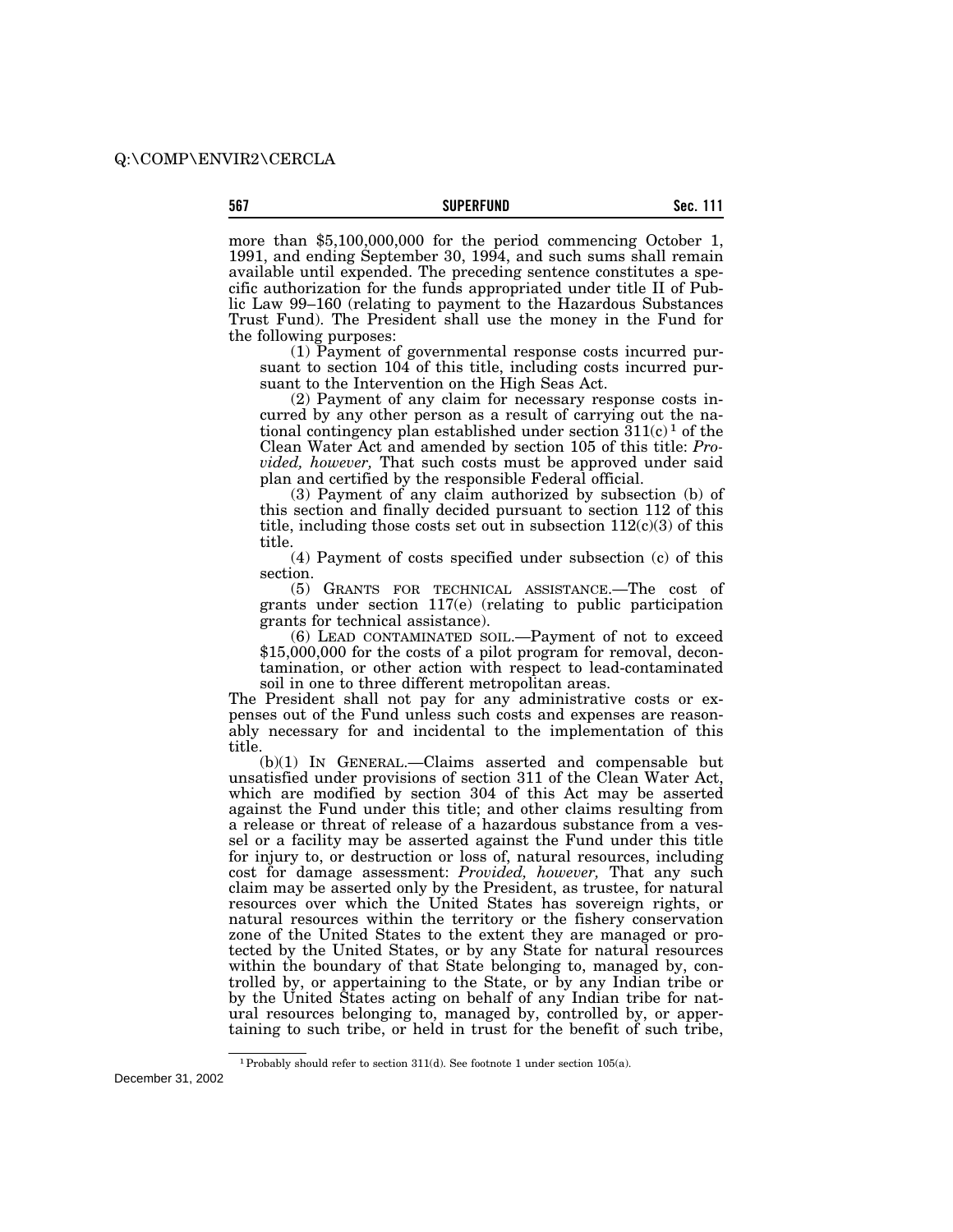more than \$5,100,000,000 for the period commencing October 1, 1991, and ending September 30, 1994, and such sums shall remain available until expended. The preceding sentence constitutes a specific authorization for the funds appropriated under title II of Public Law 99–160 (relating to payment to the Hazardous Substances Trust Fund). The President shall use the money in the Fund for the following purposes:

(1) Payment of governmental response costs incurred pursuant to section 104 of this title, including costs incurred pursuant to the Intervention on the High Seas Act.

(2) Payment of any claim for necessary response costs incurred by any other person as a result of carrying out the national contingency plan established under section  $311(c)$ <sup>1</sup> of the Clean Water Act and amended by section 105 of this title: *Provided, however,* That such costs must be approved under said plan and certified by the responsible Federal official.

(3) Payment of any claim authorized by subsection (b) of this section and finally decided pursuant to section 112 of this title, including those costs set out in subsection  $112(c)(3)$  of this title.

(4) Payment of costs specified under subsection (c) of this section.

(5) GRANTS FOR TECHNICAL ASSISTANCE.—The cost of grants under section 117(e) (relating to public participation grants for technical assistance).

(6) LEAD CONTAMINATED SOIL.—Payment of not to exceed \$15,000,000 for the costs of a pilot program for removal, decontamination, or other action with respect to lead-contaminated soil in one to three different metropolitan areas.

The President shall not pay for any administrative costs or expenses out of the Fund unless such costs and expenses are reasonably necessary for and incidental to the implementation of this title.

(b)(1) IN GENERAL.—Claims asserted and compensable but unsatisfied under provisions of section 311 of the Clean Water Act, which are modified by section 304 of this Act may be asserted against the Fund under this title; and other claims resulting from a release or threat of release of a hazardous substance from a vessel or a facility may be asserted against the Fund under this title for injury to, or destruction or loss of, natural resources, including cost for damage assessment: *Provided, however,* That any such claim may be asserted only by the President, as trustee, for natural resources over which the United States has sovereign rights, or natural resources within the territory or the fishery conservation zone of the United States to the extent they are managed or protected by the United States, or by any State for natural resources within the boundary of that State belonging to, managed by, controlled by, or appertaining to the State, or by any Indian tribe or by the United States acting on behalf of any Indian tribe for natural resources belonging to, managed by, controlled by, or appertaining to such tribe, or held in trust for the benefit of such tribe,

<sup>1</sup>Probably should refer to section 311(d). See footnote 1 under section 105(a).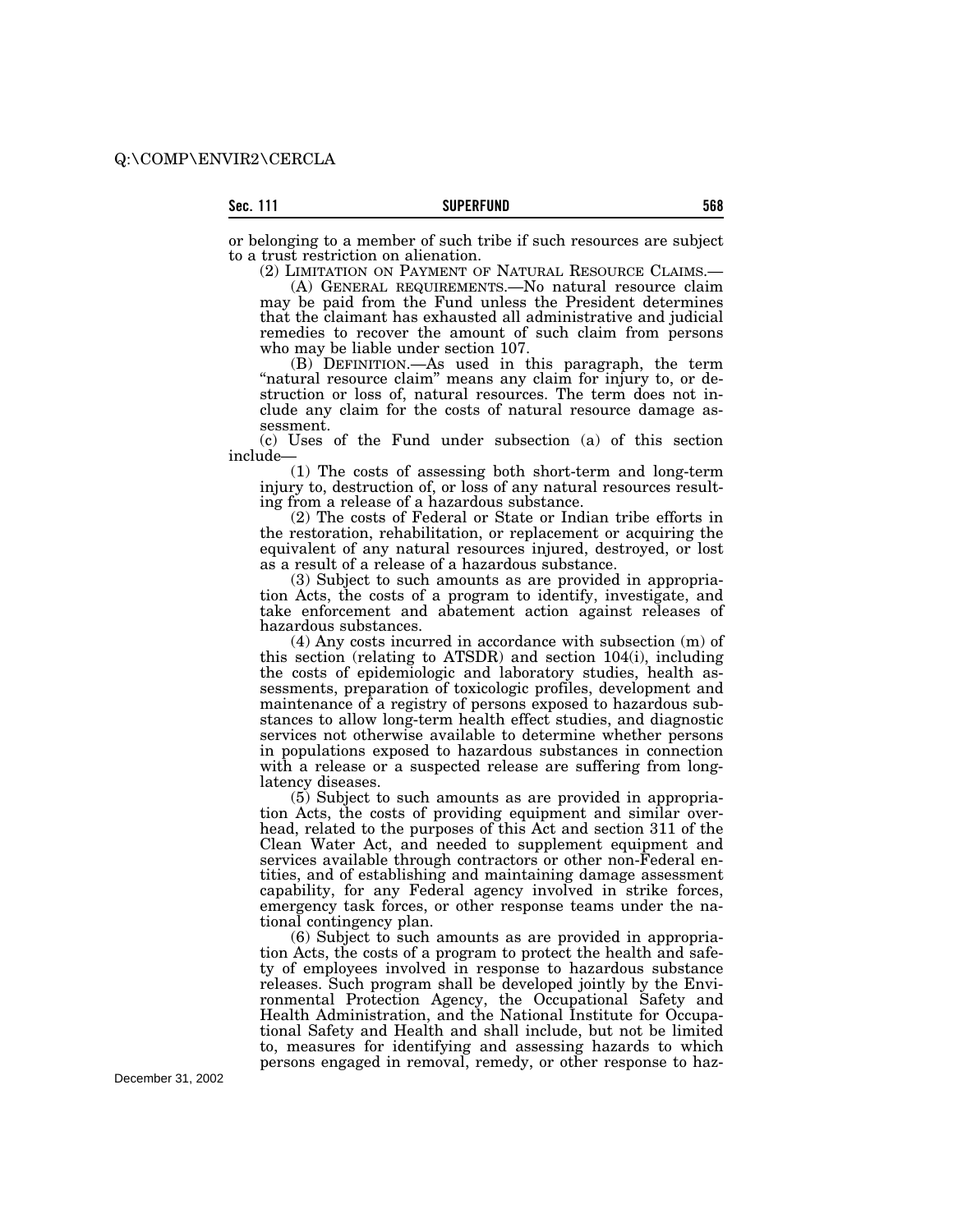or belonging to a member of such tribe if such resources are subject to a trust restriction on alienation.

(2) LIMITATION ON PAYMENT OF NATURAL RESOURCE CLAIMS.— (A) GENERAL REQUIREMENTS.—No natural resource claim

may be paid from the Fund unless the President determines that the claimant has exhausted all administrative and judicial remedies to recover the amount of such claim from persons who may be liable under section 107.

(B) DEFINITION.—As used in this paragraph, the term "natural resource claim" means any claim for injury to, or destruction or loss of, natural resources. The term does not include any claim for the costs of natural resource damage assessment.

(c) Uses of the Fund under subsection (a) of this section include—

(1) The costs of assessing both short-term and long-term injury to, destruction of, or loss of any natural resources resulting from a release of a hazardous substance.

(2) The costs of Federal or State or Indian tribe efforts in the restoration, rehabilitation, or replacement or acquiring the equivalent of any natural resources injured, destroyed, or lost as a result of a release of a hazardous substance.

(3) Subject to such amounts as are provided in appropriation Acts, the costs of a program to identify, investigate, and take enforcement and abatement action against releases of hazardous substances.

(4) Any costs incurred in accordance with subsection (m) of this section (relating to ATSDR) and section 104(i), including the costs of epidemiologic and laboratory studies, health assessments, preparation of toxicologic profiles, development and maintenance of a registry of persons exposed to hazardous substances to allow long-term health effect studies, and diagnostic services not otherwise available to determine whether persons in populations exposed to hazardous substances in connection with a release or a suspected release are suffering from longlatency diseases.

(5) Subject to such amounts as are provided in appropriation Acts, the costs of providing equipment and similar overhead, related to the purposes of this Act and section 311 of the Clean Water Act, and needed to supplement equipment and services available through contractors or other non-Federal entities, and of establishing and maintaining damage assessment capability, for any Federal agency involved in strike forces, emergency task forces, or other response teams under the national contingency plan.

(6) Subject to such amounts as are provided in appropriation Acts, the costs of a program to protect the health and safety of employees involved in response to hazardous substance releases. Such program shall be developed jointly by the Environmental Protection Agency, the Occupational Safety and Health Administration, and the National Institute for Occupational Safety and Health and shall include, but not be limited to, measures for identifying and assessing hazards to which persons engaged in removal, remedy, or other response to haz-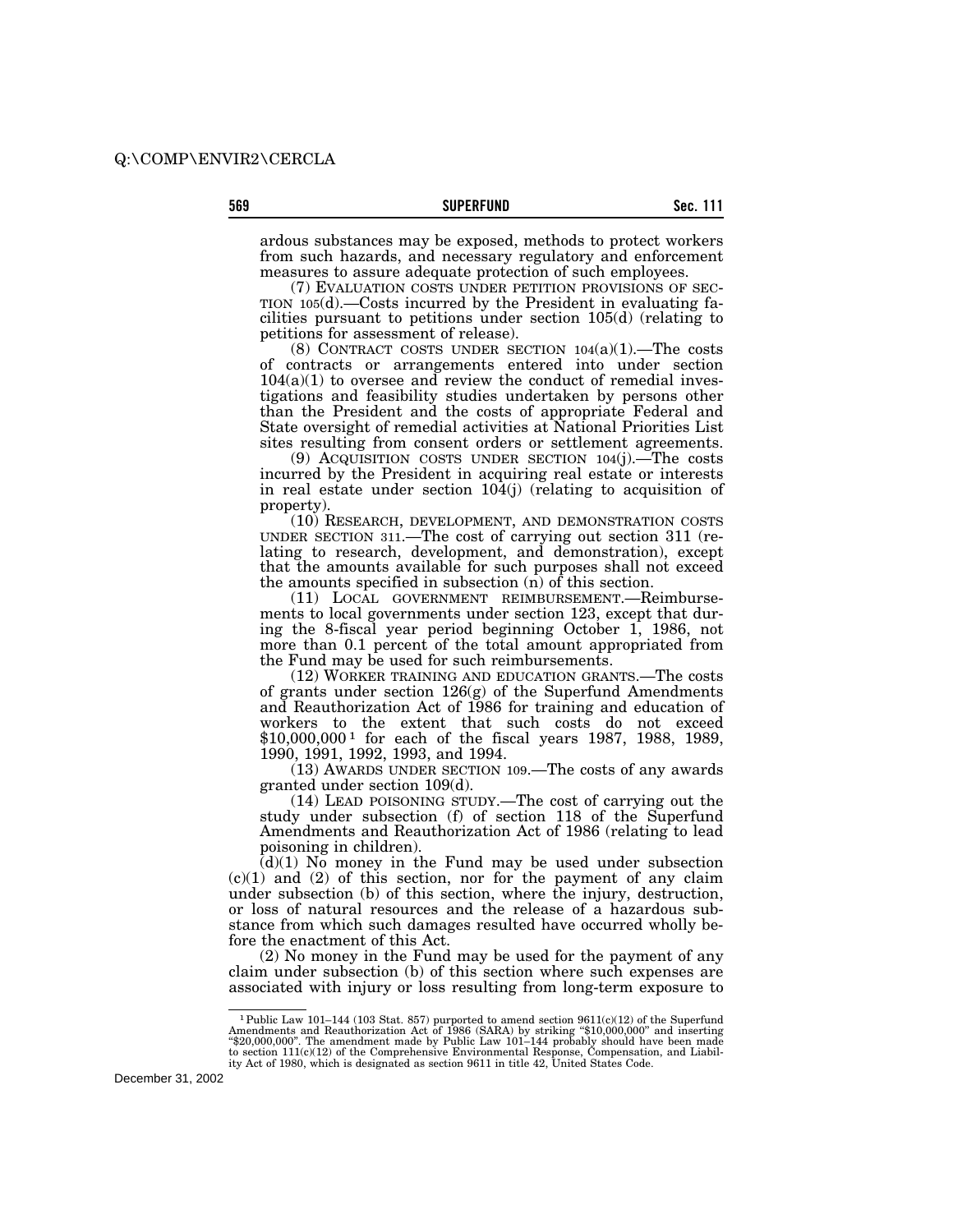ardous substances may be exposed, methods to protect workers from such hazards, and necessary regulatory and enforcement measures to assure adequate protection of such employees.

(7) EVALUATION COSTS UNDER PETITION PROVISIONS OF SEC-TION 105(d).—Costs incurred by the President in evaluating facilities pursuant to petitions under section 105(d) (relating to petitions for assessment of release).

(8) CONTRACT COSTS UNDER SECTION 104(a)(1).—The costs of contracts or arrangements entered into under section  $104(a)(1)$  to oversee and review the conduct of remedial investigations and feasibility studies undertaken by persons other than the President and the costs of appropriate Federal and State oversight of remedial activities at National Priorities List sites resulting from consent orders or settlement agreements.

(9) ACQUISITION COSTS UNDER SECTION 104(j).—The costs incurred by the President in acquiring real estate or interests in real estate under section  $104(j)$  (relating to acquisition of property).

(10) RESEARCH, DEVELOPMENT, AND DEMONSTRATION COSTS UNDER SECTION 311.—The cost of carrying out section 311 (relating to research, development, and demonstration), except that the amounts available for such purposes shall not exceed the amounts specified in subsection  $(n)$  of this section.

(11) LOCAL GOVERNMENT REIMBURSEMENT.—Reimbursements to local governments under section 123, except that during the 8-fiscal year period beginning October 1, 1986, not more than 0.1 percent of the total amount appropriated from the Fund may be used for such reimbursements.

(12) WORKER TRAINING AND EDUCATION GRANTS.—The costs of grants under section 126(g) of the Superfund Amendments and Reauthorization Act of 1986 for training and education of workers to the extent that such costs do not exceed \$10,000,000 1 for each of the fiscal years 1987, 1988, 1989, 1990, 1991, 1992, 1993, and 1994.

(13) AWARDS UNDER SECTION 109.—The costs of any awards granted under section 109(d).

(14) LEAD POISONING STUDY.—The cost of carrying out the study under subsection (f) of section 118 of the Superfund Amendments and Reauthorization Act of 1986 (relating to lead poisoning in children).

 $(d)(1)$  No money in the Fund may be used under subsection (c)(1) and (2) of this section, nor for the payment of any claim under subsection (b) of this section, where the injury, destruction, or loss of natural resources and the release of a hazardous substance from which such damages resulted have occurred wholly before the enactment of this Act.

(2) No money in the Fund may be used for the payment of any claim under subsection (b) of this section where such expenses are associated with injury or loss resulting from long-term exposure to

<sup>&</sup>lt;sup>1</sup>Public Law 101–144 (103 Stat. 857) purported to amend section  $9611(c)(12)$  of the Superfund Amendments and Reauthorization Act of 1986 (SARA) by striking "\$10,000,000" and inserting<br>"\$20,000,000". The amendment made by Public Law 101–144 probably should have been made<br>to section 111(c)(12) of the Comprehensive En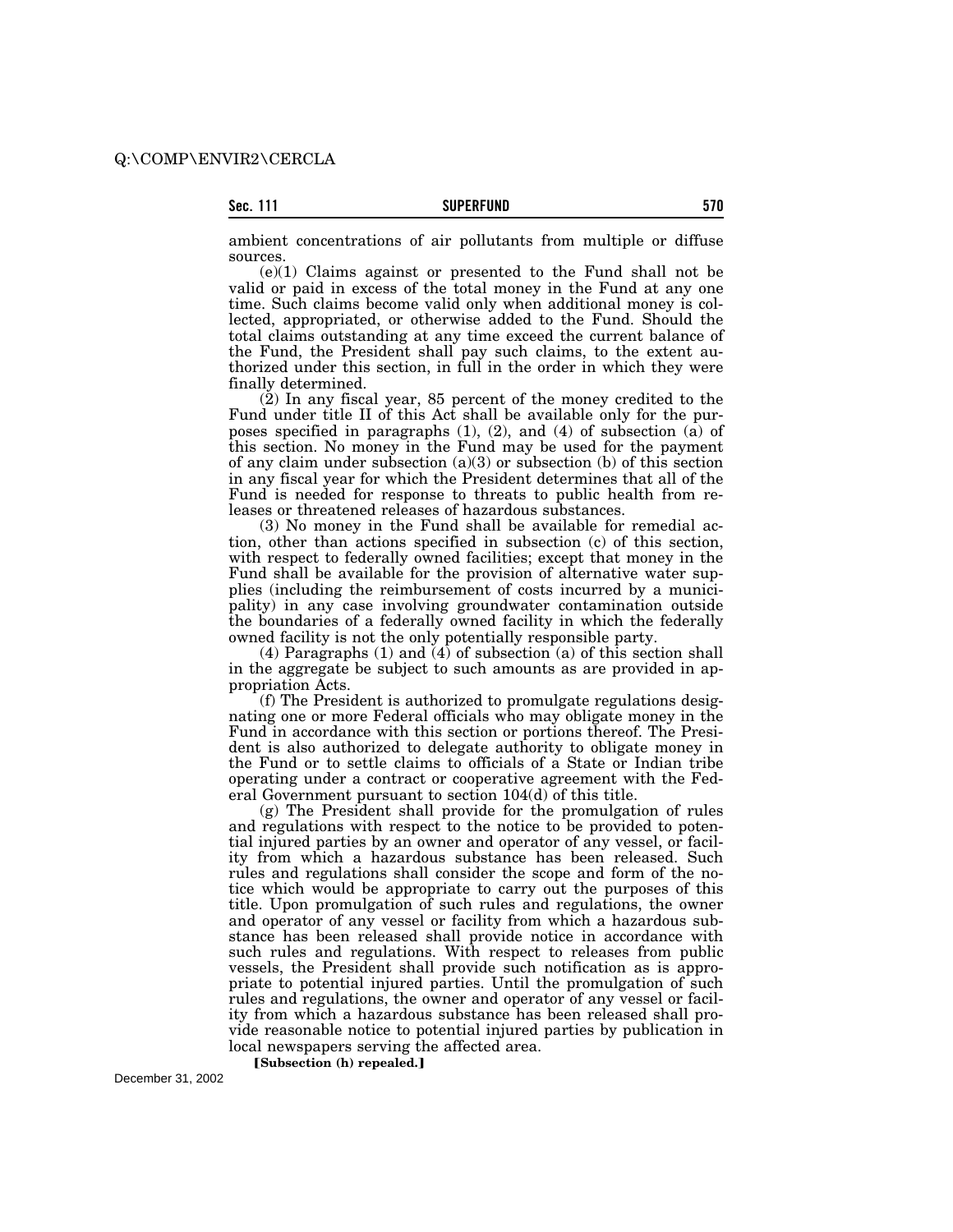ambient concentrations of air pollutants from multiple or diffuse sources.

(e)(1) Claims against or presented to the Fund shall not be valid or paid in excess of the total money in the Fund at any one time. Such claims become valid only when additional money is collected, appropriated, or otherwise added to the Fund. Should the total claims outstanding at any time exceed the current balance of the Fund, the President shall pay such claims, to the extent authorized under this section, in full in the order in which they were finally determined.

(2) In any fiscal year, 85 percent of the money credited to the Fund under title II of this Act shall be available only for the purposes specified in paragraphs  $(1)$ ,  $(2)$ , and  $(4)$  of subsection  $(a)$  of this section. No money in the Fund may be used for the payment of any claim under subsection  $(a)(3)$  or subsection  $(b)$  of this section in any fiscal year for which the President determines that all of the Fund is needed for response to threats to public health from releases or threatened releases of hazardous substances.

(3) No money in the Fund shall be available for remedial action, other than actions specified in subsection (c) of this section, with respect to federally owned facilities; except that money in the Fund shall be available for the provision of alternative water supplies (including the reimbursement of costs incurred by a municipality) in any case involving groundwater contamination outside the boundaries of a federally owned facility in which the federally owned facility is not the only potentially responsible party.

(4) Paragraphs (1) and  $\overline{(4)}$  of subsection (a) of this section shall in the aggregate be subject to such amounts as are provided in appropriation Acts.

(f) The President is authorized to promulgate regulations designating one or more Federal officials who may obligate money in the Fund in accordance with this section or portions thereof. The President is also authorized to delegate authority to obligate money in the Fund or to settle claims to officials of a State or Indian tribe operating under a contract or cooperative agreement with the Federal Government pursuant to section 104(d) of this title.

(g) The President shall provide for the promulgation of rules and regulations with respect to the notice to be provided to potential injured parties by an owner and operator of any vessel, or facility from which a hazardous substance has been released. Such rules and regulations shall consider the scope and form of the notice which would be appropriate to carry out the purposes of this title. Upon promulgation of such rules and regulations, the owner and operator of any vessel or facility from which a hazardous substance has been released shall provide notice in accordance with such rules and regulations. With respect to releases from public vessels, the President shall provide such notification as is appropriate to potential injured parties. Until the promulgation of such rules and regulations, the owner and operator of any vessel or facility from which a hazardous substance has been released shall provide reasonable notice to potential injured parties by publication in local newspapers serving the affected area.

ø**Subsection (h) repealed.**¿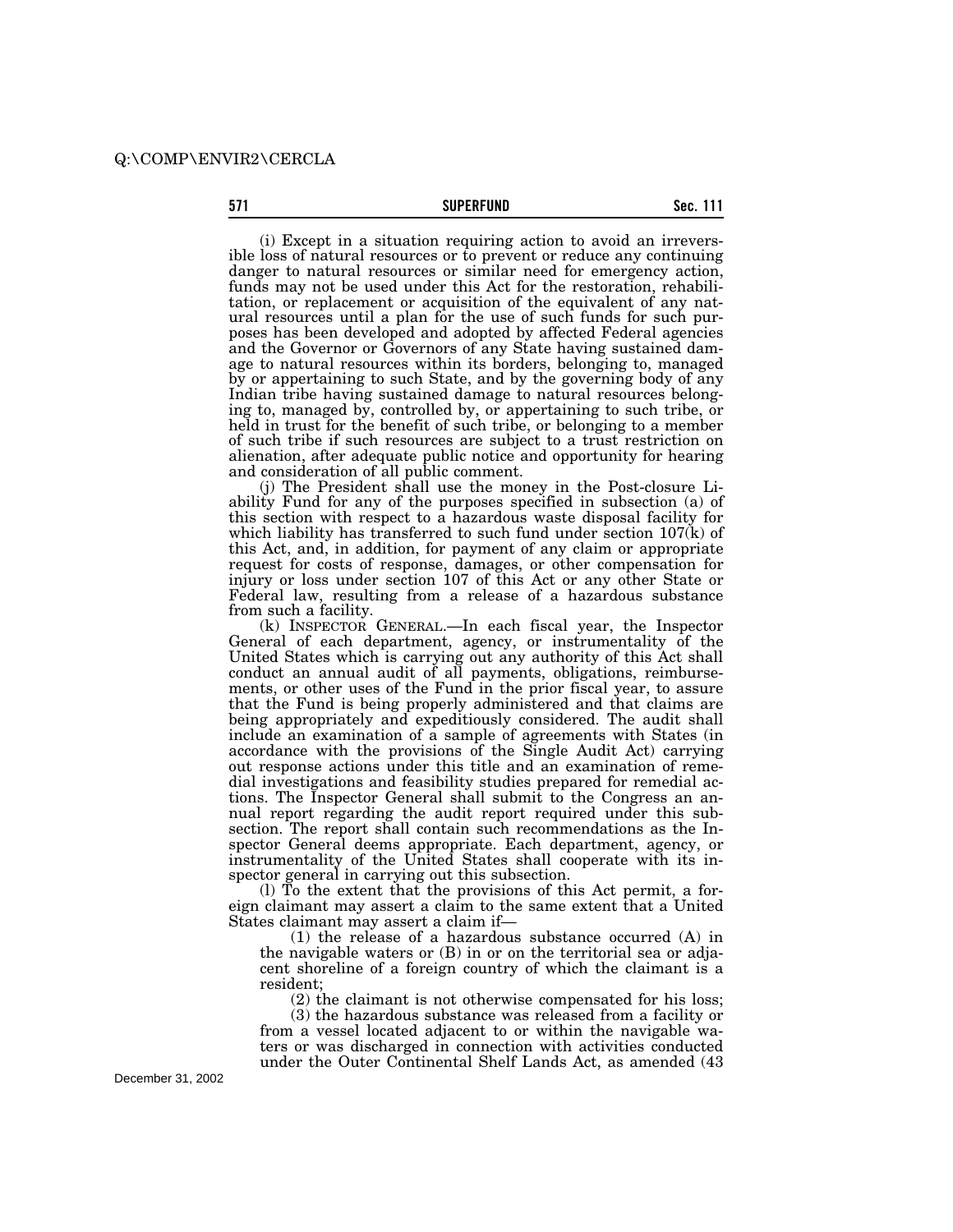# **571 Sec. 111 SUPERFUND**

(i) Except in a situation requiring action to avoid an irreversible loss of natural resources or to prevent or reduce any continuing danger to natural resources or similar need for emergency action, funds may not be used under this Act for the restoration, rehabilitation, or replacement or acquisition of the equivalent of any natural resources until a plan for the use of such funds for such purposes has been developed and adopted by affected Federal agencies and the Governor or Governors of any State having sustained damage to natural resources within its borders, belonging to, managed by or appertaining to such State, and by the governing body of any Indian tribe having sustained damage to natural resources belonging to, managed by, controlled by, or appertaining to such tribe, or held in trust for the benefit of such tribe, or belonging to a member of such tribe if such resources are subject to a trust restriction on alienation, after adequate public notice and opportunity for hearing and consideration of all public comment.

(j) The President shall use the money in the Post-closure Liability Fund for any of the purposes specified in subsection (a) of this section with respect to a hazardous waste disposal facility for which liability has transferred to such fund under section  $107(k)$  of this Act, and, in addition, for payment of any claim or appropriate request for costs of response, damages, or other compensation for injury or loss under section 107 of this Act or any other State or Federal law, resulting from a release of a hazardous substance from such a facility.

(k) INSPECTOR GENERAL.—In each fiscal year, the Inspector General of each department, agency, or instrumentality of the United States which is carrying out any authority of this Act shall conduct an annual audit of all payments, obligations, reimbursements, or other uses of the Fund in the prior fiscal year, to assure that the Fund is being properly administered and that claims are being appropriately and expeditiously considered. The audit shall include an examination of a sample of agreements with States (in accordance with the provisions of the Single Audit Act) carrying out response actions under this title and an examination of remedial investigations and feasibility studies prepared for remedial actions. The Inspector General shall submit to the Congress an annual report regarding the audit report required under this subsection. The report shall contain such recommendations as the Inspector General deems appropriate. Each department, agency, or instrumentality of the United States shall cooperate with its inspector general in carrying out this subsection.

(l) To the extent that the provisions of this Act permit, a foreign claimant may assert a claim to the same extent that a United States claimant may assert a claim if—

(1) the release of a hazardous substance occurred (A) in the navigable waters or (B) in or on the territorial sea or adjacent shoreline of a foreign country of which the claimant is a resident;

(2) the claimant is not otherwise compensated for his loss; (3) the hazardous substance was released from a facility or

from a vessel located adjacent to or within the navigable waters or was discharged in connection with activities conducted under the Outer Continental Shelf Lands Act, as amended (43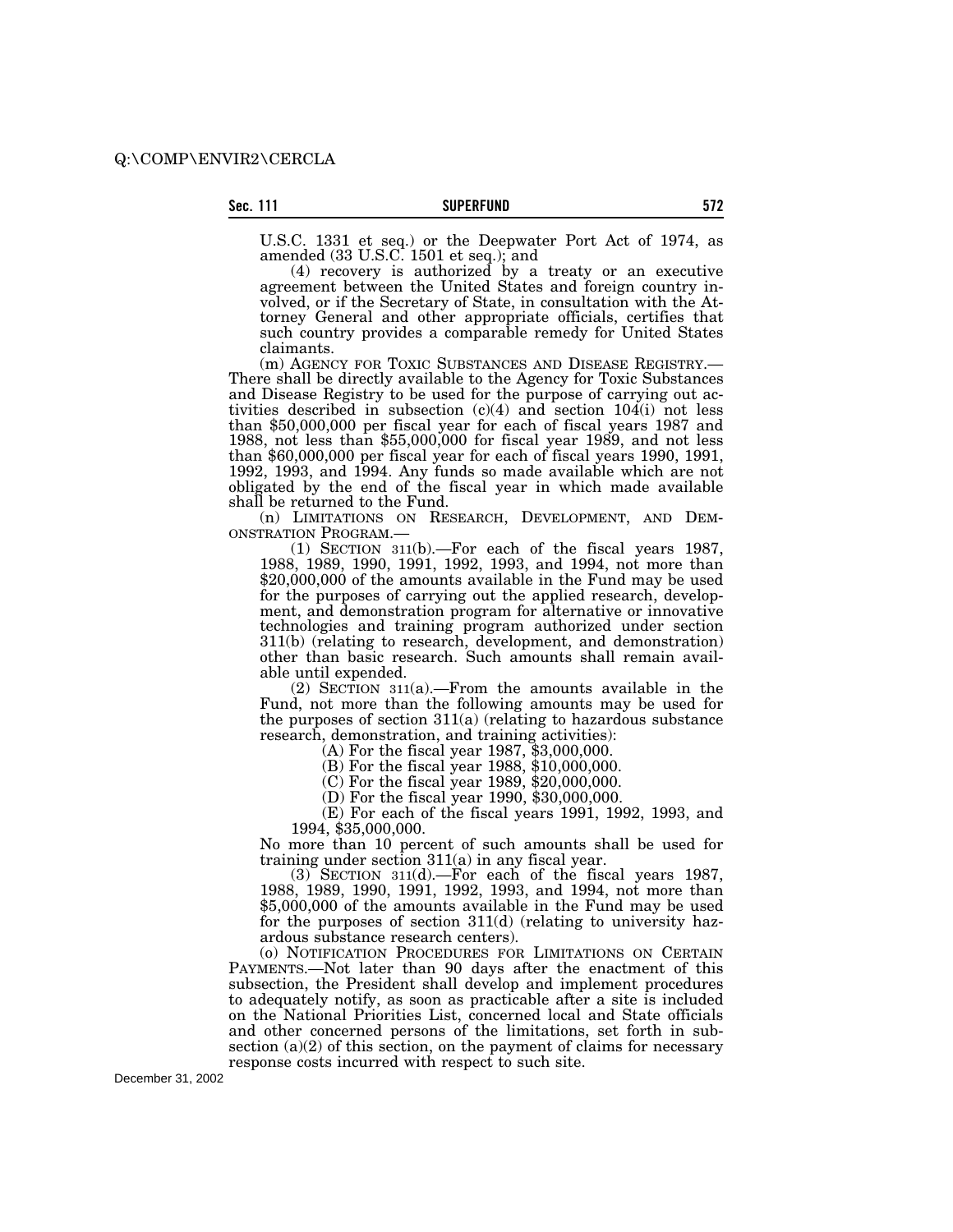U.S.C. 1331 et seq.) or the Deepwater Port Act of 1974, as amended (33 U.S.C. 1501 et seq.); and

(4) recovery is authorized by a treaty or an executive agreement between the United States and foreign country involved, or if the Secretary of State, in consultation with the Attorney General and other appropriate officials, certifies that such country provides a comparable remedy for United States claimants.<br>(m) AGENCY FOR TOXIC SUBSTANCES AND DISEASE REGISTRY.—

There shall be directly available to the Agency for Toxic Substances and Disease Registry to be used for the purpose of carrying out activities described in subsection (c)(4) and section 104(i) not less than \$50,000,000 per fiscal year for each of fiscal years 1987 and 1988, not less than \$55,000,000 for fiscal year 1989, and not less than \$60,000,000 per fiscal year for each of fiscal years 1990, 1991, 1992, 1993, and 1994. Any funds so made available which are not obligated by the end of the fiscal year in which made available shall be returned to the Fund.

(n) LIMITATIONS ON RESEARCH, DEVELOPMENT, AND DEM-

(1) SECTION 311(b).—For each of the fiscal years 1987, 1988, 1989, 1990, 1991, 1992, 1993, and 1994, not more than \$20,000,000 of the amounts available in the Fund may be used for the purposes of carrying out the applied research, development, and demonstration program for alternative or innovative technologies and training program authorized under section 311(b) (relating to research, development, and demonstration) other than basic research. Such amounts shall remain available until expended.

(2) SECTION 311(a).—From the amounts available in the Fund, not more than the following amounts may be used for the purposes of section 311(a) (relating to hazardous substance research, demonstration, and training activities):

(A) For the fiscal year 1987, \$3,000,000.

(B) For the fiscal year 1988, \$10,000,000.

(C) For the fiscal year 1989, \$20,000,000.

(D) For the fiscal year 1990, \$30,000,000.

(E) For each of the fiscal years 1991, 1992, 1993, and 1994, \$35,000,000.

No more than 10 percent of such amounts shall be used for training under section 311(a) in any fiscal year.

(3) SECTION 311(d).—For each of the fiscal years 1987, 1988, 1989, 1990, 1991, 1992, 1993, and 1994, not more than \$5,000,000 of the amounts available in the Fund may be used for the purposes of section 311(d) (relating to university hazardous substance research centers).

(o) NOTIFICATION PROCEDURES FOR LIMITATIONS ON CERTAIN PAYMENTS.—Not later than 90 days after the enactment of this subsection, the President shall develop and implement procedures to adequately notify, as soon as practicable after a site is included on the National Priorities List, concerned local and State officials and other concerned persons of the limitations, set forth in subsection  $(a)(2)$  of this section, on the payment of claims for necessary response costs incurred with respect to such site.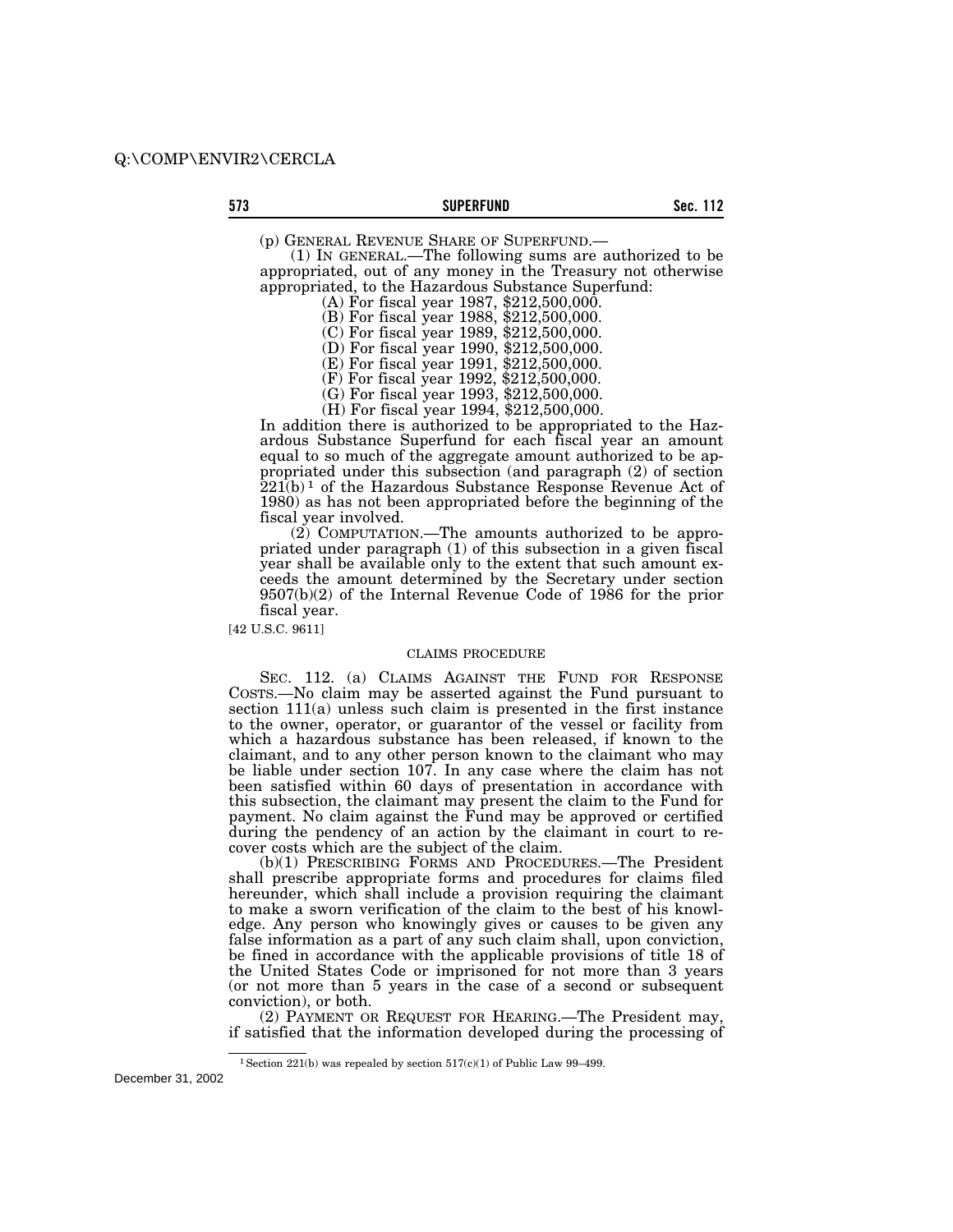# **573 Sec. 112 SUPERFUND**

(p) GENERAL REVENUE SHARE OF SUPERFUND.— (1) IN GENERAL.—The following sums are authorized to be appropriated, out of any money in the Treasury not otherwise appropriated, to the Hazardous Substance Superfund: (A) For fiscal year 1987, \$212,500,000.

(B) For fiscal year 1988, \$212,500,000.

(C) For fiscal year 1989, \$212,500,000.

(D) For fiscal year 1990, \$212,500,000.

(E) For fiscal year 1991, \$212,500,000.

(F) For fiscal year 1992, \$212,500,000.

(G) For fiscal year 1993, \$212,500,000.

(H) For fiscal year 1994, \$212,500,000. In addition there is authorized to be appropriated to the Hazardous Substance Superfund for each fiscal year an amount equal to so much of the aggregate amount authorized to be appropriated under this subsection (and paragraph (2) of section  $221(b)^1$  of the Hazardous Substance Response Revenue Act of 1980) as has not been appropriated before the beginning of the fiscal year involved.

(2) COMPUTATION.—The amounts authorized to be appropriated under paragraph (1) of this subsection in a given fiscal year shall be available only to the extent that such amount exceeds the amount determined by the Secretary under section 9507(b)(2) of the Internal Revenue Code of 1986 for the prior fiscal year.

[42 U.S.C. 9611]

### CLAIMS PROCEDURE

SEC. 112. (a) CLAIMS AGAINST THE FUND FOR RESPONSE COSTS.—No claim may be asserted against the Fund pursuant to section 111(a) unless such claim is presented in the first instance to the owner, operator, or guarantor of the vessel or facility from which a hazardous substance has been released, if known to the claimant, and to any other person known to the claimant who may be liable under section 107. In any case where the claim has not been satisfied within 60 days of presentation in accordance with this subsection, the claimant may present the claim to the Fund for payment. No claim against the Fund may be approved or certified during the pendency of an action by the claimant in court to recover costs which are the subject of the claim.

(b)(1) PRESCRIBING FORMS AND PROCEDURES.—The President shall prescribe appropriate forms and procedures for claims filed hereunder, which shall include a provision requiring the claimant to make a sworn verification of the claim to the best of his knowledge. Any person who knowingly gives or causes to be given any false information as a part of any such claim shall, upon conviction, be fined in accordance with the applicable provisions of title 18 of the United States Code or imprisoned for not more than 3 years (or not more than 5 years in the case of a second or subsequent conviction), or both.

(2) PAYMENT OR REQUEST FOR HEARING.—The President may, if satisfied that the information developed during the processing of

<sup>1</sup>Section 221(b) was repealed by section 517(c)(1) of Public Law 99–499.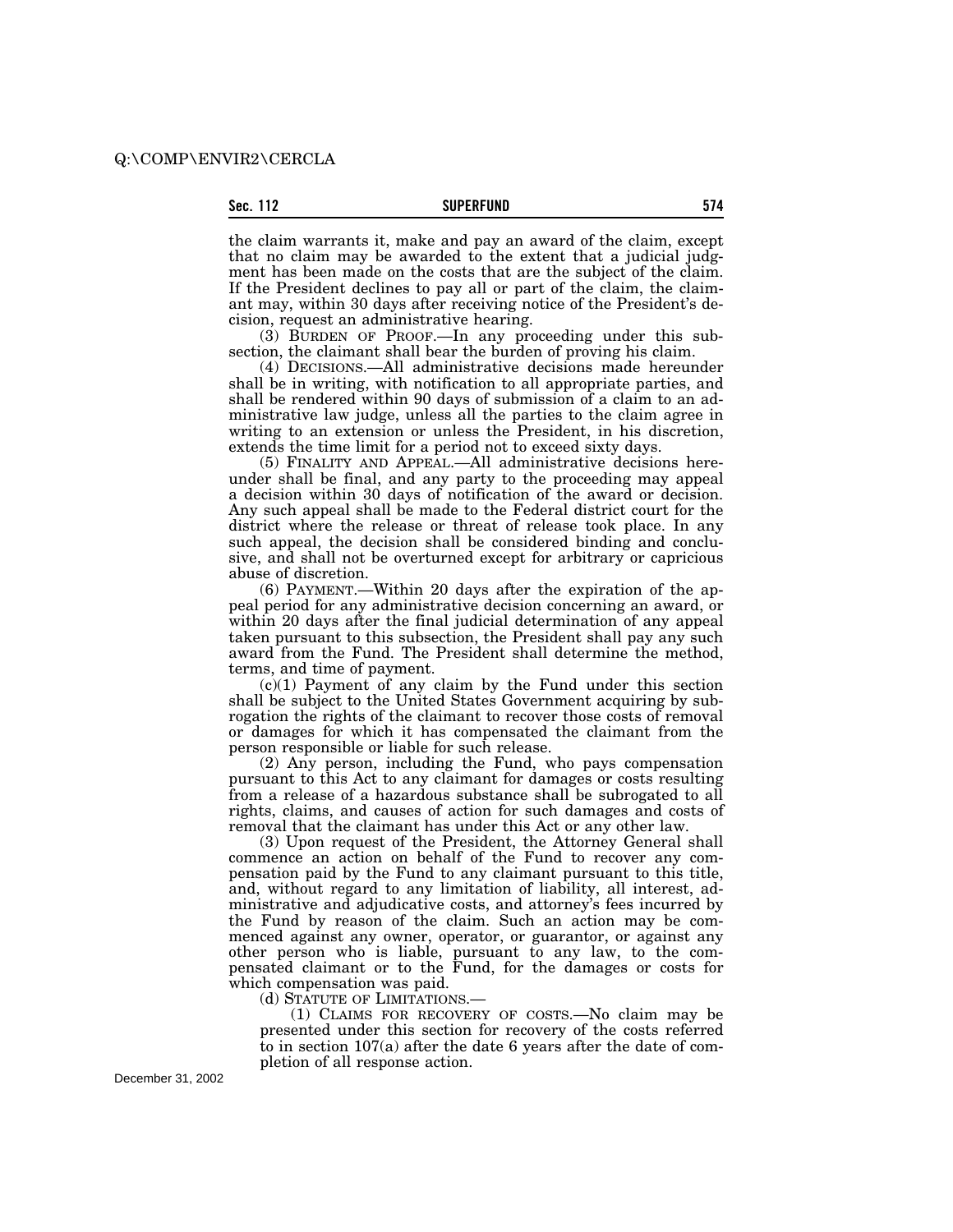the claim warrants it, make and pay an award of the claim, except that no claim may be awarded to the extent that a judicial judgment has been made on the costs that are the subject of the claim. If the President declines to pay all or part of the claim, the claimant may, within 30 days after receiving notice of the President's decision, request an administrative hearing.

(3) BURDEN OF PROOF.—In any proceeding under this subsection, the claimant shall bear the burden of proving his claim.

(4) DECISIONS.—All administrative decisions made hereunder shall be in writing, with notification to all appropriate parties, and shall be rendered within 90 days of submission of a claim to an administrative law judge, unless all the parties to the claim agree in writing to an extension or unless the President, in his discretion, extends the time limit for a period not to exceed sixty days.

(5) FINALITY AND APPEAL.—All administrative decisions hereunder shall be final, and any party to the proceeding may appeal a decision within 30 days of notification of the award or decision. Any such appeal shall be made to the Federal district court for the district where the release or threat of release took place. In any such appeal, the decision shall be considered binding and conclusive, and shall not be overturned except for arbitrary or capricious abuse of discretion.

(6) PAYMENT.—Within 20 days after the expiration of the appeal period for any administrative decision concerning an award, or within 20 days after the final judicial determination of any appeal taken pursuant to this subsection, the President shall pay any such award from the Fund. The President shall determine the method, terms, and time of payment.

 $(c)(1)$  Payment of any claim by the Fund under this section shall be subject to the United States Government acquiring by subrogation the rights of the claimant to recover those costs of removal or damages for which it has compensated the claimant from the person responsible or liable for such release.

(2) Any person, including the Fund, who pays compensation pursuant to this Act to any claimant for damages or costs resulting from a release of a hazardous substance shall be subrogated to all rights, claims, and causes of action for such damages and costs of removal that the claimant has under this Act or any other law.

(3) Upon request of the President, the Attorney General shall commence an action on behalf of the Fund to recover any compensation paid by the Fund to any claimant pursuant to this title, and, without regard to any limitation of liability, all interest, administrative and adjudicative costs, and attorney's fees incurred by the Fund by reason of the claim. Such an action may be commenced against any owner, operator, or guarantor, or against any other person who is liable, pursuant to any law, to the compensated claimant or to the Fund, for the damages or costs for which compensation was paid.

(d) STATUTE OF LIMITATIONS.—

(1) CLAIMS FOR RECOVERY OF COSTS.—No claim may be presented under this section for recovery of the costs referred to in section 107(a) after the date 6 years after the date of completion of all response action.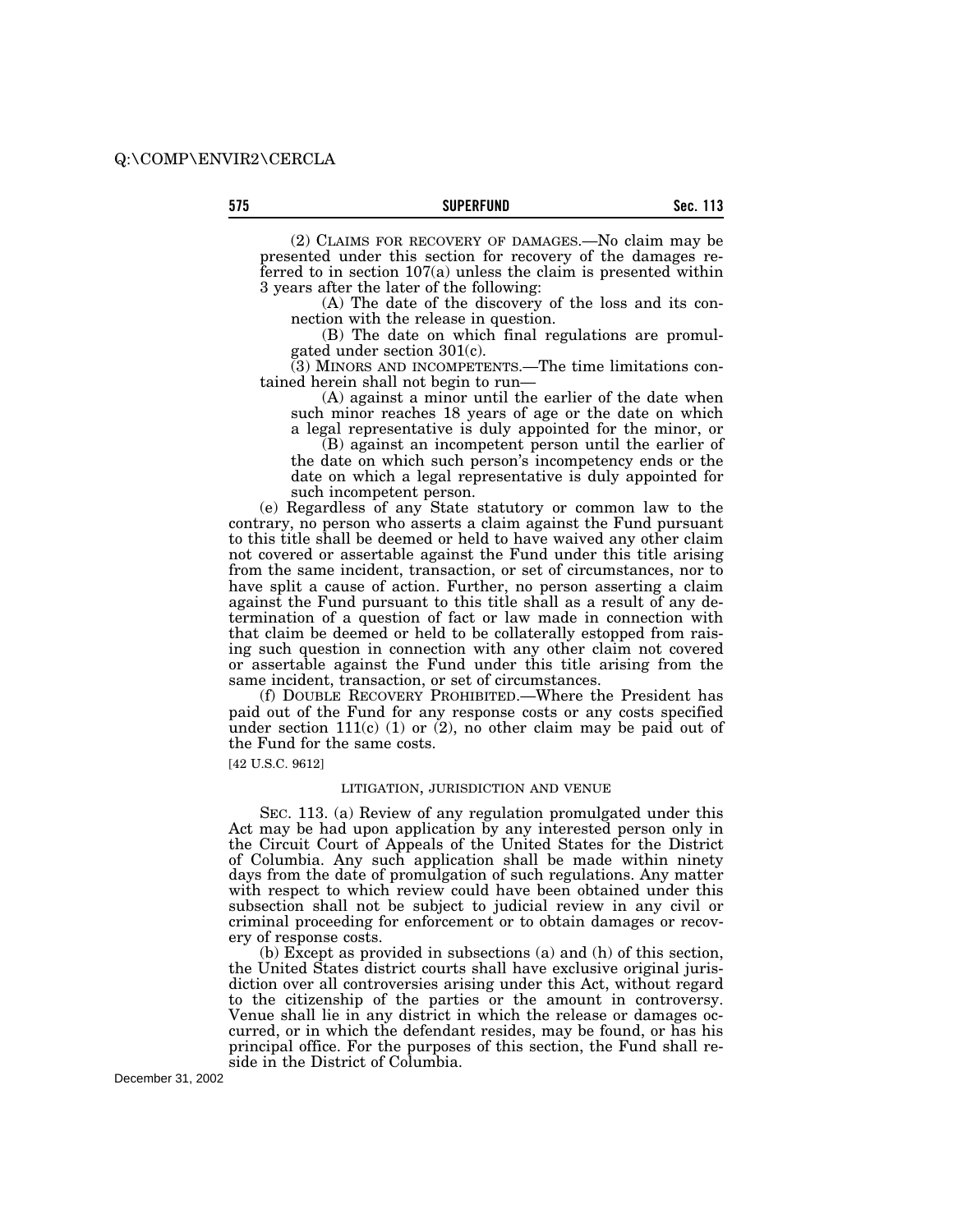(2) CLAIMS FOR RECOVERY OF DAMAGES.—No claim may be presented under this section for recovery of the damages referred to in section 107(a) unless the claim is presented within 3 years after the later of the following:

(A) The date of the discovery of the loss and its connection with the release in question.

(B) The date on which final regulations are promulgated under section 301(c).

(3) MINORS AND INCOMPETENTS.—The time limitations contained herein shall not begin to run—

(A) against a minor until the earlier of the date when such minor reaches 18 years of age or the date on which a legal representative is duly appointed for the minor, or

(B) against an incompetent person until the earlier of the date on which such person's incompetency ends or the date on which a legal representative is duly appointed for such incompetent person.

(e) Regardless of any State statutory or common law to the contrary, no person who asserts a claim against the Fund pursuant to this title shall be deemed or held to have waived any other claim not covered or assertable against the Fund under this title arising from the same incident, transaction, or set of circumstances, nor to have split a cause of action. Further, no person asserting a claim against the Fund pursuant to this title shall as a result of any determination of a question of fact or law made in connection with that claim be deemed or held to be collaterally estopped from raising such question in connection with any other claim not covered or assertable against the Fund under this title arising from the same incident, transaction, or set of circumstances.

(f) DOUBLE RECOVERY PROHIBITED.—Where the President has paid out of the Fund for any response costs or any costs specified under section  $111(c)$  (1) or (2), no other claim may be paid out of the Fund for the same costs.

[42 U.S.C. 9612]

# LITIGATION, JURISDICTION AND VENUE

SEC. 113. (a) Review of any regulation promulgated under this Act may be had upon application by any interested person only in the Circuit Court of Appeals of the United States for the District of Columbia. Any such application shall be made within ninety days from the date of promulgation of such regulations. Any matter with respect to which review could have been obtained under this subsection shall not be subject to judicial review in any civil or criminal proceeding for enforcement or to obtain damages or recovery of response costs.

(b) Except as provided in subsections (a) and (h) of this section, the United States district courts shall have exclusive original jurisdiction over all controversies arising under this Act, without regard to the citizenship of the parties or the amount in controversy. Venue shall lie in any district in which the release or damages occurred, or in which the defendant resides, may be found, or has his principal office. For the purposes of this section, the Fund shall reside in the District of Columbia.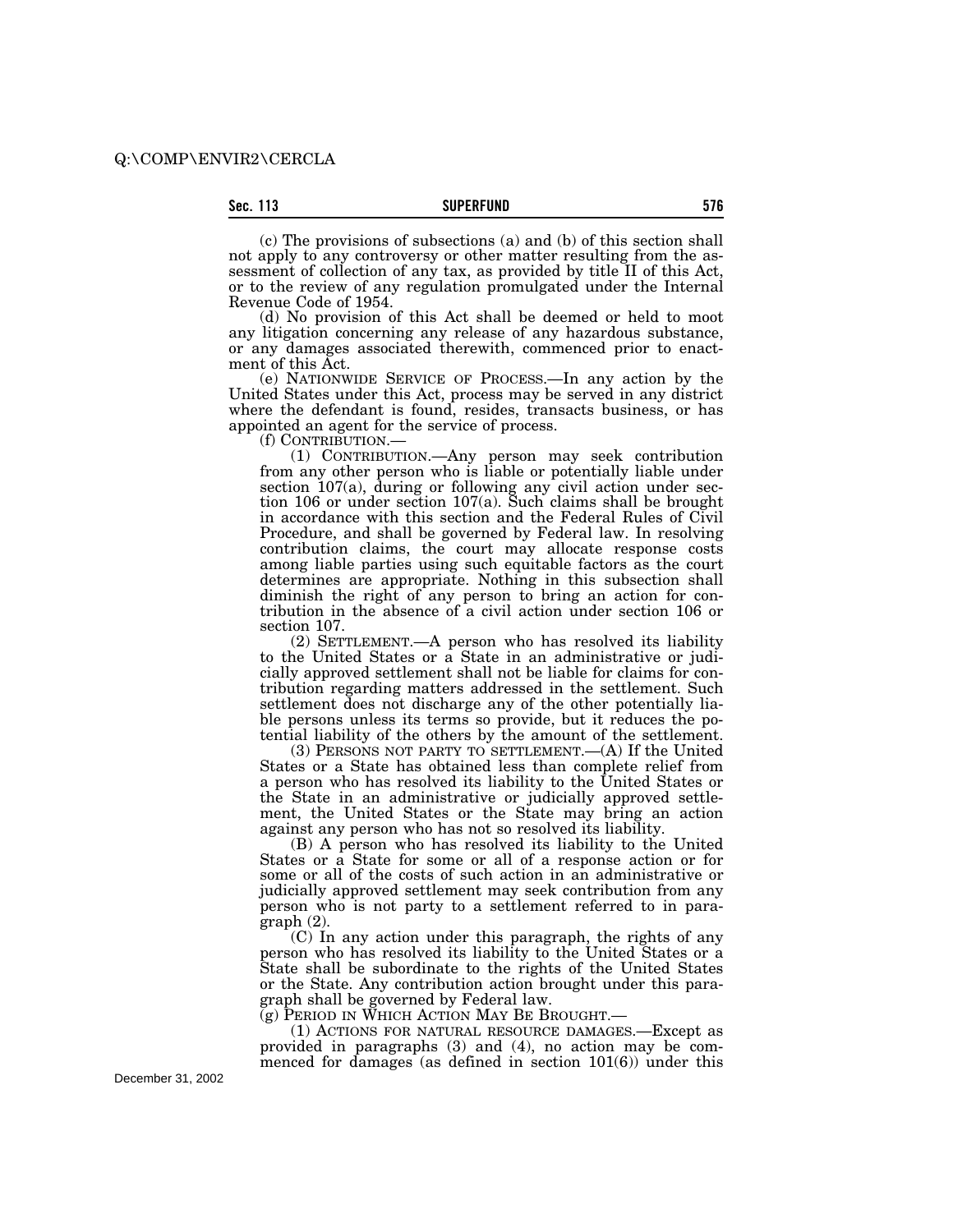(c) The provisions of subsections (a) and (b) of this section shall not apply to any controversy or other matter resulting from the assessment of collection of any tax, as provided by title II of this Act, or to the review of any regulation promulgated under the Internal Revenue Code of 1954.

(d) No provision of this Act shall be deemed or held to moot any litigation concerning any release of any hazardous substance, or any damages associated therewith, commenced prior to enactment of this Act.

(e) NATIONWIDE SERVICE OF PROCESS.—In any action by the United States under this Act, process may be served in any district where the defendant is found, resides, transacts business, or has appointed an agent for the service of process.<br>
(f) CONTRIBUTION.—

 $(1)$  CONTRIBUTION.—Any person may seek contribution from any other person who is liable or potentially liable under section 107(a), during or following any civil action under section 106 or under section 107(a). Such claims shall be brought in accordance with this section and the Federal Rules of Civil Procedure, and shall be governed by Federal law. In resolving contribution claims, the court may allocate response costs among liable parties using such equitable factors as the court determines are appropriate. Nothing in this subsection shall diminish the right of any person to bring an action for contribution in the absence of a civil action under section 106 or section 107.

(2) SETTLEMENT.—A person who has resolved its liability to the United States or a State in an administrative or judicially approved settlement shall not be liable for claims for contribution regarding matters addressed in the settlement. Such settlement does not discharge any of the other potentially liable persons unless its terms so provide, but it reduces the potential liability of the others by the amount of the settlement.

(3) PERSONS NOT PARTY TO SETTLEMENT.—(A) If the United States or a State has obtained less than complete relief from a person who has resolved its liability to the United States or the State in an administrative or judicially approved settlement, the United States or the State may bring an action against any person who has not so resolved its liability.

(B) A person who has resolved its liability to the United States or a State for some or all of a response action or for some or all of the costs of such action in an administrative or judicially approved settlement may seek contribution from any person who is not party to a settlement referred to in paragraph (2).

(C) In any action under this paragraph, the rights of any person who has resolved its liability to the United States or a State shall be subordinate to the rights of the United States or the State. Any contribution action brought under this paragraph shall be governed by Federal law.

(g) PERIOD IN WHICH ACTION MAY BE BROUGHT.—

(1) ACTIONS FOR NATURAL RESOURCE DAMAGES.—Except as provided in paragraphs (3) and (4), no action may be commenced for damages (as defined in section  $101(6)$ ) under this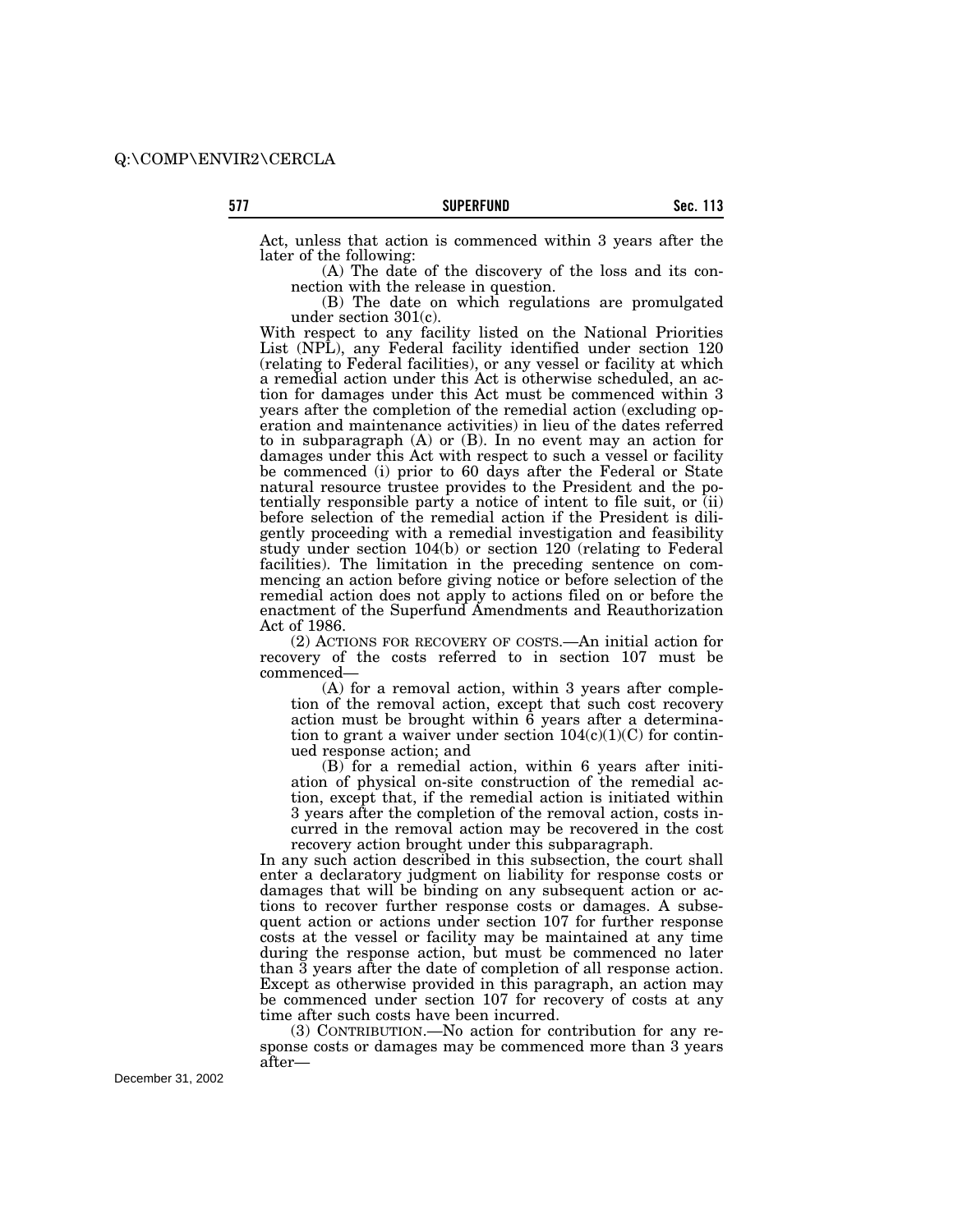Act, unless that action is commenced within 3 years after the later of the following:

(A) The date of the discovery of the loss and its connection with the release in question.

(B) The date on which regulations are promulgated under section 301(c).

With respect to any facility listed on the National Priorities List (NPL), any Federal facility identified under section 120 (relating to Federal facilities), or any vessel or facility at which a remedial action under this Act is otherwise scheduled, an action for damages under this Act must be commenced within 3 years after the completion of the remedial action (excluding operation and maintenance activities) in lieu of the dates referred to in subparagraph (A) or (B). In no event may an action for damages under this Act with respect to such a vessel or facility be commenced (i) prior to 60 days after the Federal or State natural resource trustee provides to the President and the potentially responsible party a notice of intent to file suit, or (ii) before selection of the remedial action if the President is diligently proceeding with a remedial investigation and feasibility study under section 104(b) or section 120 (relating to Federal facilities). The limitation in the preceding sentence on commencing an action before giving notice or before selection of the remedial action does not apply to actions filed on or before the enactment of the Superfund Amendments and Reauthorization Act of 1986.

(2) ACTIONS FOR RECOVERY OF COSTS.—An initial action for recovery of the costs referred to in section 107 must be commenced—

(A) for a removal action, within 3 years after completion of the removal action, except that such cost recovery action must be brought within  $\ddot{\text{o}}$  years after a determination to grant a waiver under section  $104(c)(1)(C)$  for continued response action; and

(B) for a remedial action, within 6 years after initiation of physical on-site construction of the remedial action, except that, if the remedial action is initiated within 3 years after the completion of the removal action, costs incurred in the removal action may be recovered in the cost recovery action brought under this subparagraph.

In any such action described in this subsection, the court shall enter a declaratory judgment on liability for response costs or damages that will be binding on any subsequent action or actions to recover further response costs or damages. A subsequent action or actions under section 107 for further response costs at the vessel or facility may be maintained at any time during the response action, but must be commenced no later than 3 years after the date of completion of all response action. Except as otherwise provided in this paragraph, an action may be commenced under section 107 for recovery of costs at any time after such costs have been incurred.

(3) CONTRIBUTION.—No action for contribution for any response costs or damages may be commenced more than 3 years after—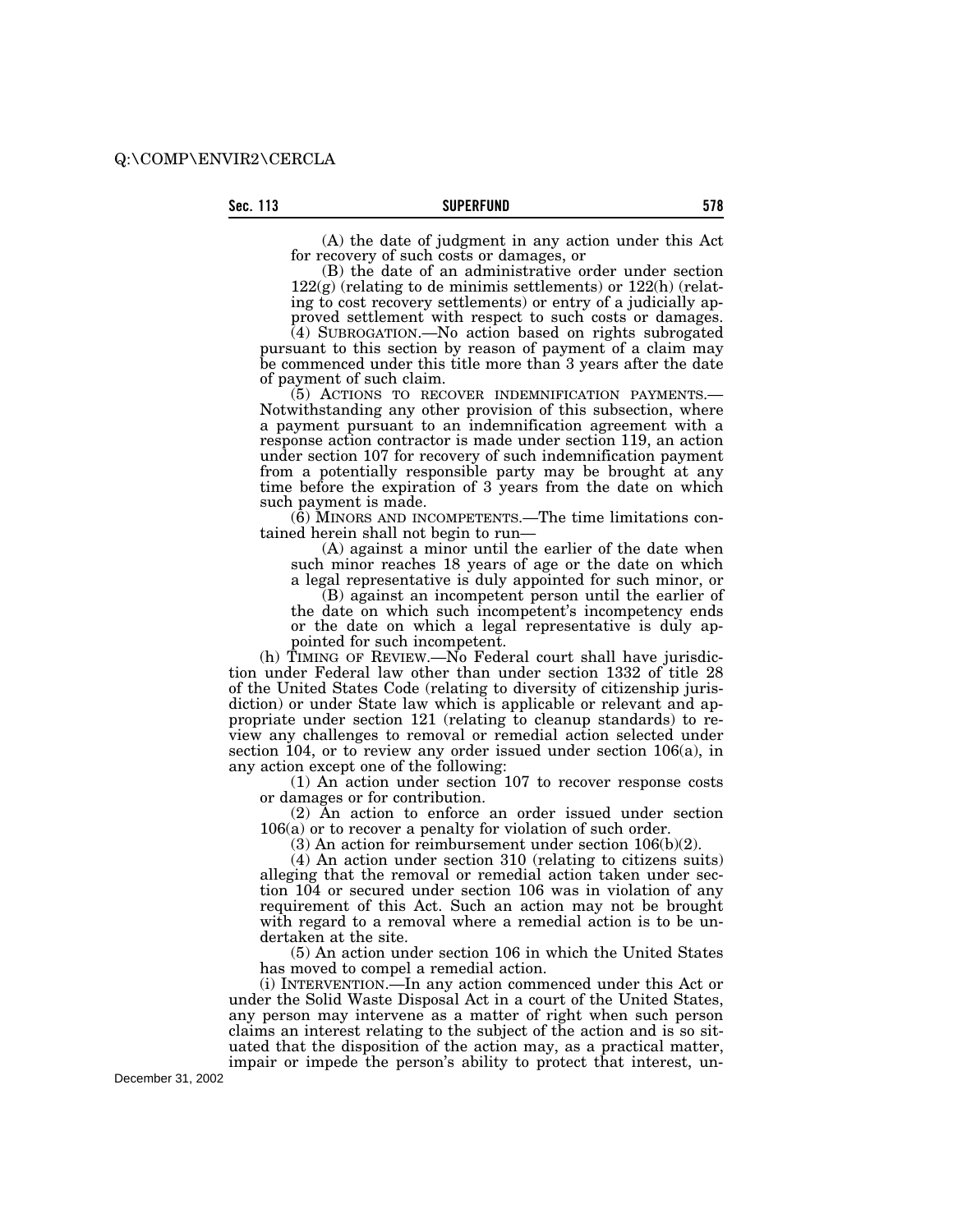(A) the date of judgment in any action under this Act for recovery of such costs or damages, or

(B) the date of an administrative order under section  $122(g)$  (relating to de minimis settlements) or  $122(h)$  (relating to cost recovery settlements) or entry of a judicially ap-

proved settlement with respect to such costs or damages. (4) SUBROGATION.—No action based on rights subrogated pursuant to this section by reason of payment of a claim may be commenced under this title more than 3 years after the date

of payment of such claim.<br>
(5) ACTIONS TO RECOVER INDEMNIFICATION PAYMENTS.— (5) ACTIONS TO RECOVER INDEMNIFICATION PAYMENTS.— Notwithstanding any other provision of this subsection, where a payment pursuant to an indemnification agreement with a response action contractor is made under section 119, an action under section 107 for recovery of such indemnification payment from a potentially responsible party may be brought at any time before the expiration of 3 years from the date on which such payment is made.

 $(6)$  MINORS AND INCOMPETENTS.—The time limitations contained herein shall not begin to run—

(A) against a minor until the earlier of the date when such minor reaches 18 years of age or the date on which a legal representative is duly appointed for such minor, or

(B) against an incompetent person until the earlier of the date on which such incompetent's incompetency ends or the date on which a legal representative is duly appointed for such incompetent.

(h) TIMING OF REVIEW.—No Federal court shall have jurisdiction under Federal law other than under section 1332 of title 28 of the United States Code (relating to diversity of citizenship jurisdiction) or under State law which is applicable or relevant and appropriate under section 121 (relating to cleanup standards) to review any challenges to removal or remedial action selected under section 104, or to review any order issued under section 106(a), in any action except one of the following:

(1) An action under section 107 to recover response costs or damages or for contribution.

(2) An action to enforce an order issued under section 106(a) or to recover a penalty for violation of such order.

(3) An action for reimbursement under section 106(b)(2).

(4) An action under section 310 (relating to citizens suits) alleging that the removal or remedial action taken under section 104 or secured under section 106 was in violation of any requirement of this Act. Such an action may not be brought with regard to a removal where a remedial action is to be undertaken at the site.

(5) An action under section 106 in which the United States has moved to compel a remedial action.

(i) INTERVENTION.—In any action commenced under this Act or under the Solid Waste Disposal Act in a court of the United States, any person may intervene as a matter of right when such person claims an interest relating to the subject of the action and is so situated that the disposition of the action may, as a practical matter, impair or impede the person's ability to protect that interest, un-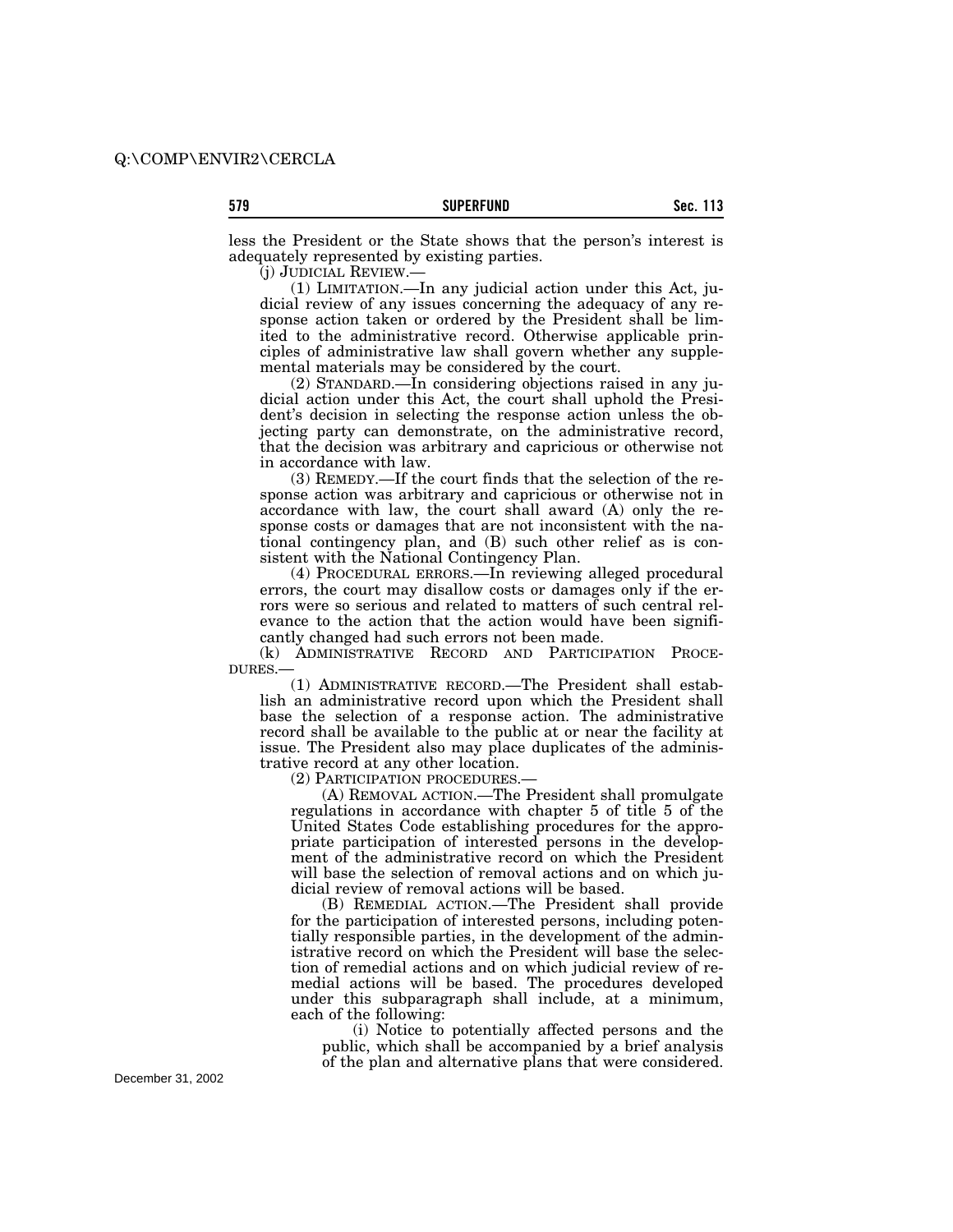less the President or the State shows that the person's interest is adequately represented by existing parties.

(j) JUDICIAL REVIEW.—

(1) LIMITATION.—In any judicial action under this Act, judicial review of any issues concerning the adequacy of any response action taken or ordered by the President shall be limited to the administrative record. Otherwise applicable principles of administrative law shall govern whether any supplemental materials may be considered by the court.

(2) STANDARD.—In considering objections raised in any judicial action under this Act, the court shall uphold the President's decision in selecting the response action unless the objecting party can demonstrate, on the administrative record, that the decision was arbitrary and capricious or otherwise not in accordance with law.

(3) REMEDY.—If the court finds that the selection of the response action was arbitrary and capricious or otherwise not in accordance with law, the court shall award (A) only the response costs or damages that are not inconsistent with the national contingency plan, and (B) such other relief as is consistent with the National Contingency Plan.

(4) PROCEDURAL ERRORS.—In reviewing alleged procedural errors, the court may disallow costs or damages only if the errors were so serious and related to matters of such central relevance to the action that the action would have been significantly changed had such errors not been made.

(k) ADMINISTRATIVE RECORD AND PARTICIPATION PROCE-DURES.—

(1) ADMINISTRATIVE RECORD.—The President shall establish an administrative record upon which the President shall base the selection of a response action. The administrative record shall be available to the public at or near the facility at issue. The President also may place duplicates of the administrative record at any other location.

(2) PARTICIPATION PROCEDURES.—

(A) REMOVAL ACTION.—The President shall promulgate regulations in accordance with chapter 5 of title 5 of the United States Code establishing procedures for the appropriate participation of interested persons in the development of the administrative record on which the President will base the selection of removal actions and on which judicial review of removal actions will be based.

(B) REMEDIAL ACTION.—The President shall provide for the participation of interested persons, including potentially responsible parties, in the development of the administrative record on which the President will base the selection of remedial actions and on which judicial review of remedial actions will be based. The procedures developed under this subparagraph shall include, at a minimum, each of the following:

(i) Notice to potentially affected persons and the public, which shall be accompanied by a brief analysis of the plan and alternative plans that were considered.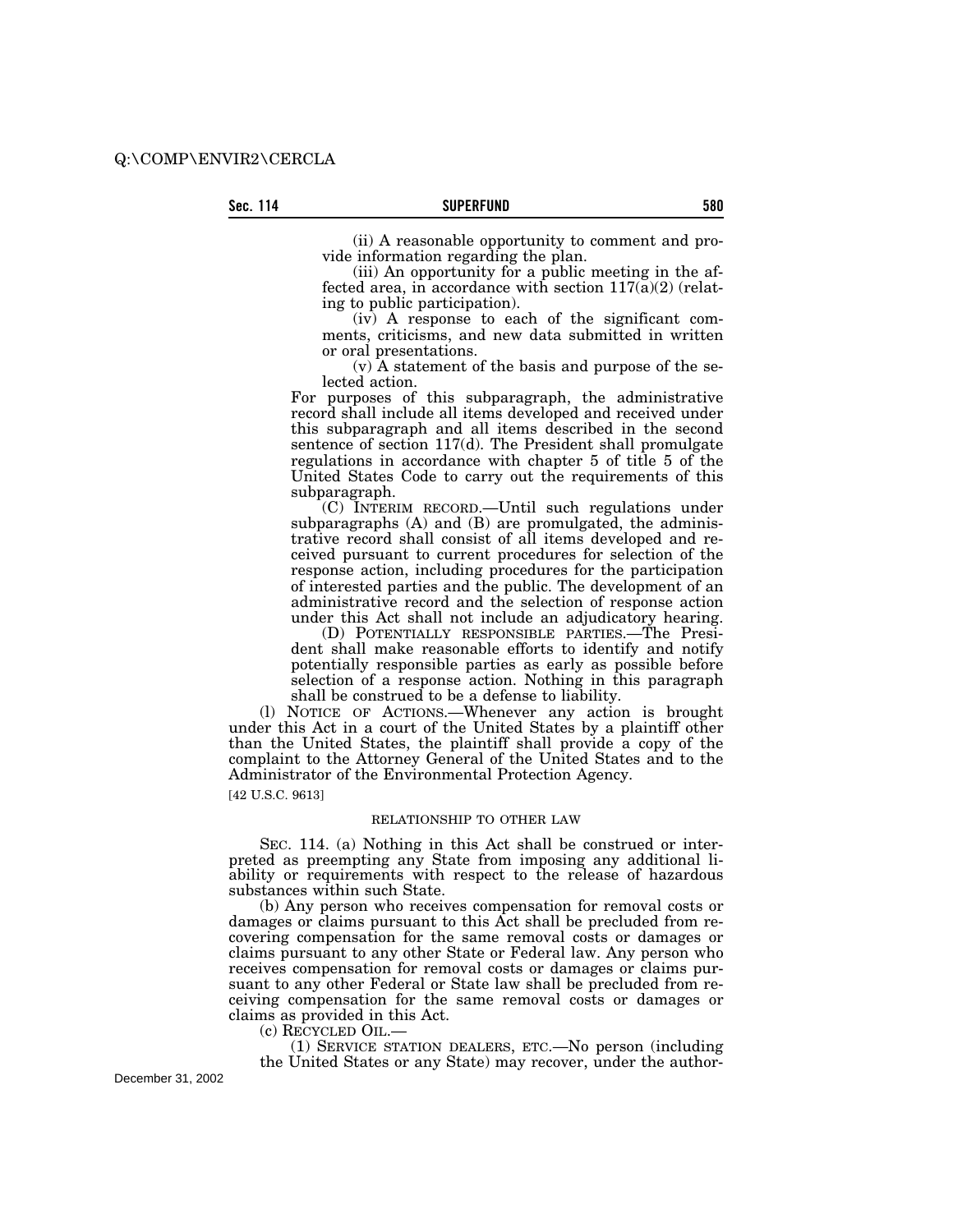(ii) A reasonable opportunity to comment and provide information regarding the plan.

(iii) An opportunity for a public meeting in the affected area, in accordance with section 117(a)(2) (relating to public participation).

(iv) A response to each of the significant comments, criticisms, and new data submitted in written or oral presentations.

 $(v)$  A statement of the basis and purpose of the selected action.

For purposes of this subparagraph, the administrative record shall include all items developed and received under this subparagraph and all items described in the second sentence of section 117(d). The President shall promulgate regulations in accordance with chapter 5 of title 5 of the United States Code to carry out the requirements of this subparagraph.

(C) INTERIM RECORD.—Until such regulations under subparagraphs (A) and (B) are promulgated, the administrative record shall consist of all items developed and received pursuant to current procedures for selection of the response action, including procedures for the participation of interested parties and the public. The development of an administrative record and the selection of response action under this Act shall not include an adjudicatory hearing.

(D) POTENTIALLY RESPONSIBLE PARTIES.—The President shall make reasonable efforts to identify and notify potentially responsible parties as early as possible before selection of a response action. Nothing in this paragraph shall be construed to be a defense to liability.

(l) NOTICE OF ACTIONS.—Whenever any action is brought under this Act in a court of the United States by a plaintiff other than the United States, the plaintiff shall provide a copy of the complaint to the Attorney General of the United States and to the Administrator of the Environmental Protection Agency.

[42 U.S.C. 9613]

## RELATIONSHIP TO OTHER LAW

SEC. 114. (a) Nothing in this Act shall be construed or interpreted as preempting any State from imposing any additional liability or requirements with respect to the release of hazardous substances within such State.

(b) Any person who receives compensation for removal costs or damages or claims pursuant to this Act shall be precluded from recovering compensation for the same removal costs or damages or claims pursuant to any other State or Federal law. Any person who receives compensation for removal costs or damages or claims pursuant to any other Federal or State law shall be precluded from receiving compensation for the same removal costs or damages or claims as provided in this Act.

(c) RECYCLED OIL.—

(1) SERVICE STATION DEALERS, ETC.—No person (including the United States or any State) may recover, under the author-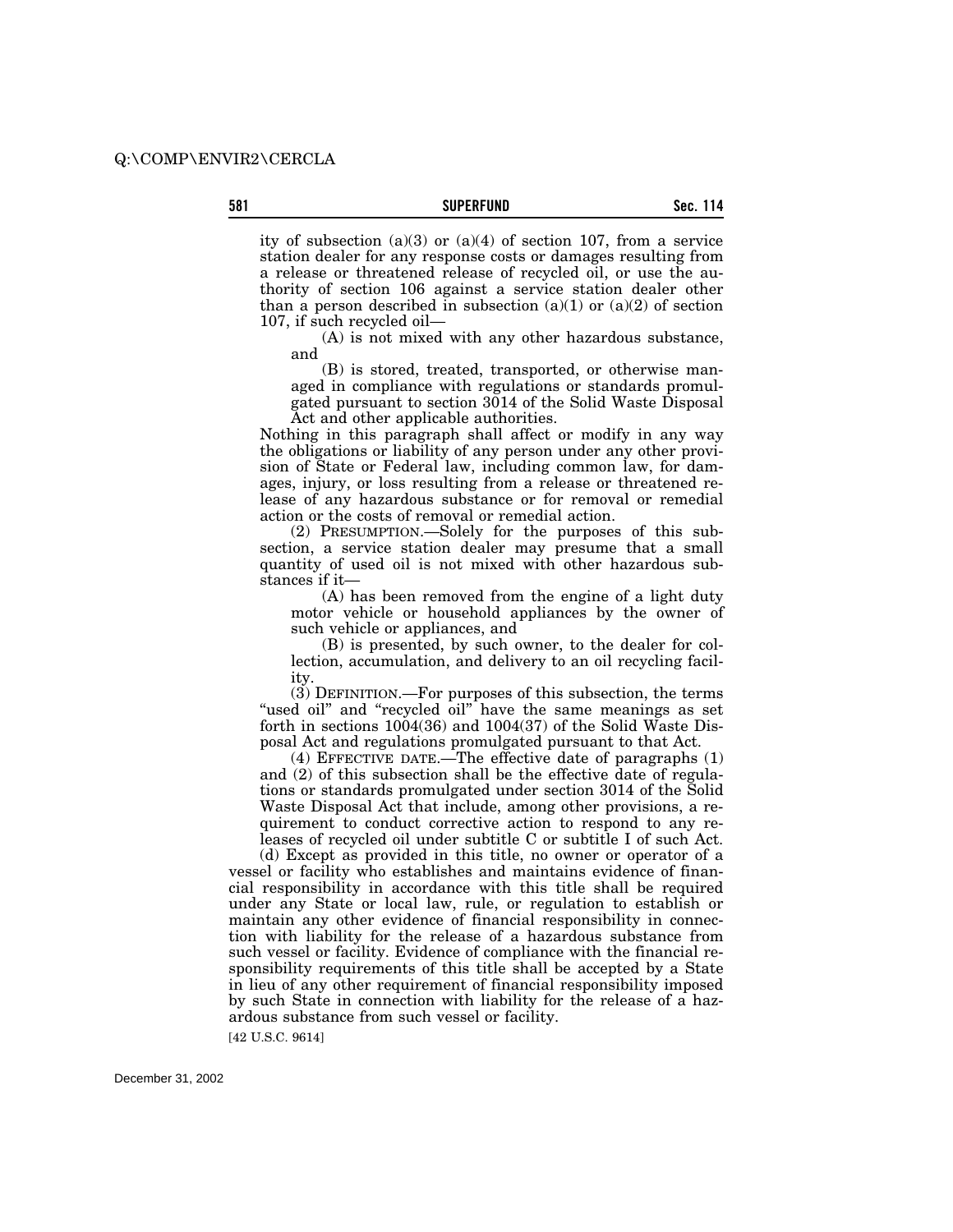## **581 Sec. 114 SUPERFUND**

ity of subsection  $(a)(3)$  or  $(a)(4)$  of section 107, from a service station dealer for any response costs or damages resulting from a release or threatened release of recycled oil, or use the authority of section 106 against a service station dealer other than a person described in subsection  $(a)(1)$  or  $(a)(2)$  of section 107, if such recycled oil—

(A) is not mixed with any other hazardous substance, and

(B) is stored, treated, transported, or otherwise managed in compliance with regulations or standards promulgated pursuant to section 3014 of the Solid Waste Disposal Act and other applicable authorities.

Nothing in this paragraph shall affect or modify in any way the obligations or liability of any person under any other provision of State or Federal law, including common law, for damages, injury, or loss resulting from a release or threatened release of any hazardous substance or for removal or remedial action or the costs of removal or remedial action.

(2) PRESUMPTION.—Solely for the purposes of this subsection, a service station dealer may presume that a small quantity of used oil is not mixed with other hazardous substances if it—

(A) has been removed from the engine of a light duty motor vehicle or household appliances by the owner of such vehicle or appliances, and

(B) is presented, by such owner, to the dealer for collection, accumulation, and delivery to an oil recycling facility.

(3) DEFINITION.—For purposes of this subsection, the terms "used oil" and "recycled oil" have the same meanings as set forth in sections 1004(36) and 1004(37) of the Solid Waste Disposal Act and regulations promulgated pursuant to that Act.

(4) EFFECTIVE DATE.—The effective date of paragraphs (1) and (2) of this subsection shall be the effective date of regulations or standards promulgated under section 3014 of the Solid Waste Disposal Act that include, among other provisions, a requirement to conduct corrective action to respond to any releases of recycled oil under subtitle C or subtitle I of such Act.

(d) Except as provided in this title, no owner or operator of a vessel or facility who establishes and maintains evidence of financial responsibility in accordance with this title shall be required under any State or local law, rule, or regulation to establish or maintain any other evidence of financial responsibility in connection with liability for the release of a hazardous substance from such vessel or facility. Evidence of compliance with the financial responsibility requirements of this title shall be accepted by a State in lieu of any other requirement of financial responsibility imposed by such State in connection with liability for the release of a hazardous substance from such vessel or facility.

[42 U.S.C. 9614]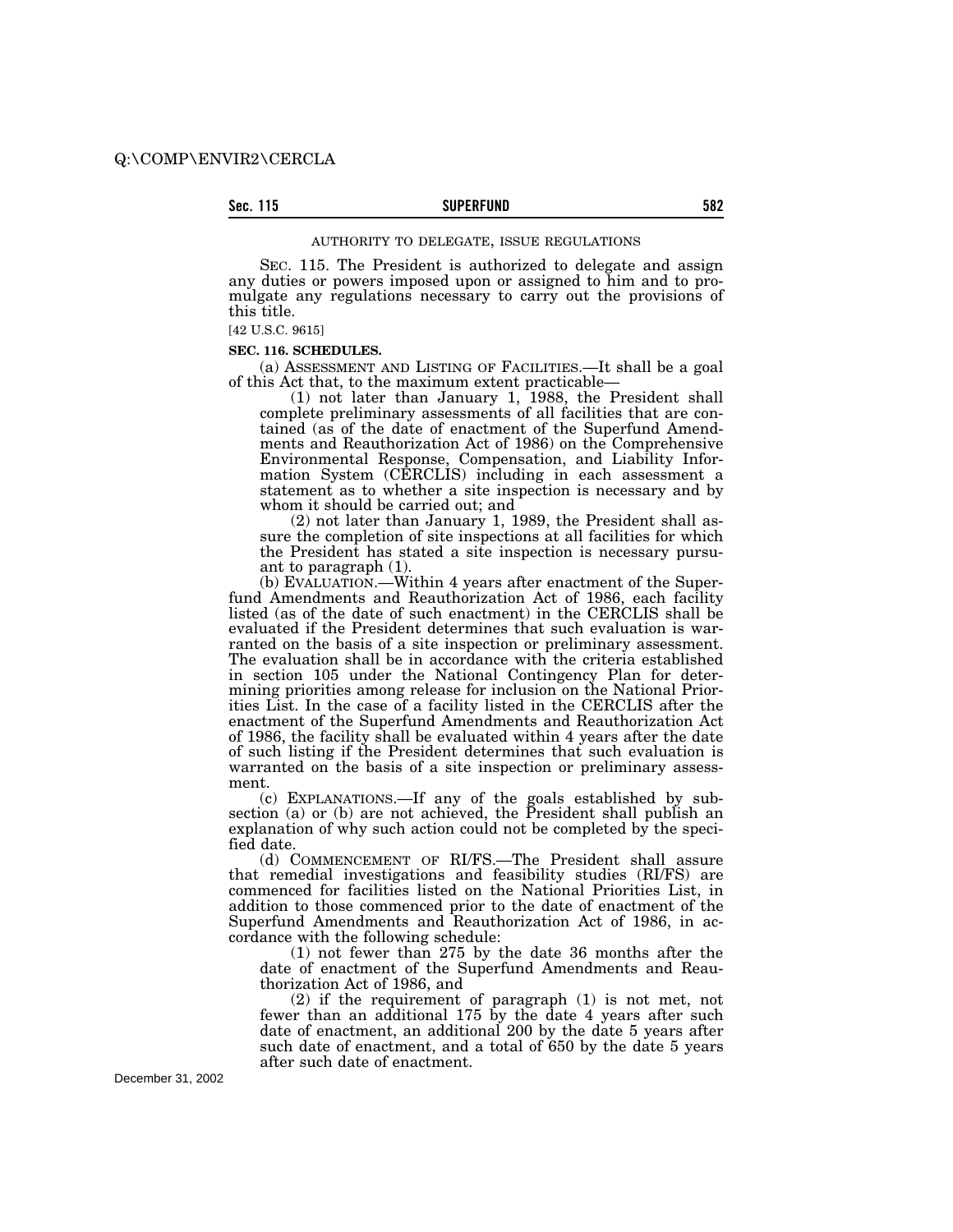# **Sec. 115 SUPERFUND 582**

#### AUTHORITY TO DELEGATE, ISSUE REGULATIONS

SEC. 115. The President is authorized to delegate and assign any duties or powers imposed upon or assigned to him and to promulgate any regulations necessary to carry out the provisions of this title.

[42 U.S.C. 9615]

### **SEC. 116. SCHEDULES.**

(a) ASSESSMENT AND LISTING OF FACILITIES.—It shall be a goal of this Act that, to the maximum extent practicable—

(1) not later than January 1, 1988, the President shall complete preliminary assessments of all facilities that are contained (as of the date of enactment of the Superfund Amendments and Reauthorization Act of 1986) on the Comprehensive Environmental Response, Compensation, and Liability Information System (CERCLIS) including in each assessment a statement as to whether a site inspection is necessary and by whom it should be carried out; and

(2) not later than January 1, 1989, the President shall assure the completion of site inspections at all facilities for which the President has stated a site inspection is necessary pursuant to paragraph (1).

(b) EVALUATION.—Within 4 years after enactment of the Superfund Amendments and Reauthorization Act of 1986, each facility listed (as of the date of such enactment) in the CERCLIS shall be evaluated if the President determines that such evaluation is warranted on the basis of a site inspection or preliminary assessment. The evaluation shall be in accordance with the criteria established in section 105 under the National Contingency Plan for determining priorities among release for inclusion on the National Priorities List. In the case of a facility listed in the CERCLIS after the enactment of the Superfund Amendments and Reauthorization Act of 1986, the facility shall be evaluated within 4 years after the date of such listing if the President determines that such evaluation is warranted on the basis of a site inspection or preliminary assessment.

(c) EXPLANATIONS.—If any of the goals established by subsection (a) or (b) are not achieved, the President shall publish an explanation of why such action could not be completed by the specified date.

(d) COMMENCEMENT OF RI/FS.—The President shall assure that remedial investigations and feasibility studies (RI/FS) are commenced for facilities listed on the National Priorities List, in addition to those commenced prior to the date of enactment of the Superfund Amendments and Reauthorization Act of 1986, in accordance with the following schedule:

(1) not fewer than 275 by the date 36 months after the date of enactment of the Superfund Amendments and Reauthorization Act of 1986, and

(2) if the requirement of paragraph (1) is not met, not fewer than an additional 175 by the date 4 years after such date of enactment, an additional 200 by the date 5 years after such date of enactment, and a total of 650 by the date 5 years after such date of enactment.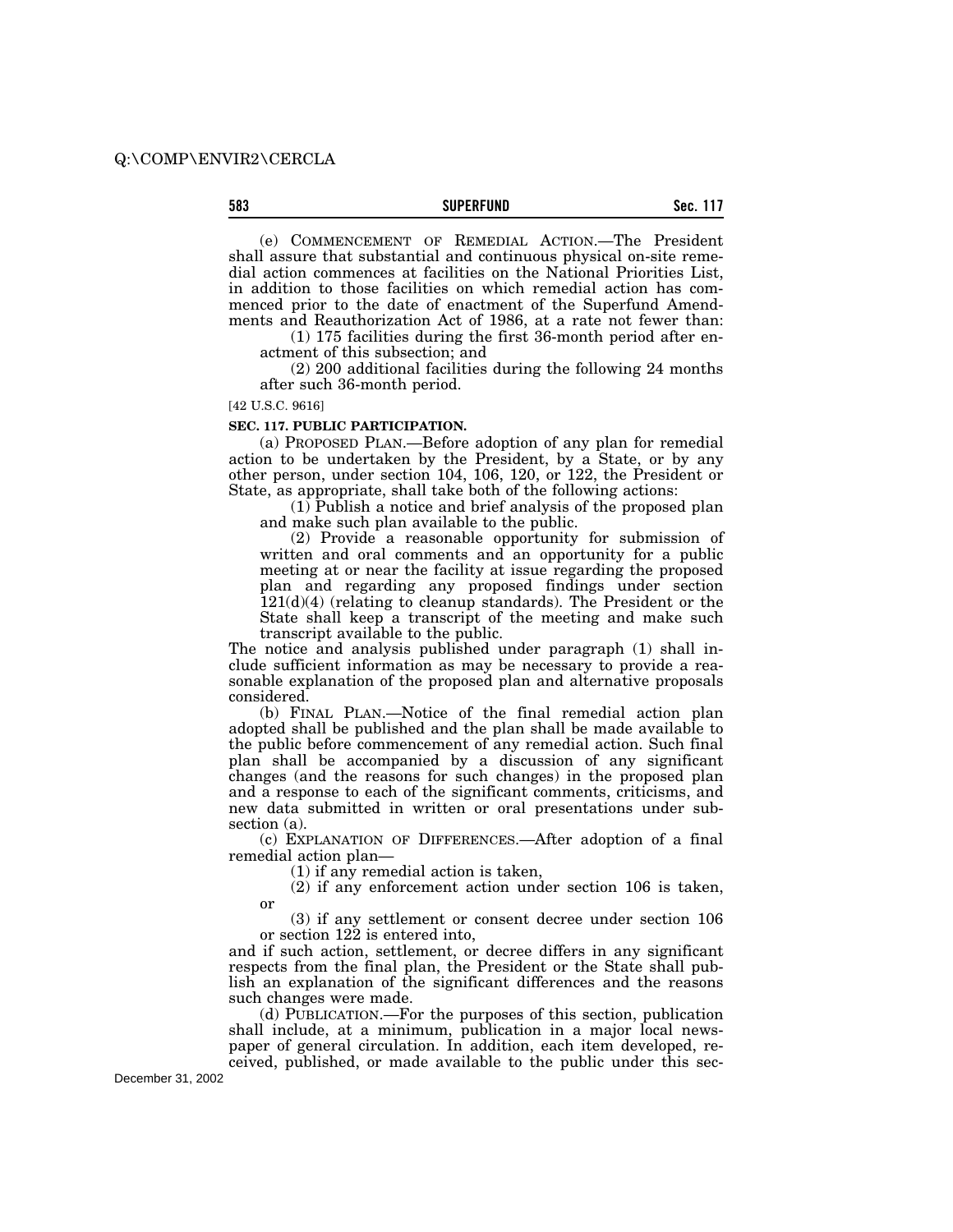**583 Sec. 117 SUPERFUND**

(e) COMMENCEMENT OF REMEDIAL ACTION.—The President shall assure that substantial and continuous physical on-site remedial action commences at facilities on the National Priorities List, in addition to those facilities on which remedial action has commenced prior to the date of enactment of the Superfund Amendments and Reauthorization Act of 1986, at a rate not fewer than:

(1) 175 facilities during the first 36-month period after enactment of this subsection; and

(2) 200 additional facilities during the following 24 months after such 36-month period.

[42 U.S.C. 9616]

#### **SEC. 117. PUBLIC PARTICIPATION.**

(a) PROPOSED PLAN.—Before adoption of any plan for remedial action to be undertaken by the President, by a State, or by any other person, under section 104, 106, 120, or 122, the President or State, as appropriate, shall take both of the following actions:

(1) Publish a notice and brief analysis of the proposed plan and make such plan available to the public.

(2) Provide a reasonable opportunity for submission of written and oral comments and an opportunity for a public meeting at or near the facility at issue regarding the proposed plan and regarding any proposed findings under section  $121(d)(4)$  (relating to cleanup standards). The President or the State shall keep a transcript of the meeting and make such transcript available to the public.

The notice and analysis published under paragraph (1) shall include sufficient information as may be necessary to provide a reasonable explanation of the proposed plan and alternative proposals considered.

(b) FINAL PLAN.—Notice of the final remedial action plan adopted shall be published and the plan shall be made available to the public before commencement of any remedial action. Such final plan shall be accompanied by a discussion of any significant changes (and the reasons for such changes) in the proposed plan and a response to each of the significant comments, criticisms, and new data submitted in written or oral presentations under subsection (a).

(c) EXPLANATION OF DIFFERENCES.—After adoption of a final remedial action plan—

(1) if any remedial action is taken,

(2) if any enforcement action under section 106 is taken, or

(3) if any settlement or consent decree under section 106 or section 122 is entered into,

and if such action, settlement, or decree differs in any significant respects from the final plan, the President or the State shall publish an explanation of the significant differences and the reasons such changes were made.

(d) PUBLICATION.—For the purposes of this section, publication shall include, at a minimum, publication in a major local newspaper of general circulation. In addition, each item developed, received, published, or made available to the public under this sec-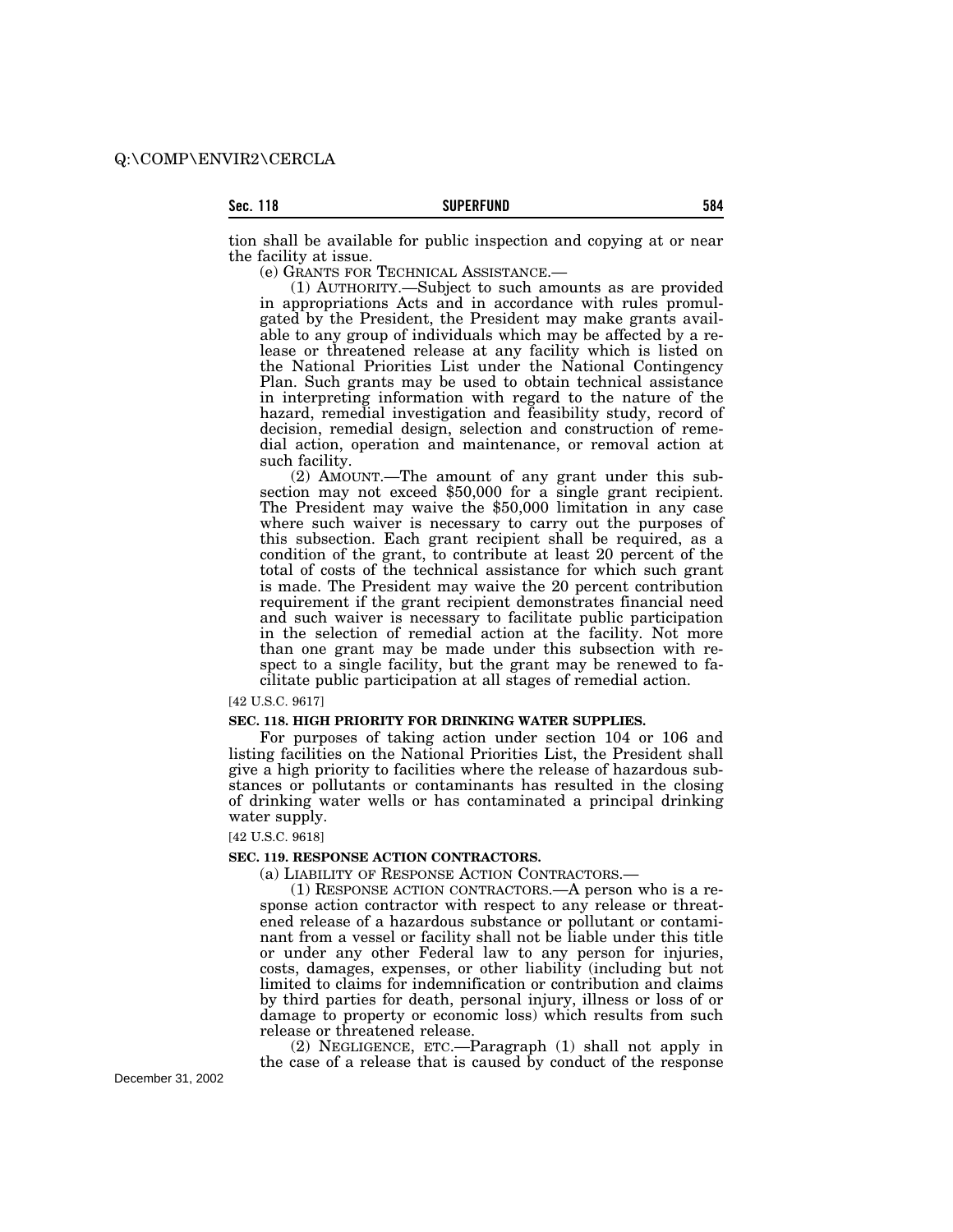tion shall be available for public inspection and copying at or near the facility at issue.

(e) GRANTS FOR TECHNICAL ASSISTANCE.—

(1) AUTHORITY.—Subject to such amounts as are provided in appropriations Acts and in accordance with rules promulgated by the President, the President may make grants available to any group of individuals which may be affected by a release or threatened release at any facility which is listed on the National Priorities List under the National Contingency Plan. Such grants may be used to obtain technical assistance in interpreting information with regard to the nature of the hazard, remedial investigation and feasibility study, record of decision, remedial design, selection and construction of remedial action, operation and maintenance, or removal action at such facility.

(2) AMOUNT.—The amount of any grant under this subsection may not exceed \$50,000 for a single grant recipient. The President may waive the \$50,000 limitation in any case where such waiver is necessary to carry out the purposes of this subsection. Each grant recipient shall be required, as a condition of the grant, to contribute at least 20 percent of the total of costs of the technical assistance for which such grant is made. The President may waive the 20 percent contribution requirement if the grant recipient demonstrates financial need and such waiver is necessary to facilitate public participation in the selection of remedial action at the facility. Not more than one grant may be made under this subsection with respect to a single facility, but the grant may be renewed to facilitate public participation at all stages of remedial action.

#### [42 U.S.C. 9617]

#### **SEC. 118. HIGH PRIORITY FOR DRINKING WATER SUPPLIES.**

For purposes of taking action under section 104 or 106 and listing facilities on the National Priorities List, the President shall give a high priority to facilities where the release of hazardous substances or pollutants or contaminants has resulted in the closing of drinking water wells or has contaminated a principal drinking water supply.

[42 U.S.C. 9618]

#### **SEC. 119. RESPONSE ACTION CONTRACTORS.**

(a) LIABILITY OF RESPONSE ACTION CONTRACTORS.—

(1) RESPONSE ACTION CONTRACTORS.—A person who is a response action contractor with respect to any release or threatened release of a hazardous substance or pollutant or contaminant from a vessel or facility shall not be liable under this title or under any other Federal law to any person for injuries, costs, damages, expenses, or other liability (including but not limited to claims for indemnification or contribution and claims by third parties for death, personal injury, illness or loss of or damage to property or economic loss) which results from such release or threatened release.

(2) NEGLIGENCE, ETC.—Paragraph (1) shall not apply in the case of a release that is caused by conduct of the response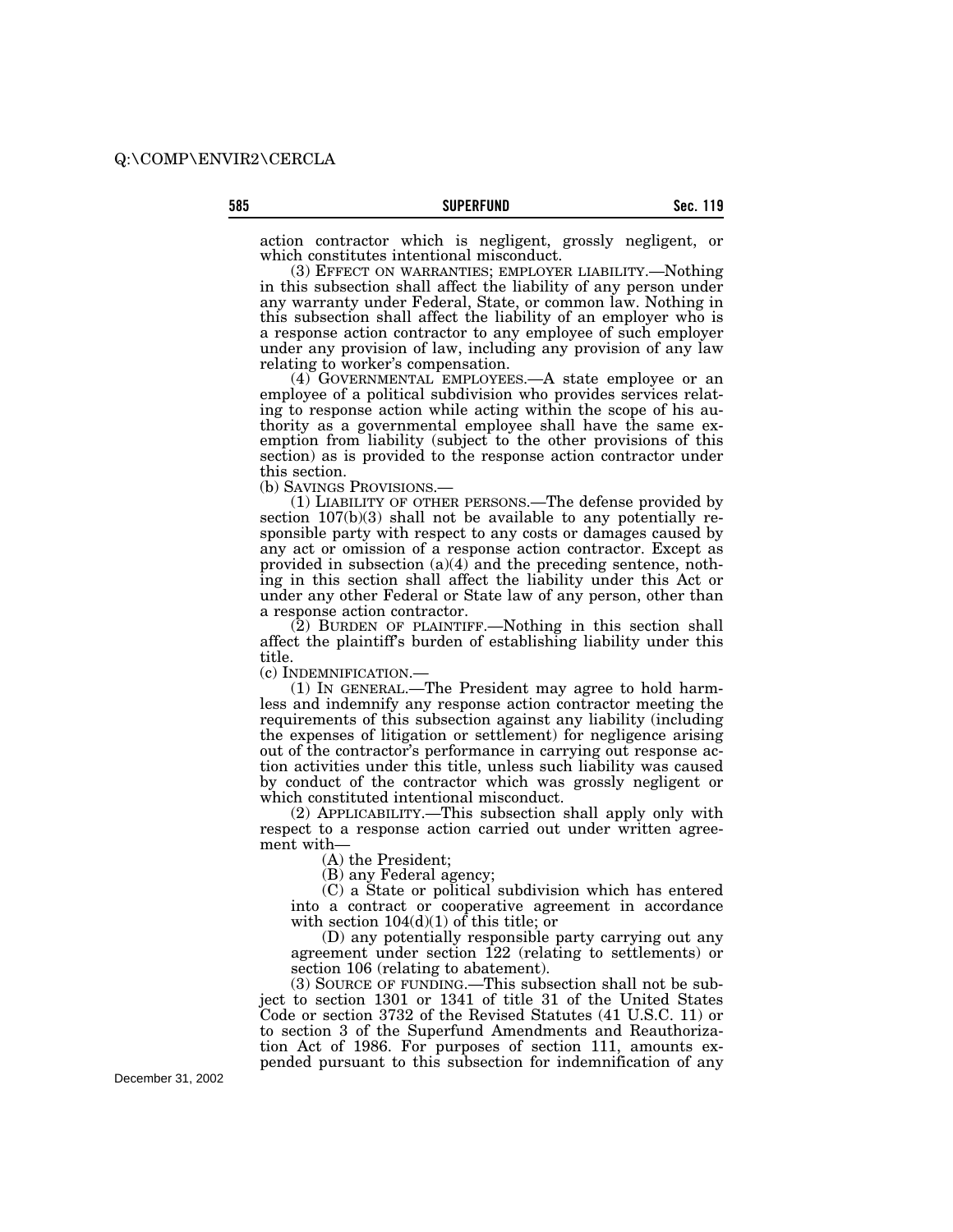action contractor which is negligent, grossly negligent, or which constitutes intentional misconduct.

(3) EFFECT ON WARRANTIES; EMPLOYER LIABILITY.—Nothing in this subsection shall affect the liability of any person under any warranty under Federal, State, or common law. Nothing in this subsection shall affect the liability of an employer who is a response action contractor to any employee of such employer under any provision of law, including any provision of any law relating to worker's compensation.

(4) GOVERNMENTAL EMPLOYEES.—A state employee or an employee of a political subdivision who provides services relating to response action while acting within the scope of his authority as a governmental employee shall have the same exemption from liability (subject to the other provisions of this section) as is provided to the response action contractor under this section.<br>(b) SAVINGS PROVISIONS.—

(1) LIABILITY OF OTHER PERSONS.—The defense provided by section  $107(b)(3)$  shall not be available to any potentially responsible party with respect to any costs or damages caused by any act or omission of a response action contractor. Except as provided in subsection (a)(4) and the preceding sentence, nothing in this section shall affect the liability under this Act or under any other Federal or State law of any person, other than a response action contractor.

(2) BURDEN OF PLAINTIFF.—Nothing in this section shall affect the plaintiff's burden of establishing liability under this title.

(c) INDEMNIFICATION.—

(1) IN GENERAL.—The President may agree to hold harmless and indemnify any response action contractor meeting the requirements of this subsection against any liability (including the expenses of litigation or settlement) for negligence arising out of the contractor's performance in carrying out response action activities under this title, unless such liability was caused by conduct of the contractor which was grossly negligent or which constituted intentional misconduct.

(2) APPLICABILITY.—This subsection shall apply only with respect to a response action carried out under written agreement with—

(A) the President;

(B) any Federal agency;

(C) a State or political subdivision which has entered into a contract or cooperative agreement in accordance with section  $104(d)(1)$  of this title; or

(D) any potentially responsible party carrying out any agreement under section 122 (relating to settlements) or section 106 (relating to abatement).

(3) SOURCE OF FUNDING.—This subsection shall not be subject to section 1301 or 1341 of title 31 of the United States Code or section 3732 of the Revised Statutes (41 U.S.C. 11) or to section 3 of the Superfund Amendments and Reauthorization Act of 1986. For purposes of section 111, amounts expended pursuant to this subsection for indemnification of any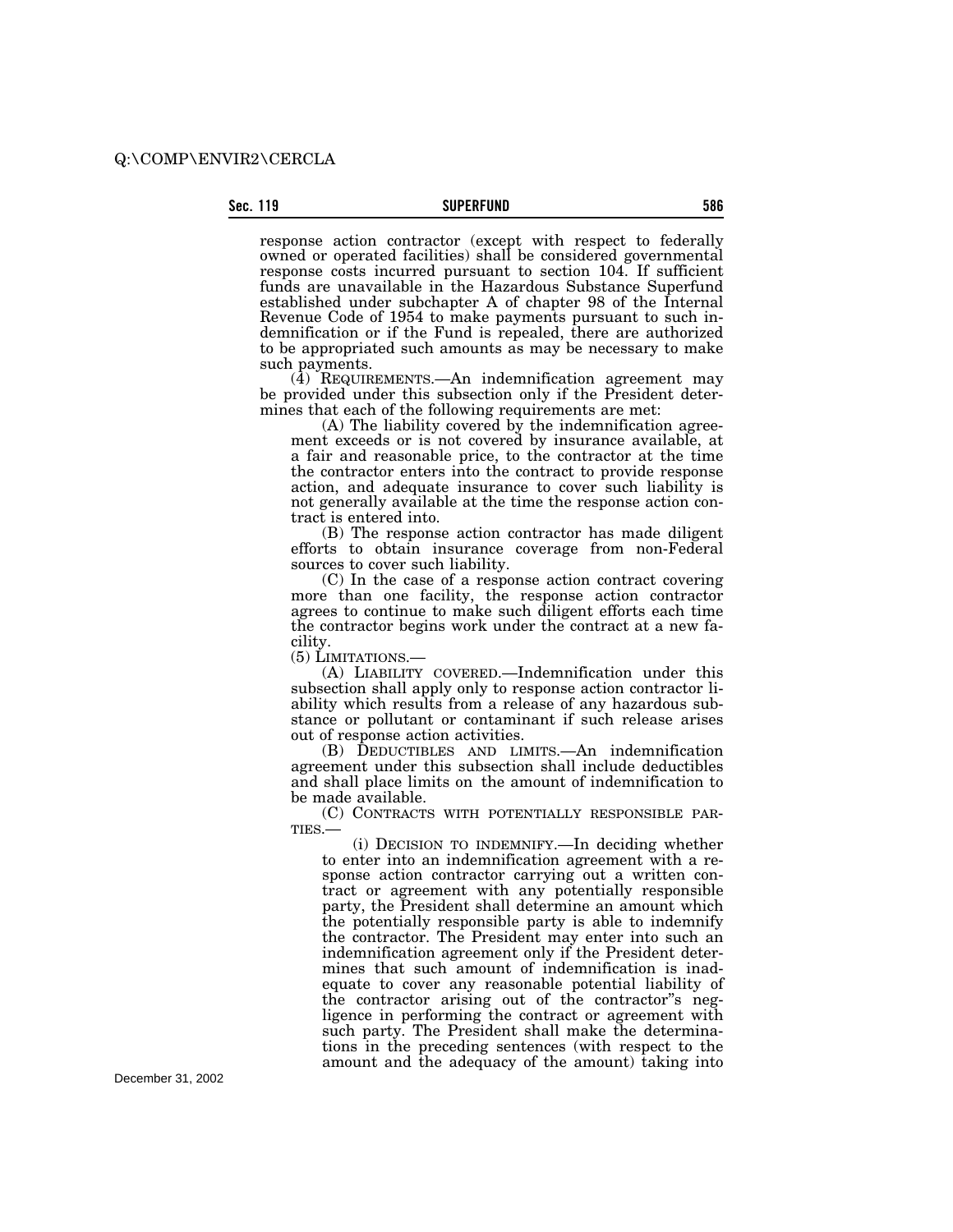response action contractor (except with respect to federally owned or operated facilities) shall be considered governmental response costs incurred pursuant to section 104. If sufficient funds are unavailable in the Hazardous Substance Superfund established under subchapter A of chapter 98 of the Internal Revenue Code of 1954 to make payments pursuant to such indemnification or if the Fund is repealed, there are authorized to be appropriated such amounts as may be necessary to make such payments.

(4) REQUIREMENTS.—An indemnification agreement may be provided under this subsection only if the President determines that each of the following requirements are met:

(A) The liability covered by the indemnification agreement exceeds or is not covered by insurance available, at a fair and reasonable price, to the contractor at the time the contractor enters into the contract to provide response action, and adequate insurance to cover such liability is not generally available at the time the response action contract is entered into.

(B) The response action contractor has made diligent efforts to obtain insurance coverage from non-Federal sources to cover such liability.

(C) In the case of a response action contract covering more than one facility, the response action contractor agrees to continue to make such diligent efforts each time the contractor begins work under the contract at a new facility.

(5) LIMITATIONS.—

(A) LIABILITY COVERED.—Indemnification under this subsection shall apply only to response action contractor liability which results from a release of any hazardous substance or pollutant or contaminant if such release arises out of response action activities.

(B) DEDUCTIBLES AND LIMITS.—An indemnification agreement under this subsection shall include deductibles and shall place limits on the amount of indemnification to be made available.

(C) CONTRACTS WITH POTENTIALLY RESPONSIBLE PARTIES.—

(i) DECISION TO INDEMNIFY.—In deciding whether to enter into an indemnification agreement with a response action contractor carrying out a written contract or agreement with any potentially responsible party, the President shall determine an amount which the potentially responsible party is able to indemnify the contractor. The President may enter into such an indemnification agreement only if the President determines that such amount of indemnification is inadequate to cover any reasonable potential liability of the contractor arising out of the contractor''s negligence in performing the contract or agreement with such party. The President shall make the determinations in the preceding sentences (with respect to the amount and the adequacy of the amount) taking into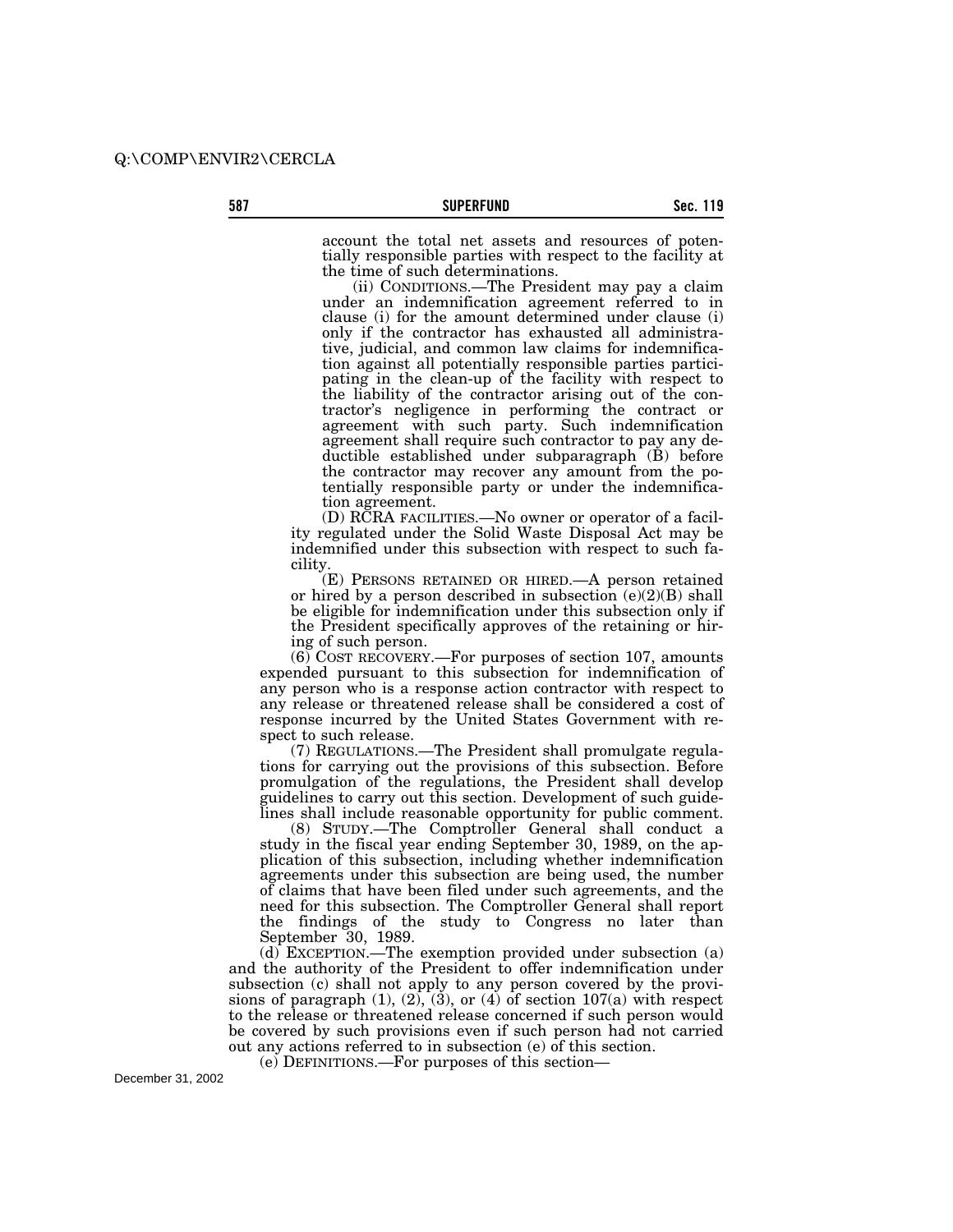account the total net assets and resources of potentially responsible parties with respect to the facility at the time of such determinations.

(ii) CONDITIONS.—The President may pay a claim under an indemnification agreement referred to in clause (i) for the amount determined under clause (i) only if the contractor has exhausted all administrative, judicial, and common law claims for indemnification against all potentially responsible parties participating in the clean-up of the facility with respect to the liability of the contractor arising out of the contractor's negligence in performing the contract or agreement with such party. Such indemnification agreement shall require such contractor to pay any deductible established under subparagraph  $(\tilde{B})$  before the contractor may recover any amount from the potentially responsible party or under the indemnification agreement.

(D) RCRA FACILITIES.—No owner or operator of a facility regulated under the Solid Waste Disposal Act may be indemnified under this subsection with respect to such facility.

(E) PERSONS RETAINED OR HIRED.—A person retained or hired by a person described in subsection  $(e)(2)(B)$  shall be eligible for indemnification under this subsection only if the President specifically approves of the retaining or hiring of such person.

(6) COST RECOVERY.—For purposes of section 107, amounts expended pursuant to this subsection for indemnification of any person who is a response action contractor with respect to any release or threatened release shall be considered a cost of response incurred by the United States Government with respect to such release.

(7) REGULATIONS.—The President shall promulgate regulations for carrying out the provisions of this subsection. Before promulgation of the regulations, the President shall develop guidelines to carry out this section. Development of such guidelines shall include reasonable opportunity for public comment.

(8) STUDY.—The Comptroller General shall conduct a study in the fiscal year ending September 30, 1989, on the application of this subsection, including whether indemnification agreements under this subsection are being used, the number of claims that have been filed under such agreements, and the need for this subsection. The Comptroller General shall report the findings of the study to Congress no later than September 30, 1989.

(d) EXCEPTION.—The exemption provided under subsection (a) and the authority of the President to offer indemnification under subsection (c) shall not apply to any person covered by the provisions of paragraph  $(1)$ ,  $(2)$ ,  $(3)$ , or  $(4)$  of section  $107(a)$  with respect to the release or threatened release concerned if such person would be covered by such provisions even if such person had not carried out any actions referred to in subsection (e) of this section.

(e) DEFINITIONS.—For purposes of this section—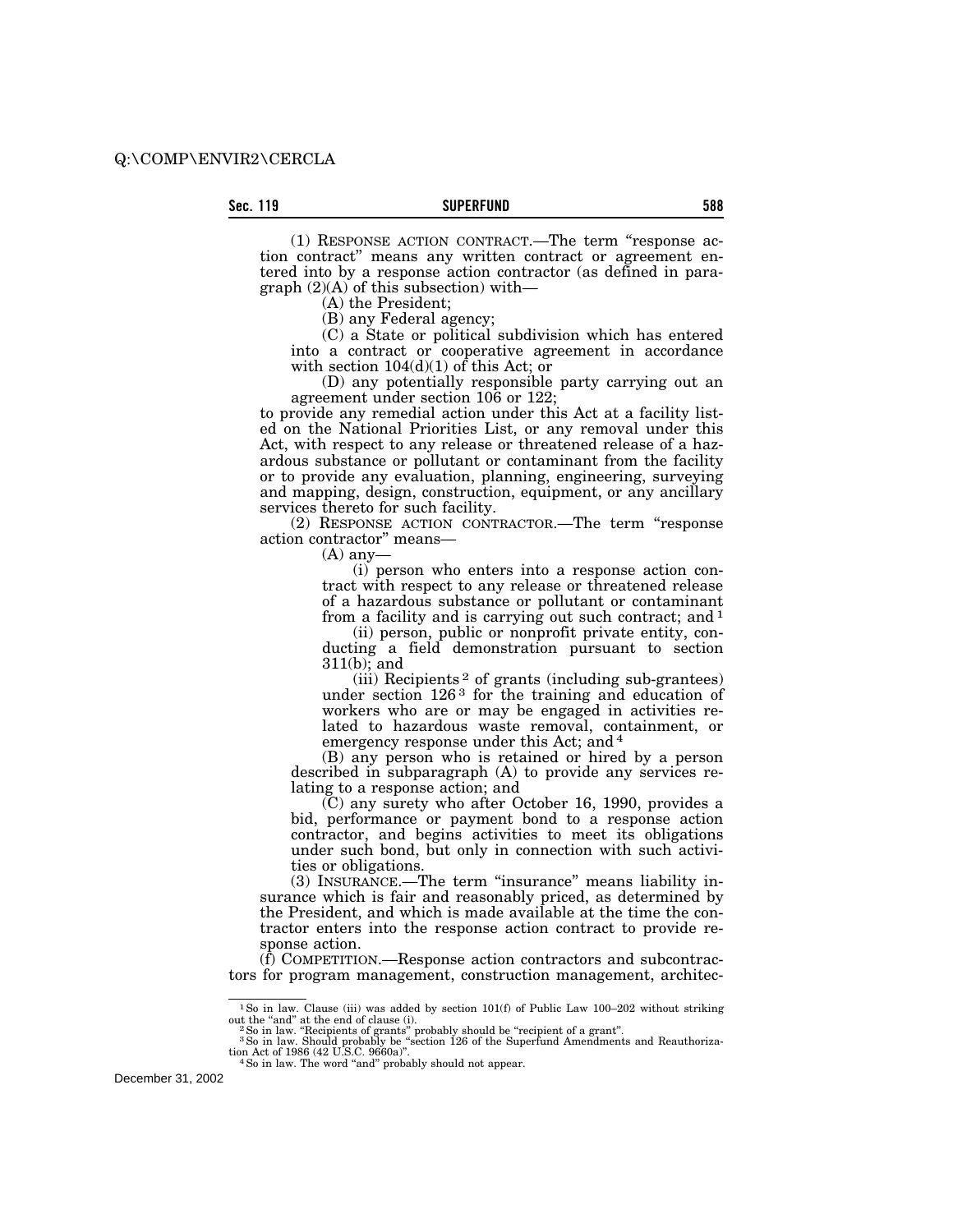(1) RESPONSE ACTION CONTRACT.—The term ''response action contract'' means any written contract or agreement entered into by a response action contractor (as defined in paragraph  $(2)(A)$  of this subsection) with—

(A) the President;

(B) any Federal agency;

(C) a State or political subdivision which has entered into a contract or cooperative agreement in accordance with section  $104(d)(1)$  of this Act; or

(D) any potentially responsible party carrying out an agreement under section 106 or 122;

to provide any remedial action under this Act at a facility listed on the National Priorities List, or any removal under this Act, with respect to any release or threatened release of a hazardous substance or pollutant or contaminant from the facility or to provide any evaluation, planning, engineering, surveying and mapping, design, construction, equipment, or any ancillary services thereto for such facility.

(2) RESPONSE ACTION CONTRACTOR.—The term ''response action contractor'' means—

 $(A)$  any-

(i) person who enters into a response action contract with respect to any release or threatened release of a hazardous substance or pollutant or contaminant from a facility and is carrying out such contract; and 1

(ii) person, public or nonprofit private entity, conducting a field demonstration pursuant to section 311(b); and

 $(iii)$  Recipients<sup>2</sup> of grants (including sub-grantees) under section 126 3 for the training and education of workers who are or may be engaged in activities related to hazardous waste removal, containment, or emergency response under this Act; and 4

(B) any person who is retained or hired by a person described in subparagraph (A) to provide any services relating to a response action; and

(C) any surety who after October 16, 1990, provides a bid, performance or payment bond to a response action contractor, and begins activities to meet its obligations under such bond, but only in connection with such activities or obligations.

(3) INSURANCE.—The term ''insurance'' means liability insurance which is fair and reasonably priced, as determined by the President, and which is made available at the time the contractor enters into the response action contract to provide response action.

(f) COMPETITION.—Response action contractors and subcontractors for program management, construction management, architec-

<sup>&</sup>lt;sup>1</sup>So in law. Clause (iii) was added by section 101(f) of Public Law 100–202 without striking out the "and" at the end of clause (i).

out the "and" at the end of clause (i).<br>
<sup>2</sup> So in law. "Recipients of grants" probably should be "recipient of a grant".<br>
<sup>3</sup> So in law. Should probably be "section 126 of the Superfund Amendments and Reauthoriza-<br>
tion A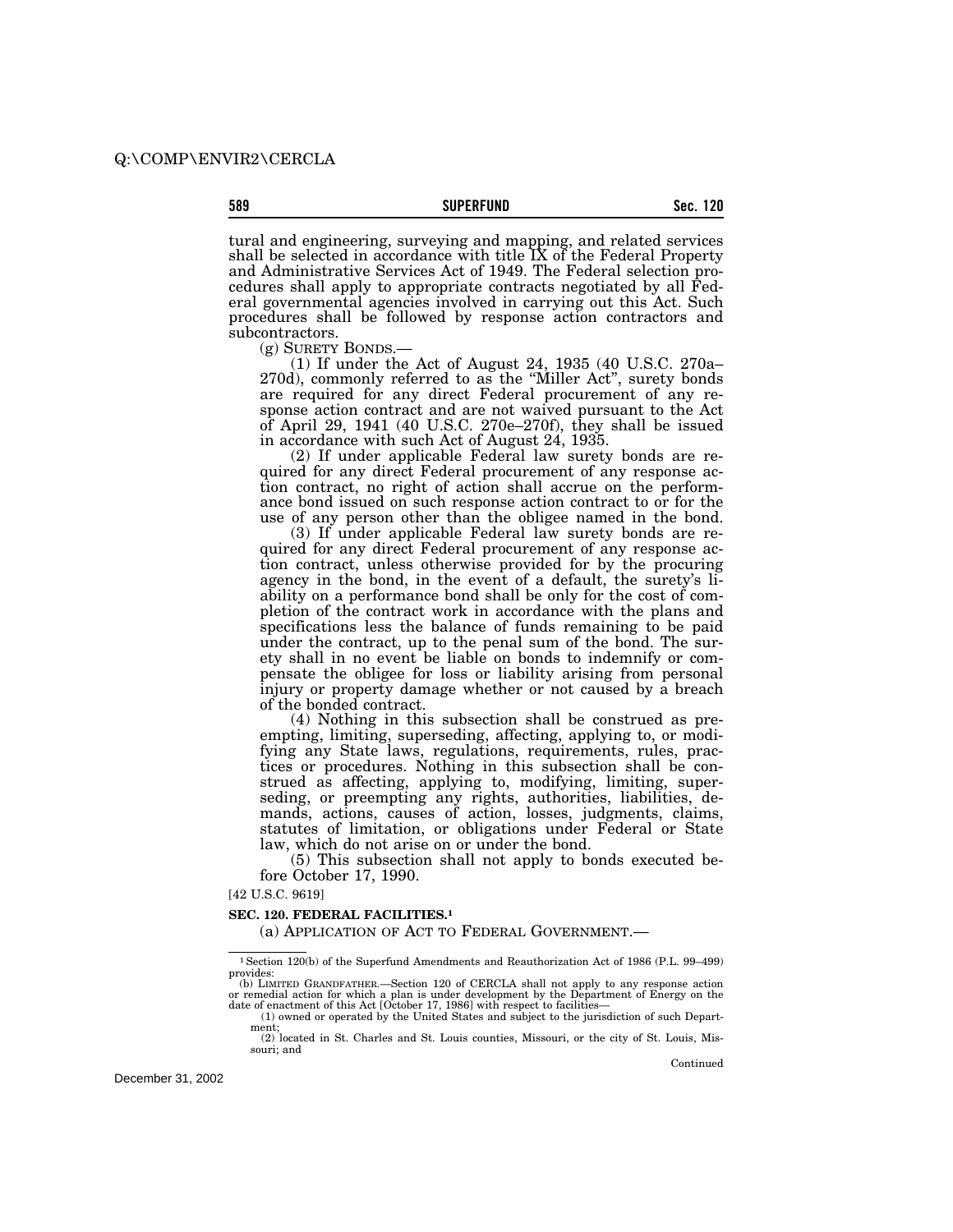tural and engineering, surveying and mapping, and related services shall be selected in accordance with title IX of the Federal Property and Administrative Services Act of 1949. The Federal selection procedures shall apply to appropriate contracts negotiated by all Federal governmental agencies involved in carrying out this Act. Such procedures shall be followed by response action contractors and subcontractors.<br>(g) SURETY BONDS.

(1) If under the Act of August 24, 1935 (40 U.S.C. 270a– 270d), commonly referred to as the ''Miller Act'', surety bonds are required for any direct Federal procurement of any response action contract and are not waived pursuant to the Act of April 29, 1941 (40 U.S.C. 270e–270f), they shall be issued in accordance with such Act of August 24, 1935.

(2) If under applicable Federal law surety bonds are required for any direct Federal procurement of any response action contract, no right of action shall accrue on the performance bond issued on such response action contract to or for the use of any person other than the obligee named in the bond.

(3) If under applicable Federal law surety bonds are required for any direct Federal procurement of any response action contract, unless otherwise provided for by the procuring agency in the bond, in the event of a default, the surety's liability on a performance bond shall be only for the cost of completion of the contract work in accordance with the plans and specifications less the balance of funds remaining to be paid under the contract, up to the penal sum of the bond. The surety shall in no event be liable on bonds to indemnify or compensate the obligee for loss or liability arising from personal injury or property damage whether or not caused by a breach of the bonded contract.

(4) Nothing in this subsection shall be construed as preempting, limiting, superseding, affecting, applying to, or modifying any State laws, regulations, requirements, rules, practices or procedures. Nothing in this subsection shall be construed as affecting, applying to, modifying, limiting, superseding, or preempting any rights, authorities, liabilities, demands, actions, causes of action, losses, judgments, claims, statutes of limitation, or obligations under Federal or State law, which do not arise on or under the bond.

(5) This subsection shall not apply to bonds executed before October 17, 1990.

[42 U.S.C. 9619]

#### **SEC. 120. FEDERAL FACILITIES.1**

(a) APPLICATION OF ACT TO FEDERAL GOVERNMENT.—

<sup>1</sup>Section 120(b) of the Superfund Amendments and Reauthorization Act of 1986 (P.L. 99–499) provides:

<sup>(</sup>b) LIMITED GRANDFATHER.—Section 120 of CERCLA shall not apply to any response action<br>or remedial action for which a plan is under development by the Department of Energy on the<br>date of enactment of this Act [October 17, 1

<sup>(1)</sup> owned or operated by the United States and subject to the jurisdiction of such Department; (2) located in St. Charles and St. Louis counties, Missouri, or the city of St. Louis, Mis-

souri; and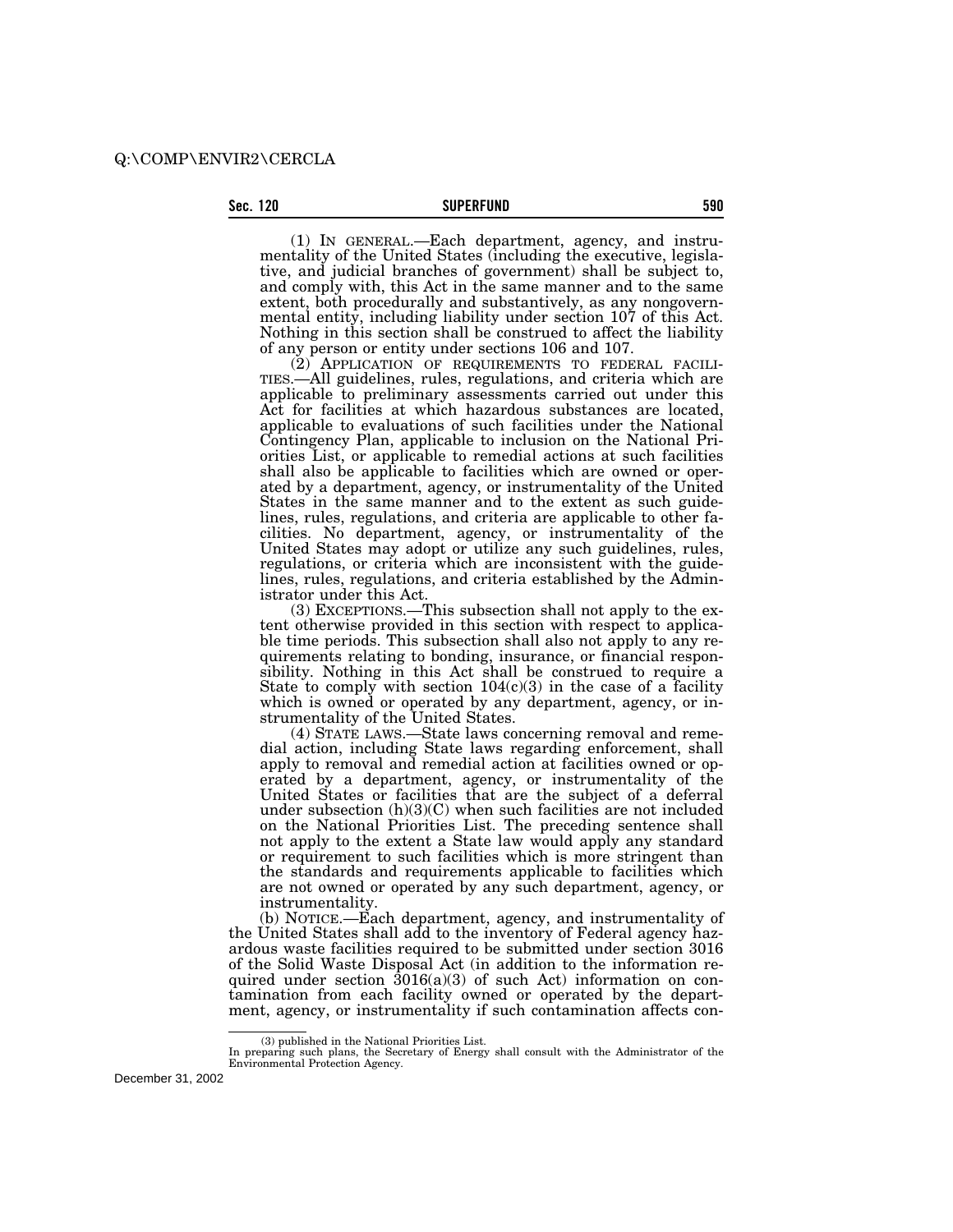(1) IN GENERAL.—Each department, agency, and instrumentality of the United States (including the executive, legislative, and judicial branches of government) shall be subject to, and comply with, this Act in the same manner and to the same extent, both procedurally and substantively, as any nongovernmental entity, including liability under section 107 of this Act. Nothing in this section shall be construed to affect the liability of any person or entity under sections 106 and 107.

(2) APPLICATION OF REQUIREMENTS TO FEDERAL FACILI- TIES.—All guidelines, rules, regulations, and criteria which are applicable to preliminary assessments carried out under this Act for facilities at which hazardous substances are located, applicable to evaluations of such facilities under the National Contingency Plan, applicable to inclusion on the National Priorities List, or applicable to remedial actions at such facilities shall also be applicable to facilities which are owned or operated by a department, agency, or instrumentality of the United States in the same manner and to the extent as such guidelines, rules, regulations, and criteria are applicable to other facilities. No department, agency, or instrumentality of the United States may adopt or utilize any such guidelines, rules, regulations, or criteria which are inconsistent with the guidelines, rules, regulations, and criteria established by the Administrator under this Act.

(3) EXCEPTIONS.—This subsection shall not apply to the extent otherwise provided in this section with respect to applicable time periods. This subsection shall also not apply to any requirements relating to bonding, insurance, or financial responsibility. Nothing in this Act shall be construed to require a State to comply with section  $104(c)(3)$  in the case of a facility which is owned or operated by any department, agency, or instrumentality of the United States.

(4) STATE LAWS.—State laws concerning removal and remedial action, including State laws regarding enforcement, shall apply to removal and remedial action at facilities owned or operated by a department, agency, or instrumentality of the United States or facilities that are the subject of a deferral under subsection (h)(3)(C) when such facilities are not included on the National Priorities List. The preceding sentence shall not apply to the extent a State law would apply any standard or requirement to such facilities which is more stringent than the standards and requirements applicable to facilities which are not owned or operated by any such department, agency, or instrumentality.

(b) NOTICE.—Each department, agency, and instrumentality of the United States shall add to the inventory of Federal agency hazardous waste facilities required to be submitted under section 3016 of the Solid Waste Disposal Act (in addition to the information required under section  $3016(a)(3)$  of such Act) information on contamination from each facility owned or operated by the department, agency, or instrumentality if such contamination affects con-

<sup>(3)</sup> published in the National Priorities List. In preparing such plans, the Secretary of Energy shall consult with the Administrator of the Environmental Protection Agency.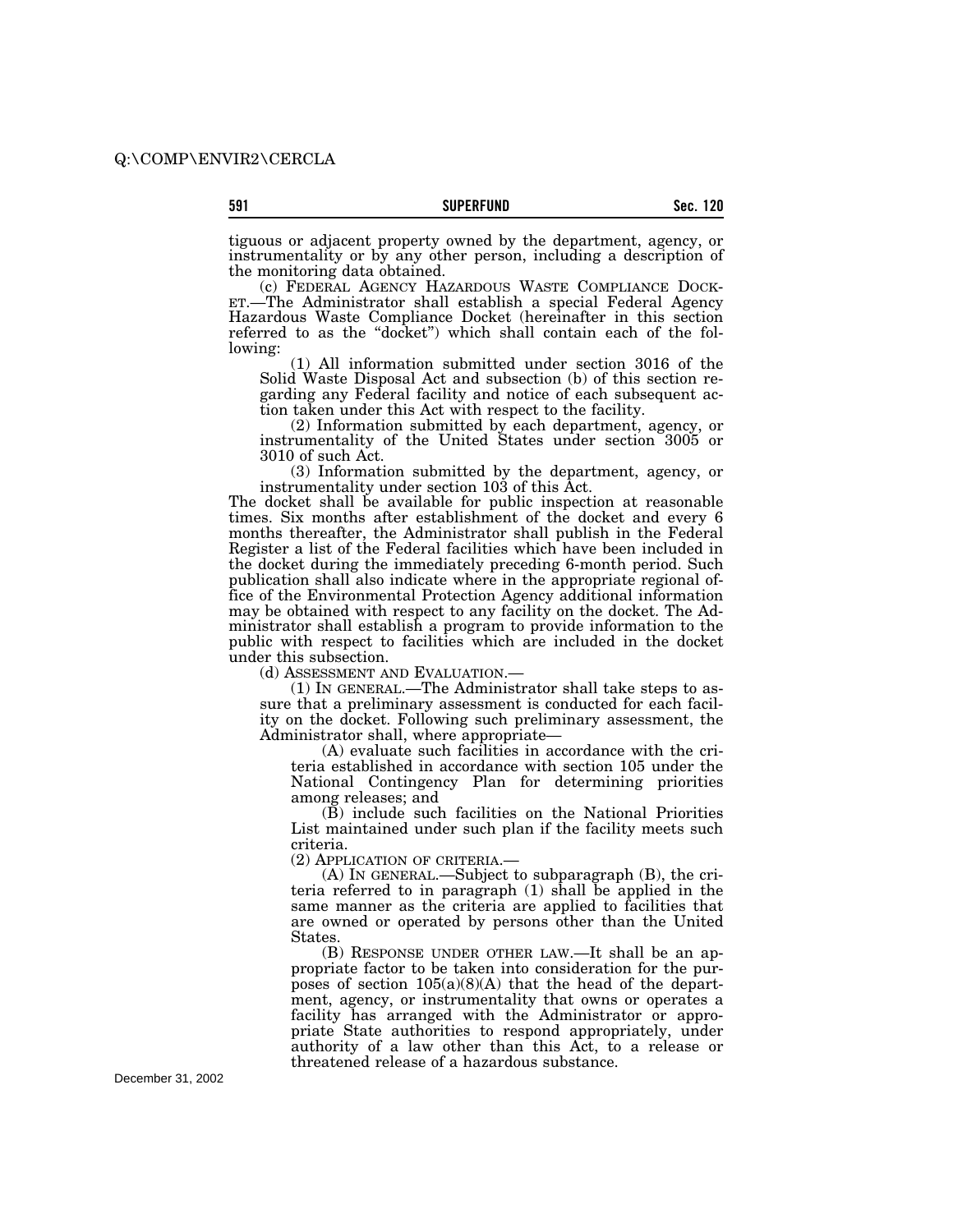## **591 Sec. 120 SUPERFUND**

tiguous or adjacent property owned by the department, agency, or instrumentality or by any other person, including a description of the monitoring data obtained.<br>
(c) FEDERAL AGENCY HAZARDOUS WASTE COMPLIANCE DOCK-

ET. The Administrator shall establish a special Federal Agency Hazardous Waste Compliance Docket (hereinafter in this section referred to as the "docket") which shall contain each of the following:

(1) All information submitted under section 3016 of the Solid Waste Disposal Act and subsection (b) of this section regarding any Federal facility and notice of each subsequent action taken under this Act with respect to the facility.

(2) Information submitted by each department, agency, or instrumentality of the United States under section 3005 or 3010 of such Act.

(3) Information submitted by the department, agency, or instrumentality under section 103 of this Act.

The docket shall be available for public inspection at reasonable times. Six months after establishment of the docket and every 6 months thereafter, the Administrator shall publish in the Federal Register a list of the Federal facilities which have been included in the docket during the immediately preceding 6-month period. Such publication shall also indicate where in the appropriate regional office of the Environmental Protection Agency additional information may be obtained with respect to any facility on the docket. The Administrator shall establish a program to provide information to the public with respect to facilities which are included in the docket under this subsection.

(d) ASSESSMENT AND EVALUATION.—

(1) IN GENERAL.—The Administrator shall take steps to assure that a preliminary assessment is conducted for each facility on the docket. Following such preliminary assessment, the Administrator shall, where appropriate—

(A) evaluate such facilities in accordance with the criteria established in accordance with section 105 under the National Contingency Plan for determining priorities among releases; and

(B) include such facilities on the National Priorities List maintained under such plan if the facility meets such criteria.

(2) APPLICATION OF CRITERIA.—

(A) IN GENERAL.—Subject to subparagraph (B), the criteria referred to in paragraph (1) shall be applied in the same manner as the criteria are applied to facilities that are owned or operated by persons other than the United States.

(B) RESPONSE UNDER OTHER LAW.—It shall be an appropriate factor to be taken into consideration for the purposes of section  $105(a)(8)(A)$  that the head of the department, agency, or instrumentality that owns or operates a facility has arranged with the Administrator or appropriate State authorities to respond appropriately, under authority of a law other than this Act, to a release or threatened release of a hazardous substance.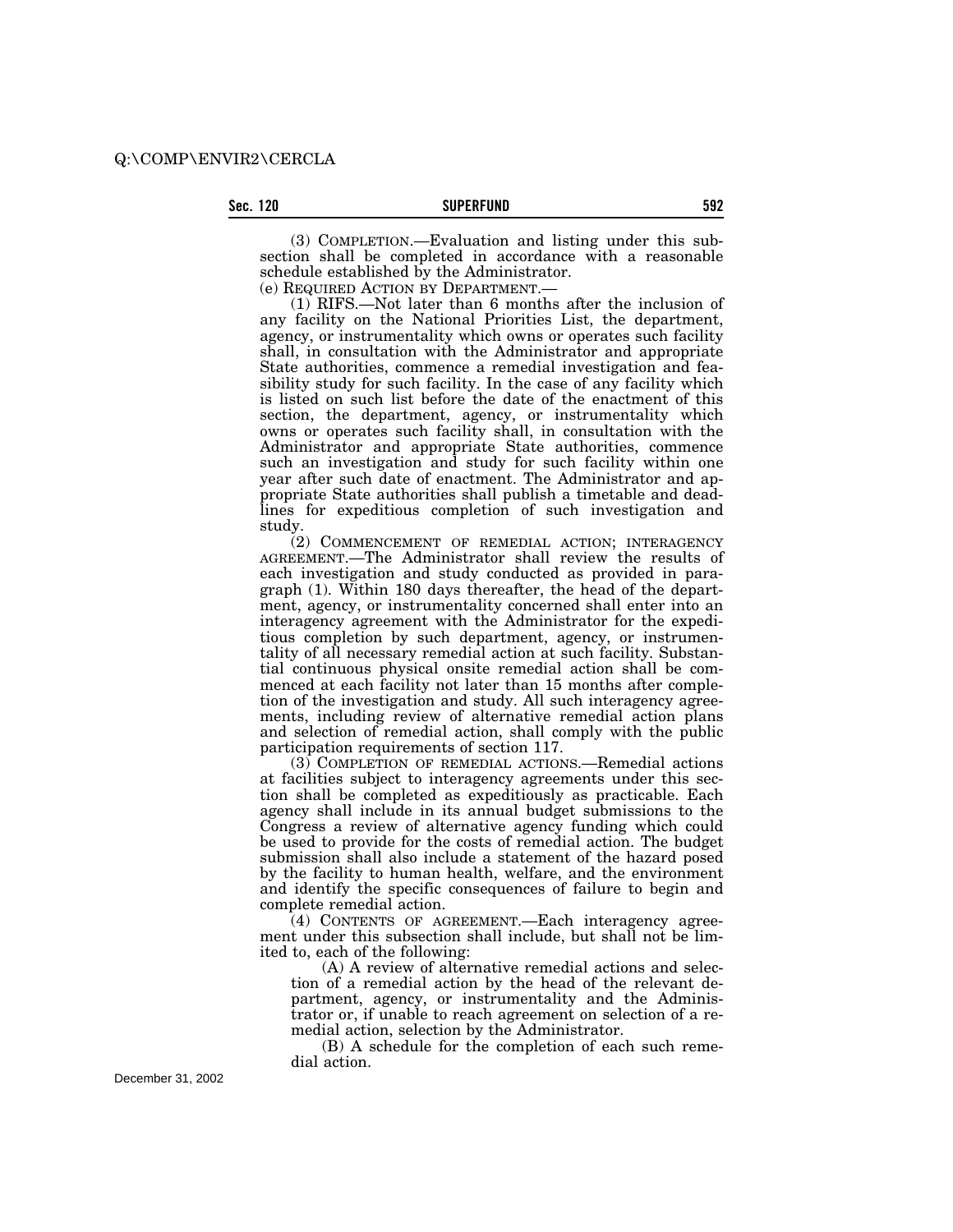(3) COMPLETION.—Evaluation and listing under this subsection shall be completed in accordance with a reasonable schedule established by the Administrator.

(e) REQUIRED ACTION BY DEPARTMENT.—

(1) RIFS.—Not later than 6 months after the inclusion of any facility on the National Priorities List, the department, agency, or instrumentality which owns or operates such facility shall, in consultation with the Administrator and appropriate State authorities, commence a remedial investigation and feasibility study for such facility. In the case of any facility which is listed on such list before the date of the enactment of this section, the department, agency, or instrumentality which owns or operates such facility shall, in consultation with the Administrator and appropriate State authorities, commence such an investigation and study for such facility within one year after such date of enactment. The Administrator and appropriate State authorities shall publish a timetable and deadlines for expeditious completion of such investigation and study.

(2) COMMENCEMENT OF REMEDIAL ACTION; INTERAGENCY AGREEMENT.—The Administrator shall review the results of each investigation and study conducted as provided in paragraph (1). Within 180 days thereafter, the head of the department, agency, or instrumentality concerned shall enter into an interagency agreement with the Administrator for the expeditious completion by such department, agency, or instrumentality of all necessary remedial action at such facility. Substantial continuous physical onsite remedial action shall be commenced at each facility not later than 15 months after completion of the investigation and study. All such interagency agreements, including review of alternative remedial action plans and selection of remedial action, shall comply with the public participation requirements of section 117.

(3) COMPLETION OF REMEDIAL ACTIONS.—Remedial actions at facilities subject to interagency agreements under this section shall be completed as expeditiously as practicable. Each agency shall include in its annual budget submissions to the Congress a review of alternative agency funding which could be used to provide for the costs of remedial action. The budget submission shall also include a statement of the hazard posed by the facility to human health, welfare, and the environment and identify the specific consequences of failure to begin and complete remedial action.

(4) CONTENTS OF AGREEMENT.—Each interagency agreement under this subsection shall include, but shall not be limited to, each of the following:

(A) A review of alternative remedial actions and selection of a remedial action by the head of the relevant department, agency, or instrumentality and the Administrator or, if unable to reach agreement on selection of a remedial action, selection by the Administrator.

(B) A schedule for the completion of each such remedial action.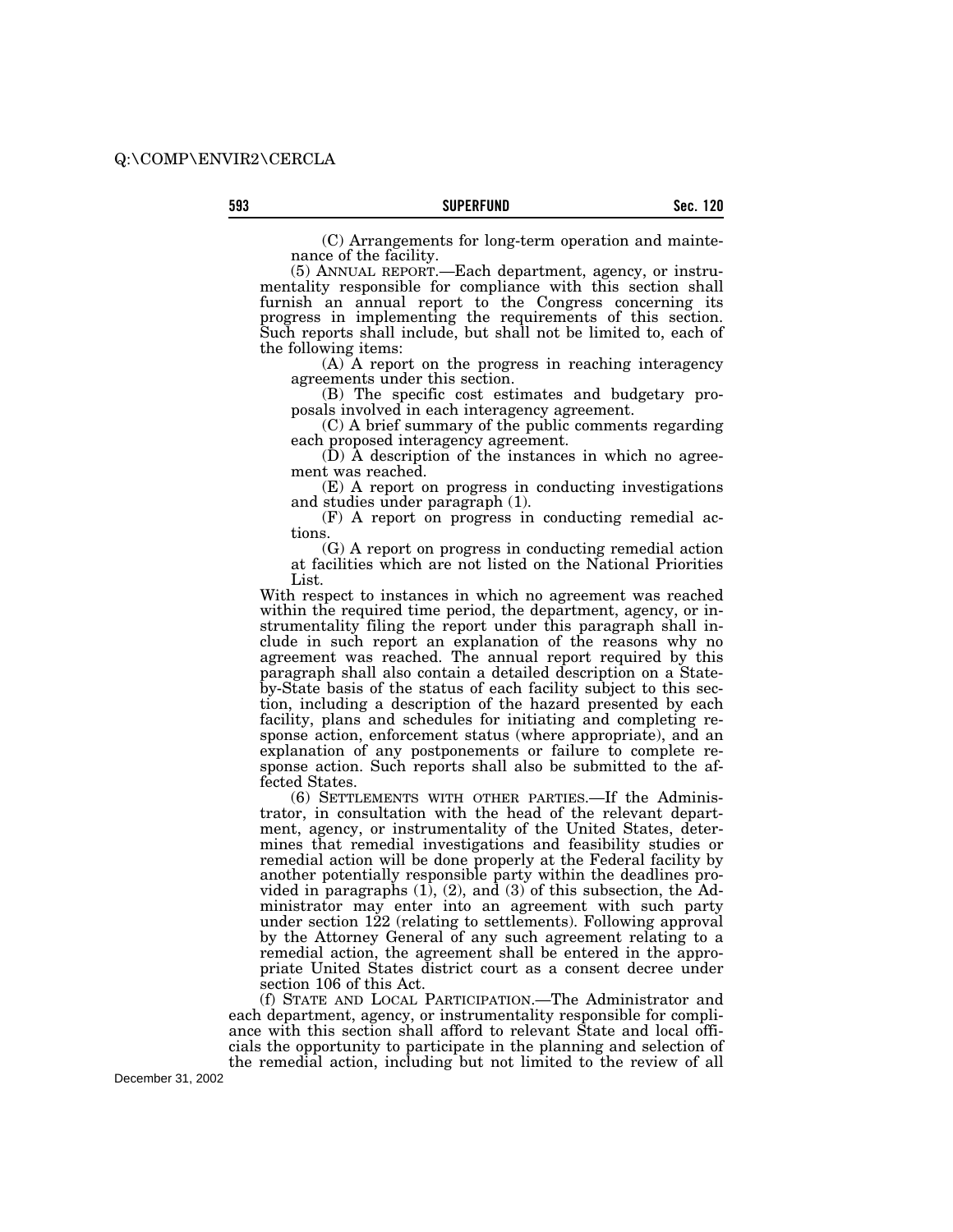(C) Arrangements for long-term operation and mainte-

nance of the facility. (5) ANNUAL REPORT.—Each department, agency, or instrumentality responsible for compliance with this section shall furnish an annual report to the Congress concerning its progress in implementing the requirements of this section. Such reports shall include, but shall not be limited to, each of the following items:

(A) A report on the progress in reaching interagency agreements under this section.

(B) The specific cost estimates and budgetary proposals involved in each interagency agreement.

(C) A brief summary of the public comments regarding each proposed interagency agreement.

 $(D)$  A description of the instances in which no agreement was reached.

(E) A report on progress in conducting investigations and studies under paragraph (1).

(F) A report on progress in conducting remedial actions.

(G) A report on progress in conducting remedial action at facilities which are not listed on the National Priorities List.

With respect to instances in which no agreement was reached within the required time period, the department, agency, or instrumentality filing the report under this paragraph shall include in such report an explanation of the reasons why no agreement was reached. The annual report required by this paragraph shall also contain a detailed description on a Stateby-State basis of the status of each facility subject to this section, including a description of the hazard presented by each facility, plans and schedules for initiating and completing response action, enforcement status (where appropriate), and an explanation of any postponements or failure to complete response action. Such reports shall also be submitted to the affected States.

(6) SETTLEMENTS WITH OTHER PARTIES.—If the Administrator, in consultation with the head of the relevant department, agency, or instrumentality of the United States, determines that remedial investigations and feasibility studies or remedial action will be done properly at the Federal facility by another potentially responsible party within the deadlines provided in paragraphs  $(1)$ ,  $(2)$ , and  $(3)$  of this subsection, the Administrator may enter into an agreement with such party under section 122 (relating to settlements). Following approval by the Attorney General of any such agreement relating to a remedial action, the agreement shall be entered in the appropriate United States district court as a consent decree under section 106 of this Act.

(f) STATE AND LOCAL PARTICIPATION.—The Administrator and each department, agency, or instrumentality responsible for compliance with this section shall afford to relevant State and local officials the opportunity to participate in the planning and selection of the remedial action, including but not limited to the review of all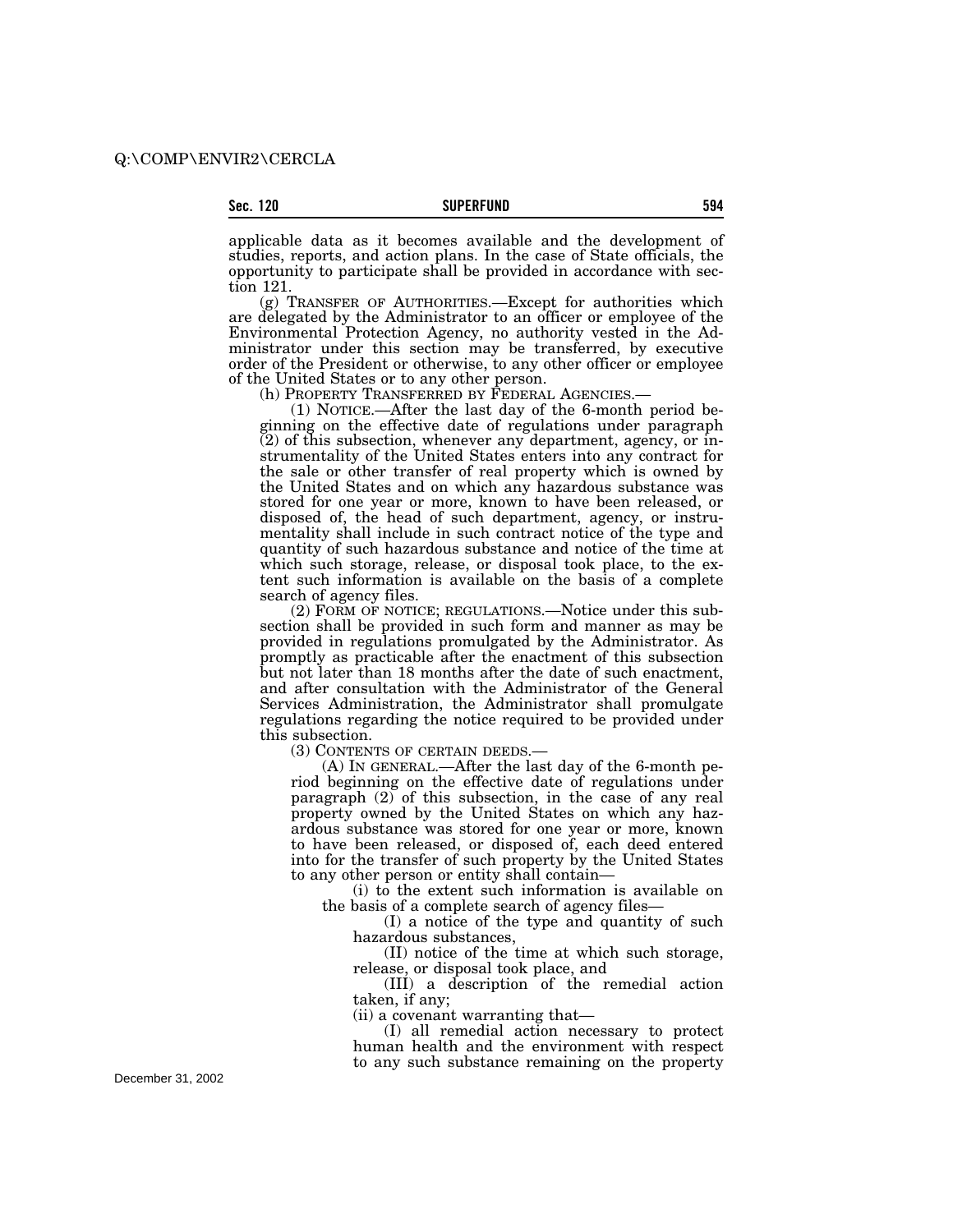applicable data as it becomes available and the development of studies, reports, and action plans. In the case of State officials, the opportunity to participate shall be provided in accordance with section 121.

(g) TRANSFER OF AUTHORITIES.—Except for authorities which are delegated by the Administrator to an officer or employee of the Environmental Protection Agency, no authority vested in the Administrator under this section may be transferred, by executive order of the President or otherwise, to any other officer or employee of the United States or to any other person.<br>(h) PROPERTY TRANSFERRED BY FEDERAL AGENCIES.

 $(1)$  NOTICE.—After the last day of the 6-month period beginning on the effective date of regulations under paragraph (2) of this subsection, whenever any department, agency, or instrumentality of the United States enters into any contract for the sale or other transfer of real property which is owned by the United States and on which any hazardous substance was stored for one year or more, known to have been released, or disposed of, the head of such department, agency, or instrumentality shall include in such contract notice of the type and quantity of such hazardous substance and notice of the time at which such storage, release, or disposal took place, to the extent such information is available on the basis of a complete search of agency files.

(2) FORM OF NOTICE; REGULATIONS.—Notice under this subsection shall be provided in such form and manner as may be provided in regulations promulgated by the Administrator. As promptly as practicable after the enactment of this subsection but not later than 18 months after the date of such enactment, and after consultation with the Administrator of the General Services Administration, the Administrator shall promulgate regulations regarding the notice required to be provided under this subsection.

(3) CONTENTS OF CERTAIN DEEDS.—

(A) IN GENERAL.—After the last day of the 6-month period beginning on the effective date of regulations under paragraph (2) of this subsection, in the case of any real property owned by the United States on which any hazardous substance was stored for one year or more, known to have been released, or disposed of, each deed entered into for the transfer of such property by the United States to any other person or entity shall contain—

(i) to the extent such information is available on the basis of a complete search of agency files—

(I) a notice of the type and quantity of such hazardous substances,

(II) notice of the time at which such storage, release, or disposal took place, and

(III) a description of the remedial action taken, if any;

(ii) a covenant warranting that—

(I) all remedial action necessary to protect human health and the environment with respect to any such substance remaining on the property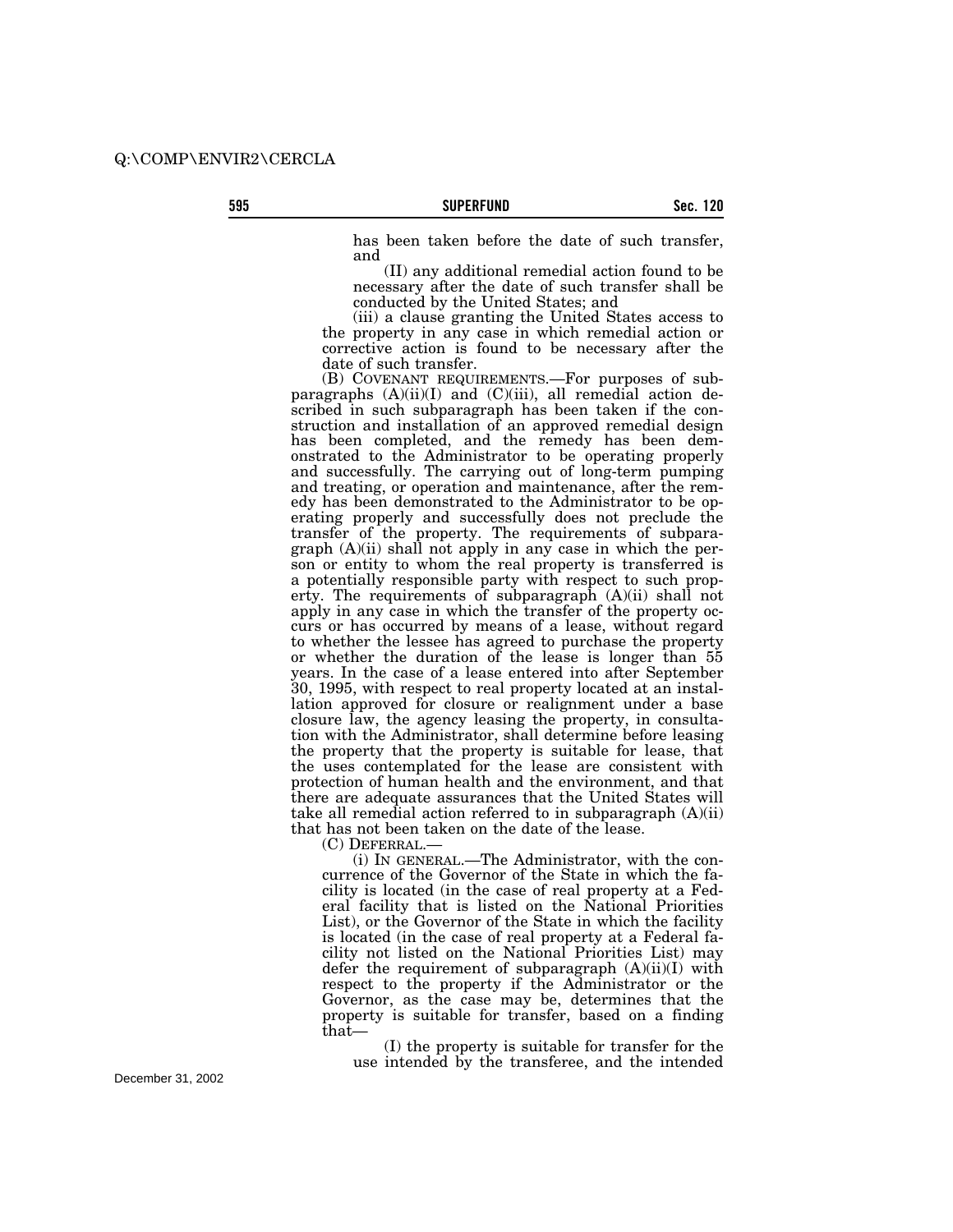has been taken before the date of such transfer, and

(II) any additional remedial action found to be necessary after the date of such transfer shall be conducted by the United States; and

(iii) a clause granting the United States access to the property in any case in which remedial action or corrective action is found to be necessary after the date of such transfer.

(B) COVENANT REQUIREMENTS.—For purposes of subparagraphs  $(A)(ii)(I)$  and  $(C)(iii)$ , all remedial action described in such subparagraph has been taken if the construction and installation of an approved remedial design has been completed, and the remedy has been demonstrated to the Administrator to be operating properly and successfully. The carrying out of long-term pumping and treating, or operation and maintenance, after the remedy has been demonstrated to the Administrator to be operating properly and successfully does not preclude the transfer of the property. The requirements of subparagraph (A)(ii) shall not apply in any case in which the person or entity to whom the real property is transferred is a potentially responsible party with respect to such property. The requirements of subparagraph (A)(ii) shall not apply in any case in which the transfer of the property occurs or has occurred by means of a lease, without regard to whether the lessee has agreed to purchase the property or whether the duration of the lease is longer than 55 years. In the case of a lease entered into after September 30, 1995, with respect to real property located at an installation approved for closure or realignment under a base closure law, the agency leasing the property, in consultation with the Administrator, shall determine before leasing the property that the property is suitable for lease, that the uses contemplated for the lease are consistent with protection of human health and the environment, and that there are adequate assurances that the United States will take all remedial action referred to in subparagraph (A)(ii) that has not been taken on the date of the lease.

(C) DEFERRAL.—

(i) IN GENERAL.—The Administrator, with the concurrence of the Governor of the State in which the facility is located (in the case of real property at a Federal facility that is listed on the National Priorities List), or the Governor of the State in which the facility is located (in the case of real property at a Federal facility not listed on the National Priorities List) may defer the requirement of subparagraph  $(A)(ii)(I)$  with respect to the property if the Administrator or the Governor, as the case may be, determines that the property is suitable for transfer, based on a finding that—

(I) the property is suitable for transfer for the use intended by the transferee, and the intended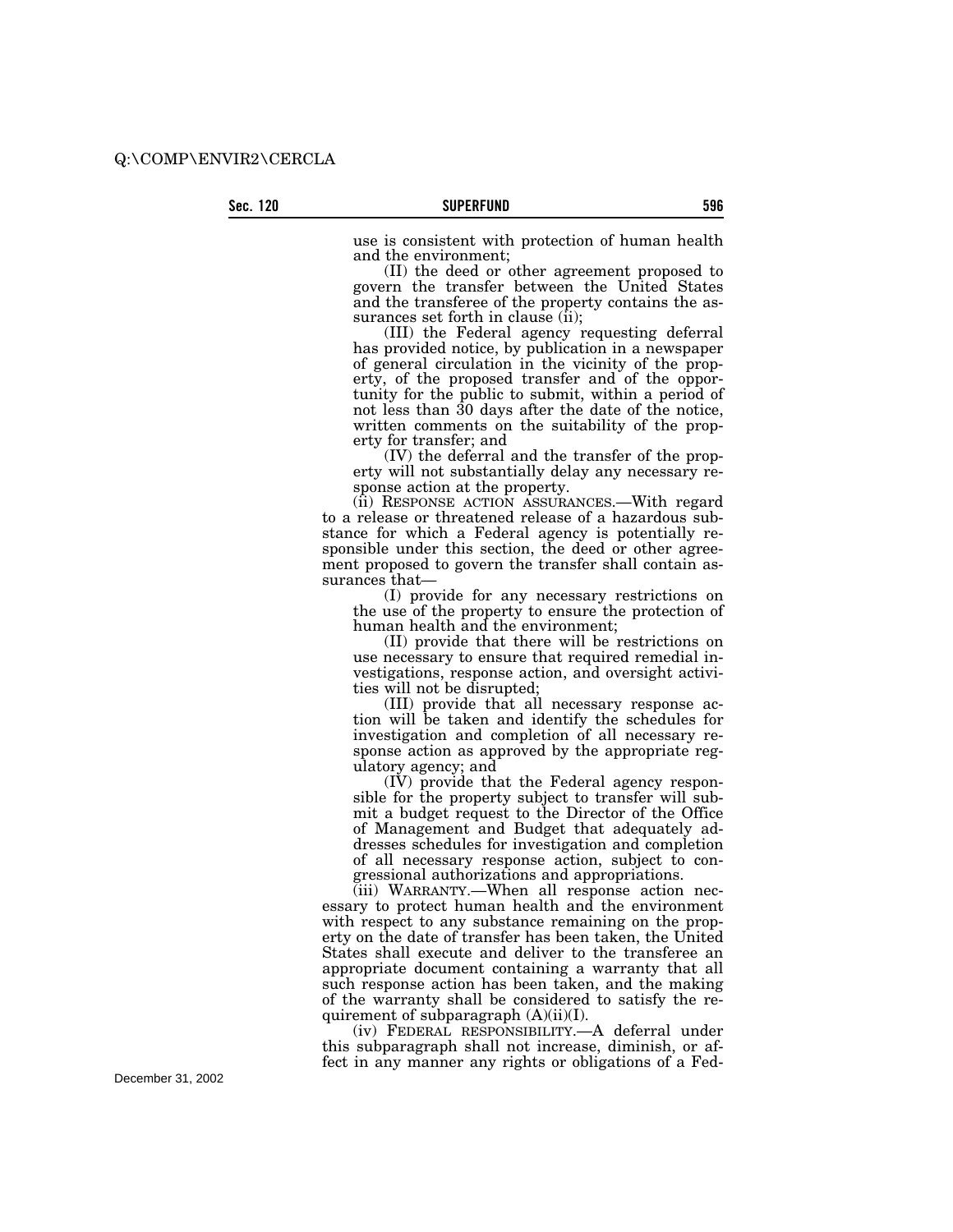use is consistent with protection of human health and the environment;

(II) the deed or other agreement proposed to govern the transfer between the United States and the transferee of the property contains the assurances set forth in clause (ii);

(III) the Federal agency requesting deferral has provided notice, by publication in a newspaper of general circulation in the vicinity of the property, of the proposed transfer and of the opportunity for the public to submit, within a period of not less than 30 days after the date of the notice, written comments on the suitability of the property for transfer; and

(IV) the deferral and the transfer of the property will not substantially delay any necessary response action at the property.

(ii) RESPONSE ACTION ASSURANCES.—With regard to a release or threatened release of a hazardous substance for which a Federal agency is potentially responsible under this section, the deed or other agreement proposed to govern the transfer shall contain assurances that—

(I) provide for any necessary restrictions on the use of the property to ensure the protection of human health and the environment;

(II) provide that there will be restrictions on use necessary to ensure that required remedial investigations, response action, and oversight activities will not be disrupted;

(III) provide that all necessary response action will be taken and identify the schedules for investigation and completion of all necessary response action as approved by the appropriate regulatory agency; and

(IV) provide that the Federal agency responsible for the property subject to transfer will submit a budget request to the Director of the Office of Management and Budget that adequately addresses schedules for investigation and completion of all necessary response action, subject to congressional authorizations and appropriations.

(iii) WARRANTY.—When all response action necessary to protect human health and the environment with respect to any substance remaining on the property on the date of transfer has been taken, the United States shall execute and deliver to the transferee an appropriate document containing a warranty that all such response action has been taken, and the making of the warranty shall be considered to satisfy the requirement of subparagraph  $(A)(ii)(I)$ .

(iv) FEDERAL RESPONSIBILITY.—A deferral under this subparagraph shall not increase, diminish, or affect in any manner any rights or obligations of a Fed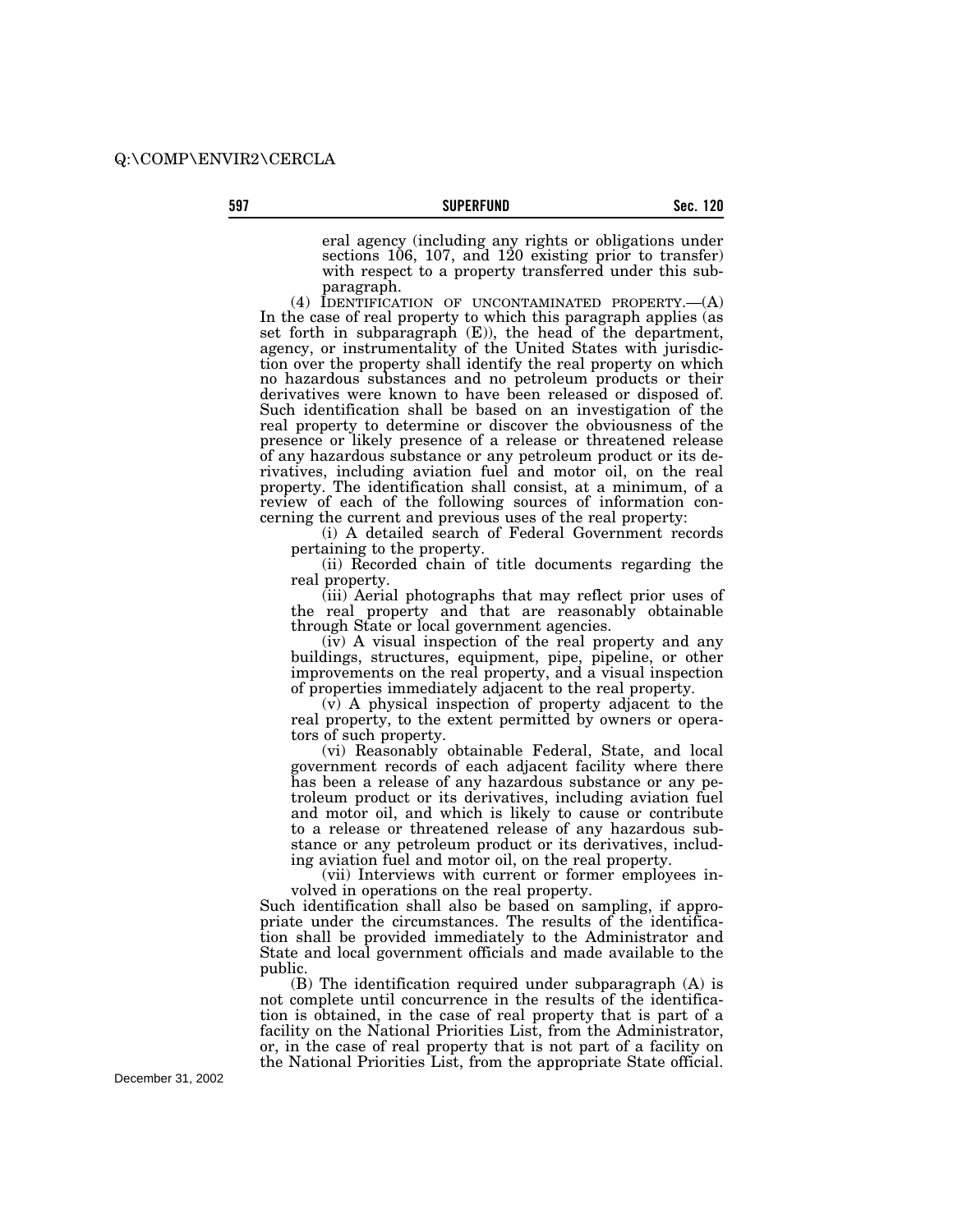eral agency (including any rights or obligations under sections 106, 107, and 120 existing prior to transfer) with respect to a property transferred under this subparagraph.

(4) IDENTIFICATION OF UNCONTAMINATED PROPERTY.—(A) In the case of real property to which this paragraph applies (as set forth in subparagraph (E)), the head of the department, agency, or instrumentality of the United States with jurisdiction over the property shall identify the real property on which no hazardous substances and no petroleum products or their derivatives were known to have been released or disposed of. Such identification shall be based on an investigation of the real property to determine or discover the obviousness of the presence or likely presence of a release or threatened release of any hazardous substance or any petroleum product or its derivatives, including aviation fuel and motor oil, on the real property. The identification shall consist, at a minimum, of a review of each of the following sources of information concerning the current and previous uses of the real property:

(i) A detailed search of Federal Government records pertaining to the property.

(ii) Recorded chain of title documents regarding the real property.

(iii) Aerial photographs that may reflect prior uses of the real property and that are reasonably obtainable through State or local government agencies.

(iv) A visual inspection of the real property and any buildings, structures, equipment, pipe, pipeline, or other improvements on the real property, and a visual inspection of properties immediately adjacent to the real property.

(v) A physical inspection of property adjacent to the real property, to the extent permitted by owners or operators of such property.

(vi) Reasonably obtainable Federal, State, and local government records of each adjacent facility where there has been a release of any hazardous substance or any petroleum product or its derivatives, including aviation fuel and motor oil, and which is likely to cause or contribute to a release or threatened release of any hazardous substance or any petroleum product or its derivatives, including aviation fuel and motor oil, on the real property.

(vii) Interviews with current or former employees involved in operations on the real property.

Such identification shall also be based on sampling, if appropriate under the circumstances. The results of the identification shall be provided immediately to the Administrator and State and local government officials and made available to the public.

(B) The identification required under subparagraph (A) is not complete until concurrence in the results of the identification is obtained, in the case of real property that is part of a facility on the National Priorities List, from the Administrator, or, in the case of real property that is not part of a facility on the National Priorities List, from the appropriate State official.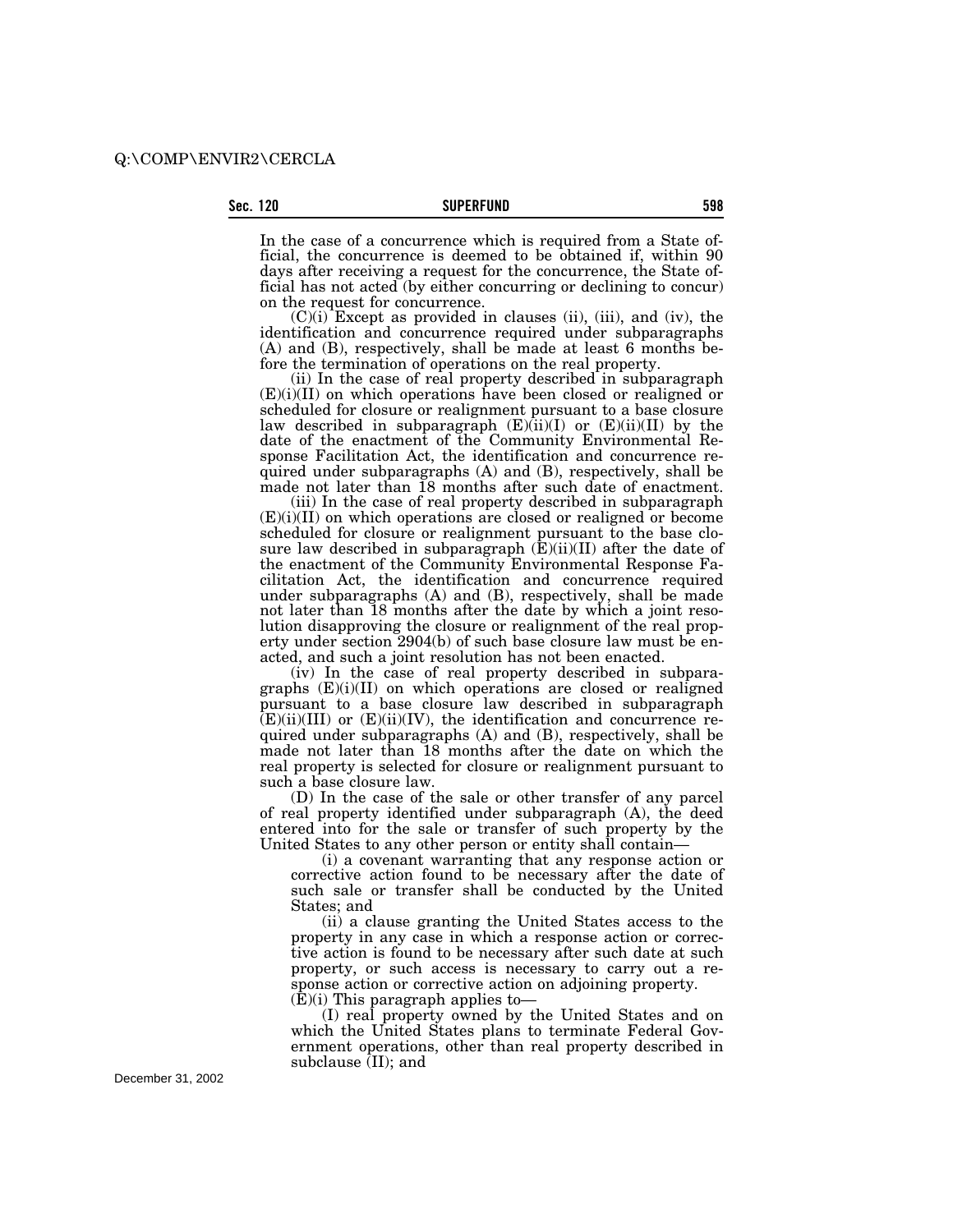In the case of a concurrence which is required from a State official, the concurrence is deemed to be obtained if, within 90 days after receiving a request for the concurrence, the State official has not acted (by either concurring or declining to concur) on the request for concurrence.

(C)(i) Except as provided in clauses (ii), (iii), and (iv), the identification and concurrence required under subparagraphs (A) and (B), respectively, shall be made at least 6 months before the termination of operations on the real property.

(ii) In the case of real property described in subparagraph  $(E)(i)(II)$  on which operations have been closed or realigned or scheduled for closure or realignment pursuant to a base closure law described in subparagraph  $(E)(ii)(I)$  or  $(E)(ii)(II)$  by the date of the enactment of the Community Environmental Response Facilitation Act, the identification and concurrence required under subparagraphs (A) and (B), respectively, shall be made not later than 18 months after such date of enactment.

(iii) In the case of real property described in subparagraph  $(E)(i)(II)$  on which operations are closed or realigned or become scheduled for closure or realignment pursuant to the base closure law described in subparagraph  $(E)(ii)(II)$  after the date of the enactment of the Community Environmental Response Facilitation Act, the identification and concurrence required under subparagraphs (A) and (B), respectively, shall be made not later than 18 months after the date by which a joint resolution disapproving the closure or realignment of the real property under section 2904(b) of such base closure law must be enacted, and such a joint resolution has not been enacted.

(iv) In the case of real property described in subparagraphs  $(E)(i)(II)$  on which operations are closed or realigned pursuant to a base closure law described in subparagraph  $(E)(ii)(III)$  or  $(E)(ii)(IV)$ , the identification and concurrence required under subparagraphs (A) and (B), respectively, shall be made not later than 18 months after the date on which the real property is selected for closure or realignment pursuant to such a base closure law.

(D) In the case of the sale or other transfer of any parcel of real property identified under subparagraph (A), the deed entered into for the sale or transfer of such property by the United States to any other person or entity shall contain—

(i) a covenant warranting that any response action or corrective action found to be necessary after the date of such sale or transfer shall be conducted by the United States; and

(ii) a clause granting the United States access to the property in any case in which a response action or corrective action is found to be necessary after such date at such property, or such access is necessary to carry out a response action or corrective action on adjoining property.  $(E)(i)$  This paragraph applies to-

(I) real property owned by the United States and on which the United States plans to terminate Federal Government operations, other than real property described in subclause (II); and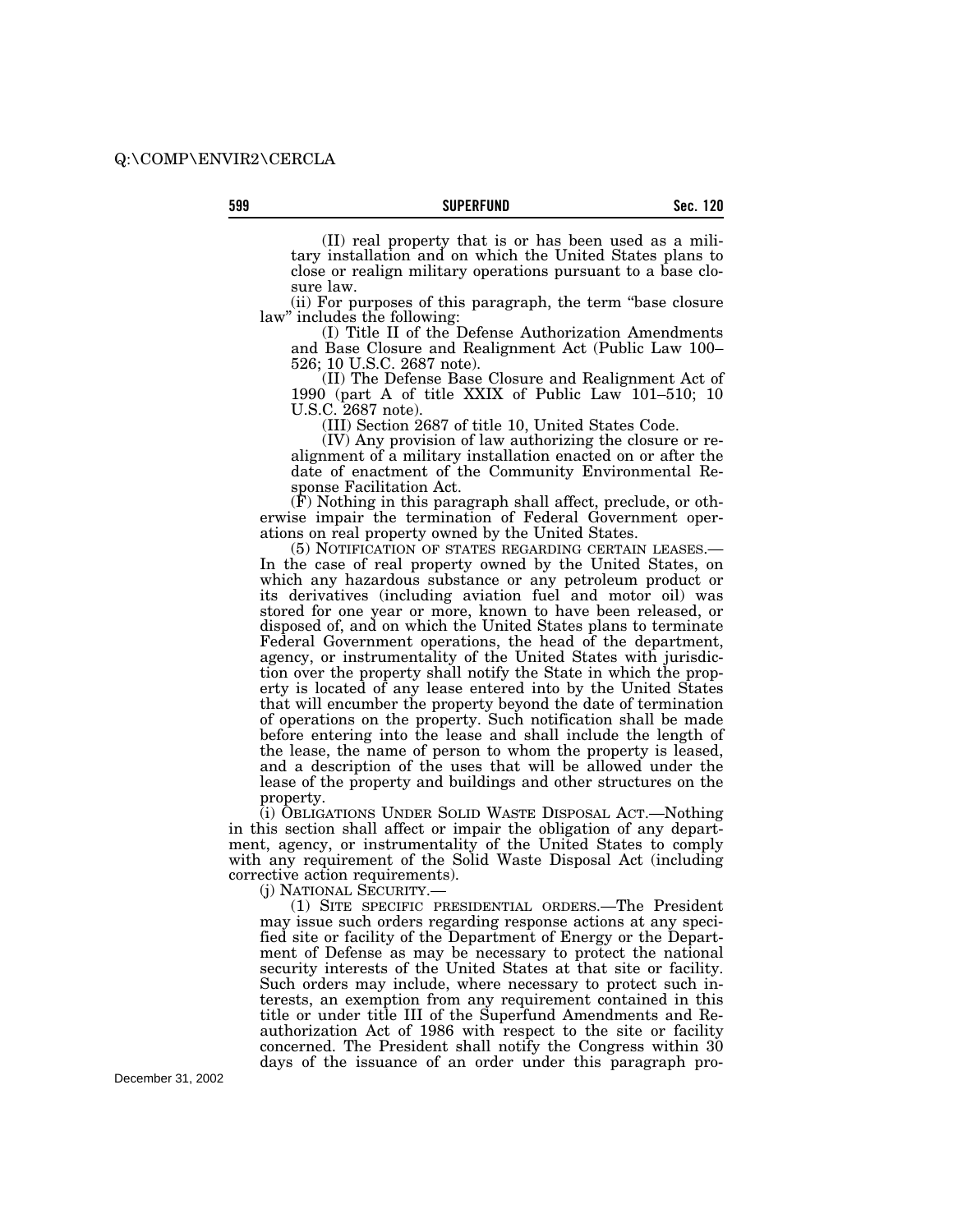(II) real property that is or has been used as a military installation and on which the United States plans to close or realign military operations pursuant to a base closure law.

(ii) For purposes of this paragraph, the term ''base closure law'' includes the following:

(I) Title II of the Defense Authorization Amendments and Base Closure and Realignment Act (Public Law 100– 526; 10 U.S.C. 2687 note).

(II) The Defense Base Closure and Realignment Act of 1990 (part A of title XXIX of Public Law 101–510; 10 U.S.C. 2687 note).

(III) Section 2687 of title 10, United States Code.

(IV) Any provision of law authorizing the closure or realignment of a military installation enacted on or after the date of enactment of the Community Environmental Response Facilitation Act.

(F) Nothing in this paragraph shall affect, preclude, or otherwise impair the termination of Federal Government operations on real property owned by the United States.

(5) NOTIFICATION OF STATES REGARDING CERTAIN LEASES.— In the case of real property owned by the United States, on which any hazardous substance or any petroleum product or its derivatives (including aviation fuel and motor oil) was stored for one year or more, known to have been released, or disposed of, and on which the United States plans to terminate Federal Government operations, the head of the department, agency, or instrumentality of the United States with jurisdiction over the property shall notify the State in which the property is located of any lease entered into by the United States that will encumber the property beyond the date of termination of operations on the property. Such notification shall be made before entering into the lease and shall include the length of the lease, the name of person to whom the property is leased, and a description of the uses that will be allowed under the lease of the property and buildings and other structures on the property.

(i) OBLIGATIONS UNDER SOLID WASTE DISPOSAL ACT.—Nothing in this section shall affect or impair the obligation of any department, agency, or instrumentality of the United States to comply with any requirement of the Solid Waste Disposal Act (including corrective action requirements).

(j) NATIONAL SECURITY.—

(1) SITE SPECIFIC PRESIDENTIAL ORDERS.—The President may issue such orders regarding response actions at any specified site or facility of the Department of Energy or the Department of Defense as may be necessary to protect the national security interests of the United States at that site or facility. Such orders may include, where necessary to protect such interests, an exemption from any requirement contained in this title or under title III of the Superfund Amendments and Reauthorization Act of 1986 with respect to the site or facility concerned. The President shall notify the Congress within 30 days of the issuance of an order under this paragraph pro-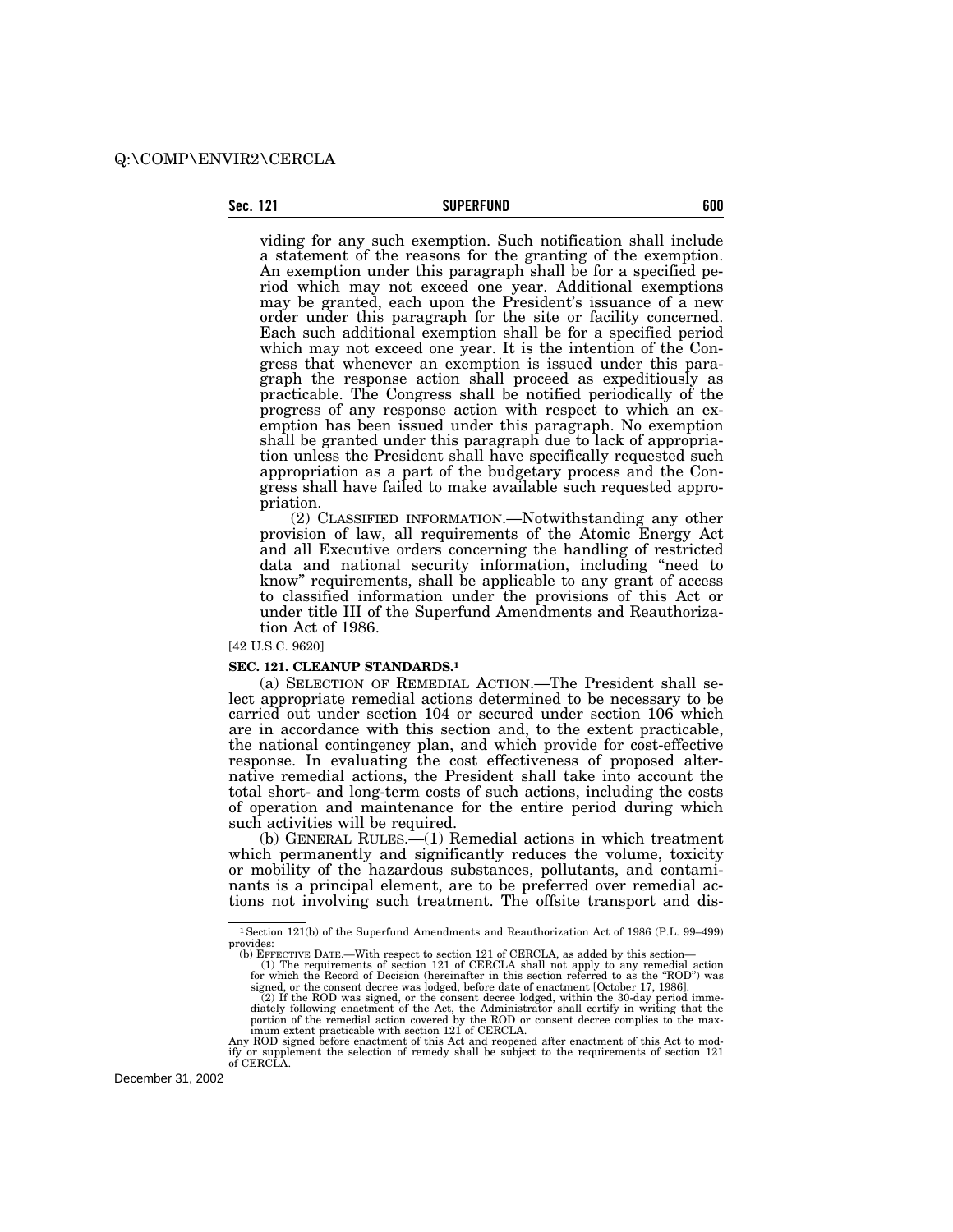## **Sec. 121 SUPERFUND 600**

viding for any such exemption. Such notification shall include a statement of the reasons for the granting of the exemption. An exemption under this paragraph shall be for a specified period which may not exceed one year. Additional exemptions may be granted, each upon the President's issuance of a new order under this paragraph for the site or facility concerned. Each such additional exemption shall be for a specified period which may not exceed one year. It is the intention of the Congress that whenever an exemption is issued under this paragraph the response action shall proceed as expeditiously as practicable. The Congress shall be notified periodically of the progress of any response action with respect to which an exemption has been issued under this paragraph. No exemption shall be granted under this paragraph due to lack of appropriation unless the President shall have specifically requested such appropriation as a part of the budgetary process and the Congress shall have failed to make available such requested appropriation.

(2) CLASSIFIED INFORMATION.—Notwithstanding any other provision of law, all requirements of the Atomic Energy Act and all Executive orders concerning the handling of restricted data and national security information, including ''need to know'' requirements, shall be applicable to any grant of access to classified information under the provisions of this Act or under title III of the Superfund Amendments and Reauthorization Act of 1986.

[42 U.S.C. 9620]

#### **SEC. 121. CLEANUP STANDARDS.1**

(a) SELECTION OF REMEDIAL ACTION.—The President shall select appropriate remedial actions determined to be necessary to be carried out under section 104 or secured under section 106 which are in accordance with this section and, to the extent practicable, the national contingency plan, and which provide for cost-effective response. In evaluating the cost effectiveness of proposed alternative remedial actions, the President shall take into account the total short- and long-term costs of such actions, including the costs of operation and maintenance for the entire period during which such activities will be required.

(b) GENERAL RULES.—(1) Remedial actions in which treatment which permanently and significantly reduces the volume, toxicity or mobility of the hazardous substances, pollutants, and contaminants is a principal element, are to be preferred over remedial actions not involving such treatment. The offsite transport and dis-

Any ROD signed before enactment of this Act and reopened after enactment of this Act to mod-ify or supplement the selection of remedy shall be subject to the requirements of section 121 of CERCLA.

<sup>1</sup>Section 121(b) of the Superfund Amendments and Reauthorization Act of 1986 (P.L. 99–499) provid

<sup>(</sup>b) EFFECTIVE DATE.—With respect to section 121 of CERCLA, as added by this section—

<sup>(1)</sup> The requirements of section 121 of CERCLA shall not apply to any remedial action<br>for which the Record of Decision (hereinafter in this section referred to as the "ROD") was<br>signed, or the consent decree was lodged, bef

<sup>(2)</sup> If the ROD was signed, or the consent decree lodged, within the 30-day period immediately following enactment of the Act, the Administrator shall certify in writing that the portion of the remedial action covered by th imum extent practicable with section 121 of CERCLA.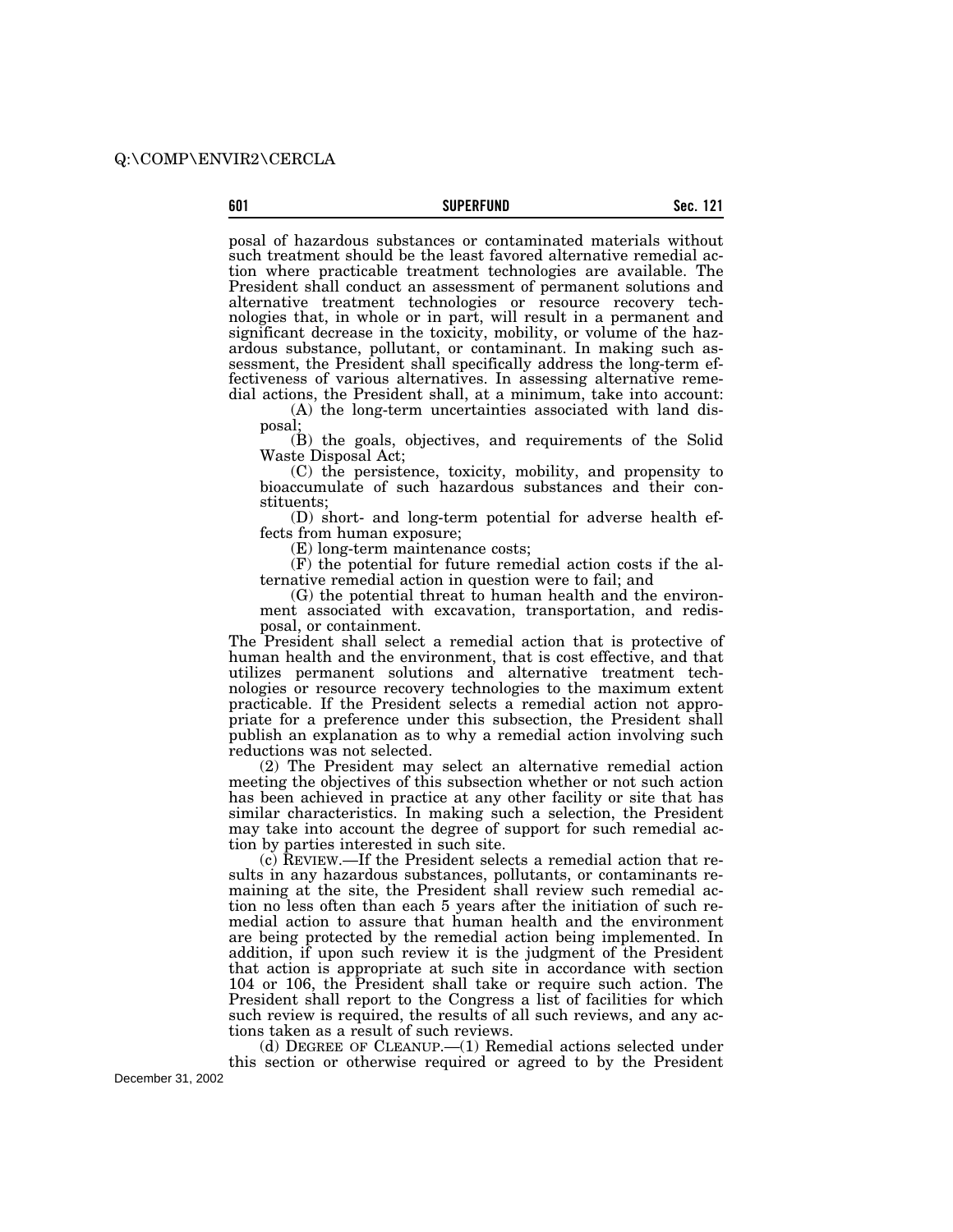**601 Sec. 121 SUPERFUND**

posal of hazardous substances or contaminated materials without such treatment should be the least favored alternative remedial action where practicable treatment technologies are available. The President shall conduct an assessment of permanent solutions and alternative treatment technologies or resource recovery technologies that, in whole or in part, will result in a permanent and significant decrease in the toxicity, mobility, or volume of the hazardous substance, pollutant, or contaminant. In making such assessment, the President shall specifically address the long-term effectiveness of various alternatives. In assessing alternative remedial actions, the President shall, at a minimum, take into account:

(A) the long-term uncertainties associated with land disposal;

(B) the goals, objectives, and requirements of the Solid Waste Disposal Act;

(C) the persistence, toxicity, mobility, and propensity to bioaccumulate of such hazardous substances and their constituents;

(D) short- and long-term potential for adverse health effects from human exposure;

(E) long-term maintenance costs;

(F) the potential for future remedial action costs if the alternative remedial action in question were to fail; and

 $(G)$  the potential threat to human health and the environment associated with excavation, transportation, and redisposal, or containment.

The President shall select a remedial action that is protective of human health and the environment, that is cost effective, and that utilizes permanent solutions and alternative treatment technologies or resource recovery technologies to the maximum extent practicable. If the President selects a remedial action not appropriate for a preference under this subsection, the President shall publish an explanation as to why a remedial action involving such reductions was not selected.

(2) The President may select an alternative remedial action meeting the objectives of this subsection whether or not such action has been achieved in practice at any other facility or site that has similar characteristics. In making such a selection, the President may take into account the degree of support for such remedial action by parties interested in such site.

(c) REVIEW.—If the President selects a remedial action that results in any hazardous substances, pollutants, or contaminants remaining at the site, the President shall review such remedial action no less often than each 5 years after the initiation of such remedial action to assure that human health and the environment are being protected by the remedial action being implemented. In addition, if upon such review it is the judgment of the President that action is appropriate at such site in accordance with section 104 or 106, the President shall take or require such action. The President shall report to the Congress a list of facilities for which such review is required, the results of all such reviews, and any actions taken as a result of such reviews.

(d) DEGREE OF CLEANUP.—(1) Remedial actions selected under this section or otherwise required or agreed to by the President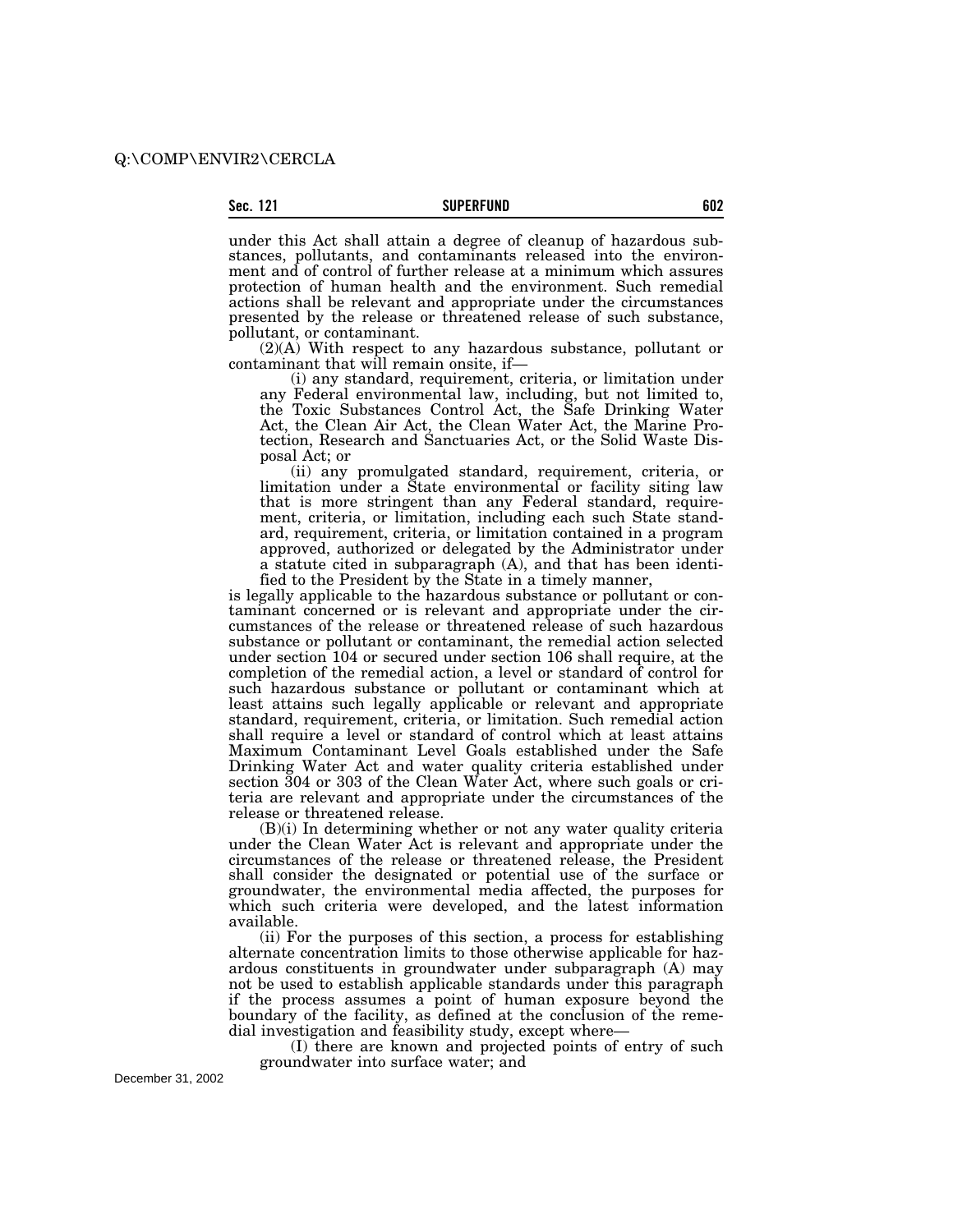under this Act shall attain a degree of cleanup of hazardous substances, pollutants, and contaminants released into the environment and of control of further release at a minimum which assures protection of human health and the environment. Such remedial actions shall be relevant and appropriate under the circumstances presented by the release or threatened release of such substance, pollutant, or contaminant.

(2)(A) With respect to any hazardous substance, pollutant or contaminant that will remain onsite, if—

(i) any standard, requirement, criteria, or limitation under any Federal environmental law, including, but not limited to, the Toxic Substances Control Act, the Safe Drinking Water Act, the Clean Air Act, the Clean Water Act, the Marine Protection, Research and Sanctuaries Act, or the Solid Waste Disposal Act; or

(ii) any promulgated standard, requirement, criteria, or limitation under a State environmental or facility siting law that is more stringent than any Federal standard, requirement, criteria, or limitation, including each such State standard, requirement, criteria, or limitation contained in a program approved, authorized or delegated by the Administrator under a statute cited in subparagraph (A), and that has been identified to the President by the State in a timely manner,

is legally applicable to the hazardous substance or pollutant or contaminant concerned or is relevant and appropriate under the circumstances of the release or threatened release of such hazardous substance or pollutant or contaminant, the remedial action selected under section 104 or secured under section 106 shall require, at the completion of the remedial action, a level or standard of control for such hazardous substance or pollutant or contaminant which at least attains such legally applicable or relevant and appropriate standard, requirement, criteria, or limitation. Such remedial action shall require a level or standard of control which at least attains Maximum Contaminant Level Goals established under the Safe Drinking Water Act and water quality criteria established under section 304 or 303 of the Clean Water Act, where such goals or criteria are relevant and appropriate under the circumstances of the release or threatened release.

(B)(i) In determining whether or not any water quality criteria under the Clean Water Act is relevant and appropriate under the circumstances of the release or threatened release, the President shall consider the designated or potential use of the surface or groundwater, the environmental media affected, the purposes for which such criteria were developed, and the latest information available.

(ii) For the purposes of this section, a process for establishing alternate concentration limits to those otherwise applicable for hazardous constituents in groundwater under subparagraph (A) may not be used to establish applicable standards under this paragraph if the process assumes a point of human exposure beyond the boundary of the facility, as defined at the conclusion of the remedial investigation and feasibility study, except where—

(I) there are known and projected points of entry of such groundwater into surface water; and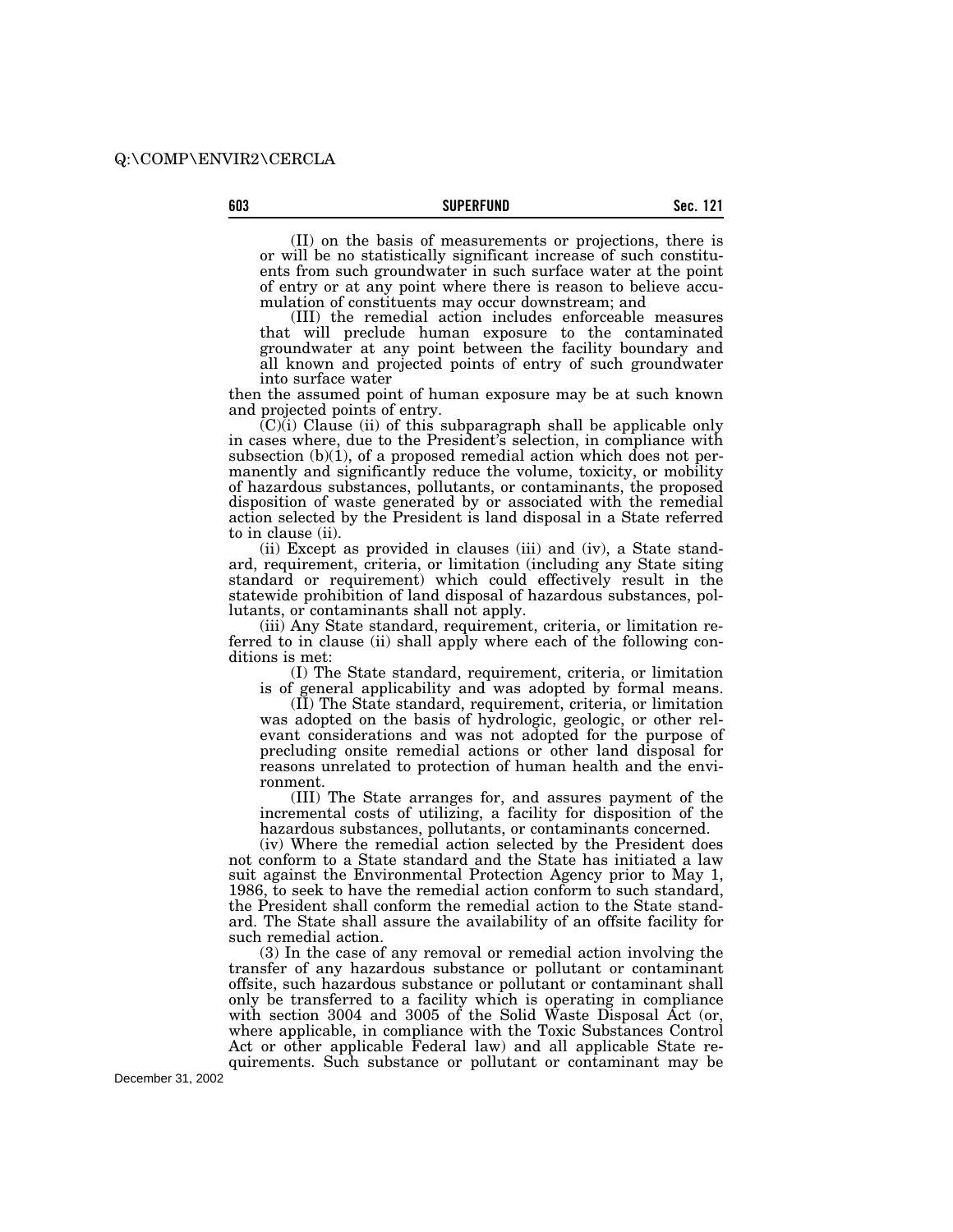(II) on the basis of measurements or projections, there is or will be no statistically significant increase of such constituents from such groundwater in such surface water at the point of entry or at any point where there is reason to believe accumulation of constituents may occur downstream; and

(III) the remedial action includes enforceable measures that will preclude human exposure to the contaminated groundwater at any point between the facility boundary and all known and projected points of entry of such groundwater into surface water

then the assumed point of human exposure may be at such known and projected points of entry.

 $(C)$ (i) Clause (ii) of this subparagraph shall be applicable only in cases where, due to the President's selection, in compliance with subsection  $(b)(1)$ , of a proposed remedial action which does not permanently and significantly reduce the volume, toxicity, or mobility of hazardous substances, pollutants, or contaminants, the proposed disposition of waste generated by or associated with the remedial action selected by the President is land disposal in a State referred to in clause (ii).

(ii) Except as provided in clauses (iii) and (iv), a State standard, requirement, criteria, or limitation (including any State siting standard or requirement) which could effectively result in the statewide prohibition of land disposal of hazardous substances, pollutants, or contaminants shall not apply.

(iii) Any State standard, requirement, criteria, or limitation referred to in clause (ii) shall apply where each of the following conditions is met:

(I) The State standard, requirement, criteria, or limitation is of general applicability and was adopted by formal means.

(II) The State standard, requirement, criteria, or limitation was adopted on the basis of hydrologic, geologic, or other relevant considerations and was not adopted for the purpose of precluding onsite remedial actions or other land disposal for reasons unrelated to protection of human health and the environment.

(III) The State arranges for, and assures payment of the incremental costs of utilizing, a facility for disposition of the hazardous substances, pollutants, or contaminants concerned.

(iv) Where the remedial action selected by the President does not conform to a State standard and the State has initiated a law suit against the Environmental Protection Agency prior to May 1, 1986, to seek to have the remedial action conform to such standard, the President shall conform the remedial action to the State standard. The State shall assure the availability of an offsite facility for such remedial action.

(3) In the case of any removal or remedial action involving the transfer of any hazardous substance or pollutant or contaminant offsite, such hazardous substance or pollutant or contaminant shall only be transferred to a facility which is operating in compliance with section 3004 and 3005 of the Solid Waste Disposal Act (or, where applicable, in compliance with the Toxic Substances Control Act or other applicable Federal law) and all applicable State requirements. Such substance or pollutant or contaminant may be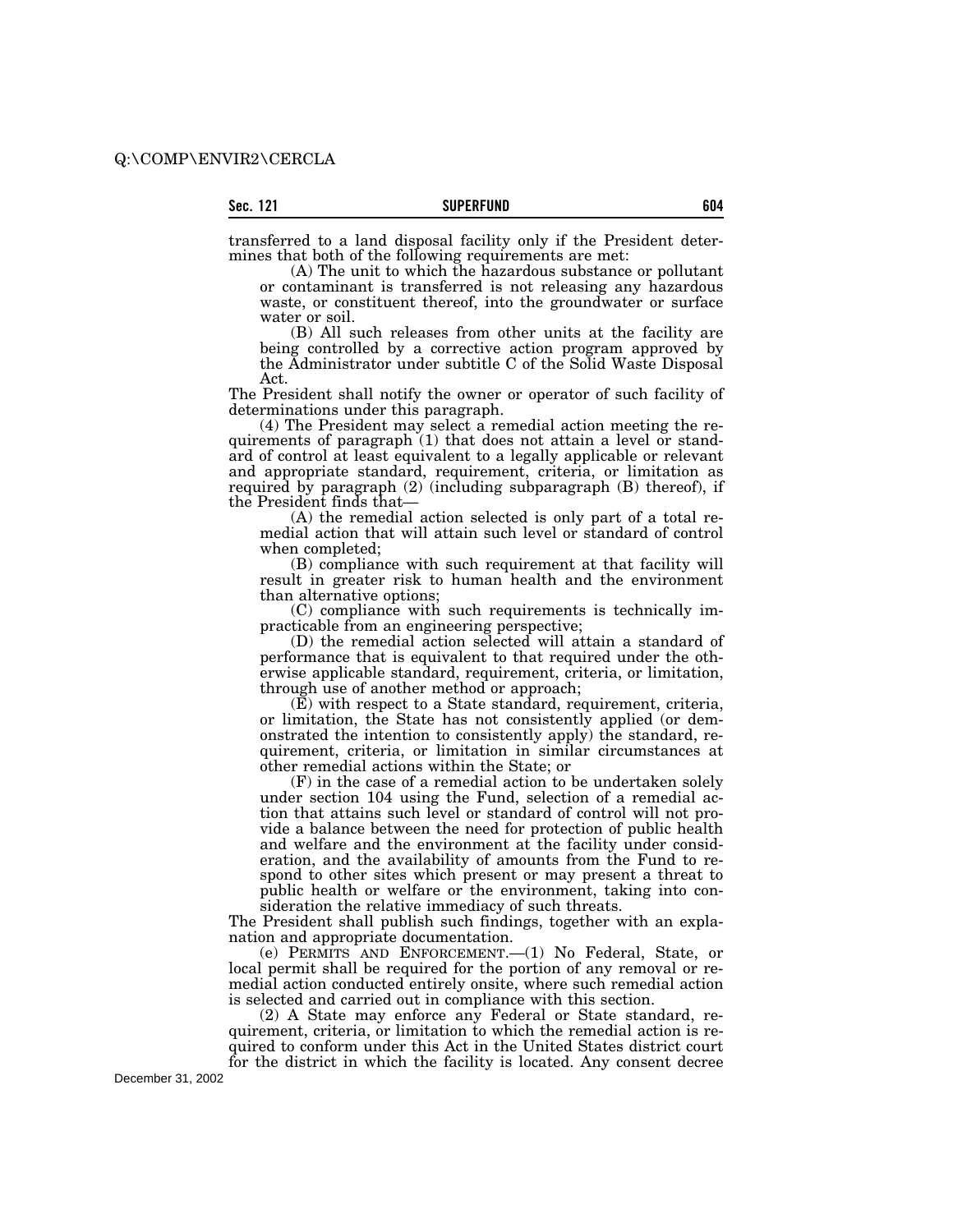transferred to a land disposal facility only if the President determines that both of the following requirements are met:

(A) The unit to which the hazardous substance or pollutant or contaminant is transferred is not releasing any hazardous waste, or constituent thereof, into the groundwater or surface water or soil.

(B) All such releases from other units at the facility are being controlled by a corrective action program approved by the Administrator under subtitle C of the Solid Waste Disposal Act.

The President shall notify the owner or operator of such facility of determinations under this paragraph.

(4) The President may select a remedial action meeting the requirements of paragraph (1) that does not attain a level or standard of control at least equivalent to a legally applicable or relevant and appropriate standard, requirement, criteria, or limitation as required by paragraph (2) (including subparagraph (B) thereof), if the President finds that—

(A) the remedial action selected is only part of a total remedial action that will attain such level or standard of control when completed;

(B) compliance with such requirement at that facility will result in greater risk to human health and the environment than alternative options;

(C) compliance with such requirements is technically impracticable from an engineering perspective;

(D) the remedial action selected will attain a standard of performance that is equivalent to that required under the otherwise applicable standard, requirement, criteria, or limitation, through use of another method or approach;

(E) with respect to a State standard, requirement, criteria, or limitation, the State has not consistently applied (or demonstrated the intention to consistently apply) the standard, requirement, criteria, or limitation in similar circumstances at other remedial actions within the State; or

(F) in the case of a remedial action to be undertaken solely under section 104 using the Fund, selection of a remedial action that attains such level or standard of control will not provide a balance between the need for protection of public health and welfare and the environment at the facility under consideration, and the availability of amounts from the Fund to respond to other sites which present or may present a threat to public health or welfare or the environment, taking into consideration the relative immediacy of such threats.

The President shall publish such findings, together with an explanation and appropriate documentation.

(e) PERMITS AND ENFORCEMENT.—(1) No Federal, State, or local permit shall be required for the portion of any removal or remedial action conducted entirely onsite, where such remedial action is selected and carried out in compliance with this section.

(2) A State may enforce any Federal or State standard, requirement, criteria, or limitation to which the remedial action is required to conform under this Act in the United States district court for the district in which the facility is located. Any consent decree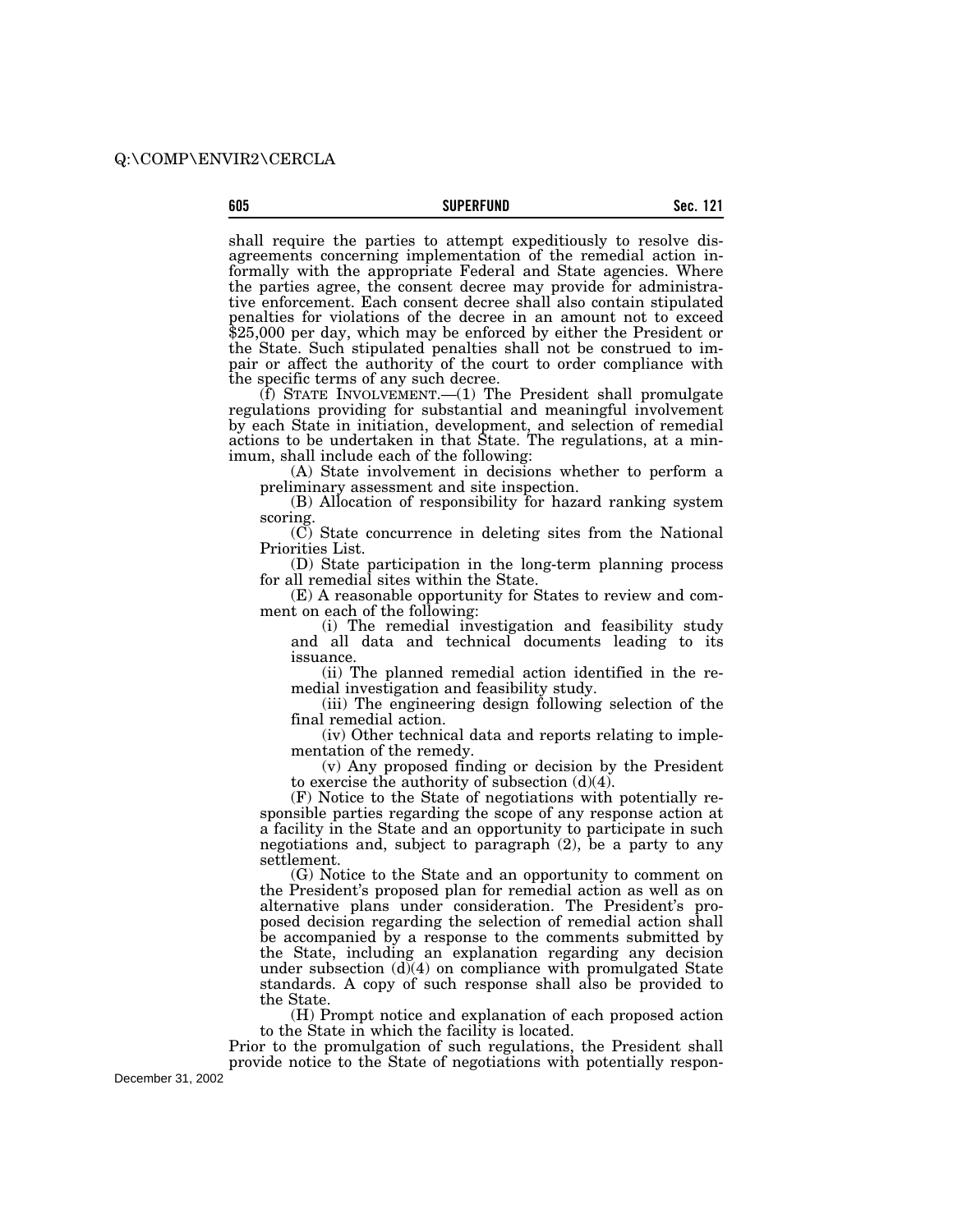shall require the parties to attempt expeditiously to resolve disagreements concerning implementation of the remedial action informally with the appropriate Federal and State agencies. Where the parties agree, the consent decree may provide for administrative enforcement. Each consent decree shall also contain stipulated penalties for violations of the decree in an amount not to exceed \$25,000 per day, which may be enforced by either the President or the State. Such stipulated penalties shall not be construed to impair or affect the authority of the court to order compliance with the specific terms of any such decree.

(f) STATE INVOLVEMENT.—(1) The President shall promulgate regulations providing for substantial and meaningful involvement by each State in initiation, development, and selection of remedial actions to be undertaken in that State. The regulations, at a minimum, shall include each of the following:

(A) State involvement in decisions whether to perform a preliminary assessment and site inspection.

(B) Allocation of responsibility for hazard ranking system scoring.

(C) State concurrence in deleting sites from the National Priorities List.

(D) State participation in the long-term planning process for all remedial sites within the State.

(E) A reasonable opportunity for States to review and comment on each of the following:

(i) The remedial investigation and feasibility study and all data and technical documents leading to its issuance.

(ii) The planned remedial action identified in the remedial investigation and feasibility study.

(iii) The engineering design following selection of the final remedial action.

(iv) Other technical data and reports relating to implementation of the remedy.

(v) Any proposed finding or decision by the President to exercise the authority of subsection  $(d)(4)$ .

(F) Notice to the State of negotiations with potentially responsible parties regarding the scope of any response action at a facility in the State and an opportunity to participate in such negotiations and, subject to paragraph (2), be a party to any settlement.

(G) Notice to the State and an opportunity to comment on the President's proposed plan for remedial action as well as on alternative plans under consideration. The President's proposed decision regarding the selection of remedial action shall be accompanied by a response to the comments submitted by the State, including an explanation regarding any decision under subsection  $(d)(4)$  on compliance with promulgated State standards. A copy of such response shall also be provided to the State.

(H) Prompt notice and explanation of each proposed action to the State in which the facility is located.

Prior to the promulgation of such regulations, the President shall provide notice to the State of negotiations with potentially respon-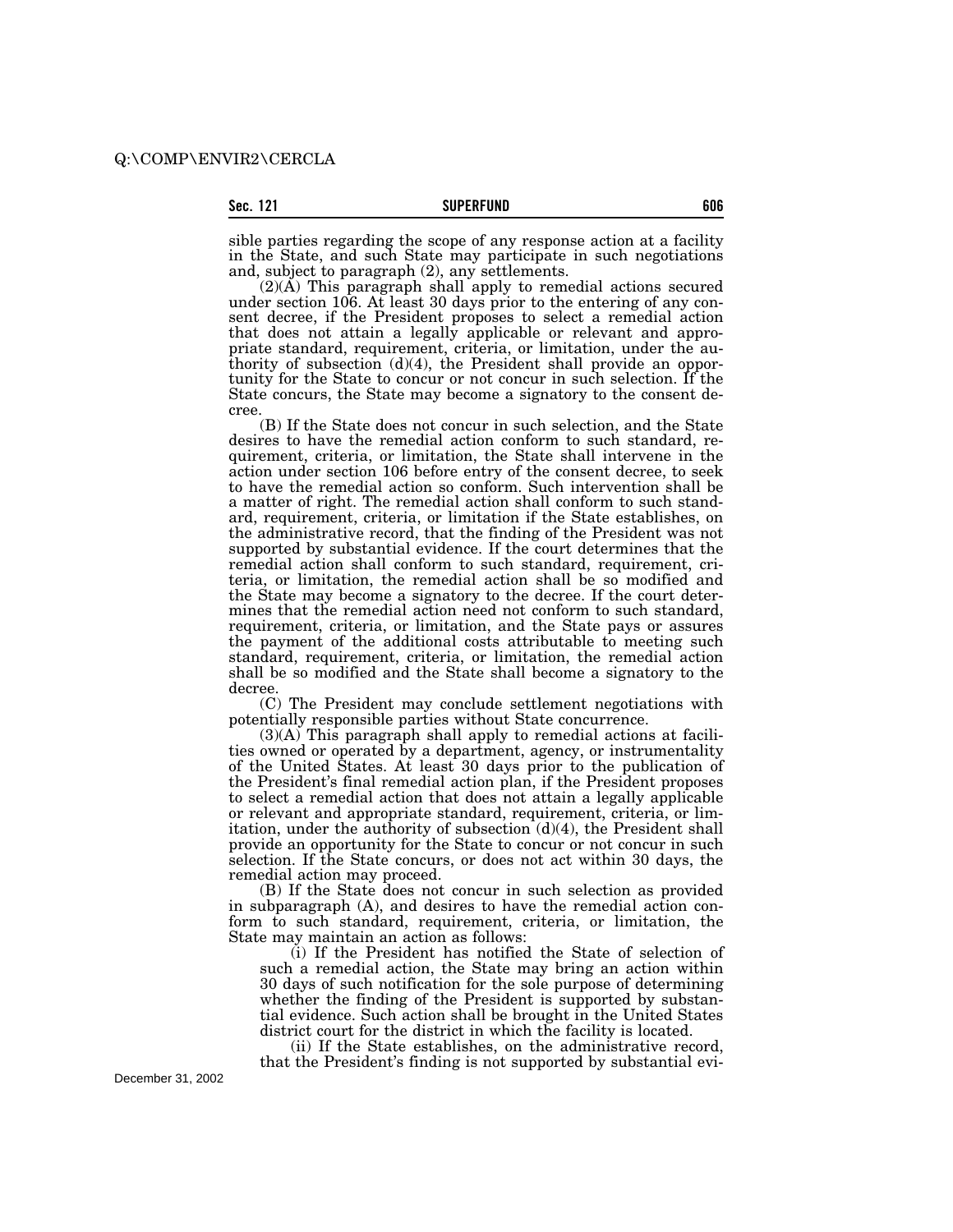sible parties regarding the scope of any response action at a facility in the State, and such State may participate in such negotiations and, subject to paragraph (2), any settlements.

(2)(A) This paragraph shall apply to remedial actions secured under section 106. At least 30 days prior to the entering of any consent decree, if the President proposes to select a remedial action that does not attain a legally applicable or relevant and appropriate standard, requirement, criteria, or limitation, under the authority of subsection  $(d)(4)$ , the President shall provide an opportunity for the State to concur or not concur in such selection. If the State concurs, the State may become a signatory to the consent decree.

(B) If the State does not concur in such selection, and the State desires to have the remedial action conform to such standard, requirement, criteria, or limitation, the State shall intervene in the action under section 106 before entry of the consent decree, to seek to have the remedial action so conform. Such intervention shall be a matter of right. The remedial action shall conform to such standard, requirement, criteria, or limitation if the State establishes, on the administrative record, that the finding of the President was not supported by substantial evidence. If the court determines that the remedial action shall conform to such standard, requirement, criteria, or limitation, the remedial action shall be so modified and the State may become a signatory to the decree. If the court determines that the remedial action need not conform to such standard, requirement, criteria, or limitation, and the State pays or assures the payment of the additional costs attributable to meeting such standard, requirement, criteria, or limitation, the remedial action shall be so modified and the State shall become a signatory to the decree.

(C) The President may conclude settlement negotiations with potentially responsible parties without State concurrence.

(3)(A) This paragraph shall apply to remedial actions at facilities owned or operated by a department, agency, or instrumentality of the United States. At least 30 days prior to the publication of the President's final remedial action plan, if the President proposes to select a remedial action that does not attain a legally applicable or relevant and appropriate standard, requirement, criteria, or limitation, under the authority of subsection (d)(4), the President shall provide an opportunity for the State to concur or not concur in such selection. If the State concurs, or does not act within 30 days, the remedial action may proceed.

(B) If the State does not concur in such selection as provided in subparagraph (A), and desires to have the remedial action conform to such standard, requirement, criteria, or limitation, the State may maintain an action as follows:

(i) If the President has notified the State of selection of such a remedial action, the State may bring an action within 30 days of such notification for the sole purpose of determining whether the finding of the President is supported by substantial evidence. Such action shall be brought in the United States district court for the district in which the facility is located.

(ii) If the State establishes, on the administrative record, that the President's finding is not supported by substantial evi-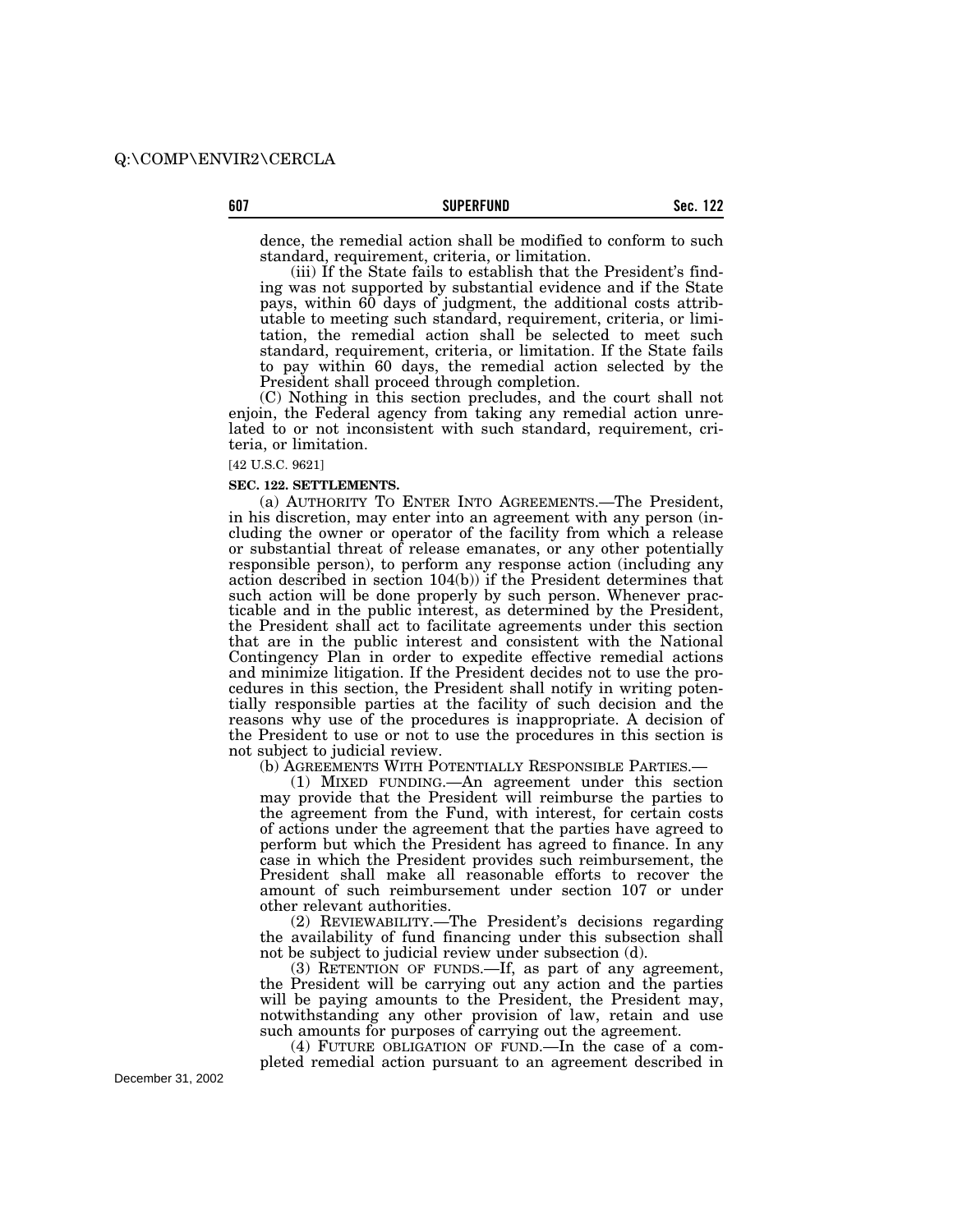dence, the remedial action shall be modified to conform to such standard, requirement, criteria, or limitation.

(iii) If the State fails to establish that the President's finding was not supported by substantial evidence and if the State pays, within 60 days of judgment, the additional costs attributable to meeting such standard, requirement, criteria, or limitation, the remedial action shall be selected to meet such standard, requirement, criteria, or limitation. If the State fails to pay within 60 days, the remedial action selected by the President shall proceed through completion.

(C) Nothing in this section precludes, and the court shall not enjoin, the Federal agency from taking any remedial action unrelated to or not inconsistent with such standard, requirement, criteria, or limitation.

[42 U.S.C. 9621]

### **SEC. 122. SETTLEMENTS.**

(a) AUTHORITY TO ENTER INTO AGREEMENTS.—The President, in his discretion, may enter into an agreement with any person (including the owner or operator of the facility from which a release or substantial threat of release emanates, or any other potentially responsible person), to perform any response action (including any action described in section 104(b)) if the President determines that such action will be done properly by such person. Whenever practicable and in the public interest, as determined by the President, the President shall act to facilitate agreements under this section that are in the public interest and consistent with the National Contingency Plan in order to expedite effective remedial actions and minimize litigation. If the President decides not to use the procedures in this section, the President shall notify in writing potentially responsible parties at the facility of such decision and the reasons why use of the procedures is inappropriate. A decision of the President to use or not to use the procedures in this section is not subject to judicial review.

(b) AGREEMENTS WITH POTENTIALLY RESPONSIBLE PARTIES.—

(1) MIXED FUNDING.—An agreement under this section may provide that the President will reimburse the parties to the agreement from the Fund, with interest, for certain costs of actions under the agreement that the parties have agreed to perform but which the President has agreed to finance. In any case in which the President provides such reimbursement, the President shall make all reasonable efforts to recover the amount of such reimbursement under section 107 or under other relevant authorities.

(2) REVIEWABILITY.—The President's decisions regarding the availability of fund financing under this subsection shall not be subject to judicial review under subsection (d).

(3) RETENTION OF FUNDS.—If, as part of any agreement, the President will be carrying out any action and the parties will be paying amounts to the President, the President may, notwithstanding any other provision of law, retain and use such amounts for purposes of carrying out the agreement.

(4) FUTURE OBLIGATION OF FUND.—In the case of a completed remedial action pursuant to an agreement described in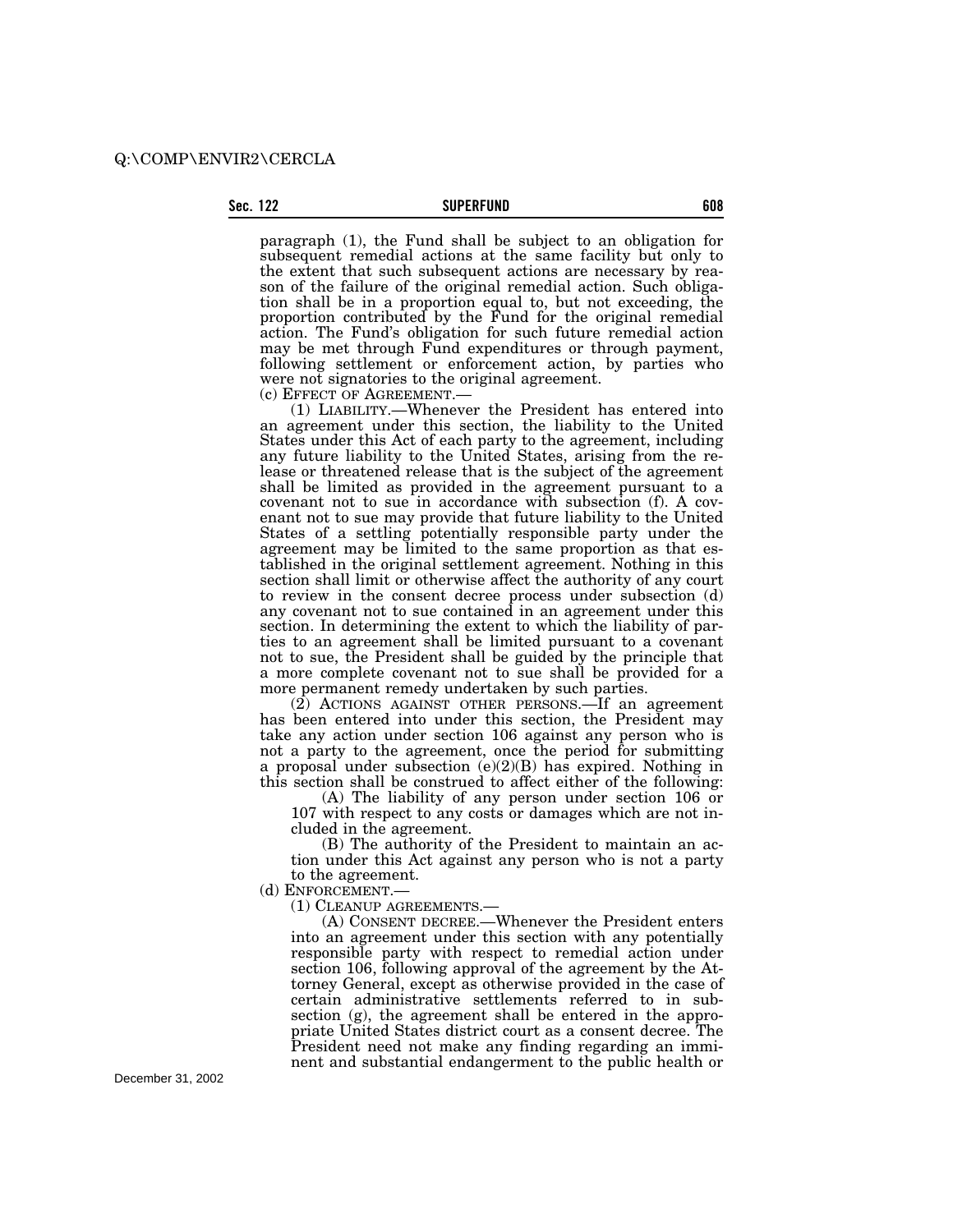paragraph (1), the Fund shall be subject to an obligation for subsequent remedial actions at the same facility but only to the extent that such subsequent actions are necessary by reason of the failure of the original remedial action. Such obligation shall be in a proportion equal to, but not exceeding, the proportion contributed by the Fund for the original remedial action. The Fund's obligation for such future remedial action may be met through Fund expenditures or through payment, following settlement or enforcement action, by parties who were not signatories to the original agreement.<br>(c) EFFECT OF AGREEMENT.—

(1) LIABILITY.—Whenever the President has entered into an agreement under this section, the liability to the United States under this Act of each party to the agreement, including any future liability to the United States, arising from the release or threatened release that is the subject of the agreement shall be limited as provided in the agreement pursuant to a covenant not to sue in accordance with subsection (f). A covenant not to sue may provide that future liability to the United States of a settling potentially responsible party under the agreement may be limited to the same proportion as that established in the original settlement agreement. Nothing in this section shall limit or otherwise affect the authority of any court to review in the consent decree process under subsection (d) any covenant not to sue contained in an agreement under this section. In determining the extent to which the liability of parties to an agreement shall be limited pursuant to a covenant not to sue, the President shall be guided by the principle that a more complete covenant not to sue shall be provided for a more permanent remedy undertaken by such parties.

(2) ACTIONS AGAINST OTHER PERSONS.—If an agreement has been entered into under this section, the President may take any action under section 106 against any person who is not a party to the agreement, once the period for submitting a proposal under subsection (e)(2)(B) has expired. Nothing in this section shall be construed to affect either of the following:

(A) The liability of any person under section 106 or 107 with respect to any costs or damages which are not included in the agreement.

(B) The authority of the President to maintain an action under this Act against any person who is not a party to the agreement.

(d) ENFORCEMENT.—

(1) CLEANUP AGREEMENTS.—

(A) CONSENT DECREE.—Whenever the President enters into an agreement under this section with any potentially responsible party with respect to remedial action under section 106, following approval of the agreement by the Attorney General, except as otherwise provided in the case of certain administrative settlements referred to in subsection (g), the agreement shall be entered in the appropriate United States district court as a consent decree. The President need not make any finding regarding an imminent and substantial endangerment to the public health or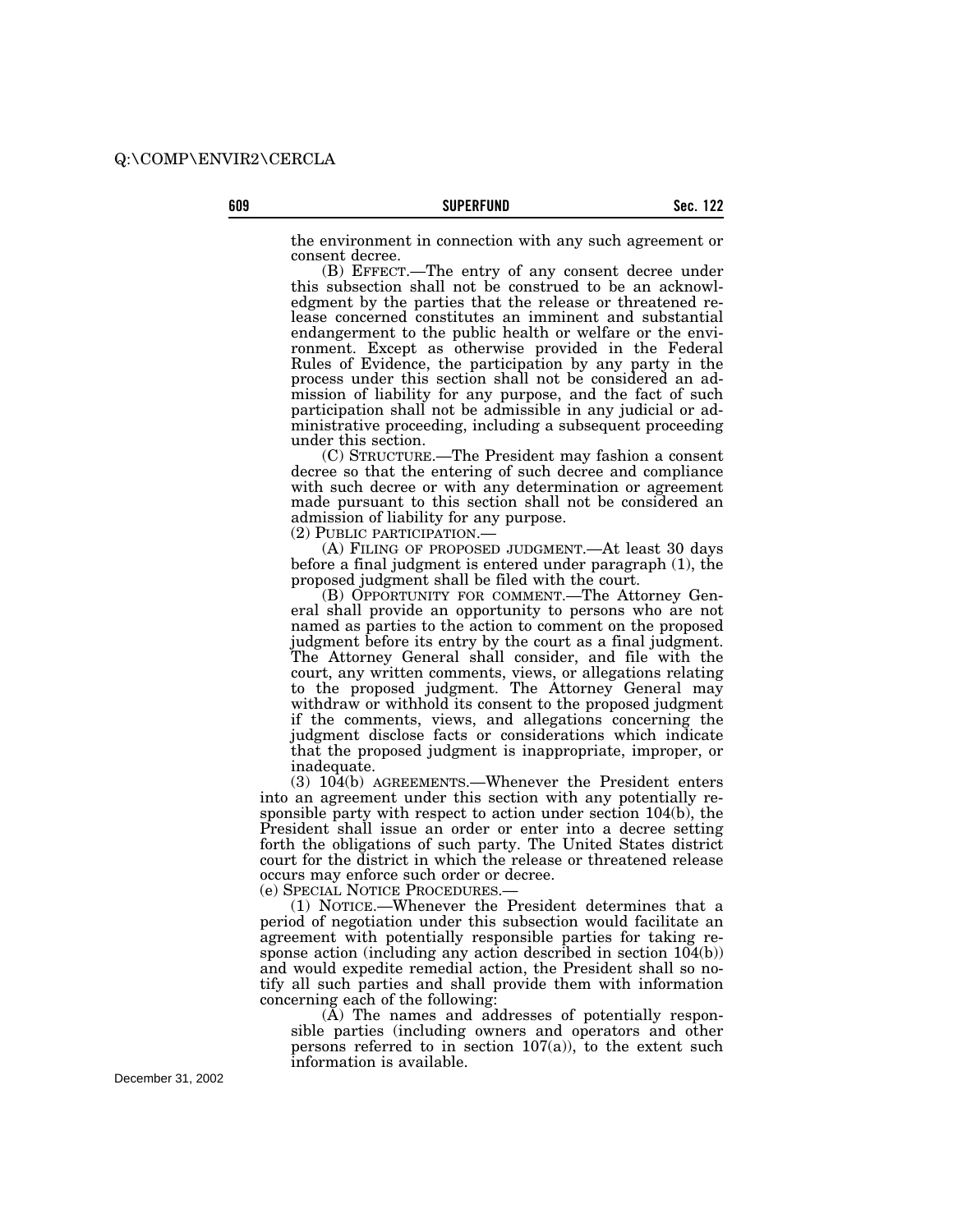the environment in connection with any such agreement or consent decree.

(B) EFFECT.—The entry of any consent decree under this subsection shall not be construed to be an acknowledgment by the parties that the release or threatened release concerned constitutes an imminent and substantial endangerment to the public health or welfare or the environment. Except as otherwise provided in the Federal Rules of Evidence, the participation by any party in the process under this section shall not be considered an admission of liability for any purpose, and the fact of such participation shall not be admissible in any judicial or administrative proceeding, including a subsequent proceeding under this section.

(C) STRUCTURE.—The President may fashion a consent decree so that the entering of such decree and compliance with such decree or with any determination or agreement made pursuant to this section shall not be considered an admission of liability for any purpose.<br>(2) PUBLIC PARTICIPATION.—

 $(A)$  FILING OF PROPOSED JUDGMENT.—At least 30 days before a final judgment is entered under paragraph (1), the proposed judgment shall be filed with the court.

(B) OPPORTUNITY FOR COMMENT.—The Attorney General shall provide an opportunity to persons who are not named as parties to the action to comment on the proposed judgment before its entry by the court as a final judgment. The Attorney General shall consider, and file with the court, any written comments, views, or allegations relating to the proposed judgment. The Attorney General may withdraw or withhold its consent to the proposed judgment if the comments, views, and allegations concerning the judgment disclose facts or considerations which indicate that the proposed judgment is inappropriate, improper, or inadequate.

(3) 104(b) AGREEMENTS.—Whenever the President enters into an agreement under this section with any potentially responsible party with respect to action under section 104(b), the President shall issue an order or enter into a decree setting forth the obligations of such party. The United States district court for the district in which the release or threatened release occurs may enforce such order or decree.

(e) SPECIAL NOTICE PROCEDURES.—

(1) NOTICE.—Whenever the President determines that a period of negotiation under this subsection would facilitate an agreement with potentially responsible parties for taking response action (including any action described in section  $104(b)$ ) and would expedite remedial action, the President shall so notify all such parties and shall provide them with information concerning each of the following:

(A) The names and addresses of potentially responsible parties (including owners and operators and other persons referred to in section  $107(a)$ , to the extent such information is available.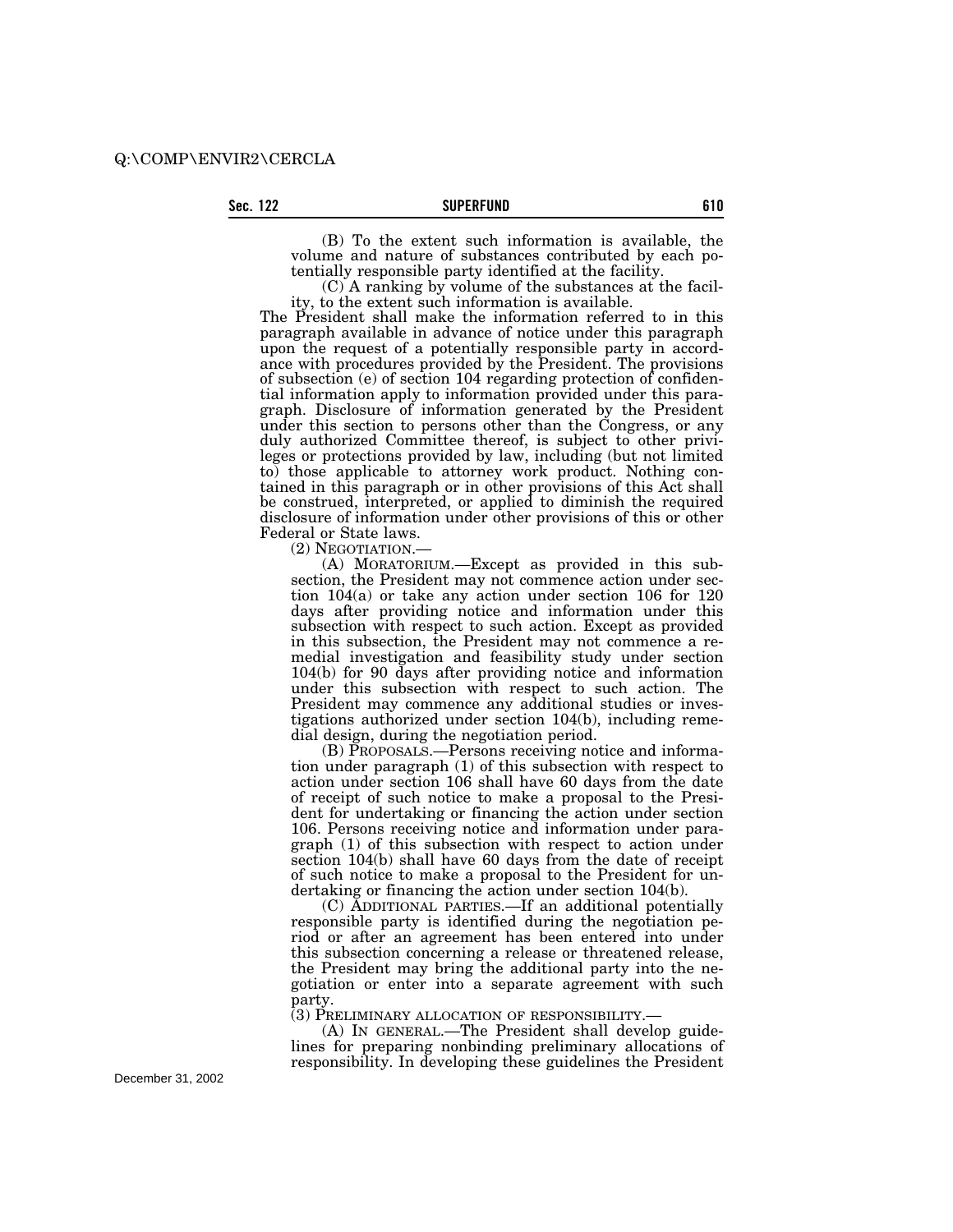(B) To the extent such information is available, the volume and nature of substances contributed by each potentially responsible party identified at the facility.

(C) A ranking by volume of the substances at the facility, to the extent such information is available.

The President shall make the information referred to in this paragraph available in advance of notice under this paragraph upon the request of a potentially responsible party in accordance with procedures provided by the President. The provisions of subsection (e) of section 104 regarding protection of confidential information apply to information provided under this paragraph. Disclosure of information generated by the President under this section to persons other than the Congress, or any duly authorized Committee thereof, is subject to other privileges or protections provided by law, including (but not limited to) those applicable to attorney work product. Nothing contained in this paragraph or in other provisions of this Act shall be construed, interpreted, or applied to diminish the required disclosure of information under other provisions of this or other Federal or State laws.

(2) NEGOTIATION.— (A) MORATORIUM.—Except as provided in this subsection, the President may not commence action under section 104(a) or take any action under section 106 for 120 days after providing notice and information under this subsection with respect to such action. Except as provided in this subsection, the President may not commence a remedial investigation and feasibility study under section 104(b) for 90 days after providing notice and information under this subsection with respect to such action. The President may commence any additional studies or investigations authorized under section 104(b), including remedial design, during the negotiation period.

(B) PROPOSALS.—Persons receiving notice and information under paragraph (1) of this subsection with respect to action under section 106 shall have 60 days from the date of receipt of such notice to make a proposal to the President for undertaking or financing the action under section 106. Persons receiving notice and information under paragraph (1) of this subsection with respect to action under section 104(b) shall have 60 days from the date of receipt of such notice to make a proposal to the President for undertaking or financing the action under section 104(b).

(C) ADDITIONAL PARTIES.—If an additional potentially responsible party is identified during the negotiation period or after an agreement has been entered into under this subsection concerning a release or threatened release, the President may bring the additional party into the negotiation or enter into a separate agreement with such party.

(3) PRELIMINARY ALLOCATION OF RESPONSIBILITY.—

(A) IN GENERAL.—The President shall develop guidelines for preparing nonbinding preliminary allocations of responsibility. In developing these guidelines the President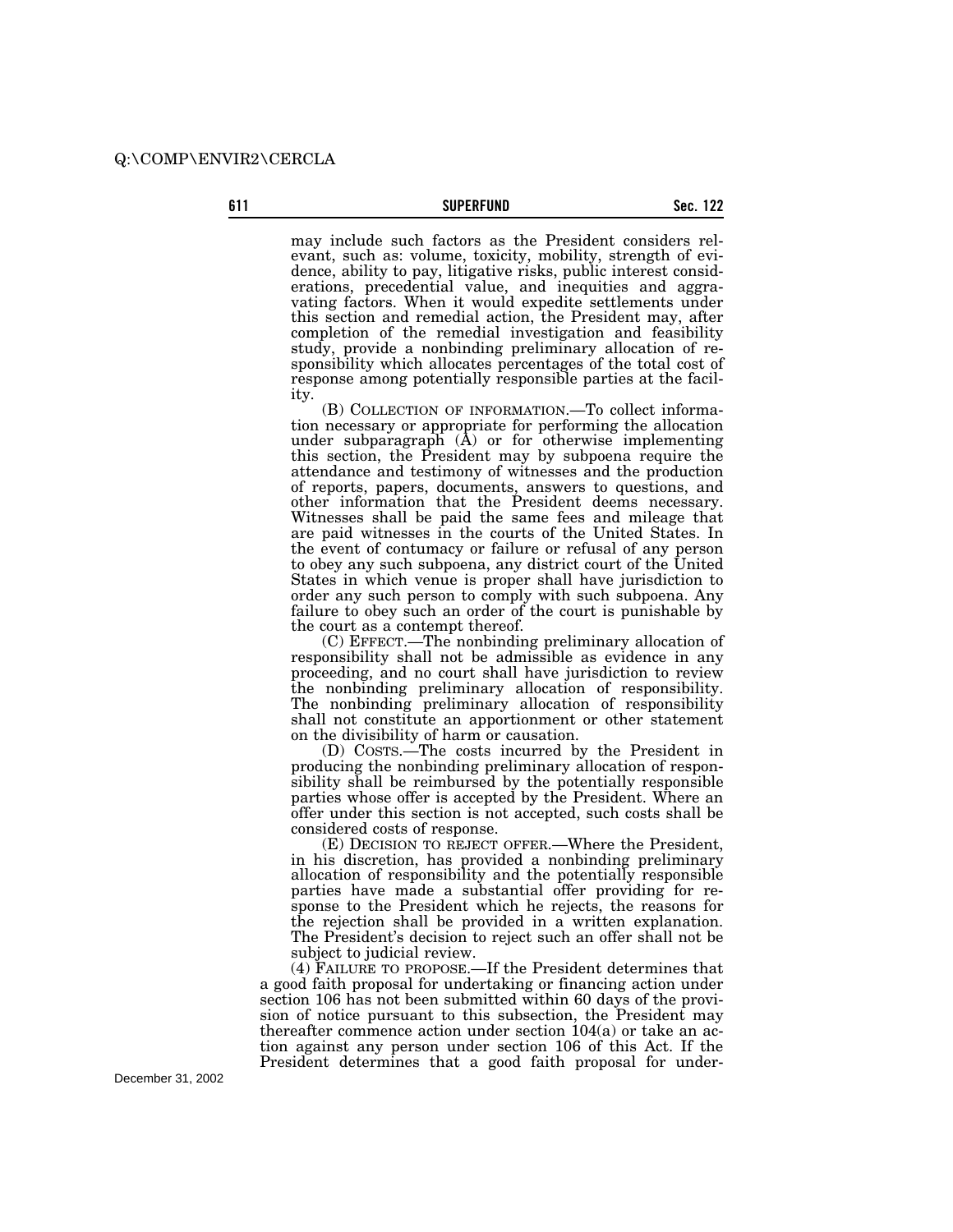may include such factors as the President considers relevant, such as: volume, toxicity, mobility, strength of evidence, ability to pay, litigative risks, public interest considerations, precedential value, and inequities and aggravating factors. When it would expedite settlements under this section and remedial action, the President may, after completion of the remedial investigation and feasibility study, provide a nonbinding preliminary allocation of responsibility which allocates percentages of the total cost of response among potentially responsible parties at the facility.

(B) COLLECTION OF INFORMATION.—To collect information necessary or appropriate for performing the allocation under subparagraph (A) or for otherwise implementing this section, the President may by subpoena require the attendance and testimony of witnesses and the production of reports, papers, documents, answers to questions, and other information that the President deems necessary. Witnesses shall be paid the same fees and mileage that are paid witnesses in the courts of the United States. In the event of contumacy or failure or refusal of any person to obey any such subpoena, any district court of the United States in which venue is proper shall have jurisdiction to order any such person to comply with such subpoena. Any failure to obey such an order of the court is punishable by the court as a contempt thereof.

(C) EFFECT.—The nonbinding preliminary allocation of responsibility shall not be admissible as evidence in any proceeding, and no court shall have jurisdiction to review the nonbinding preliminary allocation of responsibility. The nonbinding preliminary allocation of responsibility shall not constitute an apportionment or other statement on the divisibility of harm or causation.

(D) COSTS.—The costs incurred by the President in producing the nonbinding preliminary allocation of responsibility shall be reimbursed by the potentially responsible parties whose offer is accepted by the President. Where an offer under this section is not accepted, such costs shall be considered costs of response.

(E) DECISION TO REJECT OFFER.—Where the President, in his discretion, has provided a nonbinding preliminary allocation of responsibility and the potentially responsible parties have made a substantial offer providing for response to the President which he rejects, the reasons for the rejection shall be provided in a written explanation. The President's decision to reject such an offer shall not be subject to judicial review.

(4) FAILURE TO PROPOSE.—If the President determines that a good faith proposal for undertaking or financing action under section 106 has not been submitted within 60 days of the provision of notice pursuant to this subsection, the President may thereafter commence action under section 104(a) or take an action against any person under section 106 of this Act. If the President determines that a good faith proposal for under-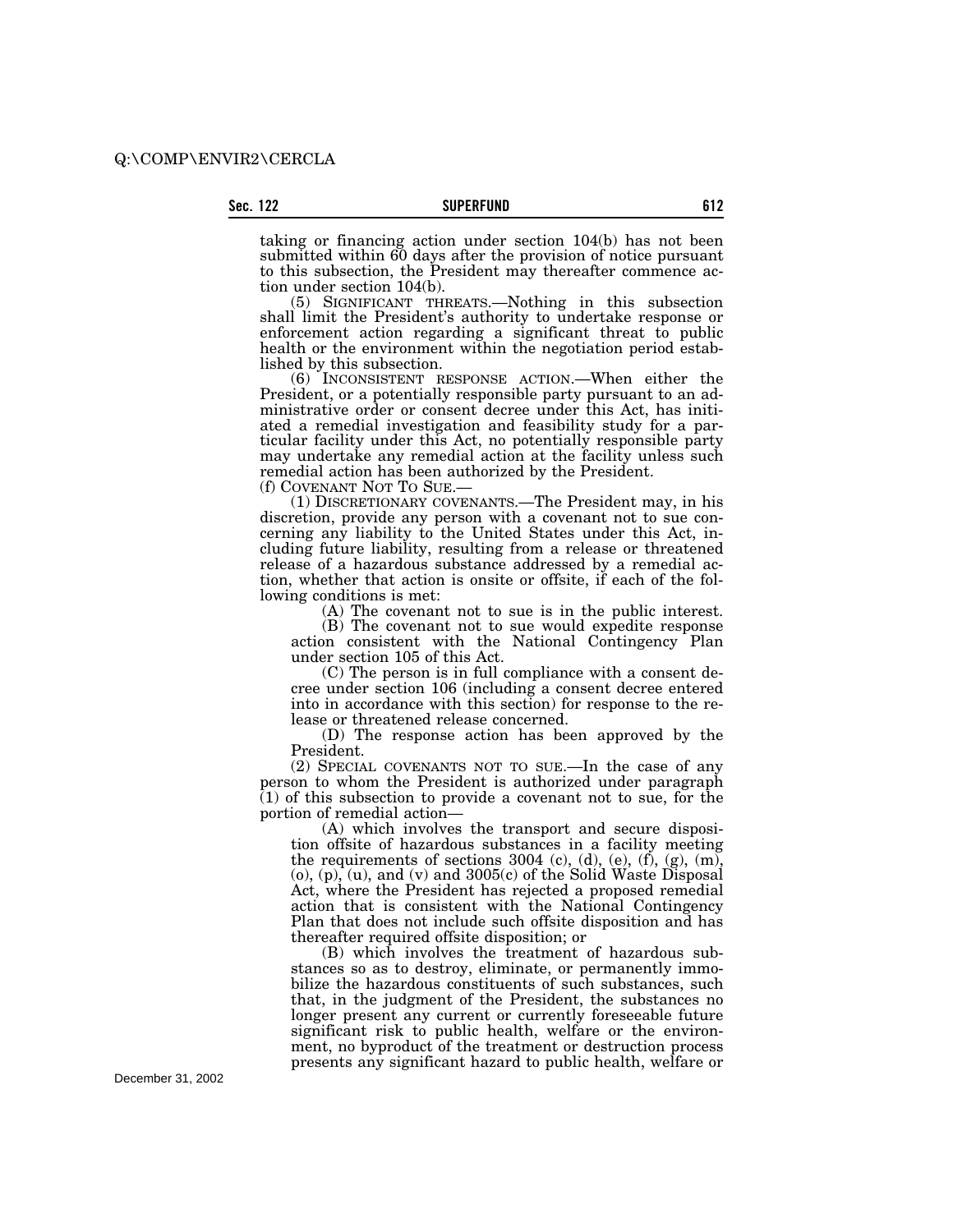taking or financing action under section 104(b) has not been submitted within 60 days after the provision of notice pursuant to this subsection, the President may thereafter commence action under section 104(b).

(5) SIGNIFICANT THREATS.—Nothing in this subsection shall limit the President's authority to undertake response or enforcement action regarding a significant threat to public health or the environment within the negotiation period established by this subsection.

(6) INCONSISTENT RESPONSE ACTION.—When either the President, or a potentially responsible party pursuant to an administrative order or consent decree under this Act, has initiated a remedial investigation and feasibility study for a particular facility under this Act, no potentially responsible party may undertake any remedial action at the facility unless such remedial action has been authorized by the President.

(f) COVENANT NOT TO SUE.— (1) DISCRETIONARY COVENANTS.—The President may, in his discretion, provide any person with a covenant not to sue concerning any liability to the United States under this Act, including future liability, resulting from a release or threatened release of a hazardous substance addressed by a remedial action, whether that action is onsite or offsite, if each of the following conditions is met:

(A) The covenant not to sue is in the public interest.

(B) The covenant not to sue would expedite response action consistent with the National Contingency Plan under section 105 of this Act.

(C) The person is in full compliance with a consent decree under section 106 (including a consent decree entered into in accordance with this section) for response to the release or threatened release concerned.

(D) The response action has been approved by the President.

(2) SPECIAL COVENANTS NOT TO SUE.—In the case of any person to whom the President is authorized under paragraph  $(1)$  of this subsection to provide a covenant not to sue, for the portion of remedial action—

(A) which involves the transport and secure disposition offsite of hazardous substances in a facility meeting the requirements of sections 3004 (c), (d), (e),  $(f)$ ,  $(g)$ ,  $(m)$ ,  $(0, (p), (u),$  and  $(v)$  and  $3005(c)$  of the Solid Waste Disposal Act, where the President has rejected a proposed remedial action that is consistent with the National Contingency Plan that does not include such offsite disposition and has thereafter required offsite disposition; or

(B) which involves the treatment of hazardous substances so as to destroy, eliminate, or permanently immobilize the hazardous constituents of such substances, such that, in the judgment of the President, the substances no longer present any current or currently foreseeable future significant risk to public health, welfare or the environment, no byproduct of the treatment or destruction process presents any significant hazard to public health, welfare or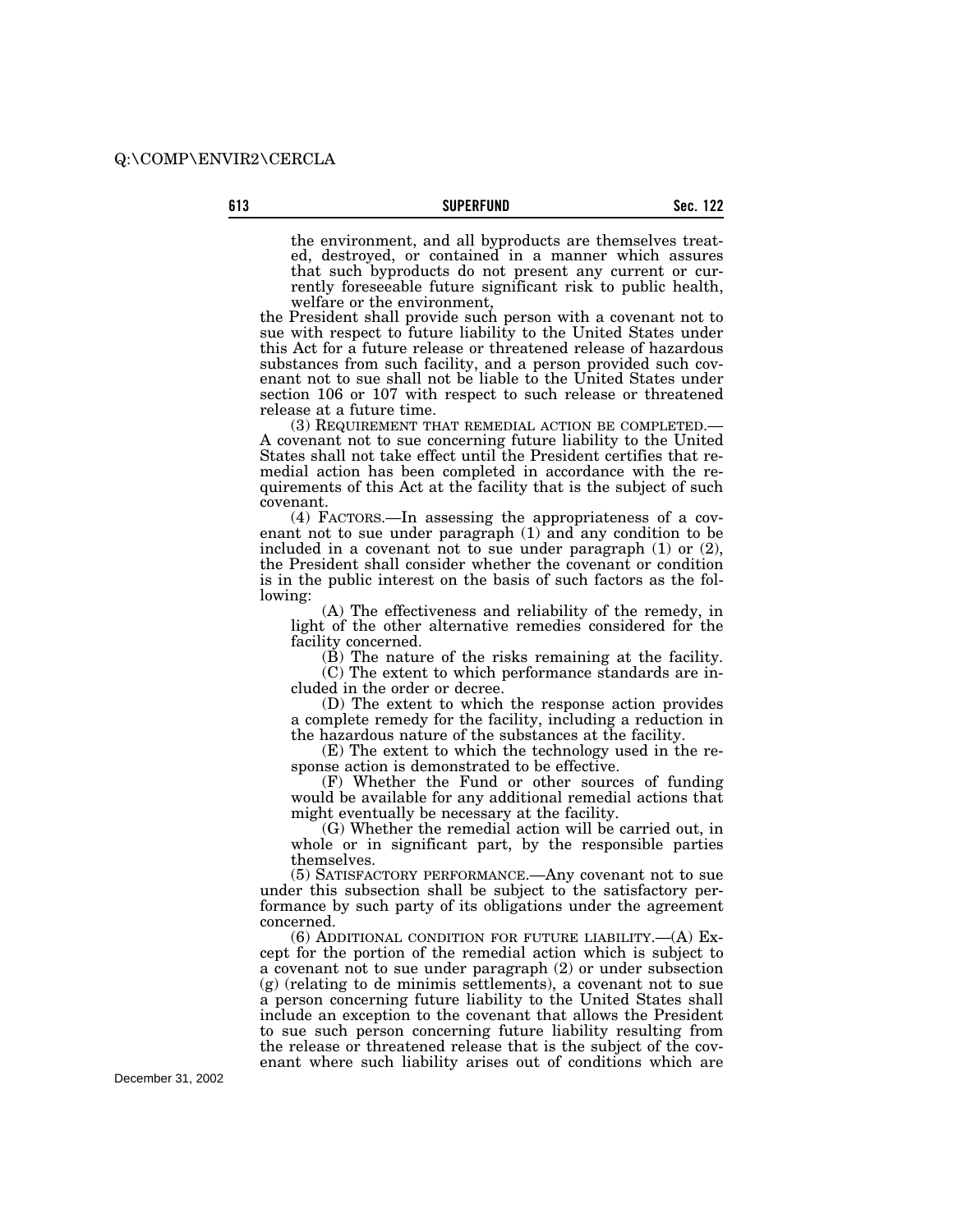the environment, and all byproducts are themselves treated, destroyed, or contained in a manner which assures that such byproducts do not present any current or currently foreseeable future significant risk to public health, welfare or the environment,

the President shall provide such person with a covenant not to sue with respect to future liability to the United States under this Act for a future release or threatened release of hazardous substances from such facility, and a person provided such covenant not to sue shall not be liable to the United States under section 106 or 107 with respect to such release or threatened release at a future time.<br>(3) REQUIREMENT THAT REMEDIAL ACTION BE COMPLETED.

A covenant not to sue concerning future liability to the United. States shall not take effect until the President certifies that remedial action has been completed in accordance with the requirements of this Act at the facility that is the subject of such covenant.

(4) FACTORS.—In assessing the appropriateness of a covenant not to sue under paragraph (1) and any condition to be included in a covenant not to sue under paragraph (1) or (2), the President shall consider whether the covenant or condition is in the public interest on the basis of such factors as the following:

(A) The effectiveness and reliability of the remedy, in light of the other alternative remedies considered for the facility concerned.

(B) The nature of the risks remaining at the facility.

(C) The extent to which performance standards are included in the order or decree.

(D) The extent to which the response action provides a complete remedy for the facility, including a reduction in the hazardous nature of the substances at the facility.

(E) The extent to which the technology used in the response action is demonstrated to be effective.

(F) Whether the Fund or other sources of funding would be available for any additional remedial actions that might eventually be necessary at the facility.

(G) Whether the remedial action will be carried out, in whole or in significant part, by the responsible parties themselves.

(5) SATISFACTORY PERFORMANCE.—Any covenant not to sue under this subsection shall be subject to the satisfactory performance by such party of its obligations under the agreement concerned.

(6) ADDITIONAL CONDITION FOR FUTURE LIABILITY.—(A) Except for the portion of the remedial action which is subject to a covenant not to sue under paragraph (2) or under subsection (g) (relating to de minimis settlements), a covenant not to sue a person concerning future liability to the United States shall include an exception to the covenant that allows the President to sue such person concerning future liability resulting from the release or threatened release that is the subject of the covenant where such liability arises out of conditions which are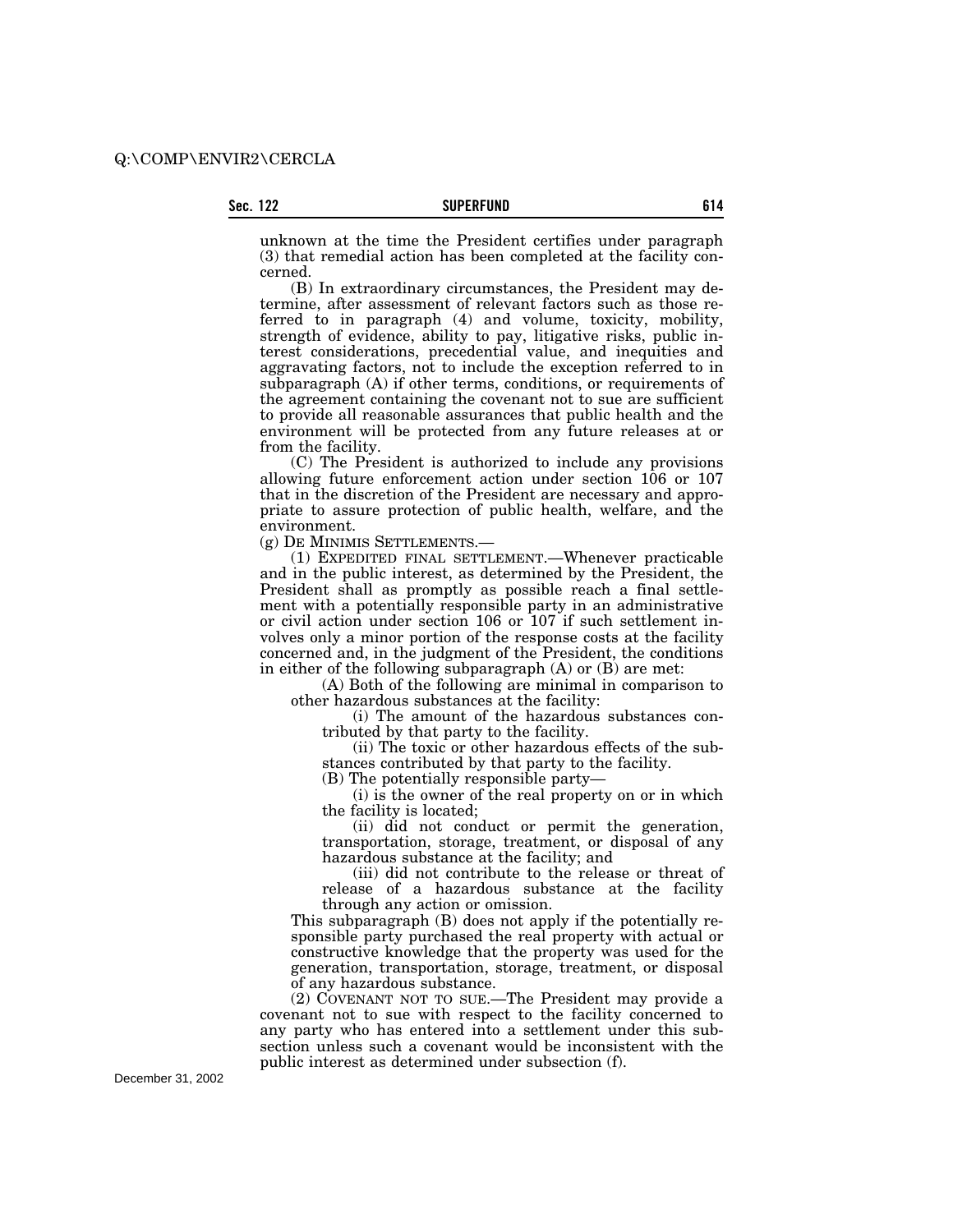unknown at the time the President certifies under paragraph (3) that remedial action has been completed at the facility concerned.

(B) In extraordinary circumstances, the President may determine, after assessment of relevant factors such as those referred to in paragraph (4) and volume, toxicity, mobility, strength of evidence, ability to pay, litigative risks, public interest considerations, precedential value, and inequities and aggravating factors, not to include the exception referred to in subparagraph (A) if other terms, conditions, or requirements of the agreement containing the covenant not to sue are sufficient to provide all reasonable assurances that public health and the environment will be protected from any future releases at or from the facility.

(C) The President is authorized to include any provisions allowing future enforcement action under section 106 or 107 that in the discretion of the President are necessary and appropriate to assure protection of public health, welfare, and the environment.

(g) DE MINIMIS SETTLEMENTS.—

(1) EXPEDITED FINAL SETTLEMENT.—Whenever practicable and in the public interest, as determined by the President, the President shall as promptly as possible reach a final settlement with a potentially responsible party in an administrative or civil action under section 106 or 107 if such settlement involves only a minor portion of the response costs at the facility concerned and, in the judgment of the President, the conditions in either of the following subparagraph (A) or (B) are met:

(A) Both of the following are minimal in comparison to other hazardous substances at the facility:

(i) The amount of the hazardous substances contributed by that party to the facility.

(ii) The toxic or other hazardous effects of the substances contributed by that party to the facility.

(B) The potentially responsible party—

(i) is the owner of the real property on or in which the facility is located;

(ii) did not conduct or permit the generation, transportation, storage, treatment, or disposal of any hazardous substance at the facility; and

(iii) did not contribute to the release or threat of release of a hazardous substance at the facility through any action or omission.

This subparagraph (B) does not apply if the potentially responsible party purchased the real property with actual or constructive knowledge that the property was used for the generation, transportation, storage, treatment, or disposal of any hazardous substance.

(2) COVENANT NOT TO SUE.—The President may provide a covenant not to sue with respect to the facility concerned to any party who has entered into a settlement under this subsection unless such a covenant would be inconsistent with the public interest as determined under subsection (f).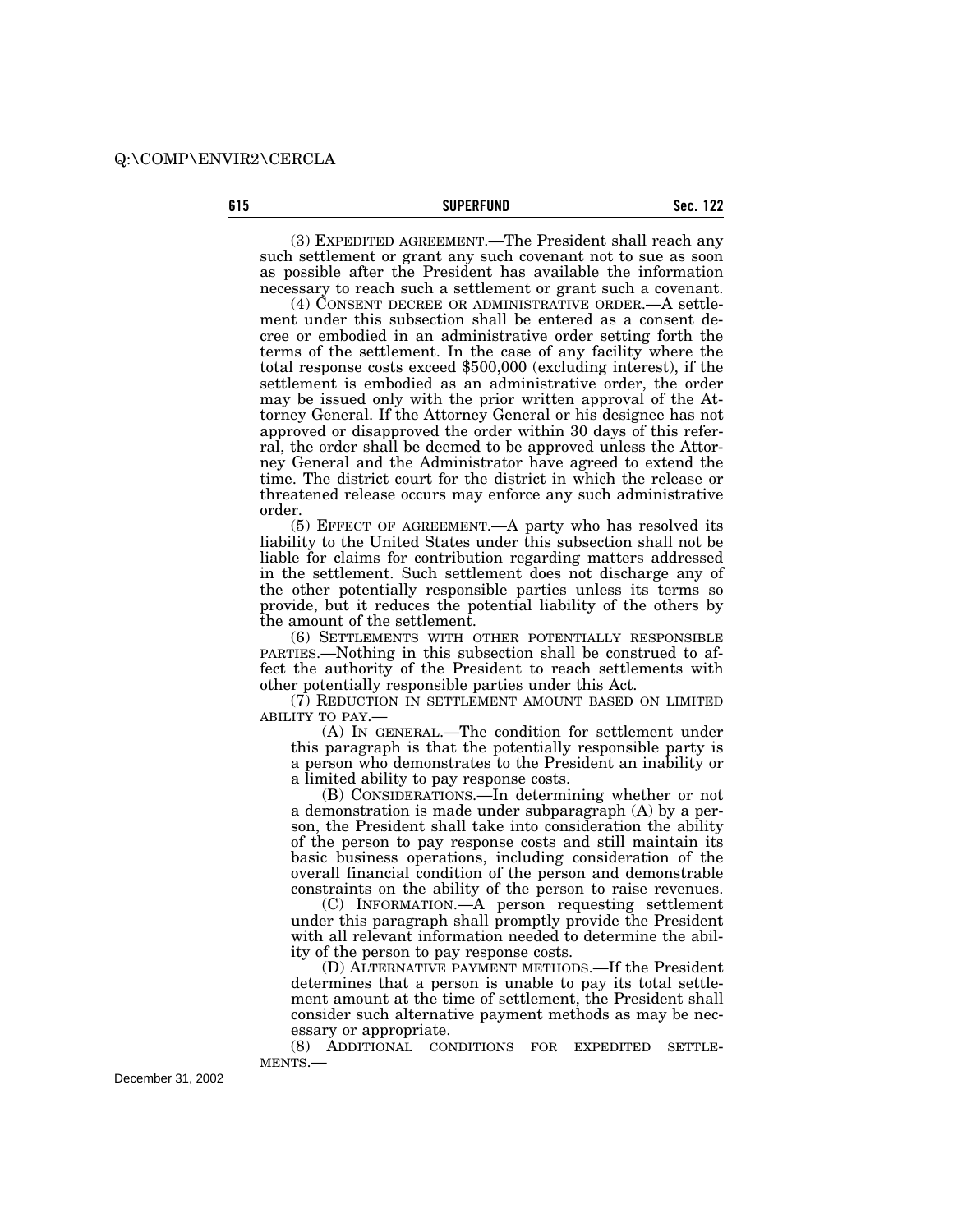(3) EXPEDITED AGREEMENT.—The President shall reach any such settlement or grant any such covenant not to sue as soon as possible after the President has available the information necessary to reach such a settlement or grant such a covenant.

(4) CONSENT DECREE OR ADMINISTRATIVE ORDER.—A settlement under this subsection shall be entered as a consent decree or embodied in an administrative order setting forth the terms of the settlement. In the case of any facility where the total response costs exceed \$500,000 (excluding interest), if the settlement is embodied as an administrative order, the order may be issued only with the prior written approval of the Attorney General. If the Attorney General or his designee has not approved or disapproved the order within 30 days of this referral, the order shall be deemed to be approved unless the Attorney General and the Administrator have agreed to extend the time. The district court for the district in which the release or threatened release occurs may enforce any such administrative order.

(5) EFFECT OF AGREEMENT.—A party who has resolved its liability to the United States under this subsection shall not be liable for claims for contribution regarding matters addressed in the settlement. Such settlement does not discharge any of the other potentially responsible parties unless its terms so provide, but it reduces the potential liability of the others by the amount of the settlement.

(6) SETTLEMENTS WITH OTHER POTENTIALLY RESPONSIBLE PARTIES.—Nothing in this subsection shall be construed to affect the authority of the President to reach settlements with other potentially responsible parties under this Act.

(7) REDUCTION IN SETTLEMENT AMOUNT BASED ON LIMITED ABILITY TO PAY.—

(A) IN GENERAL.—The condition for settlement under this paragraph is that the potentially responsible party is a person who demonstrates to the President an inability or a limited ability to pay response costs.

(B) CONSIDERATIONS.—In determining whether or not a demonstration is made under subparagraph (A) by a person, the President shall take into consideration the ability of the person to pay response costs and still maintain its basic business operations, including consideration of the overall financial condition of the person and demonstrable constraints on the ability of the person to raise revenues.

(C) INFORMATION.—A person requesting settlement under this paragraph shall promptly provide the President with all relevant information needed to determine the ability of the person to pay response costs.

(D) ALTERNATIVE PAYMENT METHODS.—If the President determines that a person is unable to pay its total settlement amount at the time of settlement, the President shall consider such alternative payment methods as may be necessary or appropriate.

(8) ADDITIONAL CONDITIONS FOR EXPEDITED SETTLE-MENTS.—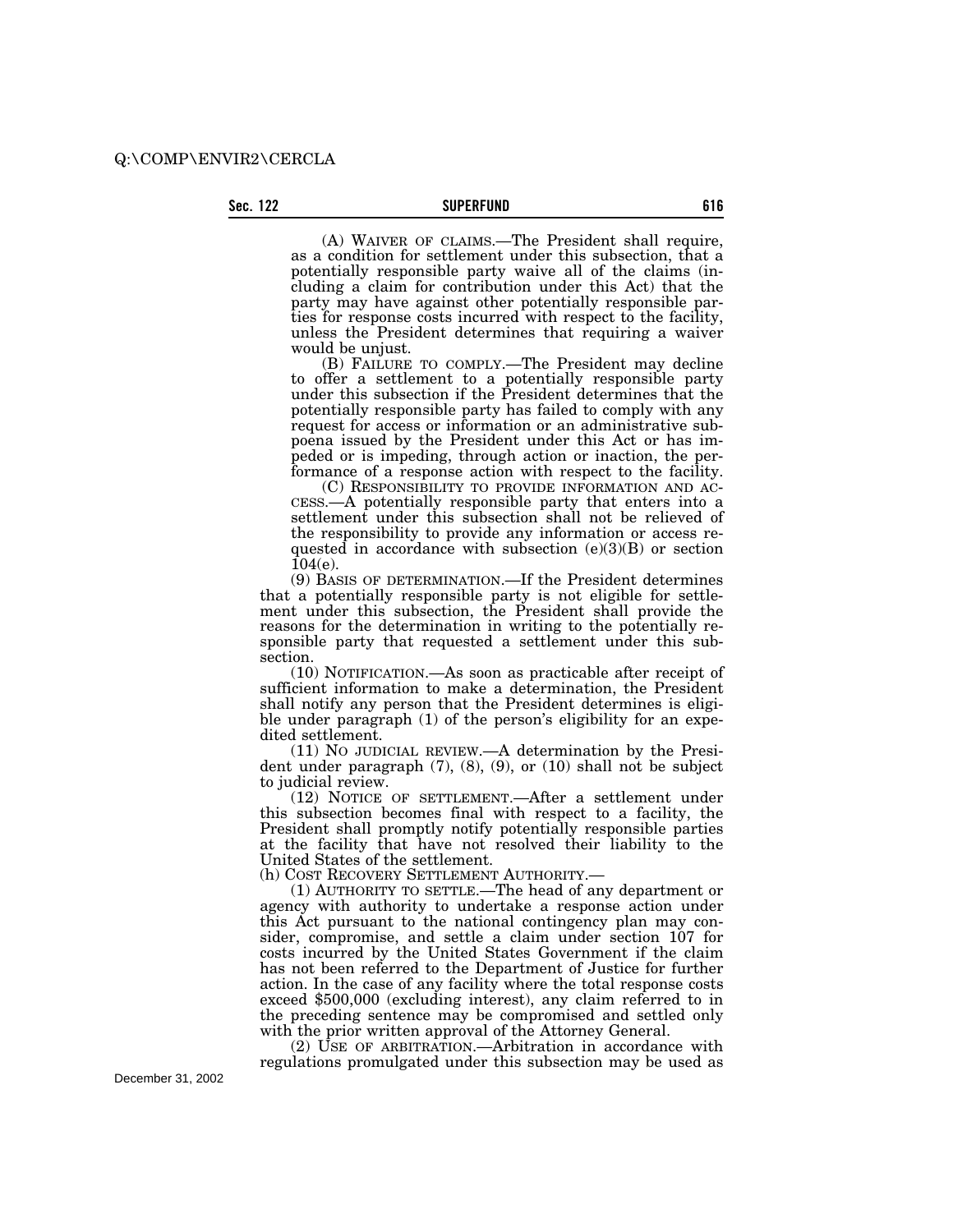## **Sec. 122 SUPERFUND 616**

(A) WAIVER OF CLAIMS.—The President shall require, as a condition for settlement under this subsection, that a potentially responsible party waive all of the claims (including a claim for contribution under this Act) that the party may have against other potentially responsible parties for response costs incurred with respect to the facility, unless the President determines that requiring a waiver would be unjust.

(B) FAILURE TO COMPLY.—The President may decline to offer a settlement to a potentially responsible party under this subsection if the President determines that the potentially responsible party has failed to comply with any request for access or information or an administrative subpoena issued by the President under this Act or has impeded or is impeding, through action or inaction, the performance of a response action with respect to the facility.<br>(C) RESPONSIBILITY TO PROVIDE INFORMATION AND AC-

CESS.—A potentially responsible party that enters into a settlement under this subsection shall not be relieved of the responsibility to provide any information or access requested in accordance with subsection  $(e)(3)(B)$  or section  $104(e)$ .

(9) BASIS OF DETERMINATION.—If the President determines that a potentially responsible party is not eligible for settlement under this subsection, the President shall provide the reasons for the determination in writing to the potentially responsible party that requested a settlement under this subsection.

(10) NOTIFICATION.—As soon as practicable after receipt of sufficient information to make a determination, the President shall notify any person that the President determines is eligible under paragraph (1) of the person's eligibility for an expedited settlement.

(11) NO JUDICIAL REVIEW.—A determination by the President under paragraph (7), (8), (9), or (10) shall not be subject to judicial review.

(12) NOTICE OF SETTLEMENT.—After a settlement under this subsection becomes final with respect to a facility, the President shall promptly notify potentially responsible parties at the facility that have not resolved their liability to the United States of the settlement.

(h) COST RECOVERY SETTLEMENT AUTHORITY.—

(1) AUTHORITY TO SETTLE.—The head of any department or agency with authority to undertake a response action under this Act pursuant to the national contingency plan may consider, compromise, and settle a claim under section 107 for costs incurred by the United States Government if the claim has not been referred to the Department of Justice for further action. In the case of any facility where the total response costs exceed \$500,000 (excluding interest), any claim referred to in the preceding sentence may be compromised and settled only with the prior written approval of the Attorney General.

(2) USE OF ARBITRATION.—Arbitration in accordance with regulations promulgated under this subsection may be used as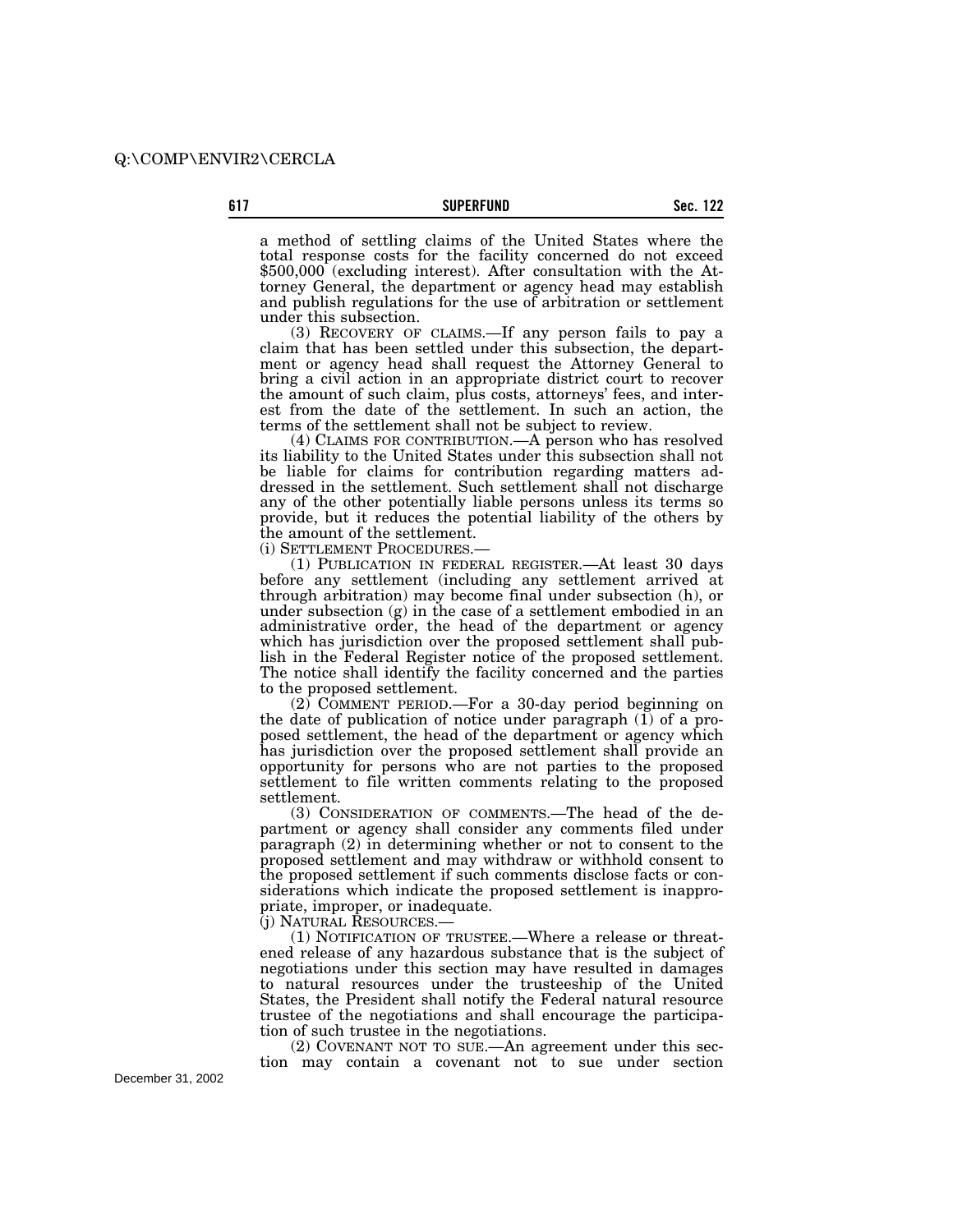a method of settling claims of the United States where the total response costs for the facility concerned do not exceed \$500,000 (excluding interest). After consultation with the Attorney General, the department or agency head may establish and publish regulations for the use of arbitration or settlement under this subsection.

(3) RECOVERY OF CLAIMS.—If any person fails to pay a claim that has been settled under this subsection, the department or agency head shall request the Attorney General to bring a civil action in an appropriate district court to recover the amount of such claim, plus costs, attorneys' fees, and interest from the date of the settlement. In such an action, the terms of the settlement shall not be subject to review.

(4) CLAIMS FOR CONTRIBUTION.—A person who has resolved its liability to the United States under this subsection shall not be liable for claims for contribution regarding matters addressed in the settlement. Such settlement shall not discharge any of the other potentially liable persons unless its terms so provide, but it reduces the potential liability of the others by the amount of the settlement.

(i) SETTLEMENT PROCEDURES.— (1) PUBLICATION IN FEDERAL REGISTER.—At least 30 days before any settlement (including any settlement arrived at through arbitration) may become final under subsection (h), or under subsection  $(g)$  in the case of a settlement embodied in an administrative order, the head of the department or agency which has jurisdiction over the proposed settlement shall publish in the Federal Register notice of the proposed settlement. The notice shall identify the facility concerned and the parties to the proposed settlement.

 $(2)$  COMMENT PERIOD.—For a 30-day period beginning on the date of publication of notice under paragraph  $(I)$  of a proposed settlement, the head of the department or agency which has jurisdiction over the proposed settlement shall provide an opportunity for persons who are not parties to the proposed settlement to file written comments relating to the proposed settlement.

(3) CONSIDERATION OF COMMENTS.—The head of the department or agency shall consider any comments filed under paragraph (2) in determining whether or not to consent to the proposed settlement and may withdraw or withhold consent to the proposed settlement if such comments disclose facts or considerations which indicate the proposed settlement is inappropriate, improper, or inadequate.

(j) NATURAL RESOURCES.—

(1) NOTIFICATION OF TRUSTEE.—Where a release or threatened release of any hazardous substance that is the subject of negotiations under this section may have resulted in damages to natural resources under the trusteeship of the United States, the President shall notify the Federal natural resource trustee of the negotiations and shall encourage the participation of such trustee in the negotiations.

(2) COVENANT NOT TO SUE.—An agreement under this section may contain a covenant not to sue under section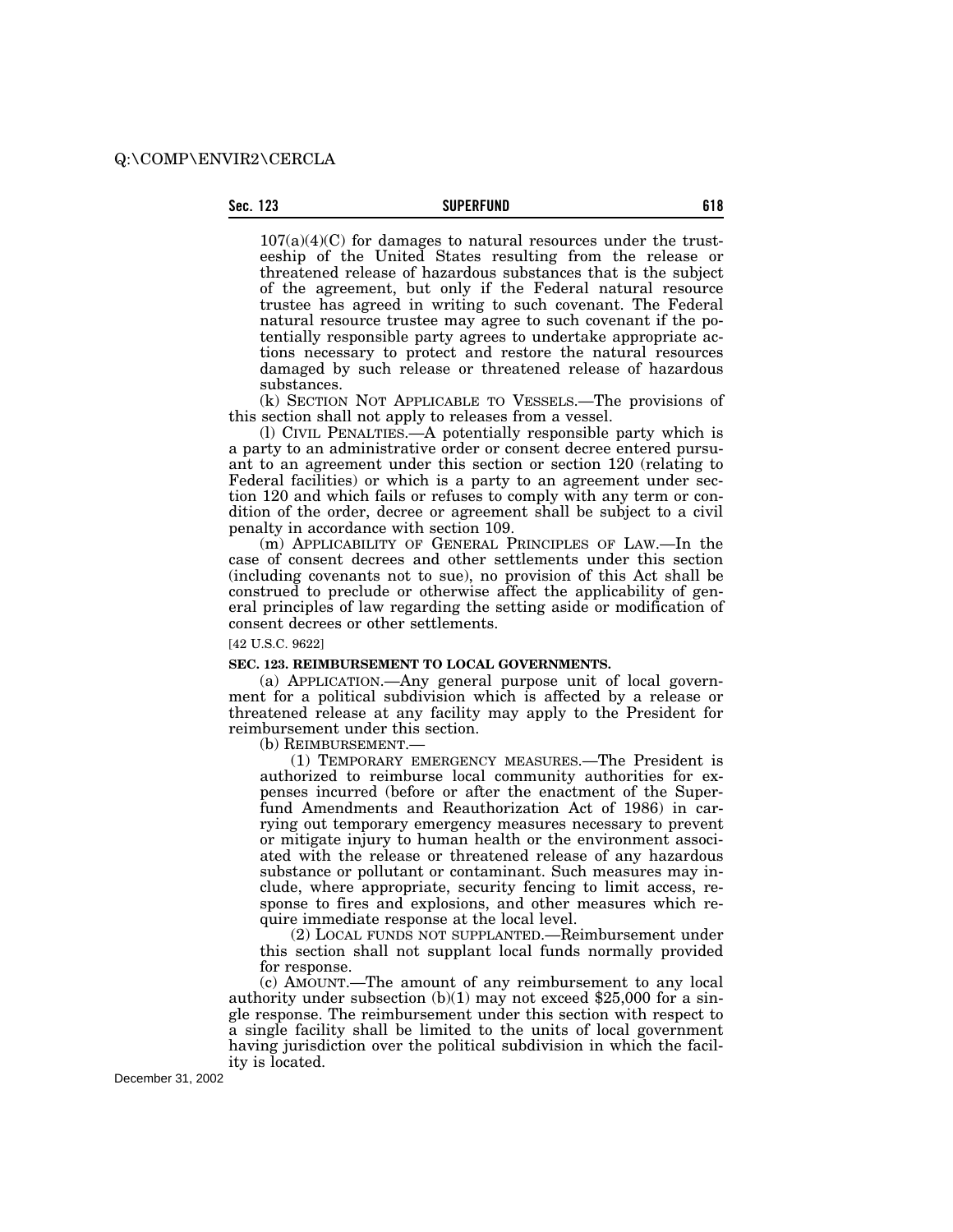$107(a)(4)(C)$  for damages to natural resources under the trusteeship of the United States resulting from the release or threatened release of hazardous substances that is the subject of the agreement, but only if the Federal natural resource trustee has agreed in writing to such covenant. The Federal natural resource trustee may agree to such covenant if the potentially responsible party agrees to undertake appropriate actions necessary to protect and restore the natural resources damaged by such release or threatened release of hazardous substances.

(k) SECTION NOT APPLICABLE TO VESSELS.—The provisions of this section shall not apply to releases from a vessel.

(l) CIVIL PENALTIES.—A potentially responsible party which is a party to an administrative order or consent decree entered pursuant to an agreement under this section or section 120 (relating to Federal facilities) or which is a party to an agreement under section 120 and which fails or refuses to comply with any term or condition of the order, decree or agreement shall be subject to a civil penalty in accordance with section 109.

(m) APPLICABILITY OF GENERAL PRINCIPLES OF LAW.—In the case of consent decrees and other settlements under this section (including covenants not to sue), no provision of this Act shall be construed to preclude or otherwise affect the applicability of general principles of law regarding the setting aside or modification of consent decrees or other settlements.

[42 U.S.C. 9622]

#### **SEC. 123. REIMBURSEMENT TO LOCAL GOVERNMENTS.**

(a) APPLICATION.—Any general purpose unit of local government for a political subdivision which is affected by a release or threatened release at any facility may apply to the President for reimbursement under this section.

(b) REIMBURSEMENT.—

(1) TEMPORARY EMERGENCY MEASURES.—The President is authorized to reimburse local community authorities for expenses incurred (before or after the enactment of the Superfund Amendments and Reauthorization Act of 1986) in carrying out temporary emergency measures necessary to prevent or mitigate injury to human health or the environment associated with the release or threatened release of any hazardous substance or pollutant or contaminant. Such measures may include, where appropriate, security fencing to limit access, response to fires and explosions, and other measures which require immediate response at the local level.

(2) LOCAL FUNDS NOT SUPPLANTED.—Reimbursement under this section shall not supplant local funds normally provided for response.

(c) AMOUNT.—The amount of any reimbursement to any local authority under subsection  $(b)(1)$  may not exceed \$25,000 for a single response. The reimbursement under this section with respect to a single facility shall be limited to the units of local government having jurisdiction over the political subdivision in which the facility is located.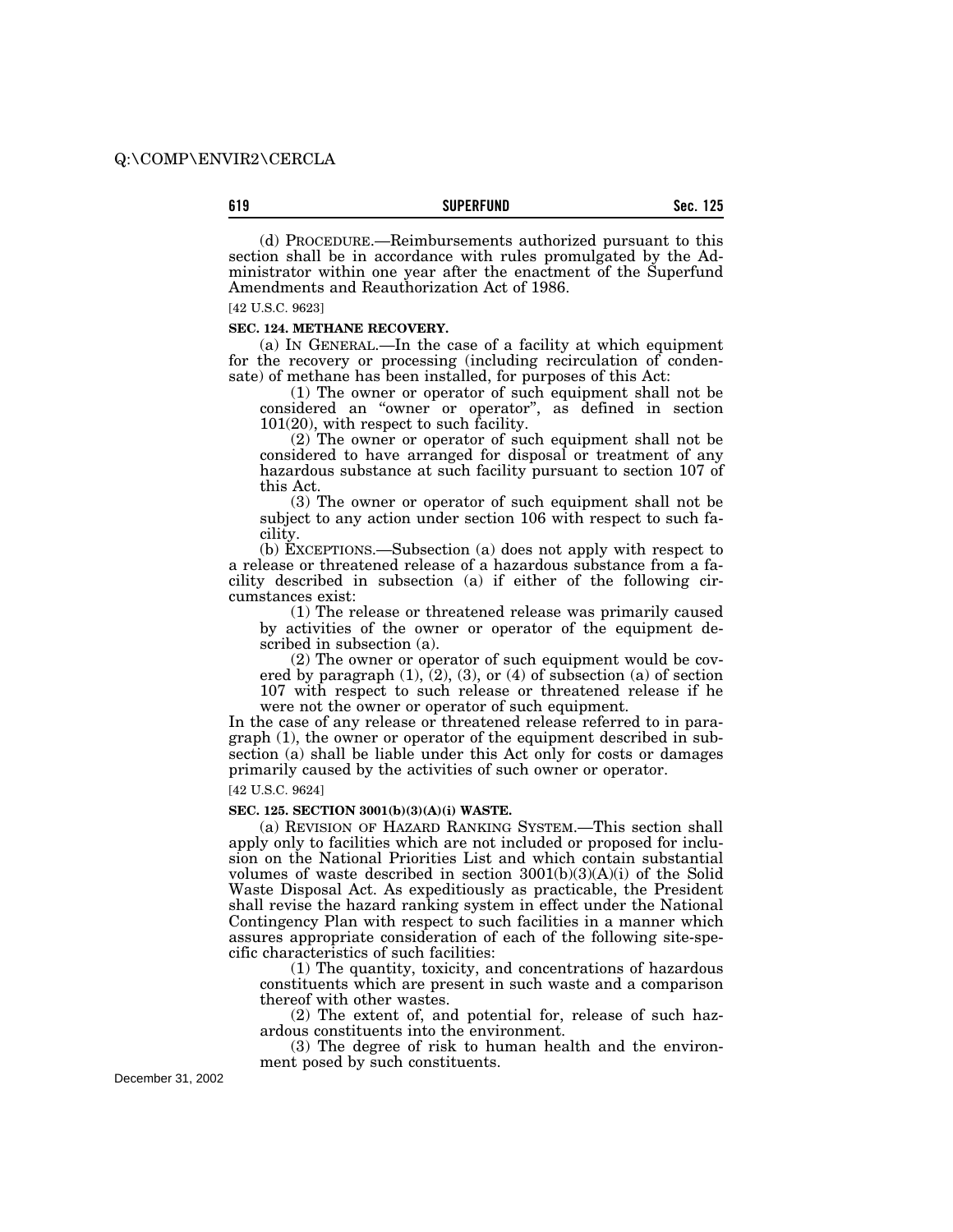#### **619 Sec. 125 SUPERFUND**

(d) PROCEDURE.—Reimbursements authorized pursuant to this section shall be in accordance with rules promulgated by the Administrator within one year after the enactment of the Superfund Amendments and Reauthorization Act of 1986.

[42 U.S.C. 9623]

#### **SEC. 124. METHANE RECOVERY.**

(a) IN GENERAL.—In the case of a facility at which equipment for the recovery or processing (including recirculation of condensate) of methane has been installed, for purposes of this Act:

(1) The owner or operator of such equipment shall not be considered an ''owner or operator'', as defined in section 101(20), with respect to such facility.

(2) The owner or operator of such equipment shall not be considered to have arranged for disposal or treatment of any hazardous substance at such facility pursuant to section 107 of this Act.

(3) The owner or operator of such equipment shall not be subject to any action under section 106 with respect to such facility.

(b) EXCEPTIONS.—Subsection (a) does not apply with respect to a release or threatened release of a hazardous substance from a facility described in subsection (a) if either of the following circumstances exist:

(1) The release or threatened release was primarily caused by activities of the owner or operator of the equipment described in subsection (a).

(2) The owner or operator of such equipment would be covered by paragraph  $(1)$ ,  $(2)$ ,  $(3)$ , or  $(4)$  of subsection  $(a)$  of section 107 with respect to such release or threatened release if he were not the owner or operator of such equipment.

In the case of any release or threatened release referred to in paragraph (1), the owner or operator of the equipment described in subsection (a) shall be liable under this Act only for costs or damages primarily caused by the activities of such owner or operator.

[42 U.S.C. 9624]

### **SEC. 125. SECTION 3001(b)(3)(A)(i) WASTE.**

(a) REVISION OF HAZARD RANKING SYSTEM.—This section shall apply only to facilities which are not included or proposed for inclusion on the National Priorities List and which contain substantial volumes of waste described in section  $3001(b)(3)(A)(i)$  of the Solid Waste Disposal Act. As expeditiously as practicable, the President shall revise the hazard ranking system in effect under the National Contingency Plan with respect to such facilities in a manner which assures appropriate consideration of each of the following site-specific characteristics of such facilities:

(1) The quantity, toxicity, and concentrations of hazardous constituents which are present in such waste and a comparison thereof with other wastes.

(2) The extent of, and potential for, release of such hazardous constituents into the environment.

(3) The degree of risk to human health and the environment posed by such constituents.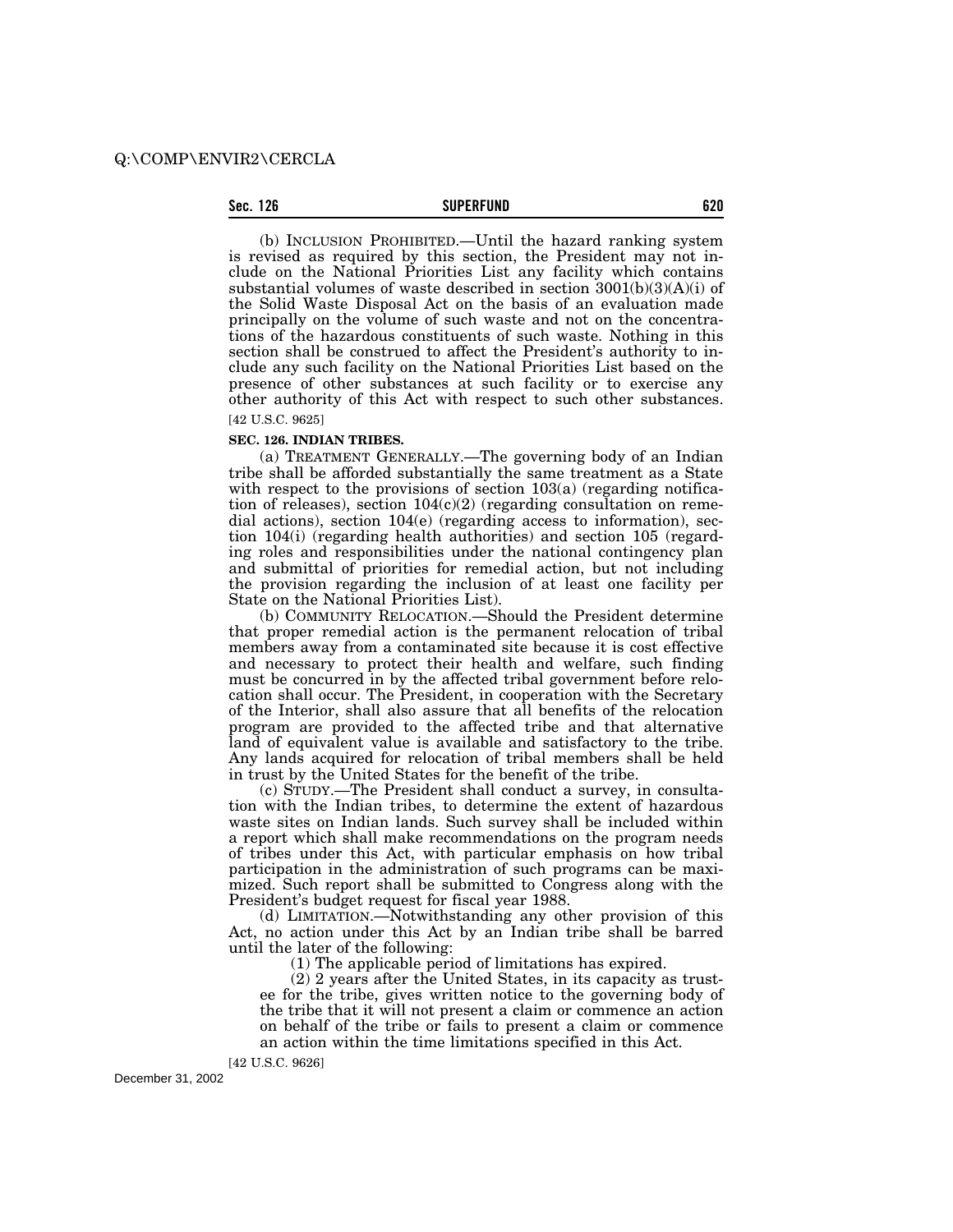(b) INCLUSION PROHIBITED.—Until the hazard ranking system is revised as required by this section, the President may not include on the National Priorities List any facility which contains substantial volumes of waste described in section 3001(b)(3)(A)(i) of the Solid Waste Disposal Act on the basis of an evaluation made principally on the volume of such waste and not on the concentrations of the hazardous constituents of such waste. Nothing in this section shall be construed to affect the President's authority to include any such facility on the National Priorities List based on the presence of other substances at such facility or to exercise any other authority of this Act with respect to such other substances. [42 U.S.C. 9625]

#### **SEC. 126. INDIAN TRIBES.**

(a) TREATMENT GENERALLY.—The governing body of an Indian tribe shall be afforded substantially the same treatment as a State with respect to the provisions of section 103(a) (regarding notification of releases), section  $104(c)(2)$  (regarding consultation on remedial actions), section 104(e) (regarding access to information), section 104(i) (regarding health authorities) and section 105 (regarding roles and responsibilities under the national contingency plan and submittal of priorities for remedial action, but not including the provision regarding the inclusion of at least one facility per State on the National Priorities List).

(b) COMMUNITY RELOCATION.—Should the President determine that proper remedial action is the permanent relocation of tribal members away from a contaminated site because it is cost effective and necessary to protect their health and welfare, such finding must be concurred in by the affected tribal government before relocation shall occur. The President, in cooperation with the Secretary of the Interior, shall also assure that all benefits of the relocation program are provided to the affected tribe and that alternative land of equivalent value is available and satisfactory to the tribe. Any lands acquired for relocation of tribal members shall be held in trust by the United States for the benefit of the tribe.

(c) STUDY.—The President shall conduct a survey, in consultation with the Indian tribes, to determine the extent of hazardous waste sites on Indian lands. Such survey shall be included within a report which shall make recommendations on the program needs of tribes under this Act, with particular emphasis on how tribal participation in the administration of such programs can be maximized. Such report shall be submitted to Congress along with the President's budget request for fiscal year 1988.

(d) LIMITATION.—Notwithstanding any other provision of this Act, no action under this Act by an Indian tribe shall be barred until the later of the following:

(1) The applicable period of limitations has expired.

(2) 2 years after the United States, in its capacity as trustee for the tribe, gives written notice to the governing body of the tribe that it will not present a claim or commence an action on behalf of the tribe or fails to present a claim or commence an action within the time limitations specified in this Act.

[42 U.S.C. 9626]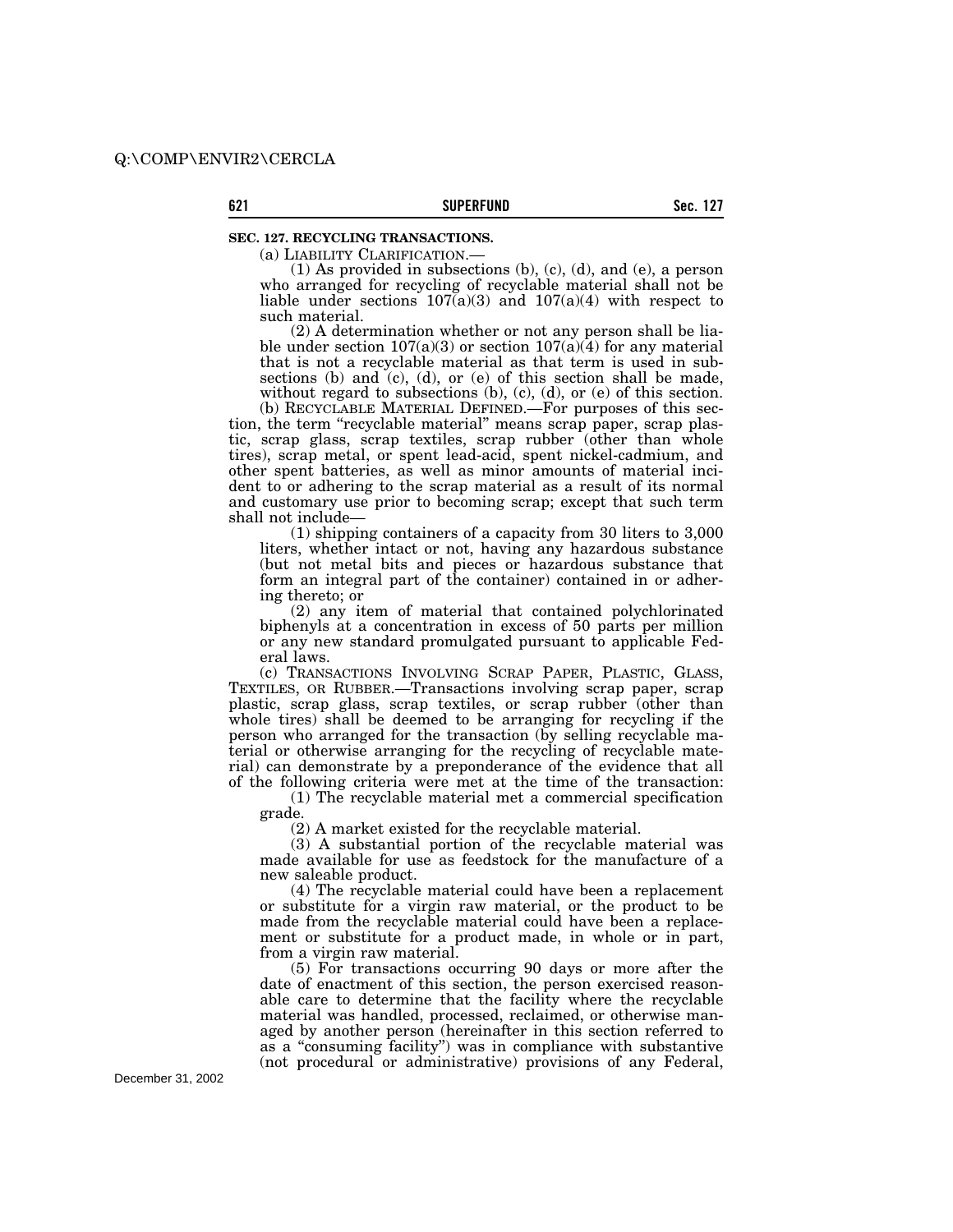## **SEC. 127. RECYCLING TRANSACTIONS.**

(a) LIABILITY CLARIFICATION.—<br>(1) As provided in subsections (b), (c), (d), and (e), a person who arranged for recycling of recyclable material shall not be liable under sections  $107(a)(3)$  and  $107(a)(4)$  with respect to such material.

(2) A determination whether or not any person shall be liable under section  $107(a)(3)$  or section  $107(a)(4)$  for any material that is not a recyclable material as that term is used in subsections (b) and (c), (d), or (e) of this section shall be made, without regard to subsections  $(b)$ ,  $(c)$ ,  $(d)$ ,  $or$   $(e)$  of this section.

(b) RECYCLABLE MATERIAL DEFINED.—For purposes of this section, the term "recyclable material" means scrap paper, scrap plastic, scrap glass, scrap textiles, scrap rubber (other than whole tires), scrap metal, or spent lead-acid, spent nickel-cadmium, and other spent batteries, as well as minor amounts of material incident to or adhering to the scrap material as a result of its normal and customary use prior to becoming scrap; except that such term shall not include—

(1) shipping containers of a capacity from 30 liters to 3,000 liters, whether intact or not, having any hazardous substance (but not metal bits and pieces or hazardous substance that form an integral part of the container) contained in or adhering thereto; or

(2) any item of material that contained polychlorinated biphenyls at a concentration in excess of 50 parts per million or any new standard promulgated pursuant to applicable Federal laws.

(c) TRANSACTIONS INVOLVING SCRAP PAPER, PLASTIC, GLASS, TEXTILES, OR RUBBER.—Transactions involving scrap paper, scrap plastic, scrap glass, scrap textiles, or scrap rubber (other than whole tires) shall be deemed to be arranging for recycling if the person who arranged for the transaction (by selling recyclable material or otherwise arranging for the recycling of recyclable material) can demonstrate by a preponderance of the evidence that all of the following criteria were met at the time of the transaction:

(1) The recyclable material met a commercial specification grade.

(2) A market existed for the recyclable material.

(3) A substantial portion of the recyclable material was made available for use as feedstock for the manufacture of a new saleable product.

(4) The recyclable material could have been a replacement or substitute for a virgin raw material, or the product to be made from the recyclable material could have been a replacement or substitute for a product made, in whole or in part, from a virgin raw material.

(5) For transactions occurring 90 days or more after the date of enactment of this section, the person exercised reasonable care to determine that the facility where the recyclable material was handled, processed, reclaimed, or otherwise managed by another person (hereinafter in this section referred to as a ''consuming facility'') was in compliance with substantive (not procedural or administrative) provisions of any Federal,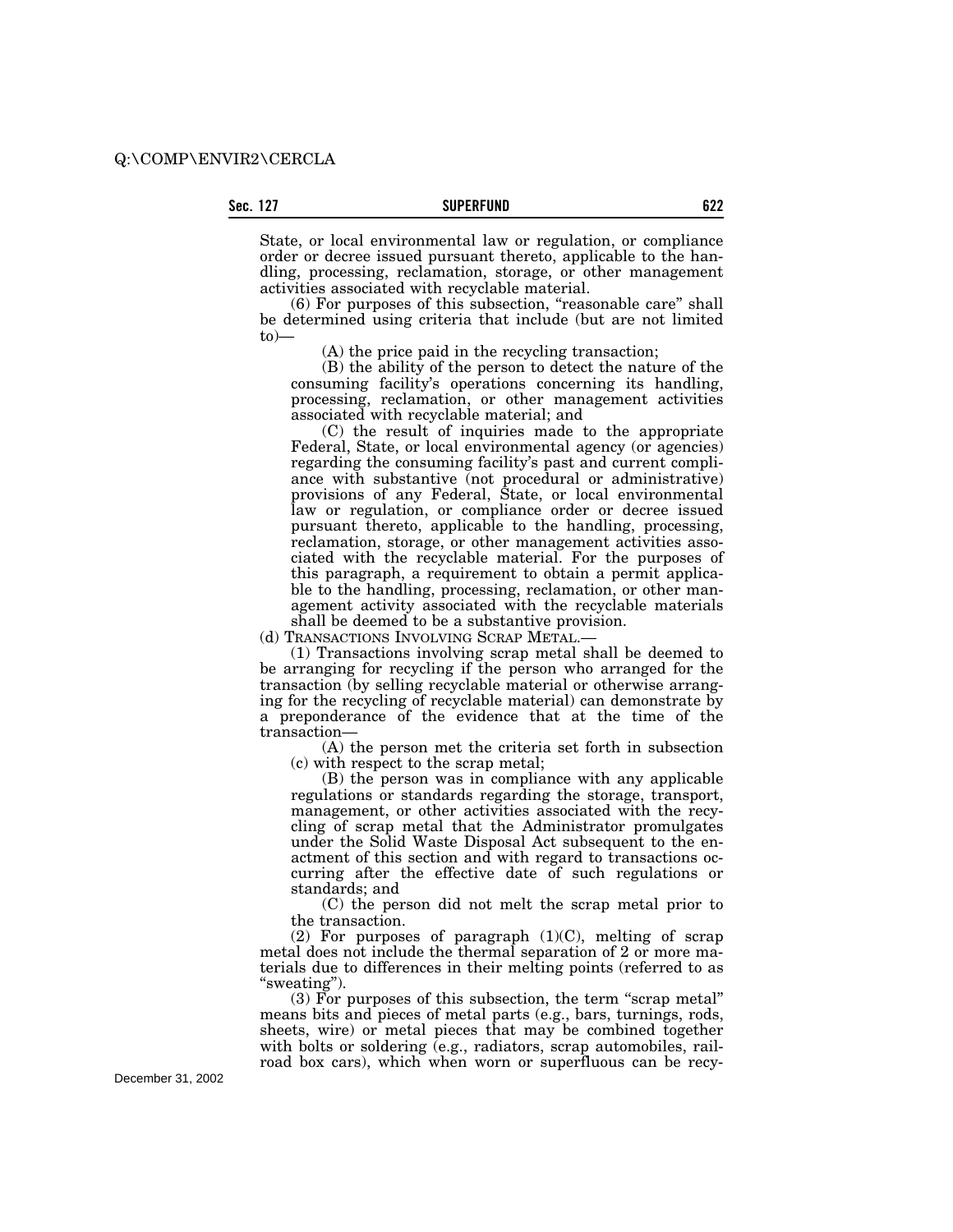State, or local environmental law or regulation, or compliance order or decree issued pursuant thereto, applicable to the handling, processing, reclamation, storage, or other management activities associated with recyclable material.

(6) For purposes of this subsection, ''reasonable care'' shall be determined using criteria that include (but are not limited to)—

(A) the price paid in the recycling transaction;

(B) the ability of the person to detect the nature of the consuming facility's operations concerning its handling, processing, reclamation, or other management activities associated with recyclable material; and

(C) the result of inquiries made to the appropriate Federal, State, or local environmental agency (or agencies) regarding the consuming facility's past and current compliance with substantive (not procedural or administrative) provisions of any Federal, State, or local environmental law or regulation, or compliance order or decree issued pursuant thereto, applicable to the handling, processing, reclamation, storage, or other management activities associated with the recyclable material. For the purposes of this paragraph, a requirement to obtain a permit applicable to the handling, processing, reclamation, or other management activity associated with the recyclable materials shall be deemed to be a substantive provision.

(d) TRANSACTIONS INVOLVING SCRAP METAL.—

(1) Transactions involving scrap metal shall be deemed to be arranging for recycling if the person who arranged for the transaction (by selling recyclable material or otherwise arranging for the recycling of recyclable material) can demonstrate by a preponderance of the evidence that at the time of the transaction—

(A) the person met the criteria set forth in subsection (c) with respect to the scrap metal;

(B) the person was in compliance with any applicable regulations or standards regarding the storage, transport, management, or other activities associated with the recycling of scrap metal that the Administrator promulgates under the Solid Waste Disposal Act subsequent to the enactment of this section and with regard to transactions occurring after the effective date of such regulations or standards; and

(C) the person did not melt the scrap metal prior to the transaction.

(2) For purposes of paragraph (1)(C), melting of scrap metal does not include the thermal separation of 2 or more materials due to differences in their melting points (referred to as "sweating").

(3) For purposes of this subsection, the term ''scrap metal'' means bits and pieces of metal parts (e.g., bars, turnings, rods, sheets, wire) or metal pieces that may be combined together with bolts or soldering (e.g., radiators, scrap automobiles, railroad box cars), which when worn or superfluous can be recy-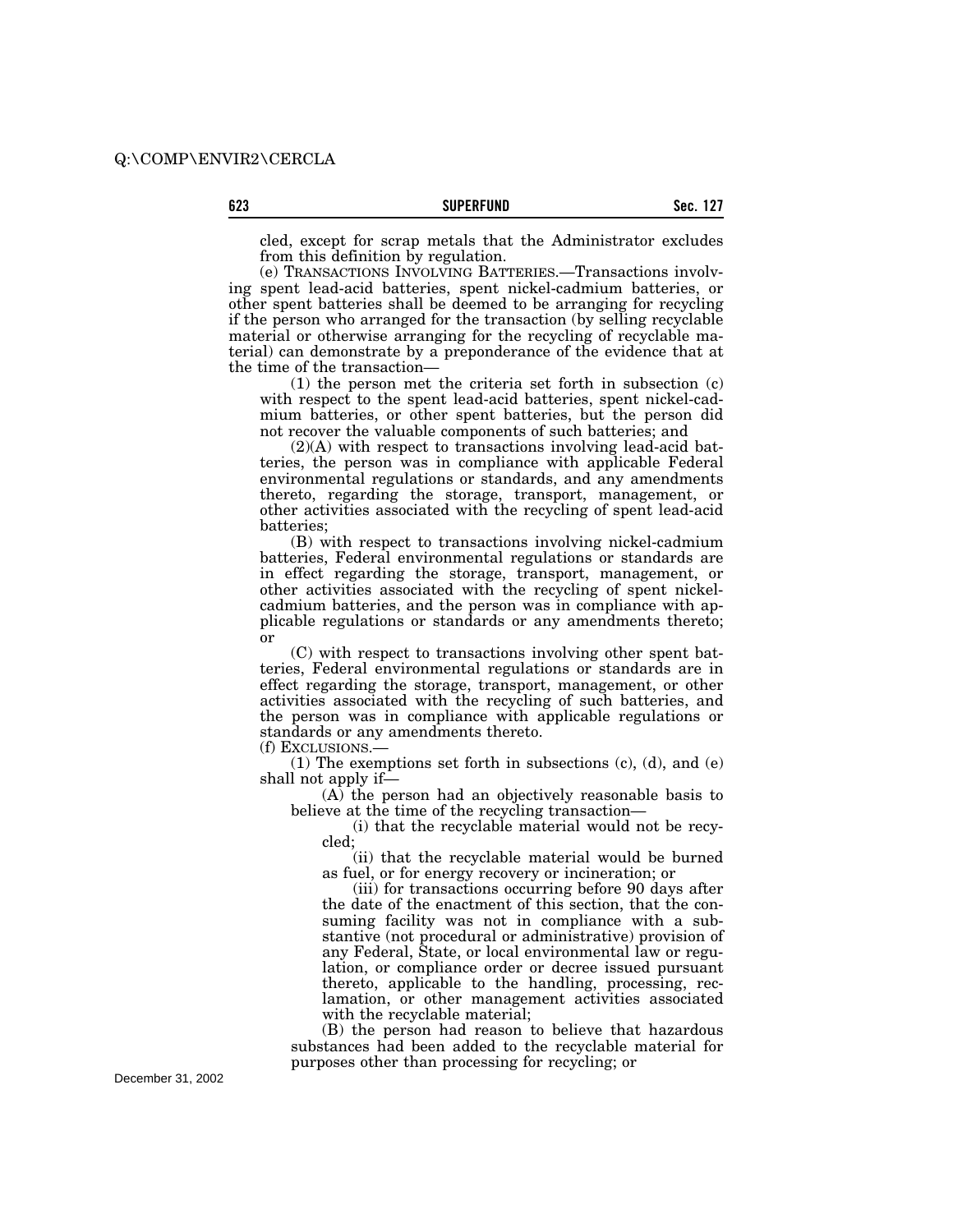cled, except for scrap metals that the Administrator excludes from this definition by regulation.

(e) TRANSACTIONS INVOLVING BATTERIES.—Transactions involving spent lead-acid batteries, spent nickel-cadmium batteries, or other spent batteries shall be deemed to be arranging for recycling if the person who arranged for the transaction (by selling recyclable material or otherwise arranging for the recycling of recyclable material) can demonstrate by a preponderance of the evidence that at the time of the transaction—

(1) the person met the criteria set forth in subsection (c) with respect to the spent lead-acid batteries, spent nickel-cadmium batteries, or other spent batteries, but the person did not recover the valuable components of such batteries; and

 $(2)(A)$  with respect to transactions involving lead-acid batteries, the person was in compliance with applicable Federal environmental regulations or standards, and any amendments thereto, regarding the storage, transport, management, or other activities associated with the recycling of spent lead-acid batteries;

(B) with respect to transactions involving nickel-cadmium batteries, Federal environmental regulations or standards are in effect regarding the storage, transport, management, or other activities associated with the recycling of spent nickelcadmium batteries, and the person was in compliance with applicable regulations or standards or any amendments thereto; or

(C) with respect to transactions involving other spent batteries, Federal environmental regulations or standards are in effect regarding the storage, transport, management, or other activities associated with the recycling of such batteries, and the person was in compliance with applicable regulations or standards or any amendments thereto.

(f) EXCLUSIONS.—

(1) The exemptions set forth in subsections (c), (d), and (e) shall not apply if—

(A) the person had an objectively reasonable basis to believe at the time of the recycling transaction—

(i) that the recyclable material would not be recycled;

(ii) that the recyclable material would be burned as fuel, or for energy recovery or incineration; or

(iii) for transactions occurring before 90 days after the date of the enactment of this section, that the consuming facility was not in compliance with a substantive (not procedural or administrative) provision of any Federal, State, or local environmental law or regulation, or compliance order or decree issued pursuant thereto, applicable to the handling, processing, reclamation, or other management activities associated with the recyclable material;

(B) the person had reason to believe that hazardous substances had been added to the recyclable material for purposes other than processing for recycling; or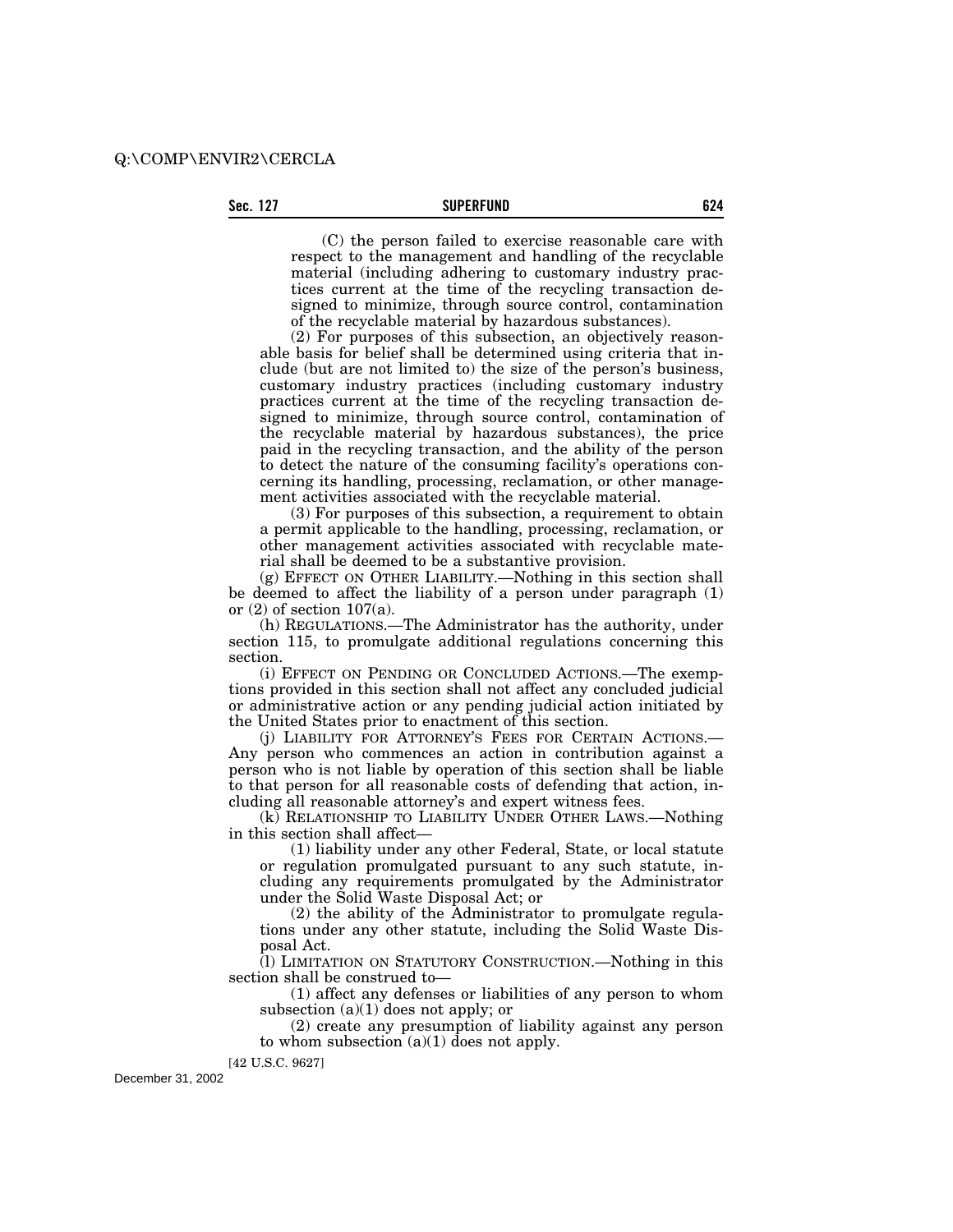## **Sec. 127 SUPERFUND 624**

(C) the person failed to exercise reasonable care with respect to the management and handling of the recyclable material (including adhering to customary industry practices current at the time of the recycling transaction designed to minimize, through source control, contamination of the recyclable material by hazardous substances).

(2) For purposes of this subsection, an objectively reasonable basis for belief shall be determined using criteria that include (but are not limited to) the size of the person's business, customary industry practices (including customary industry practices current at the time of the recycling transaction designed to minimize, through source control, contamination of the recyclable material by hazardous substances), the price paid in the recycling transaction, and the ability of the person to detect the nature of the consuming facility's operations concerning its handling, processing, reclamation, or other management activities associated with the recyclable material.

(3) For purposes of this subsection, a requirement to obtain a permit applicable to the handling, processing, reclamation, or other management activities associated with recyclable material shall be deemed to be a substantive provision.

(g) EFFECT ON OTHER LIABILITY.—Nothing in this section shall be deemed to affect the liability of a person under paragraph (1) or  $(2)$  of section 107 $(a)$ .

(h) REGULATIONS.—The Administrator has the authority, under section 115, to promulgate additional regulations concerning this section.

(i) EFFECT ON PENDING OR CONCLUDED ACTIONS.—The exemptions provided in this section shall not affect any concluded judicial or administrative action or any pending judicial action initiated by the United States prior to enactment of this section.

(j) LIABILITY FOR ATTORNEY'S FEES FOR CERTAIN ACTIONS.— Any person who commences an action in contribution against a person who is not liable by operation of this section shall be liable to that person for all reasonable costs of defending that action, including all reasonable attorney's and expert witness fees.

(k) RELATIONSHIP TO LIABILITY UNDER OTHER LAWS.—Nothing in this section shall affect—

(1) liability under any other Federal, State, or local statute or regulation promulgated pursuant to any such statute, including any requirements promulgated by the Administrator under the Solid Waste Disposal Act; or

(2) the ability of the Administrator to promulgate regulations under any other statute, including the Solid Waste Disposal Act.

(l) LIMITATION ON STATUTORY CONSTRUCTION.—Nothing in this section shall be construed to—

(1) affect any defenses or liabilities of any person to whom subsection  $(a)(1)$  does not apply; or

(2) create any presumption of liability against any person to whom subsection (a)(1) does not apply.

[42 U.S.C. 9627]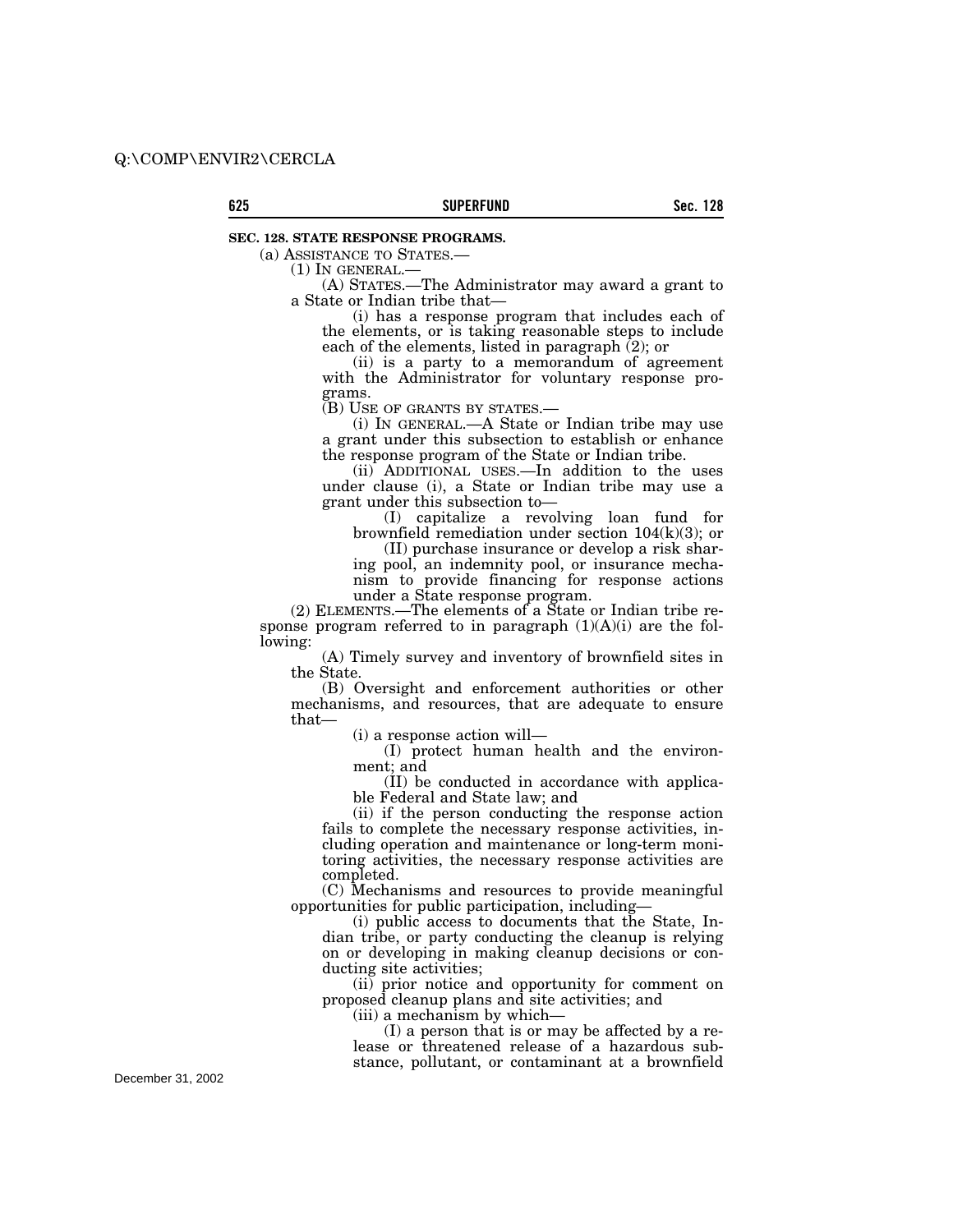### **SEC. 128. STATE RESPONSE PROGRAMS.**

(a) ASSISTANCE TO STATES.— (1) IN GENERAL.— (A) STATES.—The Administrator may award a grant to a State or Indian tribe that—

(i) has a response program that includes each of the elements, or is taking reasonable steps to include each of the elements, listed in paragraph (2); or

(ii) is a party to a memorandum of agreement with the Administrator for voluntary response programs.<br>(B) USE OF GRANTS BY STATES.—

(i) IN GENERAL.—A State or Indian tribe may use a grant under this subsection to establish or enhance the response program of the State or Indian tribe.

(ii) ADDITIONAL USES.—In addition to the uses under clause (i), a State or Indian tribe may use a grant under this subsection to—

(I) capitalize a revolving loan fund for brownfield remediation under section  $104(k)(3)$ ; or

(II) purchase insurance or develop a risk sharing pool, an indemnity pool, or insurance mechanism to provide financing for response actions under a State response program.

(2) ELEMENTS.—The elements of a State or Indian tribe response program referred to in paragraph  $(1)(A)(i)$  are the following:

(A) Timely survey and inventory of brownfield sites in the State.

(B) Oversight and enforcement authorities or other mechanisms, and resources, that are adequate to ensure that—

(i) a response action will—

(I) protect human health and the environment; and

(II) be conducted in accordance with applicable Federal and State law; and

(ii) if the person conducting the response action fails to complete the necessary response activities, including operation and maintenance or long-term monitoring activities, the necessary response activities are completed.

(C) Mechanisms and resources to provide meaningful opportunities for public participation, including—

(i) public access to documents that the State, Indian tribe, or party conducting the cleanup is relying on or developing in making cleanup decisions or conducting site activities;

(ii) prior notice and opportunity for comment on proposed cleanup plans and site activities; and

(iii) a mechanism by which—

(I) a person that is or may be affected by a release or threatened release of a hazardous substance, pollutant, or contaminant at a brownfield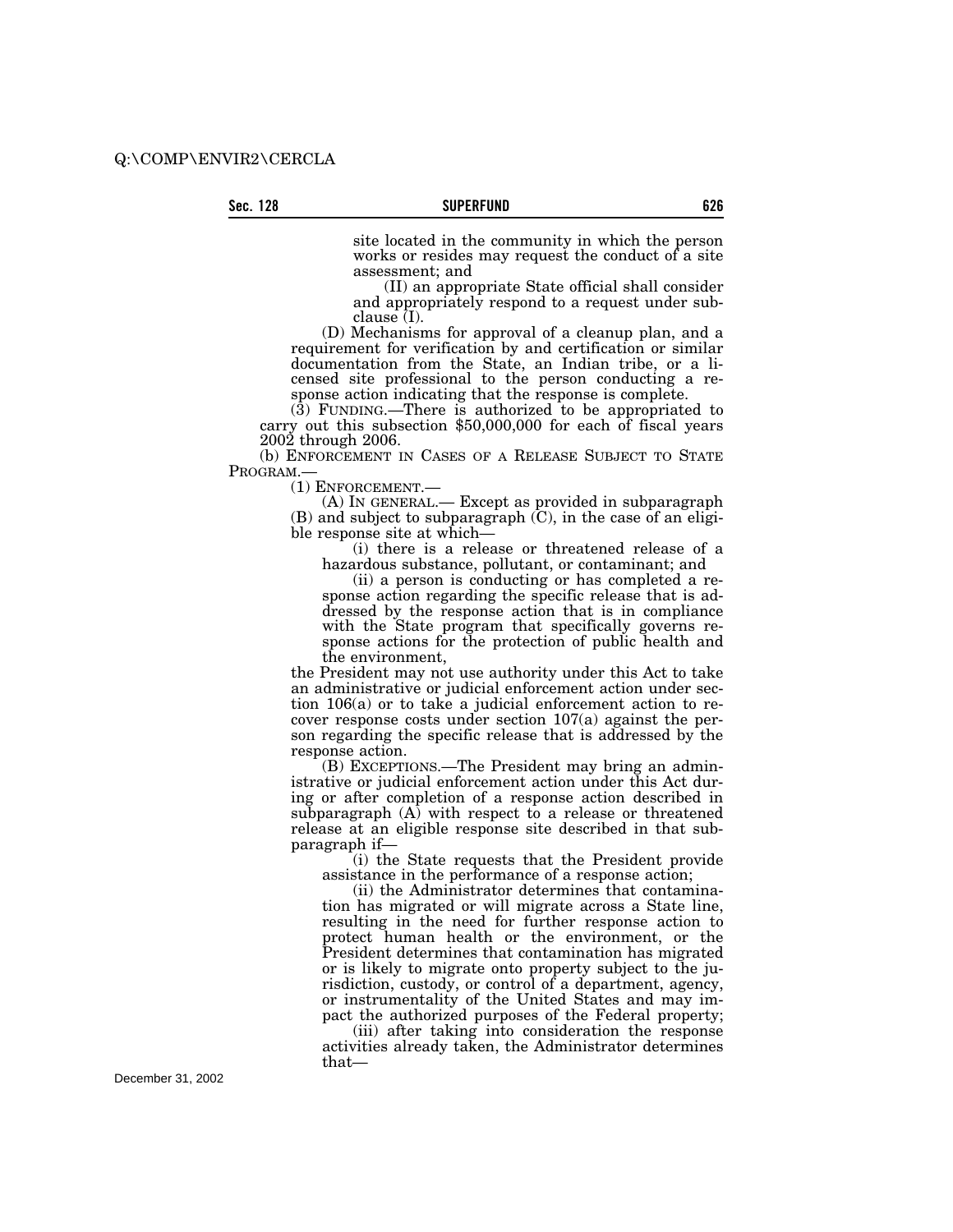site located in the community in which the person works or resides may request the conduct of a site assessment; and

(II) an appropriate State official shall consider and appropriately respond to a request under subclause (I).

(D) Mechanisms for approval of a cleanup plan, and a requirement for verification by and certification or similar documentation from the State, an Indian tribe, or a licensed site professional to the person conducting a response action indicating that the response is complete.<br>(3) FUNDING.—There is authorized to be appropriated to

carry out this subsection  $$50,000,000$  for each of fiscal years 2002 through 2006.

(b) ENFORCEMENT IN CASES OF A RELEASE SUBJECT TO STATE PROGRAM.—<br>(1) ENFORCEMENT.—

(A) IN GENERAL.— Except as provided in subparagraph  $(B)$  and subject to subparagraph  $(C)$ , in the case of an eligible response site at which—

(i) there is a release or threatened release of a hazardous substance, pollutant, or contaminant; and

(ii) a person is conducting or has completed a response action regarding the specific release that is addressed by the response action that is in compliance with the State program that specifically governs response actions for the protection of public health and the environment,

the President may not use authority under this Act to take an administrative or judicial enforcement action under section 106(a) or to take a judicial enforcement action to recover response costs under section 107(a) against the person regarding the specific release that is addressed by the response action.

(B) EXCEPTIONS.—The President may bring an administrative or judicial enforcement action under this Act during or after completion of a response action described in subparagraph  $(A)$  with respect to a release or threatened release at an eligible response site described in that subparagraph if—

(i) the State requests that the President provide assistance in the performance of a response action;

(ii) the Administrator determines that contamination has migrated or will migrate across a State line, resulting in the need for further response action to protect human health or the environment, or the President determines that contamination has migrated or is likely to migrate onto property subject to the jurisdiction, custody, or control of a department, agency, or instrumentality of the United States and may impact the authorized purposes of the Federal property;

(iii) after taking into consideration the response activities already taken, the Administrator determines that—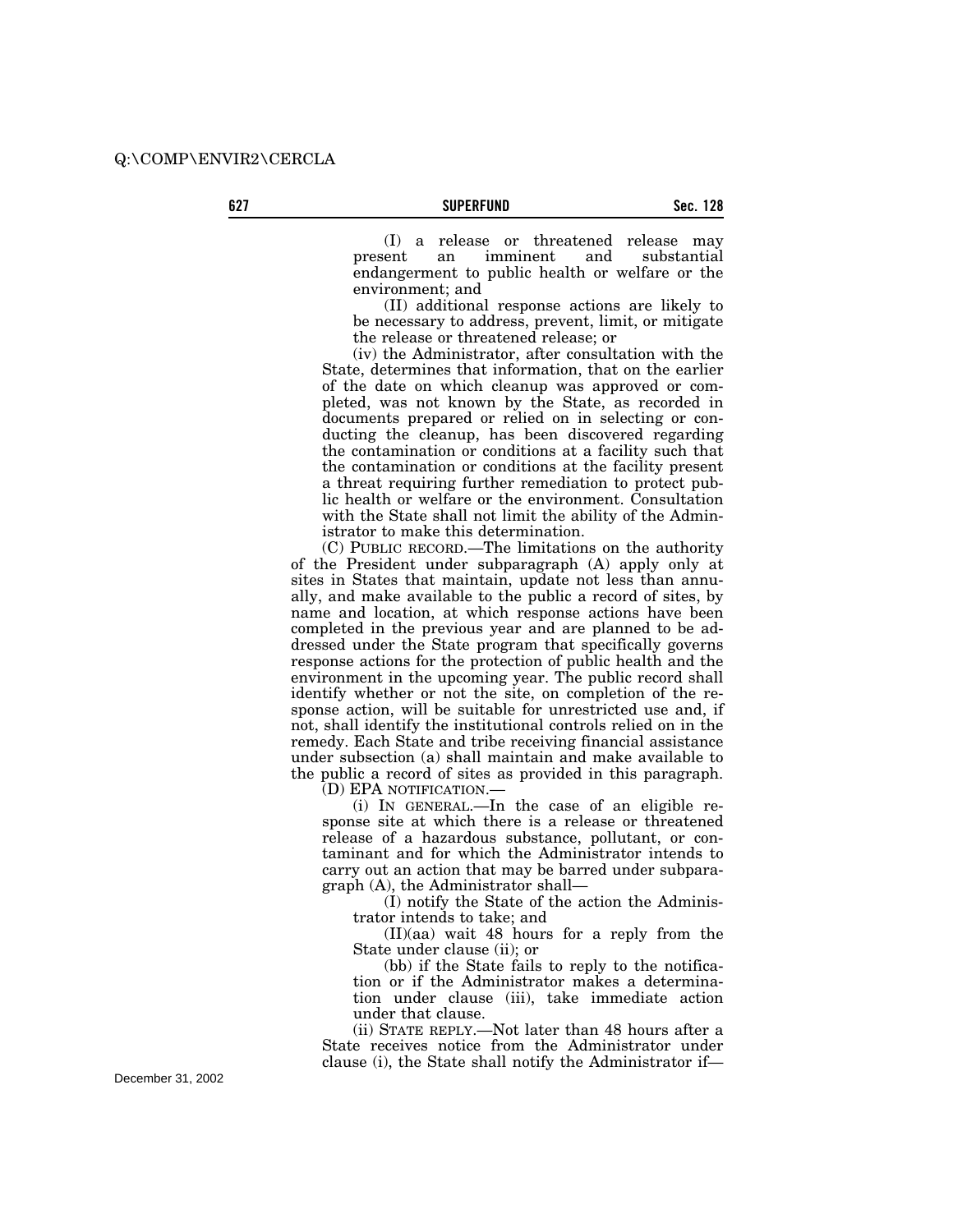(I) a release or threatened release may present an imminent and substantial endangerment to public health or welfare or the environment; and

(II) additional response actions are likely to be necessary to address, prevent, limit, or mitigate the release or threatened release; or

(iv) the Administrator, after consultation with the State, determines that information, that on the earlier of the date on which cleanup was approved or completed, was not known by the State, as recorded in documents prepared or relied on in selecting or conducting the cleanup, has been discovered regarding the contamination or conditions at a facility such that the contamination or conditions at the facility present a threat requiring further remediation to protect public health or welfare or the environment. Consultation with the State shall not limit the ability of the Administrator to make this determination.

(C) PUBLIC RECORD.—The limitations on the authority of the President under subparagraph (A) apply only at sites in States that maintain, update not less than annually, and make available to the public a record of sites, by name and location, at which response actions have been completed in the previous year and are planned to be addressed under the State program that specifically governs response actions for the protection of public health and the environment in the upcoming year. The public record shall identify whether or not the site, on completion of the response action, will be suitable for unrestricted use and, if not, shall identify the institutional controls relied on in the remedy. Each State and tribe receiving financial assistance under subsection (a) shall maintain and make available to the public a record of sites as provided in this paragraph.

(D) EPA NOTIFICATION.—

(i) IN GENERAL.—In the case of an eligible response site at which there is a release or threatened release of a hazardous substance, pollutant, or contaminant and for which the Administrator intends to carry out an action that may be barred under subparagraph (A), the Administrator shall—

(I) notify the State of the action the Administrator intends to take; and

(II)(aa) wait 48 hours for a reply from the State under clause (ii); or

(bb) if the State fails to reply to the notification or if the Administrator makes a determination under clause (iii), take immediate action under that clause.

(ii) STATE REPLY.—Not later than 48 hours after a State receives notice from the Administrator under clause (i), the State shall notify the Administrator if—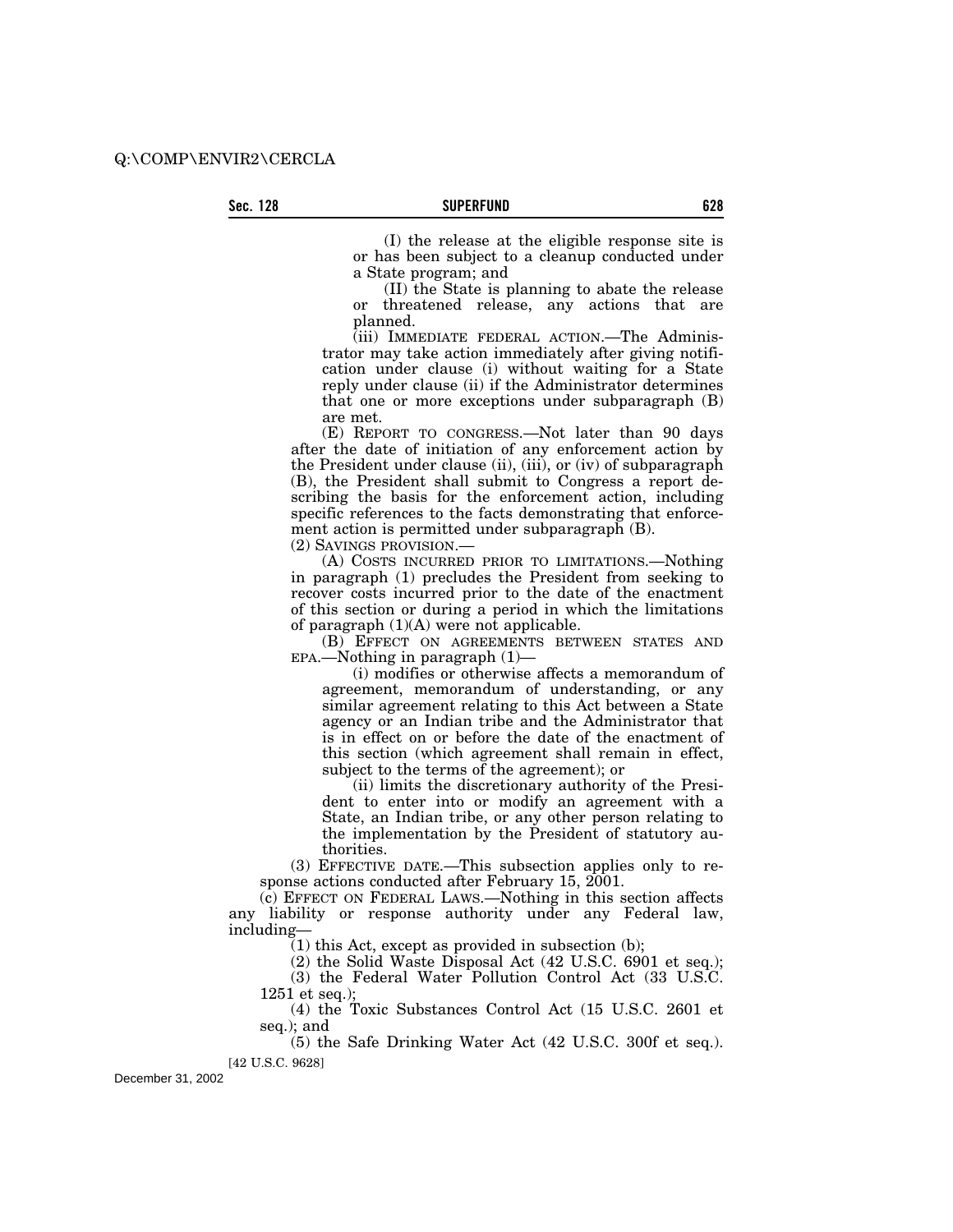(I) the release at the eligible response site is or has been subject to a cleanup conducted under a State program; and

(II) the State is planning to abate the release or threatened release, any actions that are planned.

(iii) IMMEDIATE FEDERAL ACTION.—The Administrator may take action immediately after giving notification under clause (i) without waiting for a State reply under clause (ii) if the Administrator determines that one or more exceptions under subparagraph (B) are met.

(E) REPORT TO CONGRESS.—Not later than 90 days after the date of initiation of any enforcement action by the President under clause (ii), (iii), or (iv) of subparagraph (B), the President shall submit to Congress a report describing the basis for the enforcement action, including specific references to the facts demonstrating that enforcement action is permitted under subparagraph (B).

(2) SAVINGS PROVISION.—

(A) COSTS INCURRED PRIOR TO LIMITATIONS.—Nothing in paragraph (1) precludes the President from seeking to recover costs incurred prior to the date of the enactment of this section or during a period in which the limitations of paragraph  $(1)(A)$  were not applicable.

(B) EFFECT ON AGREEMENTS BETWEEN STATES AND EPA.—Nothing in paragraph (1)—

(i) modifies or otherwise affects a memorandum of agreement, memorandum of understanding, or any similar agreement relating to this Act between a State agency or an Indian tribe and the Administrator that is in effect on or before the date of the enactment of this section (which agreement shall remain in effect, subject to the terms of the agreement); or

(ii) limits the discretionary authority of the President to enter into or modify an agreement with a State, an Indian tribe, or any other person relating to the implementation by the President of statutory authorities.

(3) EFFECTIVE DATE.—This subsection applies only to response actions conducted after February 15, 2001.

(c) EFFECT ON FEDERAL LAWS.—Nothing in this section affects any liability or response authority under any Federal law, including—

 $(1)$  this Act, except as provided in subsection  $(b)$ ;

(2) the Solid Waste Disposal Act (42 U.S.C. 6901 et seq.);

(3) the Federal Water Pollution Control Act (33 U.S.C. 1251 et seq.);

(4) the Toxic Substances Control Act (15 U.S.C. 2601 et seq.); and

(5) the Safe Drinking Water Act (42 U.S.C. 300f et seq.). [42 U.S.C. 9628]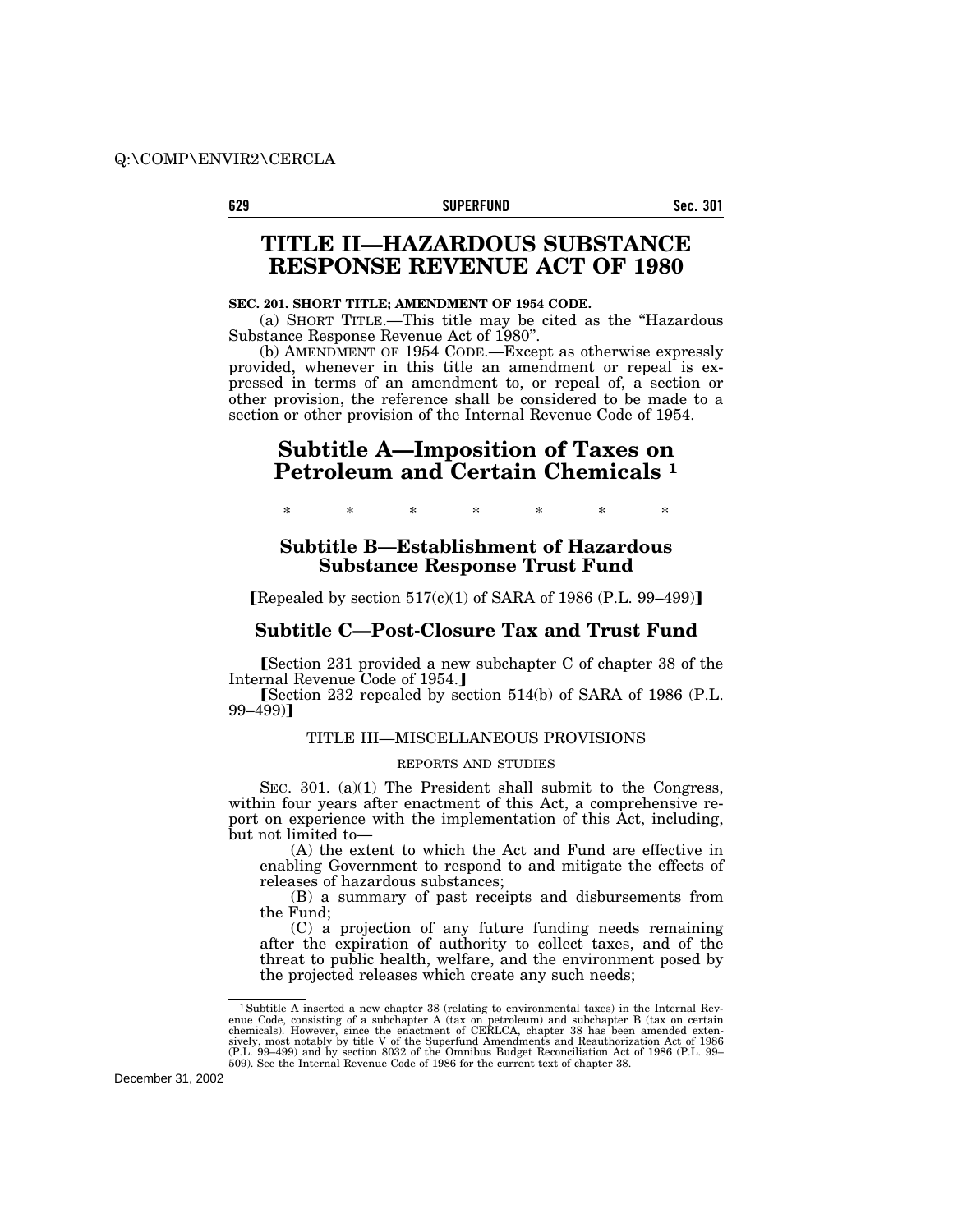#### **629 Sec. 301 SUPERFUND**

# **TITLE II—HAZARDOUS SUBSTANCE RESPONSE REVENUE ACT OF 1980**

#### **SEC. 201. SHORT TITLE; AMENDMENT OF 1954 CODE.**

(a) SHORT TITLE.—This title may be cited as the ''Hazardous Substance Response Revenue Act of 1980''.

(b) AMENDMENT OF 1954 CODE.—Except as otherwise expressly provided, whenever in this title an amendment or repeal is expressed in terms of an amendment to, or repeal of, a section or other provision, the reference shall be considered to be made to a section or other provision of the Internal Revenue Code of 1954.

# **Subtitle A—Imposition of Taxes on Petroleum and Certain Chemicals 1**

\* \* \* \* \* \* \*

## **Subtitle B—Establishment of Hazardous Substance Response Trust Fund**

Repealed by section  $517(c)(1)$  of SARA of 1986 (P.L. 99–499)]

## **Subtitle C—Post-Closure Tax and Trust Fund**

**[Section 231 provided a new subchapter C of chapter 38 of the** Internal Revenue Code of 1954.]

Section 232 repealed by section 514(b) of SARA of 1986 (P.L. 99–499)¿

## TITLE III—MISCELLANEOUS PROVISIONS

## REPORTS AND STUDIES

SEC. 301. (a)(1) The President shall submit to the Congress, within four years after enactment of this Act, a comprehensive report on experience with the implementation of this Act, including, but not limited to—

(A) the extent to which the Act and Fund are effective in enabling Government to respond to and mitigate the effects of releases of hazardous substances;

(B) a summary of past receipts and disbursements from the Fund;

(C) a projection of any future funding needs remaining after the expiration of authority to collect taxes, and of the threat to public health, welfare, and the environment posed by the projected releases which create any such needs;

<sup>&</sup>lt;sup>1</sup> Subtitle A inserted a new chapter 38 (relating to environmental taxes) in the Internal Revenue Code, consisting of a subchapter A (tax on petroleum) and subchapter B (tax on certain chemicals). However, since the enac 509). See the Internal Revenue Code of 1986 for the current text of chapter 38.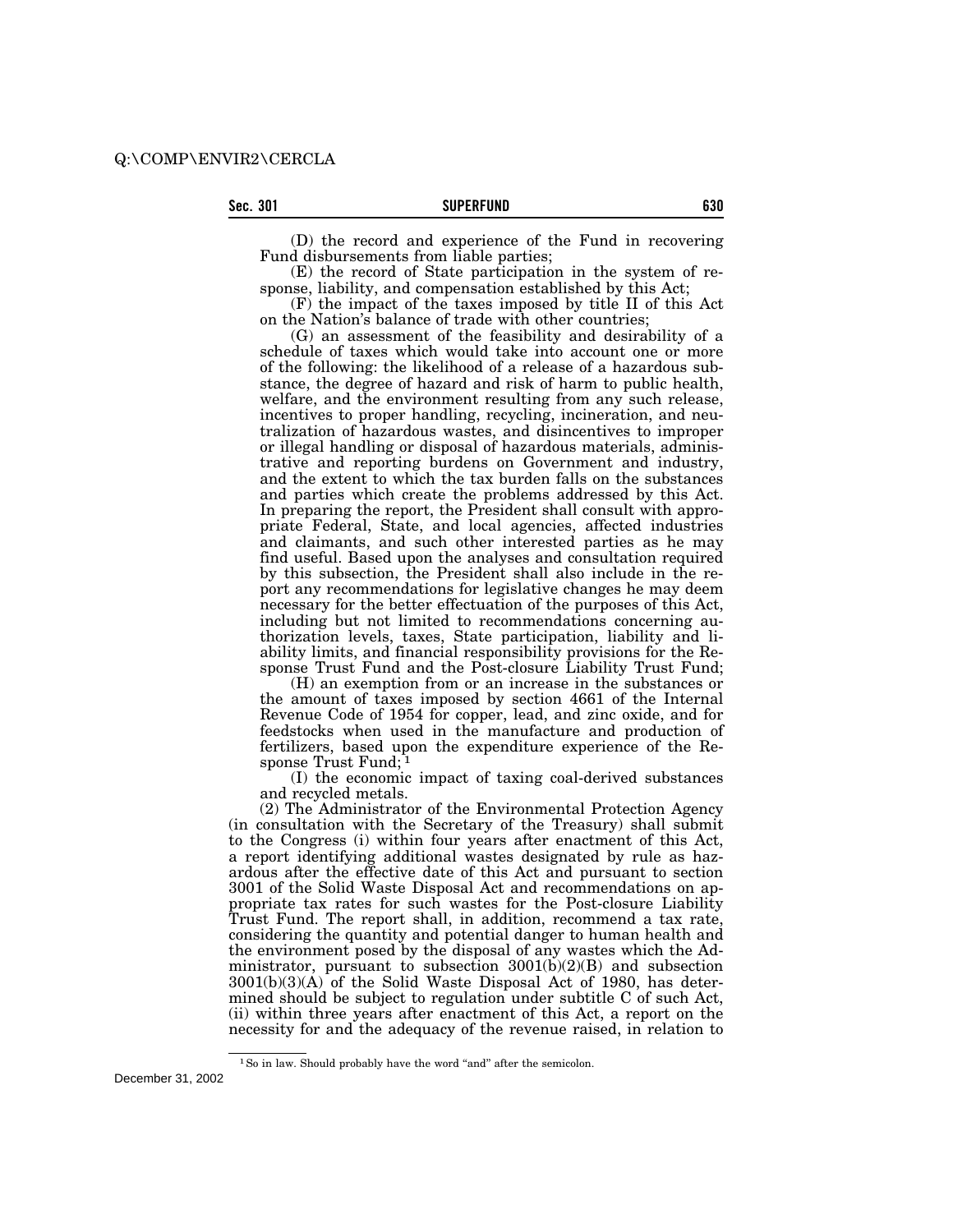(D) the record and experience of the Fund in recovering Fund disbursements from liable parties;

(E) the record of State participation in the system of response, liability, and compensation established by this Act;

(F) the impact of the taxes imposed by title II of this Act on the Nation's balance of trade with other countries;

(G) an assessment of the feasibility and desirability of a schedule of taxes which would take into account one or more of the following: the likelihood of a release of a hazardous substance, the degree of hazard and risk of harm to public health, welfare, and the environment resulting from any such release, incentives to proper handling, recycling, incineration, and neutralization of hazardous wastes, and disincentives to improper or illegal handling or disposal of hazardous materials, administrative and reporting burdens on Government and industry, and the extent to which the tax burden falls on the substances and parties which create the problems addressed by this Act. In preparing the report, the President shall consult with appropriate Federal, State, and local agencies, affected industries and claimants, and such other interested parties as he may find useful. Based upon the analyses and consultation required by this subsection, the President shall also include in the report any recommendations for legislative changes he may deem necessary for the better effectuation of the purposes of this Act, including but not limited to recommendations concerning authorization levels, taxes, State participation, liability and liability limits, and financial responsibility provisions for the Response Trust Fund and the Post-closure Liability Trust Fund;

(H) an exemption from or an increase in the substances or the amount of taxes imposed by section 4661 of the Internal Revenue Code of 1954 for copper, lead, and zinc oxide, and for feedstocks when used in the manufacture and production of fertilizers, based upon the expenditure experience of the Response Trust Fund; 1

(I) the economic impact of taxing coal-derived substances and recycled metals.

(2) The Administrator of the Environmental Protection Agency (in consultation with the Secretary of the Treasury) shall submit to the Congress (i) within four years after enactment of this Act, a report identifying additional wastes designated by rule as hazardous after the effective date of this Act and pursuant to section 3001 of the Solid Waste Disposal Act and recommendations on appropriate tax rates for such wastes for the Post-closure Liability Trust Fund. The report shall, in addition, recommend a tax rate, considering the quantity and potential danger to human health and the environment posed by the disposal of any wastes which the Administrator, pursuant to subsection  $3001(b)(2)(B)$  and subsection  $3001(b)(3)(A)$  of the Solid Waste Disposal Act of 1980, has determined should be subject to regulation under subtitle C of such Act, (ii) within three years after enactment of this Act, a report on the necessity for and the adequacy of the revenue raised, in relation to

<sup>&</sup>lt;sup>1</sup>So in law. Should probably have the word "and" after the semicolon.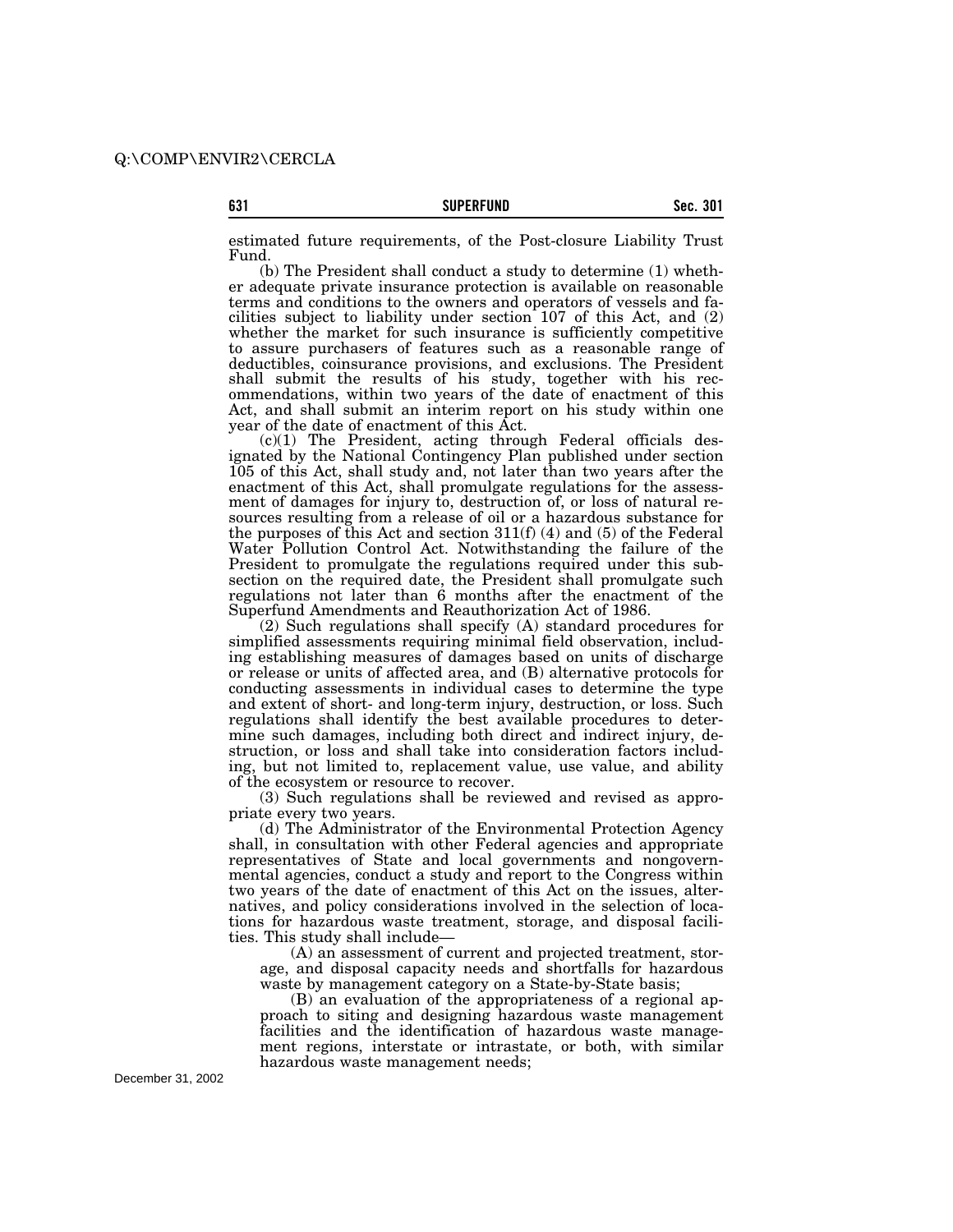estimated future requirements, of the Post-closure Liability Trust Fund.

(b) The President shall conduct a study to determine (1) whether adequate private insurance protection is available on reasonable terms and conditions to the owners and operators of vessels and facilities subject to liability under section  $107$  of this Act, and  $(2)$ whether the market for such insurance is sufficiently competitive to assure purchasers of features such as a reasonable range of deductibles, coinsurance provisions, and exclusions. The President shall submit the results of his study, together with his recommendations, within two years of the date of enactment of this Act, and shall submit an interim report on his study within one year of the date of enactment of this Act.

 $(c)(1)$  The President, acting through Federal officials designated by the National Contingency Plan published under section 105 of this Act, shall study and, not later than two years after the enactment of this Act, shall promulgate regulations for the assessment of damages for injury to, destruction of, or loss of natural resources resulting from a release of oil or a hazardous substance for the purposes of this Act and section  $311(f)$  (4) and (5) of the Federal Water Pollution Control Act. Notwithstanding the failure of the President to promulgate the regulations required under this subsection on the required date, the President shall promulgate such regulations not later than 6 months after the enactment of the Superfund Amendments and Reauthorization Act of 1986.

(2) Such regulations shall specify (A) standard procedures for simplified assessments requiring minimal field observation, including establishing measures of damages based on units of discharge or release or units of affected area, and (B) alternative protocols for conducting assessments in individual cases to determine the type and extent of short- and long-term injury, destruction, or loss. Such regulations shall identify the best available procedures to determine such damages, including both direct and indirect injury, destruction, or loss and shall take into consideration factors including, but not limited to, replacement value, use value, and ability of the ecosystem or resource to recover.

(3) Such regulations shall be reviewed and revised as appropriate every two years.

(d) The Administrator of the Environmental Protection Agency shall, in consultation with other Federal agencies and appropriate representatives of State and local governments and nongovernmental agencies, conduct a study and report to the Congress within two years of the date of enactment of this Act on the issues, alternatives, and policy considerations involved in the selection of locations for hazardous waste treatment, storage, and disposal facilities. This study shall include—

(A) an assessment of current and projected treatment, storage, and disposal capacity needs and shortfalls for hazardous waste by management category on a State-by-State basis;

(B) an evaluation of the appropriateness of a regional approach to siting and designing hazardous waste management facilities and the identification of hazardous waste management regions, interstate or intrastate, or both, with similar hazardous waste management needs;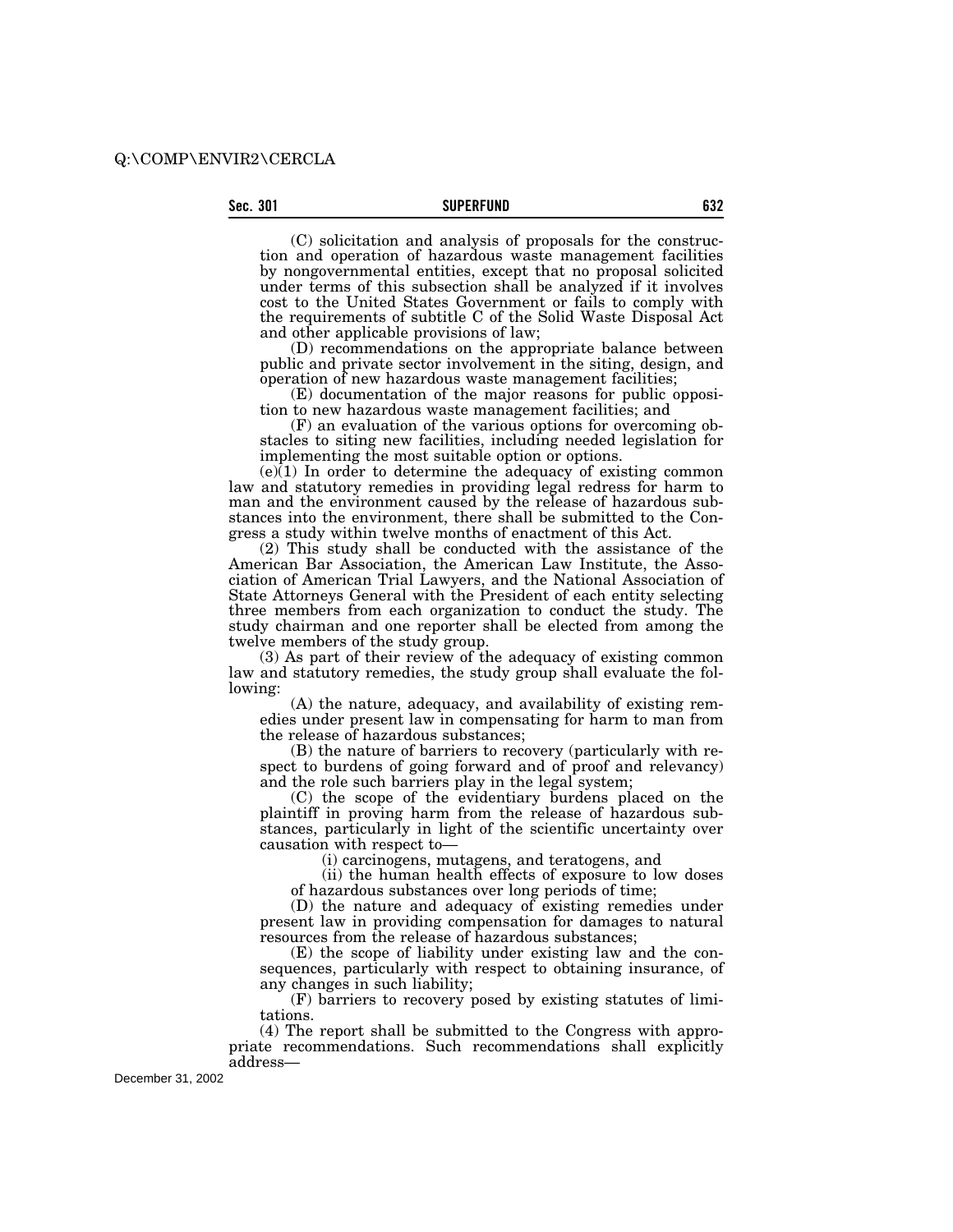# **Sec. 301 SUPERFUND 632**

(C) solicitation and analysis of proposals for the construction and operation of hazardous waste management facilities by nongovernmental entities, except that no proposal solicited under terms of this subsection shall be analyzed if it involves cost to the United States Government or fails to comply with the requirements of subtitle C of the Solid Waste Disposal Act and other applicable provisions of law;

(D) recommendations on the appropriate balance between public and private sector involvement in the siting, design, and operation of new hazardous waste management facilities;

(E) documentation of the major reasons for public opposition to new hazardous waste management facilities; and

(F) an evaluation of the various options for overcoming obstacles to siting new facilities, including needed legislation for implementing the most suitable option or options.

 $(e)(1)$  In order to determine the adequacy of existing common law and statutory remedies in providing legal redress for harm to man and the environment caused by the release of hazardous substances into the environment, there shall be submitted to the Congress a study within twelve months of enactment of this Act.

(2) This study shall be conducted with the assistance of the American Bar Association, the American Law Institute, the Association of American Trial Lawyers, and the National Association of State Attorneys General with the President of each entity selecting three members from each organization to conduct the study. The study chairman and one reporter shall be elected from among the twelve members of the study group.

(3) As part of their review of the adequacy of existing common law and statutory remedies, the study group shall evaluate the following:

(A) the nature, adequacy, and availability of existing remedies under present law in compensating for harm to man from the release of hazardous substances;

(B) the nature of barriers to recovery (particularly with respect to burdens of going forward and of proof and relevancy) and the role such barriers play in the legal system;

(C) the scope of the evidentiary burdens placed on the plaintiff in proving harm from the release of hazardous substances, particularly in light of the scientific uncertainty over causation with respect to—

(i) carcinogens, mutagens, and teratogens, and

(ii) the human health effects of exposure to low doses of hazardous substances over long periods of time;

(D) the nature and adequacy of existing remedies under present law in providing compensation for damages to natural resources from the release of hazardous substances;

(E) the scope of liability under existing law and the consequences, particularly with respect to obtaining insurance, of any changes in such liability;

(F) barriers to recovery posed by existing statutes of limitations.

(4) The report shall be submitted to the Congress with appropriate recommendations. Such recommendations shall explicitly address—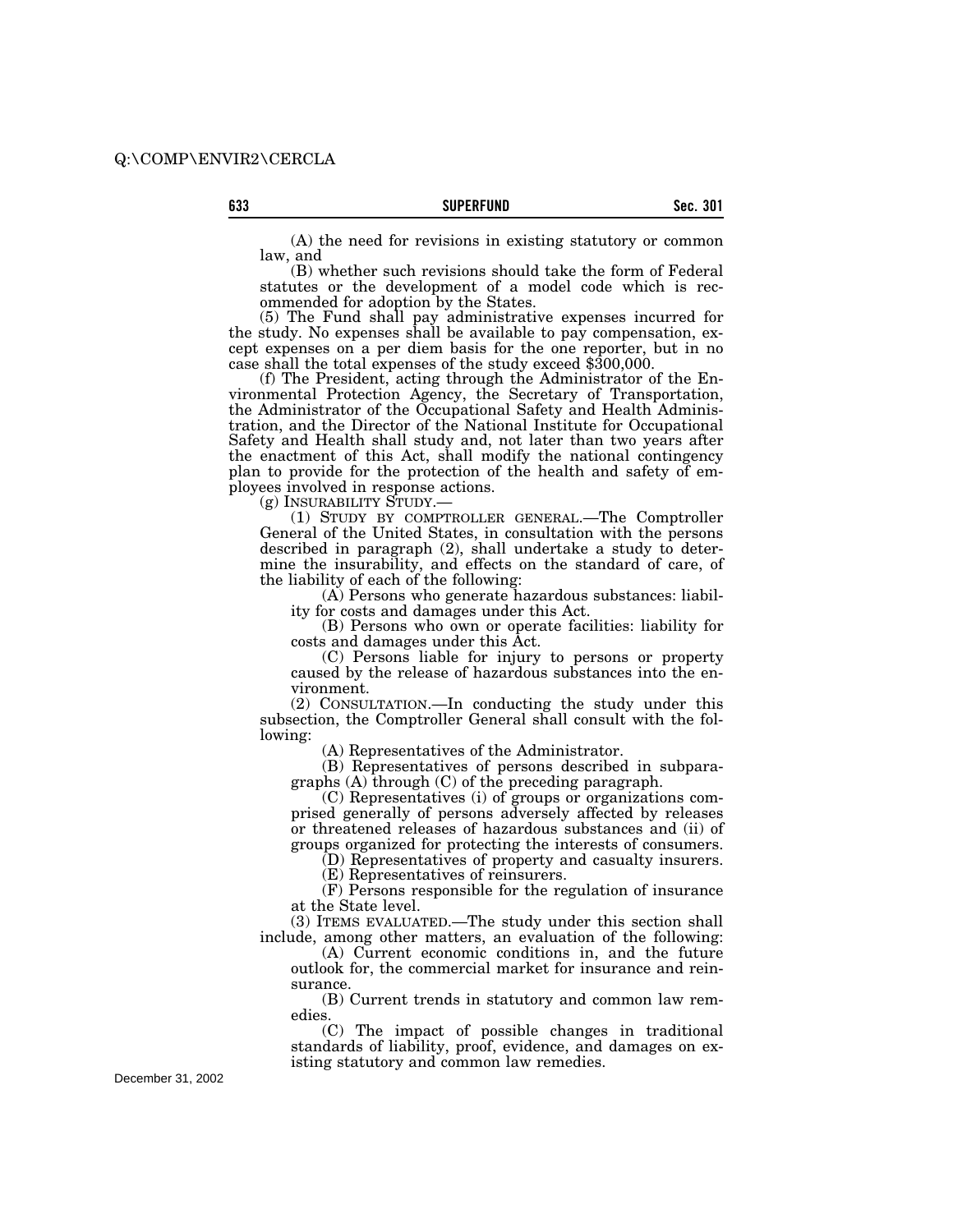(A) the need for revisions in existing statutory or common law, and

(B) whether such revisions should take the form of Federal statutes or the development of a model code which is recommended for adoption by the States.

(5) The Fund shall pay administrative expenses incurred for the study. No expenses shall be available to pay compensation, except expenses on a per diem basis for the one reporter, but in no case shall the total expenses of the study exceed \$300,000.

(f) The President, acting through the Administrator of the Environmental Protection Agency, the Secretary of Transportation, the Administrator of the Occupational Safety and Health Administration, and the Director of the National Institute for Occupational Safety and Health shall study and, not later than two years after the enactment of this Act, shall modify the national contingency plan to provide for the protection of the health and safety of employees involved in response actions.<br>(g) INSURABILITY STUDY.—

(1) STUDY BY COMPTROLLER GENERAL.—The Comptroller General of the United States, in consultation with the persons described in paragraph (2), shall undertake a study to determine the insurability, and effects on the standard of care, of the liability of each of the following:

(A) Persons who generate hazardous substances: liability for costs and damages under this Act.

(B) Persons who own or operate facilities: liability for costs and damages under this Act.

(C) Persons liable for injury to persons or property caused by the release of hazardous substances into the environment.

(2) CONSULTATION.—In conducting the study under this subsection, the Comptroller General shall consult with the following:

(A) Representatives of the Administrator.

(B) Representatives of persons described in subparagraphs (A) through (C) of the preceding paragraph.

(C) Representatives (i) of groups or organizations comprised generally of persons adversely affected by releases or threatened releases of hazardous substances and (ii) of groups organized for protecting the interests of consumers.

(D) Representatives of property and casualty insurers. (E) Representatives of reinsurers.

(F) Persons responsible for the regulation of insurance at the State level.

(3) ITEMS EVALUATED.—The study under this section shall include, among other matters, an evaluation of the following:

(A) Current economic conditions in, and the future outlook for, the commercial market for insurance and reinsurance.

(B) Current trends in statutory and common law remedies.

(C) The impact of possible changes in traditional standards of liability, proof, evidence, and damages on existing statutory and common law remedies.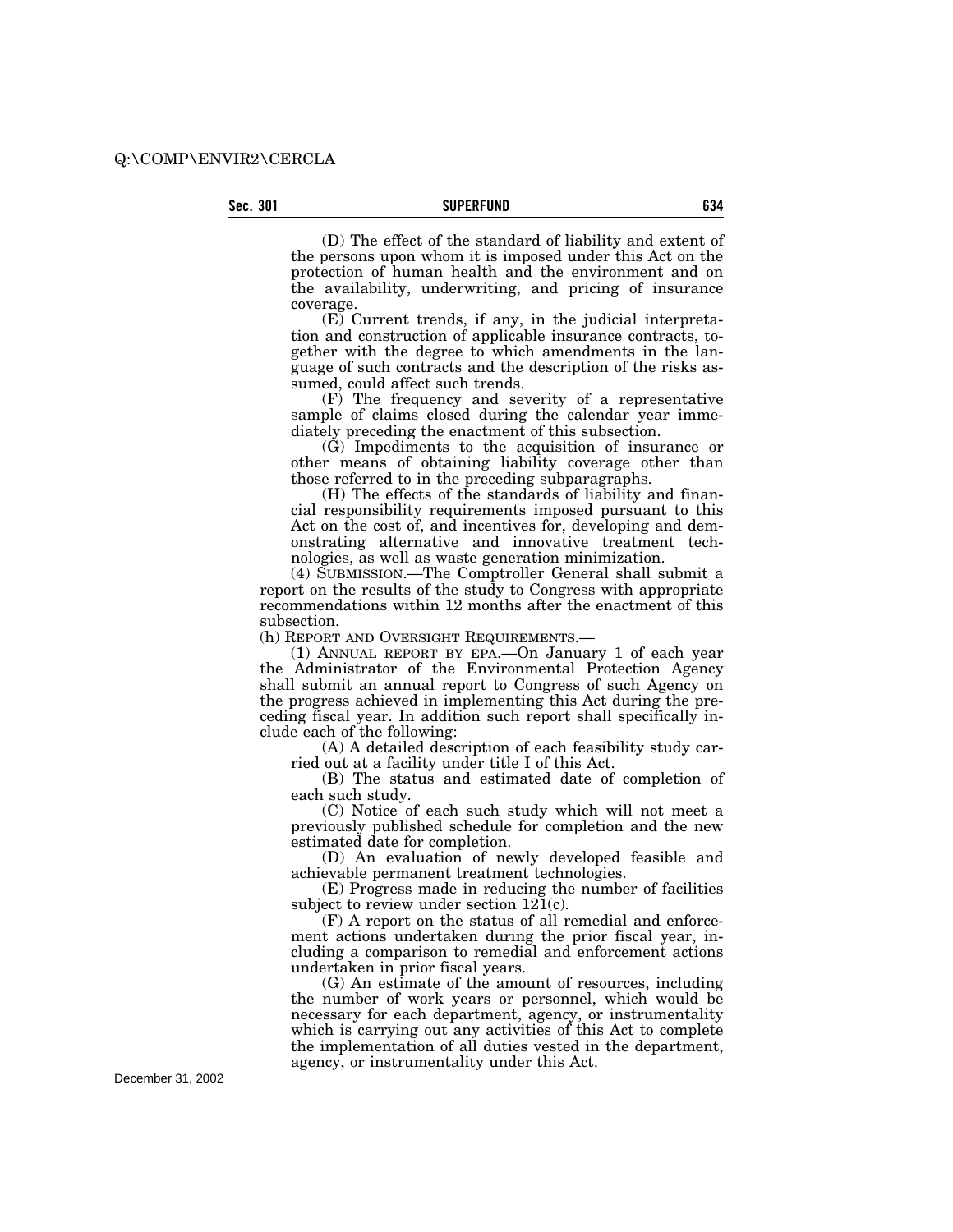(D) The effect of the standard of liability and extent of the persons upon whom it is imposed under this Act on the protection of human health and the environment and on the availability, underwriting, and pricing of insurance coverage.

(E) Current trends, if any, in the judicial interpretation and construction of applicable insurance contracts, together with the degree to which amendments in the language of such contracts and the description of the risks assumed, could affect such trends.

(F) The frequency and severity of a representative sample of claims closed during the calendar year immediately preceding the enactment of this subsection.

(G) Impediments to the acquisition of insurance or other means of obtaining liability coverage other than those referred to in the preceding subparagraphs.

(H) The effects of the standards of liability and financial responsibility requirements imposed pursuant to this Act on the cost of, and incentives for, developing and demonstrating alternative and innovative treatment technologies, as well as waste generation minimization.

(4) SUBMISSION.—The Comptroller General shall submit a report on the results of the study to Congress with appropriate recommendations within 12 months after the enactment of this subsection.

(h) REPORT AND OVERSIGHT REQUIREMENTS.—

(1) ANNUAL REPORT BY EPA.—On January 1 of each year the Administrator of the Environmental Protection Agency shall submit an annual report to Congress of such Agency on the progress achieved in implementing this Act during the preceding fiscal year. In addition such report shall specifically include each of the following:

(A) A detailed description of each feasibility study carried out at a facility under title I of this Act.

(B) The status and estimated date of completion of each such study.

(C) Notice of each such study which will not meet a previously published schedule for completion and the new estimated date for completion.

(D) An evaluation of newly developed feasible and achievable permanent treatment technologies.

(E) Progress made in reducing the number of facilities subject to review under section 121(c).

(F) A report on the status of all remedial and enforcement actions undertaken during the prior fiscal year, including a comparison to remedial and enforcement actions undertaken in prior fiscal years.

(G) An estimate of the amount of resources, including the number of work years or personnel, which would be necessary for each department, agency, or instrumentality which is carrying out any activities of this Act to complete the implementation of all duties vested in the department, agency, or instrumentality under this Act.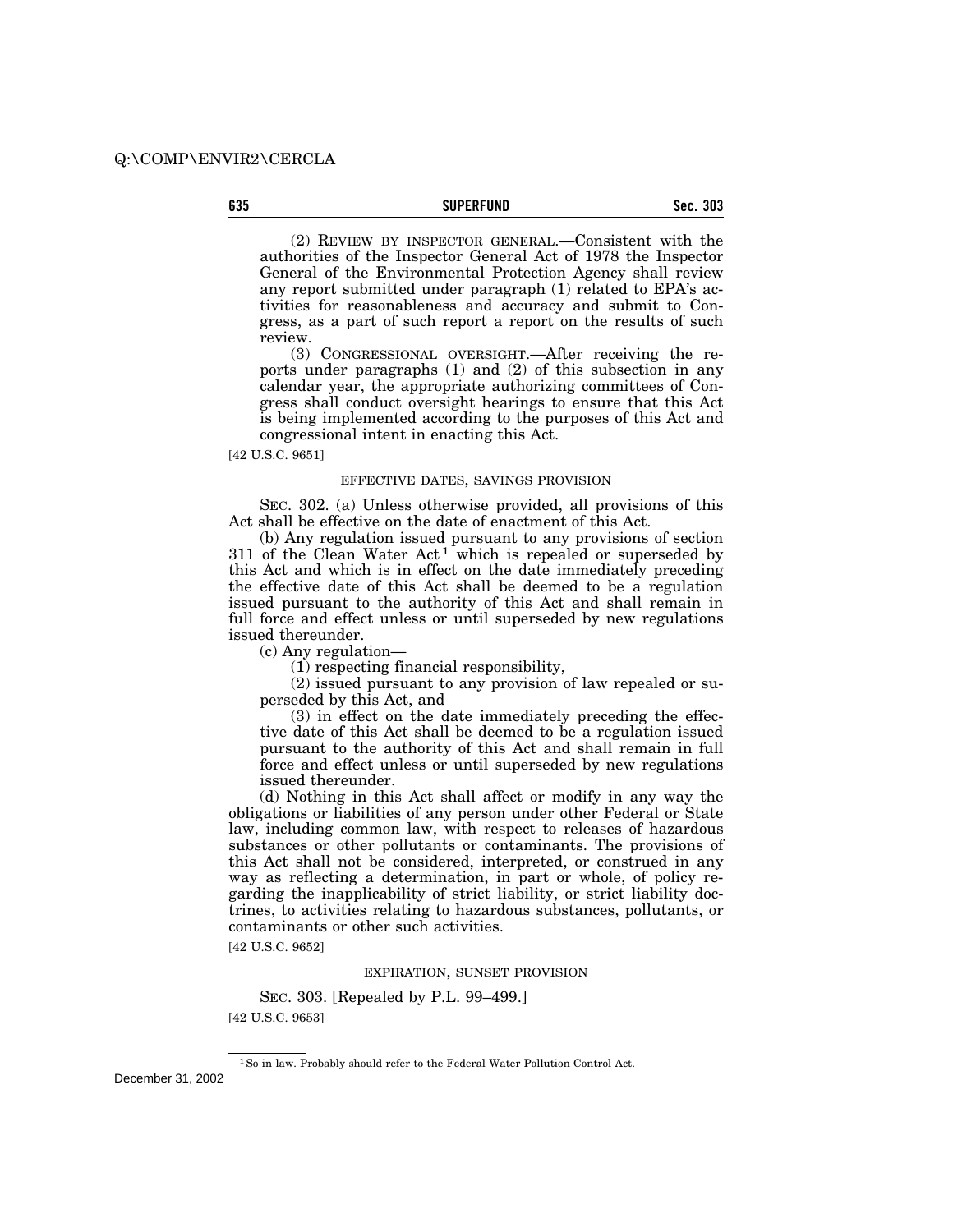(2) REVIEW BY INSPECTOR GENERAL.—Consistent with the authorities of the Inspector General Act of 1978 the Inspector General of the Environmental Protection Agency shall review any report submitted under paragraph (1) related to EPA's activities for reasonableness and accuracy and submit to Congress, as a part of such report a report on the results of such review.

(3) CONGRESSIONAL OVERSIGHT.—After receiving the reports under paragraphs (1) and (2) of this subsection in any calendar year, the appropriate authorizing committees of Congress shall conduct oversight hearings to ensure that this Act is being implemented according to the purposes of this Act and congressional intent in enacting this Act.

[42 U.S.C. 9651]

# EFFECTIVE DATES, SAVINGS PROVISION

SEC. 302. (a) Unless otherwise provided, all provisions of this Act shall be effective on the date of enactment of this Act.

(b) Any regulation issued pursuant to any provisions of section  $311$  of the Clean Water Act<sup>1</sup> which is repealed or superseded by this Act and which is in effect on the date immediately preceding the effective date of this Act shall be deemed to be a regulation issued pursuant to the authority of this Act and shall remain in full force and effect unless or until superseded by new regulations issued thereunder.

(c) Any regulation—

(1) respecting financial responsibility,

(2) issued pursuant to any provision of law repealed or superseded by this Act, and

(3) in effect on the date immediately preceding the effective date of this Act shall be deemed to be a regulation issued pursuant to the authority of this Act and shall remain in full force and effect unless or until superseded by new regulations issued thereunder.

(d) Nothing in this Act shall affect or modify in any way the obligations or liabilities of any person under other Federal or State law, including common law, with respect to releases of hazardous substances or other pollutants or contaminants. The provisions of this Act shall not be considered, interpreted, or construed in any way as reflecting a determination, in part or whole, of policy regarding the inapplicability of strict liability, or strict liability doctrines, to activities relating to hazardous substances, pollutants, or contaminants or other such activities.

[42 U.S.C. 9652]

#### EXPIRATION, SUNSET PROVISION

SEC. 303. [Repealed by P.L. 99–499.]

[42 U.S.C. 9653]

<sup>1</sup>So in law. Probably should refer to the Federal Water Pollution Control Act.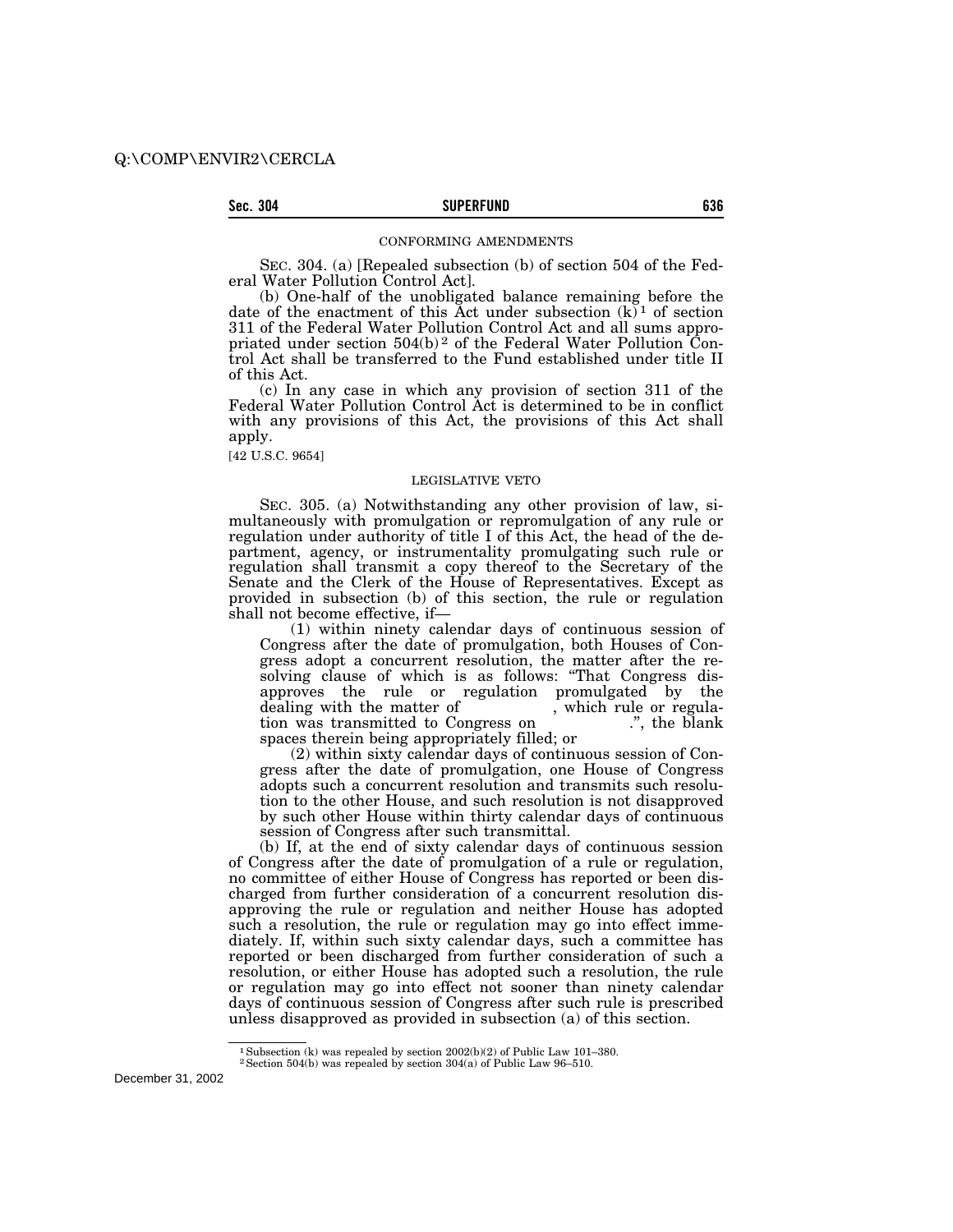# **Sec. 304 SUPERFUND 636**

#### CONFORMING AMENDMENTS

SEC. 304. (a) [Repealed subsection (b) of section 504 of the Federal Water Pollution Control Act].

(b) One-half of the unobligated balance remaining before the date of the enactment of this Act under subsection  $(k)$ <sup>1</sup> of section 311 of the Federal Water Pollution Control Act and all sums appropriated under section  $504(b)^2$  of the Federal Water Pollution Control Act shall be transferred to the Fund established under title II of this Act.

(c) In any case in which any provision of section 311 of the Federal Water Pollution Control Act is determined to be in conflict with any provisions of this Act, the provisions of this Act shall apply.

[42 U.S.C. 9654]

# LEGISLATIVE VETO

SEC. 305. (a) Notwithstanding any other provision of law, simultaneously with promulgation or repromulgation of any rule or regulation under authority of title I of this Act, the head of the department, agency, or instrumentality promulgating such rule or regulation shall transmit a copy thereof to the Secretary of the Senate and the Clerk of the House of Representatives. Except as provided in subsection (b) of this section, the rule or regulation shall not become effective, if—

(1) within ninety calendar days of continuous session of Congress after the date of promulgation, both Houses of Congress adopt a concurrent resolution, the matter after the resolving clause of which is as follows: "That Congress disapproves the rule or regulation promulgated by the dealing with the matter of , which rule or reguladealing with the matter of  $\overline{\phantom{a}}$ , which rule or regulation was transmitted to Congress on  $\overline{\phantom{a}}$ , the blank tion was transmitted to Congress on spaces therein being appropriately filled; or

(2) within sixty calendar days of continuous session of Congress after the date of promulgation, one House of Congress adopts such a concurrent resolution and transmits such resolution to the other House, and such resolution is not disapproved by such other House within thirty calendar days of continuous session of Congress after such transmittal.

(b) If, at the end of sixty calendar days of continuous session of Congress after the date of promulgation of a rule or regulation, no committee of either House of Congress has reported or been discharged from further consideration of a concurrent resolution disapproving the rule or regulation and neither House has adopted such a resolution, the rule or regulation may go into effect immediately. If, within such sixty calendar days, such a committee has reported or been discharged from further consideration of such a resolution, or either House has adopted such a resolution, the rule or regulation may go into effect not sooner than ninety calendar days of continuous session of Congress after such rule is prescribed unless disapproved as provided in subsection (a) of this section.

<sup>1</sup>Subsection (k) was repealed by section 2002(b)(2) of Public Law 101–380.

<sup>2</sup>Section 504(b) was repealed by section 304(a) of Public Law 96–510.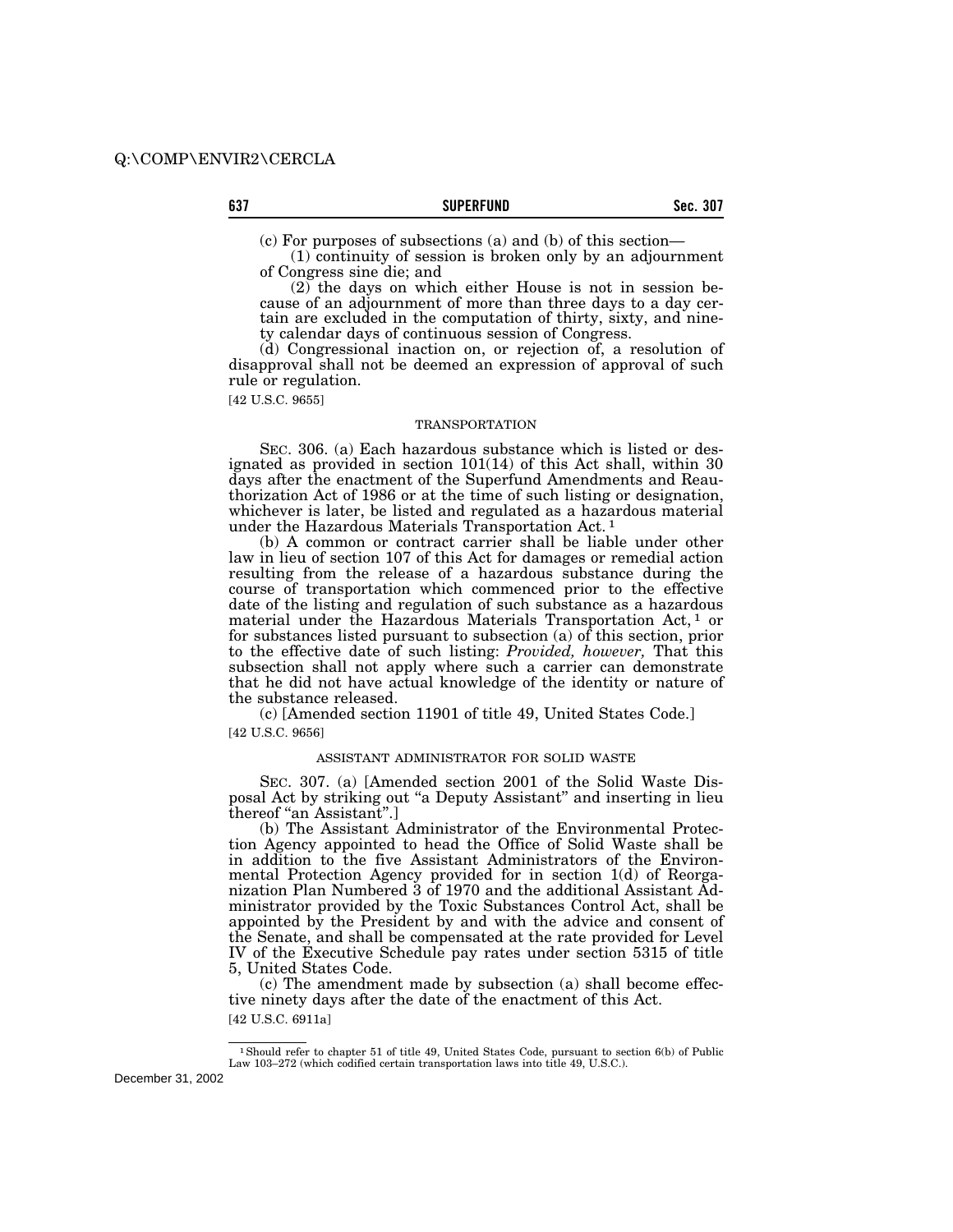(c) For purposes of subsections (a) and (b) of this section—

(1) continuity of session is broken only by an adjournment of Congress sine die; and

(2) the days on which either House is not in session because of an adjournment of more than three days to a day certain are excluded in the computation of thirty, sixty, and ninety calendar days of continuous session of Congress.

(d) Congressional inaction on, or rejection of, a resolution of disapproval shall not be deemed an expression of approval of such rule or regulation.

[42 U.S.C. 9655]

## TRANSPORTATION

SEC. 306. (a) Each hazardous substance which is listed or designated as provided in section 101(14) of this Act shall, within 30 days after the enactment of the Superfund Amendments and Reauthorization Act of 1986 or at the time of such listing or designation, whichever is later, be listed and regulated as a hazardous material under the Hazardous Materials Transportation Act. 1

(b) A common or contract carrier shall be liable under other law in lieu of section 107 of this Act for damages or remedial action resulting from the release of a hazardous substance during the course of transportation which commenced prior to the effective date of the listing and regulation of such substance as a hazardous material under the Hazardous Materials Transportation Act, 1 or for substances listed pursuant to subsection (a) of this section, prior to the effective date of such listing: *Provided, however,* That this subsection shall not apply where such a carrier can demonstrate that he did not have actual knowledge of the identity or nature of the substance released.

(c) [Amended section 11901 of title 49, United States Code.]

[42 U.S.C. 9656]

## ASSISTANT ADMINISTRATOR FOR SOLID WASTE

SEC. 307. (a) [Amended section 2001 of the Solid Waste Disposal Act by striking out ''a Deputy Assistant'' and inserting in lieu thereof "an Assistant".]

(b) The Assistant Administrator of the Environmental Protection Agency appointed to head the Office of Solid Waste shall be in addition to the five Assistant Administrators of the Environmental Protection Agency provided for in section 1(d) of Reorganization Plan Numbered 3 of 1970 and the additional Assistant Administrator provided by the Toxic Substances Control Act, shall be appointed by the President by and with the advice and consent of the Senate, and shall be compensated at the rate provided for Level IV of the Executive Schedule pay rates under section 5315 of title 5, United States Code.

(c) The amendment made by subsection (a) shall become effective ninety days after the date of the enactment of this Act. [42 U.S.C. 6911a]

<sup>1</sup>Should refer to chapter 51 of title 49, United States Code, pursuant to section 6(b) of Public Law 103–272 (which codified certain transportation laws into title 49, U.S.C.).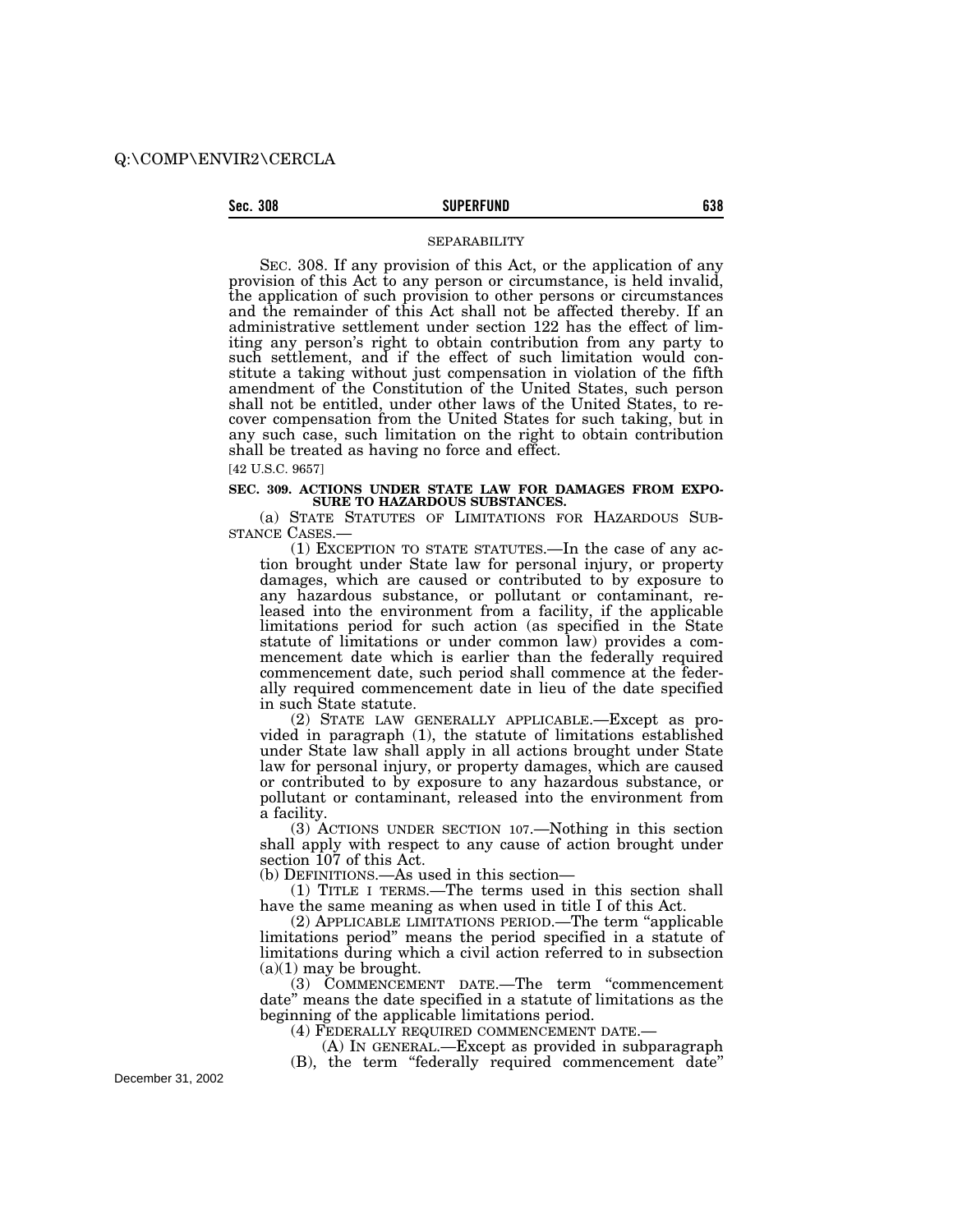# **Sec. 308 SUPERFUND 638**

## SEPARABILITY

SEC. 308. If any provision of this Act, or the application of any provision of this Act to any person or circumstance, is held invalid, the application of such provision to other persons or circumstances and the remainder of this Act shall not be affected thereby. If an administrative settlement under section 122 has the effect of limiting any person's right to obtain contribution from any party to such settlement, and if the effect of such limitation would constitute a taking without just compensation in violation of the fifth amendment of the Constitution of the United States, such person shall not be entitled, under other laws of the United States, to recover compensation from the United States for such taking, but in any such case, such limitation on the right to obtain contribution shall be treated as having no force and effect.

[42 U.S.C. 9657]

## **SEC. 309. ACTIONS UNDER STATE LAW FOR DAMAGES FROM EXPO-SURE TO HAZARDOUS SUBSTANCES.**

(a) STATE STATUTES OF LIMITATIONS FOR HAZARDOUS SUBSTANCE CASES.—

1) EXCEPTION TO STATE STATUTES.—In the case of any action brought under State law for personal injury, or property damages, which are caused or contributed to by exposure to any hazardous substance, or pollutant or contaminant, released into the environment from a facility, if the applicable limitations period for such action (as specified in the State statute of limitations or under common law) provides a commencement date which is earlier than the federally required commencement date, such period shall commence at the federally required commencement date in lieu of the date specified in such State statute.

(2) STATE LAW GENERALLY APPLICABLE.—Except as provided in paragraph (1), the statute of limitations established under State law shall apply in all actions brought under State law for personal injury, or property damages, which are caused or contributed to by exposure to any hazardous substance, or pollutant or contaminant, released into the environment from a facility.

(3) ACTIONS UNDER SECTION 107.—Nothing in this section shall apply with respect to any cause of action brought under section 107 of this Act.

(b) DEFINITIONS.—As used in this section—

(1) TITLE I TERMS.—The terms used in this section shall have the same meaning as when used in title I of this Act.

(2) APPLICABLE LIMITATIONS PERIOD.—The term ''applicable limitations period'' means the period specified in a statute of limitations during which a civil action referred to in subsection  $(a)(1)$  may be brought.

(3) COMMENCEMENT DATE.—The term ''commencement date'' means the date specified in a statute of limitations as the beginning of the applicable limitations period.

(4) FEDERALLY REQUIRED COMMENCEMENT DATE.—

(A) IN GENERAL.—Except as provided in subparagraph (B), the term ''federally required commencement date''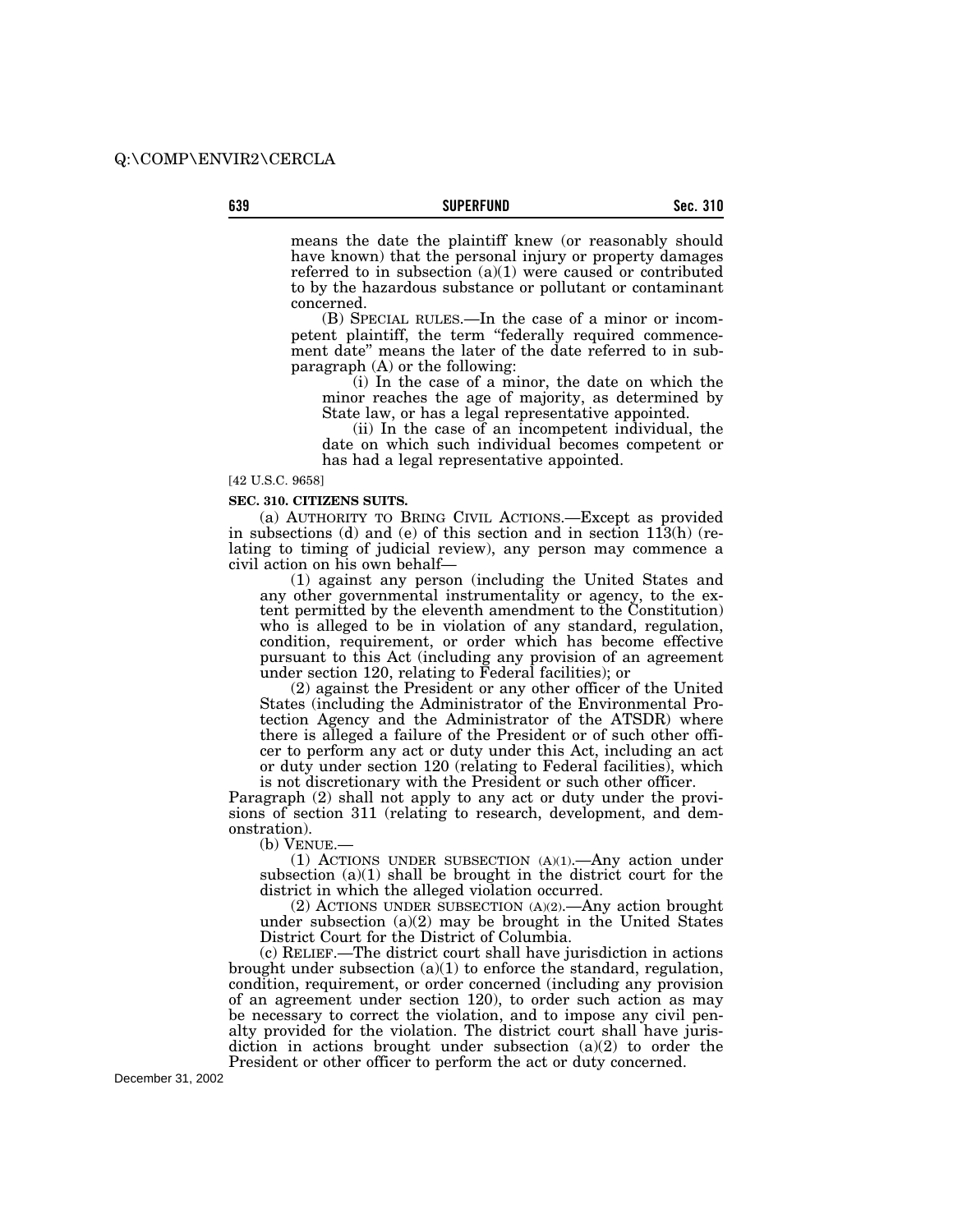means the date the plaintiff knew (or reasonably should have known) that the personal injury or property damages referred to in subsection (a)(1) were caused or contributed to by the hazardous substance or pollutant or contaminant concerned.

(B) SPECIAL RULES.—In the case of a minor or incompetent plaintiff, the term "federally required commencement date'' means the later of the date referred to in subparagraph (A) or the following:

(i) In the case of a minor, the date on which the minor reaches the age of majority, as determined by State law, or has a legal representative appointed.

(ii) In the case of an incompetent individual, the date on which such individual becomes competent or has had a legal representative appointed.

[42 U.S.C. 9658]

### **SEC. 310. CITIZENS SUITS.**

(a) AUTHORITY TO BRING CIVIL ACTIONS.—Except as provided in subsections (d) and (e) of this section and in section 113(h) (relating to timing of judicial review), any person may commence a civil action on his own behalf—

(1) against any person (including the United States and any other governmental instrumentality or agency, to the extent permitted by the eleventh amendment to the Constitution) who is alleged to be in violation of any standard, regulation, condition, requirement, or order which has become effective pursuant to this Act (including any provision of an agreement under section 120, relating to Federal facilities); or

(2) against the President or any other officer of the United States (including the Administrator of the Environmental Protection Agency and the Administrator of the ATSDR) where there is alleged a failure of the President or of such other officer to perform any act or duty under this Act, including an act or duty under section 120 (relating to Federal facilities), which is not discretionary with the President or such other officer.

Paragraph (2) shall not apply to any act or duty under the provisions of section 311 (relating to research, development, and demonstration).

(b) VENUE.—

(1) ACTIONS UNDER SUBSECTION  $(A)(1)$ . Any action under subsection  $(a)(1)$  shall be brought in the district court for the district in which the alleged violation occurred.

(2) ACTIONS UNDER SUBSECTION (A)(2).—Any action brought under subsection (a)(2) may be brought in the United States District Court for the District of Columbia.

(c) RELIEF.—The district court shall have jurisdiction in actions brought under subsection (a)(1) to enforce the standard, regulation, condition, requirement, or order concerned (including any provision of an agreement under section 120), to order such action as may be necessary to correct the violation, and to impose any civil penalty provided for the violation. The district court shall have jurisdiction in actions brought under subsection  $(a)(2)$  to order the President or other officer to perform the act or duty concerned.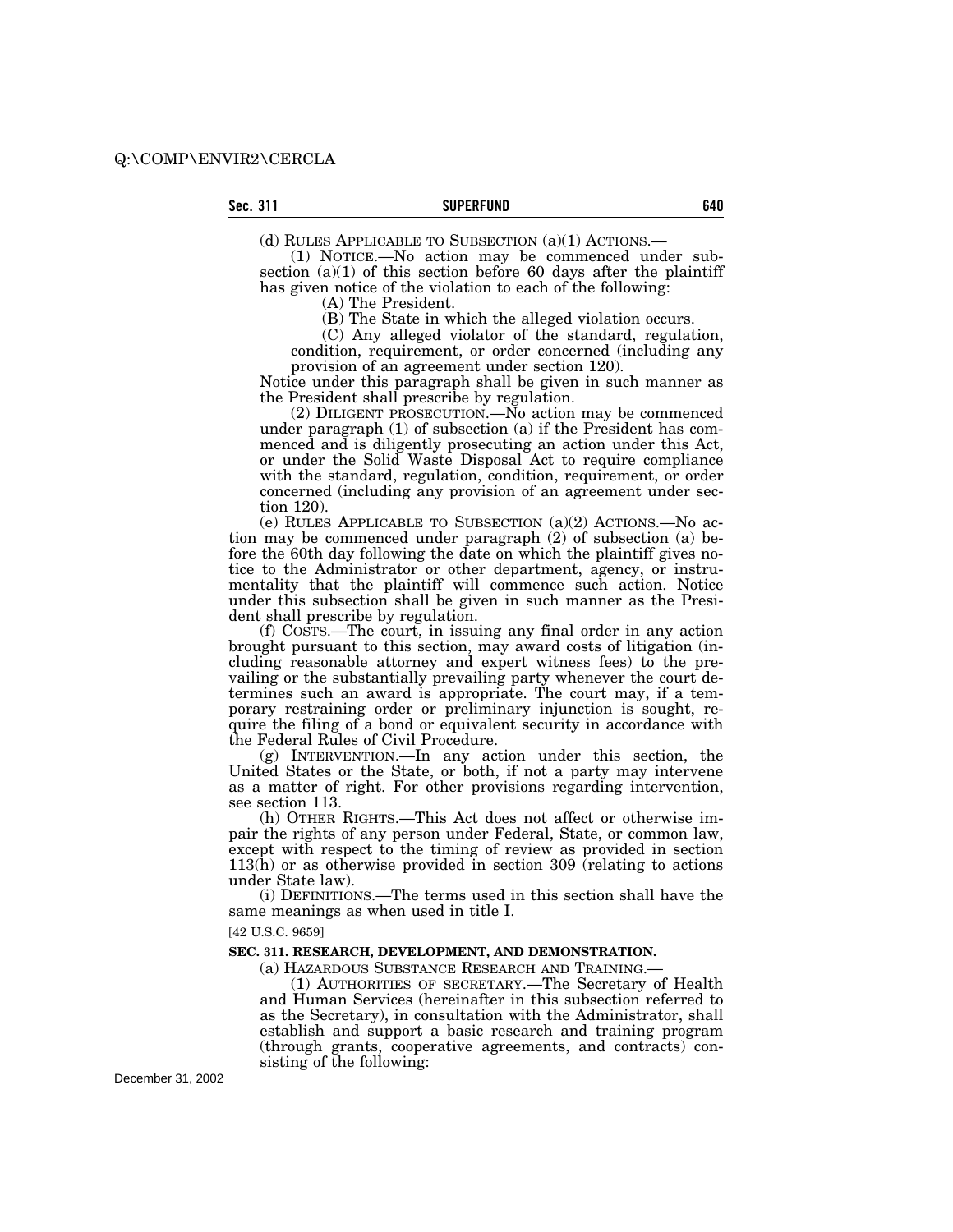(d) RULES APPLICABLE TO SUBSECTION  $(a)(1)$  ACTIONS.—

(1) NOTICE.—No action may be commenced under subsection  $(a)(1)$  of this section before 60 days after the plaintiff has given notice of the violation to each of the following:

(A) The President.

(B) The State in which the alleged violation occurs.

(C) Any alleged violator of the standard, regulation, condition, requirement, or order concerned (including any provision of an agreement under section 120).

Notice under this paragraph shall be given in such manner as the President shall prescribe by regulation.

(2) DILIGENT PROSECUTION.—No action may be commenced under paragraph (1) of subsection (a) if the President has commenced and is diligently prosecuting an action under this Act, or under the Solid Waste Disposal Act to require compliance with the standard, regulation, condition, requirement, or order concerned (including any provision of an agreement under section 120).

(e) RULES APPLICABLE TO SUBSECTION (a)(2) ACTIONS.—No action may be commenced under paragraph (2) of subsection (a) before the 60th day following the date on which the plaintiff gives notice to the Administrator or other department, agency, or instrumentality that the plaintiff will commence such action. Notice under this subsection shall be given in such manner as the President shall prescribe by regulation.

(f) COSTS.—The court, in issuing any final order in any action brought pursuant to this section, may award costs of litigation (including reasonable attorney and expert witness fees) to the prevailing or the substantially prevailing party whenever the court determines such an award is appropriate. The court may, if a temporary restraining order or preliminary injunction is sought, require the filing of a bond or equivalent security in accordance with the Federal Rules of Civil Procedure.

(g) INTERVENTION.—In any action under this section, the United States or the State, or both, if not a party may intervene as a matter of right. For other provisions regarding intervention, see section 113.

(h) OTHER RIGHTS.—This Act does not affect or otherwise impair the rights of any person under Federal, State, or common law, except with respect to the timing of review as provided in section 113(h) or as otherwise provided in section 309 (relating to actions under State law).

(i) DEFINITIONS.—The terms used in this section shall have the same meanings as when used in title I.

## [42 U.S.C. 9659]

## **SEC. 311. RESEARCH, DEVELOPMENT, AND DEMONSTRATION.**

(a) HAZARDOUS SUBSTANCE RESEARCH AND TRAINING.—

(1) AUTHORITIES OF SECRETARY.—The Secretary of Health and Human Services (hereinafter in this subsection referred to as the Secretary), in consultation with the Administrator, shall establish and support a basic research and training program (through grants, cooperative agreements, and contracts) consisting of the following: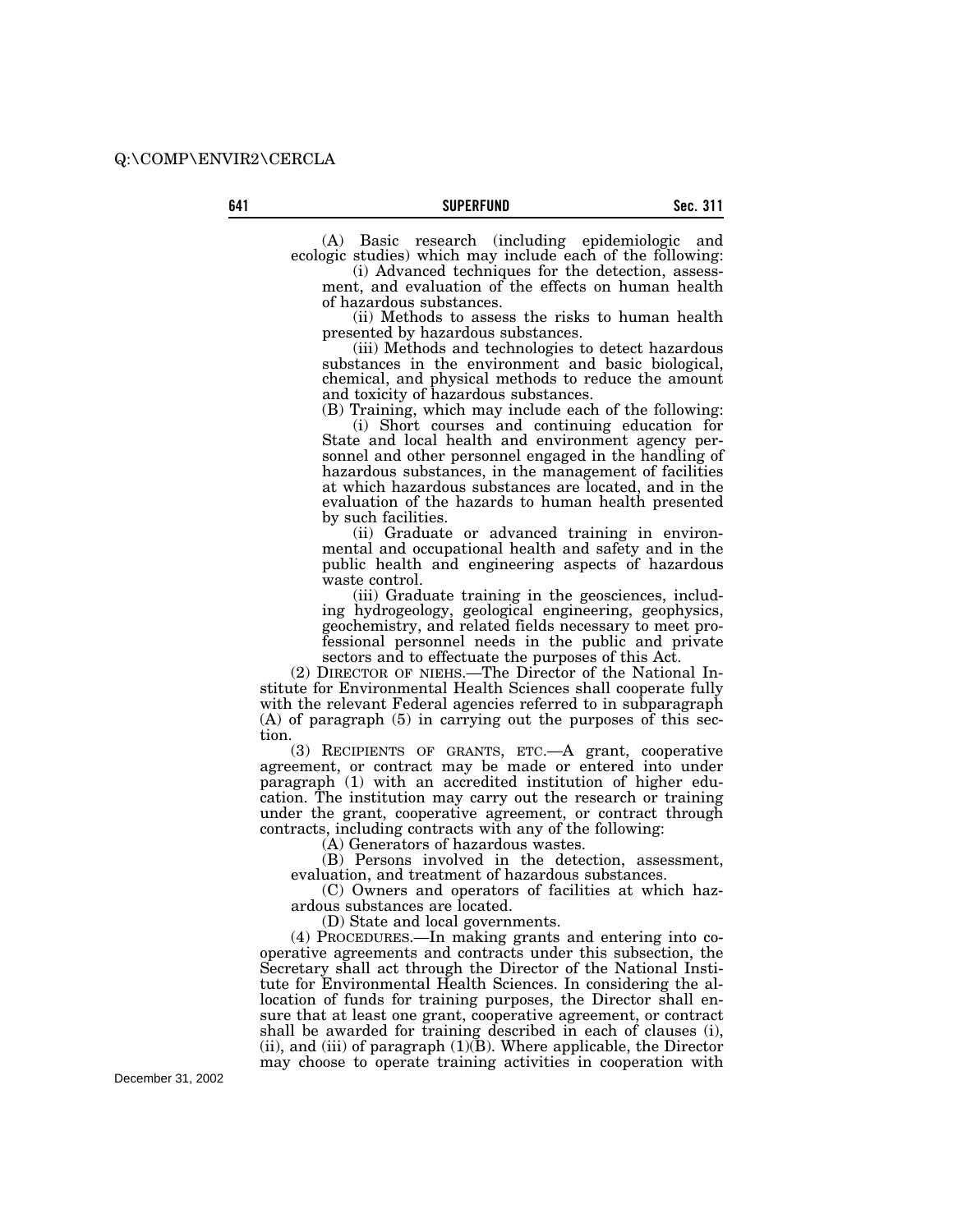(A) Basic research (including epidemiologic and ecologic studies) which may include each of the following: (i) Advanced techniques for the detection, assess-

ment, and evaluation of the effects on human health of hazardous substances.

(ii) Methods to assess the risks to human health presented by hazardous substances.

(iii) Methods and technologies to detect hazardous substances in the environment and basic biological, chemical, and physical methods to reduce the amount and toxicity of hazardous substances.

(B) Training, which may include each of the following: (i) Short courses and continuing education for State and local health and environment agency per-

sonnel and other personnel engaged in the handling of hazardous substances, in the management of facilities at which hazardous substances are located, and in the evaluation of the hazards to human health presented by such facilities.

(ii) Graduate or advanced training in environmental and occupational health and safety and in the public health and engineering aspects of hazardous waste control.

(iii) Graduate training in the geosciences, including hydrogeology, geological engineering, geophysics, geochemistry, and related fields necessary to meet professional personnel needs in the public and private sectors and to effectuate the purposes of this Act.

(2) DIRECTOR OF NIEHS.—The Director of the National Institute for Environmental Health Sciences shall cooperate fully with the relevant Federal agencies referred to in subparagraph (A) of paragraph (5) in carrying out the purposes of this section.

(3) RECIPIENTS OF GRANTS, ETC.—A grant, cooperative agreement, or contract may be made or entered into under paragraph (1) with an accredited institution of higher education. The institution may carry out the research or training under the grant, cooperative agreement, or contract through contracts, including contracts with any of the following:

(A) Generators of hazardous wastes.

(B) Persons involved in the detection, assessment, evaluation, and treatment of hazardous substances.

(C) Owners and operators of facilities at which hazardous substances are located.

(D) State and local governments.

(4) PROCEDURES.—In making grants and entering into cooperative agreements and contracts under this subsection, the Secretary shall act through the Director of the National Institute for Environmental Health Sciences. In considering the allocation of funds for training purposes, the Director shall ensure that at least one grant, cooperative agreement, or contract shall be awarded for training described in each of clauses (i), (ii), and (iii) of paragraph  $(1)(\bar{B})$ . Where applicable, the Director may choose to operate training activities in cooperation with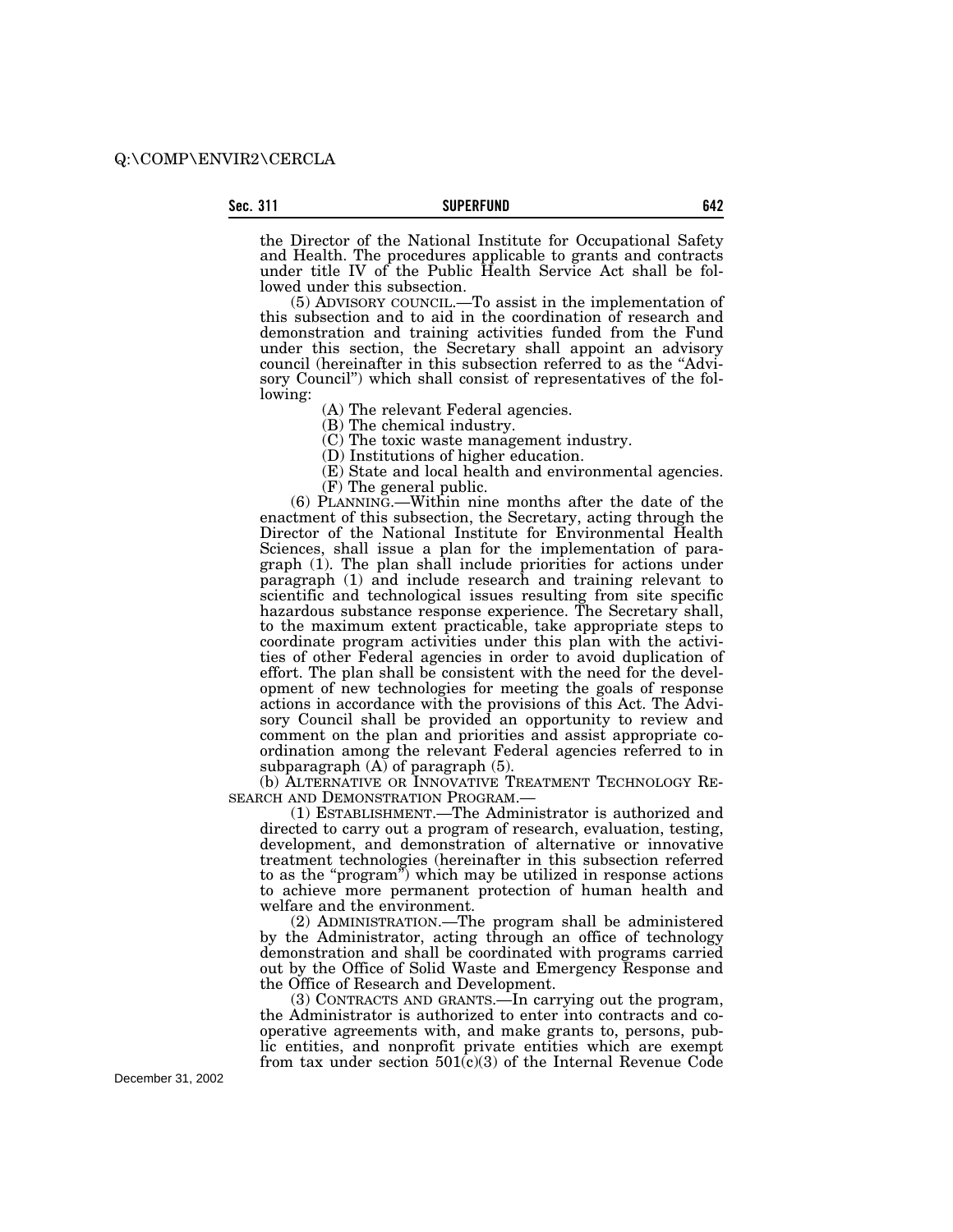the Director of the National Institute for Occupational Safety and Health. The procedures applicable to grants and contracts under title IV of the Public Health Service Act shall be followed under this subsection.

(5) ADVISORY COUNCIL.—To assist in the implementation of this subsection and to aid in the coordination of research and demonstration and training activities funded from the Fund under this section, the Secretary shall appoint an advisory council (hereinafter in this subsection referred to as the ''Advisory Council'') which shall consist of representatives of the following:

(A) The relevant Federal agencies.

(B) The chemical industry.

(C) The toxic waste management industry.

(D) Institutions of higher education.

(E) State and local health and environmental agencies. (F) The general public.

(6) PLANNING.—Within nine months after the date of the enactment of this subsection, the Secretary, acting through the Director of the National Institute for Environmental Health Sciences, shall issue a plan for the implementation of paragraph  $(1)$ . The plan shall include priorities for actions under paragraph (1) and include research and training relevant to scientific and technological issues resulting from site specific hazardous substance response experience. The Secretary shall, to the maximum extent practicable, take appropriate steps to coordinate program activities under this plan with the activities of other Federal agencies in order to avoid duplication of effort. The plan shall be consistent with the need for the development of new technologies for meeting the goals of response actions in accordance with the provisions of this Act. The Advisory Council shall be provided an opportunity to review and comment on the plan and priorities and assist appropriate coordination among the relevant Federal agencies referred to in subparagraph  $(A)$  of paragraph  $(5)$ .

(b) ALTERNATIVE OR INNOVATIVE TREATMENT TECHNOLOGY RE-SEARCH AND DEMONSTRATION PROGRAM.—

(1) ESTABLISHMENT.—The Administrator is authorized and directed to carry out a program of research, evaluation, testing, development, and demonstration of alternative or innovative treatment technologies (hereinafter in this subsection referred to as the "program") which may be utilized in response actions to achieve more permanent protection of human health and welfare and the environment.

(2) ADMINISTRATION.—The program shall be administered by the Administrator, acting through an office of technology demonstration and shall be coordinated with programs carried out by the Office of Solid Waste and Emergency Response and the Office of Research and Development.

(3) CONTRACTS AND GRANTS.—In carrying out the program, the Administrator is authorized to enter into contracts and cooperative agreements with, and make grants to, persons, public entities, and nonprofit private entities which are exempt from tax under section  $501(c)(3)$  of the Internal Revenue Code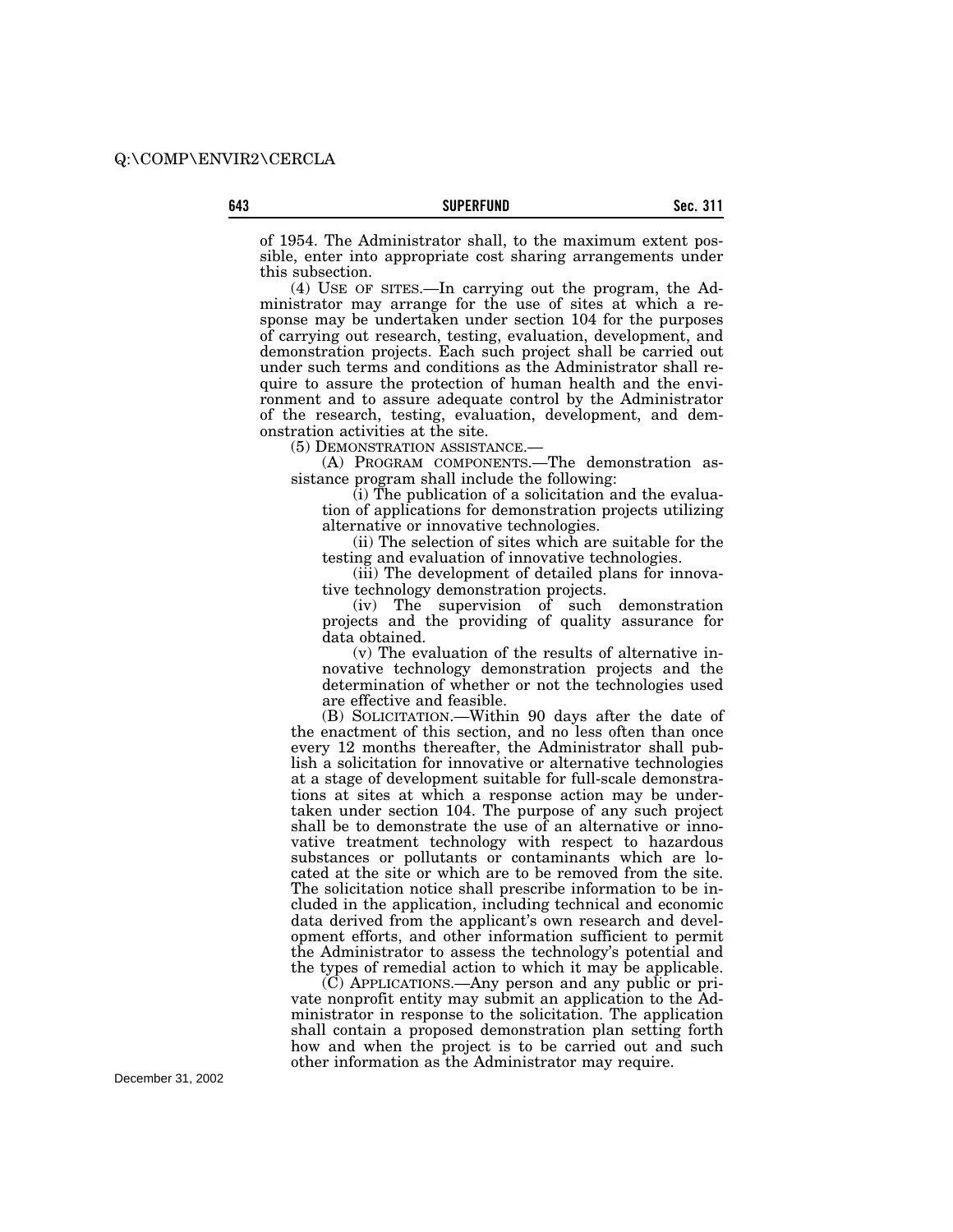of 1954. The Administrator shall, to the maximum extent possible, enter into appropriate cost sharing arrangements under this subsection.

(4) USE OF SITES.—In carrying out the program, the Administrator may arrange for the use of sites at which a response may be undertaken under section 104 for the purposes of carrying out research, testing, evaluation, development, and demonstration projects. Each such project shall be carried out under such terms and conditions as the Administrator shall require to assure the protection of human health and the environment and to assure adequate control by the Administrator of the research, testing, evaluation, development, and demonstration activities at the site.

(5) DEMONSTRATION ASSISTANCE.—

(A) PROGRAM COMPONENTS.—The demonstration assistance program shall include the following:

 $(i)$  The publication of a solicitation and the evaluation of applications for demonstration projects utilizing alternative or innovative technologies.

(ii) The selection of sites which are suitable for the testing and evaluation of innovative technologies.

(iii) The development of detailed plans for innovative technology demonstration projects.

(iv) The supervision of such demonstration projects and the providing of quality assurance for data obtained.

(v) The evaluation of the results of alternative innovative technology demonstration projects and the determination of whether or not the technologies used are effective and feasible.

(B) SOLICITATION.—Within 90 days after the date of the enactment of this section, and no less often than once every 12 months thereafter, the Administrator shall publish a solicitation for innovative or alternative technologies at a stage of development suitable for full-scale demonstrations at sites at which a response action may be undertaken under section 104. The purpose of any such project shall be to demonstrate the use of an alternative or innovative treatment technology with respect to hazardous substances or pollutants or contaminants which are located at the site or which are to be removed from the site. The solicitation notice shall prescribe information to be included in the application, including technical and economic data derived from the applicant's own research and development efforts, and other information sufficient to permit the Administrator to assess the technology's potential and the types of remedial action to which it may be applicable.

(C) APPLICATIONS.—Any person and any public or private nonprofit entity may submit an application to the Administrator in response to the solicitation. The application shall contain a proposed demonstration plan setting forth how and when the project is to be carried out and such other information as the Administrator may require.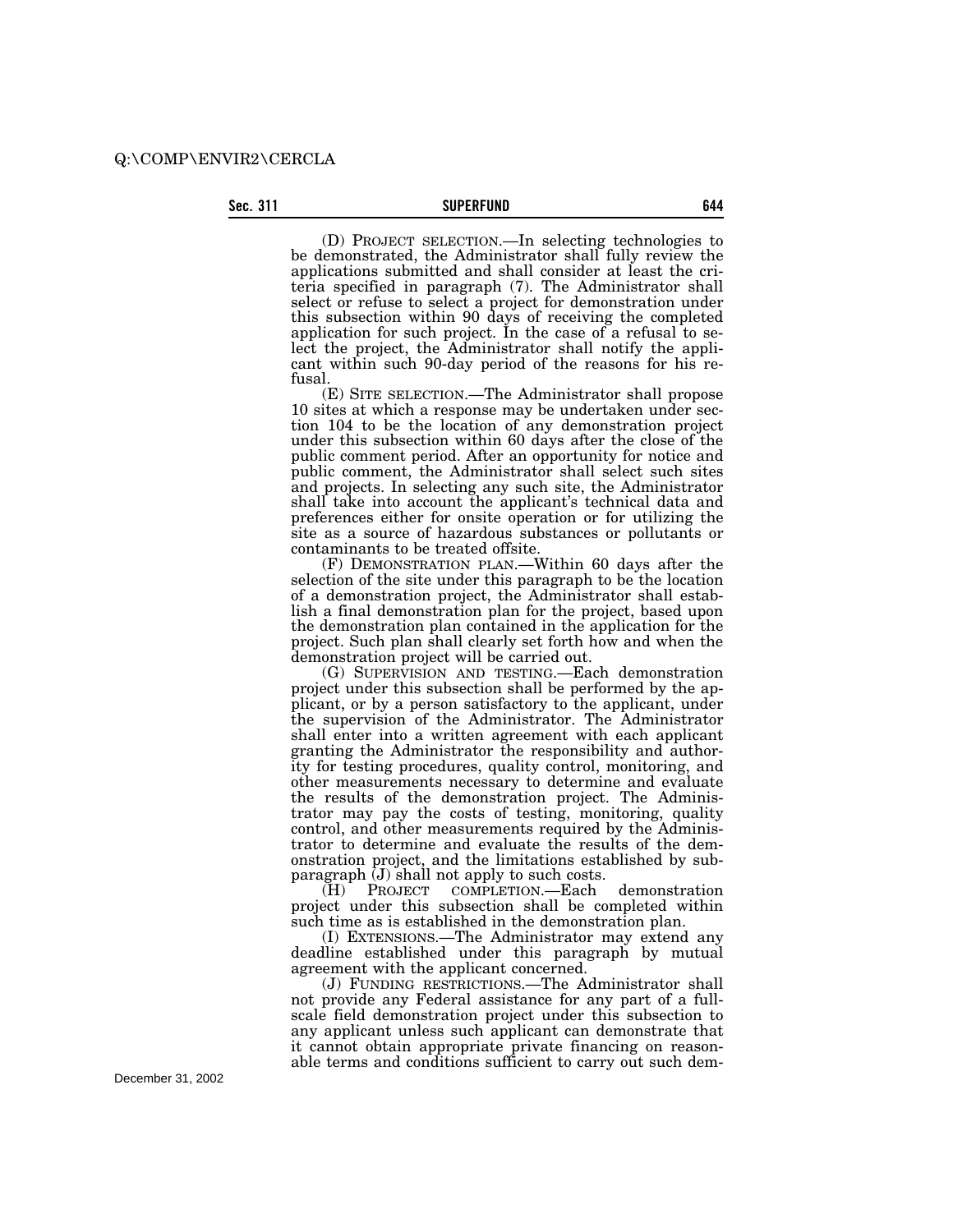(D) PROJECT SELECTION.—In selecting technologies to be demonstrated, the Administrator shall fully review the applications submitted and shall consider at least the criteria specified in paragraph (7). The Administrator shall select or refuse to select a project for demonstration under this subsection within 90 days of receiving the completed application for such project. In the case of a refusal to select the project, the Administrator shall notify the applicant within such 90-day period of the reasons for his refusal.

(E) SITE SELECTION.—The Administrator shall propose 10 sites at which a response may be undertaken under section 104 to be the location of any demonstration project under this subsection within 60 days after the close of the public comment period. After an opportunity for notice and public comment, the Administrator shall select such sites and projects. In selecting any such site, the Administrator shall take into account the applicant's technical data and preferences either for onsite operation or for utilizing the site as a source of hazardous substances or pollutants or contaminants to be treated offsite.

(F) DEMONSTRATION PLAN.—Within 60 days after the selection of the site under this paragraph to be the location of a demonstration project, the Administrator shall establish a final demonstration plan for the project, based upon the demonstration plan contained in the application for the project. Such plan shall clearly set forth how and when the demonstration project will be carried out.

(G) SUPERVISION AND TESTING.—Each demonstration project under this subsection shall be performed by the applicant, or by a person satisfactory to the applicant, under the supervision of the Administrator. The Administrator shall enter into a written agreement with each applicant granting the Administrator the responsibility and authority for testing procedures, quality control, monitoring, and other measurements necessary to determine and evaluate the results of the demonstration project. The Administrator may pay the costs of testing, monitoring, quality control, and other measurements required by the Administrator to determine and evaluate the results of the demonstration project, and the limitations established by subparagraph (J) shall not apply to such costs.<br>(H) PROJECT COMPLETION.—Each

(H) PROJECT COMPLETION.—Each demonstration project under this subsection shall be completed within such time as is established in the demonstration plan.

(I) EXTENSIONS.—The Administrator may extend any deadline established under this paragraph by mutual agreement with the applicant concerned.

(J) FUNDING RESTRICTIONS.—The Administrator shall not provide any Federal assistance for any part of a fullscale field demonstration project under this subsection to any applicant unless such applicant can demonstrate that it cannot obtain appropriate private financing on reasonable terms and conditions sufficient to carry out such dem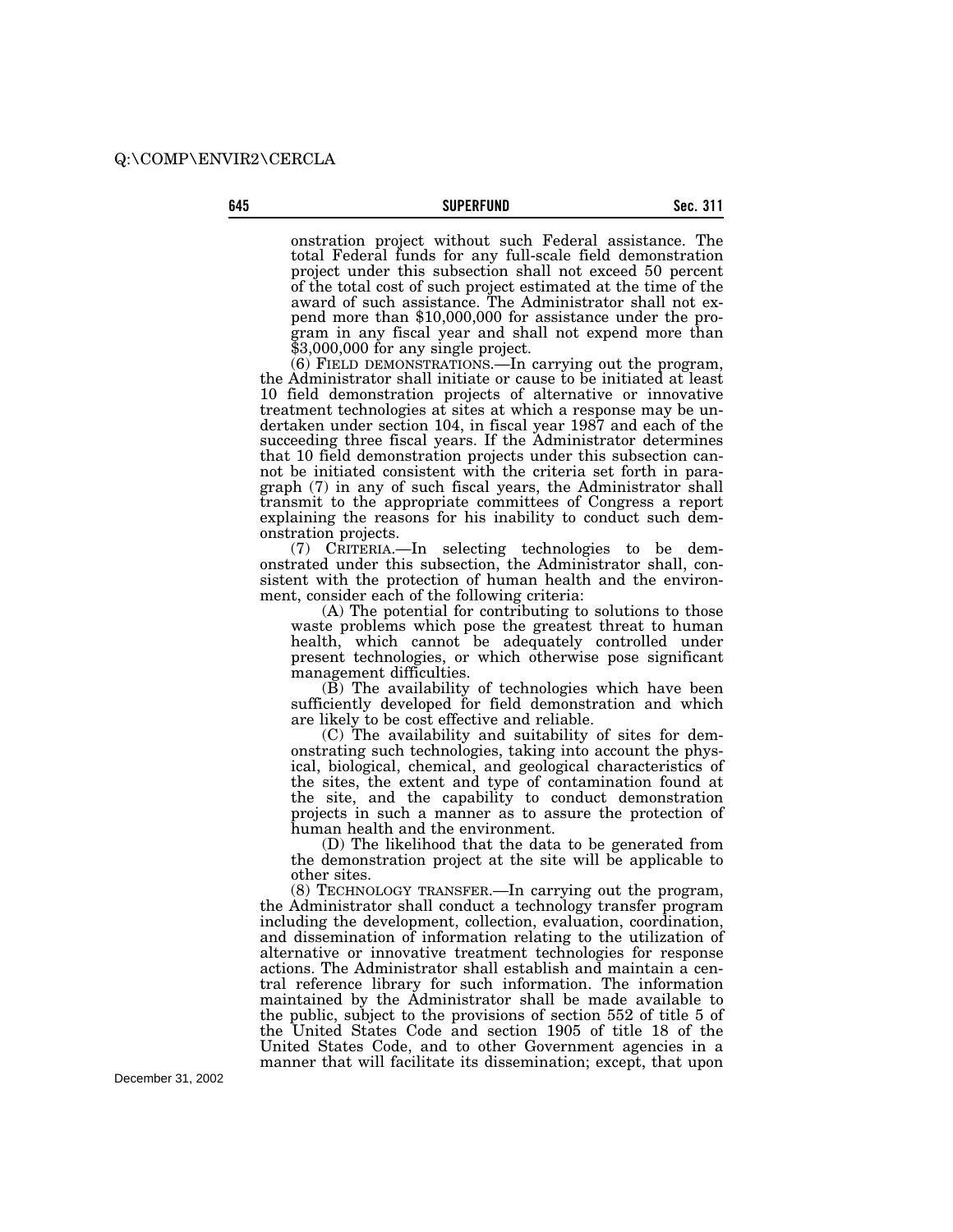onstration project without such Federal assistance. The total Federal funds for any full-scale field demonstration project under this subsection shall not exceed 50 percent of the total cost of such project estimated at the time of the award of such assistance. The Administrator shall not expend more than \$10,000,000 for assistance under the program in any fiscal year and shall not expend more than \$3,000,000 for any single project.

(6) FIELD DEMONSTRATIONS.—In carrying out the program, the Administrator shall initiate or cause to be initiated at least 10 field demonstration projects of alternative or innovative treatment technologies at sites at which a response may be undertaken under section 104, in fiscal year 1987 and each of the succeeding three fiscal years. If the Administrator determines that 10 field demonstration projects under this subsection cannot be initiated consistent with the criteria set forth in paragraph (7) in any of such fiscal years, the Administrator shall transmit to the appropriate committees of Congress a report explaining the reasons for his inability to conduct such demonstration projects.

(7) CRITERIA.—In selecting technologies to be demonstrated under this subsection, the Administrator shall, consistent with the protection of human health and the environment, consider each of the following criteria:

(A) The potential for contributing to solutions to those waste problems which pose the greatest threat to human health, which cannot be adequately controlled under present technologies, or which otherwise pose significant management difficulties.

(B) The availability of technologies which have been sufficiently developed for field demonstration and which are likely to be cost effective and reliable.

(C) The availability and suitability of sites for demonstrating such technologies, taking into account the physical, biological, chemical, and geological characteristics of the sites, the extent and type of contamination found at the site, and the capability to conduct demonstration projects in such a manner as to assure the protection of human health and the environment.

(D) The likelihood that the data to be generated from the demonstration project at the site will be applicable to other sites.

(8) TECHNOLOGY TRANSFER.—In carrying out the program, the Administrator shall conduct a technology transfer program including the development, collection, evaluation, coordination, and dissemination of information relating to the utilization of alternative or innovative treatment technologies for response actions. The Administrator shall establish and maintain a central reference library for such information. The information maintained by the Administrator shall be made available to the public, subject to the provisions of section 552 of title 5 of the United States Code and section 1905 of title 18 of the United States Code, and to other Government agencies in a manner that will facilitate its dissemination; except, that upon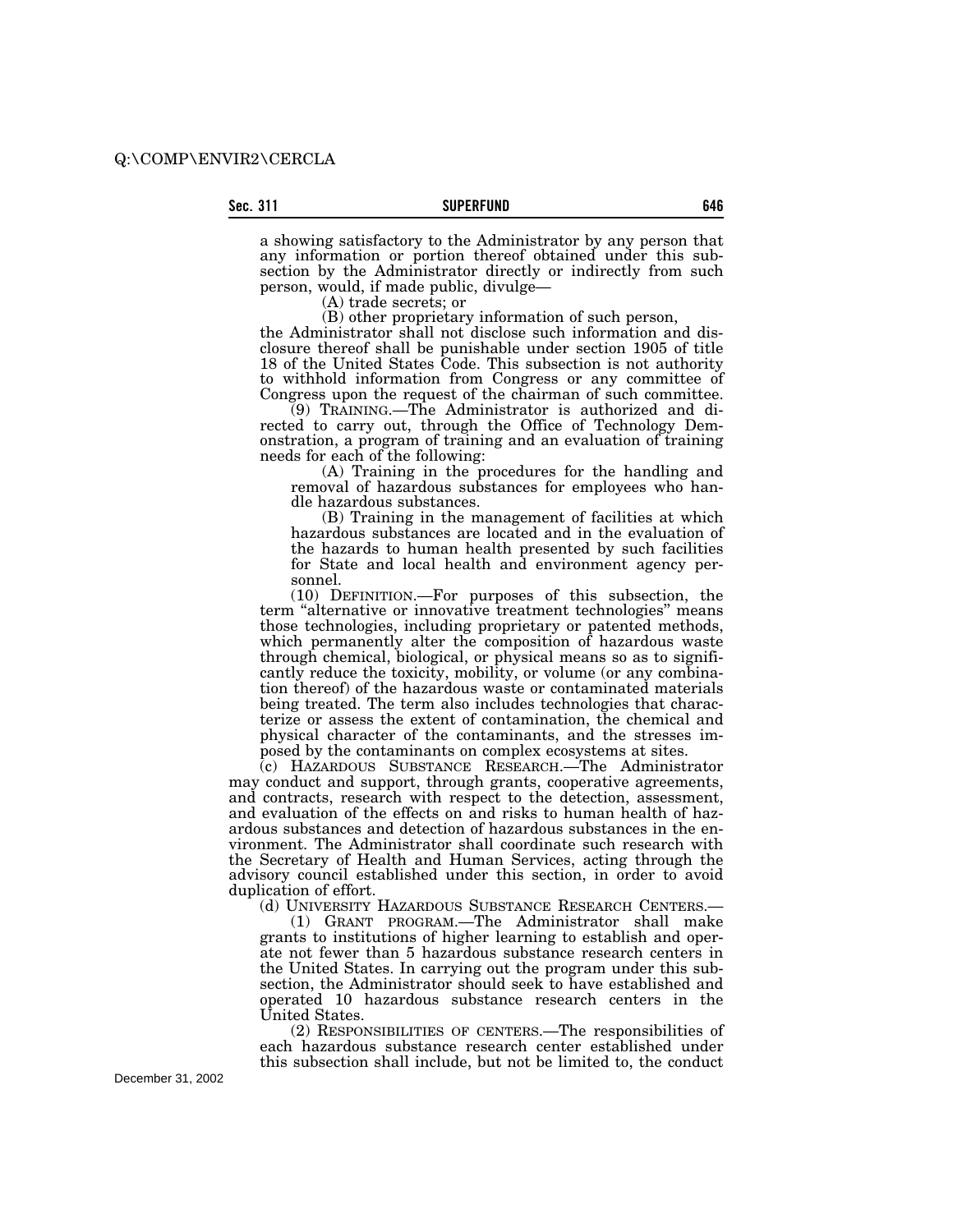a showing satisfactory to the Administrator by any person that any information or portion thereof obtained under this subsection by the Administrator directly or indirectly from such person, would, if made public, divulge—

(A) trade secrets; or

(B) other proprietary information of such person,

the Administrator shall not disclose such information and disclosure thereof shall be punishable under section 1905 of title 18 of the United States Code. This subsection is not authority to withhold information from Congress or any committee of Congress upon the request of the chairman of such committee.

(9) TRAINING.—The Administrator is authorized and directed to carry out, through the Office of Technology Demonstration, a program of training and an evaluation of training needs for each of the following:

(A) Training in the procedures for the handling and removal of hazardous substances for employees who handle hazardous substances.

(B) Training in the management of facilities at which hazardous substances are located and in the evaluation of the hazards to human health presented by such facilities for State and local health and environment agency personnel.

(10) DEFINITION.—For purposes of this subsection, the term ''alternative or innovative treatment technologies'' means those technologies, including proprietary or patented methods, which permanently alter the composition of hazardous waste through chemical, biological, or physical means so as to significantly reduce the toxicity, mobility, or volume (or any combination thereof) of the hazardous waste or contaminated materials being treated. The term also includes technologies that characterize or assess the extent of contamination, the chemical and physical character of the contaminants, and the stresses imposed by the contaminants on complex ecosystems at sites.

(c) HAZARDOUS SUBSTANCE RESEARCH.—The Administrator may conduct and support, through grants, cooperative agreements, and contracts, research with respect to the detection, assessment, and evaluation of the effects on and risks to human health of hazardous substances and detection of hazardous substances in the environment. The Administrator shall coordinate such research with the Secretary of Health and Human Services, acting through the advisory council established under this section, in order to avoid duplication of effort.

(d) UNIVERSITY HAZARDOUS SUBSTANCE RESEARCH CENTERS.—

(1) GRANT PROGRAM.—The Administrator shall make grants to institutions of higher learning to establish and operate not fewer than 5 hazardous substance research centers in the United States. In carrying out the program under this subsection, the Administrator should seek to have established and operated 10 hazardous substance research centers in the United States.

(2) RESPONSIBILITIES OF CENTERS.—The responsibilities of each hazardous substance research center established under this subsection shall include, but not be limited to, the conduct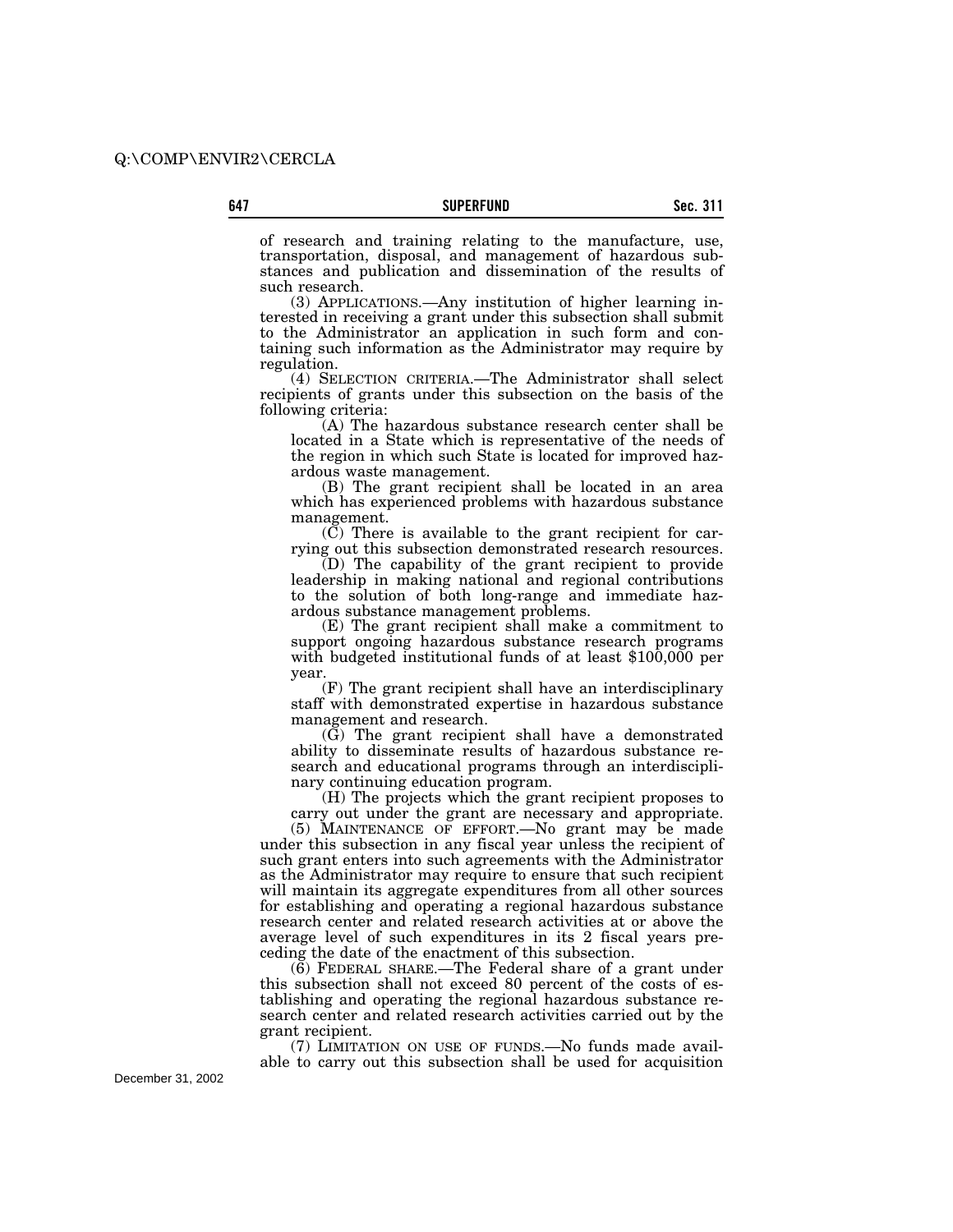of research and training relating to the manufacture, use, transportation, disposal, and management of hazardous substances and publication and dissemination of the results of such research.

(3) APPLICATIONS.—Any institution of higher learning interested in receiving a grant under this subsection shall submit to the Administrator an application in such form and containing such information as the Administrator may require by regulation.

(4) SELECTION CRITERIA.—The Administrator shall select recipients of grants under this subsection on the basis of the following criteria:

(A) The hazardous substance research center shall be located in a State which is representative of the needs of the region in which such State is located for improved hazardous waste management.

(B) The grant recipient shall be located in an area which has experienced problems with hazardous substance management.

 $(\tilde{C})$  There is available to the grant recipient for carrying out this subsection demonstrated research resources.

(D) The capability of the grant recipient to provide leadership in making national and regional contributions to the solution of both long-range and immediate hazardous substance management problems.

(E) The grant recipient shall make a commitment to support ongoing hazardous substance research programs with budgeted institutional funds of at least  $$100,000$  per year.

(F) The grant recipient shall have an interdisciplinary staff with demonstrated expertise in hazardous substance management and research.

(G) The grant recipient shall have a demonstrated ability to disseminate results of hazardous substance research and educational programs through an interdisciplinary continuing education program.

(H) The projects which the grant recipient proposes to carry out under the grant are necessary and appropriate.

(5) MAINTENANCE OF EFFORT.—No grant may be made under this subsection in any fiscal year unless the recipient of such grant enters into such agreements with the Administrator as the Administrator may require to ensure that such recipient will maintain its aggregate expenditures from all other sources for establishing and operating a regional hazardous substance research center and related research activities at or above the average level of such expenditures in its 2 fiscal years preceding the date of the enactment of this subsection.

(6) FEDERAL SHARE.—The Federal share of a grant under this subsection shall not exceed 80 percent of the costs of establishing and operating the regional hazardous substance research center and related research activities carried out by the grant recipient.

(7) LIMITATION ON USE OF FUNDS.—No funds made available to carry out this subsection shall be used for acquisition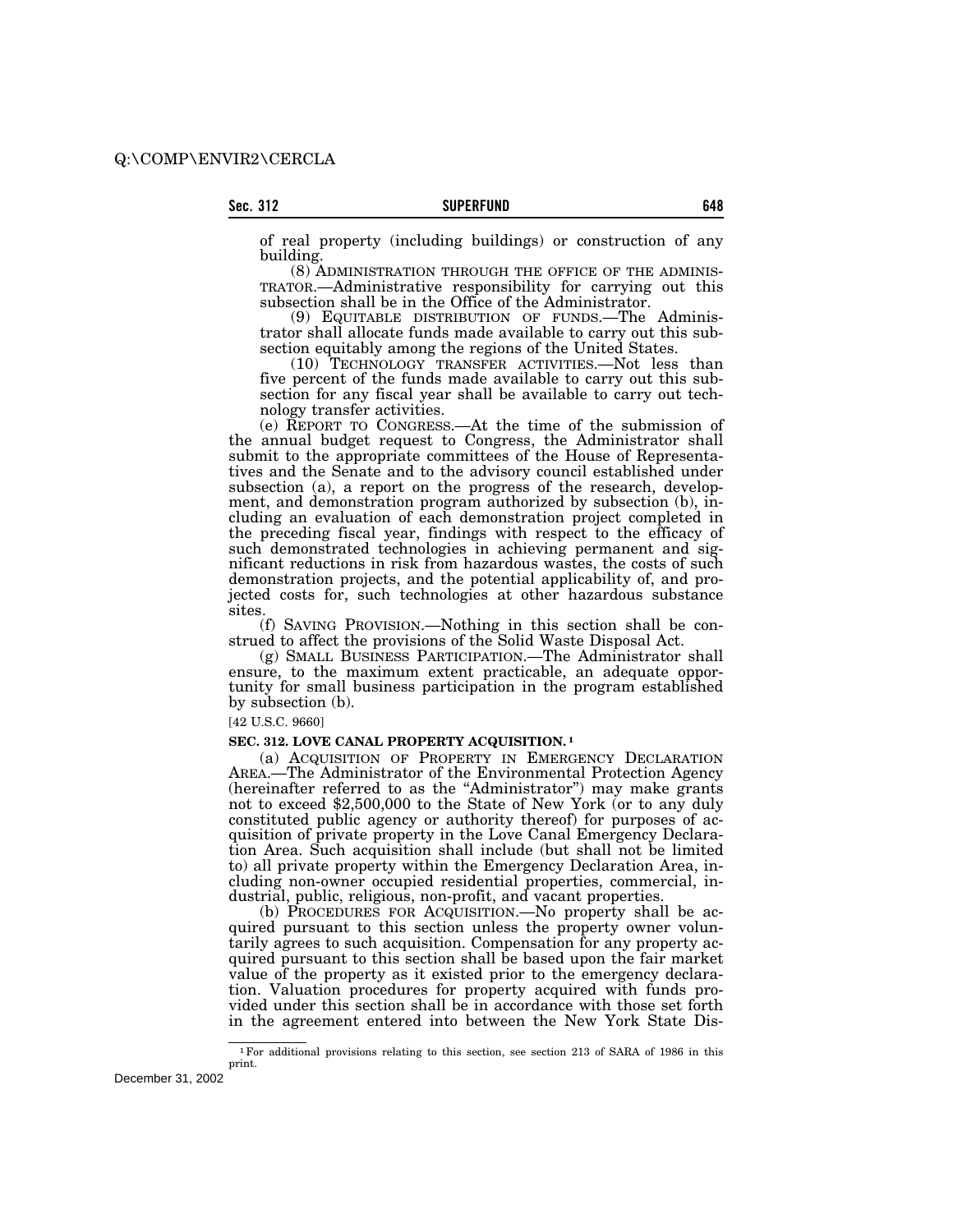of real property (including buildings) or construction of any building.<br>(8) ADMINISTRATION THROUGH THE OFFICE OF THE ADMINIS-

TRATOR.—Administrative responsibility for carrying out this subsection shall be in the Office of the Administrator.

(9) EQUITABLE DISTRIBUTION OF FUNDS.—The Administrator shall allocate funds made available to carry out this subsection equitably among the regions of the United States.

(10) TECHNOLOGY TRANSFER ACTIVITIES.—Not less than five percent of the funds made available to carry out this subsection for any fiscal year shall be available to carry out technology transfer activities.

(e) REPORT TO CONGRESS.—At the time of the submission of the annual budget request to Congress, the Administrator shall submit to the appropriate committees of the House of Representatives and the Senate and to the advisory council established under subsection (a), a report on the progress of the research, development, and demonstration program authorized by subsection (b), including an evaluation of each demonstration project completed in the preceding fiscal year, findings with respect to the efficacy of such demonstrated technologies in achieving permanent and significant reductions in risk from hazardous wastes, the costs of such demonstration projects, and the potential applicability of, and projected costs for, such technologies at other hazardous substance sites.

(f) SAVING PROVISION.—Nothing in this section shall be construed to affect the provisions of the Solid Waste Disposal Act.

(g) SMALL BUSINESS PARTICIPATION.—The Administrator shall ensure, to the maximum extent practicable, an adequate opportunity for small business participation in the program established by subsection (b).

[42 U.S.C. 9660]

## **SEC. 312. LOVE CANAL PROPERTY ACQUISITION. 1**

(a) ACQUISITION OF PROPERTY IN EMERGENCY DECLARATION AREA.—The Administrator of the Environmental Protection Agency (hereinafter referred to as the ''Administrator'') may make grants not to exceed \$2,500,000 to the State of New York (or to any duly constituted public agency or authority thereof) for purposes of acquisition of private property in the Love Canal Emergency Declaration Area. Such acquisition shall include (but shall not be limited to) all private property within the Emergency Declaration Area, including non-owner occupied residential properties, commercial, industrial, public, religious, non-profit, and vacant properties.

(b) PROCEDURES FOR ACQUISITION.—No property shall be acquired pursuant to this section unless the property owner voluntarily agrees to such acquisition. Compensation for any property acquired pursuant to this section shall be based upon the fair market value of the property as it existed prior to the emergency declaration. Valuation procedures for property acquired with funds provided under this section shall be in accordance with those set forth in the agreement entered into between the New York State Dis-

<sup>1</sup>For additional provisions relating to this section, see section 213 of SARA of 1986 in this print.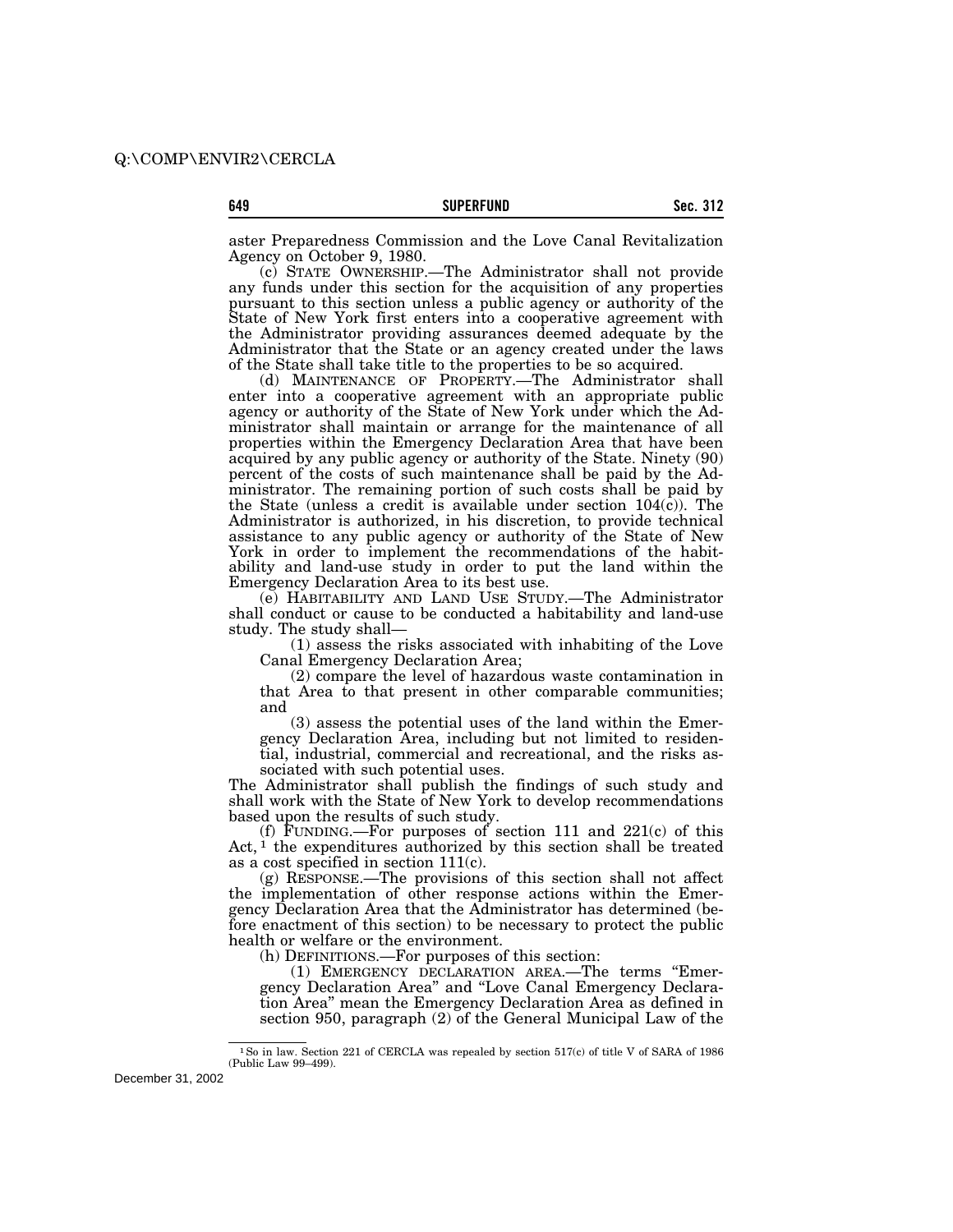aster Preparedness Commission and the Love Canal Revitalization Agency on October 9, 1980.

(c) STATE OWNERSHIP.—The Administrator shall not provide any funds under this section for the acquisition of any properties pursuant to this section unless a public agency or authority of the State of New York first enters into a cooperative agreement with the Administrator providing assurances deemed adequate by the Administrator that the State or an agency created under the laws of the State shall take title to the properties to be so acquired.

(d) MAINTENANCE OF PROPERTY.—The Administrator shall enter into a cooperative agreement with an appropriate public agency or authority of the State of New York under which the Administrator shall maintain or arrange for the maintenance of all properties within the Emergency Declaration Area that have been acquired by any public agency or authority of the State. Ninety (90) percent of the costs of such maintenance shall be paid by the Administrator. The remaining portion of such costs shall be paid by the State (unless a credit is available under section  $104(\tilde{c})$ ). The Administrator is authorized, in his discretion, to provide technical assistance to any public agency or authority of the State of New York in order to implement the recommendations of the habitability and land-use study in order to put the land within the Emergency Declaration Area to its best use.

(e) HABITABILITY AND LAND USE STUDY.—The Administrator shall conduct or cause to be conducted a habitability and land-use study. The study shall—

(1) assess the risks associated with inhabiting of the Love Canal Emergency Declaration Area;

(2) compare the level of hazardous waste contamination in that Area to that present in other comparable communities; and

(3) assess the potential uses of the land within the Emergency Declaration Area, including but not limited to residential, industrial, commercial and recreational, and the risks associated with such potential uses.

The Administrator shall publish the findings of such study and shall work with the State of New York to develop recommendations based upon the results of such study.

(f) FUNDING.—For purposes of section 111 and  $221(c)$  of this Act,  $\frac{1}{1}$  the expenditures authorized by this section shall be treated as a cost specified in section 111(c).

(g) RESPONSE.—The provisions of this section shall not affect the implementation of other response actions within the Emergency Declaration Area that the Administrator has determined (before enactment of this section) to be necessary to protect the public health or welfare or the environment.

(h) DEFINITIONS.—For purposes of this section:

(1) EMERGENCY DECLARATION AREA.—The terms ''Emergency Declaration Area'' and ''Love Canal Emergency Declaration Area'' mean the Emergency Declaration Area as defined in section 950, paragraph (2) of the General Municipal Law of the

<sup>1</sup>So in law. Section 221 of CERCLA was repealed by section 517(c) of title V of SARA of 1986 (Public Law 99–499).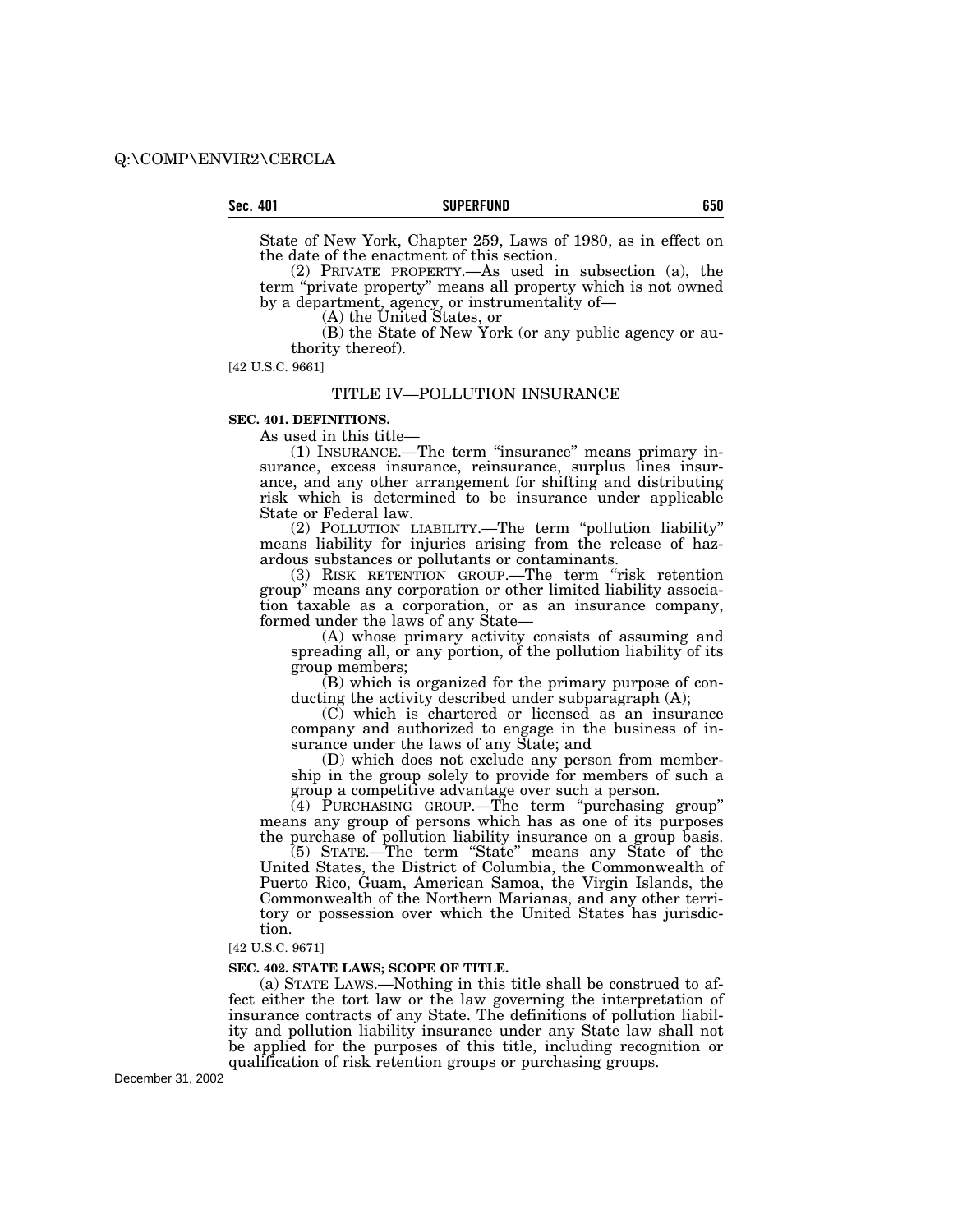State of New York, Chapter 259, Laws of 1980, as in effect on the date of the enactment of this section.

(2) PRIVATE PROPERTY.—As used in subsection (a), the term ''private property'' means all property which is not owned by a department, agency, or instrumentality of—

(A) the United States, or

(B) the State of New York (or any public agency or authority thereof).

[42 U.S.C. 9661]

# TITLE IV—POLLUTION INSURANCE

# **SEC. 401. DEFINITIONS.**

As used in this title—

(1) INSURANCE.—The term ''insurance'' means primary insurance, excess insurance, reinsurance, surplus lines insurance, and any other arrangement for shifting and distributing risk which is determined to be insurance under applicable State or Federal law.

(2) POLLUTION LIABILITY.—The term ''pollution liability'' means liability for injuries arising from the release of hazardous substances or pollutants or contaminants.

(3) RISK RETENTION GROUP.—The term "risk retention group'' means any corporation or other limited liability association taxable as a corporation, or as an insurance company, formed under the laws of any State—

(A) whose primary activity consists of assuming and spreading all, or any portion, of the pollution liability of its group members;

(B) which is organized for the primary purpose of conducting the activity described under subparagraph (A);

 $(C)$  which is chartered or licensed as an insurance company and authorized to engage in the business of insurance under the laws of any State; and

(D) which does not exclude any person from membership in the group solely to provide for members of such a group a competitive advantage over such a person.

(4) PURCHASING GROUP.—The term ''purchasing group'' means any group of persons which has as one of its purposes the purchase of pollution liability insurance on a group basis.

(5) STATE.—The term ''State'' means any State of the United States, the District of Columbia, the Commonwealth of Puerto Rico, Guam, American Samoa, the Virgin Islands, the Commonwealth of the Northern Marianas, and any other territory or possession over which the United States has jurisdiction.

[42 U.S.C. 9671]

**SEC. 402. STATE LAWS; SCOPE OF TITLE.**

(a) STATE LAWS.—Nothing in this title shall be construed to affect either the tort law or the law governing the interpretation of insurance contracts of any State. The definitions of pollution liability and pollution liability insurance under any State law shall not be applied for the purposes of this title, including recognition or qualification of risk retention groups or purchasing groups.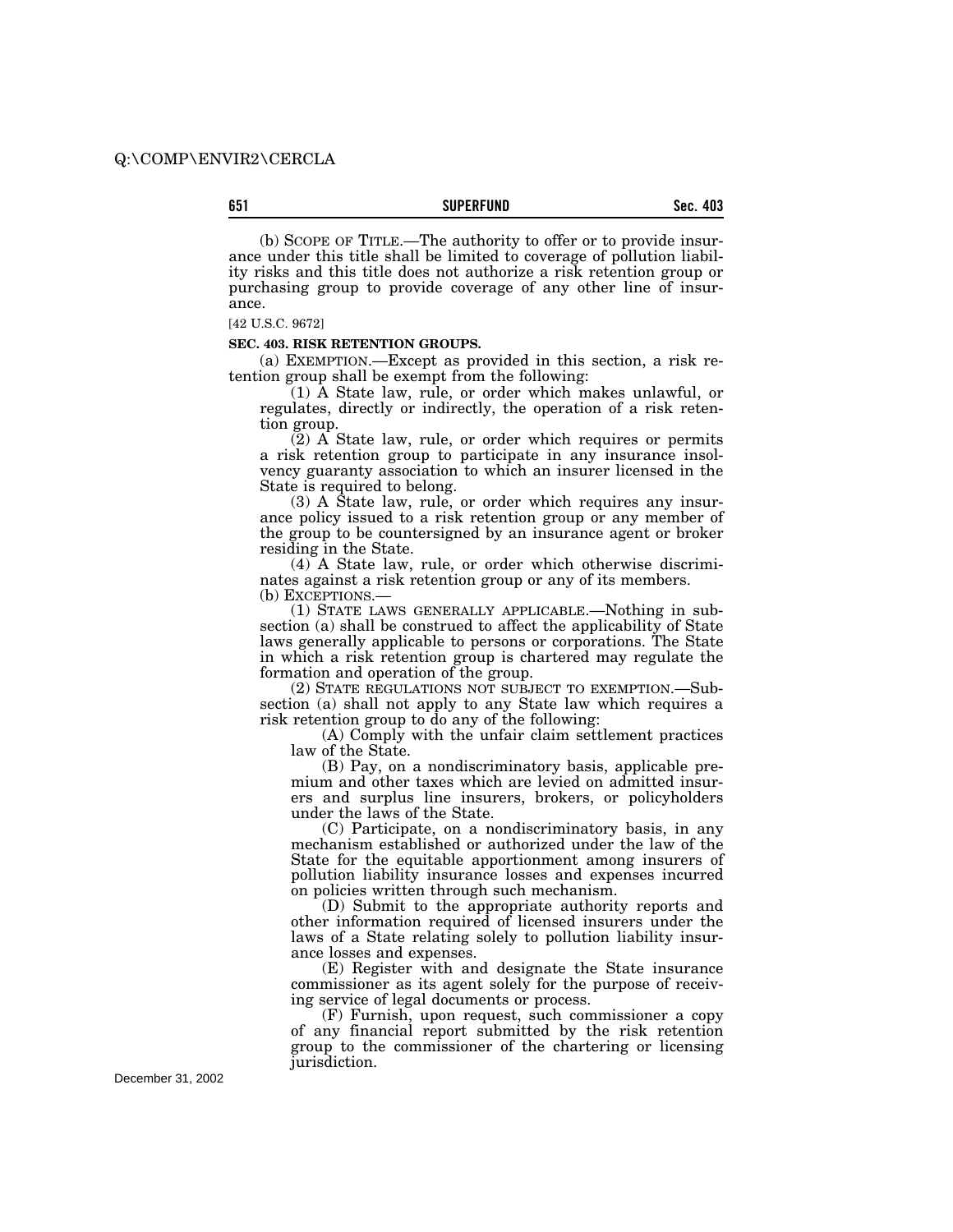**651 Sec. 403 SUPERFUND**

(b) SCOPE OF TITLE.—The authority to offer or to provide insurance under this title shall be limited to coverage of pollution liability risks and this title does not authorize a risk retention group or purchasing group to provide coverage of any other line of insurance.

[42 U.S.C. 9672]

#### **SEC. 403. RISK RETENTION GROUPS.**

(a) EXEMPTION.—Except as provided in this section, a risk retention group shall be exempt from the following:

(1) A State law, rule, or order which makes unlawful, or regulates, directly or indirectly, the operation of a risk retention group.

(2) A State law, rule, or order which requires or permits a risk retention group to participate in any insurance insolvency guaranty association to which an insurer licensed in the State is required to belong.

(3) A State law, rule, or order which requires any insurance policy issued to a risk retention group or any member of the group to be countersigned by an insurance agent or broker residing in the State.

(4) A State law, rule, or order which otherwise discriminates against a risk retention group or any of its members. (b) EXCEPTIONS.—

(1) STATE LAWS GENERALLY APPLICABLE.—Nothing in subsection (a) shall be construed to affect the applicability of State laws generally applicable to persons or corporations. The State in which a risk retention group is chartered may regulate the formation and operation of the group.

(2) STATE REGULATIONS NOT SUBJECT TO EXEMPTION.—Subsection (a) shall not apply to any State law which requires a risk retention group to do any of the following:

(A) Comply with the unfair claim settlement practices law of the State.

(B) Pay, on a nondiscriminatory basis, applicable premium and other taxes which are levied on admitted insurers and surplus line insurers, brokers, or policyholders under the laws of the State.

(C) Participate, on a nondiscriminatory basis, in any mechanism established or authorized under the law of the State for the equitable apportionment among insurers of pollution liability insurance losses and expenses incurred on policies written through such mechanism.

(D) Submit to the appropriate authority reports and other information required of licensed insurers under the laws of a State relating solely to pollution liability insurance losses and expenses.

(E) Register with and designate the State insurance commissioner as its agent solely for the purpose of receiving service of legal documents or process.

(F) Furnish, upon request, such commissioner a copy of any financial report submitted by the risk retention group to the commissioner of the chartering or licensing jurisdiction.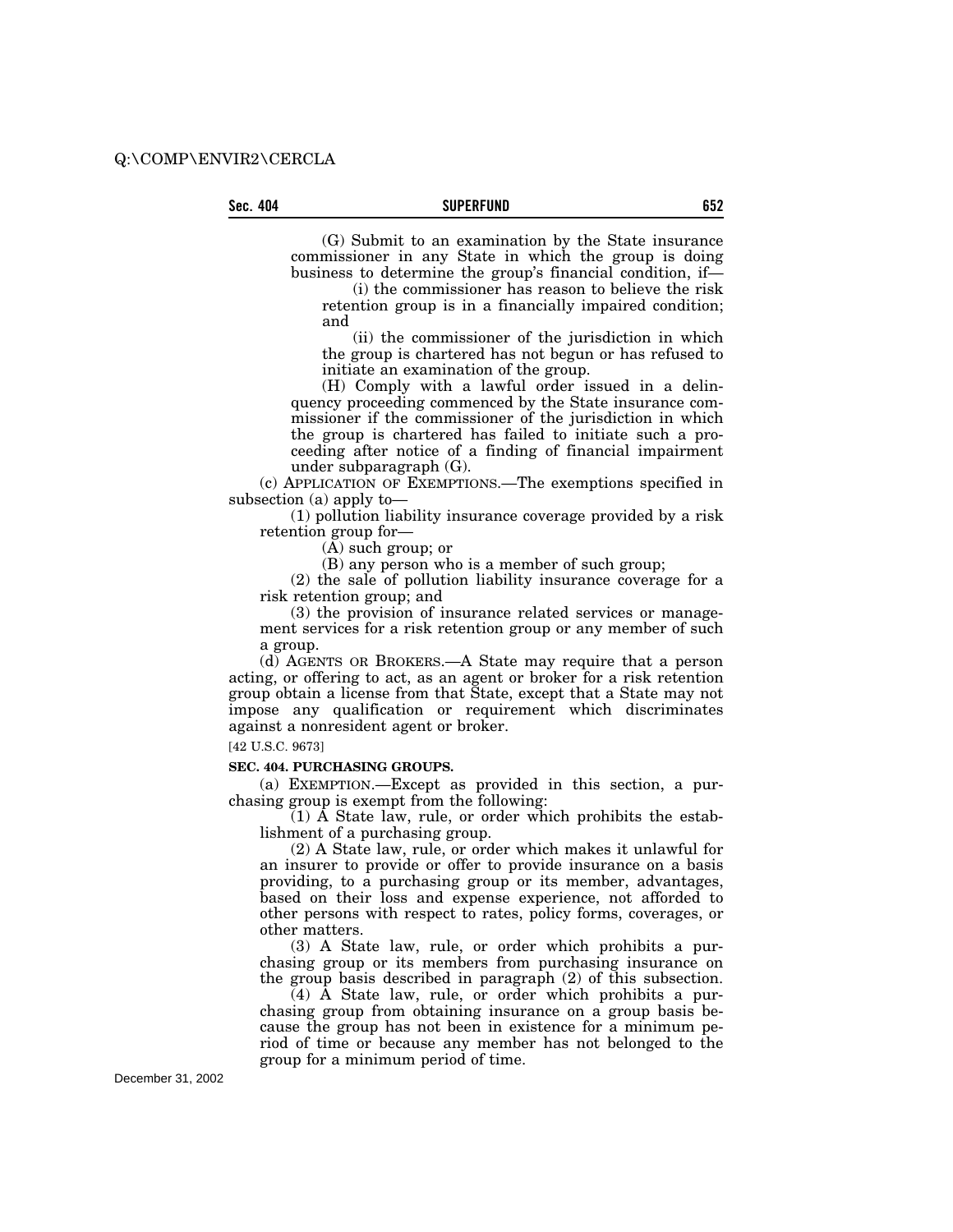(G) Submit to an examination by the State insurance commissioner in any State in which the group is doing business to determine the group's financial condition, if—

(i) the commissioner has reason to believe the risk retention group is in a financially impaired condition; and

(ii) the commissioner of the jurisdiction in which the group is chartered has not begun or has refused to initiate an examination of the group.

(H) Comply with a lawful order issued in a delinquency proceeding commenced by the State insurance commissioner if the commissioner of the jurisdiction in which the group is chartered has failed to initiate such a proceeding after notice of a finding of financial impairment under subparagraph (G).

(c) APPLICATION OF EXEMPTIONS.—The exemptions specified in subsection (a) apply to—

(1) pollution liability insurance coverage provided by a risk retention group for—

 $(A)$  such group; or

(B) any person who is a member of such group;

(2) the sale of pollution liability insurance coverage for a risk retention group; and

(3) the provision of insurance related services or management services for a risk retention group or any member of such a group.

(d) AGENTS OR BROKERS.—A State may require that a person acting, or offering to act, as an agent or broker for a risk retention group obtain a license from that State, except that a State may not impose any qualification or requirement which discriminates against a nonresident agent or broker.

[42 U.S.C. 9673]

# **SEC. 404. PURCHASING GROUPS.**

(a) EXEMPTION.—Except as provided in this section, a purchasing group is exempt from the following:

(1) A State law, rule, or order which prohibits the establishment of a purchasing group.

(2) A State law, rule, or order which makes it unlawful for an insurer to provide or offer to provide insurance on a basis providing, to a purchasing group or its member, advantages, based on their loss and expense experience, not afforded to other persons with respect to rates, policy forms, coverages, or other matters.

(3) A State law, rule, or order which prohibits a purchasing group or its members from purchasing insurance on the group basis described in paragraph (2) of this subsection.

 $(4)$  A State law, rule, or order which prohibits a purchasing group from obtaining insurance on a group basis because the group has not been in existence for a minimum period of time or because any member has not belonged to the group for a minimum period of time.